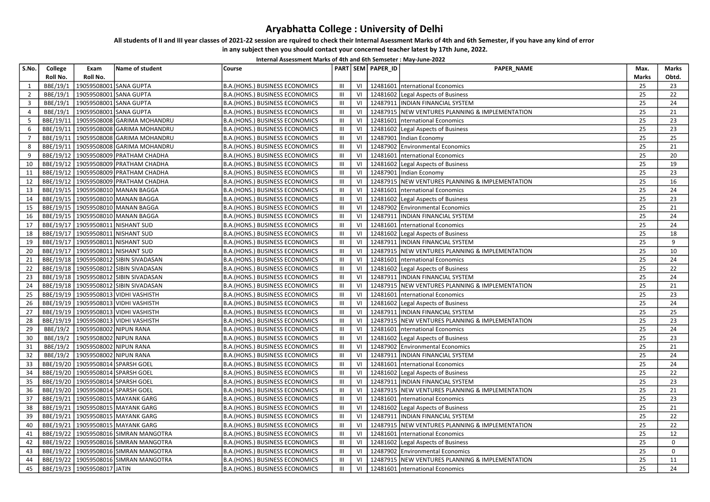## Aryabhatta College : University of Delhi

## All students of II and III year classes of 2021-22 session are rquired to check their Internal Asessment Marks of 4th and 6th Semester, if you have any kind of error

 in any subject then you should contact your concerned teacher latest by 17th June, 2022. Internal Assessment Marks of 4th and 6th Semseter : May-June-2022

| S.No.          | College              | Exam                                             | Name of student                          | Course                                                                  |                                    |                | PART SEM PAPER_ID | <b>PAPER NAME</b>                                            | Max.     | <b>Marks</b> |
|----------------|----------------------|--------------------------------------------------|------------------------------------------|-------------------------------------------------------------------------|------------------------------------|----------------|-------------------|--------------------------------------------------------------|----------|--------------|
|                | Roll No.             | Roll No.                                         |                                          |                                                                         |                                    |                |                   |                                                              | Marks    | Obtd.        |
| 1              | BBE/19/1             | 19059508001                                      | <b>SANA GUPTA</b>                        | <b>B.A.(HONS.) BUSINESS ECONOMICS</b>                                   | Ш                                  | VI             | 12481601          | nternational Economics                                       | 25       | 23           |
| $\overline{2}$ | BBE/19/1             | 19059508001                                      | <b>SANA GUPTA</b>                        | <b>B.A.(HONS.) BUSINESS ECONOMICS</b>                                   | $\ensuremath{\mathsf{III}}\xspace$ | VI             |                   | 12481602 Legal Aspects of Business                           | 25       | 22           |
| $\overline{3}$ | BBE/19/1             | 19059508001 SANA GUPTA                           |                                          | B.A.(HONS.) BUSINESS ECONOMICS                                          | Ш                                  | VI             |                   | 12487911   INDIAN FINANCIAL SYSTEM                           | 25       | 24           |
| 4              | BBE/19/1             | 19059508001                                      | <b>SANA GUPTA</b>                        | B.A.(HONS.) BUSINESS ECONOMICS                                          | III                                | VI             | 12487915          | <b>NEW VENTURES PLANNING &amp; IMPLEMENTATION</b>            | 25       | 21           |
| 5              | BBE/19/11            |                                                  | 19059508008 GARIMA MOHANDRU              | B.A.(HONS.) BUSINESS ECONOMICS                                          | III                                | VI             | 12481601          | International Economics                                      | 25       | 23           |
| 6              | BBE/19/11            |                                                  | 19059508008 GARIMA MOHANDRU              | B.A.(HONS.) BUSINESS ECONOMICS                                          | Ш                                  | VI             | 12481602          | Legal Aspects of Business                                    | 25       | 23           |
| $\overline{7}$ | BBE/19/11            |                                                  | 19059508008 GARIMA MOHANDRU              | <b>B.A.(HONS.) BUSINESS ECONOMICS</b>                                   | III                                | VI             | 12487901          | Indian Economy                                               | 25       | 25           |
| 8              | BBE/19/11            |                                                  | 19059508008 GARIMA MOHANDRU              | B.A.(HONS.) BUSINESS ECONOMICS                                          | III                                | VI             | 12487902          | <b>Environmental Economics</b>                               | 25       | 21           |
| 9              |                      |                                                  | BBE/19/12   19059508009   PRATHAM CHADHA | <b>B.A.(HONS.) BUSINESS ECONOMICS</b>                                   | III                                | VI             | 12481601          | nternational Economics                                       | 25       | 20           |
| 10             |                      |                                                  | BBE/19/12   19059508009 PRATHAM CHADHA   | B.A.(HONS.) BUSINESS ECONOMICS                                          | $\mathop{\rm III}$                 | VI             |                   | 12481602 Legal Aspects of Business                           | 25       | 19           |
| 11             | BBE/19/12            |                                                  | 19059508009 PRATHAM CHADHA               | <b>B.A.(HONS.) BUSINESS ECONOMICS</b>                                   | Ш                                  | VI             |                   | 12487901   Indian Economy                                    | 25       | 23           |
| 12             |                      |                                                  | BBE/19/12   19059508009 PRATHAM CHADHA   | B.A.(HONS.) BUSINESS ECONOMICS                                          | Ш                                  | VI             |                   | 12487915 NEW VENTURES PLANNING & IMPLEMENTATION              | 25       | 16           |
| 13             | BBE/19/15            |                                                  | 19059508010 MANAN BAGGA                  | <b>B.A.(HONS.) BUSINESS ECONOMICS</b>                                   | III                                | V <sub>l</sub> | 12481601          | nternational Economics                                       | 25       | 24           |
| 14             | BBE/19/15            |                                                  | 19059508010 MANAN BAGGA                  | B.A.(HONS.) BUSINESS ECONOMICS                                          | III                                | V <sub>l</sub> |                   | 12481602 Legal Aspects of Business                           | 25       | 23           |
| 15             | BBE/19/15            |                                                  | 19059508010 MANAN BAGGA                  | B.A.(HONS.) BUSINESS ECONOMICS                                          | Ш                                  | VI             |                   | 12487902 Environmental Economics                             | 25       | 21           |
| 16             |                      |                                                  | BBE/19/15   19059508010 MANAN BAGGA      | B.A.(HONS.) BUSINESS ECONOMICS                                          | Ш                                  | VI             | 12487911          | <b>INDIAN FINANCIAL SYSTEM</b>                               | 25       | 24           |
| 17             |                      | BBE/19/17 19059508011                            | <b>NISHANT SUD</b>                       | B.A.(HONS.) BUSINESS ECONOMICS                                          | III                                | VI             |                   | 12481601 International Economics                             | 25       | 24           |
| 18             |                      | BBE/19/17   19059508011                          | <b>NISHANT SUD</b>                       | B.A.(HONS.) BUSINESS ECONOMICS                                          | III                                | VI             |                   | 12481602 Legal Aspects of Business                           | 25       | 18           |
| 19             |                      | BBE/19/17 19059508011 NISHANT SUD                |                                          | B.A.(HONS.) BUSINESS ECONOMICS                                          | $\ensuremath{\mathsf{III}}\xspace$ | VI             |                   | 12487911   INDIAN FINANCIAL SYSTEM                           | 25       | 9            |
| 20             | BBE/19/17            | 19059508011                                      | <b>NISHANT SUD</b>                       | <b>B.A.(HONS.) BUSINESS ECONOMICS</b>                                   | III                                | VI             | 12487915          | NEW VENTURES PLANNING & IMPLEMENTATION                       | 25       | 10           |
| 21             |                      |                                                  | BBE/19/18   19059508012 SIBIN SIVADASAN  | <b>B.A.(HONS.) BUSINESS ECONOMICS</b>                                   | $\mathop{\mathsf{III}}\nolimits$   | VI             | 12481601          | International Economics                                      | 25       | 24           |
| 22             | BBE/19/18            |                                                  | 19059508012 SIBIN SIVADASAN              | B.A.(HONS.) BUSINESS ECONOMICS                                          | III                                | VI             |                   | 12481602 Legal Aspects of Business                           | 25       | 22           |
| 23             |                      |                                                  | BBE/19/18   19059508012 SIBIN SIVADASAN  | B.A.(HONS.) BUSINESS ECONOMICS                                          | Ш                                  | VI             |                   | 12487911   INDIAN FINANCIAL SYSTEM                           | 25       | 24           |
| 24             |                      |                                                  | BBE/19/18   19059508012 SIBIN SIVADASAN  | <b>B.A.(HONS.) BUSINESS ECONOMICS</b>                                   | Ш                                  | VI             |                   | 12487915 NEW VENTURES PLANNING & IMPLEMENTATION              | 25       | 21           |
| 25             | BBE/19/19            |                                                  | 19059508013 VIDHI VASHISTH               | <b>B.A.(HONS.) BUSINESS ECONOMICS</b>                                   | III                                | VI             | 12481601          | International Economics                                      | 25       | 23           |
| 26             |                      |                                                  | BBE/19/19   19059508013   VIDHI VASHISTH | <b>B.A.(HONS.) BUSINESS ECONOMICS</b>                                   | III                                | V <sub>l</sub> |                   | 12481602 Legal Aspects of Business                           | 25       | 24           |
| 27             |                      |                                                  | BBE/19/19   19059508013 VIDHI VASHISTH   | B.A.(HONS.) BUSINESS ECONOMICS                                          | Ш                                  | $\vee$         | 12487911          | <b>INDIAN FINANCIAL SYSTEM</b>                               | 25       | 25           |
| 28             | BBE/19/19            |                                                  | 19059508013 VIDHI VASHISTH               | <b>B.A.(HONS.) BUSINESS ECONOMICS</b>                                   | $\mathop{\rm III}$                 | VI             |                   | 12487915 NEW VENTURES PLANNING & IMPLEMENTATION              | 25       | 23           |
| 29             | BBE/19/2             | 19059508002 NIPUN RANA                           |                                          | B.A.(HONS.) BUSINESS ECONOMICS                                          | III                                | VI             |                   | 12481601   nternational Economics                            | 25       | 24           |
| 30<br>31       | BBE/19/2             | 19059508002 NIPUN RANA                           |                                          | B.A.(HONS.) BUSINESS ECONOMICS                                          | III<br>III                         | VI<br>VI       | 12481602          | Legal Aspects of Business                                    | 25<br>25 | 23<br>21     |
| 32             | BBE/19/2<br>BBE/19/2 | 19059508002 NIPUN RANA<br>19059508002 NIPUN RANA |                                          | B.A.(HONS.) BUSINESS ECONOMICS                                          | III                                | VI             | 12487911          | 12487902 Environmental Economics<br>INDIAN FINANCIAL SYSTEM  | 25       | 24           |
| 33             | BBE/19/20            | 19059508014 SPARSH GOEL                          |                                          | B.A.(HONS.) BUSINESS ECONOMICS                                          | $\mathop{\mathsf{III}}\nolimits$   | VI             | 12481601          |                                                              | 25       | 24           |
| 34             |                      | BBE/19/20   19059508014 SPARSH GOEL              |                                          | B.A.(HONS.) BUSINESS ECONOMICS<br><b>B.A.(HONS.) BUSINESS ECONOMICS</b> | III                                | VI             |                   | nternational Economics<br>12481602 Legal Aspects of Business | 25       | 22           |
| 35             | BBE/19/20            | 19059508014 SPARSH GOEL                          |                                          | B.A.(HONS.) BUSINESS ECONOMICS                                          | III                                | VI             | 12487911          | <b>INDIAN FINANCIAL SYSTEM</b>                               | 25       | 23           |
| 36             | BBE/19/20            | 19059508014 SPARSH GOEL                          |                                          | B.A.(HONS.) BUSINESS ECONOMICS                                          | Ш                                  | VI             |                   | 12487915 NEW VENTURES PLANNING & IMPLEMENTATION              | 25       | 21           |
| 37             | BBE/19/21            |                                                  | 19059508015 MAYANK GARG                  | B.A.(HONS.) BUSINESS ECONOMICS                                          | III                                | VI             | 12481601          | nternational Economics                                       | 25       | 23           |
| 38             | BBE/19/21            |                                                  | 19059508015 MAYANK GARG                  | <b>B.A.(HONS.) BUSINESS ECONOMICS</b>                                   | III                                | VI             | 12481602          | Legal Aspects of Business                                    | 25       | 21           |
| 39             | BBE/19/21            |                                                  | 19059508015 MAYANK GARG                  | B.A.(HONS.) BUSINESS ECONOMICS                                          | III                                | $\vee$         | 12487911          | <b>INDIAN FINANCIAL SYSTEM</b>                               | 25       | 22           |
| 40             | BBE/19/21            |                                                  | 19059508015 MAYANK GARG                  | B.A.(HONS.) BUSINESS ECONOMICS                                          | $\mathop{\mathsf{III}}\nolimits$   | VI             |                   | 12487915 NEW VENTURES PLANNING & IMPLEMENTATION              | 25       | 22           |
| 41             | BBE/19/22            |                                                  | 19059508016 SIMRAN MANGOTRA              | B.A.(HONS.) BUSINESS ECONOMICS                                          | III                                | VI             |                   | 12481601 International Economics                             | 25       | 12           |
| 42             | BBE/19/22            |                                                  | 19059508016 SIMRAN MANGOTRA              | B.A.(HONS.) BUSINESS ECONOMICS                                          | Ш                                  | VI             |                   | 12481602 Legal Aspects of Business                           | 25       | $\mathbf 0$  |
| 43             | BBE/19/22            |                                                  | 19059508016 SIMRAN MANGOTRA              | B.A.(HONS.) BUSINESS ECONOMICS                                          | III                                | VI             |                   | 12487902 Environmental Economics                             | 25       | $\mathbf 0$  |
| 44             | BBE/19/22            |                                                  | 19059508016 SIMRAN MANGOTRA              | B.A.(HONS.) BUSINESS ECONOMICS                                          | III                                | V <sub>l</sub> | 12487915          | NEW VENTURES PLANNING & IMPLEMENTATION                       | 25       | 11           |
| 45             |                      | BBE/19/23   19059508017 JATIN                    |                                          | B.A.(HONS.) BUSINESS ECONOMICS                                          | III                                | VI             |                   | 12481601   nternational Economics                            | 25       | 24           |
|                |                      |                                                  |                                          |                                                                         |                                    |                |                   |                                                              |          |              |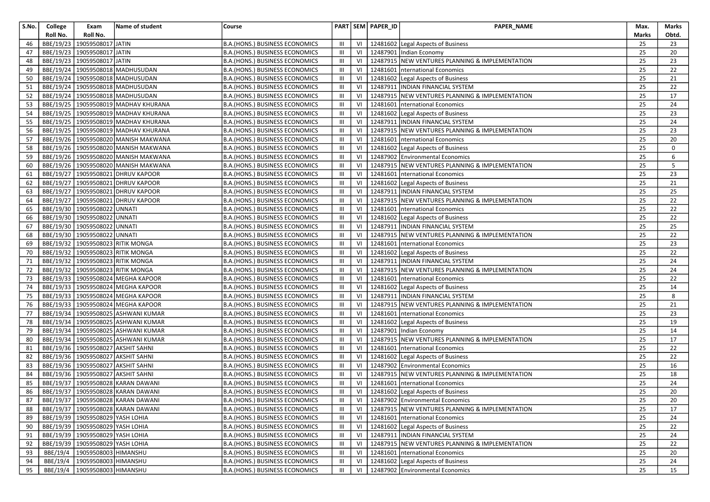| S.No. | College   | Exam                                  | Name of student                          | Course                                |                |    | PART SEM PAPER_ID | PAPER_NAME                                            | Max.  | Marks       |
|-------|-----------|---------------------------------------|------------------------------------------|---------------------------------------|----------------|----|-------------------|-------------------------------------------------------|-------|-------------|
|       | Roll No.  | Roll No.                              |                                          |                                       |                |    |                   |                                                       | Marks | Obtd.       |
| 46    |           | BBE/19/23   19059508017 JATIN         |                                          | B.A.(HONS.) BUSINESS ECONOMICS        | Ш              | VI |                   | 12481602 Legal Aspects of Business                    | 25    | 23          |
| 47    |           | BBE/19/23 19059508017 JATIN           |                                          | B.A.(HONS.) BUSINESS ECONOMICS        | Ш              | VI |                   | 12487901 Indian Economy                               | 25    | 20          |
| 48    |           | BBE/19/23 19059508017 JATIN           |                                          | B.A.(HONS.) BUSINESS ECONOMICS        | Ш              | VI |                   | 12487915 NEW VENTURES PLANNING & IMPLEMENTATION       | 25    | 23          |
| 49    |           |                                       | BBE/19/24   19059508018   MADHUSUDAN     | B.A.(HONS.) BUSINESS ECONOMICS        | III            | VI |                   | 12481601   nternational Economics                     | 25    | 22          |
| 50    |           |                                       | BBE/19/24   19059508018   MADHUSUDAN     | B.A.(HONS.) BUSINESS ECONOMICS        | Ш              | VI |                   | 12481602 Legal Aspects of Business                    | 25    | 21          |
| 51    |           |                                       | BBE/19/24   19059508018   MADHUSUDAN     | B.A.(HONS.) BUSINESS ECONOMICS        | Ш              | VI |                   | 12487911   INDIAN FINANCIAL SYSTEM                    | 25    | 22          |
| 52    |           |                                       | BBE/19/24 19059508018 MADHUSUDAN         | B.A.(HONS.) BUSINESS ECONOMICS        | Ш              | VI |                   | 12487915 NEW VENTURES PLANNING & IMPLEMENTATION       | 25    | 17          |
| 53    |           |                                       | BBE/19/25   19059508019 MADHAV KHURANA   | B.A.(HONS.) BUSINESS ECONOMICS        | Ш              | VI |                   | 12481601   nternational Economics                     | 25    | 24          |
| 54    |           |                                       | BBE/19/25   19059508019   MADHAV KHURANA | <b>B.A.(HONS.) BUSINESS ECONOMICS</b> | Ш              | VI |                   | 12481602 Legal Aspects of Business                    | 25    | 23          |
| 55    |           |                                       | BBE/19/25   19059508019 MADHAV KHURANA   | B.A.(HONS.) BUSINESS ECONOMICS        | $\mathbf{III}$ | VI |                   | 12487911   INDIAN FINANCIAL SYSTEM                    | 25    | 24          |
| 56    |           |                                       | BBE/19/25   19059508019   MADHAV KHURANA | B.A.(HONS.) BUSINESS ECONOMICS        | Ш              | VI |                   | 12487915 NEW VENTURES PLANNING & IMPLEMENTATION       | 25    | 23          |
| 57    |           |                                       | BBE/19/26   19059508020 MANISH MAKWANA   | B.A.(HONS.) BUSINESS ECONOMICS        | $\mathbf{III}$ | VI |                   | 12481601   nternational Economics                     | 25    | 20          |
| 58    |           |                                       | BBE/19/26   19059508020   MANISH MAKWANA | B.A.(HONS.) BUSINESS ECONOMICS        | Ш              | VI |                   | 12481602 Legal Aspects of Business                    | 25    | $\mathbf 0$ |
| 59    |           |                                       | BBE/19/26   19059508020 MANISH MAKWANA   | B.A.(HONS.) BUSINESS ECONOMICS        | Ш              | VI |                   | 12487902 Environmental Economics                      | 25    | 6           |
| 60    |           |                                       | BBE/19/26   19059508020   MANISH MAKWANA | B.A.(HONS.) BUSINESS ECONOMICS        | Ш              | VI |                   | 12487915 NEW VENTURES PLANNING & IMPLEMENTATION       | 25    | 5           |
| 61    |           |                                       | BBE/19/27   19059508021 DHRUV KAPOOR     | B.A.(HONS.) BUSINESS ECONOMICS        | Ш              | VI |                   | 12481601   nternational Economics                     | 25    | 23          |
| 62    |           |                                       | BBE/19/27   19059508021   DHRUV KAPOOR   | B.A.(HONS.) BUSINESS ECONOMICS        | Ш              | VI |                   | 12481602 Legal Aspects of Business                    | 25    | 21          |
| 63    |           |                                       | BBE/19/27   19059508021   DHRUV KAPOOR   | <b>B.A.(HONS.) BUSINESS ECONOMICS</b> | Ш              | VI |                   | 12487911   INDIAN FINANCIAL SYSTEM                    | 25    | 25          |
| 64    |           |                                       | BBE/19/27   19059508021 DHRUV KAPOOR     | <b>B.A.(HONS.) BUSINESS ECONOMICS</b> | $\mathbf{III}$ | VI |                   | 12487915 NEW VENTURES PLANNING & IMPLEMENTATION       | 25    | 22          |
| 65    |           | BBE/19/30 19059508022 UNNATI          |                                          | B.A.(HONS.) BUSINESS ECONOMICS        | Ш              | VI |                   | 12481601   nternational Economics                     | 25    | 22          |
| 66    |           | BBE/19/30 19059508022 UNNATI          |                                          | B.A.(HONS.) BUSINESS ECONOMICS        | Ш              | VI |                   | 12481602 Legal Aspects of Business                    | 25    | 22          |
| 67    |           | BBE/19/30   19059508022 UNNATI        |                                          | B.A.(HONS.) BUSINESS ECONOMICS        | Ш              | VI |                   | 12487911  INDIAN FINANCIAL SYSTEM                     | 25    | 25          |
| 68    |           | BBE/19/30   19059508022               | <b>UNNATI</b>                            | B.A.(HONS.) BUSINESS ECONOMICS        | Ш              | VI |                   | 12487915 NEW VENTURES PLANNING & IMPLEMENTATION       | 25    | 22          |
| 69    |           |                                       | BBE/19/32 19059508023 RITIK MONGA        | B.A.(HONS.) BUSINESS ECONOMICS        | Ш              | VI |                   | 12481601   nternational Economics                     | 25    | 23          |
| 70    |           |                                       | BBE/19/32   19059508023 RITIK MONGA      | B.A.(HONS.) BUSINESS ECONOMICS        | Ш              | VI |                   | 12481602 Legal Aspects of Business                    | 25    | 22          |
| 71    |           |                                       | BBE/19/32 19059508023 RITIK MONGA        | B.A.(HONS.) BUSINESS ECONOMICS        | $\mathbf{III}$ | VI |                   | 12487911   INDIAN FINANCIAL SYSTEM                    | 25    | 24          |
| 72    |           | BBE/19/32   19059508023   RITIK MONGA |                                          | B.A.(HONS.) BUSINESS ECONOMICS        | Ш              | VI |                   | 12487915 NEW VENTURES PLANNING & IMPLEMENTATION       | 25    | 24          |
| 73    |           |                                       | BBE/19/33   19059508024 MEGHA KAPOOR     | B.A.(HONS.) BUSINESS ECONOMICS        | Ш              | VI |                   | 12481601   nternational Economics                     | 25    | 22          |
| 74    |           |                                       | BBE/19/33   19059508024 MEGHA KAPOOR     | B.A.(HONS.) BUSINESS ECONOMICS        | Ш              | VI |                   | 12481602 Legal Aspects of Business                    | 25    | 14          |
| 75    | BBE/19/33 |                                       | 19059508024 MEGHA KAPOOR                 | B.A.(HONS.) BUSINESS ECONOMICS        | $\mathbf{III}$ | VI |                   | 12487911   INDIAN FINANCIAL SYSTEM                    | 25    | 8           |
| 76    |           |                                       | BBE/19/33   19059508024 MEGHA KAPOOR     | B.A.(HONS.) BUSINESS ECONOMICS        | Ш              | VI |                   | 12487915 NEW VENTURES PLANNING & IMPLEMENTATION       | 25    | 21          |
| 77    |           |                                       | BBE/19/34   19059508025   ASHWANI KUMAR  | B.A.(HONS.) BUSINESS ECONOMICS        | Ш              | VI |                   | 12481601   nternational Economics                     | 25    | 23          |
| 78    |           |                                       | BBE/19/34   19059508025   ASHWANI KUMAR  | B.A.(HONS.) BUSINESS ECONOMICS        | Ш              | VI |                   | 12481602 Legal Aspects of Business                    | 25    | 19          |
| 79    |           |                                       | BBE/19/34   19059508025   ASHWANI KUMAR  | B.A.(HONS.) BUSINESS ECONOMICS        | Ш              | VI |                   | 12487901 Indian Economy                               | 25    | 14          |
| 80    |           |                                       | BBE/19/34   19059508025   ASHWANI KUMAR  | B.A.(HONS.) BUSINESS ECONOMICS        | Ш              | VI |                   | 12487915 NEW VENTURES PLANNING & IMPLEMENTATION       | 25    | 17          |
| 81    |           |                                       | BBE/19/36   19059508027 AKSHIT SAHNI     | B.A. (HONS.) BUSINESS ECONOMICS       | Ш              | VI |                   | 12481601   nternational Economics                     | 25    | 22          |
| 82    | BBE/19/36 |                                       | 19059508027 AKSHIT SAHNI                 | B.A.(HONS.) BUSINESS ECONOMICS        | $\mathbf{III}$ | VI |                   | 12481602 Legal Aspects of Business                    | 25    | 22          |
| 83    |           |                                       | BBE/19/36   19059508027 AKSHIT SAHNI     | B.A.(HONS.) BUSINESS ECONOMICS        | Ш              | VI |                   | 12487902 Environmental Economics                      | 25    | 16          |
| 84    |           |                                       | BBE/19/36   19059508027 AKSHIT SAHNI     | B.A.(HONS.) BUSINESS ECONOMICS        | III            | VI |                   | 12487915 NEW VENTURES PLANNING & IMPLEMENTATION       | 25    | 18          |
| 85    |           |                                       | BBE/19/37   19059508028 KARAN DAWANI     | B.A.(HONS.) BUSINESS ECONOMICS        | $\mathbf{III}$ | VI |                   | 12481601   nternational Economics                     | 25    | 24          |
| 86    |           |                                       | BBE/19/37   19059508028 KARAN DAWANI     | <b>B.A.(HONS.) BUSINESS ECONOMICS</b> | $\mathbf{III}$ | VI |                   | 12481602 Legal Aspects of Business                    | 25    | 20          |
| 87    |           |                                       | BBE/19/37 19059508028 KARAN DAWANI       | <b>B.A.(HONS.) BUSINESS ECONOMICS</b> | $\mathbf{m}$   |    |                   | VI   12487902 Environmental Economics                 | 25    | $20\,$      |
| 88    |           |                                       | BBE/19/37 19059508028 KARAN DAWANI       | B.A.(HONS.) BUSINESS ECONOMICS        | III            |    |                   | VI   12487915  NEW VENTURES PLANNING & IMPLEMENTATION | 25    | 17          |
| 89    |           | BBE/19/39   19059508029 YASH LOHIA    |                                          | B.A.(HONS.) BUSINESS ECONOMICS        | Ш              | VI |                   | 12481601   nternational Economics                     | 25    | 24          |
| 90    |           | BBE/19/39   19059508029 YASH LOHIA    |                                          | B.A.(HONS.) BUSINESS ECONOMICS        | Ш              | VI |                   | 12481602 Legal Aspects of Business                    | 25    | 22          |
| 91    |           | BBE/19/39 19059508029 YASH LOHIA      |                                          | <b>B.A.(HONS.) BUSINESS ECONOMICS</b> | Ш              | VI |                   | 12487911 INDIAN FINANCIAL SYSTEM                      | 25    | 24          |
| 92    |           | BBE/19/39 19059508029 YASH LOHIA      |                                          | <b>B.A.(HONS.) BUSINESS ECONOMICS</b> | Ш              | VI |                   | 12487915 NEW VENTURES PLANNING & IMPLEMENTATION       | 25    | 22          |
| 93    |           | BBE/19/4   19059508003   HIMANSHU     |                                          | B.A.(HONS.) BUSINESS ECONOMICS        | III            |    |                   | VI   12481601   International Economics               | 25    | 20          |
| 94    | BBE/19/4  | 19059508003 HIMANSHU                  |                                          | B.A.(HONS.) BUSINESS ECONOMICS        | Ш              | VI |                   | 12481602 Legal Aspects of Business                    | 25    | 24          |
| 95    |           | BBE/19/4   19059508003   HIMANSHU     |                                          | B.A. (HONS.) BUSINESS ECONOMICS       | $\mathbf{III}$ |    |                   | VI   12487902 Environmental Economics                 | 25    | 15          |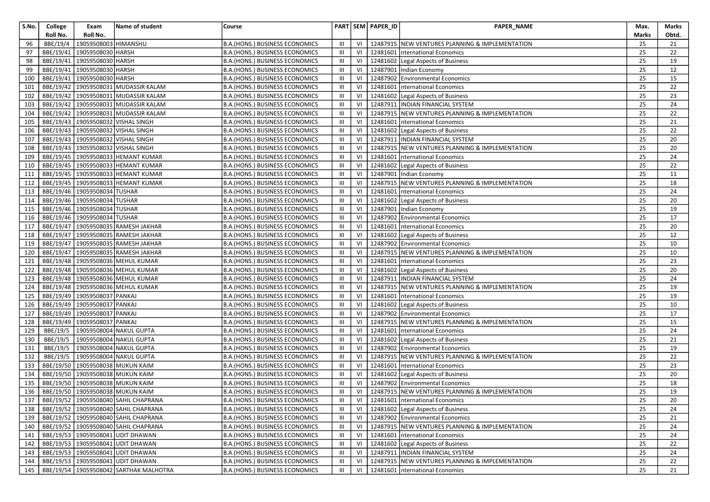| S.No. | College   | Exam                             | Name of student                              | Course                                |                |      | PART SEM PAPER_ID | PAPER_NAME                                      | Max.  | Marks           |
|-------|-----------|----------------------------------|----------------------------------------------|---------------------------------------|----------------|------|-------------------|-------------------------------------------------|-------|-----------------|
|       | Roll No.  | Roll No.                         |                                              |                                       |                |      |                   |                                                 | Marks | Obtd.           |
| 96    | BBE/19/4  | 19059508003 HIMANSHU             |                                              | B.A. (HONS.) BUSINESS ECONOMICS       | Ш              | VI   |                   | 12487915 NEW VENTURES PLANNING & IMPLEMENTATION | 25    | 21              |
| 97    | BBE/19/41 | 19059508030 HARSH                |                                              | B.A. (HONS.) BUSINESS ECONOMICS       | $\mathbf{III}$ | VI   |                   | 12481601   nternational Economics               | 25    | 22              |
| 98    | BBE/19/41 | 19059508030 HARSH                |                                              | B.A.(HONS.) BUSINESS ECONOMICS        | $\mathbf{III}$ | VI   |                   | 12481602 Legal Aspects of Business              | 25    | 19              |
| 99    | BBE/19/41 | 19059508030 HARSH                |                                              | <b>B.A.(HONS.) BUSINESS ECONOMICS</b> | $\mathbf{III}$ | VI   |                   | 12487901 Indian Economy                         | 25    | 12              |
| 100   |           | BBE/19/41   19059508030   HARSH  |                                              | B.A.(HONS.) BUSINESS ECONOMICS        | $\mathbf{III}$ | VI   |                   | 12487902 Environmental Economics                | 25    | 15              |
| 101   |           |                                  | BBE/19/42   19059508031 MUDASSIR KALAM       | B.A. (HONS.) BUSINESS ECONOMICS       | $\mathbf{III}$ | VI   | 12481601          | nternational Economics                          | 25    | 22              |
| 102   |           |                                  | BBE/19/42   19059508031 MUDASSIR KALAM       | B.A. (HONS.) BUSINESS ECONOMICS       | $\mathbf{III}$ | VI   |                   | 12481602 Legal Aspects of Business              | 25    | 23              |
| 103   |           |                                  | BBE/19/42   19059508031   MUDASSIR KALAM     | B.A.(HONS.) BUSINESS ECONOMICS        | $\mathbf{III}$ | VI   |                   | 12487911  INDIAN FINANCIAL SYSTEM               | 25    | 24              |
| 104   |           |                                  | BBE/19/42   19059508031   MUDASSIR KALAM     | <b>B.A.(HONS.) BUSINESS ECONOMICS</b> | $\mathbf{III}$ | VI   |                   | 12487915 NEW VENTURES PLANNING & IMPLEMENTATION | 25    | 22              |
| 105   |           |                                  | BBE/19/43   19059508032 VISHAL SINGH         | B.A. (HONS.) BUSINESS ECONOMICS       | $\mathbf{III}$ | VI   |                   | 12481601   nternational Economics               | 25    | 21              |
| 106   |           |                                  | BBE/19/43   19059508032 VISHAL SINGH         | B.A. (HONS.) BUSINESS ECONOMICS       | $\mathbf{III}$ | VI   |                   | 12481602 Legal Aspects of Business              | 25    | 22              |
| 107   |           |                                  | BBE/19/43   19059508032 VISHAL SINGH         | B.A.(HONS.) BUSINESS ECONOMICS        | $\mathbf{III}$ | VI   |                   | 12487911 INDIAN FINANCIAL SYSTEM                | 25    | 20              |
| 108   |           |                                  | BBE/19/43   19059508032 VISHAL SINGH         | B.A. (HONS.) BUSINESS ECONOMICS       | $\mathbf{III}$ | VI   |                   | 12487915 NEW VENTURES PLANNING & IMPLEMENTATION | 25    | 20              |
| 109   |           |                                  | BBE/19/45   19059508033   HEMANT KUMAR       | B.A.(HONS.) BUSINESS ECONOMICS        | $\mathbf{III}$ | VI   |                   | 12481601   nternational Economics               | 25    | 24              |
| 110   |           |                                  | BBE/19/45   19059508033   HEMANT KUMAR       | B.A.(HONS.) BUSINESS ECONOMICS        | $\mathbf{III}$ | VI   |                   | 12481602 Legal Aspects of Business              | 25    | 22              |
| 111   |           |                                  | BBE/19/45   19059508033   HEMANT KUMAR       | B.A.(HONS.) BUSINESS ECONOMICS        | $\mathbf{III}$ | VI   |                   | 12487901 Indian Economy                         | 25    | 11              |
| 112   |           |                                  | BBE/19/45   19059508033   HEMANT KUMAR       | B.A.(HONS.) BUSINESS ECONOMICS        | $\mathbf{III}$ | VI   |                   | 12487915 NEW VENTURES PLANNING & IMPLEMENTATION | 25    | 18              |
| 113   |           | BBE/19/46 19059508034 TUSHAR     |                                              | B.A.(HONS.) BUSINESS ECONOMICS        | $\mathbf{III}$ | VI   |                   | 12481601   nternational Economics               | 25    | 24              |
| 114   |           | BBE/19/46 19059508034 TUSHAR     |                                              | B.A.(HONS.) BUSINESS ECONOMICS        | Ш              | VI   |                   | 12481602 Legal Aspects of Business              | 25    | 20              |
| 115   |           | BBE/19/46 19059508034 TUSHAR     |                                              | B.A. (HONS.) BUSINESS ECONOMICS       | $\mathbf{III}$ | VI   |                   | 12487901 Indian Economy                         | 25    | 19              |
| 116   |           | BBE/19/46 19059508034 TUSHAR     |                                              | B.A.(HONS.) BUSINESS ECONOMICS        | $\mathbf{III}$ | VI   |                   | 12487902 Environmental Economics                | 25    | 17              |
| 117   |           |                                  | BBE/19/47   19059508035   RAMESH JAKHAR      | B.A.(HONS.) BUSINESS ECONOMICS        | $\mathbf{III}$ | VI   |                   | 12481601   nternational Economics               | 25    | 20              |
| 118   |           |                                  | BBE/19/47   19059508035 RAMESH JAKHAR        | <b>B.A.(HONS.) BUSINESS ECONOMICS</b> | $\mathbf{III}$ | VI   |                   | 12481602 Legal Aspects of Business              | 25    | 12              |
| 119   |           |                                  | BBE/19/47   19059508035   RAMESH JAKHAR      | B.A.(HONS.) BUSINESS ECONOMICS        | $\mathbf{III}$ | VI   |                   | 12487902 Environmental Economics                | 25    | 10              |
| 120   |           |                                  | BBE/19/47   19059508035   RAMESH JAKHAR      | B.A.(HONS.) BUSINESS ECONOMICS        | Ш              | VI   |                   | 12487915 NEW VENTURES PLANNING & IMPLEMENTATION | 25    | 10              |
| 121   |           |                                  | BBE/19/48   19059508036   MEHUL KUMAR        | B.A.(HONS.) BUSINESS ECONOMICS        | $\mathbf{III}$ | VI   |                   | 12481601   nternational Economics               | 25    | 23              |
| 122   |           |                                  | BBE/19/48   19059508036 MEHUL KUMAR          | B.A. (HONS.) BUSINESS ECONOMICS       | $\mathbf{III}$ | VI   |                   | 12481602 Legal Aspects of Business              | 25    | 20              |
| 123   |           |                                  | BBE/19/48   19059508036   MEHUL KUMAR        | B.A.(HONS.) BUSINESS ECONOMICS        | $\mathbf{III}$ | VI   |                   | 12487911  INDIAN FINANCIAL SYSTEM               | 25    | 24              |
| 124   |           |                                  | BBE/19/48   19059508036   MEHUL KUMAR        | B.A.(HONS.) BUSINESS ECONOMICS        | $\mathbf{III}$ | VI   |                   | 12487915 NEW VENTURES PLANNING & IMPLEMENTATION | 25    | 19              |
| 125   |           | BBE/19/49 19059508037 PANKAJ     |                                              | <b>B.A.(HONS.) BUSINESS ECONOMICS</b> | $\mathbf{III}$ | VI   |                   | 12481601 International Economics                | 25    | 19              |
| 126   |           | BBE/19/49   19059508037   PANKAJ |                                              | B.A. (HONS.) BUSINESS ECONOMICS       | $\mathbf{III}$ | VI   |                   | 12481602 Legal Aspects of Business              | 25    | 10              |
| 127   |           | BBE/19/49 19059508037 PANKAJ     |                                              | B.A.(HONS.) BUSINESS ECONOMICS        | Ш              | VI   |                   | 12487902 Environmental Economics                | 25    | 17              |
| 128   |           | BBE/19/49   19059508037   PANKAJ |                                              | B.A. (HONS.) BUSINESS ECONOMICS       | $\mathbf{III}$ | VI   |                   | 12487915 NEW VENTURES PLANNING & IMPLEMENTATION | 25    | 15              |
| 129   | BBE/19/5  |                                  | 19059508004 NAKUL GUPTA                      | B.A.(HONS.) BUSINESS ECONOMICS        | $\mathbf{III}$ | VI   |                   | 12481601   nternational Economics               | 25    | 24              |
| 130   | BBE/19/5  |                                  | 19059508004 NAKUL GUPTA                      | B.A.(HONS.) BUSINESS ECONOMICS        | $\mathbf{III}$ | VI   |                   | 12481602 Legal Aspects of Business              | 25    | 21              |
| 131   | BBE/19/5  |                                  | 19059508004 NAKUL GUPTA                      | B.A.(HONS.) BUSINESS ECONOMICS        | $\mathbf{III}$ | VI   |                   | 12487902 Environmental Economics                | 25    | 19              |
| 132   | BBE/19/5  |                                  | 19059508004 NAKUL GUPTA                      | B.A.(HONS.) BUSINESS ECONOMICS        | $\mathbf{III}$ | VI   | 12487915          | NEW VENTURES PLANNING & IMPLEMENTATION          | 25    | 22              |
| 133   |           |                                  | BBE/19/50   19059508038 MUKUN KAIM           | B.A.(HONS.) BUSINESS ECONOMICS        | $\mathbf{III}$ | VI   | 12481601          | nternational Economics                          | 25    | 23              |
| 134   |           |                                  | BBE/19/50   19059508038 MUKUN KAIM           | B.A.(HONS.) BUSINESS ECONOMICS        | III            | VI   |                   | 12481602 Legal Aspects of Business              | 25    | 20              |
| 135   |           |                                  | BBE/19/50   19059508038 MUKUN KAIM           | <b>B.A.(HONS.) BUSINESS ECONOMICS</b> | III            | VI   |                   | 12487902 Environmental Economics                | 25    | 18              |
| 136   |           |                                  | BBE/19/50 19059508038 MUKUN KAIM             | <b>B.A.(HONS.) BUSINESS ECONOMICS</b> | $\mathbf{III}$ | VI   |                   | 12487915 NEW VENTURES PLANNING & IMPLEMENTATION | 25    | 19              |
|       |           |                                  | 137   BBE/19/52   19059508040 SAHIL CHAPRANA | <b>B.A.(HONS.) BUSINESS ECONOMICS</b> | III            |      |                   | VI 12481601   nternational Economics            | 25    | $\overline{20}$ |
| 138   |           |                                  | BBE/19/52 19059508040 SAHIL CHAPRANA         | B.A.(HONS.) BUSINESS ECONOMICS        | III            | VI I |                   | 12481602 Legal Aspects of Business              | 25    | 24              |
| 139   |           |                                  | BBE/19/52   19059508040   SAHIL CHAPRANA     | B.A.(HONS.) BUSINESS ECONOMICS        | $\mathbf{III}$ | VI   |                   | 12487902 Environmental Economics                | 25    | 21              |
| 140   |           |                                  | BBE/19/52   19059508040   SAHIL CHAPRANA     | B.A.(HONS.) BUSINESS ECONOMICS        | Ш              | VI   |                   | 12487915 NEW VENTURES PLANNING & IMPLEMENTATION | 25    | 24              |
| 141   |           |                                  | BBE/19/53 19059508041 UDIT DHAWAN            | B.A.(HONS.) BUSINESS ECONOMICS        | III            | VI   |                   | 12481601   nternational Economics               | 25    | 24              |
| 142   |           |                                  | BBE/19/53   19059508041 UDIT DHAWAN          | B.A.(HONS.) BUSINESS ECONOMICS        | $\mathbf{III}$ | VI   |                   | 12481602 Legal Aspects of Business              | 25    | 22              |
| 143   |           |                                  | BBE/19/53   19059508041 UDIT DHAWAN          | B.A.(HONS.) BUSINESS ECONOMICS        | Ш              | VI   |                   | 12487911 INDIAN FINANCIAL SYSTEM                | 25    | 24              |
| 144   |           |                                  | BBE/19/53 19059508041 UDIT DHAWAN            | B.A.(HONS.) BUSINESS ECONOMICS        | $\mathbf{III}$ | VI   |                   | 12487915 NEW VENTURES PLANNING & IMPLEMENTATION | 25    | 22              |
| 145   |           |                                  | BBE/19/54   19059508042 SARTHAK MALHOTRA     | <b>B.A.(HONS.) BUSINESS ECONOMICS</b> | $\mathbf{III}$ | VI   |                   | 12481601   nternational Economics               | 25    | 21              |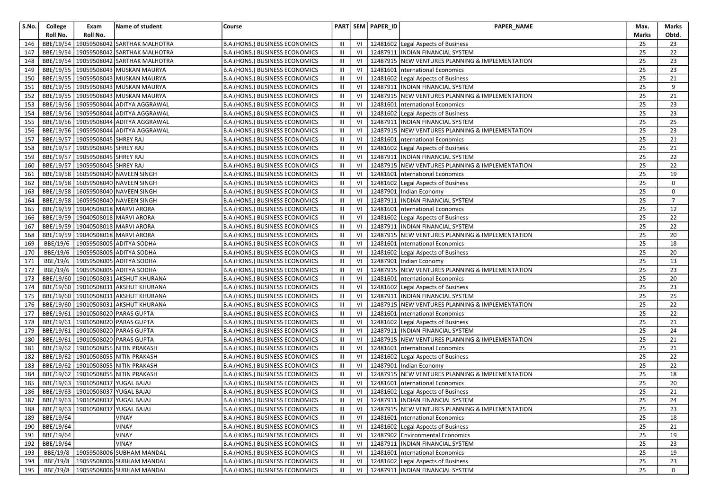| S.No. | College   | Exam                                      | Name of student                          | Course                                |                |    | PART SEM PAPER_ID | PAPER_NAME                                           | Max.  | Marks          |
|-------|-----------|-------------------------------------------|------------------------------------------|---------------------------------------|----------------|----|-------------------|------------------------------------------------------|-------|----------------|
|       | Roll No.  | Roll No.                                  |                                          |                                       |                |    |                   |                                                      | Marks | Obtd.          |
| 146   |           |                                           | BBE/19/54   19059508042 SARTHAK MALHOTRA | B.A.(HONS.) BUSINESS ECONOMICS        | Ш              | VI |                   | 12481602 Legal Aspects of Business                   | 25    | 23             |
| 147   | BBE/19/54 |                                           | 19059508042 SARTHAK MALHOTRA             | B.A.(HONS.) BUSINESS ECONOMICS        | Ш              | VI |                   | 12487911   INDIAN FINANCIAL SYSTEM                   | 25    | 22             |
| 148   | BBE/19/54 |                                           | 19059508042 SARTHAK MALHOTRA             | B.A.(HONS.) BUSINESS ECONOMICS        | $\mathbf{III}$ | VI |                   | 12487915 NEW VENTURES PLANNING & IMPLEMENTATION      | 25    | 23             |
| 149   |           |                                           | BBE/19/55   19059508043 MUSKAN MAURYA    | B.A.(HONS.) BUSINESS ECONOMICS        | III            | VI |                   | 12481601   nternational Economics                    | 25    | 23             |
| 150   |           |                                           | BBE/19/55   19059508043 MUSKAN MAURYA    | B.A.(HONS.) BUSINESS ECONOMICS        | Ш              | VI |                   | 12481602 Legal Aspects of Business                   | 25    | 21             |
| 151   |           |                                           | BBE/19/55   19059508043   MUSKAN MAURYA  | B.A.(HONS.) BUSINESS ECONOMICS        | Ш              | VI |                   | 12487911   INDIAN FINANCIAL SYSTEM                   | 25    | 9              |
| 152   |           |                                           | BBE/19/55   19059508043 MUSKAN MAURYA    | B.A. (HONS.) BUSINESS ECONOMICS       | Ш              | VI |                   | 12487915 NEW VENTURES PLANNING & IMPLEMENTATION      | 25    | 21             |
| 153   |           |                                           | BBE/19/56 19059508044 ADITYA AGGRAWAL    | B.A.(HONS.) BUSINESS ECONOMICS        | Ш              | VI |                   | 12481601   nternational Economics                    | 25    | 23             |
| 154   |           |                                           | BBE/19/56   19059508044 ADITYA AGGRAWAL  | <b>B.A.(HONS.) BUSINESS ECONOMICS</b> | Ш              | VI |                   | 12481602 Legal Aspects of Business                   | 25    | 23             |
| 155   |           |                                           | BBE/19/56 19059508044 ADITYA AGGRAWAL    | B.A.(HONS.) BUSINESS ECONOMICS        | $\mathbf{III}$ | VI |                   | 12487911   INDIAN FINANCIAL SYSTEM                   | 25    | 25             |
| 156   |           |                                           | BBE/19/56   19059508044 ADITYA AGGRAWAL  | B.A.(HONS.) BUSINESS ECONOMICS        | Ш              | VI |                   | 12487915 NEW VENTURES PLANNING & IMPLEMENTATION      | 25    | 23             |
| 157   |           | BBE/19/57   19059508045 SHREY RAJ         |                                          | B.A.(HONS.) BUSINESS ECONOMICS        | $\mathbf{III}$ | VI |                   | 12481601   nternational Economics                    | 25    | 21             |
| 158   |           | BBE/19/57 19059508045 SHREY RAJ           |                                          | B.A.(HONS.) BUSINESS ECONOMICS        | Ш              | VI |                   | 12481602 Legal Aspects of Business                   | 25    | 21             |
| 159   |           | BBE/19/57   19059508045 SHREY RAJ         |                                          | B.A.(HONS.) BUSINESS ECONOMICS        | Ш              | VI |                   | 12487911   INDIAN FINANCIAL SYSTEM                   | 25    | 22             |
| 160   |           | BBE/19/57   19059508045 SHREY RAJ         |                                          | B.A.(HONS.) BUSINESS ECONOMICS        | Ш              | VI |                   | 12487915 NEW VENTURES PLANNING & IMPLEMENTATION      | 25    | 22             |
| 161   |           |                                           | BBE/19/58 16059508040 NAVEEN SINGH       | B.A.(HONS.) BUSINESS ECONOMICS        | Ш              | VI |                   | 12481601   nternational Economics                    | 25    | 19             |
| 162   |           |                                           | BBE/19/58   16059508040 NAVEEN SINGH     | B.A.(HONS.) BUSINESS ECONOMICS        | Ш              | VI |                   | 12481602 Legal Aspects of Business                   | 25    | 0              |
| 163   |           |                                           | BBE/19/58 16059508040 NAVEEN SINGH       | B.A.(HONS.) BUSINESS ECONOMICS        | Ш              | VI |                   | 12487901 Indian Economy                              | 25    | 0              |
| 164   |           |                                           | BBE/19/58 16059508040 NAVEEN SINGH       | <b>B.A.(HONS.) BUSINESS ECONOMICS</b> | $\mathbf{III}$ | VI |                   | 12487911  INDIAN FINANCIAL SYSTEM                    | 25    | $\overline{7}$ |
| 165   |           |                                           | BBE/19/59 19040508018 MARVI ARORA        | B.A.(HONS.) BUSINESS ECONOMICS        | Ш              | VI |                   | 12481601   nternational Economics                    | 25    | 12             |
| 166   |           |                                           | BBE/19/59 19040508018 MARVI ARORA        | B.A.(HONS.) BUSINESS ECONOMICS        | Ш              | VI |                   | 12481602 Legal Aspects of Business                   | 25    | 22             |
| 167   |           |                                           | BBE/19/59   19040508018   MARVI ARORA    | B.A.(HONS.) BUSINESS ECONOMICS        | Ш              | VI |                   | 12487911  INDIAN FINANCIAL SYSTEM                    | 25    | 22             |
| 168   |           |                                           | BBE/19/59   19040508018   MARVI ARORA    | <b>B.A.(HONS.) BUSINESS ECONOMICS</b> | Ш              | VI |                   | 12487915 NEW VENTURES PLANNING & IMPLEMENTATION      | 25    | 20             |
| 169   | BBE/19/6  |                                           | 19059508005 ADITYA SODHA                 | B.A.(HONS.) BUSINESS ECONOMICS        | Ш              | VI |                   | 12481601   nternational Economics                    | 25    | 18             |
| 170   | BBE/19/6  |                                           | 19059508005 ADITYA SODHA                 | B.A.(HONS.) BUSINESS ECONOMICS        | Ш              | VI |                   | 12481602 Legal Aspects of Business                   | 25    | 20             |
| 171   | BBE/19/6  |                                           | 19059508005 ADITYA SODHA                 | B.A.(HONS.) BUSINESS ECONOMICS        | $\mathbf{III}$ | VI |                   | 12487901 Indian Economy                              | 25    | 13             |
| 172   |           |                                           | BBE/19/6   19059508005 ADITYA SODHA      | B.A.(HONS.) BUSINESS ECONOMICS        | Ш              | VI |                   | 12487915 NEW VENTURES PLANNING & IMPLEMENTATION      | 25    | 23             |
| 173   |           |                                           | BBE/19/60   19010508031 AKSHUT KHURANA   | B.A.(HONS.) BUSINESS ECONOMICS        | Ш              | VI |                   | 12481601   nternational Economics                    | 25    | 20             |
| 174   |           |                                           | BBE/19/60   19010508031 AKSHUT KHURANA   | B.A.(HONS.) BUSINESS ECONOMICS        | Ш              | VI |                   | 12481602 Legal Aspects of Business                   | 25    | 23             |
| 175   |           | BBE/19/60 19010508031                     | <b>AKSHUT KHURANA</b>                    | B.A.(HONS.) BUSINESS ECONOMICS        | $\mathbf{III}$ | VI |                   | 12487911  INDIAN FINANCIAL SYSTEM                    | 25    | 25             |
| 176   |           |                                           | BBE/19/60   19010508031 AKSHUT KHURANA   | B.A.(HONS.) BUSINESS ECONOMICS        | Ш              | VI |                   | 12487915 NEW VENTURES PLANNING & IMPLEMENTATION      | 25    | 22             |
| 177   |           |                                           | BBE/19/61   19010508020   PARAS GUPTA    | B.A.(HONS.) BUSINESS ECONOMICS        | Ш              | VI |                   | 12481601   nternational Economics                    | 25    | 22             |
| 178   |           |                                           | BBE/19/61   19010508020 PARAS GUPTA      | B.A.(HONS.) BUSINESS ECONOMICS        | Ш              | VI |                   | 12481602 Legal Aspects of Business                   | 25    | 21             |
| 179   |           |                                           | BBE/19/61 19010508020 PARAS GUPTA        | B.A.(HONS.) BUSINESS ECONOMICS        | Ш              | VI |                   | 12487911  INDIAN FINANCIAL SYSTEM                    | 25    | 24             |
| 180   |           |                                           | BBE/19/61   19010508020   PARAS GUPTA    | B.A.(HONS.) BUSINESS ECONOMICS        | Ш              | VI |                   | 12487915 NEW VENTURES PLANNING & IMPLEMENTATION      | 25    | 21             |
| 181   |           |                                           | BBE/19/62   19010508055 NITIN PRAKASH    | B.A. (HONS.) BUSINESS ECONOMICS       | Ш              | VI |                   | 12481601   nternational Economics                    | 25    | 21             |
| 182   | BBE/19/62 |                                           | 19010508055 NITIN PRAKASH                | B.A.(HONS.) BUSINESS ECONOMICS        | Ш              | VI |                   | 12481602 Legal Aspects of Business                   | 25    | 22             |
| 183   |           |                                           | BBE/19/62   19010508055 NITIN PRAKASH    | B.A.(HONS.) BUSINESS ECONOMICS        | Ш              | VI |                   | 12487901 Indian Economy                              | 25    | 22             |
| 184   |           |                                           | BBE/19/62   19010508055 NITIN PRAKASH    | B.A.(HONS.) BUSINESS ECONOMICS        | Ш              | VI |                   | 12487915 NEW VENTURES PLANNING & IMPLEMENTATION      | 25    | 18             |
| 185   |           | BBE/19/63   19010508037   YUGAL BAJAJ     |                                          | B.A.(HONS.) BUSINESS ECONOMICS        | $\mathbf{III}$ | VI |                   | 12481601   nternational Economics                    | 25    | 20             |
| 186   |           | BBE/19/63 19010508037 YUGAL BAJAJ         |                                          | <b>B.A.(HONS.) BUSINESS ECONOMICS</b> | $\mathbf{III}$ | VI |                   | 12481602 Legal Aspects of Business                   | 25    | 21             |
|       |           | 187   BBE/19/63   19010508037 YUGAL BAJAJ |                                          | <b>B.A.(HONS.) BUSINESS ECONOMICS</b> | $\mathbf{m}$   |    |                   | VI 12487911 INDIAN FINANCIAL SYSTEM                  | 25    | 24             |
| 188   |           | BBE/19/63   19010508037   YUGAL BAJAJ     |                                          | B.A.(HONS.) BUSINESS ECONOMICS        | III            |    |                   | VI   12487915 NEW VENTURES PLANNING & IMPLEMENTATION | 25    | 23             |
| 189   | BBE/19/64 |                                           | VINAY                                    | <b>B.A.(HONS.) BUSINESS ECONOMICS</b> | Ш              | VI |                   | 12481601   nternational Economics                    | 25    | 18             |
| 190   | BBE/19/64 |                                           | VINAY                                    | B.A.(HONS.) BUSINESS ECONOMICS        | Ш              | VI |                   | 12481602 Legal Aspects of Business                   | 25    | 21             |
| 191   | BBE/19/64 |                                           | VINAY                                    | B.A.(HONS.) BUSINESS ECONOMICS        | Ш              | VI |                   | 12487902 Environmental Economics                     | 25    | 19             |
| 192   | BBE/19/64 |                                           | VINAY                                    | B.A.(HONS.) BUSINESS ECONOMICS        | Ш              | VI |                   | 12487911 INDIAN FINANCIAL SYSTEM                     | 25    | 23             |
| 193   | BBE/19/8  |                                           | 19059508006 SUBHAM MANDAL                | B.A.(HONS.) BUSINESS ECONOMICS        | III            |    |                   | VI   12481601   International Economics              | 25    | 19             |
| 194   | BBE/19/8  |                                           | 19059508006 SUBHAM MANDAL                | B.A.(HONS.) BUSINESS ECONOMICS        | Ш              | VI |                   | 12481602 Legal Aspects of Business                   | 25    | 23             |
| 195   |           |                                           | BBE/19/8 19059508006 SUBHAM MANDAL       | B.A. (HONS.) BUSINESS ECONOMICS       | $\mathbf{III}$ |    |                   | VI   12487911  INDIAN FINANCIAL SYSTEM               | 25    | 0              |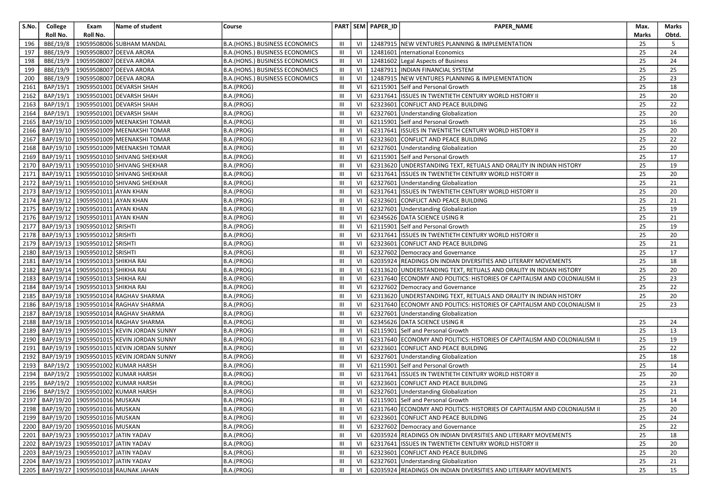| S.No. | College   | Exam                                       | Name of student                              | Course                                |                |    | PART SEM PAPER_ID | PAPER_NAME                                                                | Max.  | Marks |
|-------|-----------|--------------------------------------------|----------------------------------------------|---------------------------------------|----------------|----|-------------------|---------------------------------------------------------------------------|-------|-------|
|       | Roll No.  | Roll No.                                   |                                              |                                       |                |    |                   |                                                                           | Marks | Obtd. |
| 196   | BBE/19/8  |                                            | 19059508006 SUBHAM MANDAL                    | <b>B.A.(HONS.) BUSINESS ECONOMICS</b> | Ш              | VI |                   | 12487915 NEW VENTURES PLANNING & IMPLEMENTATION                           | 25    | 5     |
| 197   | BBE/19/9  |                                            | 19059508007 DEEVA ARORA                      | <b>B.A.(HONS.) BUSINESS ECONOMICS</b> | Ш              | VI | 12481601          | International Economics                                                   | 25    | 24    |
| 198   | BBE/19/9  |                                            | 19059508007 DEEVA ARORA                      | <b>B.A.(HONS.) BUSINESS ECONOMICS</b> | Ш              | VI |                   | 12481602 Legal Aspects of Business                                        | 25    | 24    |
| 199   | BBE/19/9  |                                            | 19059508007 DEEVA ARORA                      | B.A.(HONS.) BUSINESS ECONOMICS        | Ш              | VI |                   | 12487911  INDIAN FINANCIAL SYSTEM                                         | 25    | 25    |
| 200   | BBE/19/9  |                                            | 19059508007 DEEVA ARORA                      | B.A.(HONS.) BUSINESS ECONOMICS        | Ш              | VI |                   | 12487915 NEW VENTURES PLANNING & IMPLEMENTATION                           | 25    | 23    |
| 2161  | BAP/19/1  |                                            | 19059501001 DEVARSH SHAH                     | B.A.(PROG)                            | Ш              | VI |                   | 62115901 Self and Personal Growth                                         | 25    | 18    |
| 2162  | BAP/19/1  |                                            | 19059501001 DEVARSH SHAH                     | B.A.(PROG)                            | Ш              | VI | 62317641          | ISSUES IN TWENTIETH CENTURY WORLD HISTORY II                              | 25    | 20    |
| 2163  | BAP/19/1  |                                            | 19059501001 DEVARSH SHAH                     | B.A.(PROG)                            | Ш              | VI | 62323601          | CONFLICT AND PEACE BUILDING                                               | 25    | 22    |
| 2164  | BAP/19/1  |                                            | 19059501001 DEVARSH SHAH                     | B.A.(PROG)                            | Ш              | VI | 62327601          | Understanding Globalization                                               | 25    | 20    |
| 2165  |           |                                            | BAP/19/10 19059501009 MEENAKSHI TOMAR        | B.A.(PROG)                            | Ш              | VI |                   | 62115901 Self and Personal Growth                                         | 25    | 16    |
| 2166  |           |                                            | BAP/19/10 19059501009 MEENAKSHI TOMAR        | B.A.(PROG)                            | Ш              | VI |                   | 62317641 ISSUES IN TWENTIETH CENTURY WORLD HISTORY II                     | 25    | 20    |
| 2167  |           |                                            | BAP/19/10   19059501009   MEENAKSHI TOMAR    | B.A.(PROG)                            | Ш              | VI | 62323601          | CONFLICT AND PEACE BUILDING                                               | 25    | 22    |
| 2168  |           |                                            | BAP/19/10   19059501009   MEENAKSHI TOMAR    | B.A.(PROG)                            | Ш              | VI |                   | 62327601 Understanding Globalization                                      | 25    | 20    |
| 2169  |           |                                            | BAP/19/11   19059501010 SHIVANG SHEKHAR      | B.A.(PROG)                            | Ш              | VI |                   | 62115901 Self and Personal Growth                                         | 25    | 17    |
| 2170  |           |                                            | BAP/19/11   19059501010 SHIVANG SHEKHAR      | B.A.(PROG)                            | Ш              | VI |                   | 62313620 UNDERSTANDING TEXT, RETUALS AND ORALITY IN INDIAN HISTORY        | 25    | 19    |
| 2171  |           |                                            | BAP/19/11   19059501010 SHIVANG SHEKHAR      | B.A.(PROG)                            | Ш              | VI |                   | 62317641 ISSUES IN TWENTIETH CENTURY WORLD HISTORY II                     | 25    | 20    |
| 2172  |           |                                            | BAP/19/11   19059501010 SHIVANG SHEKHAR      | B.A.(PROG)                            | $\mathbf{III}$ | VI |                   | 62327601 Understanding Globalization                                      | 25    | 21    |
| 2173  |           | BAP/19/12   19059501011 AYAN KHAN          |                                              | B.A.(PROG)                            | Ш              | VI |                   | 62317641 ISSUES IN TWENTIETH CENTURY WORLD HISTORY II                     | 25    | 20    |
| 2174  | BAP/19/12 | 19059501011 AYAN KHAN                      |                                              | B.A.(PROG)                            | III            | VI | 62323601          | CONFLICT AND PEACE BUILDING                                               | 25    | 21    |
| 2175  |           | BAP/19/12   19059501011 AYAN KHAN          |                                              | B.A.(PROG)                            | Ш              | VI |                   | 62327601 Understanding Globalization                                      | 25    | 19    |
| 2176  |           | BAP/19/12 19059501011 AYAN KHAN            |                                              | B.A.(PROG)                            | Ш              | VI |                   | 62345626 DATA SCIENCE USING R                                             | 25    | 21    |
| 2177  |           | BAP/19/13 19059501012 SRISHTI              |                                              | B.A.(PROG)                            | Ш              | VI | 62115901          | Self and Personal Growth                                                  | 25    | 19    |
| 2178  |           | BAP/19/13 19059501012 SRISHTI              |                                              | B.A.(PROG)                            | Ш              | VI | 62317641          | ISSUES IN TWENTIETH CENTURY WORLD HISTORY II                              | 25    | 20    |
| 2179  |           | BAP/19/13 19059501012 SRISHTI              |                                              | B.A.(PROG)                            | Ш              | VI |                   | 62323601 CONFLICT AND PEACE BUILDING                                      | 25    | 21    |
| 2180  |           | BAP/19/13 19059501012 SRISHTI              |                                              | B.A.(PROG)                            | Ш              | VI |                   | 62327602 Democracy and Governance                                         | 25    | 17    |
| 2181  | BAP/19/14 | 19059501013 SHIKHA RAI                     |                                              | B.A.(PROG)                            | Ш              | VI |                   | 62035924 READINGS ON INDIAN DIVERSITIES AND LITERARY MOVEMENTS            | 25    | 18    |
| 2182  |           | BAP/19/14   19059501013 SHIKHA RAI         |                                              | B.A.(PROG)                            | Ш              | VI |                   | 62313620 UNDERSTANDING TEXT, RETUALS AND ORALITY IN INDIAN HISTORY        | 25    | 20    |
| 2183  |           | BAP/19/14 19059501013 SHIKHA RAI           |                                              | B.A.(PROG)                            | Ш              | VI |                   | 62317640 ECONOMY AND POLITICS: HISTORIES OF CAPITALISM AND COLONIALISM II | 25    | 23    |
| 2184  |           | BAP/19/14 19059501013 SHIKHA RAI           |                                              | B.A.(PROG)                            | Ш              | VI |                   | 62327602 Democracy and Governance                                         | 25    | 22    |
| 2185  |           |                                            | BAP/19/18 19059501014 RAGHAV SHARMA          | B.A.(PROG)                            | Ш              | VI |                   | 62313620 UNDERSTANDING TEXT, RETUALS AND ORALITY IN INDIAN HISTORY        | 25    | 20    |
| 2186  |           |                                            | BAP/19/18   19059501014 RAGHAV SHARMA        | B.A.(PROG)                            | Ш              | VI |                   | 62317640 ECONOMY AND POLITICS: HISTORIES OF CAPITALISM AND COLONIALISM II | 25    | 23    |
| 2187  |           |                                            | BAP/19/18   19059501014 RAGHAV SHARMA        | B.A.(PROG)                            | Ш              | VI |                   | 62327601 Understanding Globalization                                      |       |       |
| 2188  |           |                                            | BAP/19/18 19059501014 RAGHAV SHARMA          | B.A.(PROG)                            | Ш              | VI |                   | 62345626 DATA SCIENCE USING R                                             | 25    | 24    |
| 2189  |           |                                            | BAP/19/19   19059501015   KEVIN JORDAN SUNNY | B.A.(PROG)                            | Ш              | VI | 62115901          | Self and Personal Growth                                                  | 25    | 13    |
| 2190  |           |                                            | BAP/19/19   19059501015 KEVIN JORDAN SUNNY   | B.A.(PROG)                            | III            | VI |                   | 62317640 ECONOMY AND POLITICS: HISTORIES OF CAPITALISM AND COLONIALISM II | 25    | 19    |
| 2191  |           |                                            | BAP/19/19   19059501015 KEVIN JORDAN SUNNY   | B.A.(PROG)                            | Ш              | VI | 62323601          | CONFLICT AND PEACE BUILDING                                               | 25    | 22    |
| 2192  |           |                                            | BAP/19/19   19059501015 KEVIN JORDAN SUNNY   | B.A.(PROG)                            | Ш              | VI | 62327601          | Understanding Globalization                                               | 25    | 18    |
| 2193  | BAP/19/2  |                                            | 19059501002 KUMAR HARSH                      | B.A.(PROG)                            | Ш              | VI | 62115901          | Self and Personal Growth                                                  | 25    | 14    |
| 2194  |           |                                            | BAP/19/2   19059501002 KUMAR HARSH           | B.A.(PROG)                            | Ш              | VI |                   | 62317641 ISSUES IN TWENTIETH CENTURY WORLD HISTORY II                     | 25    | 20    |
| 2195  |           |                                            | BAP/19/2 19059501002 KUMAR HARSH             | B.A.(PROG)                            | $\mathsf{III}$ | VI |                   | 62323601 CONFLICT AND PEACE BUILDING                                      | 25    | 23    |
| 2196  |           |                                            | BAP/19/2 19059501002 KUMAR HARSH             | B.A.(PROG)                            | Ш              | VI |                   | 62327601 Understanding Globalization                                      | 25    | 21    |
|       |           | 2197 BAP/19/20 19059501016 MUSKAN          |                                              | B.A.(PROG)                            | III            |    |                   | VI   62115901 Self and Personal Growth                                    | 25    | 14    |
|       |           | 2198   BAP/19/20   19059501016 MUSKAN      |                                              | B.A.(PROG)                            | Ш              | VI |                   | 62317640 ECONOMY AND POLITICS: HISTORIES OF CAPITALISM AND COLONIALISM II | 25    | 20    |
|       |           | 2199   BAP/19/20   19059501016 MUSKAN      |                                              | B.A.(PROG)                            | $\mathbf{III}$ | VI |                   | 62323601 CONFLICT AND PEACE BUILDING                                      | 25    | 24    |
|       |           | 2200   BAP/19/20   19059501016 MUSKAN      |                                              | B.A.(PROG)                            | Ш              | VI |                   | 62327602 Democracy and Governance                                         | 25    | 22    |
|       |           | 2201   BAP/19/23   19059501017 JATIN YADAV |                                              | B.A.(PROG)                            | Ш              | VI |                   | 62035924 READINGS ON INDIAN DIVERSITIES AND LITERARY MOVEMENTS            | 25    | 18    |
|       |           | 2202   BAP/19/23   19059501017 JATIN YADAV |                                              | B.A.(PROG)                            | Ш              | VI |                   | 62317641 ISSUES IN TWENTIETH CENTURY WORLD HISTORY II                     | 25    | 20    |
|       |           | 2203   BAP/19/23   19059501017 JATIN YADAV |                                              | B.A.(PROG)                            | Ш              | VI |                   | 62323601 CONFLICT AND PEACE BUILDING                                      | 25    | 20    |
|       |           | 2204   BAP/19/23   19059501017 JATIN YADAV |                                              | B.A.(PROG)                            | Ш              | VI |                   | 62327601 Understanding Globalization                                      | 25    | 21    |
|       |           |                                            | 2205   BAP/19/27   19059501018 RAUNAK JAHAN  | B.A.(PROG)                            | Ш              | VI |                   | 62035924 READINGS ON INDIAN DIVERSITIES AND LITERARY MOVEMENTS            | 25    | 15    |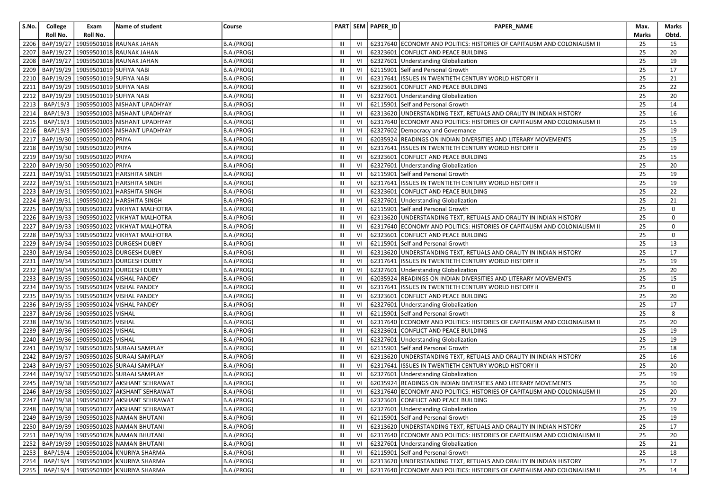| S.No. | College   | Exam                                | Name of student                                   | Course     |                |     | PART SEM PAPER_ID | PAPER_NAME                                                                | Max.         | Marks           |
|-------|-----------|-------------------------------------|---------------------------------------------------|------------|----------------|-----|-------------------|---------------------------------------------------------------------------|--------------|-----------------|
|       | Roll No.  | Roll No.                            |                                                   |            |                |     |                   |                                                                           | <b>Marks</b> | Obtd.           |
| 2206  | BAP/19/27 |                                     | 19059501018 RAUNAK JAHAN                          | B.A.(PROG) | III            | VI  |                   | 62317640 ECONOMY AND POLITICS: HISTORIES OF CAPITALISM AND COLONIALISM II | 25           | 15              |
| 2207  | BAP/19/27 |                                     | 19059501018 RAUNAK JAHAN                          | B.A.(PROG) | $\mathbf{III}$ | VI  |                   | 62323601 CONFLICT AND PEACE BUILDING                                      | 25           | 20              |
| 2208  | BAP/19/27 |                                     | 19059501018 RAUNAK JAHAN                          | B.A.(PROG) | Ш              | VI  |                   | 62327601 Understanding Globalization                                      | 25           | 19              |
| 2209  |           | BAP/19/29 19059501019 SUFIYA NABI   |                                                   | B.A.(PROG) | Ш              | VI  |                   | 62115901 Self and Personal Growth                                         | 25           | 17              |
| 2210  |           | BAP/19/29 19059501019 SUFIYA NABI   |                                                   | B.A.(PROG) | Ш              | VI  |                   | 62317641 ISSUES IN TWENTIETH CENTURY WORLD HISTORY II                     | 25           | 21              |
| 2211  |           | BAP/19/29 19059501019 SUFIYA NABI   |                                                   | B.A.(PROG) | Ш              | VI  |                   | 62323601 CONFLICT AND PEACE BUILDING                                      | 25           | 22              |
| 2212  |           | BAP/19/29   19059501019 SUFIYA NABI |                                                   | B.A.(PROG) | III            | VI  |                   | 62327601 Understanding Globalization                                      | 25           | 20              |
| 2213  | BAP/19/3  |                                     | 19059501003 NISHANT UPADHYAY                      | B.A.(PROG) | III            | VI  |                   | 62115901 Self and Personal Growth                                         | 25           | 14              |
| 2214  | BAP/19/3  |                                     | 19059501003 NISHANT UPADHYAY                      | B.A.(PROG) | III            | VI  |                   | 62313620 UNDERSTANDING TEXT, RETUALS AND ORALITY IN INDIAN HISTORY        | 25           | 16              |
| 2215  | BAP/19/3  |                                     | 19059501003 NISHANT UPADHYAY                      | B.A.(PROG) | III            | VI  |                   | 62317640 ECONOMY AND POLITICS: HISTORIES OF CAPITALISM AND COLONIALISM II | 25           | 15              |
| 2216  | BAP/19/3  |                                     | 19059501003 NISHANT UPADHYAY                      | B.A.(PROG) | $\mathbf{III}$ | VI  |                   | 62327602 Democracy and Governance                                         | 25           | 19              |
| 2217  |           | BAP/19/30 19059501020 PRIYA         |                                                   | B.A.(PROG) | Ш              | VI  |                   | 62035924 READINGS ON INDIAN DIVERSITIES AND LITERARY MOVEMENTS            | 25           | 15              |
| 2218  |           | BAP/19/30 19059501020 PRIYA         |                                                   | B.A.(PROG) | Ш              | VI  |                   | 62317641 ISSUES IN TWENTIETH CENTURY WORLD HISTORY II                     | 25           | 19              |
| 2219  |           | BAP/19/30 19059501020 PRIYA         |                                                   | B.A.(PROG) | III            | VI  |                   | 62323601 CONFLICT AND PEACE BUILDING                                      | 25           | 15              |
| 2220  |           | BAP/19/30 19059501020 PRIYA         |                                                   | B.A.(PROG) | Ш              | VI  |                   | 62327601 Understanding Globalization                                      | 25           | 20              |
| 2221  |           |                                     | BAP/19/31   19059501021   HARSHITA SINGH          | B.A.(PROG) | III            | VI  |                   | 62115901 Self and Personal Growth                                         | 25           | 19              |
| 2222  |           |                                     | BAP/19/31 19059501021 HARSHITA SINGH              | B.A.(PROG) | III            | VI  |                   | 62317641 ISSUES IN TWENTIETH CENTURY WORLD HISTORY II                     | 25           | 19              |
| 2223  |           |                                     | BAP/19/31 19059501021 HARSHITA SINGH              | B.A.(PROG) | III            | VI  |                   | 62323601 CONFLICT AND PEACE BUILDING                                      | 25           | 22              |
| 2224  | BAP/19/31 |                                     | 19059501021 HARSHITA SINGH                        | B.A.(PROG) | III            | VI  |                   | 62327601 Understanding Globalization                                      | 25           | 21              |
| 2225  |           |                                     | BAP/19/33   19059501022 VIKHYAT MALHOTRA          | B.A.(PROG) | Ш              | VI  |                   | 62115901 Self and Personal Growth                                         | 25           | 0               |
| 2226  |           |                                     | BAP/19/33   19059501022 VIKHYAT MALHOTRA          | B.A.(PROG) | Ш              | VI  |                   | 62313620 UNDERSTANDING TEXT, RETUALS AND ORALITY IN INDIAN HISTORY        | 25           | 0               |
| 2227  |           |                                     | BAP/19/33 19059501022 VIKHYAT MALHOTRA            | B.A.(PROG) | III            | VI  |                   | 62317640 ECONOMY AND POLITICS: HISTORIES OF CAPITALISM AND COLONIALISM II | 25           | $\mathbf 0$     |
| 2228  |           |                                     | BAP/19/33   19059501022 VIKHYAT MALHOTRA          | B.A.(PROG) | $\mathbf{III}$ | VI  |                   | 62323601 CONFLICT AND PEACE BUILDING                                      | 25           | $\mathbf 0$     |
| 2229  |           |                                     | BAP/19/34   19059501023 DURGESH DUBEY             | B.A.(PROG) | III            | VI  |                   | 62115901 Self and Personal Growth                                         | 25           | 13              |
| 2230  |           |                                     | BAP/19/34   19059501023 DURGESH DUBEY             | B.A.(PROG) | $\mathbf{III}$ | VI  |                   | 62313620 UNDERSTANDING TEXT, RETUALS AND ORALITY IN INDIAN HISTORY        | 25           | 17              |
| 2231  | BAP/19/34 |                                     | 19059501023 DURGESH DUBEY                         | B.A.(PROG) | III            | VI  |                   | 62317641 ISSUES IN TWENTIETH CENTURY WORLD HISTORY II                     | 25           | 19              |
| 2232  |           |                                     | BAP/19/34   19059501023 DURGESH DUBEY             | B.A.(PROG) | $\mathbf{III}$ | VI  |                   | 62327601 Understanding Globalization                                      | 25           | 20              |
| 2233  |           |                                     | BAP/19/35   19059501024 VISHAL PANDEY             | B.A.(PROG) | $\mathbf{III}$ | VI  |                   | 62035924 READINGS ON INDIAN DIVERSITIES AND LITERARY MOVEMENTS            | 25           | 15              |
| 2234  |           |                                     | BAP/19/35   19059501024 VISHAL PANDEY             | B.A.(PROG) | III            | VI  |                   | 62317641 ISSUES IN TWENTIETH CENTURY WORLD HISTORY II                     | 25           | $\mathbf 0$     |
| 2235  |           |                                     | BAP/19/35 19059501024 VISHAL PANDEY               | B.A.(PROG) | Ш              | VI  |                   | 62323601 CONFLICT AND PEACE BUILDING                                      | 25           | 20              |
| 2236  |           |                                     | BAP/19/35   19059501024   VISHAL PANDEY           | B.A.(PROG) | III            | VI  |                   | 62327601 Understanding Globalization                                      | 25           | 17              |
| 2237  |           | BAP/19/36 19059501025 VISHAL        |                                                   | B.A.(PROG) | Ш              | VI  |                   | 62115901 Self and Personal Growth                                         | 25           | 8               |
| 2238  |           | BAP/19/36 19059501025 VISHAL        |                                                   | B.A.(PROG) | III            | VI  |                   | 62317640 ECONOMY AND POLITICS: HISTORIES OF CAPITALISM AND COLONIALISM II | 25           | 20              |
| 2239  |           | BAP/19/36 19059501025 VISHAL        |                                                   | B.A.(PROG) | Ш              | VI  |                   | 62323601 CONFLICT AND PEACE BUILDING                                      | 25           | 19              |
| 2240  |           | BAP/19/36 19059501025 VISHAL        |                                                   | B.A.(PROG) | III            | VI  |                   | 62327601 Understanding Globalization                                      | 25           | 19              |
| 2241  |           |                                     | BAP/19/37   19059501026 SURAAJ SAMPLAY            | B.A.(PROG) | III            | VI  |                   | 62115901 Self and Personal Growth                                         | 25           | 18              |
| 2242  | BAP/19/37 |                                     | 19059501026 SURAAJ SAMPLAY                        | B.A.(PROG) | $\mathbf{III}$ | VI  |                   | 62313620 UNDERSTANDING TEXT, RETUALS AND ORALITY IN INDIAN HISTORY        | 25           | 16              |
| 2243  |           |                                     | BAP/19/37   19059501026 SURAAJ SAMPLAY            | B.A.(PROG) | $\mathbf{III}$ | VI  |                   | 62317641 ISSUES IN TWENTIETH CENTURY WORLD HISTORY II                     | 25           | 20              |
| 2244  |           |                                     | BAP/19/37 19059501026 SURAAJ SAMPLAY              | B.A.(PROG) | Ш              | VI  |                   | 62327601 Understanding Globalization                                      | 25           | 19              |
| 2245  |           |                                     | BAP/19/38   19059501027 AKSHANT SEHRAWAT          | B.A.(PROG) | Ш              | VI  |                   | 62035924 READINGS ON INDIAN DIVERSITIES AND LITERARY MOVEMENTS            | 25           | 10              |
|       |           |                                     | 2246   BAP/19/38   19059501027 AKSHANT SEHRAWAT   | B.A.(PROG) | Ш              | VI  |                   | 62317640 ECONOMY AND POLITICS: HISTORIES OF CAPITALISM AND COLONIALISM II | 25           | 20              |
|       |           |                                     | 2247   BAP/19/38   19059501027   AKSHANT SEHRAWAT | B.A.(PROG) | $\rm III$ .    |     |                   | VI 62323601 CONFLICT AND PEACE BUILDING                                   | 25           | $\overline{22}$ |
|       |           |                                     | 2248   BAP/19/38   19059501027 AKSHANT SEHRAWAT   | B.A.(PROG) | Ш              | VI  |                   | 62327601 Understanding Globalization                                      | 25           | 19              |
|       |           |                                     | 2249   BAP/19/39   19059501028 NAMAN BHUTANI      | B.A.(PROG) | Ш              | VI  |                   | 62115901 Self and Personal Growth                                         | 25           | 19              |
|       |           |                                     | 2250   BAP/19/39   19059501028 NAMAN BHUTANI      | B.A.(PROG) | Ш              | VI  |                   | 62313620 UNDERSTANDING TEXT, RETUALS AND ORALITY IN INDIAN HISTORY        | 25           | 17              |
|       |           |                                     | 2251   BAP/19/39   19059501028 NAMAN BHUTANI      | B.A.(PROG) | Ш              | VI  |                   | 62317640 ECONOMY AND POLITICS: HISTORIES OF CAPITALISM AND COLONIALISM II | 25           | 20              |
| 2252  |           |                                     | BAP/19/39 19059501028 NAMAN BHUTANI               | B.A.(PROG) | Ш              | VI  |                   | 62327601 Understanding Globalization                                      | 25           | 21              |
|       |           |                                     | 2253   BAP/19/4   19059501004 KNURIYA SHARMA      | B.A.(PROG) | Ш              | VI  |                   | 62115901 Self and Personal Growth                                         | 25           | 18              |
|       |           |                                     | 2254   BAP/19/4   19059501004 KNURIYA SHARMA      | B.A.(PROG) | Ш              | -VI |                   | 62313620 UNDERSTANDING TEXT, RETUALS AND ORALITY IN INDIAN HISTORY        | 25           | 17              |
|       |           |                                     | 2255   BAP/19/4   19059501004 KNURIYA SHARMA      | B.A.(PROG) | $\mathbf{III}$ | VI  |                   | 62317640 ECONOMY AND POLITICS: HISTORIES OF CAPITALISM AND COLONIALISM II | 25           | 14              |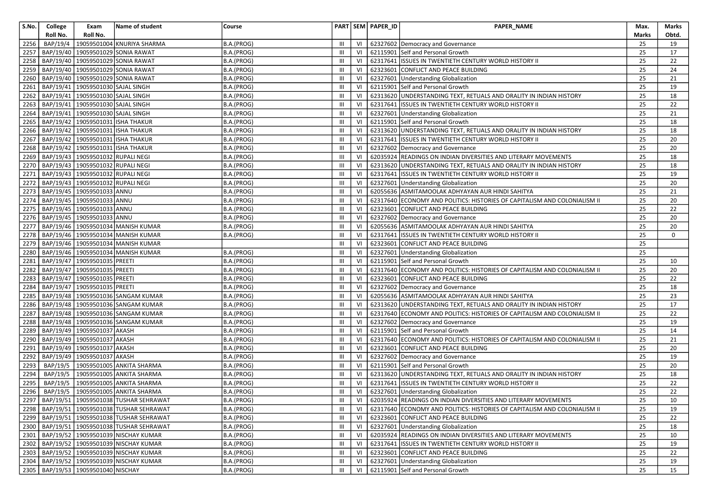| S.No. | College   | Exam                                   | Name of student                                  | Course     |                |    | PART SEM PAPER_ID | PAPER_NAME                                                                | Max.         | Marks |
|-------|-----------|----------------------------------------|--------------------------------------------------|------------|----------------|----|-------------------|---------------------------------------------------------------------------|--------------|-------|
|       | Roll No.  | Roll No.                               |                                                  |            |                |    |                   |                                                                           | <b>Marks</b> | Obtd. |
| 2256  | BAP/19/4  |                                        | 19059501004 KNURIYA SHARMA                       | B.A.(PROG) | Ш              | VI |                   | 62327602 Democracy and Governance                                         | 25           | 19    |
| 2257  | BAP/19/40 |                                        | 19059501029 SONIA RAWAT                          | B.A.(PROG) | $\mathbf{III}$ | VI |                   | 62115901 Self and Personal Growth                                         | 25           | 17    |
| 2258  |           |                                        | BAP/19/40 19059501029 SONIA RAWAT                | B.A.(PROG) | Ш              | VI |                   | 62317641 ISSUES IN TWENTIETH CENTURY WORLD HISTORY II                     | 25           | 22    |
| 2259  |           |                                        | BAP/19/40 19059501029 SONIA RAWAT                | B.A.(PROG) | III            | VI |                   | 62323601 CONFLICT AND PEACE BUILDING                                      | 25           | 24    |
| 2260  |           |                                        | BAP/19/40   19059501029 SONIA RAWAT              | B.A.(PROG) | Ш              | VI |                   | 62327601 Understanding Globalization                                      | 25           | 21    |
| 2261  |           | BAP/19/41   19059501030 SAJAL SINGH    |                                                  | B.A.(PROG) | III            | VI |                   | 62115901 Self and Personal Growth                                         | 25           | 19    |
| 2262  | BAP/19/41 | 19059501030 SAJAL SINGH                |                                                  | B.A.(PROG) | III            | VI |                   | 62313620 UNDERSTANDING TEXT, RETUALS AND ORALITY IN INDIAN HISTORY        | 25           | 18    |
| 2263  | BAP/19/41 | 19059501030 SAJAL SINGH                |                                                  | B.A.(PROG) | $\mathbf{III}$ | VI |                   | 62317641 ISSUES IN TWENTIETH CENTURY WORLD HISTORY II                     | 25           | 22    |
| 2264  |           | BAP/19/41   19059501030 SAJAL SINGH    |                                                  | B.A.(PROG) | III            | VI |                   | 62327601 Understanding Globalization                                      | 25           | 21    |
| 2265  |           | BAP/19/42 19059501031 ISHA THAKUR      |                                                  | B.A.(PROG) | Ш              | VI |                   | 62115901 Self and Personal Growth                                         | 25           | 18    |
| 2266  |           | BAP/19/42   19059501031   ISHA THAKUR  |                                                  | B.A.(PROG) | Ш              | VI |                   | 62313620 UNDERSTANDING TEXT, RETUALS AND ORALITY IN INDIAN HISTORY        | 25           | 18    |
| 2267  |           | BAP/19/42 19059501031 ISHA THAKUR      |                                                  | B.A.(PROG) | Ш              | VI |                   | 62317641 ISSUES IN TWENTIETH CENTURY WORLD HISTORY II                     | 25           | 20    |
| 2268  |           | BAP/19/42   19059501031 ISHA THAKUR    |                                                  | B.A.(PROG) | Ш              | VI |                   | 62327602 Democracy and Governance                                         | 25           | 20    |
| 2269  |           | BAP/19/43   19059501032 RUPALI NEGI    |                                                  | B.A.(PROG) | $\mathbf{III}$ | VI |                   | 62035924 READINGS ON INDIAN DIVERSITIES AND LITERARY MOVEMENTS            | 25           | 18    |
| 2270  | BAP/19/43 | 19059501032 RUPALI NEGI                |                                                  | B.A.(PROG) | $\mathbf{III}$ | VI |                   | 62313620 UNDERSTANDING TEXT, RETUALS AND ORALITY IN INDIAN HISTORY        | 25           | 18    |
| 2271  |           | BAP/19/43   19059501032 RUPALI NEGI    |                                                  | B.A.(PROG) | $\mathbf{III}$ | VI |                   | 62317641 ISSUES IN TWENTIETH CENTURY WORLD HISTORY II                     | 25           | 19    |
| 2272  | BAP/19/43 | 19059501032 RUPALI NEGI                |                                                  | B.A.(PROG) | III            | VI |                   | 62327601 Understanding Globalization                                      | 25           | 20    |
| 2273  |           | BAP/19/45   19059501033 ANNU           |                                                  | B.A.(PROG) | Ш              | VI |                   | 62055636 ASMITAMOOLAK ADHYAYAN AUR HINDI SAHITYA                          | 25           | 21    |
| 2274  |           | BAP/19/45 19059501033                  | <b>ANNU</b>                                      | B.A.(PROG) | Ш              | VI |                   | 62317640 ECONOMY AND POLITICS: HISTORIES OF CAPITALISM AND COLONIALISM II | 25           | 20    |
| 2275  |           | BAP/19/45 19059501033                  | <b>ANNU</b>                                      | B.A.(PROG) | Ш              | VI |                   | 62323601 CONFLICT AND PEACE BUILDING                                      | 25           | 22    |
| 2276  |           | BAP/19/45 19059501033 ANNU             |                                                  | B.A.(PROG) | III            | VI |                   | 62327602 Democracy and Governance                                         | 25           | 20    |
| 2277  |           |                                        | BAP/19/46   19059501034 MANISH KUMAR             | B.A.(PROG) | $\mathbf{III}$ | VI |                   | 62055636 ASMITAMOOLAK ADHYAYAN AUR HINDI SAHITYA                          | 25           | 20    |
| 2278  |           |                                        | BAP/19/46 19059501034 MANISH KUMAR               | B.A.(PROG) | $\mathbf{III}$ | VI |                   | 62317641 ISSUES IN TWENTIETH CENTURY WORLD HISTORY II                     | 25           | 0     |
| 2279  | BAP/19/46 |                                        | 19059501034 MANISH KUMAR                         |            | III            | VI |                   | 62323601 CONFLICT AND PEACE BUILDING                                      | 25           |       |
| 2280  |           |                                        | BAP/19/46   19059501034 MANISH KUMAR             | B.A.(PROG) | $\mathbf{III}$ | VI |                   | 62327601 Understanding Globalization                                      | 25           |       |
| 2281  | BAP/19/47 | 19059501035 PREETI                     |                                                  | B.A.(PROG) | $\mathbf{III}$ | VI |                   | 62115901 Self and Personal Growth                                         | 25           | 10    |
| 2282  |           | BAP/19/47   19059501035   PREETI       |                                                  | B.A.(PROG) | Ш              | VI |                   | 62317640 ECONOMY AND POLITICS: HISTORIES OF CAPITALISM AND COLONIALISM II | 25           | 20    |
| 2283  |           | BAP/19/47   19059501035   PREETI       |                                                  | B.A.(PROG) | Ш              | VI |                   | 62323601 CONFLICT AND PEACE BUILDING                                      | 25           | 22    |
| 2284  |           | BAP/19/47   19059501035   PREETI       |                                                  | B.A.(PROG) | III            | VI |                   | 62327602 Democracy and Governance                                         | 25           | 18    |
| 2285  |           |                                        | BAP/19/48   19059501036 SANGAM KUMAR             | B.A.(PROG) | $\mathbf{III}$ | VI |                   | 62055636 ASMITAMOOLAK ADHYAYAN AUR HINDI SAHITYA                          | 25           | 23    |
| 2286  |           |                                        | BAP/19/48   19059501036 SANGAM KUMAR             | B.A.(PROG) | III            | VI |                   | 62313620 UNDERSTANDING TEXT, RETUALS AND ORALITY IN INDIAN HISTORY        | 25           | 17    |
| 2287  |           |                                        | BAP/19/48   19059501036 SANGAM KUMAR             | B.A.(PROG) | $\mathbf{III}$ | VI |                   | 62317640 ECONOMY AND POLITICS: HISTORIES OF CAPITALISM AND COLONIALISM II | 25           | 22    |
| 2288  | BAP/19/48 |                                        | 19059501036 SANGAM KUMAR                         | B.A.(PROG) | III            | VI |                   | 62327602 Democracy and Governance                                         | 25           | 19    |
| 2289  |           | BAP/19/49   19059501037 AKASH          |                                                  | B.A.(PROG) | Ш              | VI |                   | 62115901 Self and Personal Growth                                         | 25           | 14    |
| 2290  |           | BAP/19/49 19059501037 AKASH            |                                                  | B.A.(PROG) | Ш              | VI |                   | 62317640 ECONOMY AND POLITICS: HISTORIES OF CAPITALISM AND COLONIALISM II | 25           | 21    |
| 2291  |           | BAP/19/49 19059501037                  | <b>AKASH</b>                                     | B.A.(PROG) | III            | VI |                   | 62323601 CONFLICT AND PEACE BUILDING                                      | 25           | 20    |
| 2292  |           | BAP/19/49 19059501037                  | <b>AKASH</b>                                     | B.A.(PROG) | Ш              | VI |                   | 62327602 Democracy and Governance                                         | 25           | 19    |
| 2293  | BAP/19/5  |                                        | 19059501005 ANKITA SHARMA                        | B.A.(PROG) | $\mathbf{III}$ | VI |                   | 62115901 Self and Personal Growth                                         | 25           | 20    |
| 2294  |           |                                        | BAP/19/5   19059501005 ANKITA SHARMA             | B.A.(PROG) | Ш              | VI |                   | 62313620 UNDERSTANDING TEXT, RETUALS AND ORALITY IN INDIAN HISTORY        | 25           | 18    |
| 2295  | BAP/19/5  |                                        | 19059501005 ANKITA SHARMA                        | B.A.(PROG) | Ш              | VI |                   | 62317641 ISSUES IN TWENTIETH CENTURY WORLD HISTORY II                     | 25           | 22    |
| 2296  |           |                                        | BAP/19/5   19059501005 ANKITA SHARMA             | B.A.(PROG) | III            | VI |                   | 62327601 Understanding Globalization                                      | 25           | 22    |
|       |           |                                        | 2297 BAP/19/51 19059501038 TUSHAR SEHRAWAT       | B.A.(PROG) | $\mathbb{H}$   |    |                   | VI   62035924 READINGS ON INDIAN DIVERSITIES AND LITERARY MOVEMENTS       | 25           | 10    |
|       |           |                                        | 2298   BAP/19/51   19059501038 TUSHAR SEHRAWAT   | B.A.(PROG) | $\mathbf{III}$ | VI |                   | 62317640 ECONOMY AND POLITICS: HISTORIES OF CAPITALISM AND COLONIALISM II | 25           | 19    |
|       |           |                                        | 2299   BAP/19/51   19059501038   TUSHAR SEHRAWAT | B.A.(PROG) | Ш              | VI |                   | 62323601 CONFLICT AND PEACE BUILDING                                      | 25           | 22    |
|       |           |                                        | 2300   BAP/19/51   19059501038 TUSHAR SEHRAWAT   | B.A.(PROG) | Ш              | VI |                   | 62327601 Understanding Globalization                                      | 25           | 18    |
|       |           |                                        | 2301   BAP/19/52   19059501039 NISCHAY KUMAR     | B.A.(PROG) | Ш              | VI |                   | 62035924 READINGS ON INDIAN DIVERSITIES AND LITERARY MOVEMENTS            | 25           | 10    |
|       |           |                                        | 2302   BAP/19/52   19059501039 NISCHAY KUMAR     | B.A.(PROG) | Ш              | VI |                   | 62317641 ISSUES IN TWENTIETH CENTURY WORLD HISTORY II                     | 25           | 19    |
|       |           |                                        | 2303   BAP/19/52   19059501039 NISCHAY KUMAR     | B.A.(PROG) | Ш              | VI |                   | 62323601 CONFLICT AND PEACE BUILDING                                      | 25           | 22    |
|       |           |                                        | 2304   BAP/19/52   19059501039 NISCHAY KUMAR     | B.A.(PROG) | Ш              | VI |                   | 62327601 Understanding Globalization                                      | 25           | 19    |
|       |           | 2305   BAP/19/53   19059501040 NISCHAY |                                                  | B.A.(PROG) | Ш              | VI |                   | 62115901 Self and Personal Growth                                         | 25           | 15    |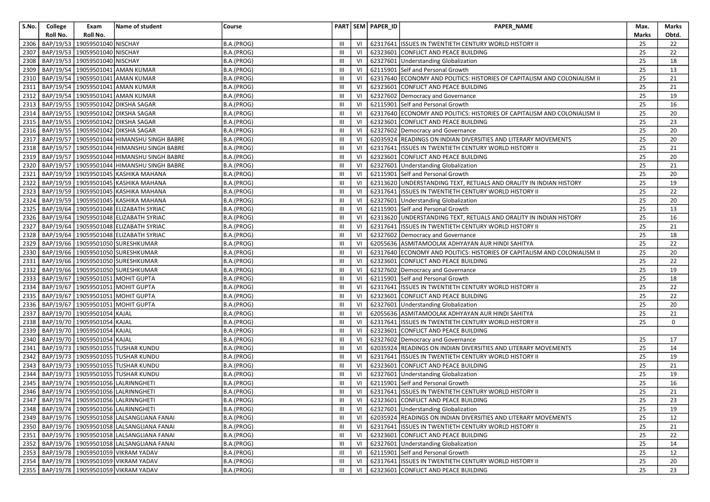| S.No. | College   | Exam                            | Name of student                                   | Course     |                |    | PART SEM PAPER_ID | PAPER_NAME                                                                | Max.  | Marks           |
|-------|-----------|---------------------------------|---------------------------------------------------|------------|----------------|----|-------------------|---------------------------------------------------------------------------|-------|-----------------|
|       | Roll No.  | Roll No.                        |                                                   |            |                |    |                   |                                                                           | Marks | Obtd.           |
| 2306  | BAP/19/53 | 19059501040 NISCHAY             |                                                   | B.A.(PROG) | Ш              | VI |                   | 62317641 ISSUES IN TWENTIETH CENTURY WORLD HISTORY II                     | 25    | 22              |
| 2307  |           | BAP/19/53   19059501040 NISCHAY |                                                   | B.A.(PROG) | III            | VI | 62323601          | CONFLICT AND PEACE BUILDING                                               | 25    | 22              |
| 2308  |           | BAP/19/53 19059501040 NISCHAY   |                                                   | B.A.(PROG) | Ш              | VI |                   | 62327601 Understanding Globalization                                      | 25    | 18              |
| 2309  | BAP/19/54 |                                 | 19059501041 AMAN KUMAR                            | B.A.(PROG) | Ш              | VI | 62115901          | Self and Personal Growth                                                  | 25    | 13              |
| 2310  |           |                                 | BAP/19/54   19059501041 AMAN KUMAR                | B.A.(PROG) | Ш              | VI |                   | 62317640 ECONOMY AND POLITICS: HISTORIES OF CAPITALISM AND COLONIALISM II | 25    | 21              |
| 2311  |           |                                 | BAP/19/54   19059501041 AMAN KUMAR                | B.A.(PROG) | Ш              | VI |                   | 62323601 CONFLICT AND PEACE BUILDING                                      | 25    | 21              |
| 2312  |           |                                 | BAP/19/54   19059501041 AMAN KUMAR                | B.A.(PROG) | Ш              | VI |                   | 62327602 Democracy and Governance                                         | 25    | 19              |
| 2313  |           |                                 | BAP/19/55   19059501042 DIKSHA SAGAR              | B.A.(PROG) | Ш              | VI |                   | 62115901 Self and Personal Growth                                         | 25    | 16              |
| 2314  |           |                                 | BAP/19/55   19059501042 DIKSHA SAGAR              | B.A.(PROG) | Ш              | VI |                   | 62317640 ECONOMY AND POLITICS: HISTORIES OF CAPITALISM AND COLONIALISM II | 25    | 20              |
| 2315  |           |                                 | BAP/19/55   19059501042 DIKSHA SAGAR              | B.A.(PROG) | III            | VI |                   | 62323601 CONFLICT AND PEACE BUILDING                                      | 25    | 23              |
| 2316  |           |                                 | BAP/19/55   19059501042 DIKSHA SAGAR              | B.A.(PROG) | Ш              | VI |                   | 62327602 Democracy and Governance                                         | 25    | 20              |
| 2317  |           |                                 | BAP/19/57   19059501044   HIMANSHU SINGH BABRE    | B.A.(PROG) | Ш              | VI |                   | 62035924 READINGS ON INDIAN DIVERSITIES AND LITERARY MOVEMENTS            | 25    | 20              |
| 2318  |           |                                 | BAP/19/57   19059501044   HIMANSHU SINGH BABRE    | B.A.(PROG) | $\mathbf{III}$ | VI |                   | 62317641 ISSUES IN TWENTIETH CENTURY WORLD HISTORY II                     | 25    | 21              |
| 2319  |           |                                 | BAP/19/57   19059501044   HIMANSHU SINGH BABRE    | B.A.(PROG) | Ш              | VI |                   | 62323601 CONFLICT AND PEACE BUILDING                                      | 25    | 20              |
| 2320  | BAP/19/57 |                                 | 19059501044 HIMANSHU SINGH BABRE                  | B.A.(PROG) | Ш              | VI |                   | 62327601 Understanding Globalization                                      | 25    | 21              |
| 2321  |           |                                 | BAP/19/59   19059501045 KASHIKA MAHANA            | B.A.(PROG) | Ш              | VI | 62115901          | Self and Personal Growth                                                  | 25    | 20              |
| 2322  |           |                                 | BAP/19/59   19059501045 KASHIKA MAHANA            | B.A.(PROG) | $\mathbf{III}$ | VI |                   | 62313620 UNDERSTANDING TEXT, RETUALS AND ORALITY IN INDIAN HISTORY        | 25    | 19              |
| 2323  |           |                                 | BAP/19/59   19059501045 KASHIKA MAHANA            | B.A.(PROG) | Ш              | VI |                   | 62317641 ISSUES IN TWENTIETH CENTURY WORLD HISTORY II                     | 25    | 22              |
| 2324  | BAP/19/59 |                                 | 19059501045 KASHIKA MAHANA                        | B.A.(PROG) | III            | VI |                   | 62327601 Understanding Globalization                                      | 25    | 20              |
| 2325  |           |                                 | BAP/19/64   19059501048 ELIZABATH SYRIAC          | B.A.(PROG) | Ш              | VI |                   | 62115901 Self and Personal Growth                                         | 25    | 13              |
| 2326  |           |                                 | BAP/19/64 19059501048 ELIZABATH SYRIAC            | B.A.(PROG) | Ш              | VI |                   | 62313620 UNDERSTANDING TEXT, RETUALS AND ORALITY IN INDIAN HISTORY        | 25    | 16              |
| 2327  | BAP/19/64 |                                 | 19059501048 ELIZABATH SYRIAC                      | B.A.(PROG) | Ш              | VI |                   | 62317641 ISSUES IN TWENTIETH CENTURY WORLD HISTORY II                     | 25    | 21              |
| 2328  | BAP/19/64 |                                 | 19059501048 ELIZABATH SYRIAC                      | B.A.(PROG) | Ш              | VI |                   | 62327602 Democracy and Governance                                         | 25    | 18              |
| 2329  |           |                                 | BAP/19/66 19059501050 SURESHKUMAR                 | B.A.(PROG) | Ш              | VI |                   | 62055636 ASMITAMOOLAK ADHYAYAN AUR HINDI SAHITYA                          | 25    | 22              |
| 2330  |           |                                 | BAP/19/66 19059501050 SURESHKUMAR                 | B.A.(PROG) | Ш              | VI |                   | 62317640 ECONOMY AND POLITICS: HISTORIES OF CAPITALISM AND COLONIALISM II | 25    | 20              |
| 2331  | BAP/19/66 |                                 | 19059501050 SURESHKUMAR                           | B.A.(PROG) | $\mathbf{III}$ | VI | 62323601          | CONFLICT AND PEACE BUILDING                                               | 25    | 22              |
| 2332  |           |                                 | BAP/19/66 19059501050 SURESHKUMAR                 | B.A.(PROG) | Ш              | VI |                   | 62327602 Democracy and Governance                                         | 25    | 19              |
| 2333  | BAP/19/67 |                                 | 19059501051 MOHIT GUPTA                           | B.A.(PROG) | Ш              | VI |                   | 62115901 Self and Personal Growth                                         | 25    | 18              |
| 2334  |           |                                 | BAP/19/67   19059501051 MOHIT GUPTA               | B.A.(PROG) | Ш              | VI | 62317641          | ISSUES IN TWENTIETH CENTURY WORLD HISTORY II                              | 25    | 22              |
| 2335  | BAP/19/67 |                                 | 19059501051 MOHIT GUPTA                           | B.A.(PROG) | $\mathbf{III}$ | VI | 62323601          | CONFLICT AND PEACE BUILDING                                               | 25    | 22              |
| 2336  |           |                                 | BAP/19/67 19059501051 MOHIT GUPTA                 | B.A.(PROG) | $\mathbf{III}$ | VI |                   | 62327601 Understanding Globalization                                      | 25    | 20              |
| 2337  |           | BAP/19/70 19059501054 KAJAL     |                                                   | B.A.(PROG) | Ш              | VI |                   | 62055636 ASMITAMOOLAK ADHYAYAN AUR HINDI SAHITYA                          | 25    | 21              |
| 2338  |           | BAP/19/70 19059501054 KAJAL     |                                                   | B.A.(PROG) | Ш              | VI | 62317641          | ISSUES IN TWENTIETH CENTURY WORLD HISTORY II                              | 25    | $\mathbf 0$     |
| 2339  |           | BAP/19/70 19059501054 KAJAL     |                                                   | B.A.(PROG) | Ш              | VI | 62323601          | CONFLICT AND PEACE BUILDING                                               |       |                 |
| 2340  |           | BAP/19/70   19059501054 KAJAL   |                                                   | B.A.(PROG) | III            | VI |                   | 62327602 Democracy and Governance                                         | 25    | 17              |
| 2341  |           |                                 | BAP/19/73 19059501055 TUSHAR KUNDU                | B.A.(PROG) | Ш              | VI | 62035924          | READINGS ON INDIAN DIVERSITIES AND LITERARY MOVEMENTS                     | 25    | 14              |
| 2342  |           |                                 | BAP/19/73 19059501055 TUSHAR KUNDU                | B.A.(PROG) | $\mathbf{III}$ | VI | 62317641          | ISSUES IN TWENTIETH CENTURY WORLD HISTORY II                              | 25    | 19              |
| 2343  |           |                                 | BAP/19/73   19059501055   TUSHAR KUNDU            | B.A.(PROG) | Ш              | VI | 62323601          | CONFLICT AND PEACE BUILDING                                               | 25    | 21              |
| 2344  |           |                                 | BAP/19/73   19059501055 TUSHAR KUNDU              | B.A.(PROG) | Ш              | VI |                   | 62327601 Understanding Globalization                                      | 25    | 19              |
| 2345  |           |                                 | BAP/19/74 19059501056 LALRINNGHETI                | B.A.(PROG) | $\mathbf{III}$ | VI |                   | 62115901 Self and Personal Growth                                         | 25    | 16              |
| 2346  |           |                                 | BAP/19/74 19059501056 LALRINNGHETI                | B.A.(PROG) | $\mathbf{III}$ | VI |                   | 62317641 ISSUES IN TWENTIETH CENTURY WORLD HISTORY II                     | 25    | 21              |
|       |           |                                 | 2347 BAP/19/74 19059501056 LALRINNGHETI           | B.A.(PROG) | III            |    |                   | VI 62323601 CONFLICT AND PEACE BUILDING                                   | 25    | $\overline{23}$ |
|       |           |                                 | 2348   BAP/19/74   19059501056   LALRINNGHETI     | B.A.(PROG) | Ш              | VI |                   | 62327601 Understanding Globalization                                      | 25    | 19              |
|       |           |                                 | 2349   BAP/19/76   19059501058 LALSANGLIANA FANAI | B.A.(PROG) | Ш              | VI |                   | 62035924 READINGS ON INDIAN DIVERSITIES AND LITERARY MOVEMENTS            | 25    | 12              |
|       |           |                                 | 2350   BAP/19/76   19059501058 LALSANGLIANA FANAI | B.A.(PROG) | Ш              | VI |                   | 62317641 ISSUES IN TWENTIETH CENTURY WORLD HISTORY II                     | 25    | 21              |
|       |           |                                 | 2351   BAP/19/76   19059501058 LALSANGLIANA FANAI | B.A.(PROG) | Ш              | VI |                   | 62323601 CONFLICT AND PEACE BUILDING                                      | 25    | 22              |
|       |           |                                 | 2352   BAP/19/76   19059501058 LALSANGLIANA FANAI | B.A.(PROG) | Ш              | VI |                   | 62327601 Understanding Globalization                                      | 25    | 14              |
|       |           |                                 | 2353   BAP/19/78   19059501059 VIKRAM YADAV       | B.A.(PROG) | Ш              | VI |                   | 62115901 Self and Personal Growth                                         | 25    | 12              |
|       |           |                                 | 2354   BAP/19/78   19059501059   VIKRAM YADAV     | B.A.(PROG) | Ш              | VI |                   | 62317641 ISSUES IN TWENTIETH CENTURY WORLD HISTORY II                     | 25    | 20              |
|       |           |                                 | 2355   BAP/19/78   19059501059 VIKRAM YADAV       | B.A.(PROG) | Ш              | VI |                   | 62323601 CONFLICT AND PEACE BUILDING                                      | 25    | 23              |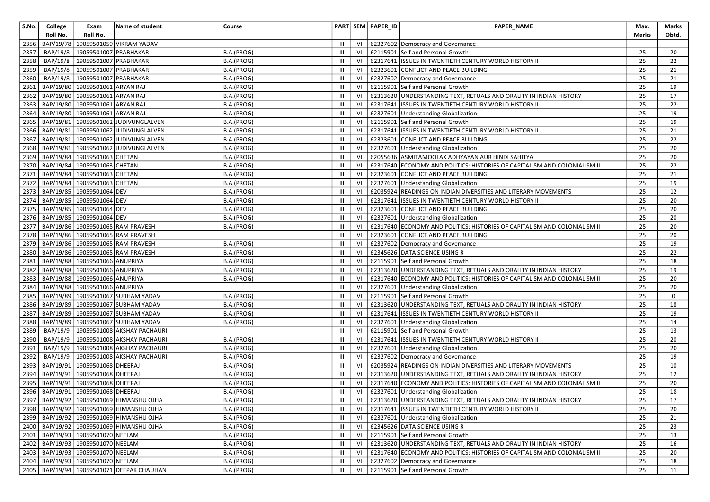| S.No. | College   | Exam                                  | Name of student                                 | Course     |                |    | PART SEM PAPER_ID | PAPER_NAME                                                                | Max.  | Marks       |
|-------|-----------|---------------------------------------|-------------------------------------------------|------------|----------------|----|-------------------|---------------------------------------------------------------------------|-------|-------------|
|       | Roll No.  | Roll No.                              |                                                 |            |                |    |                   |                                                                           | Marks | Obtd.       |
| 2356  | BAP/19/78 |                                       | 19059501059 VIKRAM YADAV                        |            | III            | VI |                   | 62327602 Democracy and Governance                                         |       |             |
| 2357  | BAP/19/8  | 19059501007 PRABHAKAR                 |                                                 | B.A.(PROG) | $\mathbf{III}$ | VI |                   | 62115901 Self and Personal Growth                                         | 25    | 20          |
| 2358  | BAP/19/8  | 19059501007 PRABHAKAR                 |                                                 | B.A.(PROG) | $\mathbf{III}$ | VI |                   | 62317641 ISSUES IN TWENTIETH CENTURY WORLD HISTORY II                     | 25    | 22          |
| 2359  | BAP/19/8  | 19059501007 PRABHAKAR                 |                                                 | B.A.(PROG) | $\mathbf{III}$ | VI |                   | 62323601 CONFLICT AND PEACE BUILDING                                      | 25    | 21          |
| 2360  | BAP/19/8  | 19059501007 PRABHAKAR                 |                                                 | B.A.(PROG) | $\mathbf{III}$ | VI |                   | 62327602 Democracy and Governance                                         | 25    | 21          |
| 2361  |           | BAP/19/80   19059501061 ARYAN RAJ     |                                                 | B.A.(PROG) | $\mathbf{III}$ | VI |                   | 62115901 Self and Personal Growth                                         | 25    | 19          |
| 2362  |           | BAP/19/80 19059501061 ARYAN RAJ       |                                                 | B.A.(PROG) | $\mathbf{III}$ | VI |                   | 62313620 UNDERSTANDING TEXT, RETUALS AND ORALITY IN INDIAN HISTORY        | 25    | 17          |
| 2363  |           | BAP/19/80 19059501061 ARYAN RAJ       |                                                 | B.A.(PROG) | $\mathbf{III}$ | VI |                   | 62317641 ISSUES IN TWENTIETH CENTURY WORLD HISTORY II                     | 25    | 22          |
| 2364  |           | BAP/19/80 19059501061                 | <b>ARYAN RAJ</b>                                | B.A.(PROG) | $\mathbf{III}$ | VI |                   | 62327601 Understanding Globalization                                      | 25    | 19          |
| 2365  | BAP/19/81 |                                       | 19059501062 JUDIVUNGLALVEN                      | B.A.(PROG) | $\mathbf{III}$ | VI |                   | 62115901 Self and Personal Growth                                         | 25    | 19          |
| 2366  | BAP/19/81 |                                       | 19059501062 JUDIVUNGLALVEN                      | B.A.(PROG) | III            | VI |                   | 62317641 ISSUES IN TWENTIETH CENTURY WORLD HISTORY II                     | 25    | 21          |
| 2367  | BAP/19/81 |                                       | 19059501062 JUDIVUNGLALVEN                      | B.A.(PROG) | $\mathbf{III}$ | VI |                   | 62323601 CONFLICT AND PEACE BUILDING                                      | 25    | 22          |
| 2368  | BAP/19/81 |                                       | 19059501062 JUDIVUNGLALVEN                      | B.A.(PROG) | III            | VI |                   | 62327601 Understanding Globalization                                      | 25    | 20          |
| 2369  |           | BAP/19/84 19059501063 CHETAN          |                                                 | B.A.(PROG) | $\mathbf{III}$ | VI |                   | 62055636 ASMITAMOOLAK ADHYAYAN AUR HINDI SAHITYA                          | 25    | 20          |
| 2370  | BAP/19/84 | 19059501063 CHETAN                    |                                                 | B.A.(PROG) | III            | VI |                   | 62317640 ECONOMY AND POLITICS: HISTORIES OF CAPITALISM AND COLONIALISM II | 25    | 22          |
| 2371  |           | BAP/19/84 19059501063 CHETAN          |                                                 | B.A.(PROG) | $\mathbf{III}$ | VI |                   | 62323601 CONFLICT AND PEACE BUILDING                                      | 25    | 21          |
| 2372  | BAP/19/84 | 19059501063 CHETAN                    |                                                 | B.A.(PROG) | Ш              | VI |                   | 62327601 Understanding Globalization                                      | 25    | 19          |
| 2373  |           | BAP/19/85   19059501064 DEV           |                                                 | B.A.(PROG) | III            | VI | 62035924          | <b>READINGS ON INDIAN DIVERSITIES AND LITERARY MOVEMENTS</b>              | 25    | 12          |
| 2374  | BAP/19/85 | 19059501064 DEV                       |                                                 | B.A.(PROG) | III            | VI | 62317641          | ISSUES IN TWENTIETH CENTURY WORLD HISTORY II                              | 25    | 20          |
| 2375  |           | BAP/19/85 19059501064 DEV             |                                                 | B.A.(PROG) | Ш              | VI |                   | 62323601 CONFLICT AND PEACE BUILDING                                      | 25    | 20          |
| 2376  |           | BAP/19/85 19059501064 DEV             |                                                 | B.A.(PROG) | $\mathbf{III}$ | VI |                   | 62327601 Understanding Globalization                                      | 25    | 20          |
| 2377  |           |                                       | BAP/19/86   19059501065 RAM PRAVESH             | B.A.(PROG) | $\mathbf{III}$ | VI |                   | 62317640 ECONOMY AND POLITICS: HISTORIES OF CAPITALISM AND COLONIALISM II | 25    | 20          |
| 2378  |           |                                       | BAP/19/86 19059501065 RAM PRAVESH               |            | $\mathbf{III}$ | VI | 62323601          | CONFLICT AND PEACE BUILDING                                               | 25    | 20          |
| 2379  |           |                                       | BAP/19/86 19059501065 RAM PRAVESH               | B.A.(PROG) | $\mathbf{III}$ | VI |                   | 62327602 Democracy and Governance                                         | 25    | 19          |
| 2380  |           |                                       | BAP/19/86   19059501065 RAM PRAVESH             | B.A.(PROG) | $\mathbf{III}$ | VI |                   | 62345626 DATA SCIENCE USING R                                             | 25    | 22          |
| 2381  | BAP/19/88 | 19059501066 ANUPRIYA                  |                                                 | B.A.(PROG) | $\mathbf{III}$ | VI |                   | 62115901 Self and Personal Growth                                         | 25    | 18          |
| 2382  |           | BAP/19/88 19059501066 ANUPRIYA        |                                                 | B.A.(PROG) | $\mathbf{III}$ | VI |                   | 62313620 UNDERSTANDING TEXT, RETUALS AND ORALITY IN INDIAN HISTORY        | 25    | 19          |
| 2383  | BAP/19/88 | 19059501066 ANUPRIYA                  |                                                 | B.A.(PROG) | III            | VI |                   | 62317640 ECONOMY AND POLITICS: HISTORIES OF CAPITALISM AND COLONIALISM II | 25    | 20          |
| 2384  |           | BAP/19/88   19059501066 ANUPRIYA      |                                                 |            | Ш              | VI |                   | 62327601 Understanding Globalization                                      | 25    | 20          |
| 2385  | BAP/19/89 |                                       | 19059501067 SUBHAM YADAV                        | B.A.(PROG) | $\mathbf{III}$ | VI |                   | 62115901 Self and Personal Growth                                         | 25    | $\mathbf 0$ |
| 2386  |           |                                       | BAP/19/89   19059501067 SUBHAM YADAV            | B.A.(PROG) | Ш              | VI |                   | 62313620 UNDERSTANDING TEXT, RETUALS AND ORALITY IN INDIAN HISTORY        | 25    | 18          |
| 2387  |           |                                       | BAP/19/89 19059501067 SUBHAM YADAV              | B.A.(PROG) | $\mathbf{III}$ | VI |                   | 62317641 ISSUES IN TWENTIETH CENTURY WORLD HISTORY II                     | 25    | 19          |
| 2388  |           |                                       | BAP/19/89   19059501067   SUBHAM YADAV          | B.A.(PROG) | Ш              | VI |                   | 62327601 Understanding Globalization                                      | 25    | 14          |
| 2389  | BAP/19/9  |                                       | 19059501008 AKSHAY PACHAURI                     |            | Ш              | VI |                   | 62115901 Self and Personal Growth                                         | 25    | 13          |
| 2390  | BAP/19/9  |                                       | 19059501008 AKSHAY PACHAURI                     | B.A.(PROG) | $\mathbf{III}$ | VI |                   | 62317641 ISSUES IN TWENTIETH CENTURY WORLD HISTORY II                     | 25    | 20          |
| 2391  | BAP/19/9  |                                       | 19059501008 AKSHAY PACHAURI                     | B.A.(PROG) | Ш              | VI |                   | 62327601 Understanding Globalization                                      | 25    | 20          |
| 2392  | BAP/19/9  |                                       | 19059501008 AKSHAY PACHAURI                     | B.A.(PROG) | $\mathbf{III}$ | VI |                   | 62327602 Democracy and Governance                                         | 25    | 19          |
| 2393  | BAP/19/91 | 19059501068 DHEERAJ                   |                                                 | B.A.(PROG) | Ш              | VI |                   | 62035924 READINGS ON INDIAN DIVERSITIES AND LITERARY MOVEMENTS            | 25    | 10          |
| 2394  |           | BAP/19/91 19059501068 DHEERAJ         |                                                 | B.A.(PROG) | $\mathbf{III}$ | VI |                   | 62313620 UNDERSTANDING TEXT, RETUALS AND ORALITY IN INDIAN HISTORY        | 25    | 12          |
| 2395  |           | BAP/19/91 19059501068 DHEERAJ         |                                                 | B.A.(PROG) | Ш              | VI |                   | 62317640 ECONOMY AND POLITICS: HISTORIES OF CAPITALISM AND COLONIALISM II | 25    | 20          |
| 2396  |           | BAP/19/91 19059501068 DHEERAJ         |                                                 | B.A.(PROG) | Ш              | VI |                   | 62327601 Understanding Globalization                                      | 25    | 18          |
|       |           |                                       | 2397   BAP/19/92   19059501069   HIMANSHU OJHA  | B.A.(PROG) | $\mathbf{III}$ |    |                   | VI 62313620 UNDERSTANDING TEXT, RETUALS AND ORALITY IN INDIAN HISTORY     | 25    | 17          |
|       |           |                                       | 2398   BAP/19/92   19059501069 HIMANSHU OJHA    | B.A.(PROG) | Ш              | VI |                   | 62317641 ISSUES IN TWENTIETH CENTURY WORLD HISTORY II                     | 25    | 20          |
|       |           |                                       | 2399   BAP/19/92   19059501069   HIMANSHU OJHA  | B.A.(PROG) | $\mathbf{III}$ | VI |                   | 62327601 Understanding Globalization                                      | 25    | 21          |
|       |           |                                       | 2400   BAP/19/92   19059501069   HIMANSHU OJHA  | B.A.(PROG) | Ш              | VI |                   | 62345626 DATA SCIENCE USING R                                             | 25    | 23          |
|       |           | 2401   BAP/19/93   19059501070 NEELAM |                                                 | B.A.(PROG) | Ш              | VI |                   | 62115901 Self and Personal Growth                                         | 25    | 13          |
|       |           | 2402   BAP/19/93   19059501070 NEELAM |                                                 | B.A.(PROG) | $\mathbf{III}$ | VI |                   | 62313620 UNDERSTANDING TEXT, RETUALS AND ORALITY IN INDIAN HISTORY        | 25    | 16          |
|       |           | 2403   BAP/19/93   19059501070 NEELAM |                                                 | B.A.(PROG) | $\mathbf{III}$ | VI |                   | 62317640 ECONOMY AND POLITICS: HISTORIES OF CAPITALISM AND COLONIALISM II | 25    | 20          |
|       |           | 2404   BAP/19/93   19059501070 NEELAM |                                                 | B.A.(PROG) | Ш              | VI |                   | 62327602 Democracy and Governance                                         | 25    | 18          |
|       |           |                                       | 2405   BAP/19/94   19059501071   DEEPAK CHAUHAN | B.A.(PROG) | Ш              | VI |                   | 62115901 Self and Personal Growth                                         | 25    | 11          |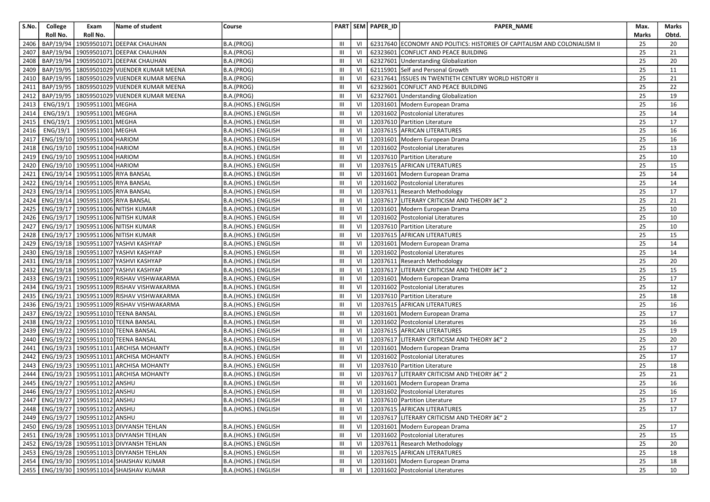| S.No.        | College   | Exam                                   | Name of student                                                                        | Course                                     |                                  |          | PART SEM PAPER_ID | <b>PAPER NAME</b>                                                         | Max.         | Marks           |
|--------------|-----------|----------------------------------------|----------------------------------------------------------------------------------------|--------------------------------------------|----------------------------------|----------|-------------------|---------------------------------------------------------------------------|--------------|-----------------|
|              | Roll No.  | Roll No.                               |                                                                                        |                                            |                                  |          |                   |                                                                           | <b>Marks</b> | Obtd.           |
| 2406         | BAP/19/94 |                                        | 19059501071 DEEPAK CHAUHAN                                                             | B.A.(PROG)                                 | III                              | VI       |                   | 62317640 ECONOMY AND POLITICS: HISTORIES OF CAPITALISM AND COLONIALISM II | 25           | 20              |
| 2407         |           |                                        | BAP/19/94   19059501071 DEEPAK CHAUHAN                                                 | B.A.(PROG)                                 | $\mathbf{III}$                   | VI       |                   | 62323601 CONFLICT AND PEACE BUILDING                                      | 25           | 21              |
| 2408         |           |                                        | BAP/19/94   19059501071 DEEPAK CHAUHAN                                                 | B.A.(PROG)                                 | Ш                                | VI       |                   | 62327601 Understanding Globalization                                      | 25           | 20              |
| 2409         |           |                                        | BAP/19/95   18059501029 VIJENDER KUMAR MEENA                                           | B.A.(PROG)                                 | Ш                                | VI       |                   | 62115901 Self and Personal Growth                                         | 25           | 11              |
| 2410         |           |                                        | BAP/19/95   18059501029 VIJENDER KUMAR MEENA                                           | B.A.(PROG)                                 | III                              | VI       |                   | 62317641 ISSUES IN TWENTIETH CENTURY WORLD HISTORY II                     | 25           | 21              |
| 2411         |           |                                        | BAP/19/95   18059501029 VIJENDER KUMAR MEENA                                           | B.A.(PROG)                                 | Ш                                | VI       |                   | 62323601 CONFLICT AND PEACE BUILDING                                      | 25           | 22              |
| 2412         |           |                                        | BAP/19/95   18059501029 VIJENDER KUMAR MEENA                                           | B.A.(PROG)                                 | $\mathbf{III}$                   | VI       |                   | 62327601 Understanding Globalization                                      | 25           | 19              |
| 2413         | ENG/19/1  | 19059511001 MEGHA                      |                                                                                        | B.A.(HONS.) ENGLISH                        | Ш                                | VI       |                   | 12031601 Modern European Drama                                            | 25           | 16              |
| 2414         | ENG/19/1  | 19059511001                            | <b>MEGHA</b>                                                                           | B.A.(HONS.) ENGLISH                        | Ш                                | VI       | 12031602          | Postcolonial Literatures                                                  | 25           | 14              |
| 2415         |           | ENG/19/1 19059511001                   | MEGHA                                                                                  | B.A.(HONS.) ENGLISH                        | III                              | VI       |                   | 12037610 Partition Literature                                             | 25           | 17              |
| 2416         | ENG/19/1  | 19059511001                            | <b>MEGHA</b>                                                                           | B.A.(HONS.) ENGLISH                        | Ш                                | VI       |                   | 12037615 AFRICAN LITERATURES                                              | 25           | 16              |
| 2417         |           | ENG/19/10 19059511004 HARIOM           |                                                                                        | B.A.(HONS.) ENGLISH                        | III                              | VI       |                   | 12031601 Modern European Drama                                            | 25           | 16              |
| 2418         |           | ENG/19/10 19059511004 HARIOM           |                                                                                        | B.A.(HONS.) ENGLISH                        | Ш                                | VI       |                   | 12031602 Postcolonial Literatures                                         | 25           | 13              |
| 2419         |           | ENG/19/10 19059511004 HARIOM           |                                                                                        | B.A.(HONS.) ENGLISH                        | Ш                                | VI       |                   | 12037610 Partition Literature                                             | 25           | 10              |
| 2420         |           | ENG/19/10 19059511004 HARIOM           |                                                                                        | B.A.(HONS.) ENGLISH                        | Ш                                | VI       |                   | 12037615 AFRICAN LITERATURES                                              | 25           | 15              |
| 2421         |           | ENG/19/14 19059511005 RIYA BANSAL      |                                                                                        | B.A.(HONS.) ENGLISH                        | Ш                                | VI       |                   | 12031601 Modern European Drama                                            | 25           | 14              |
| 2422         |           | ENG/19/14 19059511005 RIYA BANSAL      |                                                                                        | B.A.(HONS.) ENGLISH                        | Ш                                | VI       |                   | 12031602 Postcolonial Literatures                                         | 25           | 14              |
| 2423         |           | ENG/19/14 19059511005 RIYA BANSAL      |                                                                                        | B.A.(HONS.) ENGLISH                        | Ш                                | VI       |                   | 12037611 Research Methodology                                             | 25           | 17              |
| 2424         |           | ENG/19/14 19059511005 RIYA BANSAL      |                                                                                        | B.A.(HONS.) ENGLISH                        | III                              | VI       |                   | 12037617 LITERARY CRITICISM AND THEORY â€" 2                              | 25           | 21              |
| 2425         |           |                                        | ENG/19/17 19059511006 NITISH KUMAR                                                     | B.A.(HONS.) ENGLISH                        | Ш                                | VI       |                   | 12031601 Modern European Drama                                            | 25           | 10              |
| 2426         |           |                                        | ENG/19/17   19059511006 NITISH KUMAR                                                   | B.A.(HONS.) ENGLISH                        | Ш                                | VI       |                   | 12031602 Postcolonial Literatures                                         | 25           | 10              |
| 2427         |           |                                        | ENG/19/17   19059511006 NITISH KUMAR                                                   | B.A.(HONS.) ENGLISH                        | III                              | VI       |                   | 12037610 Partition Literature                                             | 25           | 10              |
| 2428         |           |                                        | ENG/19/17   19059511006 NITISH KUMAR                                                   | B.A.(HONS.) ENGLISH                        | Ш                                | VI       |                   | 12037615 AFRICAN LITERATURES                                              | 25           | 15              |
| 2429         |           |                                        | ENG/19/18 19059511007 YASHVI KASHYAP                                                   | B.A.(HONS.) ENGLISH                        | Ш                                | VI       |                   | 12031601 Modern European Drama                                            | 25           | 14              |
| 2430         |           |                                        | ENG/19/18   19059511007 YASHVI KASHYAP                                                 | B.A.(HONS.) ENGLISH                        | Ш                                | VI       |                   | 12031602 Postcolonial Literatures                                         | 25           | 14              |
| 2431         |           |                                        | ENG/19/18 19059511007 YASHVI KASHYAP                                                   | B.A.(HONS.) ENGLISH                        | $\mathbf{III}$                   | VI       |                   | 12037611 Research Methodology                                             | 25           | 20              |
|              |           |                                        | 2432   ENG/19/18   19059511007 YASHVI KASHYAP                                          | B.A.(HONS.) ENGLISH                        | Ш                                | VI       |                   | 12037617 LITERARY CRITICISM AND THEORY â€" 2                              | 25           | 15              |
| 2433         |           |                                        | ENG/19/21 19059511009 RISHAV VISHWAKARMA                                               | B.A.(HONS.) ENGLISH                        | $\mathbf{III}$                   | VI       |                   | 12031601 Modern European Drama                                            | 25<br>25     | 17              |
| 2434         |           |                                        | ENG/19/21   19059511009 RISHAV VISHWAKARMA<br>ENG/19/21 19059511009 RISHAV VISHWAKARMA | B.A.(HONS.) ENGLISH                        | $\mathbf{III}$                   | VI       |                   | 12031602 Postcolonial Literatures<br>12037610 Partition Literature        |              | 12              |
| 2435         |           |                                        | ENG/19/21   19059511009 RISHAV VISHWAKARMA                                             | B.A.(HONS.) ENGLISH                        | $\mathbf{III}$<br>$\mathbf{III}$ | VI<br>VI |                   | 12037615 AFRICAN LITERATURES                                              | 25<br>25     | 18<br>16        |
| 2436<br>2437 |           |                                        | ENG/19/22 19059511010 TEENA BANSAL                                                     | B.A.(HONS.) ENGLISH                        | Ш                                | VI       |                   | 12031601 Modern European Drama                                            | 25           | 17              |
| 2438         |           |                                        | ENG/19/22   19059511010 TEENA BANSAL                                                   | B.A.(HONS.) ENGLISH<br>B.A.(HONS.) ENGLISH | Ш                                | VI       |                   | 12031602 Postcolonial Literatures                                         | 25           | 16              |
| 2439         |           |                                        | ENG/19/22   19059511010 TEENA BANSAL                                                   | B.A.(HONS.) ENGLISH                        | Ш                                | VI       |                   | 12037615 AFRICAN LITERATURES                                              | 25           | 19              |
| 2440         |           |                                        | ENG/19/22   19059511010 TEENA BANSAL                                                   | B.A.(HONS.) ENGLISH                        | III                              | VI       |                   | 12037617 LITERARY CRITICISM AND THEORY â€" 2                              | 25           | 20              |
| 2441         |           |                                        | ENG/19/23   19059511011 ARCHISA MOHANTY                                                | B.A.(HONS.) ENGLISH                        | Ш                                | VI       |                   | 12031601 Modern European Drama                                            | 25           | 17              |
| 2442         |           |                                        | ENG/19/23 19059511011 ARCHISA MOHANTY                                                  | B.A.(HONS.) ENGLISH                        | III                              | VI       |                   | 12031602 Postcolonial Literatures                                         | 25           | 17              |
| 2443         |           |                                        | ENG/19/23   19059511011 ARCHISA MOHANTY                                                | <b>B.A.(HONS.) ENGLISH</b>                 | Ш                                | VI       |                   | 12037610 Partition Literature                                             | 25           | 18              |
|              |           |                                        | 2444   ENG/19/23   19059511011 ARCHISA MOHANTY                                         | B.A.(HONS.) ENGLISH                        | Ш                                | VI       |                   | 12037617 LITERARY CRITICISM AND THEORY â€" 2                              | 25           | 21              |
| 2445         |           | ENG/19/27 19059511012 ANSHU            |                                                                                        | B.A.(HONS.) ENGLISH                        | $\mathsf{III}$                   | VI       |                   | 12031601 Modern European Drama                                            | 25           | 16              |
|              |           | 2446   ENG/19/27   19059511012 ANSHU   |                                                                                        | B.A.(HONS.) ENGLISH                        | Ш                                | VI       |                   | 12031602 Postcolonial Literatures                                         | 25           | 16              |
|              |           | 2447 ENG/19/27 19059511012 ANSHU       |                                                                                        | B.A.(HONS.) ENGLISH                        | $\mathbb{H}$                     |          |                   | VI   12037610   Partition Literature                                      | 25           | $\overline{17}$ |
|              |           | 2448   ENG/19/27   19059511012   ANSHU |                                                                                        | B.A.(HONS.) ENGLISH                        | Ш                                | VI I     |                   | 12037615 AFRICAN LITERATURES                                              | 25           | 17              |
|              |           | 2449   ENG/19/27   19059511012   ANSHU |                                                                                        |                                            | $\mathbf{III}$                   | VI       |                   | 12037617 LITERARY CRITICISM AND THEORY â€" 2                              |              |                 |
|              |           |                                        | 2450   ENG/19/28   19059511013 DIVYANSH TEHLAN                                         | <b>B.A.(HONS.) ENGLISH</b>                 | Ш                                | VI       |                   | 12031601 Modern European Drama                                            | 25           | 17              |
|              |           |                                        | 2451   ENG/19/28   19059511013 DIVYANSH TEHLAN                                         | B.A.(HONS.) ENGLISH                        | Ш                                | VI       |                   | 12031602 Postcolonial Literatures                                         | 25           | 15              |
|              |           |                                        | 2452   ENG/19/28   19059511013 DIVYANSH TEHLAN                                         | B.A.(HONS.) ENGLISH                        | Ш                                | VI       |                   | 12037611 Research Methodology                                             | 25           | 20              |
|              |           |                                        | 2453   ENG/19/28   19059511013 DIVYANSH TEHLAN                                         | B.A.(HONS.) ENGLISH                        | Ш                                | VI I     |                   | 12037615 AFRICAN LITERATURES                                              | 25           | 18              |
|              |           |                                        | 2454   ENG/19/30   19059511014 SHAISHAV KUMAR                                          | B.A.(HONS.) ENGLISH                        | Ш                                | VI       |                   | 12031601 Modern European Drama                                            | 25           | 18              |
|              |           |                                        | 2455   ENG/19/30   19059511014 SHAISHAV KUMAR                                          | B.A.(HONS.) ENGLISH                        | Ш                                |          |                   | VI   12031602   Postcolonial Literatures                                  | 25           | 10              |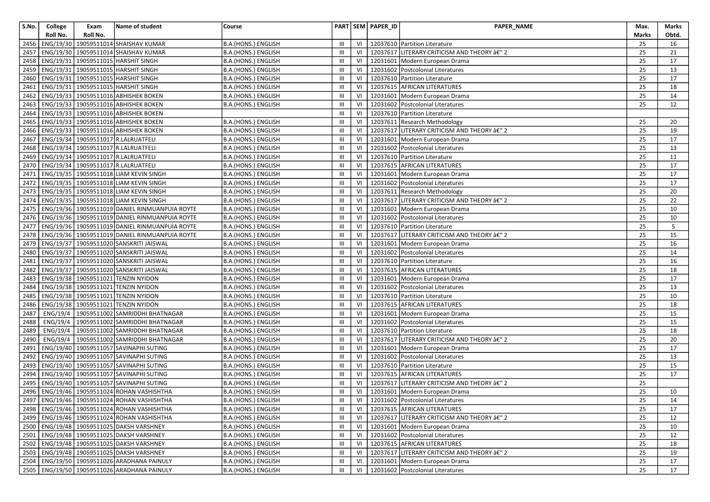| S.No. | College   | Exam     | Name of student                                  | Course                     |                |    | PART SEM PAPER_ID | PAPER_NAME                                   | Max.  | Marks |
|-------|-----------|----------|--------------------------------------------------|----------------------------|----------------|----|-------------------|----------------------------------------------|-------|-------|
|       | Roll No.  | Roll No. |                                                  |                            |                |    |                   |                                              | Marks | Obtd. |
| 2456  | ENG/19/30 |          | 19059511014 SHAISHAV KUMAR                       | B.A.(HONS.) ENGLISH        | Ш              | VI |                   | 12037610 Partition Literature                | 25    | 16    |
| 2457  |           |          | ENG/19/30   19059511014 SHAISHAV KUMAR           | B.A.(HONS.) ENGLISH        | Ш              | VI |                   | 12037617 LITERARY CRITICISM AND THEORY â€" 2 | 25    | 21    |
| 2458  |           |          | ENG/19/31   19059511015   HARSHIT SINGH          | B.A.(HONS.) ENGLISH        | Ш              | VI |                   | 12031601 Modern European Drama               | 25    | 17    |
| 2459  | ENG/19/31 |          | 19059511015 HARSHIT SINGH                        | B.A.(HONS.) ENGLISH        | Ш              | VI |                   | 12031602 Postcolonial Literatures            | 25    | 13    |
| 2460  |           |          | ENG/19/31   19059511015 HARSHIT SINGH            | B.A.(HONS.) ENGLISH        | Ш              | VI |                   | 12037610 Partition Literature                | 25    | 17    |
| 2461  |           |          | ENG/19/31   19059511015   HARSHIT SINGH          | B.A.(HONS.) ENGLISH        | Ш              | VI |                   | 12037615 AFRICAN LITERATURES                 | 25    | 18    |
| 2462  |           |          | ENG/19/33   19059511016 ABHISHEK BOKEN           | B.A.(HONS.) ENGLISH        | Ш              | VI |                   | 12031601 Modern European Drama               | 25    | 14    |
| 2463  |           |          | ENG/19/33   19059511016 ABHISHEK BOKEN           | B.A.(HONS.) ENGLISH        | $\mathbf{III}$ | VI |                   | 12031602 Postcolonial Literatures            | 25    | 12    |
| 2464  |           |          | ENG/19/33 19059511016 ABHISHEK BOKEN             |                            | Ш              | VI |                   | 12037610 Partition Literature                |       |       |
| 2465  |           |          | ENG/19/33 19059511016 ABHISHEK BOKEN             | B.A.(HONS.) ENGLISH        | $\mathbf{III}$ | VI |                   | 12037611 Research Methodology                | 25    | 20    |
| 2466  |           |          | ENG/19/33   19059511016 ABHISHEK BOKEN           | B.A.(HONS.) ENGLISH        | Ш              | VI |                   | 12037617 LITERARY CRITICISM AND THEORY â€" 2 | 25    | 19    |
| 2467  |           |          | ENG/19/34   19059511017   R.LALRUATFELI          | B.A.(HONS.) ENGLISH        | Ш              | VI |                   | 12031601 Modern European Drama               | 25    | 17    |
| 2468  |           |          | ENG/19/34   19059511017 R.LALRUATFELI            | B.A.(HONS.) ENGLISH        | Ш              | VI |                   | 12031602 Postcolonial Literatures            | 25    | 13    |
| 2469  |           |          | ENG/19/34 19059511017 R.LALRUATFELI              | B.A.(HONS.) ENGLISH        | Ш              | VI |                   | 12037610 Partition Literature                | 25    | 11    |
| 2470  |           |          | ENG/19/34   19059511017 R.LALRUATFELI            | B.A.(HONS.) ENGLISH        | $\mathbf{III}$ | VI |                   | 12037615 AFRICAN LITERATURES                 | 25    | 17    |
| 2471  |           |          | ENG/19/35   19059511018 LIAM KEVIN SINGH         | B.A.(HONS.) ENGLISH        | Ш              | VI |                   | 12031601 Modern European Drama               | 25    | 17    |
| 2472  |           |          | ENG/19/35   19059511018 LIAM KEVIN SINGH         | B.A.(HONS.) ENGLISH        | $\mathbf{III}$ | VI |                   | 12031602 Postcolonial Literatures            | 25    | 17    |
| 2473  |           |          | ENG/19/35   19059511018 LIAM KEVIN SINGH         | B.A.(HONS.) ENGLISH        | Ш              | VI |                   | 12037611 Research Methodology                | 25    | 20    |
| 2474  |           |          | ENG/19/35   19059511018 LIAM KEVIN SINGH         | B.A.(HONS.) ENGLISH        | $\mathbf{III}$ | VI | 12037617          | LITERARY CRITICISM AND THEORY â€" 2          | 25    | 22    |
| 2475  |           |          | ENG/19/36   19059511019 DANIEL RINMUANPUIA ROYTE | B.A.(HONS.) ENGLISH        | Ш              | VI |                   | 12031601 Modern European Drama               | 25    | 10    |
| 2476  |           |          | ENG/19/36 19059511019 DANIEL RINMUANPUIA ROYTE   | B.A.(HONS.) ENGLISH        | Ш              | VI |                   | 12031602 Postcolonial Literatures            | 25    | 10    |
| 2477  |           |          | ENG/19/36   19059511019 DANIEL RINMUANPUIA ROYTE | B.A.(HONS.) ENGLISH        | Ш              | VI |                   | 12037610 Partition Literature                | 25    | 5     |
| 2478  |           |          | ENG/19/36 19059511019 DANIEL RINMUANPUIA ROYTE   | <b>B.A.(HONS.) ENGLISH</b> | Ш              | VI |                   | 12037617 LITERARY CRITICISM AND THEORY â€" 2 | 25    | 15    |
| 2479  |           |          | ENG/19/37   19059511020 SANSKRITI JAISWAL        | B.A.(HONS.) ENGLISH        | Ш              | VI |                   | 12031601 Modern European Drama               | 25    | 16    |
| 2480  |           |          | ENG/19/37   19059511020 SANSKRITI JAISWAL        | B.A.(HONS.) ENGLISH        | Ш              | VI |                   | 12031602 Postcolonial Literatures            | 25    | 14    |
| 2481  |           |          | ENG/19/37   19059511020 SANSKRITI JAISWAL        | B.A.(HONS.) ENGLISH        | $\mathbf{III}$ | VI |                   | 12037610 Partition Literature                | 25    | 16    |
| 2482  |           |          | ENG/19/37   19059511020 SANSKRITI JAISWAL        | B.A.(HONS.) ENGLISH        | Ш              | VI |                   | 12037615 AFRICAN LITERATURES                 | 25    | 18    |
| 2483  |           |          | ENG/19/38 19059511021 TENZIN NYIDON              | B.A.(HONS.) ENGLISH        | $\mathbf{III}$ | VI |                   | 12031601 Modern European Drama               | 25    | 17    |
| 2484  |           |          | ENG/19/38 19059511021 TENZIN NYIDON              | B.A.(HONS.) ENGLISH        | Ш              | VI |                   | 12031602   Postcolonial Literatures          | 25    | 13    |
| 2485  |           |          | ENG/19/38 19059511021 TENZIN NYIDON              | B.A.(HONS.) ENGLISH        | $\mathbf{III}$ | VI |                   | 12037610 Partition Literature                | 25    | 10    |
| 2486  |           |          | ENG/19/38   19059511021 TENZIN NYIDON            | B.A.(HONS.) ENGLISH        | Ш              | VI |                   | 12037615 AFRICAN LITERATURES                 | 25    | 18    |
| 2487  |           |          | ENG/19/4   19059511002 SAMRIDDHI BHATNAGAR       | B.A.(HONS.) ENGLISH        | Ш              | VI |                   | 12031601 Modern European Drama               | 25    | 15    |
| 2488  | ENG/19/4  |          | 19059511002 SAMRIDDHI BHATNAGAR                  | B.A.(HONS.) ENGLISH        | Ш              | VI |                   | 12031602 Postcolonial Literatures            | 25    | 15    |
| 2489  |           |          | ENG/19/4   19059511002 SAMRIDDHI BHATNAGAR       | B.A.(HONS.) ENGLISH        | Ш              | VI |                   | 12037610 Partition Literature                | 25    | 18    |
| 2490  | ENG/19/4  |          | 19059511002 SAMRIDDHI BHATNAGAR                  | B.A.(HONS.) ENGLISH        | $\mathbf{III}$ | VI |                   | 12037617 LITERARY CRITICISM AND THEORY â€" 2 | 25    | 20    |
| 2491  |           |          | ENG/19/40   19059511057 SAVINAPHI SUTING         | B.A.(HONS.) ENGLISH        | Ш              | VI | 12031601          | Modern European Drama                        | 25    | 17    |
| 2492  |           |          | ENG/19/40   19059511057 SAVINAPHI SUTING         | B.A.(HONS.) ENGLISH        | $\mathbf{III}$ | VI | 12031602          | Postcolonial Literatures                     | 25    | 13    |
| 2493  |           |          | ENG/19/40 19059511057 SAVINAPHI SUTING           | B.A.(HONS.) ENGLISH        | Ш              | VI |                   | 12037610 Partition Literature                | 25    | 15    |
| 2494  |           |          | ENG/19/40   19059511057 SAVINAPHI SUTING         | B.A.(HONS.) ENGLISH        | Ш              | VI |                   | 12037615 AFRICAN LITERATURES                 | 25    | 17    |
| 2495  |           |          | ENG/19/40   19059511057 SAVINAPHI SUTING         | B.A.(HONS.) ENGLISH        | Ш              | VI |                   | 12037617 LITERARY CRITICISM AND THEORY â€" 2 | 25    |       |
|       |           |          | 2496   ENG/19/46   19059511024 ROHAN VASHISHTHA  | B.A.(HONS.) ENGLISH        | Ш              | VI |                   | 12031601 Modern European Drama               | 25    | 10    |
|       |           |          | 2497 ENG/19/46 19059511024 ROHAN VASHISHTHA      | <b>B.A.(HONS.) ENGLISH</b> | $\mathbf{III}$ |    |                   | VI   12031602   Postcolonial Literatures     | 25    | 14    |
|       |           |          | 2498   ENG/19/46   19059511024 ROHAN VASHISHTHA  | B.A.(HONS.) ENGLISH        | Ш              | VI |                   | 12037615 AFRICAN LITERATURES                 | 25    | 17    |
|       |           |          | 2499   ENG/19/46   19059511024 ROHAN VASHISHTHA  | B.A.(HONS.) ENGLISH        | Ш              | VI |                   | 12037617 LITERARY CRITICISM AND THEORY â€" 2 | 25    | 12    |
|       |           |          | 2500   ENG/19/48   19059511025 DAKSH VARSHNEY    | B.A.(HONS.) ENGLISH        | Ш              | VI |                   | 12031601 Modern European Drama               | 25    | 10    |
|       |           |          | 2501   ENG/19/48   19059511025 DAKSH VARSHNEY    | B.A.(HONS.) ENGLISH        | Ш              | VI |                   | 12031602 Postcolonial Literatures            | 25    | 12    |
|       |           |          | 2502   ENG/19/48   19059511025 DAKSH VARSHNEY    | B.A.(HONS.) ENGLISH        | Ш              | VI |                   | 12037615 AFRICAN LITERATURES                 | 25    | 18    |
|       |           |          | 2503   ENG/19/48   19059511025 DAKSH VARSHNEY    | B.A.(HONS.) ENGLISH        | Ш              | VI |                   | 12037617 LITERARY CRITICISM AND THEORY â€" 2 | 25    | 19    |
|       |           |          | 2504   ENG/19/50   19059511026 ARADHANA PAINULY  | B.A.(HONS.) ENGLISH        | Ш              | VI |                   | 12031601 Modern European Drama               | 25    | 17    |
|       |           |          | 2505   ENG/19/50   19059511026 ARADHANA PAINULY  | B.A.(HONS.) ENGLISH        | Ш              |    |                   | VI   12031602   Postcolonial Literatures     | 25    | 17    |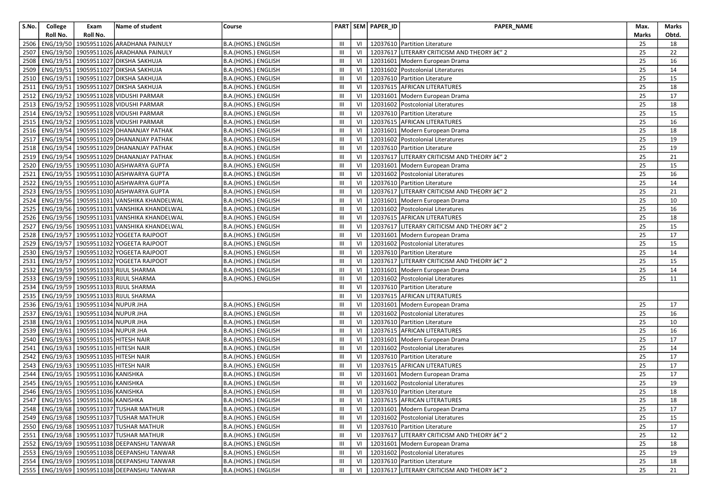| S.No. | College  | Exam                                         | Name of student                                    | Course                     |                |    | PART SEM PAPER_ID | PAPER_NAME                                        | Max.  | Marks |
|-------|----------|----------------------------------------------|----------------------------------------------------|----------------------------|----------------|----|-------------------|---------------------------------------------------|-------|-------|
|       | Roll No. | Roll No.                                     |                                                    |                            |                |    |                   |                                                   | Marks | Obtd. |
| 2506  |          |                                              | ENG/19/50 19059511026 ARADHANA PAINULY             | B.A.(HONS.) ENGLISH        | Ш              | VI |                   | 12037610   Partition Literature                   | 25    | 18    |
| 2507  |          |                                              | ENG/19/50 19059511026 ARADHANA PAINULY             | B.A.(HONS.) ENGLISH        | Ш              | VI |                   | 12037617 LITERARY CRITICISM AND THEORY â€" 2      | 25    | 22    |
| 2508  |          |                                              | ENG/19/51   19059511027 DIKSHA SAKHUJA             | B.A.(HONS.) ENGLISH        | Ш              | VI |                   | 12031601   Modern European Drama                  | 25    | 16    |
| 2509  |          |                                              | ENG/19/51 19059511027 DIKSHA SAKHUJA               | B.A.(HONS.) ENGLISH        | $\mathbf{III}$ | VI |                   | 12031602 Postcolonial Literatures                 | 25    | 14    |
| 2510  |          |                                              | ENG/19/51   19059511027 DIKSHA SAKHUJA             | B.A.(HONS.) ENGLISH        | Ш              | VI |                   | 12037610 Partition Literature                     | 25    | 15    |
|       |          |                                              | 2511   ENG/19/51   19059511027   DIKSHA SAKHUJA    | B.A.(HONS.) ENGLISH        | Ш              | VI |                   | 12037615 AFRICAN LITERATURES                      | 25    | 18    |
|       |          |                                              | 2512   ENG/19/52   19059511028 VIDUSHI PARMAR      | B.A.(HONS.) ENGLISH        | $\mathbf{III}$ | VI |                   | 12031601 Modern European Drama                    | 25    | 17    |
|       |          |                                              | 2513   ENG/19/52   19059511028 VIDUSHI PARMAR      | B.A.(HONS.) ENGLISH        | III            | VI |                   | 12031602 Postcolonial Literatures                 | 25    | 18    |
|       |          |                                              | 2514   ENG/19/52   19059511028 VIDUSHI PARMAR      | B.A.(HONS.) ENGLISH        | Ш              | VI |                   | 12037610 Partition Literature                     | 25    | 15    |
|       |          |                                              | 2515   ENG/19/52   19059511028 VIDUSHI PARMAR      | B.A.(HONS.) ENGLISH        | III            | VI |                   | 12037615 AFRICAN LITERATURES                      | 25    | 16    |
|       |          |                                              | 2516   ENG/19/54   19059511029 DHANANJAY PATHAK    | B.A.(HONS.) ENGLISH        | Ш              | VI |                   | 12031601 Modern European Drama                    | 25    | 18    |
| 2517  |          |                                              | ENG/19/54   19059511029 DHANANJAY PATHAK           | B.A.(HONS.) ENGLISH        | Ш              | VI |                   | 12031602 Postcolonial Literatures                 | 25    | 19    |
| 2518  |          |                                              | ENG/19/54   19059511029 DHANANJAY PATHAK           | B.A.(HONS.) ENGLISH        | Ш              | VI |                   | 12037610 Partition Literature                     | 25    | 19    |
| 2519  |          |                                              | ENG/19/54   19059511029 DHANANJAY PATHAK           | B.A.(HONS.) ENGLISH        | Ш              | VI |                   | 12037617 LITERARY CRITICISM AND THEORY â€" 2      | 25    | 21    |
|       |          |                                              | 2520   ENG/19/55   19059511030 AISHWARYA GUPTA     | B.A.(HONS.) ENGLISH        | Ш              | VI |                   | 12031601 Modern European Drama                    | 25    | 15    |
| 2521  |          |                                              | ENG/19/55   19059511030 AISHWARYA GUPTA            | B.A.(HONS.) ENGLISH        | Ш              | VI |                   | 12031602 Postcolonial Literatures                 | 25    | 16    |
|       |          |                                              | 2522   ENG/19/55   19059511030 AISHWARYA GUPTA     | B.A.(HONS.) ENGLISH        | $\mathbf{III}$ | VI |                   | 12037610 Partition Literature                     | 25    | 14    |
| 2523  |          |                                              | ENG/19/55   19059511030 AISHWARYA GUPTA            | B.A.(HONS.) ENGLISH        | $\mathbf{III}$ | VI |                   | 12037617 LITERARY CRITICISM AND THEORY â€" 2      | 25    | 21    |
| 2524  |          |                                              | ENG/19/56 19059511031 VANSHIKA KHANDELWAL          | B.A.(HONS.) ENGLISH        | Ш              | VI |                   | 12031601 Modern European Drama                    | 25    | 10    |
|       |          |                                              | 2525   ENG/19/56   19059511031 VANSHIKA KHANDELWAL | B.A.(HONS.) ENGLISH        | Ш              | VI |                   | 12031602 Postcolonial Literatures                 | 25    | 16    |
|       |          |                                              | 2526   ENG/19/56   19059511031 VANSHIKA KHANDELWAL | B.A.(HONS.) ENGLISH        | Ш              | VI |                   | 12037615 AFRICAN LITERATURES                      | 25    | 18    |
| 2527  |          |                                              | ENG/19/56   19059511031 VANSHIKA KHANDELWAL        | B.A.(HONS.) ENGLISH        | Ш              | VI |                   | 12037617 LITERARY CRITICISM AND THEORY â€" 2      | 25    | 15    |
| 2528  |          |                                              | ENG/19/57   19059511032 YOGEETA RAJPOOT            | B.A.(HONS.) ENGLISH        | Ш              | VI |                   | 12031601 Modern European Drama                    | 25    | 17    |
|       |          |                                              | 2529   ENG/19/57   19059511032 YOGEETA RAJPOOT     | B.A.(HONS.) ENGLISH        | Ш              | VI |                   | 12031602 Postcolonial Literatures                 | 25    | 15    |
| 2530  |          |                                              | ENG/19/57   19059511032 YOGEETA RAJPOOT            | B.A.(HONS.) ENGLISH        | $\mathbf{III}$ | VI |                   | 12037610 Partition Literature                     | 25    | 14    |
| 2531  |          |                                              | ENG/19/57 19059511032 YOGEETA RAJPOOT              | B.A.(HONS.) ENGLISH        | $\mathbf{III}$ | VI |                   | 12037617 LITERARY CRITICISM AND THEORY â€" 2      | 25    | 15    |
| 2532  |          |                                              | ENG/19/59 19059511033 RIJUL SHARMA                 | B.A.(HONS.) ENGLISH        | Ш              | VI |                   | 12031601 Modern European Drama                    | 25    | 14    |
| 2533  |          |                                              | ENG/19/59 19059511033 RIJUL SHARMA                 | B.A.(HONS.) ENGLISH        | $\mathbf{III}$ | VI |                   | 12031602 Postcolonial Literatures                 | 25    | 11    |
| 2534  |          |                                              | ENG/19/59 19059511033 RIJUL SHARMA                 |                            | Ш              | VI |                   | 12037610 Partition Literature                     |       |       |
| 2535  |          |                                              | ENG/19/59   19059511033 RIJUL SHARMA               |                            | Ш              | VI |                   | 12037615 AFRICAN LITERATURES                      |       |       |
|       |          | 2536   ENG/19/61   19059511034 NUPUR JHA     |                                                    | B.A.(HONS.) ENGLISH        | Ш              | VI |                   | 12031601 Modern European Drama                    | 25    | 17    |
| 2537  |          | ENG/19/61   19059511034 NUPUR JHA            |                                                    | B.A.(HONS.) ENGLISH        | Ш              | VI |                   | 12031602 Postcolonial Literatures                 | 25    | 16    |
|       |          | 2538   ENG/19/61   19059511034 NUPUR JHA     |                                                    | B.A.(HONS.) ENGLISH        | Ш              | VI |                   | 12037610 Partition Literature                     | 25    | 10    |
| 2539  |          | ENG/19/61   19059511034 NUPUR JHA            |                                                    | B.A.(HONS.) ENGLISH        | Ш              | VI |                   | 12037615 AFRICAN LITERATURES                      | 25    | 16    |
|       |          | 2540   ENG/19/63   19059511035   HITESH NAIR |                                                    | B.A.(HONS.) ENGLISH        | III            | VI |                   | 12031601 Modern European Drama                    | 25    | 17    |
| 2541  |          | ENG/19/63   19059511035 HITESH NAIR          |                                                    | B.A.(HONS.) ENGLISH        | Ш              | VI |                   | 12031602 Postcolonial Literatures                 | 25    | 14    |
| 2542  |          | ENG/19/63   19059511035 HITESH NAIR          |                                                    | B.A.(HONS.) ENGLISH        | Ш              | VI |                   | 12037610 Partition Literature                     | 25    | 17    |
| 2543  |          | ENG/19/63   19059511035 HITESH NAIR          |                                                    | B.A.(HONS.) ENGLISH        | Ш              | VI |                   | 12037615 AFRICAN LITERATURES                      | 25    | 17    |
|       |          | 2544   ENG/19/65   19059511036 KANISHKA      |                                                    | B.A.(HONS.) ENGLISH        | Ш              | VI |                   | 12031601 Modern European Drama                    | 25    | 17    |
|       |          | 2545   ENG/19/65   19059511036 KANISHKA      |                                                    | B.A.(HONS.) ENGLISH        | $\mathbf{III}$ | VI |                   | 12031602 Postcolonial Literatures                 | 25    | 19    |
|       |          | 2546   ENG/19/65   19059511036 KANISHKA      |                                                    | B.A.(HONS.) ENGLISH        | Ш              | VI |                   | 12037610   Partition Literature                   | 25    | 18    |
|       |          | 2547 ENG/19/65 19059511036 KANISHKA          |                                                    | B.A.(HONS.) ENGLISH        |                |    |                   | III   VI   12037615 AFRICAN LITERATURES           | 25    | 18    |
|       |          |                                              | 2548   ENG/19/68   19059511037 TUSHAR MATHUR       | B.A.(HONS.) ENGLISH        | Ш              |    |                   | VI   12031601   Modern European Drama             | 25    | 17    |
|       |          |                                              | 2549   ENG/19/68   19059511037 TUSHAR MATHUR       | B.A.(HONS.) ENGLISH        | Ш              |    |                   | VI   12031602   Postcolonial Literatures          | 25    | 15    |
|       |          |                                              | 2550   ENG/19/68   19059511037 TUSHAR MATHUR       | B.A.(HONS.) ENGLISH        | Ш              | VI |                   | 12037610   Partition Literature                   | 25    | 17    |
|       |          |                                              | 2551   ENG/19/68   19059511037 TUSHAR MATHUR       | <b>B.A.(HONS.) ENGLISH</b> | Ш              | VI |                   | 12037617 LITERARY CRITICISM AND THEORY â€" 2      | 25    | 12    |
|       |          |                                              | 2552   ENG/19/69   19059511038 DEEPANSHU TANWAR    | B.A.(HONS.) ENGLISH        | Ш              | VI |                   | 12031601 Modern European Drama                    | 25    | 18    |
|       |          |                                              | 2553   ENG/19/69   19059511038 DEEPANSHU TANWAR    | B.A.(HONS.) ENGLISH        | Ш              |    |                   | VI   12031602   Postcolonial Literatures          | 25    | 19    |
|       |          |                                              | 2554   ENG/19/69   19059511038   DEEPANSHU TANWAR  | B.A.(HONS.) ENGLISH        | Ш              | VI |                   | 12037610 Partition Literature                     | 25    | 18    |
|       |          |                                              | 2555   ENG/19/69   19059511038 DEEPANSHU TANWAR    | B.A.(HONS.) ENGLISH        | Ш              |    |                   | VI   12037617 LITERARY CRITICISM AND THEORY â€" 2 | 25    | 21    |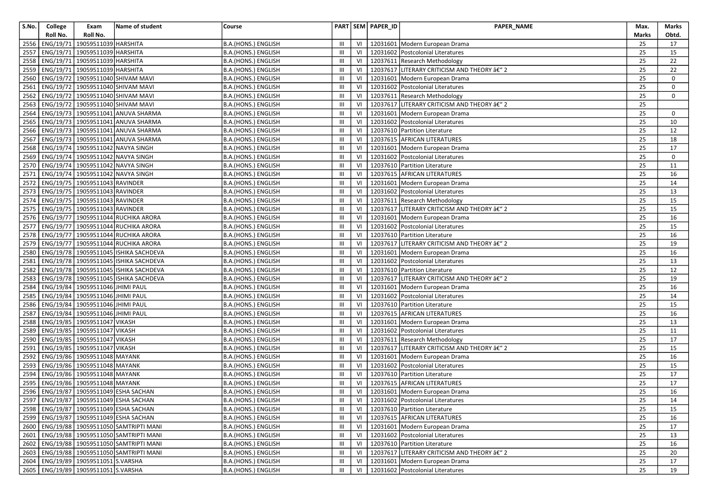| S.No. | College   | Exam                                      | Name of student                               | Course              |                |    | PART SEM PAPER_ID | PAPER_NAME                                        | Max.         | Marks       |
|-------|-----------|-------------------------------------------|-----------------------------------------------|---------------------|----------------|----|-------------------|---------------------------------------------------|--------------|-------------|
|       | Roll No.  | Roll No.                                  |                                               |                     |                |    |                   |                                                   | <b>Marks</b> | Obtd.       |
| 2556  | ENG/19/71 | 19059511039 HARSHITA                      |                                               | B.A.(HONS.) ENGLISH | Ш              | VI |                   | 12031601 Modern European Drama                    | 25           | 17          |
| 2557  |           | ENG/19/71 19059511039 HARSHITA            |                                               | B.A.(HONS.) ENGLISH | Ш              | VI |                   | 12031602 Postcolonial Literatures                 | 25           | 15          |
| 2558  |           | ENG/19/71 19059511039 HARSHITA            |                                               | B.A.(HONS.) ENGLISH | Ш              | VI |                   | 12037611 Research Methodology                     | 25           | 22          |
| 2559  |           | ENG/19/71 19059511039 HARSHITA            |                                               | B.A.(HONS.) ENGLISH | Ш              | VI |                   | 12037617 LITERARY CRITICISM AND THEORY â€" 2      | 25           | 22          |
| 2560  |           |                                           | ENG/19/72 19059511040 SHIVAM MAVI             | B.A.(HONS.) ENGLISH | Ш              | VI |                   | 12031601 Modern European Drama                    | 25           | 0           |
| 2561  |           |                                           | ENG/19/72 19059511040 SHIVAM MAVI             | B.A.(HONS.) ENGLISH | Ш              | VI |                   | 12031602 Postcolonial Literatures                 | 25           | 0           |
| 2562  |           |                                           | ENG/19/72 19059511040 SHIVAM MAVI             | B.A.(HONS.) ENGLISH | Ш              | VI |                   | 12037611 Research Methodology                     | 25           | $\mathbf 0$ |
| 2563  |           |                                           | ENG/19/72 19059511040 SHIVAM MAVI             | B.A.(HONS.) ENGLISH | Ш              | VI |                   | 12037617 LITERARY CRITICISM AND THEORY â€" 2      | 25           |             |
| 2564  |           |                                           | ENG/19/73   19059511041 ANUVA SHARMA          | B.A.(HONS.) ENGLISH | Ш              | VI |                   | 12031601 Modern European Drama                    | 25           | 0           |
| 2565  |           |                                           | ENG/19/73   19059511041 ANUVA SHARMA          | B.A.(HONS.) ENGLISH | Ш              | VI |                   | 12031602 Postcolonial Literatures                 | 25           | 10          |
| 2566  |           |                                           | ENG/19/73   19059511041 ANUVA SHARMA          | B.A.(HONS.) ENGLISH | Ш              | VI |                   | 12037610 Partition Literature                     | 25           | 12          |
| 2567  |           |                                           | ENG/19/73 19059511041 ANUVA SHARMA            | B.A.(HONS.) ENGLISH | Ш              | VI |                   | 12037615 AFRICAN LITERATURES                      | 25           | 18          |
| 2568  |           |                                           | ENG/19/74   19059511042 NAVYA SINGH           | B.A.(HONS.) ENGLISH | Ш              | VI |                   | 12031601 Modern European Drama                    | 25           | 17          |
| 2569  |           |                                           | ENG/19/74 19059511042 NAVYA SINGH             | B.A.(HONS.) ENGLISH | Ш              | VI |                   | 12031602 Postcolonial Literatures                 | 25           | $\mathbf 0$ |
| 2570  |           |                                           | ENG/19/74   19059511042 NAVYA SINGH           | B.A.(HONS.) ENGLISH | Ш              | VI |                   | 12037610 Partition Literature                     | 25           | 11          |
| 2571  |           |                                           | ENG/19/74 19059511042 NAVYA SINGH             | B.A.(HONS.) ENGLISH | Ш              | VI |                   | 12037615 AFRICAN LITERATURES                      | 25           | 16          |
| 2572  |           | ENG/19/75 19059511043 RAVINDER            |                                               | B.A.(HONS.) ENGLISH | Ш              | VI |                   | 12031601 Modern European Drama                    | 25           | 14          |
| 2573  |           | ENG/19/75 19059511043 RAVINDER            |                                               | B.A.(HONS.) ENGLISH | Ш              | VI |                   | 12031602 Postcolonial Literatures                 | 25           | 13          |
| 2574  |           | ENG/19/75 19059511043 RAVINDER            |                                               | B.A.(HONS.) ENGLISH | Ш              | VI |                   | 12037611 Research Methodology                     | 25           | 15          |
| 2575  |           | ENG/19/75   19059511043 RAVINDER          |                                               | B.A.(HONS.) ENGLISH | Ш              | VI |                   | 12037617 LITERARY CRITICISM AND THEORY â€" 2      | 25           | 15          |
| 2576  |           |                                           | ENG/19/77 19059511044 RUCHIKA ARORA           | B.A.(HONS.) ENGLISH | Ш              | VI |                   | 12031601 Modern European Drama                    | 25           | 16          |
| 2577  |           |                                           | ENG/19/77 19059511044 RUCHIKA ARORA           | B.A.(HONS.) ENGLISH | Ш              | VI |                   | 12031602 Postcolonial Literatures                 | 25           | 15          |
| 2578  |           |                                           | ENG/19/77 19059511044 RUCHIKA ARORA           | B.A.(HONS.) ENGLISH | Ш              | VI |                   | 12037610 Partition Literature                     | 25           | 16          |
| 2579  |           |                                           | ENG/19/77 19059511044 RUCHIKA ARORA           | B.A.(HONS.) ENGLISH | Ш              | VI |                   | 12037617 LITERARY CRITICISM AND THEORY â€" 2      | 25           | 19          |
| 2580  |           |                                           | ENG/19/78 19059511045 ISHIKA SACHDEVA         | B.A.(HONS.) ENGLISH | $\mathbf{III}$ | VI |                   | 12031601 Modern European Drama                    | 25           | 16          |
| 2581  |           |                                           | ENG/19/78 19059511045 ISHIKA SACHDEVA         | B.A.(HONS.) ENGLISH | III            | VI |                   | 12031602 Postcolonial Literatures                 | 25           | 13          |
| 2582  |           |                                           | ENG/19/78 19059511045 ISHIKA SACHDEVA         | B.A.(HONS.) ENGLISH | Ш              | VI |                   | 12037610 Partition Literature                     | 25           | 12          |
| 2583  |           |                                           | ENG/19/78   19059511045   ISHIKA SACHDEVA     | B.A.(HONS.) ENGLISH | Ш              | VI |                   | 12037617 LITERARY CRITICISM AND THEORY â€" 2      | 25           | 19          |
| 2584  |           | ENG/19/84 19059511046 JHIMI PAUL          |                                               | B.A.(HONS.) ENGLISH | Ш              | VI |                   | 12031601 Modern European Drama                    | 25           | 16          |
| 2585  |           | ENG/19/84 19059511046 JHIMI PAUL          |                                               | B.A.(HONS.) ENGLISH | Ш              | VI |                   | 12031602 Postcolonial Literatures                 | 25           | 14          |
| 2586  |           | ENG/19/84 19059511046 JHIMI PAUL          |                                               | B.A.(HONS.) ENGLISH | Ш              | VI |                   | 12037610 Partition Literature                     | 25           | 15          |
| 2587  |           | ENG/19/84 19059511046 JHIMI PAUL          |                                               | B.A.(HONS.) ENGLISH | Ш              | VI |                   | 12037615 AFRICAN LITERATURES                      | 25           | 16          |
| 2588  |           | ENG/19/85   19059511047 VIKASH            |                                               | B.A.(HONS.) ENGLISH | III            | VI |                   | 12031601 Modern European Drama                    | 25           | 13          |
| 2589  |           | ENG/19/85 19059511047 VIKASH              |                                               | B.A.(HONS.) ENGLISH | Ш              | VI |                   | 12031602 Postcolonial Literatures                 | 25           | 11          |
| 2590  |           | ENG/19/85 19059511047 VIKASH              |                                               | B.A.(HONS.) ENGLISH | III            | VI |                   | 12037611 Research Methodology                     | 25           | 17          |
| 2591  |           | ENG/19/85   19059511047 VIKASH            |                                               | B.A.(HONS.) ENGLISH | Ш              | VI |                   | 12037617 LITERARY CRITICISM AND THEORY â€" 2      | 25           | 15          |
| 2592  |           | ENG/19/86 19059511048 MAYANK              |                                               | B.A.(HONS.) ENGLISH | Ш              | VI |                   | 12031601 Modern European Drama                    | 25           | 16          |
| 2593  |           | ENG/19/86   19059511048 MAYANK            |                                               | B.A.(HONS.) ENGLISH | Ш              | VI |                   | 12031602 Postcolonial Literatures                 | 25           | 15          |
| 2594  |           | ENG/19/86   19059511048 MAYANK            |                                               | B.A.(HONS.) ENGLISH | Ш              | VI |                   | 12037610 Partition Literature                     | 25           | 17          |
| 2595  |           | ENG/19/86 19059511048 MAYANK              |                                               | B.A.(HONS.) ENGLISH | Ш              | VI |                   | 12037615 AFRICAN LITERATURES                      | 25           | 17          |
|       |           |                                           | 2596   ENG/19/87   19059511049 ESHA SACHAN    | B.A.(HONS.) ENGLISH | Ш              | VI |                   | 12031601 Modern European Drama                    | 25           | 16          |
|       |           |                                           | 2597 ENG/19/87 19059511049 ESHA SACHAN        | B.A.(HONS.) ENGLISH |                |    |                   | III   VI   12031602   Postcolonial Literatures    | 25           | 14          |
|       |           |                                           | 2598   ENG/19/87   19059511049 ESHA SACHAN    | B.A.(HONS.) ENGLISH | Ш              |    |                   | VI   12037610   Partition Literature              | 25           | 15          |
|       |           |                                           | 2599   ENG/19/87   19059511049 ESHA SACHAN    | B.A.(HONS.) ENGLISH | Ш              |    |                   | VI   12037615 AFRICAN LITERATURES                 | 25           | 16          |
|       |           |                                           | 2600   ENG/19/88   19059511050 SAMTRIPTI MANI | B.A.(HONS.) ENGLISH | Ш              | VI |                   | 12031601 Modern European Drama                    | 25           | 17          |
|       |           |                                           | 2601   ENG/19/88   19059511050 SAMTRIPTI MANI | B.A.(HONS.) ENGLISH | Ш              | VI |                   | 12031602 Postcolonial Literatures                 | 25           | 13          |
|       |           |                                           | 2602   ENG/19/88   19059511050 SAMTRIPTI MANI | B.A.(HONS.) ENGLISH | Ш              |    |                   | VI   12037610   Partition Literature              | 25           | 16          |
|       |           |                                           | 2603   ENG/19/88   19059511050 SAMTRIPTI MANI | B.A.(HONS.) ENGLISH | Ш              |    |                   | VI   12037617 LITERARY CRITICISM AND THEORY â€" 2 | 25           | 20          |
|       |           | 2604   ENG/19/89   19059511051 S.VARSHA   |                                               | B.A.(HONS.) ENGLISH | Ш              | VI |                   | 12031601 Modern European Drama                    | 25           | 17          |
|       |           | 2605   ENG/19/89   19059511051   S.VARSHA |                                               | B.A.(HONS.) ENGLISH | Ш              |    |                   | VI   12031602   Postcolonial Literatures          | 25           | 19          |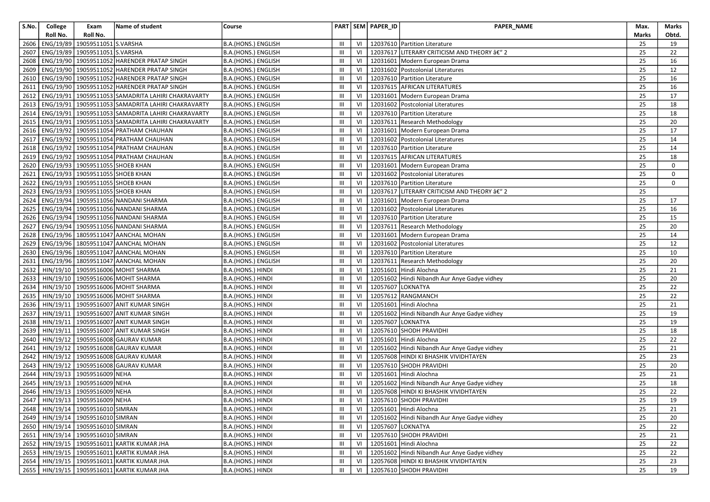| S.No. | College   | Exam                                  | Name of student                                      | Course              |                               |    | PART SEM PAPER_ID | PAPER_NAME                                   | Max.  | Marks |
|-------|-----------|---------------------------------------|------------------------------------------------------|---------------------|-------------------------------|----|-------------------|----------------------------------------------|-------|-------|
|       | Roll No.  | Roll No.                              |                                                      |                     |                               |    |                   |                                              | Marks | Obtd. |
| 2606  | ENG/19/89 | 19059511051 S.VARSHA                  |                                                      | B.A.(HONS.) ENGLISH | Ш                             | VI |                   | 12037610 Partition Literature                | 25    | 19    |
| 2607  | ENG/19/89 | 19059511051 S.VARSHA                  |                                                      | B.A.(HONS.) ENGLISH | Ш                             | VI |                   | 12037617 LITERARY CRITICISM AND THEORY â€" 2 | 25    | 22    |
| 2608  | ENG/19/90 |                                       | 19059511052 HARENDER PRATAP SINGH                    | B.A.(HONS.) ENGLISH | III                           | VI |                   | 12031601 Modern European Drama               | 25    | 16    |
| 2609  | ENG/19/90 |                                       | 19059511052 HARENDER PRATAP SINGH                    | B.A.(HONS.) ENGLISH | $\mathbf{III}$                | VI |                   | 12031602 Postcolonial Literatures            | 25    | 12    |
| 2610  |           |                                       | ENG/19/90   19059511052 HARENDER PRATAP SINGH        | B.A.(HONS.) ENGLISH | Ш                             | VI |                   | 12037610 Partition Literature                | 25    | 16    |
| 2611  |           |                                       | ENG/19/90   19059511052 HARENDER PRATAP SINGH        | B.A.(HONS.) ENGLISH | Ш                             | VI |                   | 12037615 AFRICAN LITERATURES                 | 25    | 16    |
| 2612  |           |                                       | ENG/19/91   19059511053 SAMADRITA LAHIRI CHAKRAVARTY | B.A.(HONS.) ENGLISH | Ш                             | VI |                   | 12031601   Modern European Drama             | 25    | 17    |
| 2613  | ENG/19/91 |                                       | 19059511053 SAMADRITA LAHIRI CHAKRAVARTY             | B.A.(HONS.) ENGLISH | III                           | VI |                   | 12031602 Postcolonial Literatures            | 25    | 18    |
| 2614  |           |                                       | ENG/19/91   19059511053 SAMADRITA LAHIRI CHAKRAVARTY | B.A.(HONS.) ENGLISH | Ш                             | VI |                   | 12037610 Partition Literature                | 25    | 18    |
| 2615  |           |                                       | ENG/19/91   19059511053 SAMADRITA LAHIRI CHAKRAVARTY | B.A.(HONS.) ENGLISH | Ш                             | VI |                   | 12037611 Research Methodology                | 25    | 20    |
| 2616  |           |                                       | ENG/19/92   19059511054 PRATHAM CHAUHAN              | B.A.(HONS.) ENGLISH | $\mathbf{III}$                | VI |                   | 12031601 Modern European Drama               | 25    | 17    |
| 2617  |           |                                       | ENG/19/92   19059511054 PRATHAM CHAUHAN              | B.A.(HONS.) ENGLISH | III                           | VI |                   | 12031602 Postcolonial Literatures            | 25    | 14    |
| 2618  |           |                                       | ENG/19/92   19059511054 PRATHAM CHAUHAN              | B.A.(HONS.) ENGLISH | $\mathbf{III}$                | VI |                   | 12037610 Partition Literature                | 25    | 14    |
| 2619  |           |                                       | ENG/19/92   19059511054 PRATHAM CHAUHAN              | B.A.(HONS.) ENGLISH | Ш                             | VI |                   | 12037615 AFRICAN LITERATURES                 | 25    | 18    |
| 2620  |           | ENG/19/93 19059511055 SHOEB KHAN      |                                                      | B.A.(HONS.) ENGLISH | $\mathbf{III}$                | VI |                   | 12031601 Modern European Drama               | 25    | 0     |
| 2621  |           | ENG/19/93 19059511055 SHOEB KHAN      |                                                      | B.A.(HONS.) ENGLISH | Ш                             | VI |                   | 12031602 Postcolonial Literatures            | 25    | 0     |
| 2622  |           | ENG/19/93 19059511055 SHOEB KHAN      |                                                      | B.A.(HONS.) ENGLISH | $\mathbf{III}$                | VI |                   | 12037610 Partition Literature                | 25    | 0     |
| 2623  |           | ENG/19/93 19059511055 SHOEB KHAN      |                                                      | B.A.(HONS.) ENGLISH | Ш                             | VI |                   | 12037617 LITERARY CRITICISM AND THEORY â€" 2 | 25    |       |
| 2624  |           |                                       | ENG/19/94   19059511056 NANDANI SHARMA               | B.A.(HONS.) ENGLISH | III                           | VI |                   | 12031601 Modern European Drama               | 25    | 17    |
| 2625  |           |                                       | ENG/19/94 19059511056 NANDANI SHARMA                 | B.A.(HONS.) ENGLISH | Ш                             | VI |                   | 12031602 Postcolonial Literatures            | 25    | 16    |
| 2626  |           |                                       | ENG/19/94 19059511056 NANDANI SHARMA                 | B.A.(HONS.) ENGLISH | III                           | VI |                   | 12037610 Partition Literature                | 25    | 15    |
| 2627  |           |                                       | ENG/19/94 19059511056 NANDANI SHARMA                 | B.A.(HONS.) ENGLISH | Ш                             | VI |                   | 12037611 Research Methodology                | 25    | 20    |
| 2628  |           |                                       | ENG/19/96   18059511047 AANCHAL MOHAN                | B.A.(HONS.) ENGLISH | Ш                             | VI |                   | 12031601 Modern European Drama               | 25    | 14    |
| 2629  |           |                                       | ENG/19/96   18059511047 AANCHAL MOHAN                | B.A.(HONS.) ENGLISH | Ш                             | VI |                   | 12031602 Postcolonial Literatures            | 25    | 12    |
| 2630  |           |                                       | ENG/19/96 18059511047 AANCHAL MOHAN                  | B.A.(HONS.) ENGLISH | Ш                             | VI |                   | 12037610 Partition Literature                | 25    | 10    |
| 2631  |           |                                       | ENG/19/96   18059511047 AANCHAL MOHAN                | B.A.(HONS.) ENGLISH | Ш                             | VI |                   | 12037611 Research Methodology                | 25    | 20    |
| 2632  |           |                                       | HIN/19/10   19059516006 MOHIT SHARMA                 | B.A.(HONS.) HINDI   | Ш                             | VI |                   | 12051601 Hindi Alochna                       | 25    | 21    |
| 2633  |           |                                       | HIN/19/10   19059516006 MOHIT SHARMA                 | B.A.(HONS.) HINDI   | III                           | VI |                   | 12051602 Hindi Nibandh Aur Anye Gadye vidhey | 25    | 20    |
| 2634  |           |                                       | HIN/19/10   19059516006 MOHIT SHARMA                 | B.A.(HONS.) HINDI   | Ш                             | VI | 12057607 LOKNATYA |                                              | 25    | 22    |
| 2635  | HIN/19/10 |                                       | 19059516006 MOHIT SHARMA                             | B.A.(HONS.) HINDI   | III                           | VI |                   | 12057612 RANGMANCH                           | 25    | 22    |
| 2636  | HIN/19/11 |                                       | 19059516007 ANIT KUMAR SINGH                         | B.A.(HONS.) HINDI   | Ш                             | VI |                   | 12051601 Hindi Alochna                       | 25    | 21    |
| 2637  | HIN/19/11 |                                       | 19059516007 ANIT KUMAR SINGH                         | B.A.(HONS.) HINDI   | Ш                             | VI |                   | 12051602 Hindi Nibandh Aur Anye Gadye vidhey | 25    | 19    |
| 2638  | HIN/19/11 |                                       | 19059516007 ANIT KUMAR SINGH                         | B.A.(HONS.) HINDI   | $\mathbf{III}$                | VI | 12057607 LOKNATYA |                                              | 25    | 19    |
| 2639  |           |                                       | HIN/19/11   19059516007 ANIT KUMAR SINGH             | B.A.(HONS.) HINDI   | $\mathbf{III}$                | VI |                   | 12057610 SHODH PRAVIDHI                      | 25    | 18    |
| 2640  |           |                                       | HIN/19/12   19059516008 GAURAV KUMAR                 | B.A.(HONS.) HINDI   | Ш                             | VI |                   | 12051601 Hindi Alochna                       | 25    | 22    |
| 2641  |           |                                       | HIN/19/12   19059516008 GAURAV KUMAR                 | B.A.(HONS.) HINDI   | Ш                             | VI |                   | 12051602 Hindi Nibandh Aur Anye Gadye vidhey | 25    | 21    |
| 2642  | HIN/19/12 |                                       | 19059516008 GAURAV KUMAR                             | B.A.(HONS.) HINDI   | III                           | VI |                   | 12057608 HINDI KI BHASHIK VIVIDHTAYEN        | 25    | 23    |
| 2643  |           |                                       | HIN/19/12   19059516008 GAURAV KUMAR                 | B.A.(HONS.) HINDI   | Ш                             | VI |                   | 12057610 SHODH PRAVIDHI                      | 25    | 20    |
| 2644  |           | HIN/19/13   19059516009 NEHA          |                                                      | B.A.(HONS.) HINDI   | III                           | VI |                   | 12051601 Hindi Alochna                       | 25    | 21    |
| 2645  |           | HIN/19/13   19059516009 NEHA          |                                                      | B.A.(HONS.) HINDI   | $\mathbf{III}$                | VI |                   | 12051602 Hindi Nibandh Aur Anye Gadye vidhey | 25    | 18    |
| 2646  |           | HIN/19/13 19059516009 NEHA            |                                                      | B.A.(HONS.) HINDI   | Ш                             | VI |                   | 12057608 HINDI KI BHASHIK VIVIDHTAYEN        | 25    | 22    |
|       |           | 2647 HIN/19/13 19059516009 NEHA       |                                                      | B.A.(HONS.) HINDI   | $\ensuremath{\mathsf{III}}$ . |    |                   | VI   12057610 SHODH PRAVIDHI                 | 25    | 19    |
|       |           | 2648   HIN/19/14   19059516010 SIMRAN |                                                      | B.A.(HONS.) HINDI   | Ш                             | VI |                   | 12051601 Hindi Alochna                       | 25    | 21    |
|       |           | 2649   HIN/19/14   19059516010 SIMRAN |                                                      | B.A.(HONS.) HINDI   | Ш                             | VI |                   | 12051602 Hindi Nibandh Aur Anye Gadye vidhey | 25    | 20    |
|       |           | 2650 HIN/19/14 19059516010 SIMRAN     |                                                      | B.A.(HONS.) HINDI   | Ш                             | VI | 12057607 LOKNATYA |                                              | 25    | 22    |
| 2651  |           | HIN/19/14 19059516010 SIMRAN          |                                                      | B.A.(HONS.) HINDI   | Ш                             | VI |                   | 12057610 SHODH PRAVIDHI                      | 25    | 21    |
|       |           |                                       | 2652   HIN/19/15   19059516011 KARTIK KUMAR JHA      | B.A.(HONS.) HINDI   | Ш                             | VI |                   | 12051601 Hindi Alochna                       | 25    | 22    |
|       |           |                                       | 2653   HIN/19/15   19059516011 KARTIK KUMAR JHA      | B.A.(HONS.) HINDI   | Ш                             | VI |                   | 12051602 Hindi Nibandh Aur Anye Gadye vidhey | 25    | 22    |
|       |           |                                       | 2654   HIN/19/15   19059516011 KARTIK KUMAR JHA      | B.A.(HONS.) HINDI   | Ш                             | VI |                   | 12057608 HINDI KI BHASHIK VIVIDHTAYEN        | 25    | 23    |
|       |           |                                       | 2655   HIN/19/15   19059516011 KARTIK KUMAR JHA      | B.A.(HONS.) HINDI   | Ш                             |    |                   | VI   12057610 SHODH PRAVIDHI                 | 25    | 19    |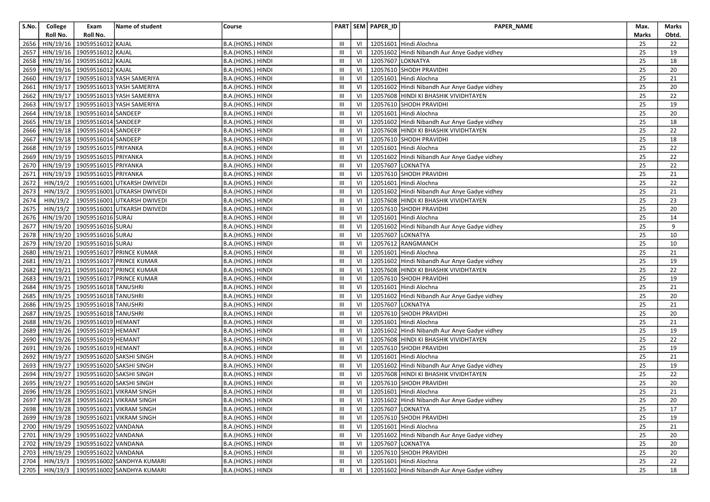| S.No.        | College                | Exam                                   | Name of student                              | Course                                 |                |          | PART SEM PAPER_ID | <b>PAPER NAME</b>                                 | Max.         | Marks    |
|--------------|------------------------|----------------------------------------|----------------------------------------------|----------------------------------------|----------------|----------|-------------------|---------------------------------------------------|--------------|----------|
|              | Roll No.               | Roll No.                               |                                              |                                        |                |          |                   |                                                   | <b>Marks</b> | Obtd.    |
| 2656         | HIN/19/16              | 19059516012 KAJAL                      |                                              | B.A.(HONS.) HINDI                      | III            | VI       |                   | 12051601 Hindi Alochna                            | 25           | 22       |
| 2657         |                        | HIN/19/16 19059516012 KAJAL            |                                              | B.A.(HONS.) HINDI                      | Ш              | VI       |                   | 12051602 Hindi Nibandh Aur Anye Gadye vidhey      | 25           | 19       |
| 2658         |                        | HIN/19/16 19059516012 KAJAL            |                                              | B.A.(HONS.) HINDI                      | Ш              | VI       |                   | 12057607 LOKNATYA                                 | 25           | 18       |
| 2659         |                        | HIN/19/16 19059516012 KAJAL            |                                              | B.A.(HONS.) HINDI                      | Ш              | VI       |                   | 12057610 SHODH PRAVIDHI                           | 25           | 20       |
| 2660         | HIN/19/17              |                                        | 19059516013 YASH SAMERIYA                    | B.A.(HONS.) HINDI                      | Ш              | VI       |                   | 12051601 Hindi Alochna                            | 25           | 21       |
| 2661         |                        |                                        | HIN/19/17   19059516013 YASH SAMERIYA        | B.A.(HONS.) HINDI                      | Ш              | VI       |                   | 12051602 Hindi Nibandh Aur Anye Gadye vidhey      | 25           | 20       |
| 2662         |                        |                                        | HIN/19/17   19059516013 YASH SAMERIYA        | B.A.(HONS.) HINDI                      | Ш              | VI       |                   | 12057608 HINDI KI BHASHIK VIVIDHTAYEN             | 25           | 22       |
| 2663         |                        |                                        | HIN/19/17   19059516013 YASH SAMERIYA        | B.A.(HONS.) HINDI                      | Ш              | VI       |                   | 12057610 SHODH PRAVIDHI                           | 25           | 19       |
| 2664         |                        | HIN/19/18 19059516014 SANDEEP          |                                              | B.A.(HONS.) HINDI                      | Ш              | VI       |                   | 12051601 Hindi Alochna                            | 25           | 20       |
| 2665         |                        | HIN/19/18 19059516014 SANDEEP          |                                              | B.A.(HONS.) HINDI                      | III            | VI       |                   | 12051602 Hindi Nibandh Aur Anye Gadye vidhey      | 25           | 18       |
| 2666         |                        | HIN/19/18 19059516014 SANDEEP          |                                              | B.A.(HONS.) HINDI                      | Ш              | VI       |                   | 12057608 HINDI KI BHASHIK VIVIDHTAYEN             | 25           | 22       |
| 2667         |                        | HIN/19/18 19059516014 SANDEEP          |                                              | B.A.(HONS.) HINDI                      | Ш              | VI       |                   | 12057610 SHODH PRAVIDHI                           | 25           | 18       |
| 2668         |                        | HIN/19/19 19059516015 PRIYANKA         |                                              | B.A.(HONS.) HINDI                      | Ш              | VI       |                   | 12051601 Hindi Alochna                            | 25           | 22       |
| 2669         |                        | HIN/19/19 19059516015 PRIYANKA         |                                              | B.A.(HONS.) HINDI                      | Ш              | VI       |                   | 12051602 Hindi Nibandh Aur Anye Gadye vidhey      | 25           | 22       |
| 2670         | HIN/19/19              | 19059516015 PRIYANKA                   |                                              | B.A.(HONS.) HINDI                      | Ш              | VI       | 12057607 LOKNATYA |                                                   | 25           | 22       |
| 2671         |                        | HIN/19/19 19059516015 PRIYANKA         |                                              | B.A.(HONS.) HINDI                      | Ш              | VI       |                   | 12057610 SHODH PRAVIDHI                           | 25           | 21       |
| 2672         | HIN/19/2               |                                        | 19059516001 UTKARSH DWIVEDI                  | B.A.(HONS.) HINDI                      | Ш              | VI       |                   | 12051601 Hindi Alochna                            | 25           | 22       |
| 2673         | HIN/19/2               |                                        | 19059516001 UTKARSH DWIVEDI                  | B.A.(HONS.) HINDI                      | Ш              | VI       |                   | 12051602 Hindi Nibandh Aur Anye Gadye vidhey      | 25           | 21       |
| 2674         | HIN/19/2               |                                        | 19059516001 UTKARSH DWIVEDI                  | B.A.(HONS.) HINDI                      | Ш              | VI       |                   | 12057608 HINDI KI BHASHIK VIVIDHTAYEN             | 25           | 23       |
| 2675         | HIN/19/2               |                                        | 19059516001 UTKARSH DWIVEDI                  | B.A.(HONS.) HINDI                      | Ш              | VI       |                   | 12057610 SHODH PRAVIDHI                           | 25           | 20       |
| 2676         |                        | HIN/19/20 19059516016 SURAJ            |                                              | B.A.(HONS.) HINDI                      | Ш              | VI       |                   | 12051601 Hindi Alochna                            | 25           | 14       |
| 2677         |                        | HIN/19/20 19059516016 SURAJ            |                                              | B.A.(HONS.) HINDI                      | III            | VI       |                   | 12051602 Hindi Nibandh Aur Anye Gadye vidhey      | 25           | 9        |
| 2678         | HIN/19/20              | 19059516016 SURAJ                      |                                              | B.A.(HONS.) HINDI                      | Ш              | VI       | 12057607 LOKNATYA |                                                   | 25           | 10       |
| 2679         |                        | HIN/19/20 19059516016 SURAJ            |                                              | B.A.(HONS.) HINDI                      | Ш              | VI       |                   | 12057612 RANGMANCH                                | 25           | 10       |
| 2680         |                        |                                        | HIN/19/21   19059516017 PRINCE KUMAR         | B.A.(HONS.) HINDI                      | Ш              | VI       |                   | 12051601 Hindi Alochna                            | 25           | 21       |
| 2681         | HIN/19/21              |                                        | 19059516017 PRINCE KUMAR                     | B.A.(HONS.) HINDI                      | $\mathbf{III}$ | VI       |                   | 12051602 Hindi Nibandh Aur Anye Gadye vidhey      | 25           | 19       |
| 2682         |                        |                                        | HIN/19/21   19059516017 PRINCE KUMAR         | B.A.(HONS.) HINDI                      | Ш              | VI       |                   | 12057608 HINDI KI BHASHIK VIVIDHTAYEN             | 25           | 22       |
| 2683         |                        | 19059516018 TANUSHRI                   | HIN/19/21   19059516017 PRINCE KUMAR         | B.A.(HONS.) HINDI                      | Ш<br>Ш         | VI<br>VI |                   | 12057610 SHODH PRAVIDHI<br>12051601 Hindi Alochna | 25<br>25     | 19<br>21 |
| 2684<br>2685 | HIN/19/25<br>HIN/19/25 | 19059516018 TANUSHRI                   |                                              | B.A.(HONS.) HINDI<br>B.A.(HONS.) HINDI | Ш              | VI       |                   | 12051602 Hindi Nibandh Aur Anye Gadye vidhey      | 25           | 20       |
| 2686         |                        | HIN/19/25 19059516018 TANUSHRI         |                                              | B.A.(HONS.) HINDI                      | Ш              | VI       | 12057607 LOKNATYA |                                                   | 25           | 21       |
| 2687         |                        | HIN/19/25 19059516018 TANUSHRI         |                                              | B.A.(HONS.) HINDI                      | Ш              | VI       |                   | 12057610 SHODH PRAVIDHI                           | 25           | 20       |
| 2688         |                        | HIN/19/26 19059516019 HEMANT           |                                              | B.A.(HONS.) HINDI                      | Ш              | VI       |                   | 12051601 Hindi Alochna                            | 25           | 21       |
| 2689         |                        | HIN/19/26 19059516019 HEMANT           |                                              | B.A.(HONS.) HINDI                      | Ш              | VI       |                   | 12051602 Hindi Nibandh Aur Anye Gadye vidhey      | 25           | 19       |
| 2690         |                        | HIN/19/26 19059516019 HEMANT           |                                              | B.A.(HONS.) HINDI                      | III            | VI       |                   | 12057608 HINDI KI BHASHIK VIVIDHTAYEN             | 25           | 22       |
| 2691         |                        | HIN/19/26 19059516019 HEMANT           |                                              | B.A.(HONS.) HINDI                      | Ш              | VI       |                   | 12057610 SHODH PRAVIDHI                           | 25           | 19       |
| 2692         | HIN/19/27              |                                        | 19059516020 SAKSHI SINGH                     | B.A.(HONS.) HINDI                      | Ш              | VI       |                   | 12051601 Hindi Alochna                            | 25           | 21       |
| 2693         | HIN/19/27              |                                        | 19059516020 SAKSHI SINGH                     | B.A.(HONS.) HINDI                      | Ш              | VI       |                   | 12051602 Hindi Nibandh Aur Anye Gadye vidhey      | 25           | 19       |
| 2694         |                        |                                        | HIN/19/27 19059516020 SAKSHI SINGH           | B.A.(HONS.) HINDI                      | Ш              | VI       |                   | 12057608 HINDI KI BHASHIK VIVIDHTAYEN             | 25           | 22       |
| 2695         | HIN/19/27              |                                        | 19059516020 SAKSHI SINGH                     | B.A.(HONS.) HINDI                      | Ш              | VI       |                   | 12057610 SHODH PRAVIDHI                           | 25           | 20       |
|              |                        |                                        | 2696   HIN/19/28   19059516021 VIKRAM SINGH  | B.A.(HONS.) HINDI                      | Ш              | VI       |                   | 12051601 Hindi Alochna                            | 25           | 21       |
|              |                        |                                        | 2697 HIN/19/28 19059516021 VIKRAM SINGH      | B.A.(HONS.) HINDI                      | III            |          |                   | VI 12051602 Hindi Nibandh Aur Anye Gadye vidhey   | 25           | $20\,$   |
|              |                        |                                        | 2698   HIN/19/28   19059516021 VIKRAM SINGH  | B.A.(HONS.) HINDI                      | Ш              | VI       |                   | 12057607 LOKNATYA                                 | 25           | 17       |
|              |                        |                                        | 2699   HIN/19/28   19059516021 VIKRAM SINGH  | B.A.(HONS.) HINDI                      | III            | VI       |                   | 12057610 SHODH PRAVIDHI                           | 25           | 19       |
|              |                        | 2700   HIN/19/29   19059516022 VANDANA |                                              | B.A.(HONS.) HINDI                      | Ш              | VI       |                   | 12051601 Hindi Alochna                            | 25           | 21       |
|              |                        | 2701   HIN/19/29   19059516022 VANDANA |                                              | B.A.(HONS.) HINDI                      | Ш              | VI       |                   | 12051602 Hindi Nibandh Aur Anye Gadye vidhey      | 25           | 20       |
|              |                        | 2702   HIN/19/29   19059516022 VANDANA |                                              | B.A.(HONS.) HINDI                      | Ш              | VI       |                   | 12057607 LOKNATYA                                 | 25           | 20       |
|              |                        | 2703   HIN/19/29   19059516022 VANDANA |                                              | B.A.(HONS.) HINDI                      | $\mathbf{III}$ | VI       |                   | 12057610 SHODH PRAVIDHI                           | 25           | 20       |
|              |                        |                                        | 2704   HIN/19/3   19059516002 SANDHYA KUMARI | B.A.(HONS.) HINDI                      | Ш              | VI       |                   | 12051601 Hindi Alochna                            | 25           | 22       |
|              |                        |                                        | 2705   HIN/19/3   19059516002 SANDHYA KUMARI | B.A.(HONS.) HINDI                      | Ш              | VI I     |                   | 12051602 Hindi Nibandh Aur Anye Gadye vidhey      | 25           | 18       |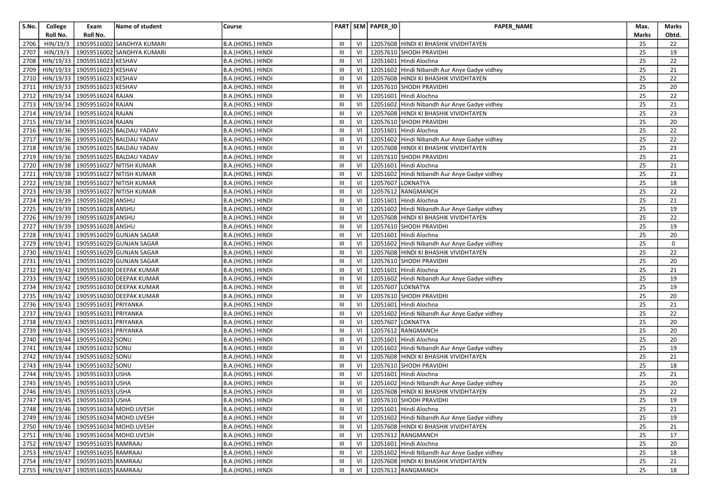| S.No. | College   | Exam                                   | Name of student                           | Course            |                                       |    | PART SEM PAPER_ID | PAPER_NAME                                        | Max.         | Marks |
|-------|-----------|----------------------------------------|-------------------------------------------|-------------------|---------------------------------------|----|-------------------|---------------------------------------------------|--------------|-------|
|       | Roll No.  | Roll No.                               |                                           |                   |                                       |    |                   |                                                   | <b>Marks</b> | Obtd. |
| 2706  | HIN/19/3  |                                        | 19059516002 SANDHYA KUMARI                | B.A.(HONS.) HINDI | III                                   | VI |                   | 12057608 HINDI KI BHASHIK VIVIDHTAYEN             | 25           | 22    |
| 2707  | HIN/19/3  |                                        | 19059516002 SANDHYA KUMARI                | B.A.(HONS.) HINDI | Ш                                     | VI |                   | 12057610 SHODH PRAVIDHI                           | 25           | 19    |
| 2708  | HIN/19/33 | 19059516023 KESHAV                     |                                           | B.A.(HONS.) HINDI | Ш                                     | VI |                   | 12051601 Hindi Alochna                            | 25           | 22    |
| 2709  | HIN/19/33 | 19059516023 KESHAV                     |                                           | B.A.(HONS.) HINDI | Ш                                     | VI |                   | 12051602 Hindi Nibandh Aur Anye Gadye vidhey      | 25           | 21    |
| 2710  |           | HIN/19/33 19059516023 KESHAV           |                                           | B.A.(HONS.) HINDI | Ш                                     | VI |                   | 12057608 HINDI KI BHASHIK VIVIDHTAYEN             | 25           | 22    |
| 2711  |           | HIN/19/33 19059516023 KESHAV           |                                           | B.A.(HONS.) HINDI | Ш                                     | VI |                   | 12057610 SHODH PRAVIDHI                           | 25           | 20    |
| 2712  |           | HIN/19/34   19059516024 RAJAN          |                                           | B.A.(HONS.) HINDI | Ш                                     | VI |                   | 12051601 Hindi Alochna                            | 25           | 22    |
| 2713  |           | HIN/19/34   19059516024 RAJAN          |                                           | B.A.(HONS.) HINDI | $\begin{array}{c} \hline \end{array}$ | VI |                   | 12051602 Hindi Nibandh Aur Anye Gadye vidhey      | 25           | 21    |
| 2714  |           | HIN/19/34 19059516024 RAJAN            |                                           | B.A.(HONS.) HINDI | Ш                                     | VI |                   | 12057608 HINDI KI BHASHIK VIVIDHTAYEN             | 25           | 23    |
| 2715  |           | HIN/19/34   19059516024 RAJAN          |                                           | B.A.(HONS.) HINDI | III                                   | VI |                   | 12057610 SHODH PRAVIDHI                           | 25           | 20    |
| 2716  |           |                                        | HIN/19/36   19059516025 BALDAU YADAV      | B.A.(HONS.) HINDI | Ш                                     | VI |                   | 12051601 Hindi Alochna                            | 25           | 22    |
| 2717  |           |                                        | HIN/19/36   19059516025 BALDAU YADAV      | B.A.(HONS.) HINDI | Ш                                     | VI |                   | 12051602 Hindi Nibandh Aur Anye Gadye vidhey      | 25           | 22    |
| 2718  |           |                                        | HIN/19/36   19059516025 BALDAU YADAV      | B.A.(HONS.) HINDI | Ш                                     | VI |                   | 12057608 HINDI KI BHASHIK VIVIDHTAYEN             | 25           | 23    |
| 2719  |           |                                        | HIN/19/36 19059516025 BALDAU YADAV        | B.A.(HONS.) HINDI | Ш                                     | VI |                   | 12057610 SHODH PRAVIDHI                           | 25           | 21    |
| 2720  |           |                                        | HIN/19/38   19059516027 NITISH KUMAR      | B.A.(HONS.) HINDI | Ш                                     | VI |                   | 12051601 Hindi Alochna                            | 25           | 21    |
| 2721  |           |                                        | HIN/19/38   19059516027 NITISH KUMAR      | B.A.(HONS.) HINDI | $\mathbf{III}$                        | VI |                   | 12051602 Hindi Nibandh Aur Anye Gadye vidhey      | 25           | 21    |
| 2722  |           |                                        | HIN/19/38   19059516027 NITISH KUMAR      | B.A.(HONS.) HINDI | Ш                                     | VI | 12057607 LOKNATYA |                                                   | 25           | 18    |
| 2723  |           |                                        | HIN/19/38 19059516027 NITISH KUMAR        | B.A.(HONS.) HINDI | Ш                                     | VI |                   | 12057612 RANGMANCH                                | 25           | 22    |
| 2724  | HIN/19/39 | 19059516028 ANSHU                      |                                           | B.A.(HONS.) HINDI | Ш                                     | VI |                   | 12051601 Hindi Alochna                            | 25           | 21    |
| 2725  |           | HIN/19/39 19059516028 ANSHU            |                                           | B.A.(HONS.) HINDI | Ш                                     | VI |                   | 12051602 Hindi Nibandh Aur Anye Gadye vidhey      | 25           | 19    |
| 2726  |           | HIN/19/39 19059516028 ANSHU            |                                           | B.A.(HONS.) HINDI | Ш                                     | VI |                   | 12057608 HINDI KI BHASHIK VIVIDHTAYEN             | 25           | 22    |
| 2727  |           | HIN/19/39 19059516028 ANSHU            |                                           | B.A.(HONS.) HINDI | III                                   | VI |                   | 12057610 SHODH PRAVIDHI                           | 25           | 19    |
| 2728  |           |                                        | HIN/19/41   19059516029 GUNJAN SAGAR      | B.A.(HONS.) HINDI | Ш                                     | VI |                   | 12051601 Hindi Alochna                            | 25           | 20    |
| 2729  |           |                                        | HIN/19/41   19059516029 GUNJAN SAGAR      | B.A.(HONS.) HINDI | Ш                                     | VI |                   | 12051602 Hindi Nibandh Aur Anye Gadye vidhey      | 25           | 0     |
| 2730  |           |                                        | HIN/19/41   19059516029 GUNJAN SAGAR      | B.A.(HONS.) HINDI | Ш                                     | VI |                   | 12057608 HINDI KI BHASHIK VIVIDHTAYEN             | 25           | 22    |
| 2731  | HIN/19/41 |                                        | 19059516029 GUNJAN SAGAR                  | B.A.(HONS.) HINDI | III                                   | VI |                   | 12057610 SHODH PRAVIDHI                           | 25           | 20    |
| 2732  |           |                                        | HIN/19/42   19059516030 DEEPAK KUMAR      | B.A.(HONS.) HINDI | Ш                                     | VI |                   | 12051601 Hindi Alochna                            | 25           | 21    |
| 2733  |           |                                        | HIN/19/42   19059516030 DEEPAK KUMAR      | B.A.(HONS.) HINDI | Ш                                     | VI |                   | 12051602 Hindi Nibandh Aur Anye Gadye vidhey      | 25           | 19    |
| 2734  |           |                                        | HIN/19/42   19059516030 DEEPAK KUMAR      | B.A.(HONS.) HINDI | Ш                                     | VI | 12057607 LOKNATYA |                                                   | 25           | 19    |
| 2735  | HIN/19/42 |                                        | 19059516030 DEEPAK KUMAR                  | B.A.(HONS.) HINDI | Ш                                     | VI |                   | 12057610 SHODH PRAVIDHI                           | 25           | 20    |
| 2736  |           | HIN/19/43   19059516031 PRIYANKA       |                                           | B.A.(HONS.) HINDI | Ш                                     | VI |                   | 12051601 Hindi Alochna                            | 25           | 21    |
| 2737  |           | HIN/19/43 19059516031 PRIYANKA         |                                           | B.A.(HONS.) HINDI | III                                   | VI |                   | 12051602 Hindi Nibandh Aur Anye Gadye vidhey      | 25           | 22    |
| 2738  |           | HIN/19/43 19059516031 PRIYANKA         |                                           | B.A.(HONS.) HINDI | III                                   | VI | 12057607 LOKNATYA |                                                   | 25           | 20    |
| 2739  |           | HIN/19/43 19059516031 PRIYANKA         |                                           | B.A.(HONS.) HINDI | Ш                                     | VI |                   | 12057612 RANGMANCH                                | 25           | 20    |
| 2740  | HIN/19/44 | 19059516032 SONU                       |                                           | B.A.(HONS.) HINDI | III                                   | VI |                   | 12051601 Hindi Alochna                            | 25           | 20    |
| 2741  |           | HIN/19/44 19059516032 SONU             |                                           | B.A.(HONS.) HINDI | Ш                                     | VI |                   | 12051602 Hindi Nibandh Aur Anye Gadye vidhey      | 25           | 19    |
| 2742  | HIN/19/44 | 19059516032 SONU                       |                                           | B.A.(HONS.) HINDI | Ш                                     | VI |                   | 12057608 HINDI KI BHASHIK VIVIDHTAYEN             | 25           | 21    |
| 2743  |           | HIN/19/44 19059516032 SONU             |                                           | B.A.(HONS.) HINDI | Ш                                     | VI |                   | 12057610 SHODH PRAVIDHI                           | 25           | 18    |
| 2744  |           | HIN/19/45   19059516033 USHA           |                                           | B.A.(HONS.) HINDI | Ш                                     | VI |                   | 12051601 Hindi Alochna                            | 25           | 21    |
| 2745  |           | HIN/19/45 19059516033 USHA             |                                           | B.A.(HONS.) HINDI | $\mathbf{III}$                        | VI |                   | 12051602 Hindi Nibandh Aur Anye Gadye vidhey      | 25           | 20    |
|       |           | 2746   HIN/19/45   19059516033 USHA    |                                           | B.A.(HONS.) HINDI | Ш                                     | VI |                   | 12057608 HINDI KI BHASHIK VIVIDHTAYEN             | 25           | 22    |
|       |           | 2747 HIN/19/45 19059516033 USHA        |                                           | B.A.(HONS.) HINDI | $\rm III$ .                           |    |                   | VI   12057610 SHODH PRAVIDHI                      | 25           | 19    |
|       |           |                                        | 2748   HIN/19/46   19059516034 MOHD.UVESH | B.A.(HONS.) HINDI | Ш                                     |    |                   | VI   12051601 Hindi Alochna                       | 25           | 21    |
|       |           |                                        | 2749   HIN/19/46   19059516034 MOHD.UVESH | B.A.(HONS.) HINDI | Ш                                     |    |                   | VI   12051602 Hindi Nibandh Aur Anye Gadye vidhey | 25           | 19    |
|       |           |                                        | 2750 HIN/19/46 19059516034 MOHD.UVESH     | B.A.(HONS.) HINDI | Ш                                     | VI |                   | 12057608 HINDI KI BHASHIK VIVIDHTAYEN             | 25           | 21    |
|       |           |                                        | 2751   HIN/19/46   19059516034 MOHD.UVESH | B.A.(HONS.) HINDI | Ш                                     | VI |                   | 12057612 RANGMANCH                                | 25           | 17    |
|       |           | 2752   HIN/19/47   19059516035 RAMRAAJ |                                           | B.A.(HONS.) HINDI | Ш                                     | VI |                   | 12051601 Hindi Alochna                            | 25           | 20    |
|       |           | 2753   HIN/19/47   19059516035 RAMRAAJ |                                           | B.A.(HONS.) HINDI | Ш                                     | VI |                   | 12051602 Hindi Nibandh Aur Anye Gadye vidhey      | 25           | 18    |
|       |           | 2754   HIN/19/47   19059516035 RAMRAAJ |                                           | B.A.(HONS.) HINDI | Ш                                     | VI |                   | 12057608 HINDI KI BHASHIK VIVIDHTAYEN             | 25           | 21    |
|       |           | 2755   HIN/19/47   19059516035 RAMRAAJ |                                           | B.A.(HONS.) HINDI | Ш                                     |    |                   | VI   12057612 RANGMANCH                           | 25           | 18    |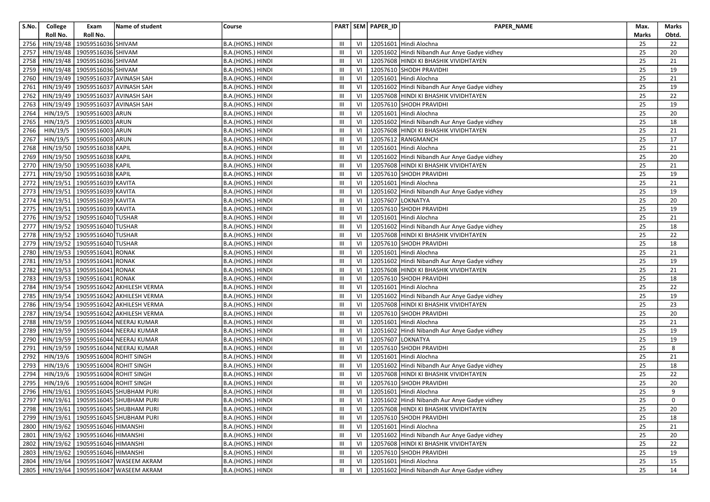| S.No. | College   | Exam                                    | Name of student                             | Course            |                  |      | PART SEM PAPER_ID | PAPER_NAME                                                       | Max.         | Marks               |
|-------|-----------|-----------------------------------------|---------------------------------------------|-------------------|------------------|------|-------------------|------------------------------------------------------------------|--------------|---------------------|
|       | Roll No.  | Roll No.                                |                                             |                   |                  |      |                   |                                                                  | <b>Marks</b> | Obtd.               |
| 2756  | HIN/19/48 | 19059516036 SHIVAM                      |                                             | B.A.(HONS.) HINDI | III              | VI   |                   | 12051601 Hindi Alochna                                           | 25           | 22                  |
| 2757  | HIN/19/48 | 19059516036 SHIVAM                      |                                             | B.A.(HONS.) HINDI | Ш                | VI   |                   | 12051602 Hindi Nibandh Aur Anye Gadye vidhey                     | 25           | 20                  |
| 2758  |           | HIN/19/48 19059516036 SHIVAM            |                                             | B.A.(HONS.) HINDI | Ш                | VI   |                   | 12057608 HINDI KI BHASHIK VIVIDHTAYEN                            | 25           | 21                  |
| 2759  | HIN/19/48 | 19059516036 SHIVAM                      |                                             | B.A.(HONS.) HINDI | Ш                | VI   |                   | 12057610 SHODH PRAVIDHI                                          | 25           | 19                  |
| 2760  | HIN/19/49 | 19059516037 AVINASH SAH                 |                                             | B.A.(HONS.) HINDI | Ш                | VI   |                   | 12051601 Hindi Alochna                                           | 25           | 21                  |
| 2761  |           | HIN/19/49   19059516037 AVINASH SAH     |                                             | B.A.(HONS.) HINDI | Ш                | VI   |                   | 12051602 Hindi Nibandh Aur Anye Gadye vidhey                     | 25           | 19                  |
| 2762  |           | HIN/19/49 19059516037 AVINASH SAH       |                                             | B.A.(HONS.) HINDI | Ш                | VI   |                   | 12057608 HINDI KI BHASHIK VIVIDHTAYEN                            | 25           | 22                  |
| 2763  |           | HIN/19/49 19059516037 AVINASH SAH       |                                             | B.A.(HONS.) HINDI | Ш                | VI   |                   | 12057610 SHODH PRAVIDHI                                          | 25           | 19                  |
| 2764  | HIN/19/5  | 19059516003 ARUN                        |                                             | B.A.(HONS.) HINDI | Ш                | VI   |                   | 12051601 Hindi Alochna                                           | 25           | 20                  |
| 2765  | HIN/19/5  | 19059516003 ARUN                        |                                             | B.A.(HONS.) HINDI | III              | VI   |                   | 12051602 Hindi Nibandh Aur Anye Gadye vidhey                     | 25           | 18                  |
| 2766  | HIN/19/5  | 19059516003 ARUN                        |                                             | B.A.(HONS.) HINDI | Ш                | VI   |                   | 12057608 HINDI KI BHASHIK VIVIDHTAYEN                            | 25           | 21                  |
| 2767  | HIN/19/5  | 19059516003 ARUN                        |                                             | B.A.(HONS.) HINDI | Ш                | VI   |                   | 12057612 RANGMANCH                                               | 25           | 17                  |
| 2768  |           | HIN/19/50 19059516038 KAPIL             |                                             | B.A.(HONS.) HINDI | Ш                | VI   |                   | 12051601 Hindi Alochna                                           | 25           | 21                  |
| 2769  |           | HIN/19/50 19059516038 KAPIL             |                                             | B.A.(HONS.) HINDI | Ш                | VI   |                   | 12051602 Hindi Nibandh Aur Anye Gadye vidhey                     | 25           | 20                  |
| 2770  |           | HIN/19/50 19059516038 KAPIL             |                                             | B.A.(HONS.) HINDI | Ш                | VI   |                   | 12057608 HINDI KI BHASHIK VIVIDHTAYEN                            | 25           | 21                  |
| 2771  |           | HIN/19/50 19059516038 KAPIL             |                                             | B.A.(HONS.) HINDI | Ш                | VI   |                   | 12057610 SHODH PRAVIDHI                                          | 25           | 19                  |
| 2772  |           | HIN/19/51 19059516039 KAVITA            |                                             | B.A.(HONS.) HINDI | Ш                |      |                   | 12051601 Hindi Alochna                                           | 25           | 21                  |
| 2773  |           | HIN/19/51 19059516039 KAVITA            |                                             | B.A.(HONS.) HINDI | Ш                | VI   |                   | 12051602 Hindi Nibandh Aur Anye Gadye vidhey                     | 25           | 19                  |
| 2774  |           | HIN/19/51 19059516039 KAVITA            |                                             | B.A.(HONS.) HINDI | Ш                | VI   |                   | 12057607 LOKNATYA                                                | 25           | 20                  |
| 2775  | HIN/19/51 | 19059516039 KAVITA                      |                                             | B.A.(HONS.) HINDI | Ш                | VI   |                   | 12057610 SHODH PRAVIDHI                                          | 25           | 19                  |
| 2776  |           | HIN/19/52 19059516040 TUSHAR            |                                             | B.A.(HONS.) HINDI | Ш                | VI   |                   | 12051601 Hindi Alochna                                           | 25           | 21                  |
| 2777  | HIN/19/52 | 19059516040 TUSHAR                      |                                             | B.A.(HONS.) HINDI | III              | VI   |                   | 12051602 Hindi Nibandh Aur Anye Gadye vidhey                     | 25           | 18                  |
| 2778  | HIN/19/52 | 19059516040 TUSHAR                      |                                             | B.A.(HONS.) HINDI | Ш                | VI   |                   | 12057608 HINDI KI BHASHIK VIVIDHTAYEN                            | 25           | 22                  |
| 2779  |           | HIN/19/52 19059516040 TUSHAR            |                                             | B.A.(HONS.) HINDI | Ш                | VI   |                   | 12057610 SHODH PRAVIDHI                                          | 25           | 18                  |
| 2780  |           | HIN/19/53 19059516041                   | <b>RONAK</b>                                | B.A.(HONS.) HINDI | Ш                | VI   |                   | 12051601 Hindi Alochna                                           | 25           | 21                  |
| 2781  | HIN/19/53 | 19059516041                             | <b>RONAK</b>                                | B.A.(HONS.) HINDI | $\mathbf{III}$   | VI   |                   | 12051602 Hindi Nibandh Aur Anye Gadye vidhey                     | 25           | 19                  |
| 2782  |           | HIN/19/53 19059516041                   | <b>RONAK</b>                                | B.A.(HONS.) HINDI | Ш                | VI   |                   | 12057608 HINDI KI BHASHIK VIVIDHTAYEN                            | 25           | 21                  |
| 2783  |           | HIN/19/53 19059516041                   | <b>RONAK</b>                                | B.A.(HONS.) HINDI | Ш                | VI   |                   | 12057610 SHODH PRAVIDHI                                          | 25           | 18                  |
| 2784  | HIN/19/54 |                                         | 19059516042 AKHILESH VERMA                  | B.A.(HONS.) HINDI | Ш                | VI   |                   | 12051601 Hindi Alochna                                           | 25           | 22                  |
| 2785  | HIN/19/54 |                                         | 19059516042 AKHILESH VERMA                  | B.A.(HONS.) HINDI | Ш                | VI   |                   | 12051602 Hindi Nibandh Aur Anye Gadye vidhey                     | 25           | 19                  |
| 2786  | HIN/19/54 |                                         | 19059516042 AKHILESH VERMA                  | B.A.(HONS.) HINDI | Ш                | VI   |                   | 12057608 HINDI KI BHASHIK VIVIDHTAYEN                            | 25           | 23                  |
| 2787  |           |                                         | HIN/19/54   19059516042 AKHILESH VERMA      | B.A.(HONS.) HINDI | Ш                | VI   |                   | 12057610 SHODH PRAVIDHI                                          | 25           | 20                  |
| 2788  |           |                                         | HIN/19/59   19059516044 NEERAJ KUMAR        | B.A.(HONS.) HINDI | Ш                | VI   |                   | 12051601 Hindi Alochna                                           | 25           | 21                  |
| 2789  |           |                                         | HIN/19/59 19059516044 NEERAJ KUMAR          | B.A.(HONS.) HINDI | Ш                | VI   |                   | 12051602 Hindi Nibandh Aur Anye Gadye vidhey                     | 25           | 19                  |
| 2790  |           |                                         | HIN/19/59   19059516044 NEERAJ KUMAR        | B.A.(HONS.) HINDI | III              | VI   |                   | 12057607 LOKNATYA                                                | 25           | 19                  |
| 2791  | HIN/19/59 |                                         | 19059516044 NEERAJ KUMAR                    | B.A.(HONS.) HINDI | Ш                | VI   |                   | 12057610 SHODH PRAVIDHI                                          | 25           | 8                   |
| 2792  | HIN/19/6  | 19059516004 ROHIT SINGH                 |                                             | B.A.(HONS.) HINDI | $\mathbf{III}$   | VI   |                   | 12051601 Hindi Alochna                                           | 25           | 21                  |
| 2793  | HIN/19/6  | 19059516004 ROHIT SINGH                 |                                             | B.A.(HONS.) HINDI | Ш                | VI   |                   | 12051602 Hindi Nibandh Aur Anye Gadye vidhey                     | 25           | 18                  |
| 2794  | HIN/19/6  | 19059516004 ROHIT SINGH                 |                                             | B.A.(HONS.) HINDI | Ш                | VI   |                   | 12057608 HINDI KI BHASHIK VIVIDHTAYEN                            | 25           | 22                  |
| 2795  | HIN/19/6  | 19059516004 ROHIT SINGH                 |                                             | B.A.(HONS.) HINDI | Ш                | VI   |                   | 12057610 SHODH PRAVIDHI                                          | 25           | 20                  |
|       |           |                                         | 2796   HIN/19/61   19059516045 SHUBHAM PURI | B.A.(HONS.) HINDI | Ш                | VI   |                   | 12051601 Hindi Alochna                                           | 25           | 9                   |
|       |           |                                         | 2797 HIN/19/61 19059516045 SHUBHAM PURI     | B.A.(HONS.) HINDI | $\mathsf{III}^-$ |      |                   | VI   12051602 Hindi Nibandh Aur Anye Gadye vidhey                | 25           | $\mathsf{O}\xspace$ |
|       |           |                                         | 2798   HIN/19/61   19059516045 SHUBHAM PURI | B.A.(HONS.) HINDI | Ш                | VI   |                   | 12057608 HINDI KI BHASHIK VIVIDHTAYEN                            | 25           | 20                  |
|       |           |                                         | 2799   HIN/19/61   19059516045 SHUBHAM PURI | B.A.(HONS.) HINDI | III              | VI   |                   | 12057610 SHODH PRAVIDHI                                          | 25           | 18                  |
|       |           | 2800   HIN/19/62   19059516046 HIMANSHI |                                             | B.A.(HONS.) HINDI | Ш                | VI   |                   | 12051601 Hindi Alochna                                           | 25           | 21                  |
|       |           | 2801   HIN/19/62   19059516046 HIMANSHI |                                             | B.A.(HONS.) HINDI | Ш                | VI   |                   | 12051602 Hindi Nibandh Aur Anye Gadye vidhey                     | 25           | 20                  |
|       |           | 2802   HIN/19/62   19059516046 HIMANSHI |                                             | B.A.(HONS.) HINDI | Ш                | VI   |                   | 12057608 HINDI KI BHASHIK VIVIDHTAYEN<br>12057610 SHODH PRAVIDHI | 25           | 22                  |
|       |           | 2803   HIN/19/62   19059516046 HIMANSHI |                                             | B.A.(HONS.) HINDI | Ш                | VI   |                   |                                                                  | 25           | 19                  |
|       |           |                                         | 2804   HIN/19/64   19059516047 WASEEM AKRAM | B.A.(HONS.) HINDI | Ш                | VI   |                   | 12051601 Hindi Alochna                                           | 25           | 15                  |
|       |           |                                         | 2805   HIN/19/64   19059516047 WASEEM AKRAM | B.A.(HONS.) HINDI | III              | VI I |                   | 12051602 Hindi Nibandh Aur Anye Gadye vidhey                     | 25           | 14                  |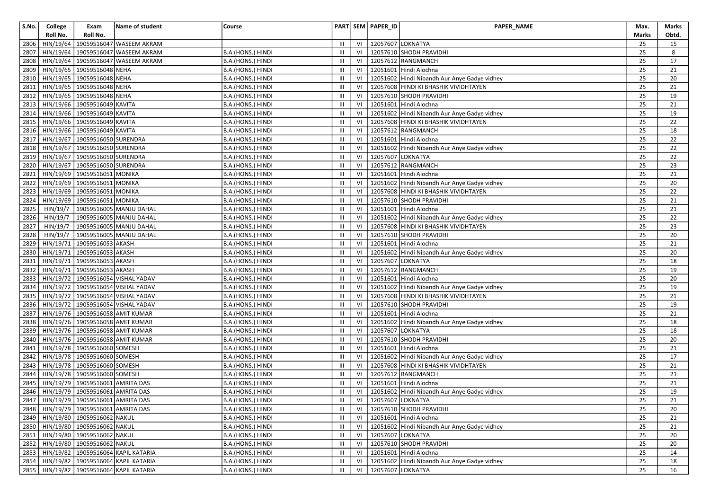| S.No. | College   | Exam                                      | Name of student                              | Course                   |                                  |    | PART SEM PAPER_ID      | PAPER_NAME                                   | Max.         | Marks |
|-------|-----------|-------------------------------------------|----------------------------------------------|--------------------------|----------------------------------|----|------------------------|----------------------------------------------|--------------|-------|
|       | Roll No.  | Roll No.                                  |                                              |                          |                                  |    |                        |                                              | <b>Marks</b> | Obtd. |
| 2806  | HIN/19/64 |                                           | 19059516047 WASEEM AKRAM                     |                          | Ш                                | VI | 12057607 LOKNATYA      |                                              | 25           | 15    |
| 2807  | HIN/19/64 |                                           | 19059516047 WASEEM AKRAM                     | B.A.(HONS.) HINDI        | Ш                                | VI |                        | 12057610 SHODH PRAVIDHI                      | 25           | 8     |
| 2808  | HIN/19/64 |                                           | 19059516047 WASEEM AKRAM                     | B.A.(HONS.) HINDI        | Ш                                | VI |                        | 12057612 RANGMANCH                           | 25           | 17    |
| 2809  |           | HIN/19/65 19059516048 NEHA                |                                              | B.A.(HONS.) HINDI        | Ш                                | VI |                        | 12051601 Hindi Alochna                       | 25           | 21    |
| 2810  |           | HIN/19/65 19059516048 NEHA                |                                              | B.A.(HONS.) HINDI        | Ш                                | VI |                        | 12051602 Hindi Nibandh Aur Anye Gadye vidhey | 25           | 20    |
| 2811  |           | HIN/19/65 19059516048 NEHA                |                                              | B.A.(HONS.) HINDI        | Ш                                | VI |                        | 12057608 HINDI KI BHASHIK VIVIDHTAYEN        | 25           | 21    |
| 2812  |           | HIN/19/65 19059516048 NEHA                |                                              | B.A.(HONS.) HINDI        | Ш                                | VI |                        | 12057610 SHODH PRAVIDHI                      | 25           | 19    |
| 2813  |           | HIN/19/66 19059516049 KAVITA              |                                              | B.A.(HONS.) HINDI        | $\mathop{\mathsf{III}}\nolimits$ | VI |                        | 12051601 Hindi Alochna                       | 25           | 21    |
| 2814  |           | HIN/19/66 19059516049 KAVITA              |                                              | B.A.(HONS.) HINDI        | $\mathop{\mathsf{III}}\nolimits$ | VI |                        | 12051602 Hindi Nibandh Aur Anye Gadye vidhey | 25           | 19    |
| 2815  |           | HIN/19/66 19059516049 KAVITA              |                                              | B.A.(HONS.) HINDI        | III                              | VI |                        | 12057608 HINDI KI BHASHIK VIVIDHTAYEN        | 25           | 22    |
| 2816  |           | HIN/19/66 19059516049 KAVITA              |                                              | B.A.(HONS.) HINDI        | Ш                                | VI |                        | 12057612 RANGMANCH                           | 25           | 18    |
| 2817  | HIN/19/67 | 19059516050 SURENDRA                      |                                              | B.A.(HONS.) HINDI        | Ш                                | VI |                        | 12051601 Hindi Alochna                       | 25           | 22    |
| 2818  |           | HIN/19/67 19059516050 SURENDRA            |                                              | B.A.(HONS.) HINDI        | Ш                                | VI |                        | 12051602 Hindi Nibandh Aur Anye Gadye vidhey | 25           | 22    |
| 2819  |           | HIN/19/67   19059516050 SURENDRA          |                                              | B.A.(HONS.) HINDI        | Ш                                | VI | 12057607 LOKNATYA      |                                              | 25           | 22    |
| 2820  |           | HIN/19/67   19059516050 SURENDRA          |                                              | B.A.(HONS.) HINDI        | Ш                                | VI |                        | 12057612 RANGMANCH                           | 25           | 23    |
| 2821  |           | HIN/19/69 19059516051 MONIKA              |                                              | B.A.(HONS.) HINDI        | $\mathbf{III}$                   | VI |                        | 12051601 Hindi Alochna                       | 25           | 21    |
| 2822  |           | HIN/19/69 19059516051 MONIKA              |                                              | B.A.(HONS.) HINDI        | Ш                                | VI |                        | 12051602 Hindi Nibandh Aur Anye Gadye vidhey | 25           | 20    |
| 2823  |           | HIN/19/69 19059516051 MONIKA              |                                              | B.A.(HONS.) HINDI        | Ш                                | VI |                        | 12057608 HINDI KI BHASHIK VIVIDHTAYEN        | 25           | 22    |
| 2824  | HIN/19/69 | 19059516051 MONIKA                        |                                              | B.A.(HONS.) HINDI        | Ш                                | VI |                        | 12057610 SHODH PRAVIDHI                      | 25           | 21    |
| 2825  | HIN/19/7  |                                           | 19059516005 MANJU DAHAL                      | B.A.(HONS.) HINDI        | Ш                                | VI |                        | 12051601 Hindi Alochna                       | 25           | 21    |
| 2826  | HIN/19/7  |                                           | 19059516005 MANJU DAHAL                      | B.A.(HONS.) HINDI        | Ш                                | VI |                        | 12051602 Hindi Nibandh Aur Anye Gadye vidhey | 25           | 22    |
| 2827  | HIN/19/7  |                                           | 19059516005 MANJU DAHAL                      | B.A.(HONS.) HINDI        | III                              | VI |                        | 12057608 HINDI KI BHASHIK VIVIDHTAYEN        | 25           | 23    |
| 2828  | HIN/19/7  |                                           | 19059516005 MANJU DAHAL                      | B.A.(HONS.) HINDI        | Ш                                | VI |                        | 12057610 SHODH PRAVIDHI                      | 25           | 20    |
| 2829  |           | HIN/19/71 19059516053 AKASH               |                                              | <b>B.A.(HONS.) HINDI</b> | Ш                                | VI |                        | 12051601 Hindi Alochna                       | 25           | 21    |
| 2830  |           | HIN/19/71 19059516053 AKASH               |                                              | B.A.(HONS.) HINDI        | Ш                                | VI |                        | 12051602 Hindi Nibandh Aur Anye Gadye vidhey | 25           | 20    |
| 2831  | HIN/19/71 | 19059516053 AKASH                         |                                              | B.A.(HONS.) HINDI        | III                              | VI | 12057607 LOKNATYA      |                                              | 25           | 18    |
| 2832  |           | HIN/19/71   19059516053 AKASH             |                                              | B.A.(HONS.) HINDI        | Ш                                | VI |                        | 12057612 RANGMANCH                           | 25           | 19    |
| 2833  |           |                                           | HIN/19/72   19059516054 VISHAL YADAV         | B.A.(HONS.) HINDI        | Ш                                | VI |                        | 12051601 Hindi Alochna                       | 25           | 20    |
| 2834  |           |                                           | HIN/19/72   19059516054 VISHAL YADAV         | B.A.(HONS.) HINDI        | $\mathbf{III}$                   | VI |                        | 12051602 Hindi Nibandh Aur Anye Gadye vidhey | 25           | 19    |
| 2835  | HIN/19/72 |                                           | 19059516054 VISHAL YADAV                     | B.A.(HONS.) HINDI        | Ш                                | VI |                        | 12057608 HINDI KI BHASHIK VIVIDHTAYEN        | 25           | 21    |
| 2836  |           |                                           | HIN/19/72   19059516054 VISHAL YADAV         | B.A.(HONS.) HINDI        | Ш                                | VI |                        | 12057610 SHODH PRAVIDHI                      | 25           | 19    |
| 2837  |           |                                           | HIN/19/76   19059516058 AMIT KUMAR           | B.A.(HONS.) HINDI        | Ш                                | VI |                        | 12051601 Hindi Alochna                       | 25           | 21    |
| 2838  |           | HIN/19/76   19059516058 AMIT KUMAR        |                                              | B.A.(HONS.) HINDI        | $\mathbf{III}$                   | VI |                        | 12051602 Hindi Nibandh Aur Anye Gadye vidhey | 25           | 18    |
| 2839  |           | HIN/19/76   19059516058 AMIT KUMAR        |                                              | B.A.(HONS.) HINDI        | Ш                                | VI | 12057607 LOKNATYA      |                                              | 25           | 18    |
| 2840  |           | HIN/19/76   19059516058 AMIT KUMAR        |                                              | B.A.(HONS.) HINDI        | III                              | VI |                        | 12057610 SHODH PRAVIDHI                      | 25           | 20    |
| 2841  |           | HIN/19/78 19059516060 SOMESH              |                                              | B.A.(HONS.) HINDI        | Ш                                | VI |                        | 12051601 Hindi Alochna                       | 25           | 21    |
| 2842  |           | HIN/19/78 19059516060 SOMESH              |                                              | B.A.(HONS.) HINDI        | Ш                                | VI |                        | 12051602 Hindi Nibandh Aur Anye Gadye vidhey | 25           | 17    |
| 2843  |           | HIN/19/78 19059516060 SOMESH              |                                              | B.A.(HONS.) HINDI        | Ш                                | VI |                        | 12057608 HINDI KI BHASHIK VIVIDHTAYEN        | 25           | 21    |
| 2844  |           | HIN/19/78 19059516060 SOMESH              |                                              | B.A.(HONS.) HINDI        | Ш                                | VI |                        | 12057612 RANGMANCH                           | 25           | 21    |
| 2845  |           | HIN/19/79 19059516061 AMRITA DAS          |                                              | B.A.(HONS.) HINDI        | $\mathbf{III}$                   | VI |                        | 12051601 Hindi Alochna                       | 25           | 21    |
| 2846  |           | HIN/19/79   19059516061 AMRITA DAS        |                                              | B.A.(HONS.) HINDI        | Ш                                | VI |                        | 12051602 Hindi Nibandh Aur Anye Gadye vidhey | 25           | 19    |
|       |           | 2847 HIN/19/79 19059516061 AMRITA DAS     |                                              | B.A.(HONS.) HINDI        | III                              |    |                        | VI   12057607 LOKNATYA                       | 25           | 21    |
|       |           | 2848   HIN/19/79   19059516061 AMRITA DAS |                                              | B.A.(HONS.) HINDI        | Ш                                |    |                        | VI   12057610 SHODH PRAVIDHI                 | 25           | 20    |
|       |           | 2849   HIN/19/80   19059516062 NAKUL      |                                              | B.A.(HONS.) HINDI        | Ш                                |    |                        | VI   12051601 Hindi Alochna                  | 25           | 21    |
|       |           | 2850 HIN/19/80 19059516062 NAKUL          |                                              | B.A.(HONS.) HINDI        | Ш                                | VI |                        | 12051602 Hindi Nibandh Aur Anye Gadye vidhey | 25           | 21    |
|       |           | 2851   HIN/19/80   19059516062 NAKUL      |                                              | B.A.(HONS.) HINDI        | Ш                                |    | VI 12057607 LOKNATYA   |                                              | 25           | 20    |
|       |           | 2852   HIN/19/80   19059516062 NAKUL      |                                              | B.A.(HONS.) HINDI        | Ш                                |    |                        | VI   12057610 SHODH PRAVIDHI                 | 25           | 20    |
|       |           |                                           | 2853   HIN/19/82   19059516064 KAPIL KATARIA | B.A.(HONS.) HINDI        | Ш                                |    |                        | VI   12051601 Hindi Alochna                  | 25           | 14    |
|       |           |                                           | 2854   HIN/19/82   19059516064 KAPIL KATARIA | B.A.(HONS.) HINDI        | Ш                                | VI |                        | 12051602 Hindi Nibandh Aur Anye Gadye vidhey | 25           | 18    |
|       |           |                                           | 2855   HIN/19/82   19059516064 KAPIL KATARIA | B.A.(HONS.) HINDI        | Ш                                |    | VI   12057607 LOKNATYA |                                              | 25           | 16    |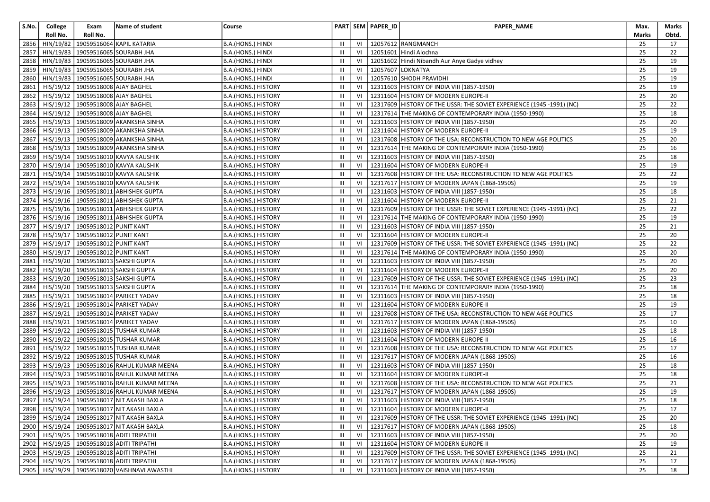| S.No. | College   | Exam                                | Name of student                                  | Course                     |                |    | PART SEM PAPER_ID | PAPER_NAME                                                            | Max.  | Marks |
|-------|-----------|-------------------------------------|--------------------------------------------------|----------------------------|----------------|----|-------------------|-----------------------------------------------------------------------|-------|-------|
|       | Roll No.  | Roll No.                            |                                                  |                            |                |    |                   |                                                                       | Marks | Obtd. |
| 2856  |           |                                     | HIN/19/82   19059516064 KAPIL KATARIA            | B.A.(HONS.) HINDI          | Ш              | VI |                   | 12057612 RANGMANCH                                                    | 25    | 17    |
| 2857  | HIN/19/83 |                                     | 19059516065 SOURABH JHA                          | B.A.(HONS.) HINDI          | $\mathbf{III}$ | VI |                   | 12051601 Hindi Alochna                                                | 25    | 22    |
| 2858  |           |                                     | HIN/19/83   19059516065 SOURABH JHA              | B.A.(HONS.) HINDI          | III            | VI |                   | 12051602 Hindi Nibandh Aur Anye Gadye vidhey                          | 25    | 19    |
| 2859  | HIN/19/83 |                                     | 19059516065 SOURABH JHA                          | B.A.(HONS.) HINDI          | $\mathbf{III}$ | VI |                   | 12057607 LOKNATYA                                                     | 25    | 19    |
| 2860  | HIN/19/83 |                                     | 19059516065 SOURABH JHA                          | B.A.(HONS.) HINDI          | Ш              | VI |                   | 12057610 SHODH PRAVIDHI                                               | 25    | 19    |
| 2861  |           | HIS/19/12   19059518008 AJAY BAGHEL |                                                  | B.A.(HONS.) HISTORY        | Ш              | VI |                   | 12311603 HISTORY OF INDIA VIII (1857-1950)                            | 25    | 19    |
| 2862  |           | HIS/19/12   19059518008 AJAY BAGHEL |                                                  | B.A.(HONS.) HISTORY        | III            | VI |                   | 12311604 HISTORY OF MODERN EUROPE-II                                  | 25    | 20    |
| 2863  |           | HIS/19/12 19059518008 AJAY BAGHEL   |                                                  | B.A.(HONS.) HISTORY        | Ш              | VI |                   | 12317609 HISTORY OF THE USSR: THE SOVIET EXPERIENCE (1945 -1991) (NC) | 25    | 22    |
| 2864  | HIS/19/12 | 19059518008 AJAY BAGHEL             |                                                  | B.A.(HONS.) HISTORY        | Ш              | VI |                   | 12317614 THE MAKING OF CONTEMPORARY INDIA (1950-1990)                 | 25    | 18    |
| 2865  |           |                                     | HIS/19/13   19059518009 AKANKSHA SINHA           | B.A.(HONS.) HISTORY        | Ш              | VI |                   | 12311603 HISTORY OF INDIA VIII (1857-1950)                            | 25    | 20    |
| 2866  |           |                                     | HIS/19/13   19059518009 AKANKSHA SINHA           | B.A.(HONS.) HISTORY        | Ш              | VI |                   | 12311604 HISTORY OF MODERN EUROPE-II                                  | 25    | 19    |
| 2867  |           |                                     | HIS/19/13   19059518009 AKANKSHA SINHA           | B.A.(HONS.) HISTORY        | III            | VI |                   | 12317608 HISTORY OF THE USA: RECONSTRUCTION TO NEW AGE POLITICS       | 25    | 20    |
| 2868  |           |                                     | HIS/19/13   19059518009 AKANKSHA SINHA           | B.A.(HONS.) HISTORY        | Ш              | VI |                   | 12317614 THE MAKING OF CONTEMPORARY INDIA (1950-1990)                 | 25    | 16    |
| 2869  |           |                                     | HIS/19/14   19059518010 KAVYA KAUSHIK            | B.A.(HONS.) HISTORY        | $\mathbf{III}$ | VI |                   | 12311603 HISTORY OF INDIA VIII (1857-1950)                            | 25    | 18    |
| 2870  |           |                                     | HIS/19/14   19059518010 KAVYA KAUSHIK            | B.A.(HONS.) HISTORY        | Ш              | VI |                   | 12311604 HISTORY OF MODERN EUROPE-II                                  | 25    | 19    |
| 2871  |           |                                     | HIS/19/14   19059518010 KAVYA KAUSHIK            | B.A.(HONS.) HISTORY        | Ш              | VI |                   | 12317608 HISTORY OF THE USA: RECONSTRUCTION TO NEW AGE POLITICS       | 25    | 22    |
| 2872  |           |                                     | HIS/19/14   19059518010 KAVYA KAUSHIK            | B.A.(HONS.) HISTORY        | Ш              | VI |                   | 12317617 HISTORY OF MODERN JAPAN (1868-1950S)                         | 25    | 19    |
| 2873  |           |                                     | HIS/19/16   19059518011 ABHISHEK GUPTA           | B.A.(HONS.) HISTORY        | Ш              | VI |                   | 12311603 HISTORY OF INDIA VIII (1857-1950)                            | 25    | 18    |
| 2874  |           |                                     | HIS/19/16   19059518011 ABHISHEK GUPTA           | B.A.(HONS.) HISTORY        | Ш              | VI |                   | 12311604 HISTORY OF MODERN EUROPE-II                                  | 25    | 21    |
| 2875  |           |                                     | HIS/19/16   19059518011 ABHISHEK GUPTA           | B.A.(HONS.) HISTORY        | Ш              | VI |                   | 12317609 HISTORY OF THE USSR: THE SOVIET EXPERIENCE (1945 -1991) (NC) | 25    | 22    |
| 2876  |           |                                     | HIS/19/16   19059518011 ABHISHEK GUPTA           | B.A.(HONS.) HISTORY        | III            | VI |                   | 12317614 THE MAKING OF CONTEMPORARY INDIA (1950-1990)                 | 25    | 19    |
| 2877  |           | HIS/19/17   19059518012 PUNIT KANT  |                                                  | B.A.(HONS.) HISTORY        | $\mathbf{III}$ | VI |                   | 12311603 HISTORY OF INDIA VIII (1857-1950)                            | 25    | 21    |
| 2878  |           | HIS/19/17   19059518012 PUNIT KANT  |                                                  | B.A.(HONS.) HISTORY        | Ш              | VI |                   | 12311604 HISTORY OF MODERN EUROPE-II                                  | 25    | 20    |
| 2879  |           | HIS/19/17   19059518012 PUNIT KANT  |                                                  | B.A.(HONS.) HISTORY        | Ш              | VI |                   | 12317609 HISTORY OF THE USSR: THE SOVIET EXPERIENCE (1945 -1991) (NC) | 25    | 22    |
| 2880  |           | HIS/19/17   19059518012 PUNIT KANT  |                                                  | B.A.(HONS.) HISTORY        | Ш              | VI |                   | 12317614 THE MAKING OF CONTEMPORARY INDIA (1950-1990)                 | 25    | 20    |
| 2881  |           |                                     | HIS/19/20   19059518013 SAKSHI GUPTA             | B.A.(HONS.) HISTORY        | Ш              | VI |                   | 12311603 HISTORY OF INDIA VIII (1857-1950)                            | 25    | 20    |
| 2882  | HIS/19/20 |                                     | 19059518013 SAKSHI GUPTA                         | B.A.(HONS.) HISTORY        | Ш              | VI |                   | 12311604 HISTORY OF MODERN EUROPE-II                                  | 25    | 20    |
| 2883  |           |                                     | HIS/19/20 19059518013 SAKSHI GUPTA               | B.A.(HONS.) HISTORY        | Ш              | VI |                   | 12317609 HISTORY OF THE USSR: THE SOVIET EXPERIENCE (1945 -1991) (NC) | 25    | 23    |
| 2884  | HIS/19/20 |                                     | 19059518013 SAKSHI GUPTA                         | B.A.(HONS.) HISTORY        | Ш              | VI |                   | 12317614 THE MAKING OF CONTEMPORARY INDIA (1950-1990)                 | 25    | 18    |
| 2885  | HIS/19/21 |                                     | 19059518014 PARIKET YADAV                        | B.A.(HONS.) HISTORY        | III            | VI |                   | 12311603 HISTORY OF INDIA VIII (1857-1950)                            | 25    | 18    |
| 2886  |           |                                     | HIS/19/21   19059518014 PARIKET YADAV            | B.A.(HONS.) HISTORY        | Ш              | VI |                   | 12311604 HISTORY OF MODERN EUROPE-II                                  | 25    | 19    |
| 2887  | HIS/19/21 |                                     | 19059518014 PARIKET YADAV                        | B.A.(HONS.) HISTORY        | $\mathbf{III}$ | VI |                   | 12317608 HISTORY OF THE USA: RECONSTRUCTION TO NEW AGE POLITICS       | 25    | 17    |
| 2888  | HIS/19/21 |                                     | 19059518014 PARIKET YADAV                        | B.A.(HONS.) HISTORY        | Ш              | VI |                   | 12317617 HISTORY OF MODERN JAPAN (1868-1950S)                         | 25    | 10    |
| 2889  | HIS/19/22 |                                     | 19059518015 TUSHAR KUMAR                         | B.A.(HONS.) HISTORY        | $\mathbf{III}$ | VI |                   | 12311603 HISTORY OF INDIA VIII (1857-1950)                            | 25    | 18    |
| 2890  |           |                                     | HIS/19/22   19059518015 TUSHAR KUMAR             | B.A.(HONS.) HISTORY        | Ш              | VI |                   | 12311604 HISTORY OF MODERN EUROPE-II                                  | 25    | 16    |
| 2891  | HIS/19/22 |                                     | 19059518015 TUSHAR KUMAR                         | B.A.(HONS.) HISTORY        | $\mathbf{III}$ | VI |                   | 12317608 HISTORY OF THE USA: RECONSTRUCTION TO NEW AGE POLITICS       | 25    | 17    |
| 2892  | HIS/19/22 |                                     | 19059518015 TUSHAR KUMAR                         | B.A.(HONS.) HISTORY        | $\mathbf{III}$ | VI |                   | 12317617 HISTORY OF MODERN JAPAN (1868-1950S)                         | 25    | 16    |
| 2893  | HIS/19/23 |                                     | 19059518016 RAHUL KUMAR MEENA                    | B.A.(HONS.) HISTORY        | Ш              | VI |                   | 12311603 HISTORY OF INDIA VIII (1857-1950)                            | 25    | 18    |
| 2894  |           |                                     | HIS/19/23   19059518016 RAHUL KUMAR MEENA        | B.A.(HONS.) HISTORY        | Ш              | VI |                   | 12311604 HISTORY OF MODERN EUROPE-II                                  | 25    | 18    |
| 2895  | HIS/19/23 |                                     | 19059518016 RAHUL KUMAR MEENA                    | B.A.(HONS.) HISTORY        | Ш              | VI |                   | 12317608 HISTORY OF THE USA: RECONSTRUCTION TO NEW AGE POLITICS       | 25    | 21    |
| 2896  |           |                                     | HIS/19/23   19059518016 RAHUL KUMAR MEENA        | B.A.(HONS.) HISTORY        | $\mathbf{III}$ | VI |                   | 12317617 HISTORY OF MODERN JAPAN (1868-1950S)                         | 25    | 19    |
|       |           |                                     | 2897   HIS/19/24   19059518017 NIT AKASH BAXLA   | B.A.(HONS.) HISTORY        | $\rm III$ .    |    |                   | VI   12311603 HISTORY OF INDIA VIII (1857-1950)                       | 25    | 18    |
|       |           |                                     | 2898   HIS/19/24   19059518017 NIT AKASH BAXLA   | B.A.(HONS.) HISTORY        | Ш              | VI |                   | 12311604 HISTORY OF MODERN EUROPE-II                                  | 25    | 17    |
|       |           |                                     | 2899   HIS/19/24   19059518017 NIT AKASH BAXLA   | B.A.(HONS.) HISTORY        | Ш              | VI |                   | 12317609 HISTORY OF THE USSR: THE SOVIET EXPERIENCE (1945 -1991) (NC) | 25    | 20    |
| 2900  |           |                                     | HIS/19/24   19059518017 NIT AKASH BAXLA          | B.A.(HONS.) HISTORY        | Ш              | VI |                   | 12317617 HISTORY OF MODERN JAPAN (1868-1950S)                         | 25    | 18    |
| 2901  |           |                                     | HIS/19/25   19059518018 ADITI TRIPATHI           | B.A.(HONS.) HISTORY        | Ш              | VI |                   | 12311603 HISTORY OF INDIA VIII (1857-1950)                            | 25    | 20    |
| 2902  |           |                                     | HIS/19/25   19059518018 ADITI TRIPATHI           | B.A.(HONS.) HISTORY        | Ш              | VI |                   | 12311604 HISTORY OF MODERN EUROPE-II                                  | 25    | 19    |
| 2903  |           |                                     | HIS/19/25   19059518018 ADITI TRIPATHI           | B.A.(HONS.) HISTORY        | Ш              | VI |                   | 12317609 HISTORY OF THE USSR: THE SOVIET EXPERIENCE (1945 -1991) (NC) | 25    | 21    |
| 2904  |           |                                     | HIS/19/25   19059518018 ADITI TRIPATHI           | B.A.(HONS.) HISTORY        | Ш              | VI |                   | 12317617 HISTORY OF MODERN JAPAN (1868-1950S)                         | 25    | 17    |
|       |           |                                     | 2905   HIS/19/29   19059518020 VAISHNAVI AWASTHI | <b>B.A.(HONS.) HISTORY</b> | Ш              | VI |                   | 12311603 HISTORY OF INDIA VIII (1857-1950)                            | 25    | 18    |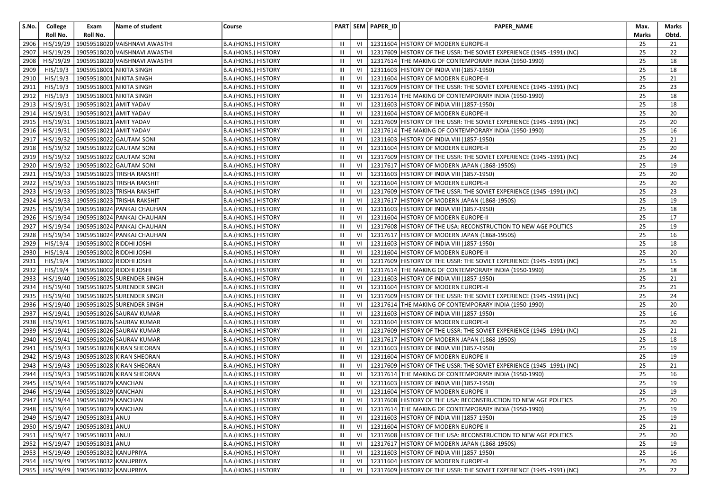| S.No. | College   | Exam                                     | Name of student                        | Course                     |                |    | PART SEM PAPER_ID | PAPER_NAME                                                            | Max.  | Marks |
|-------|-----------|------------------------------------------|----------------------------------------|----------------------------|----------------|----|-------------------|-----------------------------------------------------------------------|-------|-------|
|       | Roll No.  | Roll No.                                 |                                        |                            |                |    |                   |                                                                       | Marks | Obtd. |
| 2906  | HIS/19/29 |                                          | 19059518020 VAISHNAVI AWASTHI          | B.A.(HONS.) HISTORY        | Ш              | VI |                   | 12311604 HISTORY OF MODERN EUROPE-II                                  | 25    | 21    |
| 2907  | HIS/19/29 |                                          | 19059518020 VAISHNAVI AWASTHI          | B.A.(HONS.) HISTORY        | Ш              | VI |                   | 12317609 HISTORY OF THE USSR: THE SOVIET EXPERIENCE (1945 -1991) (NC) | 25    | 22    |
| 2908  | HIS/19/29 |                                          | 19059518020 VAISHNAVI AWASTHI          | B.A.(HONS.) HISTORY        | $\mathbf{III}$ | VI |                   | 12317614 THE MAKING OF CONTEMPORARY INDIA (1950-1990)                 | 25    | 18    |
| 2909  | HIS/19/3  |                                          | 19059518001 NIKITA SINGH               | B.A.(HONS.) HISTORY        | $\mathbf{III}$ | VI | 12311603          | HISTORY OF INDIA VIII (1857-1950)                                     | 25    | 18    |
| 2910  | HIS/19/3  |                                          | 19059518001 NIKITA SINGH               | B.A.(HONS.) HISTORY        | Ш              | VI |                   | 12311604 HISTORY OF MODERN EUROPE-II                                  | 25    | 21    |
| 2911  | HIS/19/3  |                                          | 19059518001 NIKITA SINGH               | B.A.(HONS.) HISTORY        | Ш              | VI |                   | 12317609 HISTORY OF THE USSR: THE SOVIET EXPERIENCE (1945 -1991) (NC) | 25    | 23    |
| 2912  | HIS/19/3  | 19059518001 NIKITA SINGH                 |                                        | B.A.(HONS.) HISTORY        | Ш              | VI |                   | 12317614 THE MAKING OF CONTEMPORARY INDIA (1950-1990)                 | 25    | 18    |
| 2913  | HIS/19/31 | 19059518021 AMIT YADAV                   |                                        | B.A.(HONS.) HISTORY        | Ш              | VI |                   | 12311603 HISTORY OF INDIA VIII (1857-1950)                            | 25    | 18    |
| 2914  | HIS/19/31 | 19059518021 AMIT YADAV                   |                                        | B.A.(HONS.) HISTORY        | Ш              | VI |                   | 12311604 HISTORY OF MODERN EUROPE-II                                  | 25    | 20    |
| 2915  | HIS/19/31 | 19059518021 AMIT YADAV                   |                                        | B.A.(HONS.) HISTORY        | Ш              | VI |                   | 12317609 HISTORY OF THE USSR: THE SOVIET EXPERIENCE (1945 -1991) (NC) | 25    | 20    |
| 2916  | HIS/19/31 | 19059518021 AMIT YADAV                   |                                        | B.A.(HONS.) HISTORY        | $\mathbf{III}$ | VI |                   | 12317614 THE MAKING OF CONTEMPORARY INDIA (1950-1990)                 | 25    | 16    |
| 2917  | HIS/19/32 |                                          | 19059518022 GAUTAM SONI                | B.A.(HONS.) HISTORY        | Ш              | VI |                   | 12311603 HISTORY OF INDIA VIII (1857-1950)                            | 25    | 21    |
| 2918  | HIS/19/32 |                                          | 19059518022 GAUTAM SONI                | B.A.(HONS.) HISTORY        | Ш              | VI |                   | 12311604 HISTORY OF MODERN EUROPE-II                                  | 25    | 20    |
| 2919  | HIS/19/32 |                                          | 19059518022 GAUTAM SONI                | B.A.(HONS.) HISTORY        | Ш              | VI |                   | 12317609 HISTORY OF THE USSR: THE SOVIET EXPERIENCE (1945 -1991) (NC) | 25    | 24    |
| 2920  | HIS/19/32 |                                          | 19059518022 GAUTAM SONI                | B.A.(HONS.) HISTORY        | Ш              | VI | 12317617          | HISTORY OF MODERN JAPAN (1868-1950S)                                  | 25    | 19    |
| 2921  | HIS/19/33 |                                          | 19059518023 TRISHA RAKSHIT             | B.A.(HONS.) HISTORY        | Ш              | VI |                   | 12311603 HISTORY OF INDIA VIII (1857-1950)                            | 25    | 20    |
| 2922  | HIS/19/33 |                                          | 19059518023 TRISHA RAKSHIT             | B.A.(HONS.) HISTORY        | Ш              | VI |                   | 12311604 HISTORY OF MODERN EUROPE-II                                  | 25    | 20    |
| 2923  |           |                                          | HIS/19/33   19059518023 TRISHA RAKSHIT | B.A.(HONS.) HISTORY        | $\mathbf{III}$ | VI |                   | 12317609 HISTORY OF THE USSR: THE SOVIET EXPERIENCE (1945 -1991) (NC) | 25    | 23    |
| 2924  | HIS/19/33 |                                          | 19059518023 TRISHA RAKSHIT             | B.A.(HONS.) HISTORY        | Ш              | VI |                   | 12317617 HISTORY OF MODERN JAPAN (1868-1950S)                         | 25    | 19    |
| 2925  | HIS/19/34 |                                          | 19059518024 PANKAJ CHAUHAN             | B.A.(HONS.) HISTORY        | Ш              | VI |                   | 12311603 HISTORY OF INDIA VIII (1857-1950)                            | 25    | 18    |
| 2926  | HIS/19/34 |                                          | 19059518024 PANKAJ CHAUHAN             | B.A.(HONS.) HISTORY        | $\mathbf{III}$ | VI |                   | 12311604 HISTORY OF MODERN EUROPE-II                                  | 25    | 17    |
| 2927  | HIS/19/34 |                                          | 19059518024 PANKAJ CHAUHAN             | B.A.(HONS.) HISTORY        | Ш              | VI |                   | 12317608 HISTORY OF THE USA: RECONSTRUCTION TO NEW AGE POLITICS       | 25    | 19    |
| 2928  | HIS/19/34 |                                          | 19059518024 PANKAJ CHAUHAN             | B.A.(HONS.) HISTORY        | $\mathbf{III}$ | VI | 12317617          | HISTORY OF MODERN JAPAN (1868-1950S)                                  | 25    | 16    |
| 2929  | HIS/19/4  | 19059518002 RIDDHI JOSHI                 |                                        | B.A.(HONS.) HISTORY        | Ш              | VI |                   | 12311603 HISTORY OF INDIA VIII (1857-1950)                            | 25    | 18    |
| 2930  | HIS/19/4  | 19059518002 RIDDHI JOSHI                 |                                        | <b>B.A.(HONS.) HISTORY</b> | Ш              | VI |                   | 12311604 HISTORY OF MODERN EUROPE-II                                  | 25    | 20    |
| 2931  | HIS/19/4  | 19059518002 RIDDHI JOSHI                 |                                        | B.A.(HONS.) HISTORY        | Ш              | VI |                   | 12317609 HISTORY OF THE USSR: THE SOVIET EXPERIENCE (1945 -1991) (NC) | 25    | 15    |
| 2932  | HIS/19/4  |                                          | 19059518002 RIDDHI JOSHI               | B.A.(HONS.) HISTORY        | $\mathbf{III}$ | VI |                   | 12317614 THE MAKING OF CONTEMPORARY INDIA (1950-1990)                 | 25    | 18    |
| 2933  | HIS/19/40 |                                          | 19059518025 SURENDER SINGH             | B.A.(HONS.) HISTORY        | Ш              | VI |                   | 12311603 HISTORY OF INDIA VIII (1857-1950)                            | 25    | 21    |
| 2934  | HIS/19/40 |                                          | 19059518025 SURENDER SINGH             | B.A.(HONS.) HISTORY        | Ш              | VI |                   | 12311604 HISTORY OF MODERN EUROPE-II                                  | 25    | 21    |
| 2935  | HIS/19/40 |                                          | 19059518025 SURENDER SINGH             | B.A.(HONS.) HISTORY        | III            | VI |                   | 12317609 HISTORY OF THE USSR: THE SOVIET EXPERIENCE (1945 -1991) (NC) | 25    | 24    |
| 2936  | HIS/19/40 |                                          | 19059518025 SURENDER SINGH             | B.A.(HONS.) HISTORY        | Ш              | VI |                   | 12317614 THE MAKING OF CONTEMPORARY INDIA (1950-1990)                 | 25    | 20    |
| 2937  | HIS/19/41 |                                          | 19059518026 SAURAV KUMAR               | B.A.(HONS.) HISTORY        | Ш              | VI |                   | 12311603 HISTORY OF INDIA VIII (1857-1950)                            | 25    | 16    |
| 2938  | HIS/19/41 |                                          | 19059518026 SAURAV KUMAR               | B.A.(HONS.) HISTORY        | Ш              | VI |                   | 12311604 HISTORY OF MODERN EUROPE-II                                  | 25    | 20    |
| 2939  | HIS/19/41 |                                          | 19059518026 SAURAV KUMAR               | B.A.(HONS.) HISTORY        | Ш              | VI |                   | 12317609 HISTORY OF THE USSR: THE SOVIET EXPERIENCE (1945 -1991) (NC) | 25    | 21    |
| 2940  | HIS/19/41 |                                          | 19059518026 SAURAV KUMAR               | B.A.(HONS.) HISTORY        | Ш              | VI |                   | 12317617 HISTORY OF MODERN JAPAN (1868-1950S)                         | 25    | 18    |
| 2941  | HIS/19/43 |                                          | 19059518028 KIRAN SHEORAN              | B.A.(HONS.) HISTORY        | Ш              | VI |                   | 12311603 HISTORY OF INDIA VIII (1857-1950)                            | 25    | 19    |
| 2942  | HIS/19/43 |                                          | 19059518028 KIRAN SHEORAN              | B.A.(HONS.) HISTORY        | $\mathbf{III}$ | VI | 12311604          | HISTORY OF MODERN EUROPE-II                                           | 25    | 19    |
| 2943  | HIS/19/43 |                                          | 19059518028 KIRAN SHEORAN              | B.A.(HONS.) HISTORY        | Ш              | VI |                   | 12317609 HISTORY OF THE USSR: THE SOVIET EXPERIENCE (1945 -1991) (NC) | 25    | 21    |
| 2944  | HIS/19/43 |                                          | 19059518028 KIRAN SHEORAN              | B.A.(HONS.) HISTORY        | Ш              | VI |                   | 12317614 THE MAKING OF CONTEMPORARY INDIA (1950-1990)                 | 25    | 16    |
| 2945  | HIS/19/44 | 19059518029 KANCHAN                      |                                        | B.A.(HONS.) HISTORY        | Ш              | VI | 12311603          | HISTORY OF INDIA VIII (1857-1950)                                     | 25    | 19    |
| 2946  |           | HIS/19/44 19059518029 KANCHAN            |                                        | B.A.(HONS.) HISTORY        | Ш              | VI |                   | 12311604 HISTORY OF MODERN EUROPE-II                                  | 25    | 19    |
|       |           | 2947 HIS/19/44 19059518029 KANCHAN       |                                        | B.A.(HONS.) HISTORY        | $\mathbf{III}$ |    |                   | VI   12317608 HISTORY OF THE USA: RECONSTRUCTION TO NEW AGE POLITICS  | 25    | 20    |
|       |           | 2948 HIS/19/44 19059518029 KANCHAN       |                                        | B.A.(HONS.) HISTORY        | Ш              |    |                   | VI   12317614 THE MAKING OF CONTEMPORARY INDIA (1950-1990)            | 25    | 19    |
| 2949  | HIS/19/47 | 19059518031 ANUJ                         |                                        | B.A.(HONS.) HISTORY        | Ш              | VI |                   | 12311603 HISTORY OF INDIA VIII (1857-1950)                            | 25    | 19    |
| 2950  |           | HIS/19/47   19059518031 ANUJ             |                                        | B.A.(HONS.) HISTORY        | Ш              | VI |                   | 12311604 HISTORY OF MODERN EUROPE-II                                  | 25    | 21    |
| 2951  | HIS/19/47 | 19059518031 ANUJ                         |                                        | B.A.(HONS.) HISTORY        | Ш              | VI |                   | 12317608 HISTORY OF THE USA: RECONSTRUCTION TO NEW AGE POLITICS       | 25    | 20    |
| 2952  |           | HIS/19/47 19059518031 ANUJ               |                                        | B.A.(HONS.) HISTORY        | Ш              | VI |                   | 12317617 HISTORY OF MODERN JAPAN (1868-1950S)                         | 25    | 19    |
| 2953  | HIS/19/49 | 19059518032 KANUPRIYA                    |                                        | B.A.(HONS.) HISTORY        | Ш              | VI |                   | 12311603 HISTORY OF INDIA VIII (1857-1950)                            | 25    | 16    |
| 2954  |           | HIS/19/49   19059518032 KANUPRIYA        |                                        | B.A.(HONS.) HISTORY        | Ш              | VI |                   | 12311604 HISTORY OF MODERN EUROPE-II                                  | 25    | 20    |
|       |           | 2955   HIS/19/49   19059518032 KANUPRIYA |                                        | B.A.(HONS.) HISTORY        | $\mathbf{III}$ | VI |                   | 12317609 HISTORY OF THE USSR: THE SOVIET EXPERIENCE (1945 -1991) (NC) | 25    | 22    |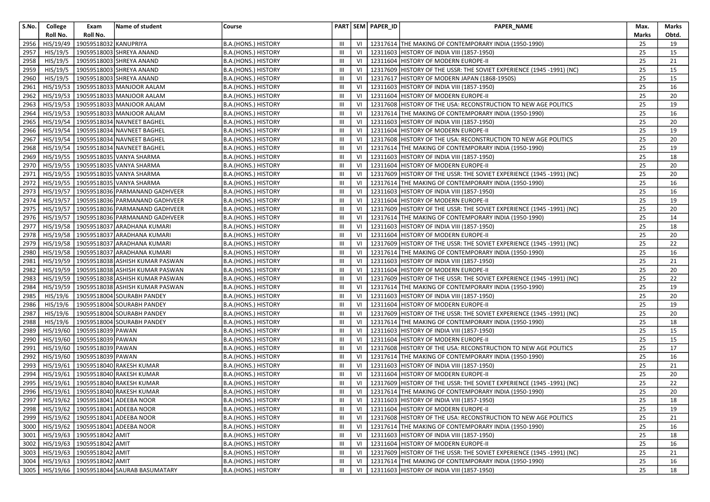| S.No. | College                | Exam                  | Name of student                            | Course                     |                |    | PART SEM PAPER_ID | PAPER_NAME                                                            | Max.  | Marks |
|-------|------------------------|-----------------------|--------------------------------------------|----------------------------|----------------|----|-------------------|-----------------------------------------------------------------------|-------|-------|
|       | Roll No.               | Roll No.              |                                            |                            |                |    |                   |                                                                       | Marks | Obtd. |
| 2956  | HIS/19/49              | 19059518032 KANUPRIYA |                                            | B.A.(HONS.) HISTORY        | Ш              | VI |                   | 12317614   THE MAKING OF CONTEMPORARY INDIA (1950-1990)               | 25    | 19    |
| 2957  | HIS/19/5               |                       | 19059518003 SHREYA ANAND                   | B.A.(HONS.) HISTORY        | Ш              | VI |                   | 12311603 HISTORY OF INDIA VIII (1857-1950)                            | 25    | 15    |
| 2958  | HIS/19/5               |                       | 19059518003 SHREYA ANAND                   | B.A.(HONS.) HISTORY        | $\mathbf{III}$ | VI |                   | 12311604 HISTORY OF MODERN EUROPE-II                                  | 25    | 21    |
| 2959  | HIS/19/5               |                       | 19059518003 SHREYA ANAND                   | B.A.(HONS.) HISTORY        | Ш              | VI |                   | 12317609 HISTORY OF THE USSR: THE SOVIET EXPERIENCE (1945 -1991) (NC) | 25    | 15    |
| 2960  | HIS/19/5               |                       | 19059518003 SHREYA ANAND                   | B.A.(HONS.) HISTORY        | Ш              | VI |                   | 12317617 HISTORY OF MODERN JAPAN (1868-1950S)                         | 25    | 15    |
| 2961  | HIS/19/53              |                       | 19059518033 MANJOOR AALAM                  | B.A.(HONS.) HISTORY        | Ш              | VI |                   | 12311603 HISTORY OF INDIA VIII (1857-1950)                            | 25    | 16    |
| 2962  | $\overline{HIS/19/53}$ |                       | 19059518033 MANJOOR AALAM                  | B.A.(HONS.) HISTORY        | Ш              | VI |                   | 12311604 HISTORY OF MODERN EUROPE-II                                  | 25    | 20    |
| 2963  | HIS/19/53              |                       | 19059518033 MANJOOR AALAM                  | B.A.(HONS.) HISTORY        | Ш              | VI |                   | 12317608 HISTORY OF THE USA: RECONSTRUCTION TO NEW AGE POLITICS       | 25    | 19    |
| 2964  | HIS/19/53              |                       | 19059518033 MANJOOR AALAM                  | B.A.(HONS.) HISTORY        | Ш              | VI |                   | 12317614 THE MAKING OF CONTEMPORARY INDIA (1950-1990)                 | 25    | 16    |
| 2965  | HIS/19/54              |                       | 19059518034 NAVNEET BAGHEL                 | B.A.(HONS.) HISTORY        | Ш              | VI |                   | 12311603 HISTORY OF INDIA VIII (1857-1950)                            | 25    | 20    |
| 2966  | HIS/19/54              |                       | 19059518034 NAVNEET BAGHEL                 | B.A.(HONS.) HISTORY        | Ш              | VI |                   | 12311604 HISTORY OF MODERN EUROPE-II                                  | 25    | 19    |
| 2967  | HIS/19/54              |                       | 19059518034 NAVNEET BAGHEL                 | B.A.(HONS.) HISTORY        | $\mathbf{III}$ | VI |                   | 12317608 HISTORY OF THE USA: RECONSTRUCTION TO NEW AGE POLITICS       | 25    | 20    |
| 2968  | HIS/19/54              |                       | 19059518034 NAVNEET BAGHEL                 | B.A.(HONS.) HISTORY        | Ш              | VI | 12317614          | THE MAKING OF CONTEMPORARY INDIA (1950-1990)                          | 25    | 19    |
| 2969  | HIS/19/55              |                       | 19059518035 VANYA SHARMA                   | B.A.(HONS.) HISTORY        | Ш              | VI |                   | 12311603 HISTORY OF INDIA VIII (1857-1950)                            | 25    | 18    |
| 2970  | HIS/19/55              |                       | 19059518035 VANYA SHARMA                   | B.A.(HONS.) HISTORY        | Ш              | VI | 12311604          | HISTORY OF MODERN EUROPE-II                                           | 25    | 20    |
| 2971  | HIS/19/55              |                       | 19059518035 VANYA SHARMA                   | B.A.(HONS.) HISTORY        | Ш              | VI |                   | 12317609 HISTORY OF THE USSR: THE SOVIET EXPERIENCE (1945 -1991) (NC) | 25    | 20    |
| 2972  | HIS/19/55              |                       | 19059518035 VANYA SHARMA                   | B.A.(HONS.) HISTORY        | Ш              | VI |                   | 12317614 THE MAKING OF CONTEMPORARY INDIA (1950-1990)                 | 25    | 16    |
| 2973  | HIS/19/57              |                       | 19059518036 PARMANAND GADHVEER             | B.A.(HONS.) HISTORY        | Ш              | VI |                   | 12311603 HISTORY OF INDIA VIII (1857-1950)                            | 25    | 16    |
| 2974  | HIS/19/57              |                       | 19059518036 PARMANAND GADHVEER             | B.A.(HONS.) HISTORY        | Ш              | VI |                   | 12311604 HISTORY OF MODERN EUROPE-II                                  | 25    | 19    |
| 2975  | HIS/19/57              |                       | 19059518036 PARMANAND GADHVEER             | B.A.(HONS.) HISTORY        | Ш              | VI |                   | 12317609 HISTORY OF THE USSR: THE SOVIET EXPERIENCE (1945 -1991) (NC) | 25    | 20    |
| 2976  | HIS/19/57              |                       | 19059518036 PARMANAND GADHVEER             | B.A.(HONS.) HISTORY        | $\mathbf{III}$ | VI |                   | 12317614 THE MAKING OF CONTEMPORARY INDIA (1950-1990)                 | 25    | 14    |
| 2977  | HIS/19/58              |                       | 19059518037 ARADHANA KUMARI                | B.A.(HONS.) HISTORY        | Ш              | VI |                   | 12311603 HISTORY OF INDIA VIII (1857-1950)                            | 25    | 18    |
| 2978  | HIS/19/58              |                       | 19059518037 ARADHANA KUMARI                | B.A.(HONS.) HISTORY        | $\mathbf{III}$ | VI | 12311604          | HISTORY OF MODERN EUROPE-II                                           | 25    | 20    |
| 2979  | HIS/19/58              |                       | 19059518037 ARADHANA KUMARI                | B.A.(HONS.) HISTORY        | Ш              | VI |                   | 12317609 HISTORY OF THE USSR: THE SOVIET EXPERIENCE (1945 -1991) (NC) | 25    | 22    |
| 2980  | HIS/19/58              |                       | 19059518037 ARADHANA KUMARI                | <b>B.A.(HONS.) HISTORY</b> | Ш              | VI |                   | 12317614 THE MAKING OF CONTEMPORARY INDIA (1950-1990)                 | 25    | 16    |
| 2981  | HIS/19/59              |                       | 19059518038 ASHISH KUMAR PASWAN            | B.A.(HONS.) HISTORY        | Ш              | VI |                   | 12311603 HISTORY OF INDIA VIII (1857-1950)                            | 25    | 21    |
| 2982  | HIS/19/59              |                       | 19059518038 ASHISH KUMAR PASWAN            | B.A.(HONS.) HISTORY        | Ш              | VI |                   | 12311604 HISTORY OF MODERN EUROPE-II                                  | 25    | 20    |
| 2983  | HIS/19/59              |                       | 19059518038 ASHISH KUMAR PASWAN            | B.A.(HONS.) HISTORY        | Ш              | VI |                   | 12317609 HISTORY OF THE USSR: THE SOVIET EXPERIENCE (1945 -1991) (NC) | 25    | 22    |
| 2984  | HIS/19/59              |                       | 19059518038 ASHISH KUMAR PASWAN            | B.A.(HONS.) HISTORY        | Ш              | VI |                   | 12317614 THE MAKING OF CONTEMPORARY INDIA (1950-1990)                 | 25    | 19    |
| 2985  | HIS/19/6               |                       | 19059518004 SOURABH PANDEY                 | B.A.(HONS.) HISTORY        | Ш              | VI | 12311603          | HISTORY OF INDIA VIII (1857-1950)                                     | 25    | 20    |
| 2986  | HIS/19/6               |                       | 19059518004 SOURABH PANDEY                 | B.A.(HONS.) HISTORY        | Ш              | VI |                   | 12311604 HISTORY OF MODERN EUROPE-II                                  | 25    | 19    |
| 2987  | HIS/19/6               |                       | 19059518004 SOURABH PANDEY                 | B.A.(HONS.) HISTORY        | Ш              | VI |                   | 12317609 HISTORY OF THE USSR: THE SOVIET EXPERIENCE (1945 -1991) (NC) | 25    | 20    |
| 2988  | HIS/19/6               |                       | 19059518004 SOURABH PANDEY                 | B.A.(HONS.) HISTORY        | Ш              | VI | 12317614          | THE MAKING OF CONTEMPORARY INDIA (1950-1990)                          | 25    | 18    |
| 2989  | HIS/19/60              | 19059518039 PAWAN     |                                            | B.A.(HONS.) HISTORY        | $\mathbf{III}$ | VI |                   | 12311603 HISTORY OF INDIA VIII (1857-1950)                            | 25    | 15    |
| 2990  | HIS/19/60              | 19059518039 PAWAN     |                                            | B.A.(HONS.) HISTORY        | Ш              | VI |                   | 12311604 HISTORY OF MODERN EUROPE-II                                  | 25    | 15    |
| 2991  | HIS/19/60              | 19059518039 PAWAN     |                                            | B.A.(HONS.) HISTORY        | Ш              | VI |                   | 12317608 HISTORY OF THE USA: RECONSTRUCTION TO NEW AGE POLITICS       | 25    | 17    |
| 2992  | HIS/19/60              | 19059518039 PAWAN     |                                            | B.A.(HONS.) HISTORY        | $\mathbf{III}$ | VI | 12317614          | THE MAKING OF CONTEMPORARY INDIA (1950-1990)                          | 25    | 16    |
| 2993  | HIS/19/61              |                       | 19059518040 RAKESH KUMAR                   | B.A.(HONS.) HISTORY        | Ш              | VI | 12311603          | HISTORY OF INDIA VIII (1857-1950)                                     | 25    | 21    |
| 2994  | HIS/19/61              |                       | 19059518040 RAKESH KUMAR                   | B.A.(HONS.) HISTORY        | Ш              | VI |                   | 12311604 HISTORY OF MODERN EUROPE-II                                  | 25    | 20    |
| 2995  | HIS/19/61              |                       | 19059518040 RAKESH KUMAR                   | B.A.(HONS.) HISTORY        | Ш              | VI | 12317609          | HISTORY OF THE USSR: THE SOVIET EXPERIENCE (1945 -1991) (NC)          | 25    | 22    |
| 2996  | HIS/19/61              |                       | 19059518040 RAKESH KUMAR                   | B.A.(HONS.) HISTORY        | Ш              | VI |                   | 12317614 THE MAKING OF CONTEMPORARY INDIA (1950-1990)                 | 25    | 20    |
|       |                        |                       | 2997 HIS/19/62 19059518041 ADEEBA NOOR     | B.A.(HONS.) HISTORY        | $\mathbf{III}$ |    |                   | VI   12311603   HISTORY OF INDIA VIII (1857-1950)                     | 25    | 18    |
|       |                        |                       | 2998   HIS/19/62   19059518041 ADEEBA NOOR | B.A.(HONS.) HISTORY        | Ш              |    |                   | VI   12311604 HISTORY OF MODERN EUROPE-II                             | 25    | 19    |
| 2999  |                        |                       | HIS/19/62 19059518041 ADEEBA NOOR          | B.A.(HONS.) HISTORY        | Ш              | VI |                   | 12317608 HISTORY OF THE USA: RECONSTRUCTION TO NEW AGE POLITICS       | 25    | 21    |
| 3000  |                        |                       | HIS/19/62 19059518041 ADEEBA NOOR          | B.A.(HONS.) HISTORY        | Ш              | VI |                   | 12317614 THE MAKING OF CONTEMPORARY INDIA (1950-1990)                 | 25    | 16    |
| 3001  | HIS/19/63              | 19059518042 AMIT      |                                            | B.A.(HONS.) HISTORY        | Ш              | VI |                   | 12311603 HISTORY OF INDIA VIII (1857-1950)                            | 25    | 18    |
| 3002  | HIS/19/63              | 19059518042 AMIT      |                                            | B.A.(HONS.) HISTORY        | Ш              | VI |                   | 12311604 HISTORY OF MODERN EUROPE-II                                  | 25    | 16    |
| 3003  | HIS/19/63              | 19059518042 AMIT      |                                            | B.A.(HONS.) HISTORY        | Ш              | VI |                   | 12317609 HISTORY OF THE USSR: THE SOVIET EXPERIENCE (1945 -1991) (NC) | 25    | 21    |
| 3004  | HIS/19/63              | 19059518042 AMIT      |                                            | B.A.(HONS.) HISTORY        | Ш              | VI |                   | 12317614 THE MAKING OF CONTEMPORARY INDIA (1950-1990)                 | 25    | 16    |
| 3005  |                        |                       | HIS/19/66   19059518044 SAURAB BASUMATARY  | <b>B.A.(HONS.) HISTORY</b> | III            | VI |                   | 12311603 HISTORY OF INDIA VIII (1857-1950)                            | 25    | 18    |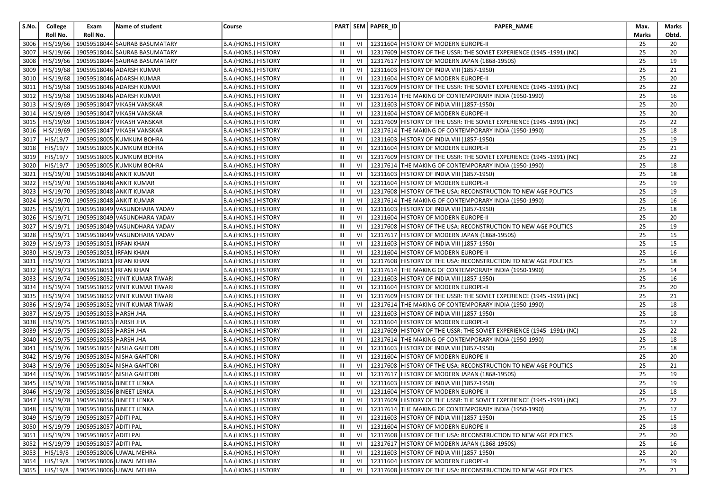| S.No. | College                | Exam                            | Name of student                             | Course                     |                |    | PART SEM PAPER_ID | PAPER_NAME                                                                 | Max.  | Marks |
|-------|------------------------|---------------------------------|---------------------------------------------|----------------------------|----------------|----|-------------------|----------------------------------------------------------------------------|-------|-------|
|       | Roll No.               | Roll No.                        |                                             |                            |                |    |                   |                                                                            | Marks | Obtd. |
| 3006  | HIS/19/66              |                                 | 19059518044 SAURAB BASUMATARY               | B.A.(HONS.) HISTORY        | Ш              | VI |                   | 12311604 HISTORY OF MODERN EUROPE-II                                       | 25    | 20    |
| 3007  | HIS/19/66              |                                 | 19059518044 SAURAB BASUMATARY               | B.A.(HONS.) HISTORY        | Ш              | VI |                   | 12317609 HISTORY OF THE USSR: THE SOVIET EXPERIENCE (1945 -1991) (NC)      | 25    | 20    |
| 3008  | HIS/19/66              |                                 | 19059518044 SAURAB BASUMATARY               | B.A.(HONS.) HISTORY        | $\mathbf{III}$ | VI |                   | 12317617 HISTORY OF MODERN JAPAN (1868-1950S)                              | 25    | 19    |
| 3009  | HIS/19/68              |                                 | 19059518046 ADARSH KUMAR                    | B.A.(HONS.) HISTORY        | Ш              | VI | 12311603          | HISTORY OF INDIA VIII (1857-1950)                                          | 25    | 21    |
| 3010  | HIS/19/68              |                                 | 19059518046 ADARSH KUMAR                    | B.A.(HONS.) HISTORY        | Ш              | VI |                   | 12311604 HISTORY OF MODERN EUROPE-II                                       | 25    | 20    |
| 3011  | HIS/19/68              |                                 | 19059518046 ADARSH KUMAR                    | B.A.(HONS.) HISTORY        | Ш              | VI |                   | 12317609 HISTORY OF THE USSR: THE SOVIET EXPERIENCE (1945 -1991) (NC)      | 25    | 22    |
| 3012  | $\overline{HIS/19/68}$ |                                 | 19059518046 ADARSH KUMAR                    | B.A.(HONS.) HISTORY        | Ш              | VI |                   | 12317614 THE MAKING OF CONTEMPORARY INDIA (1950-1990)                      | 25    | 16    |
| 3013  | HIS/19/69              |                                 | 19059518047 VIKASH VANSKAR                  | B.A.(HONS.) HISTORY        | Ш              | VI |                   | 12311603 HISTORY OF INDIA VIII (1857-1950)                                 | 25    | 20    |
| 3014  | HIS/19/69              |                                 | 19059518047 VIKASH VANSKAR                  | B.A.(HONS.) HISTORY        | Ш              | VI |                   | 12311604 HISTORY OF MODERN EUROPE-II                                       | 25    | 20    |
| 3015  | HIS/19/69              |                                 | 19059518047 VIKASH VANSKAR                  | B.A.(HONS.) HISTORY        | Ш              | VI |                   | 12317609 HISTORY OF THE USSR: THE SOVIET EXPERIENCE (1945 -1991) (NC)      | 25    | 22    |
| 3016  | HIS/19/69              |                                 | 19059518047 VIKASH VANSKAR                  | B.A.(HONS.) HISTORY        | Ш              | VI |                   | 12317614 THE MAKING OF CONTEMPORARY INDIA (1950-1990)                      | 25    | 18    |
| 3017  | HIS/19/7               |                                 | 19059518005 KUMKUM BOHRA                    | B.A.(HONS.) HISTORY        | $\mathbf{III}$ | VI |                   | 12311603 HISTORY OF INDIA VIII (1857-1950)                                 | 25    | 19    |
| 3018  | HIS/19/7               |                                 | 19059518005 KUMKUM BOHRA                    | B.A.(HONS.) HISTORY        | Ш              | VI |                   | 12311604 HISTORY OF MODERN EUROPE-II                                       | 25    | 21    |
| 3019  | HIS/19/7               |                                 | 19059518005 KUMKUM BOHRA                    | B.A.(HONS.) HISTORY        | Ш              | VI |                   | 12317609 HISTORY OF THE USSR: THE SOVIET EXPERIENCE (1945 -1991) (NC)      | 25    | 22    |
| 3020  | HIS/19/7               |                                 | 19059518005 KUMKUM BOHRA                    | B.A.(HONS.) HISTORY        | Ш              | VI | 12317614          | THE MAKING OF CONTEMPORARY INDIA (1950-1990)                               | 25    | 18    |
| 3021  | HIS/19/70              |                                 | 19059518048 ANKIT KUMAR                     | B.A.(HONS.) HISTORY        | Ш              | VI |                   | 12311603 HISTORY OF INDIA VIII (1857-1950)                                 | 25    | 18    |
| 3022  | HIS/19/70              |                                 | 19059518048 ANKIT KUMAR                     | B.A.(HONS.) HISTORY        | Ш              | VI |                   | 12311604 HISTORY OF MODERN EUROPE-II                                       | 25    | 19    |
| 3023  | HIS/19/70              |                                 | 19059518048 ANKIT KUMAR                     | B.A.(HONS.) HISTORY        | Ш              | VI |                   | 12317608 HISTORY OF THE USA: RECONSTRUCTION TO NEW AGE POLITICS            | 25    | 19    |
| 3024  | HIS/19/70              |                                 | 19059518048 ANKIT KUMAR                     | B.A.(HONS.) HISTORY        | Ш              | VI |                   | 12317614 THE MAKING OF CONTEMPORARY INDIA (1950-1990)                      | 25    | 16    |
| 3025  | HIS/19/71              |                                 | 19059518049 VASUNDHARA YADAV                | B.A.(HONS.) HISTORY        | Ш              | VI |                   | 12311603 HISTORY OF INDIA VIII (1857-1950)                                 | 25    | 18    |
| 3026  | HIS/19/71              |                                 | 19059518049 VASUNDHARA YADAV                | B.A.(HONS.) HISTORY        | Ш              | VI |                   | 12311604 HISTORY OF MODERN EUROPE-II                                       | 25    | 20    |
| 3027  | HIS/19/71              |                                 | 19059518049 VASUNDHARA YADAV                | B.A.(HONS.) HISTORY        | Ш              | VI |                   | 12317608 HISTORY OF THE USA: RECONSTRUCTION TO NEW AGE POLITICS            | 25    | 19    |
| 3028  | HIS/19/71              |                                 | 19059518049 VASUNDHARA YADAV                | B.A.(HONS.) HISTORY        | Ш              | VI | 12317617          | HISTORY OF MODERN JAPAN (1868-1950S)                                       | 25    | 15    |
| 3029  | HIS/19/73              | 19059518051 IRFAN KHAN          |                                             | B.A.(HONS.) HISTORY        | Ш              | VI |                   | 12311603 HISTORY OF INDIA VIII (1857-1950)                                 | 25    | 15    |
| 3030  | HIS/19/73              | 19059518051 IRFAN KHAN          |                                             | <b>B.A.(HONS.) HISTORY</b> | Ш              | VI |                   | 12311604 HISTORY OF MODERN EUROPE-II                                       | 25    | 16    |
| 3031  | HIS/19/73              | 19059518051 IRFAN KHAN          |                                             | B.A.(HONS.) HISTORY        | Ш              | VI |                   | 12317608 HISTORY OF THE USA: RECONSTRUCTION TO NEW AGE POLITICS            | 25    | 18    |
| 3032  | HIS/19/73              | 19059518051 IRFAN KHAN          |                                             | B.A.(HONS.) HISTORY        | Ш              | VI |                   | 12317614 THE MAKING OF CONTEMPORARY INDIA (1950-1990)                      | 25    | 14    |
| 3033  | HIS/19/74              |                                 | 19059518052 VINIT KUMAR TIWARI              | B.A.(HONS.) HISTORY        | Ш              | VI |                   | 12311603 HISTORY OF INDIA VIII (1857-1950)                                 | 25    | 16    |
| 3034  | HIS/19/74              |                                 | 19059518052 VINIT KUMAR TIWARI              | B.A.(HONS.) HISTORY        | $\mathbf{III}$ | VI |                   | 12311604 HISTORY OF MODERN EUROPE-II                                       | 25    | 20    |
| 3035  | HIS/19/74              |                                 | 19059518052 VINIT KUMAR TIWARI              | B.A.(HONS.) HISTORY        | $\mathbf{III}$ | VI |                   | 12317609 HISTORY OF THE USSR: THE SOVIET EXPERIENCE (1945 -1991) (NC)      | 25    | 21    |
| 3036  | HIS/19/74              |                                 | 19059518052 VINIT KUMAR TIWARI              | B.A.(HONS.) HISTORY        | Ш              | VI |                   | 12317614 THE MAKING OF CONTEMPORARY INDIA (1950-1990)                      | 25    | 18    |
| 3037  | HIS/19/75              | 19059518053 HARSH JHA           |                                             | B.A.(HONS.) HISTORY        | Ш              | VI |                   | 12311603 HISTORY OF INDIA VIII (1857-1950)                                 | 25    | 18    |
| 3038  | HIS/19/75              | 19059518053 HARSH JHA           |                                             | B.A.(HONS.) HISTORY        | Ш              | VI |                   | 12311604 HISTORY OF MODERN EUROPE-II                                       | 25    | 17    |
| 3039  | HIS/19/75              | 19059518053 HARSH JHA           |                                             | B.A.(HONS.) HISTORY        | Ш              | VI |                   | 12317609 HISTORY OF THE USSR: THE SOVIET EXPERIENCE (1945 -1991) (NC)      | 25    | 22    |
| 3040  | HIS/19/75              | 19059518053 HARSH JHA           |                                             | B.A.(HONS.) HISTORY        | Ш              | VI |                   | 12317614 THE MAKING OF CONTEMPORARY INDIA (1950-1990)                      | 25    | 18    |
| 3041  | HIS/19/76              |                                 | 19059518054 NISHA GAHTORI                   | B.A.(HONS.) HISTORY        | Ш              | VI | 12311603          | HISTORY OF INDIA VIII (1857-1950)                                          | 25    | 18    |
| 3042  | HIS/19/76              |                                 | 19059518054 NISHA GAHTORI                   | B.A.(HONS.) HISTORY        | $\mathbf{III}$ | VI | 12311604          | HISTORY OF MODERN EUROPE-II                                                | 25    | 20    |
| 3043  | HIS/19/76              |                                 | 19059518054 NISHA GAHTORI                   | B.A.(HONS.) HISTORY        | Ш              | VI |                   | 12317608 HISTORY OF THE USA: RECONSTRUCTION TO NEW AGE POLITICS            | 25    | 21    |
| 3044  | HIS/19/76              |                                 | 19059518054 NISHA GAHTORI                   | B.A.(HONS.) HISTORY        | Ш              | VI |                   | 12317617 HISTORY OF MODERN JAPAN (1868-1950S)                              | 25    | 19    |
| 3045  | HIS/19/78              |                                 | 19059518056 BINEET LENKA                    | B.A.(HONS.) HISTORY        | Ш              | VI | 12311603          | HISTORY OF INDIA VIII (1857-1950)                                          | 25    | 19    |
| 3046  |                        |                                 | HIS/19/78   19059518056 BINEET LENKA        | B.A.(HONS.) HISTORY        | Ш              | VI |                   | 12311604 HISTORY OF MODERN EUROPE-II                                       | 25    | 18    |
|       |                        |                                 | 3047 HIS/19/78 19059518056 BINEET LENKA     | B.A.(HONS.) HISTORY        | $\mathbf{III}$ |    |                   | VI   12317609 HISTORY OF THE USSR: THE SOVIET EXPERIENCE (1945 -1991) (NC) | 25    | 22    |
|       |                        |                                 | 3048   HIS/19/78   19059518056 BINEET LENKA | B.A.(HONS.) HISTORY        | Ш              |    |                   | VI   12317614   THE MAKING OF CONTEMPORARY INDIA (1950-1990)               | 25    | 17    |
| 3049  |                        | HIS/19/79 19059518057 ADITI PAL |                                             | B.A.(HONS.) HISTORY        | Ш              | VI |                   | 12311603 HISTORY OF INDIA VIII (1857-1950)                                 | 25    | 15    |
| 3050  |                        | HIS/19/79 19059518057 ADITI PAL |                                             | B.A.(HONS.) HISTORY        | Ш              | VI |                   | 12311604 HISTORY OF MODERN EUROPE-II                                       | 25    | 18    |
| 3051  | HIS/19/79              | 19059518057 ADITI PAL           |                                             | B.A.(HONS.) HISTORY        | Ш              | VI |                   | 12317608 HISTORY OF THE USA: RECONSTRUCTION TO NEW AGE POLITICS            | 25    | 20    |
| 3052  | HIS/19/79              | 19059518057 ADITI PAL           |                                             | B.A.(HONS.) HISTORY        | Ш              | VI |                   | 12317617 HISTORY OF MODERN JAPAN (1868-1950S)                              | 25    | 16    |
| 3053  | HIS/19/8               |                                 | 19059518006 UJWAL MEHRA                     | B.A.(HONS.) HISTORY        | Ш              | VI |                   | 12311603 HISTORY OF INDIA VIII (1857-1950)                                 | 25    | 20    |
| 3054  | HIS/19/8               |                                 | 19059518006 UJWAL MEHRA                     | B.A.(HONS.) HISTORY        | Ш              | VI |                   | 12311604 HISTORY OF MODERN EUROPE-II                                       | 25    | 19    |
| 3055  | HIS/19/8               |                                 | 19059518006 UJWAL MEHRA                     | B.A.(HONS.) HISTORY        | Ш              | VI |                   | 12317608 HISTORY OF THE USA: RECONSTRUCTION TO NEW AGE POLITICS            | 25    | 21    |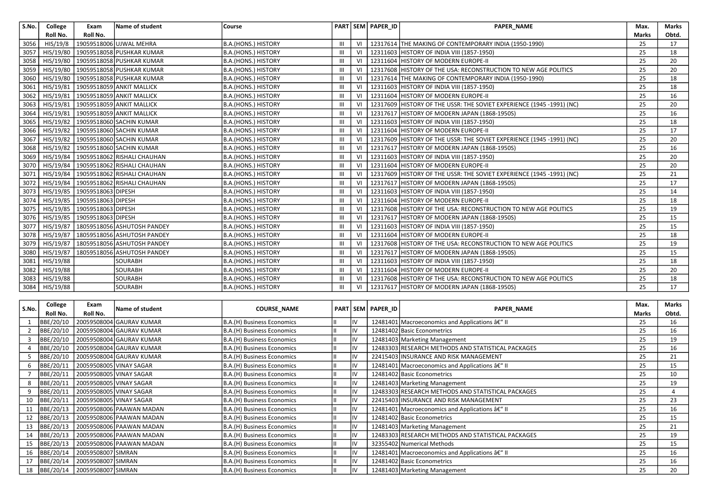| S.No. | College        | Exam               | Name of student             | l Course            |   |    | PART SEM PAPER ID | <b>PAPER NAME</b>                                                     | Max.         | <b>Marks</b> |
|-------|----------------|--------------------|-----------------------------|---------------------|---|----|-------------------|-----------------------------------------------------------------------|--------------|--------------|
|       | Roll No.       | Roll No.           |                             |                     |   |    |                   |                                                                       | <b>Marks</b> | Obtd.        |
| 3056  | HIS/19/8       |                    | 19059518006 UJWAL MEHRA     | B.A.(HONS.) HISTORY | Ш | VI |                   | 12317614 THE MAKING OF CONTEMPORARY INDIA (1950-1990)                 | 25           | 17           |
| 3057  | HIS/19/80      |                    | 19059518058 PUSHKAR KUMAR   | B.A.(HONS.) HISTORY | Ш | VI |                   | 12311603 HISTORY OF INDIA VIII (1857-1950)                            | 25           | 18           |
| 3058  | HIS/19/80      |                    | 19059518058 PUSHKAR KUMAR   | B.A.(HONS.) HISTORY | Ш | VI |                   | 12311604 HISTORY OF MODERN EUROPE-II                                  | 25           | 20           |
| 3059  | HIS/19/80      |                    | 19059518058 PUSHKAR KUMAR   | B.A.(HONS.) HISTORY | Ш | VI |                   | 12317608 HISTORY OF THE USA: RECONSTRUCTION TO NEW AGE POLITICS       | 25           | 20           |
| 3060  | HIS/19/80      |                    | 19059518058 PUSHKAR KUMAR   | B.A.(HONS.) HISTORY | Ш | VI |                   | 12317614 THE MAKING OF CONTEMPORARY INDIA (1950-1990)                 | 25           | 18           |
| 3061  | HIS/19/81      |                    | 19059518059 ANKIT MALLICK   | B.A.(HONS.) HISTORY | Ш | VI |                   | 12311603 HISTORY OF INDIA VIII (1857-1950)                            | 25           | 18           |
| 3062  | HIS/19/81      |                    | 19059518059 ANKIT MALLICK   | B.A.(HONS.) HISTORY | Ш | VI |                   | 12311604 HISTORY OF MODERN EUROPE-II                                  | 25           | 16           |
| 3063  | HIS/19/81      |                    | 19059518059 ANKIT MALLICK   | B.A.(HONS.) HISTORY | Ш | VI |                   | 12317609 HISTORY OF THE USSR: THE SOVIET EXPERIENCE (1945 -1991) (NC) | 25           | 20           |
| 3064  | HIS/19/81      |                    | 19059518059 ANKIT MALLICK   | B.A.(HONS.) HISTORY | Ш | VI |                   | 12317617 HISTORY OF MODERN JAPAN (1868-1950S)                         | 25           | 16           |
| 3065  | HIS/19/82      |                    | 19059518060 SACHIN KUMAR    | B.A.(HONS.) HISTORY | Ш | VI |                   | 12311603 HISTORY OF INDIA VIII (1857-1950)                            | 25           | 18           |
| 3066  | HIS/19/82      |                    | 19059518060 SACHIN KUMAR    | B.A.(HONS.) HISTORY | Ш | VI |                   | 12311604 HISTORY OF MODERN EUROPE-II                                  | 25           | 17           |
| 3067  | HIS/19/82      |                    | 19059518060 SACHIN KUMAR    | B.A.(HONS.) HISTORY | Ш | VI |                   | 12317609 HISTORY OF THE USSR: THE SOVIET EXPERIENCE (1945 -1991) (NC) | 25           | 20           |
| 3068  | HIS/19/82      |                    | 19059518060 SACHIN KUMAR    | B.A.(HONS.) HISTORY | Ш | VI |                   | 12317617 HISTORY OF MODERN JAPAN (1868-1950S)                         | 25           | 16           |
| 3069  | HIS/19/84      |                    | 19059518062 RISHALI CHAUHAN | B.A.(HONS.) HISTORY | Ш |    |                   | 12311603 HISTORY OF INDIA VIII (1857-1950)                            | 25           | 20           |
| 3070  | HIS/19/84      |                    | 19059518062 RISHALI CHAUHAN | B.A.(HONS.) HISTORY | Ш | VI |                   | 12311604 HISTORY OF MODERN EUROPE-II                                  | 25           | 20           |
| 3071  | HIS/19/84      |                    | 19059518062 RISHALI CHAUHAN | B.A.(HONS.) HISTORY | Ш | VI |                   | 12317609 HISTORY OF THE USSR: THE SOVIET EXPERIENCE (1945 -1991) (NC) | 25           | 21           |
| 3072  | HIS/19/84      |                    | 19059518062 RISHALI CHAUHAN | B.A.(HONS.) HISTORY | Ш | VI |                   | 12317617 HISTORY OF MODERN JAPAN (1868-1950S)                         | 25           | 17           |
| 3073  | HIS/19/85      | 19059518063 DIPESH |                             | B.A.(HONS.) HISTORY | Ш | VI |                   | 12311603 HISTORY OF INDIA VIII (1857-1950)                            | 25           | 14           |
| 3074  | HIS/19/85      | 19059518063 DIPESH |                             | B.A.(HONS.) HISTORY | Ш |    |                   | 12311604 HISTORY OF MODERN EUROPE-II                                  | 25           | 18           |
| 3075  | HIS/19/85      | 19059518063 DIPESH |                             | B.A.(HONS.) HISTORY | Ш | VI |                   | 12317608 HISTORY OF THE USA: RECONSTRUCTION TO NEW AGE POLITICS       | 25           | 19           |
| 3076  | HIS/19/85      | 19059518063 DIPESH |                             | B.A.(HONS.) HISTORY | Ш | VI |                   | 12317617 HISTORY OF MODERN JAPAN (1868-1950S)                         | 25           | 15           |
| 3077  | HIS/19/87      |                    | 18059518056 ASHUTOSH PANDEY | B.A.(HONS.) HISTORY | Ш | VI |                   | 12311603 HISTORY OF INDIA VIII (1857-1950)                            | 25           | 15           |
| 3078  | HIS/19/87      |                    | 18059518056 ASHUTOSH PANDEY | B.A.(HONS.) HISTORY | Ш | VI |                   | 12311604 HISTORY OF MODERN EUROPE-II                                  | 25           | 18           |
| 3079  | HIS/19/87      |                    | 18059518056 ASHUTOSH PANDEY | B.A.(HONS.) HISTORY | Ш | VI |                   | 12317608 HISTORY OF THE USA: RECONSTRUCTION TO NEW AGE POLITICS       | 25           | 19           |
| 3080  | HIS/19/87      |                    | 18059518056 ASHUTOSH PANDEY | B.A.(HONS.) HISTORY | Ш | VI |                   | 12317617 HISTORY OF MODERN JAPAN (1868-1950S)                         | 25           | 15           |
| 3081  | HIS/19/88      |                    | SOURABH                     | B.A.(HONS.) HISTORY | Ш | VI |                   | 12311603 HISTORY OF INDIA VIII (1857-1950)                            | 25           | 18           |
| 3082  | HIS/19/88      |                    | <b>SOURABH</b>              | B.A.(HONS.) HISTORY | Ш | VI | 12311604          | <b>HISTORY OF MODERN EUROPE-II</b>                                    | 25           | 20           |
| 3083  | HIS/19/88      |                    | <b>SOURABH</b>              | B.A.(HONS.) HISTORY | Ш | VI |                   | 12317608 HISTORY OF THE USA: RECONSTRUCTION TO NEW AGE POLITICS       | 25           | 18           |
|       | 3084 HIS/19/88 |                    | SOURABH                     | B.A.(HONS.) HISTORY |   |    |                   | 12317617 HISTORY OF MODERN JAPAN (1868-1950S)                         | 25           | 17           |

| S.No. | College   | Exam                    | Name of student          | <b>COURSE NAME</b>         |     | PART SEM PAPER ID | <b>PAPER NAME</b>                                  | Max.  | <b>Marks</b> |
|-------|-----------|-------------------------|--------------------------|----------------------------|-----|-------------------|----------------------------------------------------|-------|--------------|
|       | Roll No.  | Roll No.                |                          |                            |     |                   |                                                    | Marks | Obtd.        |
|       | BBE/20/10 |                         | 20059508004 GAURAV KUMAR | B.A.(H) Business Economics | ΠV  |                   | 12481401   Macroeconomics and Applications â€" II  | 25    | 16           |
|       | BBE/20/10 |                         | 20059508004 GAURAV KUMAR | B.A.(H) Business Economics | ΠV  |                   | 12481402 Basic Econometrics                        | 25    | 16           |
|       | BBE/20/10 |                         | 20059508004 GAURAV KUMAR | B.A.(H) Business Economics | ΠV  |                   | 12481403 Marketing Management                      | 25    | 19           |
|       | BBE/20/10 |                         | 20059508004 GAURAV KUMAR | B.A.(H) Business Economics | ΠV  |                   | 12483303 RESEARCH METHODS AND STATISTICAL PACKAGES | 25    | 16           |
|       | BBE/20/10 |                         | 20059508004 GAURAV KUMAR | B.A.(H) Business Economics | ΠV  |                   | 22415403 INSURANCE AND RISK MANAGEMENT             | 25    | 21           |
| 6     | BBE/20/11 | 20059508005 VINAY SAGAR |                          | B.A.(H) Business Economics | ΠV  |                   | 12481401 Macroeconomics and Applications â€" II    | 25    | 15           |
|       | BBE/20/11 | 20059508005 VINAY SAGAR |                          | B.A.(H) Business Economics | ΠV  |                   | 12481402 Basic Econometrics                        | 25    | 10           |
| 8     | BBE/20/11 | 20059508005 VINAY SAGAR |                          | B.A.(H) Business Economics | ΠV  |                   | 12481403 Marketing Management                      | 25    | 19           |
|       | BBE/20/11 | 20059508005 VINAY SAGAR |                          | B.A.(H) Business Economics | ΠV  |                   | 12483303 RESEARCH METHODS AND STATISTICAL PACKAGES | 25    |              |
|       | BBE/20/11 | 20059508005 VINAY SAGAR |                          | B.A.(H) Business Economics | ΠV  |                   | 22415403 INSURANCE AND RISK MANAGEMENT             | 25    | 23           |
|       | BBE/20/13 |                         | 20059508006 PAAWAN MADAN | B.A.(H) Business Economics | ΠV  |                   | 12481401 Macroeconomics and Applications â€" II    | 25    | 16           |
| 12    | BBE/20/13 |                         | 20059508006 PAAWAN MADAN | B.A.(H) Business Economics | ١I٧ |                   | 12481402 Basic Econometrics                        | 25    | 15           |
| 13    | BBE/20/13 |                         | 20059508006 PAAWAN MADAN | B.A.(H) Business Economics | ΠV  |                   | 12481403 Marketing Management                      | 25    | 21           |
| 14    | BBE/20/13 |                         | 20059508006 PAAWAN MADAN | B.A.(H) Business Economics | ١I٧ |                   | 12483303 RESEARCH METHODS AND STATISTICAL PACKAGES | 25    | 19           |
| 15    | BBE/20/13 |                         | 20059508006 PAAWAN MADAN | B.A.(H) Business Economics | ١I٧ |                   | 32355402 Numerical Methods                         | 25    | 15           |
| 16    | BBE/20/14 | 20059508007 SIMRAN      |                          | B.A.(H) Business Economics | ΠV  |                   | 12481401 Macroeconomics and Applications â€" II    | 25    | 16           |
|       | BBE/20/14 | 20059508007 SIMRAN      |                          | B.A.(H) Business Economics | liv |                   | 12481402 Basic Econometrics                        | 25    | 16           |
| 18    | BBE/20/14 | 20059508007 SIMRAN      |                          | B.A.(H) Business Economics | ΠV  |                   | 12481403 Marketing Management                      | 25    | 20           |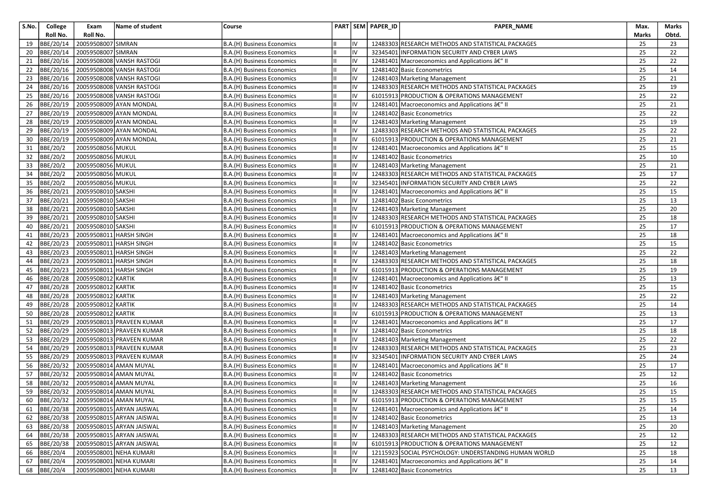| S.No. | College         | Exam               | Name of student                     | Course                     |    |    | PART SEM PAPER_ID | PAPER_NAME                                            | Max.         | <b>Marks</b> |
|-------|-----------------|--------------------|-------------------------------------|----------------------------|----|----|-------------------|-------------------------------------------------------|--------------|--------------|
|       | Roll No.        | Roll No.           |                                     |                            |    |    |                   |                                                       | <b>Marks</b> | Obtd.        |
| 19    | BBE/20/14       | 20059508007 SIMRAN |                                     | B.A.(H) Business Economics |    | IV |                   | 12483303 RESEARCH METHODS AND STATISTICAL PACKAGES    | 25           | 23           |
| 20    | BBE/20/14       | 20059508007 SIMRAN |                                     | B.A.(H) Business Economics |    | IV |                   | 32345401 INFORMATION SECURITY AND CYBER LAWS          | 25           | 22           |
| 21    | BBE/20/16       |                    | 20059508008 VANSH RASTOGI           | B.A.(H) Business Economics |    | IV |                   | 12481401 Macroeconomics and Applications â€" II       | 25           | 22           |
| 22    | BBE/20/16       |                    | 20059508008 VANSH RASTOGI           | B.A.(H) Business Economics |    | IV |                   | 12481402 Basic Econometrics                           | 25           | 14           |
| 23    | BBE/20/16       |                    | 20059508008 VANSH RASTOGI           | B.A.(H) Business Economics | IШ | IV |                   | 12481403 Marketing Management                         | 25           | 21           |
| 24    | BBE/20/16       |                    | 20059508008 VANSH RASTOGI           | B.A.(H) Business Economics | Ш  | IV |                   | 12483303 RESEARCH METHODS AND STATISTICAL PACKAGES    | 25           | 19           |
| 25    | BBE/20/16       |                    | 20059508008 VANSH RASTOGI           | B.A.(H) Business Economics |    | IV |                   | 61015913 PRODUCTION & OPERATIONS MANAGEMENT           | 25           | 22           |
| 26    | BBE/20/19       |                    | 20059508009 AYAN MONDAL             | B.A.(H) Business Economics |    | IV |                   | 12481401 Macroeconomics and Applications â€" II       | 25           | 21           |
| 27    | BBE/20/19       |                    | 20059508009 AYAN MONDAL             | B.A.(H) Business Economics | Iн | IV |                   | 12481402 Basic Econometrics                           | 25           | 22           |
| 28    | BBE/20/19       |                    | 20059508009 AYAN MONDAL             | B.A.(H) Business Economics |    | IV |                   | 12481403 Marketing Management                         | 25           | 19           |
| 29    | BBE/20/19       |                    | 20059508009 AYAN MONDAL             | B.A.(H) Business Economics |    | IV |                   | 12483303 RESEARCH METHODS AND STATISTICAL PACKAGES    | 25           | 22           |
| 30    | BBE/20/19       |                    | 20059508009 AYAN MONDAL             | B.A.(H) Business Economics |    | IV |                   | 61015913 PRODUCTION & OPERATIONS MANAGEMENT           | 25           | 21           |
| 31    | BBE/20/2        | 20059508056 MUKUL  |                                     | B.A.(H) Business Economics | Ш  | IV |                   | 12481401 Macroeconomics and Applications â€" II       | 25           | 15           |
| 32    | <b>BBE/20/2</b> | 20059508056 MUKUL  |                                     | B.A.(H) Business Economics |    | IV |                   | 12481402 Basic Econometrics                           | 25           | 10           |
| 33    | <b>BBE/20/2</b> | 20059508056 MUKUL  |                                     | B.A.(H) Business Economics |    | IV |                   | 12481403 Marketing Management                         | 25           | 21           |
| 34    | <b>BBE/20/2</b> | 20059508056 MUKUL  |                                     | B.A.(H) Business Economics | Ш  | IV |                   | 12483303 RESEARCH METHODS AND STATISTICAL PACKAGES    | 25           | 17           |
| 35    | BBE/20/2        | 20059508056 MUKUL  |                                     | B.A.(H) Business Economics |    | IV |                   | 32345401 INFORMATION SECURITY AND CYBER LAWS          | 25           | 22           |
| 36    | BBE/20/21       | 20059508010 SAKSHI |                                     | B.A.(H) Business Economics |    | IV |                   | 12481401 Macroeconomics and Applications â€" II       | 25           | 15           |
| 37    | BBE/20/21       | 20059508010 SAKSHI |                                     | B.A.(H) Business Economics |    | IV |                   | 12481402 Basic Econometrics                           | 25           | 13           |
| 38    | BBE/20/21       | 20059508010 SAKSHI |                                     | B.A.(H) Business Economics | Ш  | IV |                   | 12481403 Marketing Management                         | 25           | 20           |
| 39    | BBE/20/21       | 20059508010 SAKSHI |                                     | B.A.(H) Business Economics |    | IV |                   | 12483303 RESEARCH METHODS AND STATISTICAL PACKAGES    | 25           | 18           |
| 40    | BBE/20/21       | 20059508010 SAKSHI |                                     | B.A.(H) Business Economics |    | IV |                   | 61015913 PRODUCTION & OPERATIONS MANAGEMENT           | 25           | 17           |
| 41    | BBE/20/23       |                    | 20059508011 HARSH SINGH             | B.A.(H) Business Economics | Iн | IV |                   | 12481401 Macroeconomics and Applications â€" II       | 25           | 18           |
| 42    | BBE/20/23       |                    | 20059508011 HARSH SINGH             | B.A.(H) Business Economics |    | IV |                   | 12481402 Basic Econometrics                           | 25           | 15           |
| 43    | BBE/20/23       |                    | 20059508011 HARSH SINGH             | B.A.(H) Business Economics |    | IV |                   | 12481403 Marketing Management                         | 25           | 22           |
| 44    | BBE/20/23       |                    | 20059508011 HARSH SINGH             | B.A.(H) Business Economics |    | IV |                   | 12483303 RESEARCH METHODS AND STATISTICAL PACKAGES    | 25           | 18           |
| 45    | BBE/20/23       |                    | 20059508011 HARSH SINGH             | B.A.(H) Business Economics | IШ | IV |                   | 61015913 PRODUCTION & OPERATIONS MANAGEMENT           | 25           | 19           |
| 46    | BBE/20/28       | 20059508012 KARTIK |                                     | B.A.(H) Business Economics |    | IV |                   | 12481401 Macroeconomics and Applications â€" II       | 25           | 13           |
| 47    | BBE/20/28       | 20059508012 KARTIK |                                     | B.A.(H) Business Economics |    | IV |                   | 12481402 Basic Econometrics                           | 25           | 15           |
| 48    | BBE/20/28       | 20059508012 KARTIK |                                     | B.A.(H) Business Economics |    | IV |                   | 12481403 Marketing Management                         | 25           | 22           |
| 49    | BBE/20/28       | 20059508012        | <b>KARTIK</b>                       | B.A.(H) Business Economics | Ш  | IV |                   | 12483303 RESEARCH METHODS AND STATISTICAL PACKAGES    | 25           | 14           |
| 50    | BBE/20/28       | 20059508012 KARTIK |                                     | B.A.(H) Business Economics |    | IV |                   | 61015913 PRODUCTION & OPERATIONS MANAGEMENT           | 25           | 13           |
| 51    | BBE/20/29       |                    | 20059508013 PRAVEEN KUMAR           | B.A.(H) Business Economics |    | IV |                   | 12481401 Macroeconomics and Applications â€" II       | 25           | 17           |
| 52    | BBE/20/29       |                    | 20059508013 PRAVEEN KUMAR           | B.A.(H) Business Economics | Ш  | IV |                   | 12481402 Basic Econometrics                           | 25           | 18           |
| 53    | BBE/20/29       |                    | 20059508013 PRAVEEN KUMAR           | B.A.(H) Business Economics |    | IV |                   | 12481403 Marketing Management                         | 25           | 22           |
| 54    | BBE/20/29       |                    | 20059508013 PRAVEEN KUMAR           | B.A.(H) Business Economics |    | IV |                   | 12483303 RESEARCH METHODS AND STATISTICAL PACKAGES    | 25           | 23           |
| 55    | BBE/20/29       |                    | 20059508013 PRAVEEN KUMAR           | B.A.(H) Business Economics |    | IV |                   | 32345401 INFORMATION SECURITY AND CYBER LAWS          | 25           | 24           |
| 56    | BBE/20/32       |                    | 20059508014 AMAN MUYAL              | B.A.(H) Business Economics | Ш  | IV |                   | 12481401 Macroeconomics and Applications â€" II       | 25           | 17           |
| 57    | BBE/20/32       |                    | 20059508014 AMAN MUYAL              | B.A.(H) Business Economics |    | IV |                   | 12481402 Basic Econometrics                           | 25           | 12           |
| 58    | BBE/20/32       |                    | 20059508014 AMAN MUYAL              | B.A.(H) Business Economics |    | IV |                   | 12481403 Marketing Management                         | 25           | 16           |
| 59    | BBE/20/32       |                    | 20059508014 AMAN MUYAL              | B.A.(H) Business Economics | Iн | IV |                   | 12483303 RESEARCH METHODS AND STATISTICAL PACKAGES    | 25           | 15           |
|       |                 |                    | 60 BBE/20/32 20059508014 AMAN MUYAL | B.A.(H) Business Economics | Ш  | IV |                   | 61015913 PRODUCTION & OPERATIONS MANAGEMENT           | 25           | 15           |
| 61    | BBE/20/38       |                    | 20059508015 ARYAN JAISWAL           | B.A.(H) Business Economics | Ш  | IV |                   | 12481401 Macroeconomics and Applications â€" II       | 25           | 14           |
|       | 62 BBE/20/38    |                    | 20059508015 ARYAN JAISWAL           | B.A.(H) Business Economics |    | IV |                   | 12481402 Basic Econometrics                           | 25           | 13           |
| 63    | BBE/20/38       |                    | 20059508015 ARYAN JAISWAL           | B.A.(H) Business Economics |    | IV |                   | 12481403 Marketing Management                         | 25           | 20           |
| 64    | BBE/20/38       |                    | 20059508015 ARYAN JAISWAL           | B.A.(H) Business Economics |    | IV |                   | 12483303 RESEARCH METHODS AND STATISTICAL PACKAGES    | 25           | 12           |
| 65    | BBE/20/38       |                    | 20059508015 ARYAN JAISWAL           | B.A.(H) Business Economics |    | IV |                   | 61015913 PRODUCTION & OPERATIONS MANAGEMENT           | 25           | 12           |
| 66    | BBE/20/4        |                    | 20059508001 NEHA KUMARI             | B.A.(H) Business Economics | IШ | IV |                   | 12115923 SOCIAL PSYCHOLOGY: UNDERSTANDING HUMAN WORLD | 25           | 18           |
|       | 67 BBE/20/4     |                    | 20059508001 NEHA KUMARI             | B.A.(H) Business Economics | Ш  | IV |                   | 12481401 Macroeconomics and Applications â€" II       | 25           | 14           |
|       | 68 BBE/20/4     |                    | 20059508001 NEHA KUMARI             | B.A.(H) Business Economics |    | IV |                   | 12481402 Basic Econometrics                           | 25           | 13           |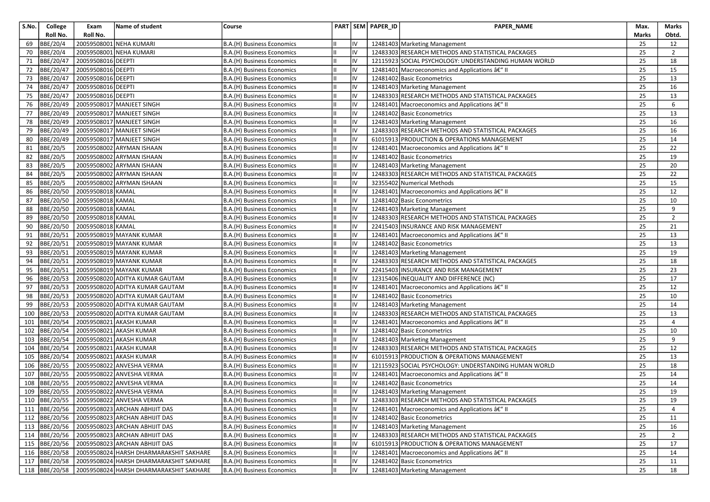| S.No. | College         | Exam               | Name of student                         | Course                            |    |    | PART SEM PAPER_ID | PAPER_NAME                                            | Max.         | Marks          |
|-------|-----------------|--------------------|-----------------------------------------|-----------------------------------|----|----|-------------------|-------------------------------------------------------|--------------|----------------|
|       | Roll No.        | Roll No.           |                                         |                                   |    |    |                   |                                                       | <b>Marks</b> | Obtd.          |
| 69    | <b>BBE/20/4</b> | 20059508001        | NEHA KUMARI                             | B.A.(H) Business Economics        |    | IV |                   | 12481403 Marketing Management                         | 25           | 12             |
| 70    | BBE/20/4        | 20059508001        | NEHA KUMARI                             | B.A.(H) Business Economics        |    | IV |                   | 12483303 RESEARCH METHODS AND STATISTICAL PACKAGES    | 25           | $\overline{2}$ |
| 71    | BBE/20/47       | 20059508016 DEEPTI |                                         | B.A.(H) Business Economics        |    | IV |                   | 12115923 SOCIAL PSYCHOLOGY: UNDERSTANDING HUMAN WORLD | 25           | 18             |
| 72    | BBE/20/47       | 20059508016 DEEPTI |                                         | B.A.(H) Business Economics        |    | IV |                   | 12481401 Macroeconomics and Applications â€" II       | 25           | 15             |
| 73    | BBE/20/47       | 20059508016 DEEPTI |                                         | B.A.(H) Business Economics        | IШ | IV |                   | 12481402 Basic Econometrics                           | 25           | 13             |
| 74    | BBE/20/47       | 20059508016 DEEPTI |                                         | B.A.(H) Business Economics        | Ш  | IV |                   | 12481403 Marketing Management                         | 25           | 16             |
| 75    | BBE/20/47       | 20059508016 DEEPTI |                                         | B.A.(H) Business Economics        |    | IV |                   | 12483303 RESEARCH METHODS AND STATISTICAL PACKAGES    | 25           | 13             |
| 76    | BBE/20/49       |                    | 20059508017 MANJEET SINGH               | B.A.(H) Business Economics        |    | IV |                   | 12481401 Macroeconomics and Applications â€" II       | 25           | 6              |
| 77    | BBE/20/49       |                    | 20059508017 MANJEET SINGH               | B.A.(H) Business Economics        | Iн | IV |                   | 12481402 Basic Econometrics                           | 25           | 13             |
| 78    | BBE/20/49       |                    | 20059508017 MANJEET SINGH               | B.A.(H) Business Economics        |    | IV |                   | 12481403 Marketing Management                         | 25           | 16             |
| 79    | BBE/20/49       |                    | 20059508017 MANJEET SINGH               | B.A.(H) Business Economics        |    | IV |                   | 12483303 RESEARCH METHODS AND STATISTICAL PACKAGES    | 25           | 16             |
| 80    | BBE/20/49       |                    | 20059508017 MANJEET SINGH               | B.A.(H) Business Economics        |    | IV |                   | 61015913 PRODUCTION & OPERATIONS MANAGEMENT           | 25           | 14             |
| 81    | BBE/20/5        |                    | 20059508002 ARYMAN ISHAAN               | B.A.(H) Business Economics        | Ш  | IV |                   | 12481401 Macroeconomics and Applications â€" II       | 25           | 22             |
| 82    | <b>BBE/20/5</b> |                    | 20059508002 ARYMAN ISHAAN               | B.A.(H) Business Economics        |    | IV |                   | 12481402 Basic Econometrics                           | 25           | 19             |
| 83    | <b>BBE/20/5</b> |                    | 20059508002 ARYMAN ISHAAN               | B.A.(H) Business Economics        |    | IV |                   | 12481403 Marketing Management                         | 25           | 20             |
| 84    | <b>BBE/20/5</b> |                    | 20059508002 ARYMAN ISHAAN               | B.A.(H) Business Economics        | Iн | IV |                   | 12483303 RESEARCH METHODS AND STATISTICAL PACKAGES    | 25           | 22             |
| 85    | BBE/20/5        |                    | 20059508002 ARYMAN ISHAAN               | B.A.(H) Business Economics        |    | IV |                   | 32355402 Numerical Methods                            | 25           | 15             |
| 86    | BBE/20/50       | 20059508018 KAMAL  |                                         | B.A.(H) Business Economics        |    | IV |                   | 12481401 Macroeconomics and Applications â€" II       | 25           | 12             |
| 87    | BBE/20/50       | 20059508018 KAMAL  |                                         | B.A.(H) Business Economics        |    | IV |                   | 12481402 Basic Econometrics                           | 25           | 10             |
| 88    | BBE/20/50       | 20059508018 KAMAL  |                                         | B.A.(H) Business Economics        |    | IV |                   | 12481403 Marketing Management                         | 25           | 9              |
| 89    | BBE/20/50       | 20059508018 KAMAL  |                                         | B.A.(H) Business Economics        |    | IV |                   | 12483303 RESEARCH METHODS AND STATISTICAL PACKAGES    | 25           | $\overline{2}$ |
| 90    | BBE/20/50       | 20059508018 KAMAL  |                                         | B.A.(H) Business Economics        |    | IV |                   | 22415403 INSURANCE AND RISK MANAGEMENT                | 25           | 21             |
| 91    | BBE/20/51       |                    | 20059508019 MAYANK KUMAR                | B.A.(H) Business Economics        |    | IV |                   | 12481401 Macroeconomics and Applications â€" II       | 25           | 13             |
| 92    | BBE/20/51       |                    | 20059508019 MAYANK KUMAR                | B.A.(H) Business Economics        |    | IV |                   | 12481402 Basic Econometrics                           | 25           | 13             |
| 93    | BBE/20/51       |                    | 20059508019 MAYANK KUMAR                | B.A.(H) Business Economics        |    | IV |                   | 12481403 Marketing Management                         | 25           | 19             |
| 94    | BBE/20/51       |                    | 20059508019 MAYANK KUMAR                | B.A.(H) Business Economics        |    | IV |                   | 12483303 RESEARCH METHODS AND STATISTICAL PACKAGES    | 25           | 18             |
| 95    | BBE/20/51       |                    | 20059508019 MAYANK KUMAR                | B.A.(H) Business Economics        | Ш  | IV |                   | 22415403 INSURANCE AND RISK MANAGEMENT                | 25           | 23             |
| 96    | BBE/20/53       |                    | 20059508020 ADITYA KUMAR GAUTAM         | B.A.(H) Business Economics        |    | IV |                   | 12315406 INEQUALITY AND DIFFERENCE (NC)               | 25           | 17             |
| 97    | BBE/20/53       |                    | 20059508020 ADITYA KUMAR GAUTAM         | B.A.(H) Business Economics        |    | IV |                   | 12481401 Macroeconomics and Applications â€" II       | 25           | 12             |
| 98    | BBE/20/53       |                    | 20059508020 ADITYA KUMAR GAUTAM         | B.A.(H) Business Economics        |    | IV |                   | 12481402 Basic Econometrics                           | 25           | 10             |
| 99    | BBE/20/53       |                    | 20059508020 ADITYA KUMAR GAUTAM         | B.A.(H) Business Economics        |    | IV |                   | 12481403 Marketing Management                         | 25           | 14             |
| 100   | BBE/20/53       |                    | 20059508020 ADITYA KUMAR GAUTAM         | B.A.(H) Business Economics        |    | IV |                   | 12483303 RESEARCH METHODS AND STATISTICAL PACKAGES    | 25           | 13             |
| 101   | BBE/20/54       |                    | 20059508021 AKASH KUMAR                 | B.A.(H) Business Economics        |    | IV |                   | 12481401 Macroeconomics and Applications â€" II       | 25           | $\overline{4}$ |
| 102   | BBE/20/54       |                    | 20059508021 AKASH KUMAR                 | B.A.(H) Business Economics        | Ш  | IV |                   | 12481402 Basic Econometrics                           | 25           | 10             |
| 103   | BBE/20/54       |                    | 20059508021 AKASH KUMAR                 | B.A.(H) Business Economics        |    | IV |                   | 12481403 Marketing Management                         | 25           | 9              |
| 104   | BBE/20/54       |                    | 20059508021 AKASH KUMAR                 | B.A.(H) Business Economics        |    | IV |                   | 12483303 RESEARCH METHODS AND STATISTICAL PACKAGES    | 25           | 12             |
| 105   | BBE/20/54       | 20059508021        | <b>AKASH KUMAR</b>                      | B.A.(H) Business Economics        |    | IV |                   | 61015913 PRODUCTION & OPERATIONS MANAGEMENT           | 25           | 13             |
| 106   | BBE/20/55       |                    | 20059508022 ANVESHA VERMA               | B.A.(H) Business Economics        | Ш  | IV |                   | 12115923 SOCIAL PSYCHOLOGY: UNDERSTANDING HUMAN WORLD | 25           | 18             |
| 107   | BBE/20/55       |                    | 20059508022 ANVESHA VERMA               | B.A.(H) Business Economics        |    | IV |                   | 12481401 Macroeconomics and Applications â€" II       | 25           | 14             |
| 108   | BBE/20/55       |                    | 20059508022 ANVESHA VERMA               | B.A.(H) Business Economics        |    | IV |                   | 12481402 Basic Econometrics                           | 25           | 14             |
| 109   | BBE/20/55       |                    | 20059508022 ANVESHA VERMA               | B.A.(H) Business Economics        | Iн | IV |                   | 12481403 Marketing Management                         | 25           | 19             |
|       |                 |                    | 110 BBE/20/55 20059508022 ANVESHA VERMA | <b>B.A.(H) Business Economics</b> | Ш  | IV |                   | 12483303 RESEARCH METHODS AND STATISTICAL PACKAGES    | 25           | 19             |
|       | 111   BBE/20/56 |                    | 20059508023 ARCHAN ABHIJIT DAS          | B.A.(H) Business Economics        | Ш  | IV |                   | 12481401 Macroeconomics and Applications â€" II       | 25           | 4              |
|       | 112 BBE/20/56   |                    | 20059508023 ARCHAN ABHIJIT DAS          | B.A.(H) Business Economics        |    | IV |                   | 12481402 Basic Econometrics                           | 25           | 11             |
|       | 113 BBE/20/56   |                    | 20059508023 ARCHAN ABHIJIT DAS          | B.A.(H) Business Economics        |    | IV |                   | 12481403 Marketing Management                         | 25           | 16             |
|       | 114 BBE/20/56   |                    | 20059508023 ARCHAN ABHIJIT DAS          | B.A.(H) Business Economics        |    | IV |                   | 12483303 RESEARCH METHODS AND STATISTICAL PACKAGES    | 25           | 2              |
|       | 115 BBE/20/56   |                    | 20059508023 ARCHAN ABHIJIT DAS          | B.A.(H) Business Economics        |    | IV |                   | 61015913 PRODUCTION & OPERATIONS MANAGEMENT           | 25           | 17             |
|       | 116 BBE/20/58   |                    | 20059508024 HARSH DHARMARAKSHIT SAKHARE | B.A.(H) Business Economics        | IШ | IV |                   | 12481401 Macroeconomics and Applications â€" II       | 25           | 14             |
|       | 117  BBE/20/58  |                    | 20059508024 HARSH DHARMARAKSHIT SAKHARE | B.A.(H) Business Economics        |    | IV |                   | 12481402 Basic Econometrics                           | 25           | 11             |
|       | 118 BBE/20/58   |                    | 20059508024 HARSH DHARMARAKSHIT SAKHARE | B.A.(H) Business Economics        |    | IV |                   | 12481403 Marketing Management                         | 25           | 18             |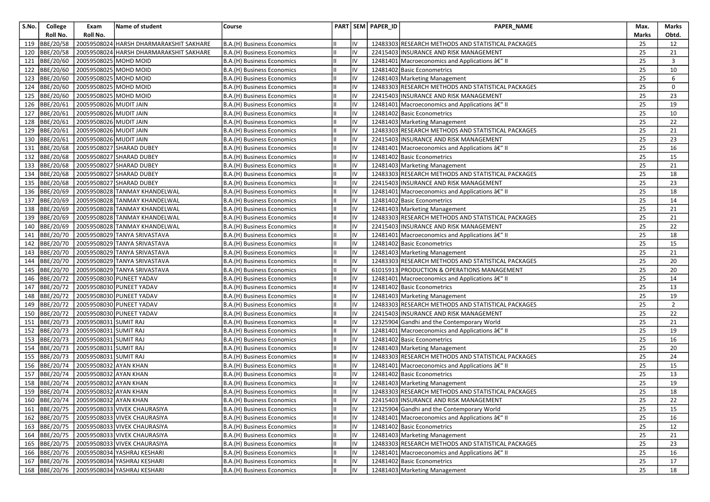| S.No. | College         | Exam                                | Name of student                            | Course                     |    |    | PART SEM PAPER_ID | PAPER_NAME                                         | Max.         | Marks          |
|-------|-----------------|-------------------------------------|--------------------------------------------|----------------------------|----|----|-------------------|----------------------------------------------------|--------------|----------------|
|       | Roll No.        | Roll No.                            |                                            |                            |    |    |                   |                                                    | <b>Marks</b> | Obtd.          |
| 119   | BBE/20/58       | 20059508024                         | HARSH DHARMARAKSHIT SAKHARE                | B.A.(H) Business Economics |    | IV |                   | 12483303 RESEARCH METHODS AND STATISTICAL PACKAGES | 25           | 12             |
| 120   | BBE/20/58       |                                     | 20059508024 HARSH DHARMARAKSHIT SAKHARE    | B.A.(H) Business Economics |    | IV |                   | 22415403 INSURANCE AND RISK MANAGEMENT             | 25           | 21             |
| 121   | BBE/20/60       | 20059508025 MOHD MOID               |                                            | B.A.(H) Business Economics |    | IV |                   | 12481401 Macroeconomics and Applications â€" II    | 25           | 3              |
| 122   | BBE/20/60       | 20059508025 MOHD MOID               |                                            | B.A.(H) Business Economics |    | IV |                   | 12481402 Basic Econometrics                        | 25           | 10             |
| 123   | BBE/20/60       | 20059508025 MOHD MOID               |                                            | B.A.(H) Business Economics | IШ | IV |                   | 12481403 Marketing Management                      | 25           | 6              |
| 124   | BBE/20/60       | 20059508025 MOHD MOID               |                                            | B.A.(H) Business Economics | Ш  | IV |                   | 12483303 RESEARCH METHODS AND STATISTICAL PACKAGES | 25           | 0              |
| 125   | BBE/20/60       | 20059508025 MOHD MOID               |                                            | B.A.(H) Business Economics |    | IV |                   | 22415403 INSURANCE AND RISK MANAGEMENT             | 25           | 23             |
| 126   | BBE/20/61       | 20059508026 MUDIT JAIN              |                                            | B.A.(H) Business Economics |    | IV |                   | 12481401 Macroeconomics and Applications â€" II    | 25           | 19             |
| 127   | BBE/20/61       | 20059508026 MUDIT JAIN              |                                            | B.A.(H) Business Economics |    | IV |                   | 12481402 Basic Econometrics                        | 25           | 10             |
| 128   | BBE/20/61       | 20059508026 MUDIT JAIN              |                                            | B.A.(H) Business Economics |    | IV |                   | 12481403 Marketing Management                      | 25           | 22             |
| 129   | BBE/20/61       | 20059508026 MUDIT JAIN              |                                            | B.A.(H) Business Economics |    | IV |                   | 12483303 RESEARCH METHODS AND STATISTICAL PACKAGES | 25           | 21             |
| 130   | BBE/20/61       | 20059508026 MUDIT JAIN              |                                            | B.A.(H) Business Economics |    | IV |                   | 22415403 INSURANCE AND RISK MANAGEMENT             | 25           | 23             |
| 131   | BBE/20/68       |                                     | 20059508027 SHARAD DUBEY                   | B.A.(H) Business Economics | Ш  | IV |                   | 12481401 Macroeconomics and Applications â€" II    | 25           | 16             |
| 132   | BBE/20/68       |                                     | 20059508027 SHARAD DUBEY                   | B.A.(H) Business Economics |    | IV |                   | 12481402 Basic Econometrics                        | 25           | 15             |
| 133   | BBE/20/68       |                                     | 20059508027 SHARAD DUBEY                   | B.A.(H) Business Economics |    | IV |                   | 12481403 Marketing Management                      | 25           | 21             |
| 134   | BBE/20/68       |                                     | 20059508027 SHARAD DUBEY                   | B.A.(H) Business Economics | Ш  | IV |                   | 12483303 RESEARCH METHODS AND STATISTICAL PACKAGES | 25           | 18             |
| 135   | BBE/20/68       |                                     | 20059508027 SHARAD DUBEY                   | B.A.(H) Business Economics |    | IV |                   | 22415403 INSURANCE AND RISK MANAGEMENT             | 25           | 23             |
| 136   | BBE/20/69       |                                     | 20059508028 TANMAY KHANDELWAL              | B.A.(H) Business Economics |    | IV |                   | 12481401 Macroeconomics and Applications â€" II    | 25           | 18             |
| 137   | BBE/20/69       |                                     | 20059508028 TANMAY KHANDELWAL              | B.A.(H) Business Economics |    | IV |                   | 12481402 Basic Econometrics                        | 25           | 14             |
| 138   | BBE/20/69       |                                     | 20059508028 TANMAY KHANDELWAL              | B.A.(H) Business Economics |    | IV |                   | 12481403 Marketing Management                      | 25           | 21             |
| 139   | BBE/20/69       |                                     | 20059508028 TANMAY KHANDELWAL              | B.A.(H) Business Economics |    | IV |                   | 12483303 RESEARCH METHODS AND STATISTICAL PACKAGES | 25           | 21             |
| 140   | BBE/20/69       |                                     | 20059508028 TANMAY KHANDELWAL              | B.A.(H) Business Economics |    | IV |                   | 22415403 INSURANCE AND RISK MANAGEMENT             | 25           | 22             |
| 141   | BBE/20/70       |                                     | 20059508029 TANYA SRIVASTAVA               | B.A.(H) Business Economics | IШ | IV |                   | 12481401 Macroeconomics and Applications â€" II    | 25           | 18             |
| 142   | BBE/20/70       |                                     | 20059508029 TANYA SRIVASTAVA               | B.A.(H) Business Economics | Ш  | IV |                   | 12481402 Basic Econometrics                        | 25           | 15             |
| 143   | BBE/20/70       |                                     | 20059508029 TANYA SRIVASTAVA               | B.A.(H) Business Economics |    | IV |                   | 12481403 Marketing Management                      | 25           | 21             |
| 144   | BBE/20/70       |                                     | 20059508029 TANYA SRIVASTAVA               | B.A.(H) Business Economics |    | IV |                   | 12483303 RESEARCH METHODS AND STATISTICAL PACKAGES | 25           | 20             |
| 145   | BBE/20/70       |                                     | 20059508029 TANYA SRIVASTAVA               | B.A.(H) Business Economics | Ш  | IV |                   | 61015913 PRODUCTION & OPERATIONS MANAGEMENT        | 25           | 20             |
| 146   | BBE/20/72       |                                     | 20059508030 PUNEET YADAV                   | B.A.(H) Business Economics |    | IV |                   | 12481401 Macroeconomics and Applications â€" II    | 25           | 14             |
| 147   | BBE/20/72       |                                     | 20059508030 PUNEET YADAV                   | B.A.(H) Business Economics |    | IV |                   | 12481402 Basic Econometrics                        | 25           | 13             |
| 148   | BBE/20/72       |                                     | 20059508030 PUNEET YADAV                   | B.A.(H) Business Economics |    | IV |                   | 12481403 Marketing Management                      | 25           | 19             |
| 149   | BBE/20/72       |                                     | 20059508030 PUNEET YADAV                   | B.A.(H) Business Economics |    | IV |                   | 12483303 RESEARCH METHODS AND STATISTICAL PACKAGES | 25           | $\overline{2}$ |
| 150   | BBE/20/72       |                                     | 20059508030 PUNEET YADAV                   | B.A.(H) Business Economics |    | IV |                   | 22415403 INSURANCE AND RISK MANAGEMENT             | 25           | 22             |
| 151   | BBE/20/73       | 20059508031 SUMIT RAJ               |                                            | B.A.(H) Business Economics |    | IV |                   | 12325904 Gandhi and the Contemporary World         | 25           | 21             |
| 152   | BBE/20/73       | 20059508031 SUMIT RAJ               |                                            | B.A.(H) Business Economics | Iн | IV |                   | 12481401 Macroeconomics and Applications â€" II    | 25           | 19             |
| 153   | BBE/20/73       | 20059508031 SUMIT RAJ               |                                            | B.A.(H) Business Economics |    | IV |                   | 12481402 Basic Econometrics                        | 25           | 16             |
| 154   | BBE/20/73       | 20059508031                         | <b>SUMIT RAJ</b>                           | B.A.(H) Business Economics |    | IV |                   | 12481403 Marketing Management                      | 25           | 20             |
| 155   | BBE/20/73       | 20059508031 SUMIT RAJ               |                                            | B.A.(H) Business Economics |    | IV |                   | 12483303 RESEARCH METHODS AND STATISTICAL PACKAGES | 25           | 24             |
| 156   | BBE/20/74       | 20059508032 AYAN KHAN               |                                            | B.A.(H) Business Economics | Ш  | IV |                   | 12481401 Macroeconomics and Applications â€" II    | 25           | 15             |
| 157   | BBE/20/74       | 20059508032 AYAN KHAN               |                                            | B.A.(H) Business Economics |    | IV |                   | 12481402 Basic Econometrics                        | 25           | 13             |
| 158   | BBE/20/74       | 20059508032 AYAN KHAN               |                                            | B.A.(H) Business Economics |    | IV |                   | 12481403 Marketing Management                      | 25           | 19             |
| 159   | BBE/20/74       | 20059508032 AYAN KHAN               |                                            | B.A.(H) Business Economics | Iн | IV |                   | 12483303 RESEARCH METHODS AND STATISTICAL PACKAGES | 25           | 18             |
|       |                 | 160 BBE/20/74 20059508032 AYAN KHAN |                                            | B.A.(H) Business Economics | Ш  | IV |                   | 22415403 INSURANCE AND RISK MANAGEMENT             | 25           | 22             |
|       |                 |                                     | 161 BBE/20/75 20059508033 VIVEK CHAURASIYA | B.A.(H) Business Economics | Ш  | IV |                   | 12325904 Gandhi and the Contemporary World         | 25           | 15             |
|       | 162   BBE/20/75 |                                     | 20059508033 VIVEK CHAURASIYA               | B.A.(H) Business Economics |    | IV |                   | 12481401 Macroeconomics and Applications â€" II    | 25           | 16             |
|       | 163 BBE/20/75   |                                     | 20059508033 VIVEK CHAURASIYA               | B.A.(H) Business Economics |    | IV |                   | 12481402 Basic Econometrics                        | 25           | 12             |
|       | 164 BBE/20/75   |                                     | 20059508033 VIVEK CHAURASIYA               | B.A.(H) Business Economics |    | IV |                   | 12481403 Marketing Management                      | 25           | 21             |
|       | 165 BBE/20/75   |                                     | 20059508033 VIVEK CHAURASIYA               | B.A.(H) Business Economics |    | IV |                   | 12483303 RESEARCH METHODS AND STATISTICAL PACKAGES | 25           | 23             |
|       | $166$ BBE/20/76 |                                     | 20059508034 YASHRAJ KESHARI                | B.A.(H) Business Economics |    | IV |                   | 12481401 Macroeconomics and Applications â€" II    | 25           | 16             |
|       | 167 BBE/20/76   |                                     | 20059508034 YASHRAJ KESHARI                | B.A.(H) Business Economics |    | IV |                   | 12481402 Basic Econometrics                        | 25           | 17             |
|       | 168 BBE/20/76   |                                     | 20059508034 YASHRAJ KESHARI                | B.A.(H) Business Economics |    | IV |                   | 12481403 Marketing Management                      | 25           | 18             |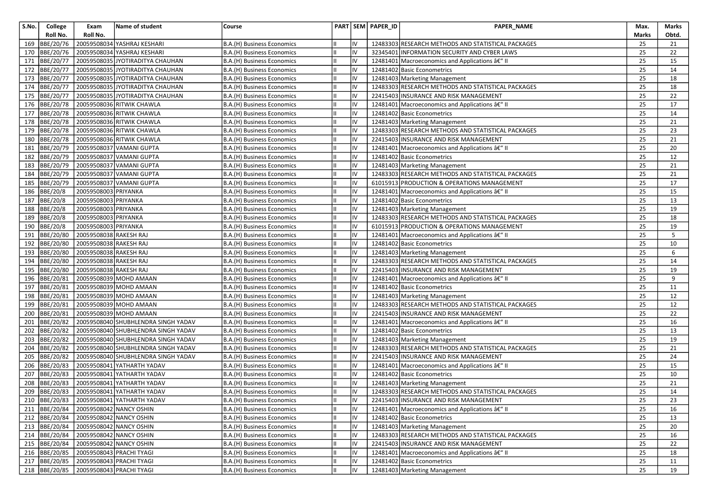| S.No. | College        | Exam                   | Name of student                          | Course                     |    |    | PART SEM PAPER_ID | PAPER_NAME                                         | Max.         | Marks           |
|-------|----------------|------------------------|------------------------------------------|----------------------------|----|----|-------------------|----------------------------------------------------|--------------|-----------------|
|       | Roll No.       | Roll No.               |                                          |                            |    |    |                   |                                                    | <b>Marks</b> | Obtd.           |
| 169   | BBE/20/76      |                        | 20059508034 YASHRAJ KESHARI              | B.A.(H) Business Economics |    | IV |                   | 12483303 RESEARCH METHODS AND STATISTICAL PACKAGES | 25           | 21              |
| 170   | BBE/20/76      |                        | 20059508034 YASHRAJ KESHARI              | B.A.(H) Business Economics |    | IV |                   | 32345401 INFORMATION SECURITY AND CYBER LAWS       | 25           | 22              |
| 171   | BBE/20/77      |                        | 20059508035 JYOTIRADITYA CHAUHAN         | B.A.(H) Business Economics |    | IV |                   | 12481401 Macroeconomics and Applications â€" II    | 25           | 15              |
| 172   | BBE/20/77      |                        | 20059508035 JYOTIRADITYA CHAUHAN         | B.A.(H) Business Economics |    | IV |                   | 12481402 Basic Econometrics                        | 25           | 14              |
| 173   | BBE/20/77      |                        | 20059508035 JYOTIRADITYA CHAUHAN         | B.A.(H) Business Economics | IШ | IV |                   | 12481403 Marketing Management                      | 25           | 18              |
| 174   | BBE/20/77      |                        | 20059508035 JYOTIRADITYA CHAUHAN         | B.A.(H) Business Economics | Ш  | IV |                   | 12483303 RESEARCH METHODS AND STATISTICAL PACKAGES | 25           | 18              |
| 175   | BBE/20/77      |                        | 20059508035 JYOTIRADITYA CHAUHAN         | B.A.(H) Business Economics |    | IV |                   | 22415403 INSURANCE AND RISK MANAGEMENT             | 25           | 22              |
| 176   | BBE/20/78      |                        | 20059508036 RITWIK CHAWLA                | B.A.(H) Business Economics |    | IV |                   | 12481401 Macroeconomics and Applications â€" II    | 25           | 17              |
| 177   | BBE/20/78      |                        | 20059508036 RITWIK CHAWLA                | B.A.(H) Business Economics | Iн | IV |                   | 12481402 Basic Econometrics                        | 25           | 14              |
| 178   | BBE/20/78      |                        | 20059508036 RITWIK CHAWLA                | B.A.(H) Business Economics |    | IV |                   | 12481403 Marketing Management                      | 25           | 21              |
| 179   | BBE/20/78      |                        | 20059508036 RITWIK CHAWLA                | B.A.(H) Business Economics |    | IV |                   | 12483303 RESEARCH METHODS AND STATISTICAL PACKAGES | 25           | 23              |
| 180   | BBE/20/78      |                        | 20059508036 RITWIK CHAWLA                | B.A.(H) Business Economics |    | IV |                   | 22415403 INSURANCE AND RISK MANAGEMENT             | 25           | 21              |
| 181   | BBE/20/79      |                        | 20059508037 VAMANI GUPTA                 | B.A.(H) Business Economics | Ш  | IV |                   | 12481401 Macroeconomics and Applications â€" II    | 25           | 20              |
| 182   | BBE/20/79      |                        | 20059508037 VAMANI GUPTA                 | B.A.(H) Business Economics |    | IV |                   | 12481402 Basic Econometrics                        | 25           | 12              |
| 183   | BBE/20/79      |                        | 20059508037 VAMANI GUPTA                 | B.A.(H) Business Economics |    | IV |                   | 12481403 Marketing Management                      | 25           | 21              |
| 184   | BBE/20/79      |                        | 20059508037 VAMANI GUPTA                 | B.A.(H) Business Economics | Ш  | IV |                   | 12483303 RESEARCH METHODS AND STATISTICAL PACKAGES | 25           | 21              |
| 185   | BBE/20/79      |                        | 20059508037 VAMANI GUPTA                 | B.A.(H) Business Economics |    | IV |                   | 61015913 PRODUCTION & OPERATIONS MANAGEMENT        | 25           | 17              |
| 186   | BBE/20/8       | 20059508003 PRIYANKA   |                                          | B.A.(H) Business Economics |    | IV |                   | 12481401 Macroeconomics and Applications â€" II    | 25           | 15              |
| 187   | BBE/20/8       | 20059508003 PRIYANKA   |                                          | B.A.(H) Business Economics |    | IV |                   | 12481402 Basic Econometrics                        | 25           | 13              |
| 188   | BBE/20/8       | 20059508003 PRIYANKA   |                                          | B.A.(H) Business Economics | Ш  | IV |                   | 12481403 Marketing Management                      | 25           | 19              |
| 189   | BBE/20/8       | 20059508003 PRIYANKA   |                                          | B.A.(H) Business Economics |    | IV |                   | 12483303 RESEARCH METHODS AND STATISTICAL PACKAGES | 25           | 18              |
| 190   | BBE/20/8       | 20059508003 PRIYANKA   |                                          | B.A.(H) Business Economics |    | IV |                   | 61015913 PRODUCTION & OPERATIONS MANAGEMENT        | 25           | 19              |
| 191   | BBE/20/80      | 20059508038 RAKESH RAJ |                                          | B.A.(H) Business Economics |    | IV |                   | 12481401 Macroeconomics and Applications â€" II    | 25           | 5               |
| 192   | BBE/20/80      | 20059508038 RAKESH RAJ |                                          | B.A.(H) Business Economics |    | IV |                   | 12481402 Basic Econometrics                        | 25           | 10              |
| 193   | BBE/20/80      | 20059508038 RAKESH RAJ |                                          | B.A.(H) Business Economics |    | IV |                   | 12481403 Marketing Management                      | 25           | 6               |
| 194   | BBE/20/80      | 20059508038 RAKESH RAJ |                                          | B.A.(H) Business Economics |    | IV |                   | 12483303 RESEARCH METHODS AND STATISTICAL PACKAGES | 25           | 14              |
| 195   | BBE/20/80      | 20059508038 RAKESH RAJ |                                          | B.A.(H) Business Economics | Ш  | IV |                   | 22415403 INSURANCE AND RISK MANAGEMENT             | 25           | 19              |
| 196   | BBE/20/81      |                        | 20059508039 MOHD AMAAN                   | B.A.(H) Business Economics |    | IV |                   | 12481401 Macroeconomics and Applications â€" II    | 25           | 9               |
| 197   | BBE/20/81      |                        | 20059508039 MOHD AMAAN                   | B.A.(H) Business Economics |    | IV |                   | 12481402 Basic Econometrics                        | 25           | 11              |
| 198   | BBE/20/81      |                        | 20059508039 MOHD AMAAN                   | B.A.(H) Business Economics |    | IV |                   | 12481403 Marketing Management                      | 25           | 12              |
| 199   | BBE/20/81      |                        | 20059508039 MOHD AMAAN                   | B.A.(H) Business Economics | Ш  | IV |                   | 12483303 RESEARCH METHODS AND STATISTICAL PACKAGES | 25           | 12              |
| 200   | BBE/20/81      |                        | 20059508039 MOHD AMAAN                   | B.A.(H) Business Economics |    | IV |                   | 22415403 INSURANCE AND RISK MANAGEMENT             | 25           | 22              |
| 201   | BBE/20/82      |                        | 20059508040 SHUBHLENDRA SINGH YADAV      | B.A.(H) Business Economics |    | IV |                   | 12481401 Macroeconomics and Applications â€" II    | 25           | 16              |
| 202   | BBE/20/82      |                        | 20059508040 SHUBHLENDRA SINGH YADAV      | B.A.(H) Business Economics | Ш  | IV |                   | 12481402 Basic Econometrics                        | 25           | 13              |
| 203   | BBE/20/82      |                        | 20059508040 SHUBHLENDRA SINGH YADAV      | B.A.(H) Business Economics |    | IV |                   | 12481403 Marketing Management                      | 25           | 19              |
| 204   | BBE/20/82      |                        | 20059508040 SHUBHLENDRA SINGH YADAV      | B.A.(H) Business Economics |    | IV |                   | 12483303 RESEARCH METHODS AND STATISTICAL PACKAGES | 25           | 21              |
| 205   | BBE/20/82      |                        | 20059508040 SHUBHLENDRA SINGH YADAV      | B.A.(H) Business Economics |    | IV |                   | 22415403 INSURANCE AND RISK MANAGEMENT             | 25           | 24              |
| 206   | BBE/20/83      |                        | 20059508041 YATHARTH YADAV               | B.A.(H) Business Economics | Ш  | IV |                   | 12481401 Macroeconomics and Applications â€" II    | 25           | 15              |
| 207   | BBE/20/83      |                        | 20059508041 YATHARTH YADAV               | B.A.(H) Business Economics |    | IV |                   | 12481402 Basic Econometrics                        | 25           | 10              |
| 208   | BBE/20/83      |                        | 20059508041 YATHARTH YADAV               | B.A.(H) Business Economics |    | IV |                   | 12481403 Marketing Management                      | 25           | 21              |
| 209   | BBE/20/83      |                        | 20059508041 YATHARTH YADAV               | B.A.(H) Business Economics | Iн | IV |                   | 12483303 RESEARCH METHODS AND STATISTICAL PACKAGES | 25           | 14              |
|       |                |                        | 210 BBE/20/83 20059508041 YATHARTH YADAV | B.A.(H) Business Economics | Ш  | IV |                   | 22415403 INSURANCE AND RISK MANAGEMENT             | 25           | $\overline{23}$ |
|       | 211  BBE/20/84 |                        | 20059508042 NANCY OSHIN                  | B.A.(H) Business Economics | Ш  | IV |                   | 12481401 Macroeconomics and Applications â€" II    | 25           | 16              |
|       | 212 BBE/20/84  |                        | 20059508042 NANCY OSHIN                  | B.A.(H) Business Economics |    | IV |                   | 12481402 Basic Econometrics                        | 25           | 13              |
|       | 213 BBE/20/84  |                        | 20059508042 NANCY OSHIN                  | B.A.(H) Business Economics |    | IV |                   | 12481403 Marketing Management                      | 25           | 20              |
|       | 214 BBE/20/84  |                        | 20059508042 NANCY OSHIN                  | B.A.(H) Business Economics |    | IV |                   | 12483303 RESEARCH METHODS AND STATISTICAL PACKAGES | 25           | 16              |
|       | 215  BBE/20/84 |                        | 20059508042 NANCY OSHIN                  | B.A.(H) Business Economics |    | IV |                   | 22415403 INSURANCE AND RISK MANAGEMENT             | 25           | 22              |
|       | 216 BBE/20/85  |                        | 20059508043 PRACHI TYAGI                 | B.A.(H) Business Economics |    | IV |                   | 12481401 Macroeconomics and Applications â€" II    | 25           | 18              |
|       | 217 BBE/20/85  |                        | 20059508043 PRACHI TYAGI                 | B.A.(H) Business Economics |    | IV |                   | 12481402 Basic Econometrics                        | 25           | 11              |
|       | 218 BBE/20/85  |                        | 20059508043 PRACHI TYAGI                 | B.A.(H) Business Economics |    | IV |                   | 12481403 Marketing Management                      | 25           | 19              |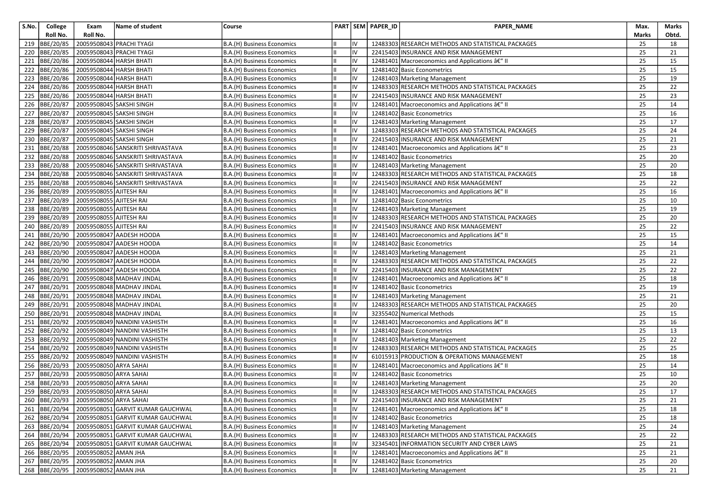| S.No. | College       | Exam                                                       | Name of student                                 | Course                     |          | PART SEM PAPER_ID | <b>PAPER NAME</b>                                  | Max.     | Marks           |
|-------|---------------|------------------------------------------------------------|-------------------------------------------------|----------------------------|----------|-------------------|----------------------------------------------------|----------|-----------------|
|       | Roll No.      | Roll No.                                                   |                                                 |                            |          |                   |                                                    | Marks    | Obtd.           |
| 219   | BBE/20/85     | 20059508043 PRACHI TYAGI                                   |                                                 | B.A.(H) Business Economics | IV       |                   | 12483303 RESEARCH METHODS AND STATISTICAL PACKAGES | 25       | 18              |
| 220   | BBE/20/85     |                                                            | 20059508043 PRACHI TYAGI                        | B.A.(H) Business Economics | IV       |                   | 22415403 INSURANCE AND RISK MANAGEMENT             | 25       | 21              |
| 221   | BBE/20/86     | 20059508044 HARSH BHATI                                    |                                                 | B.A.(H) Business Economics | IV       |                   | 12481401 Macroeconomics and Applications â€" II    | 25       | 15              |
| 222   | BBE/20/86     | 20059508044 HARSH BHATI                                    |                                                 | B.A.(H) Business Economics | IV       |                   | 12481402 Basic Econometrics                        | 25       | 15              |
| 223   | BBE/20/86     | 20059508044 HARSH BHATI                                    |                                                 | B.A.(H) Business Economics | IV       |                   | 12481403 Marketing Management                      | 25       | 19              |
| 224   | BBE/20/86     | 20059508044 HARSH BHATI                                    |                                                 | B.A.(H) Business Economics | IV       |                   | 12483303 RESEARCH METHODS AND STATISTICAL PACKAGES | 25       | 22              |
| 225   | BBE/20/86     | 20059508044 HARSH BHATI                                    |                                                 | B.A.(H) Business Economics | IV       |                   | 22415403 INSURANCE AND RISK MANAGEMENT             | 25       | 23              |
| 226   | BBE/20/87     | 20059508045 SAKSHI SINGH                                   |                                                 | B.A.(H) Business Economics | IV       |                   | 12481401 Macroeconomics and Applications â€" II    | 25       | 14              |
|       | 227 BBE/20/87 | 20059508045 SAKSHI SINGH                                   |                                                 | B.A.(H) Business Economics | IV       |                   | 12481402 Basic Econometrics                        | 25       | 16              |
| 228   | BBE/20/87     | 20059508045 SAKSHI SINGH                                   |                                                 | B.A.(H) Business Economics | IV       |                   | 12481403 Marketing Management                      | 25       | 17              |
| 229   | BBE/20/87     | 20059508045 SAKSHI SINGH                                   |                                                 | B.A.(H) Business Economics | IV       |                   | 12483303 RESEARCH METHODS AND STATISTICAL PACKAGES | 25       | 24              |
| 230   | BBE/20/87     | 20059508045 SAKSHI SINGH                                   |                                                 | B.A.(H) Business Economics | IV       |                   | 22415403 INSURANCE AND RISK MANAGEMENT             | 25       | 21              |
|       | 231 BBE/20/88 |                                                            | 20059508046 SANSKRITI SHRIVASTAVA               | B.A.(H) Business Economics | IV       |                   | 12481401 Macroeconomics and Applications â€" II    | 25       | 23              |
| 232   | BBE/20/88     |                                                            | 20059508046 SANSKRITI SHRIVASTAVA               | B.A.(H) Business Economics | IV       |                   | 12481402 Basic Econometrics                        | 25       | 20              |
| 233   | BBE/20/88     |                                                            | 20059508046 SANSKRITI SHRIVASTAVA               | B.A.(H) Business Economics | IV       |                   | 12481403 Marketing Management                      | 25       | 20              |
| 234   | BBE/20/88     |                                                            | 20059508046 SANSKRITI SHRIVASTAVA               | B.A.(H) Business Economics | IV       |                   | 12483303 RESEARCH METHODS AND STATISTICAL PACKAGES | 25       | 18              |
|       | 235 BBE/20/88 |                                                            | 20059508046 SANSKRITI SHRIVASTAVA               | B.A.(H) Business Economics | IV       |                   | 22415403 INSURANCE AND RISK MANAGEMENT             | 25       | 22              |
| 236   | BBE/20/89     | 20059508055 AJITESH RAI                                    |                                                 | B.A.(H) Business Economics | IV       |                   | 12481401 Macroeconomics and Applications â€" II    | 25       | 16              |
| 237   | BBE/20/89     | 20059508055 AJITESH RAI                                    |                                                 | B.A.(H) Business Economics | IV       |                   | 12481402 Basic Econometrics                        | 25       | 10              |
| 238   | BBE/20/89     | 20059508055 AJITESH RAI                                    |                                                 | B.A.(H) Business Economics | IV       |                   | 12481403 Marketing Management                      | 25       | 19              |
| 239   | BBE/20/89     | 20059508055 AJITESH RAI                                    |                                                 | B.A.(H) Business Economics | IV       |                   | 12483303 RESEARCH METHODS AND STATISTICAL PACKAGES | 25       | 20              |
| 240   | BBE/20/89     | 20059508055 AJITESH RAI                                    |                                                 | B.A.(H) Business Economics | IV       |                   | 22415403 INSURANCE AND RISK MANAGEMENT             | 25       | 22              |
| 241   | BBE/20/90     |                                                            | 20059508047 AADESH HOODA                        | B.A.(H) Business Economics | IV       |                   | 12481401 Macroeconomics and Applications â€" II    | 25       | 15              |
| 242   | BBE/20/90     |                                                            | 20059508047 AADESH HOODA                        | B.A.(H) Business Economics | IV       |                   | 12481402 Basic Econometrics                        | 25       | 14              |
| 243   | BBE/20/90     |                                                            | 20059508047 AADESH HOODA                        | B.A.(H) Business Economics | IV       |                   | 12481403 Marketing Management                      | 25       | 21              |
| 244   | BBE/20/90     |                                                            | 20059508047 AADESH HOODA                        | B.A.(H) Business Economics | IV       |                   | 12483303 RESEARCH METHODS AND STATISTICAL PACKAGES | 25       | 22              |
|       | 245 BBE/20/90 |                                                            | 20059508047 AADESH HOODA                        | B.A.(H) Business Economics | IV       |                   | 22415403 INSURANCE AND RISK MANAGEMENT             | 25       | 22              |
| 246   | BBE/20/91     |                                                            | 20059508048 MADHAV JINDAL                       | B.A.(H) Business Economics | IV       |                   | 12481401 Macroeconomics and Applications â€" II    | 25       | 18              |
| 247   | BBE/20/91     |                                                            | 20059508048 MADHAV JINDAL                       | B.A.(H) Business Economics | IV       |                   | 12481402 Basic Econometrics                        | 25       | 19              |
| 248   | BBE/20/91     |                                                            | 20059508048 MADHAV JINDAL                       | B.A.(H) Business Economics | IV       |                   | 12481403 Marketing Management                      | 25       | 21              |
| 249   | BBE/20/91     |                                                            | 20059508048 MADHAV JINDAL                       | B.A.(H) Business Economics | IV       |                   | 12483303 RESEARCH METHODS AND STATISTICAL PACKAGES | 25       | 20              |
| 250   | BBE/20/91     |                                                            | 20059508048 MADHAV JINDAL                       | B.A.(H) Business Economics | IV       |                   | 32355402 Numerical Methods                         | 25       | 15              |
| 251   | BBE/20/92     |                                                            | 20059508049 NANDINI VASHISTH                    | B.A.(H) Business Economics | IV       |                   | 12481401 Macroeconomics and Applications â€" II    | 25       | 16              |
|       | 252 BBE/20/92 |                                                            | 20059508049 NANDINI VASHISTH                    | B.A.(H) Business Economics | IV       |                   | 12481402 Basic Econometrics                        | 25       | 13              |
| 253   | BBE/20/92     |                                                            | 20059508049 NANDINI VASHISTH                    | B.A.(H) Business Economics | IV       |                   | 12481403 Marketing Management                      | 25       | 22              |
| 254   | BBE/20/92     |                                                            | 20059508049 NANDINI VASHISTH                    | B.A.(H) Business Economics | IV       |                   | 12483303 RESEARCH METHODS AND STATISTICAL PACKAGES | 25       | 25              |
| 255   | BBE/20/92     |                                                            | 20059508049 NANDINI VASHISTH                    | B.A.(H) Business Economics | IV       |                   | 61015913 PRODUCTION & OPERATIONS MANAGEMENT        | 25       | 18              |
| 256   | BBE/20/93     | 20059508050 ARYA SAHAI                                     |                                                 | B.A.(H) Business Economics | IV       |                   | 12481401 Macroeconomics and Applications â€" II    | 25       | 14              |
| 257   | BBE/20/93     | 20059508050 ARYA SAHAI                                     |                                                 | B.A.(H) Business Economics | IV       |                   | 12481402 Basic Econometrics                        | 25       | 10              |
| 258   | BBE/20/93     | 20059508050 ARYA SAHAI                                     |                                                 | B.A.(H) Business Economics | IV       |                   | 12481403 Marketing Management                      | 25       | 20              |
|       | 259 BBE/20/93 | 20059508050 ARYA SAHAI                                     |                                                 | B.A.(H) Business Economics | IV       |                   | 12483303 RESEARCH METHODS AND STATISTICAL PACKAGES | 25       | 17              |
|       |               | 260 BBE/20/93 20059508050 ARYA SAHAI                       |                                                 | B.A.(H) Business Economics | IV       |                   | 22415403 INSURANCE AND RISK MANAGEMENT             | 25       | $\overline{21}$ |
|       |               |                                                            | 261 BBE/20/94 20059508051 GARVIT KUMAR GAUCHWAL | B.A.(H) Business Economics | IV       |                   | 12481401 Macroeconomics and Applications â€" II    | 25       | 18              |
|       | 262 BBE/20/94 |                                                            | 20059508051 GARVIT KUMAR GAUCHWAL               | B.A.(H) Business Economics | IV       |                   | 12481402 Basic Econometrics                        | 25       | 18              |
|       | 263 BBE/20/94 |                                                            | 20059508051 GARVIT KUMAR GAUCHWAL               | B.A.(H) Business Economics | IV       |                   | 12481403 Marketing Management                      | 25       | 24              |
|       |               |                                                            | 264 BBE/20/94 20059508051 GARVIT KUMAR GAUCHWAL | B.A.(H) Business Economics | IV       |                   | 12483303 RESEARCH METHODS AND STATISTICAL PACKAGES | 25       | 22              |
|       | 265 BBE/20/94 | 20059508052 AMAN JHA                                       | 20059508051 GARVIT KUMAR GAUCHWAL               | B.A.(H) Business Economics | IV<br>IV |                   | 32345401 INFORMATION SECURITY AND CYBER LAWS       | 25       | 21              |
|       | 266 BBE/20/95 |                                                            |                                                 | B.A.(H) Business Economics |          |                   | 12481401 Macroeconomics and Applications â€" II    | 25       | 21              |
|       | 267 BBE/20/95 | 20059508052 AMAN JHA<br>268 BBE/20/95 20059508052 AMAN JHA |                                                 | B.A.(H) Business Economics | IV<br>IV |                   | 12481402 Basic Econometrics                        | 25<br>25 | 20              |
|       |               |                                                            |                                                 | B.A.(H) Business Economics |          |                   | 12481403 Marketing Management                      |          | 21              |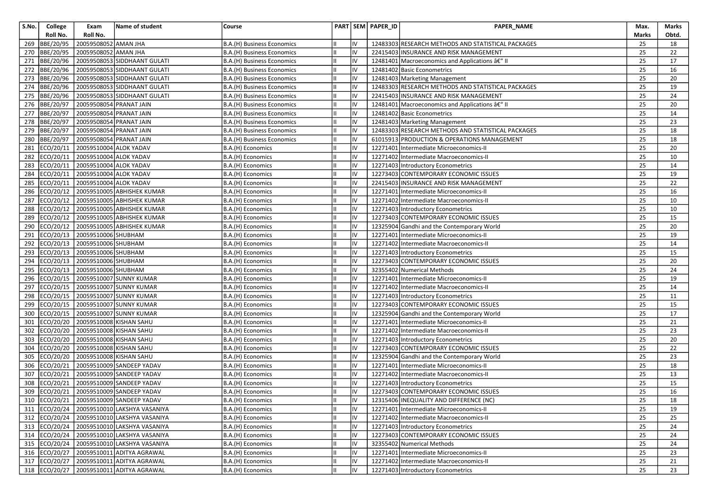| S.No. | College   | Exam                             | Name of student                            | Course                     |    | PART SEM PAPER_ID | PAPER_NAME                                         | Max.         | Marks |
|-------|-----------|----------------------------------|--------------------------------------------|----------------------------|----|-------------------|----------------------------------------------------|--------------|-------|
|       | Roll No.  | Roll No.                         |                                            |                            |    |                   |                                                    | <b>Marks</b> | Obtd. |
| 269   | BBE/20/95 | 20059508052 AMAN JHA             |                                            | B.A.(H) Business Economics | IV |                   | 12483303 RESEARCH METHODS AND STATISTICAL PACKAGES | 25           | 18    |
| 270   | BBE/20/95 | 20059508052 AMAN JHA             |                                            | B.A.(H) Business Economics | IV |                   | 22415403 INSURANCE AND RISK MANAGEMENT             | 25           | 22    |
| 271   | BBE/20/96 |                                  | 20059508053 SIDDHAANT GULATI               | B.A.(H) Business Economics | IV |                   | 12481401 Macroeconomics and Applications â€" II    | 25           | 17    |
| 272   | BBE/20/96 |                                  | 20059508053 SIDDHAANT GULATI               | B.A.(H) Business Economics | IV |                   | 12481402 Basic Econometrics                        | 25           | 16    |
| 273   | BBE/20/96 |                                  | 20059508053 SIDDHAANT GULATI               | B.A.(H) Business Economics | IV |                   | 12481403 Marketing Management                      | 25           | 20    |
| 274   | BBE/20/96 |                                  | 20059508053 SIDDHAANT GULATI               | B.A.(H) Business Economics | IV |                   | 12483303 RESEARCH METHODS AND STATISTICAL PACKAGES | 25           | 19    |
| 275   | BBE/20/96 |                                  | 20059508053 SIDDHAANT GULATI               | B.A.(H) Business Economics | IV |                   | 22415403 INSURANCE AND RISK MANAGEMENT             | 25           | 24    |
| 276   | BBE/20/97 | 20059508054 PRANAT JAIN          |                                            | B.A.(H) Business Economics | IV |                   | 12481401 Macroeconomics and Applications â€" II    | 25           | 20    |
| 277   | BBE/20/97 | 20059508054 PRANAT JAIN          |                                            | B.A.(H) Business Economics | IV |                   | 12481402 Basic Econometrics                        | 25           | 14    |
| 278   | BBE/20/97 | 20059508054 PRANAT JAIN          |                                            | B.A.(H) Business Economics | IV |                   | 12481403 Marketing Management                      | 25           | 23    |
| 279   | BBE/20/97 | 20059508054 PRANAT JAIN          |                                            | B.A.(H) Business Economics | IV |                   | 12483303 RESEARCH METHODS AND STATISTICAL PACKAGES | 25           | 18    |
| 280   | BBE/20/97 | 20059508054 PRANAT JAIN          |                                            | B.A.(H) Business Economics | IV |                   | 61015913 PRODUCTION & OPERATIONS MANAGEMENT        | 25           | 18    |
| 281   | ECO/20/11 | 20059510004 ALOK YADAV           |                                            | B.A.(H) Economics          | IV |                   | 12271401 Intermediate Microeconomics-II            | 25           | 20    |
| 282   | ECO/20/11 | 20059510004 ALOK YADAV           |                                            | B.A.(H) Economics          | IV |                   | 12271402 Intermediate Macroeconomics-II            | 25           | 10    |
| 283   | ECO/20/11 | 20059510004 ALOK YADAV           |                                            | B.A.(H) Economics          | IV |                   | 12271403 Introductory Econometrics                 | 25           | 14    |
| 284   | ECO/20/11 | 20059510004 ALOK YADAV           |                                            | B.A.(H) Economics          | IV |                   | 12273403 CONTEMPORARY ECONOMIC ISSUES              | 25           | 19    |
| 285   |           | ECO/20/11 20059510004 ALOK YADAV |                                            | B.A.(H) Economics          | IV |                   | 22415403 INSURANCE AND RISK MANAGEMENT             | 25           | 22    |
| 286   |           |                                  | ECO/20/12 20059510005 ABHISHEK KUMAR       | B.A.(H) Economics          | IV |                   | 12271401 Intermediate Microeconomics-II            | 25           | 16    |
| 287   | ECO/20/12 |                                  | 20059510005 ABHISHEK KUMAR                 | B.A.(H) Economics          | IV |                   | 12271402 Intermediate Macroeconomics-II            | 25           | 10    |
| 288   |           |                                  | ECO/20/12 20059510005 ABHISHEK KUMAR       | B.A.(H) Economics          | IV |                   | 12271403 Introductory Econometrics                 | 25           | 10    |
| 289   |           |                                  | ECO/20/12 20059510005 ABHISHEK KUMAR       | B.A.(H) Economics          | IV |                   | 12273403 CONTEMPORARY ECONOMIC ISSUES              | 25           | 15    |
| 290   | ECO/20/12 |                                  | 20059510005 ABHISHEK KUMAR                 | B.A.(H) Economics          | IV |                   | 12325904 Gandhi and the Contemporary World         | 25           | 20    |
| 291   | ECO/20/13 | 20059510006 SHUBHAM              |                                            | B.A.(H) Economics          | IV |                   | 12271401 Intermediate Microeconomics-II            | 25           | 19    |
| 292   |           | ECO/20/13 20059510006 SHUBHAM    |                                            | B.A.(H) Economics          | IV |                   | 12271402 Intermediate Macroeconomics-II            | 25           | 14    |
| 293   |           | ECO/20/13 20059510006 SHUBHAM    |                                            | B.A.(H) Economics          | IV |                   | 12271403 Introductory Econometrics                 | 25           | 15    |
| 294   |           | ECO/20/13 20059510006 SHUBHAM    |                                            | B.A.(H) Economics          | IV |                   | 12273403 CONTEMPORARY ECONOMIC ISSUES              | 25           | 20    |
| 295   |           | ECO/20/13 20059510006 SHUBHAM    |                                            | B.A.(H) Economics          | IV |                   | 32355402 Numerical Methods                         | 25           | 24    |
| 296   |           |                                  | ECO/20/15 20059510007 SUNNY KUMAR          | B.A.(H) Economics          | IV |                   | 12271401 Intermediate Microeconomics-II            | 25           | 19    |
| 297   |           |                                  | ECO/20/15 20059510007 SUNNY KUMAR          | B.A.(H) Economics          | IV |                   | 12271402 Intermediate Macroeconomics-II            | 25           | 14    |
| 298   | ECO/20/15 |                                  | 20059510007 SUNNY KUMAR                    | B.A.(H) Economics          | IV |                   | 12271403 Introductory Econometrics                 | 25           | 11    |
| 299   | ECO/20/15 |                                  | 20059510007 SUNNY KUMAR                    | B.A.(H) Economics          | IV |                   | 12273403 CONTEMPORARY ECONOMIC ISSUES              | 25           | 15    |
| 300   | ECO/20/15 |                                  | 20059510007 SUNNY KUMAR                    | B.A.(H) Economics          | IV |                   | 12325904 Gandhi and the Contemporary World         | 25           | 17    |
| 301   | ECO/20/20 | 20059510008 KISHAN SAHU          |                                            | B.A.(H) Economics          | IV |                   | 12271401 Intermediate Microeconomics-II            | 25           | 21    |
| 302   | ECO/20/20 | 20059510008 KISHAN SAHU          |                                            | B.A.(H) Economics          | IV |                   | 12271402 Intermediate Macroeconomics-II            | 25           | 23    |
| 303   | ECO/20/20 | 20059510008 KISHAN SAHU          |                                            | B.A.(H) Economics          | IV |                   | 12271403 Introductory Econometrics                 | 25           | 20    |
| 304   | ECO/20/20 | 20059510008 KISHAN SAHU          |                                            | B.A.(H) Economics          | IV |                   | 12273403 CONTEMPORARY ECONOMIC ISSUES              | 25           | 22    |
| 305   | ECO/20/20 | 20059510008 KISHAN SAHU          |                                            | B.A.(H) Economics          | IV |                   | 12325904 Gandhi and the Contemporary World         | 25           | 23    |
| 306   | ECO/20/21 |                                  | 20059510009 SANDEEP YADAV                  | B.A.(H) Economics          | IV |                   | 12271401 Intermediate Microeconomics-II            | 25           | 18    |
| 307   |           |                                  | ECO/20/21 20059510009 SANDEEP YADAV        | B.A.(H) Economics          | IV |                   | 12271402 Intermediate Macroeconomics-II            | 25           | 13    |
| 308   | ECO/20/21 |                                  | 20059510009 SANDEEP YADAV                  | B.A.(H) Economics          | IV |                   | 12271403 Introductory Econometrics                 | 25           | 15    |
| 309   |           |                                  | ECO/20/21 20059510009 SANDEEP YADAV        | B.A.(H) Economics          | IV |                   | 12273403 CONTEMPORARY ECONOMIC ISSUES              | 25           | 16    |
|       |           |                                  | 310 ECO/20/21 20059510009 SANDEEP YADAV    | B.A.(H) Economics          | IV |                   | 12315406 INEQUALITY AND DIFFERENCE (NC)            | 25           | 18    |
|       |           |                                  | 311 ECO/20/24 20059510010 LAKSHYA VASANIYA | B.A.(H) Economics          | IV |                   | 12271401 Intermediate Microeconomics-II            | 25           | 19    |
|       |           |                                  | 312 ECO/20/24 20059510010 LAKSHYA VASANIYA | B.A.(H) Economics          | IV |                   | 12271402 Intermediate Macroeconomics-II            | 25           | 25    |
|       |           |                                  | 313 ECO/20/24 20059510010 LAKSHYA VASANIYA | B.A.(H) Economics          | IV |                   | 12271403 Introductory Econometrics                 | 25           | 24    |
|       |           |                                  | 314 ECO/20/24 20059510010 LAKSHYA VASANIYA | B.A.(H) Economics          | IV |                   | 12273403 CONTEMPORARY ECONOMIC ISSUES              | 25           | 24    |
|       |           |                                  | 315 ECO/20/24 20059510010 LAKSHYA VASANIYA | B.A.(H) Economics          | IV |                   | 32355402 Numerical Methods                         | 25           | 24    |
|       |           |                                  | 316 ECO/20/27 20059510011 ADITYA AGRAWAL   | B.A.(H) Economics          | IV |                   | 12271401 Intermediate Microeconomics-II            | 25           | 23    |
|       |           |                                  | 317 ECO/20/27 20059510011 ADITYA AGRAWAL   | B.A.(H) Economics          | IV |                   | 12271402 Intermediate Macroeconomics-II            | 25           | 21    |
|       |           |                                  | 318 ECO/20/27 20059510011 ADITYA AGRAWAL   | B.A.(H) Economics          | IV |                   | 12271403 Introductory Econometrics                 | 25           | 23    |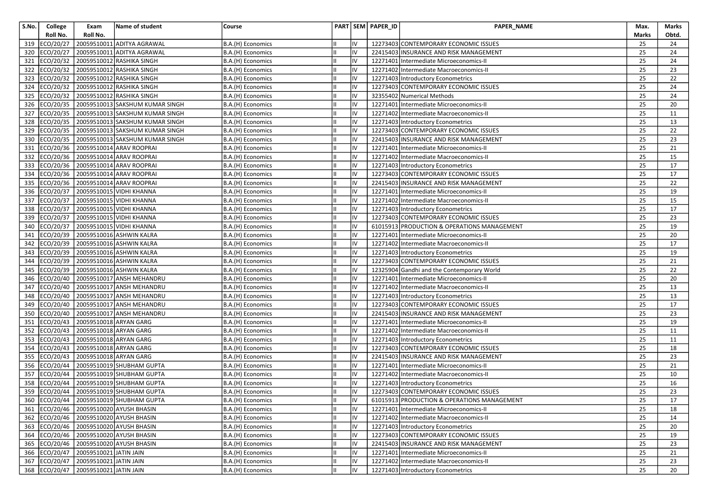| S.No. | College       | Exam                                 | Name of student                               | Course            |    | PART SEM PAPER_ID | PAPER_NAME                                  | Max.  | Marks |
|-------|---------------|--------------------------------------|-----------------------------------------------|-------------------|----|-------------------|---------------------------------------------|-------|-------|
|       | Roll No.      | Roll No.                             |                                               |                   |    |                   |                                             | Marks | Obtd. |
| 319   | ECO/20/27     | 20059510011                          | <b>ADITYA AGRAWAL</b>                         | B.A.(H) Economics | IV |                   | 12273403 CONTEMPORARY ECONOMIC ISSUES       | 25    | 24    |
| 320   | ECO/20/27     | 20059510011                          | <b>ADITYA AGRAWAL</b>                         | B.A.(H) Economics | IV |                   | 22415403 INSURANCE AND RISK MANAGEMENT      | 25    | 24    |
|       | 321 ECO/20/32 |                                      | 20059510012 RASHIKA SINGH                     | B.A.(H) Economics | IV |                   | 12271401 Intermediate Microeconomics-II     | 25    | 24    |
| 322   | ECO/20/32     |                                      | 20059510012 RASHIKA SINGH                     | B.A.(H) Economics | IV |                   | 12271402 Intermediate Macroeconomics-II     | 25    | 23    |
| 323   | ECO/20/32     |                                      | 20059510012 RASHIKA SINGH                     | B.A.(H) Economics | IV |                   | 12271403 Introductory Econometrics          | 25    | 22    |
| 324   | ECO/20/32     |                                      | 20059510012 RASHIKA SINGH                     | B.A.(H) Economics | IV |                   | 12273403 CONTEMPORARY ECONOMIC ISSUES       | 25    | 24    |
| 325   |               |                                      | ECO/20/32 20059510012 RASHIKA SINGH           | B.A.(H) Economics | IV |                   | 32355402 Numerical Methods                  | 25    | 24    |
| 326   |               |                                      | ECO/20/35 20059510013 SAKSHUM KUMAR SINGH     | B.A.(H) Economics | IV |                   | 12271401 Intermediate Microeconomics-II     | 25    | 20    |
| 327   | ECO/20/35     |                                      | 20059510013 SAKSHUM KUMAR SINGH               | B.A.(H) Economics | IV |                   | 12271402 Intermediate Macroeconomics-II     | 25    | 11    |
|       |               |                                      | 328 ECO/20/35 20059510013 SAKSHUM KUMAR SINGH | B.A.(H) Economics | IV |                   | 12271403 Introductory Econometrics          | 25    | 13    |
| 329   |               |                                      | ECO/20/35 20059510013 SAKSHUM KUMAR SINGH     | B.A.(H) Economics | IV |                   | 12273403 CONTEMPORARY ECONOMIC ISSUES       | 25    | 22    |
| 330   | ECO/20/35     |                                      | 20059510013 SAKSHUM KUMAR SINGH               | B.A.(H) Economics | IV |                   | 22415403 INSURANCE AND RISK MANAGEMENT      | 25    | 23    |
| 331   |               |                                      | ECO/20/36 20059510014 ARAV ROOPRAI            | B.A.(H) Economics | IV |                   | 12271401 Intermediate Microeconomics-II     | 25    | 21    |
| 332   |               |                                      | ECO/20/36 20059510014 ARAV ROOPRAI            | B.A.(H) Economics | IV |                   | 12271402 Intermediate Macroeconomics-II     | 25    | 15    |
| 333   |               |                                      | ECO/20/36 20059510014 ARAV ROOPRAI            | B.A.(H) Economics | IV |                   | 12271403 Introductory Econometrics          | 25    | 17    |
| 334   |               |                                      | ECO/20/36 20059510014 ARAV ROOPRAI            | B.A.(H) Economics | IV |                   | 12273403 CONTEMPORARY ECONOMIC ISSUES       | 25    | 17    |
|       |               |                                      | 335 ECO/20/36 20059510014 ARAV ROOPRAI        | B.A.(H) Economics | IV |                   | 22415403 INSURANCE AND RISK MANAGEMENT      | 25    | 22    |
|       |               |                                      | 336 ECO/20/37 20059510015 VIDHI KHANNA        | B.A.(H) Economics | IV |                   | 12271401 Intermediate Microeconomics-II     | 25    | 19    |
| 337   | ECO/20/37     |                                      | 20059510015 VIDHI KHANNA                      | B.A.(H) Economics | IV |                   | 12271402 Intermediate Macroeconomics-II     | 25    | 15    |
| 338   | ECO/20/37     |                                      | 20059510015 VIDHI KHANNA                      | B.A.(H) Economics | IV |                   | 12271403 Introductory Econometrics          | 25    | 17    |
| 339   | ECO/20/37     |                                      | 20059510015 VIDHI KHANNA                      | B.A.(H) Economics | IV |                   | 12273403 CONTEMPORARY ECONOMIC ISSUES       | 25    | 23    |
| 340   | ECO/20/37     |                                      | 20059510015 VIDHI KHANNA                      | B.A.(H) Economics | IV |                   | 61015913 PRODUCTION & OPERATIONS MANAGEMENT | 25    | 19    |
| 341   | ECO/20/39     |                                      | 20059510016 ASHWIN KALRA                      | B.A.(H) Economics | IV |                   | 12271401 Intermediate Microeconomics-II     | 25    | 20    |
|       |               |                                      | 342 ECO/20/39 20059510016 ASHWIN KALRA        | B.A.(H) Economics | IV |                   | 12271402 Intermediate Macroeconomics-II     | 25    | 17    |
| 343   |               |                                      | ECO/20/39 20059510016 ASHWIN KALRA            | B.A.(H) Economics | IV |                   | 12271403 Introductory Econometrics          | 25    | 19    |
| 344   | ECO/20/39     |                                      | 20059510016 ASHWIN KALRA                      | B.A.(H) Economics | IV |                   | 12273403 CONTEMPORARY ECONOMIC ISSUES       | 25    | 21    |
|       |               |                                      | 345 ECO/20/39 20059510016 ASHWIN KALRA        | B.A.(H) Economics | IV |                   | 12325904 Gandhi and the Contemporary World  | 25    | 22    |
| 346   |               |                                      | ECO/20/40 20059510017 ANSH MEHANDRU           | B.A.(H) Economics | IV |                   | 12271401 Intermediate Microeconomics-II     | 25    | 20    |
| 347   |               |                                      | ECO/20/40 20059510017 ANSH MEHANDRU           | B.A.(H) Economics | IV |                   | 12271402 Intermediate Macroeconomics-II     | 25    | 13    |
| 348   | ECO/20/40     |                                      | 20059510017 ANSH MEHANDRU                     | B.A.(H) Economics | IV |                   | 12271403 Introductory Econometrics          | 25    | 13    |
| 349   | ECO/20/40     |                                      | 20059510017 ANSH MEHANDRU                     | B.A.(H) Economics | IV |                   | 12273403 CONTEMPORARY ECONOMIC ISSUES       | 25    | 17    |
|       |               |                                      | 350 ECO/20/40 20059510017 ANSH MEHANDRU       | B.A.(H) Economics | Iv |                   | 22415403 INSURANCE AND RISK MANAGEMENT      | 25    | 23    |
| 351   | ECO/20/43     | 20059510018 ARYAN GARG               |                                               | B.A.(H) Economics | IV |                   | 12271401 Intermediate Microeconomics-II     | 25    | 19    |
| 352   | ECO/20/43     | 20059510018 ARYAN GARG               |                                               | B.A.(H) Economics | IV |                   | 12271402 Intermediate Macroeconomics-II     | 25    | 11    |
|       | 353 ECO/20/43 | 20059510018 ARYAN GARG               |                                               | B.A.(H) Economics | IV |                   | 12271403 Introductory Econometrics          | 25    | 11    |
| 354   | ECO/20/43     | 20059510018 ARYAN GARG               |                                               | B.A.(H) Economics | IV |                   | 12273403 CONTEMPORARY ECONOMIC ISSUES       | 25    | 18    |
| 355   | ECO/20/43     | 20059510018 ARYAN GARG               |                                               | B.A.(H) Economics | IV |                   | 22415403 INSURANCE AND RISK MANAGEMENT      | 25    | 23    |
| 356   | ECO/20/44     |                                      | 20059510019 SHUBHAM GUPTA                     | B.A.(H) Economics | IV |                   | 12271401 Intermediate Microeconomics-II     | 25    | 21    |
|       |               |                                      | 357 ECO/20/44 20059510019 SHUBHAM GUPTA       | B.A.(H) Economics | IV |                   | 12271402 Intermediate Macroeconomics-II     | 25    | 10    |
| 358   | ECO/20/44     |                                      | 20059510019 SHUBHAM GUPTA                     | B.A.(H) Economics | IV |                   | 12271403 Introductory Econometrics          | 25    | 16    |
|       |               |                                      | 359 ECO/20/44 20059510019 SHUBHAM GUPTA       | B.A.(H) Economics | Iv |                   | 12273403 CONTEMPORARY ECONOMIC ISSUES       | 25    | 23    |
|       |               |                                      | 360 ECO/20/44 20059510019 SHUBHAM GUPTA       | B.A.(H) Economics | IV |                   | 61015913 PRODUCTION & OPERATIONS MANAGEMENT | 25    | 17    |
|       |               |                                      | 361 ECO/20/46 20059510020 AYUSH BHASIN        | B.A.(H) Economics | IV |                   | 12271401 Intermediate Microeconomics-II     | 25    | 18    |
|       |               |                                      | 362 ECO/20/46 20059510020 AYUSH BHASIN        | B.A.(H) Economics | IV |                   | 12271402 Intermediate Macroeconomics-II     | 25    | 14    |
|       |               |                                      | 363 ECO/20/46 20059510020 AYUSH BHASIN        | B.A.(H) Economics | IV |                   | 12271403 Introductory Econometrics          | 25    | 20    |
|       |               |                                      | 364 ECO/20/46 20059510020 AYUSH BHASIN        | B.A.(H) Economics | IV |                   | 12273403 CONTEMPORARY ECONOMIC ISSUES       | 25    | 19    |
|       |               |                                      | 365 ECO/20/46 20059510020 AYUSH BHASIN        | B.A.(H) Economics | IV |                   | 22415403 INSURANCE AND RISK MANAGEMENT      | 25    | 23    |
|       |               | 366 ECO/20/47 20059510021 JATIN JAIN |                                               | B.A.(H) Economics | IV |                   | 12271401 Intermediate Microeconomics-II     | 25    | 21    |
|       |               | 367 ECO/20/47 20059510021 JATIN JAIN |                                               | B.A.(H) Economics | IV |                   | 12271402 Intermediate Macroeconomics-II     | 25    | 23    |
|       |               | 368 ECO/20/47 20059510021 JATIN JAIN |                                               | B.A.(H) Economics | Iv |                   | 12271403 Introductory Econometrics          | 25    | 20    |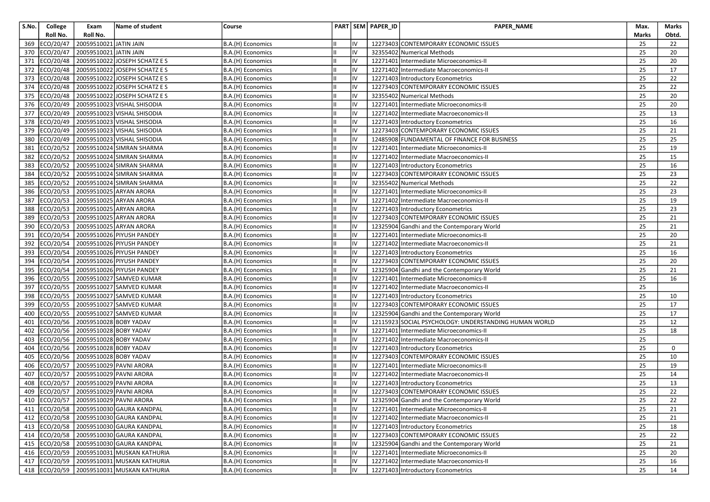| S.No. | College       | Exam                                  | Name of student                             | Course            |     | PART SEM PAPER_ID | <b>PAPER NAME</b>                                     | Max.  | Marks           |
|-------|---------------|---------------------------------------|---------------------------------------------|-------------------|-----|-------------------|-------------------------------------------------------|-------|-----------------|
|       | Roll No.      | Roll No.                              |                                             |                   |     |                   |                                                       | Marks | Obtd.           |
| 369   | ECO/20/47     | 20059510021 JATIN JAIN                |                                             | B.A.(H) Economics | IV  |                   | 12273403 CONTEMPORARY ECONOMIC ISSUES                 | 25    | 22              |
| 370   | ECO/20/47     | 20059510021 JATIN JAIN                |                                             | B.A.(H) Economics | IV  |                   | 32355402 Numerical Methods                            | 25    | 20              |
| 371   | ECO/20/48     |                                       | 20059510022 JOSEPH SCHATZ E S               | B.A.(H) Economics | IV  |                   | 12271401 Intermediate Microeconomics-II               | 25    | 20              |
| 372   | ECO/20/48     |                                       | 20059510022 JOSEPH SCHATZ E S               | B.A.(H) Economics | IV  |                   | 12271402 Intermediate Macroeconomics-II               | 25    | 17              |
| 373   | ECO/20/48     |                                       | 20059510022 JOSEPH SCHATZ E S               | B.A.(H) Economics | IV  |                   | 12271403 Introductory Econometrics                    | 25    | 22              |
| 374   | ECO/20/48     |                                       | 20059510022 JOSEPH SCHATZ E S               | B.A.(H) Economics | IV  |                   | 12273403 CONTEMPORARY ECONOMIC ISSUES                 | 25    | 22              |
|       | 375 ECO/20/48 |                                       | 20059510022 JOSEPH SCHATZ E S               | B.A.(H) Economics | IV  |                   | 32355402 Numerical Methods                            | 25    | 20              |
| 376   |               |                                       | ECO/20/49 20059510023 VISHAL SHISODIA       | B.A.(H) Economics | IV  |                   | 12271401 Intermediate Microeconomics-II               | 25    | 20              |
|       | 377 ECO/20/49 |                                       | 20059510023 VISHAL SHISODIA                 | B.A.(H) Economics | IV  |                   | 12271402 Intermediate Macroeconomics-II               | 25    | 13              |
| 378   |               |                                       | ECO/20/49 20059510023 VISHAL SHISODIA       | B.A.(H) Economics | IV  |                   | 12271403 Introductory Econometrics                    | 25    | 16              |
| 379   | ECO/20/49     |                                       | 20059510023 VISHAL SHISODIA                 | B.A.(H) Economics | IV  |                   | 12273403 CONTEMPORARY ECONOMIC ISSUES                 | 25    | 21              |
| 380   | ECO/20/49     |                                       | 20059510023 VISHAL SHISODIA                 | B.A.(H) Economics | IV  |                   | 12485908 FUNDAMENTAL OF FINANCE FOR BUSINESS          | 25    | 25              |
| 381   | ECO/20/52     |                                       | 20059510024 SIMRAN SHARMA                   | B.A.(H) Economics | IV  |                   | 12271401 Intermediate Microeconomics-II               | 25    | 19              |
| 382   | ECO/20/52     |                                       | 20059510024 SIMRAN SHARMA                   | B.A.(H) Economics | IV  |                   | 12271402 Intermediate Macroeconomics-II               | 25    | 15              |
| 383   | ECO/20/52     |                                       | 20059510024 SIMRAN SHARMA                   | B.A.(H) Economics | IV  |                   | 12271403 Introductory Econometrics                    | 25    | 16              |
| 384   | ECO/20/52     |                                       | 20059510024 SIMRAN SHARMA                   | B.A.(H) Economics | IV  |                   | 12273403 CONTEMPORARY ECONOMIC ISSUES                 | 25    | 23              |
| 385   | ECO/20/52     |                                       | 20059510024 SIMRAN SHARMA                   | B.A.(H) Economics | IV  |                   | 32355402 Numerical Methods                            | 25    | 22              |
| 386   | ECO/20/53     | 20059510025 ARYAN ARORA               |                                             | B.A.(H) Economics | IV  |                   | 12271401 Intermediate Microeconomics-II               | 25    | 23              |
| 387   | ECO/20/53     |                                       | 20059510025 ARYAN ARORA                     | B.A.(H) Economics | IV  |                   | 12271402 Intermediate Macroeconomics-II               | 25    | 19              |
| 388   | ECO/20/53     |                                       | 20059510025 ARYAN ARORA                     | B.A.(H) Economics | IV  |                   | 12271403 Introductory Econometrics                    | 25    | 23              |
| 389   | ECO/20/53     |                                       | 20059510025 ARYAN ARORA                     | B.A.(H) Economics | IV  |                   | 12273403 CONTEMPORARY ECONOMIC ISSUES                 | 25    | 21              |
| 390   | ECO/20/53     |                                       | 20059510025 ARYAN ARORA                     | B.A.(H) Economics | IV  |                   | 12325904 Gandhi and the Contemporary World            | 25    | 21              |
| 391   | ECO/20/54     |                                       | 20059510026 PIYUSH PANDEY                   | B.A.(H) Economics | IV  |                   | 12271401 Intermediate Microeconomics-II               | 25    | 20              |
| 392   | ECO/20/54     |                                       | 20059510026 PIYUSH PANDEY                   | B.A.(H) Economics | IV  |                   | 12271402 Intermediate Macroeconomics-II               | 25    | 21              |
| 393   |               |                                       | ECO/20/54 20059510026 PIYUSH PANDEY         | B.A.(H) Economics | lıv |                   | 12271403 Introductory Econometrics                    | 25    | 16              |
| 394   | ECO/20/54     |                                       | 20059510026 PIYUSH PANDEY                   | B.A.(H) Economics | IV  |                   | 12273403 CONTEMPORARY ECONOMIC ISSUES                 | 25    | 20              |
| 395   |               |                                       | ECO/20/54 20059510026 PIYUSH PANDEY         | B.A.(H) Economics | IV  |                   | 12325904 Gandhi and the Contemporary World            | 25    | 21              |
| 396   | ECO/20/55     |                                       | 20059510027 SAMVED KUMAR                    | B.A.(H) Economics | IV  |                   | 12271401 Intermediate Microeconomics-II               | 25    | 16              |
| 397   | ECO/20/55     |                                       | 20059510027 SAMVED KUMAR                    | B.A.(H) Economics | IV  |                   | 12271402 Intermediate Macroeconomics-II               | 25    |                 |
| 398   | ECO/20/55     |                                       | 20059510027 SAMVED KUMAR                    | B.A.(H) Economics | IV  |                   | 12271403 Introductory Econometrics                    | 25    | 10              |
| 399   | ECO/20/55     |                                       | 20059510027 SAMVED KUMAR                    | B.A.(H) Economics | IV  |                   | 12273403 CONTEMPORARY ECONOMIC ISSUES                 | 25    | 17              |
| 400   | ECO/20/55     |                                       | 20059510027 SAMVED KUMAR                    | B.A.(H) Economics | IV  |                   | 12325904 Gandhi and the Contemporary World            | 25    | 17              |
| 401   | ECO/20/56     | 20059510028 BOBY YADAV                |                                             | B.A.(H) Economics | IV  |                   | 12115923 SOCIAL PSYCHOLOGY: UNDERSTANDING HUMAN WORLD | 25    | 12              |
| 402   | ECO/20/56     | 20059510028 BOBY YADAV                |                                             | B.A.(H) Economics | IV  |                   | 12271401 Intermediate Microeconomics-II               | 25    | 18              |
| 403   | ECO/20/56     | 20059510028 BOBY YADAV                |                                             | B.A.(H) Economics | IV  |                   | 12271402 Intermediate Macroeconomics-II               | 25    |                 |
| 404   | ECO/20/56     | 20059510028 BOBY YADAV                |                                             | B.A.(H) Economics | IV  |                   | 12271403 Introductory Econometrics                    | 25    | 0               |
| 405   | ECO/20/56     | 20059510028 BOBY YADAV                |                                             | B.A.(H) Economics | IV  |                   | 12273403 CONTEMPORARY ECONOMIC ISSUES                 | 25    | 10              |
| 406   | ECO/20/57     | 20059510029 PAVNI ARORA               |                                             | B.A.(H) Economics | IV  |                   | 12271401 Intermediate Microeconomics-II               | 25    | 19              |
| 407   |               | ECO/20/57 20059510029 PAVNI ARORA     |                                             | B.A.(H) Economics | IV  |                   | 12271402 Intermediate Macroeconomics-II               | 25    | 14              |
| 408   | ECO/20/57     | 20059510029 PAVNI ARORA               |                                             | B.A.(H) Economics | IV  |                   | 12271403 Introductory Econometrics                    | 25    | 13              |
| 409   |               | ECO/20/57 20059510029 PAVNI ARORA     |                                             | B.A.(H) Economics | IV  |                   | 12273403 CONTEMPORARY ECONOMIC ISSUES                 | 25    | 22              |
|       |               | 410 ECO/20/57 20059510029 PAVNI ARORA |                                             | B.A.(H) Economics | IV  |                   | 12325904 Gandhi and the Contemporary World            | 25    | $\overline{22}$ |
|       |               |                                       | 411   ECO/20/58   20059510030 GAURA KANDPAL | B.A.(H) Economics | IV  |                   | 12271401 Intermediate Microeconomics-II               | 25    | 21              |
|       |               |                                       | 412 ECO/20/58 20059510030 GAURA KANDPAL     | B.A.(H) Economics | IV  |                   | 12271402 Intermediate Macroeconomics-II               | 25    | 21              |
|       |               |                                       | 413 ECO/20/58 20059510030 GAURA KANDPAL     | B.A.(H) Economics | IV  |                   | 12271403 Introductory Econometrics                    | 25    | 18              |
|       |               |                                       | 414 ECO/20/58 20059510030 GAURA KANDPAL     | B.A.(H) Economics | IV  |                   | 12273403 CONTEMPORARY ECONOMIC ISSUES                 | 25    | 22              |
|       |               |                                       | 415   ECO/20/58   20059510030 GAURA KANDPAL | B.A.(H) Economics | IV  |                   | 12325904 Gandhi and the Contemporary World            | 25    | 21              |
|       |               |                                       | 416 ECO/20/59 20059510031 MUSKAN KATHURIA   | B.A.(H) Economics | IV  |                   | 12271401 Intermediate Microeconomics-II               | 25    | 20              |
|       |               |                                       | 417 ECO/20/59 20059510031 MUSKAN KATHURIA   | B.A.(H) Economics | IV  |                   | 12271402 Intermediate Macroeconomics-II               | 25    | 16              |
|       |               |                                       | 418 ECO/20/59 20059510031 MUSKAN KATHURIA   | B.A.(H) Economics | lıv |                   | 12271403 Introductory Econometrics                    | 25    | 14              |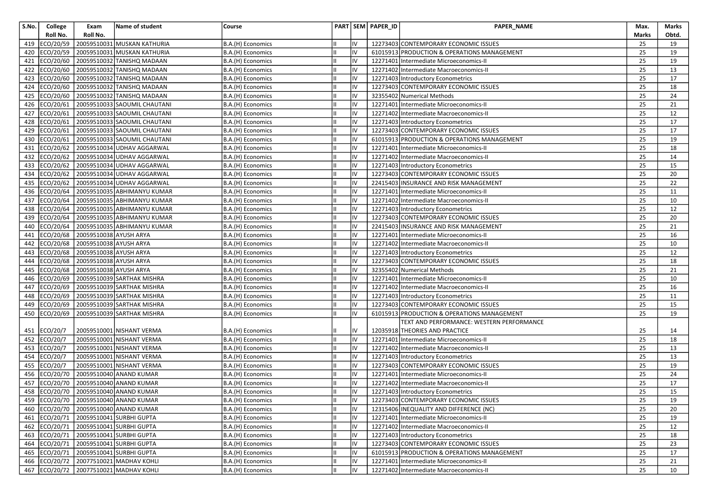| S.No. | College   | Exam                             | Name of student                        | Course            |    | PART SEM PAPER ID | PAPER_NAME                                  | Max.  | Marks |
|-------|-----------|----------------------------------|----------------------------------------|-------------------|----|-------------------|---------------------------------------------|-------|-------|
|       | Roll No.  | Roll No.                         |                                        |                   |    |                   |                                             | Marks | Obtd. |
| 419   | ECO/20/59 |                                  | 20059510031 MUSKAN KATHURIA            | B.A.(H) Economics | IV |                   | 12273403 CONTEMPORARY ECONOMIC ISSUES       | 25    | 19    |
| 420   | ECO/20/59 |                                  | 20059510031 MUSKAN KATHURIA            | B.A.(H) Economics | IV |                   | 61015913 PRODUCTION & OPERATIONS MANAGEMENT | 25    | 19    |
| 421   | ECO/20/60 |                                  | 20059510032 TANISHQ MADAAN             | B.A.(H) Economics | IV |                   | 12271401 Intermediate Microeconomics-II     | 25    | 19    |
| 422   | ECO/20/60 |                                  | 20059510032 TANISHQ MADAAN             | B.A.(H) Economics | IV |                   | 12271402 Intermediate Macroeconomics-II     | 25    | 13    |
| 423   | ECO/20/60 |                                  | 20059510032 TANISHQ MADAAN             | B.A.(H) Economics | IV |                   | 12271403 Introductory Econometrics          | 25    | 17    |
| 424   | ECO/20/60 |                                  | 20059510032 TANISHQ MADAAN             | B.A.(H) Economics | IV |                   | 12273403 CONTEMPORARY ECONOMIC ISSUES       | 25    | 18    |
| 425   | ECO/20/60 |                                  | 20059510032 TANISHQ MADAAN             | B.A.(H) Economics | IV |                   | 32355402 Numerical Methods                  | 25    | 24    |
| 426   | ECO/20/61 |                                  | 20059510033 SAOUMIL CHAUTANI           | B.A.(H) Economics | IV |                   | 12271401 Intermediate Microeconomics-II     | 25    | 21    |
| 427   | ECO/20/61 |                                  | 20059510033 SAOUMIL CHAUTANI           | B.A.(H) Economics | IV |                   | 12271402 Intermediate Macroeconomics-II     | 25    | 12    |
| 428   |           |                                  | ECO/20/61 20059510033 SAOUMIL CHAUTANI | B.A.(H) Economics | IV |                   | 12271403 Introductory Econometrics          | 25    | 17    |
| 429   | ECO/20/61 |                                  | 20059510033 SAOUMIL CHAUTANI           | B.A.(H) Economics | IV |                   | 12273403 CONTEMPORARY ECONOMIC ISSUES       | 25    | 17    |
| 430   | ECO/20/61 |                                  | 20059510033 SAOUMIL CHAUTANI           | B.A.(H) Economics | IV |                   | 61015913 PRODUCTION & OPERATIONS MANAGEMENT | 25    | 19    |
| 431   | ECO/20/62 |                                  | 20059510034 UDHAV AGGARWAL             | B.A.(H) Economics | IV |                   | 12271401 Intermediate Microeconomics-II     | 25    | 18    |
| 432   | ECO/20/62 |                                  | 20059510034 UDHAV AGGARWAL             | B.A.(H) Economics | IV |                   | 12271402 Intermediate Macroeconomics-II     | 25    | 14    |
| 433   | ECO/20/62 |                                  | 20059510034 UDHAV AGGARWAL             | B.A.(H) Economics | IV |                   | 12271403 Introductory Econometrics          | 25    | 15    |
| 434   | ECO/20/62 |                                  | 20059510034 UDHAV AGGARWAL             | B.A.(H) Economics | IV |                   | 12273403 CONTEMPORARY ECONOMIC ISSUES       | 25    | 20    |
| 435   |           |                                  | ECO/20/62 20059510034 UDHAV AGGARWAL   | B.A.(H) Economics | IV |                   | 22415403 INSURANCE AND RISK MANAGEMENT      | 25    | 22    |
| 436   |           |                                  | ECO/20/64 20059510035 ABHIMANYU KUMAR  | B.A.(H) Economics | IV |                   | 12271401 Intermediate Microeconomics-II     | 25    | 11    |
| 437   | ECO/20/64 |                                  | 20059510035 ABHIMANYU KUMAR            | B.A.(H) Economics | IV |                   | 12271402 Intermediate Macroeconomics-II     | 25    | 10    |
| 438   | ECO/20/64 |                                  | 20059510035 ABHIMANYU KUMAR            | B.A.(H) Economics | IV |                   | 12271403 Introductory Econometrics          | 25    | 12    |
| 439   | ECO/20/64 |                                  | 20059510035 ABHIMANYU KUMAR            | B.A.(H) Economics | IV |                   | 12273403 CONTEMPORARY ECONOMIC ISSUES       | 25    | 20    |
| 440   | ECO/20/64 |                                  | 20059510035 ABHIMANYU KUMAR            | B.A.(H) Economics | IV |                   | 22415403 INSURANCE AND RISK MANAGEMENT      | 25    | 21    |
| 441   | ECO/20/68 | 20059510038 AYUSH ARYA           |                                        | B.A.(H) Economics | IV |                   | 12271401 Intermediate Microeconomics-II     | 25    | 16    |
| 442   | ECO/20/68 | 20059510038 AYUSH ARYA           |                                        | B.A.(H) Economics | IV |                   | 12271402 Intermediate Macroeconomics-II     | 25    | 10    |
| 443   |           | ECO/20/68 20059510038 AYUSH ARYA |                                        | B.A.(H) Economics | IV |                   | 12271403 Introductory Econometrics          | 25    | 12    |
| 444   | ECO/20/68 | 20059510038 AYUSH ARYA           |                                        | B.A.(H) Economics | IV |                   | 12273403 CONTEMPORARY ECONOMIC ISSUES       | 25    | 18    |
| 445   |           | ECO/20/68 20059510038 AYUSH ARYA |                                        | B.A.(H) Economics | IV |                   | 32355402 Numerical Methods                  | 25    | 21    |
| 446   | ECO/20/69 |                                  | 20059510039 SARTHAK MISHRA             | B.A.(H) Economics | IV |                   | 12271401 Intermediate Microeconomics-II     | 25    | 10    |
| 447   | ECO/20/69 |                                  | 20059510039 SARTHAK MISHRA             | B.A.(H) Economics | IV |                   | 12271402 Intermediate Macroeconomics-II     | 25    | 16    |
| 448   | ECO/20/69 |                                  | 20059510039 SARTHAK MISHRA             | B.A.(H) Economics | IV |                   | 12271403 Introductory Econometrics          | 25    | 11    |
| 449   | ECO/20/69 |                                  | 20059510039 SARTHAK MISHRA             | B.A.(H) Economics | IV |                   | 12273403 CONTEMPORARY ECONOMIC ISSUES       | 25    | 15    |
| 450   | ECO/20/69 |                                  | 20059510039 SARTHAK MISHRA             | B.A.(H) Economics | IV |                   | 61015913 PRODUCTION & OPERATIONS MANAGEMENT | 25    | 19    |
|       |           |                                  |                                        |                   |    |                   | TEXT AND PERFORMANCE: WESTERN PERFORMANCE   |       |       |
| 451   | ECO/20/7  |                                  | 20059510001 NISHANT VERMA              | B.A.(H) Economics | IV |                   | 12035918 THEORIES AND PRACTICE              | 25    | 14    |
| 452   | ECO/20/7  |                                  | 20059510001 NISHANT VERMA              | B.A.(H) Economics | IV |                   | 12271401 Intermediate Microeconomics-II     | 25    | 18    |
| 453   | ECO/20/7  |                                  | 20059510001 NISHANT VERMA              | B.A.(H) Economics | IV |                   | 12271402 Intermediate Macroeconomics-II     | 25    | 13    |
| 454   | ECO/20/7  |                                  | 20059510001 NISHANT VERMA              | B.A.(H) Economics | IV |                   | 12271403 Introductory Econometrics          | 25    | 13    |
| 455   | ECO/20/7  |                                  | 20059510001 NISHANT VERMA              | B.A.(H) Economics | IV |                   | 12273403 CONTEMPORARY ECONOMIC ISSUES       | 25    | 19    |
| 456   | ECO/20/70 |                                  | 20059510040 ANAND KUMAR                | B.A.(H) Economics | IV |                   | 12271401 Intermediate Microeconomics-II     | 25    | 24    |
| 457   | ECO/20/70 |                                  | 20059510040 ANAND KUMAR                | B.A.(H) Economics | IV |                   | 12271402 Intermediate Macroeconomics-II     | 25    | 17    |
| 458   |           |                                  | ECO/20/70 20059510040 ANAND KUMAR      | B.A.(H) Economics | IV |                   | 12271403 Introductory Econometrics          | 25    | 15    |
|       |           |                                  | 459 ECO/20/70 20059510040 ANAND KUMAR  | B.A.(H) Economics | IV |                   | 12273403 CONTEMPORARY ECONOMIC ISSUES       | 25    | 19    |
|       |           |                                  | 460 ECO/20/70 20059510040 ANAND KUMAR  | B.A.(H) Economics | IV |                   | 12315406 INEQUALITY AND DIFFERENCE (NC)     | 25    | 20    |
|       |           |                                  | 461 ECO/20/71 20059510041 SURBHI GUPTA | B.A.(H) Economics | IV |                   | 12271401 Intermediate Microeconomics-II     | 25    | 19    |
|       |           |                                  | 462 ECO/20/71 20059510041 SURBHI GUPTA | B.A.(H) Economics | IV |                   | 12271402 Intermediate Macroeconomics-II     | 25    | 12    |
|       |           |                                  | 463 ECO/20/71 20059510041 SURBHI GUPTA | B.A.(H) Economics | IV |                   | 12271403 Introductory Econometrics          | 25    | 18    |
|       |           |                                  | 464 ECO/20/71 20059510041 SURBHI GUPTA | B.A.(H) Economics | IV |                   | 12273403 CONTEMPORARY ECONOMIC ISSUES       | 25    | 23    |
|       |           |                                  | 465 ECO/20/71 20059510041 SURBHI GUPTA | B.A.(H) Economics | IV |                   | 61015913 PRODUCTION & OPERATIONS MANAGEMENT | 25    | 17    |
|       |           |                                  | 466 ECO/20/72 20077510021 MADHAV KOHLI | B.A.(H) Economics | IV |                   | 12271401 Intermediate Microeconomics-II     | 25    | 21    |
|       |           |                                  | 467 ECO/20/72 20077510021 MADHAV KOHLI | B.A.(H) Economics | IV |                   | 12271402 Intermediate Macroeconomics-II     | 25    | 10    |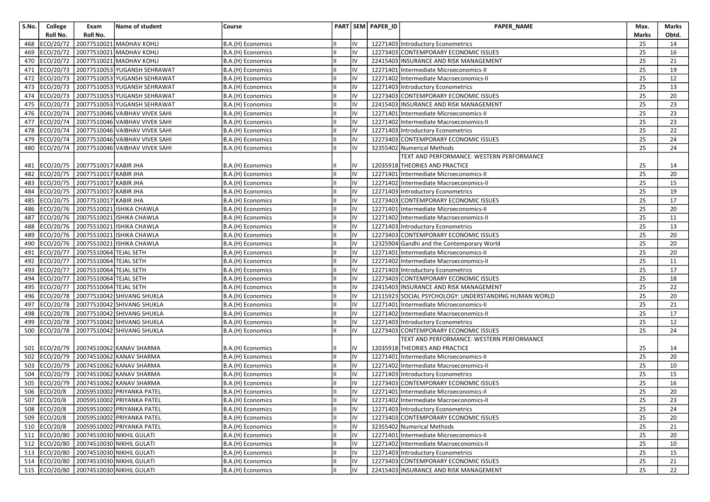| S.No.      | College                | Exam                             | Name of student                                      | Course                                 |          | PART SEM PAPER_ID | <b>PAPER NAME</b>                                                           | Max.         | Marks           |
|------------|------------------------|----------------------------------|------------------------------------------------------|----------------------------------------|----------|-------------------|-----------------------------------------------------------------------------|--------------|-----------------|
|            | Roll No.               | Roll No.                         |                                                      |                                        |          |                   |                                                                             | <b>Marks</b> | Obtd.           |
| 468        | ECO/20/72              |                                  | 20077510021 MADHAV KOHLI                             | B.A.(H) Economics                      | IV       |                   | 12271403 Introductory Econometrics                                          | 25           | 14              |
| 469        | ECO/20/72              |                                  | 20077510021 MADHAV KOHLI                             | B.A.(H) Economics                      | IV       |                   | 12273403 CONTEMPORARY ECONOMIC ISSUES                                       | 25           | 16              |
| 470        | ECO/20/72              |                                  | 20077510021 MADHAV KOHLI                             | B.A.(H) Economics                      | IV       |                   | 22415403 INSURANCE AND RISK MANAGEMENT                                      | 25           | 21              |
| 471        | ECO/20/73              |                                  | 20077510053 YUGANSH SEHRAWAT                         | B.A.(H) Economics                      | IV       |                   | 12271401 Intermediate Microeconomics-II                                     | 25           | 19              |
| 472        | ECO/20/73              |                                  | 20077510053 YUGANSH SEHRAWAT                         | B.A.(H) Economics                      | IV       |                   | 12271402 Intermediate Macroeconomics-II                                     | 25           | 12              |
| 473        | ECO/20/73              |                                  | 20077510053 YUGANSH SEHRAWAT                         | B.A.(H) Economics                      | IV       |                   | 12271403 Introductory Econometrics                                          | 25           | 13              |
| 474        |                        |                                  | ECO/20/73 20077510053 YUGANSH SEHRAWAT               | B.A.(H) Economics                      | IV       |                   | 12273403 CONTEMPORARY ECONOMIC ISSUES                                       | 25           | 20              |
| 475        |                        |                                  | ECO/20/73 20077510053 YUGANSH SEHRAWAT               | B.A.(H) Economics                      | IV       |                   | 22415403 INSURANCE AND RISK MANAGEMENT                                      | 25           | 23              |
| 476        | ECO/20/74              |                                  | 20077510046 VAIBHAV VIVEK SAHI                       | B.A.(H) Economics                      | IV       |                   | 12271401 Intermediate Microeconomics-II                                     | 25           | 23              |
| 477        |                        |                                  | ECO/20/74 20077510046 VAIBHAV VIVEK SAHI             | B.A.(H) Economics                      | IV       |                   | 12271402 Intermediate Macroeconomics-II                                     | 25           | 23              |
| 478        |                        |                                  | ECO/20/74 20077510046 VAIBHAV VIVEK SAHI             | B.A.(H) Economics                      | IV       |                   | 12271403 Introductory Econometrics                                          | 25           | 22              |
| 479        | ECO/20/74              |                                  | 20077510046 VAIBHAV VIVEK SAHI                       | B.A.(H) Economics                      | IV       |                   | 12273403 CONTEMPORARY ECONOMIC ISSUES                                       | 25           | 24              |
| 480        | ECO/20/74              |                                  | 20077510046 VAIBHAV VIVEK SAHI                       | B.A.(H) Economics                      | IV       |                   | 32355402 Numerical Methods                                                  | 25           | 24              |
|            |                        |                                  |                                                      |                                        |          |                   | TEXT AND PERFORMANCE: WESTERN PERFORMANCE                                   |              |                 |
| 481        |                        | ECO/20/75 20077510017 KABIR JHA  |                                                      | B.A.(H) Economics                      | IV       |                   | 12035918 THEORIES AND PRACTICE                                              | 25           | 14              |
| 482        |                        | ECO/20/75 20077510017 KABIR JHA  |                                                      | B.A.(H) Economics                      | IV       |                   | 12271401 Intermediate Microeconomics-II                                     | 25           | 20              |
| 483        |                        | ECO/20/75 20077510017 KABIR JHA  |                                                      | B.A.(H) Economics                      | IV       |                   | 12271402 Intermediate Macroeconomics-II                                     | 25           | 15              |
| 484        |                        | ECO/20/75 20077510017 KABIR JHA  |                                                      | B.A.(H) Economics                      | IV       |                   | 12271403 Introductory Econometrics                                          | 25           | 19              |
| 485        | ECO/20/75              | 20077510017 KABIR JHA            |                                                      | B.A.(H) Economics                      | IV       |                   | 12273403 CONTEMPORARY ECONOMIC ISSUES                                       | 25           | 17              |
| 486        | ECO/20/76              |                                  | 20075510021 ISHIKA CHAWLA                            | B.A.(H) Economics                      | IV       |                   | 12271401 Intermediate Microeconomics-II                                     | 25           | 20              |
| 487        |                        |                                  | ECO/20/76 20075510021 ISHIKA CHAWLA                  | B.A.(H) Economics                      | IV       |                   | 12271402 Intermediate Macroeconomics-II                                     | 25           | 11              |
| 488        |                        |                                  | ECO/20/76 20075510021 ISHIKA CHAWLA                  | B.A.(H) Economics                      | IV       |                   | 12271403 Introductory Econometrics                                          | 25           | 13              |
| 489        | ECO/20/76              |                                  | 20075510021 ISHIKA CHAWLA                            | B.A.(H) Economics                      | IV       |                   | 12273403 CONTEMPORARY ECONOMIC ISSUES                                       | 25           | 20              |
| 490        |                        |                                  | ECO/20/76 20075510021 ISHIKA CHAWLA                  | B.A.(H) Economics                      | IV       |                   | 12325904 Gandhi and the Contemporary World                                  | 25           | 20              |
| 491        |                        | ECO/20/77 20075510064 TEJAL SETH |                                                      | B.A.(H) Economics                      | lıv      |                   | 12271401 Intermediate Microeconomics-II                                     | 25           | 20              |
| 492        | ECO/20/77              | 20075510064 TEJAL SETH           |                                                      | B.A.(H) Economics                      | IV       |                   | 12271402 Intermediate Macroeconomics-II                                     | 25           | 11              |
| 493        | ECO/20/77              | 20075510064 TEJAL SETH           |                                                      | B.A.(H) Economics                      | IV       |                   | 12271403 Introductory Econometrics                                          | 25           | 17              |
| 494        | ECO/20/77              | 20075510064 TEJAL SETH           |                                                      | B.A.(H) Economics                      | IV       |                   | 12273403 CONTEMPORARY ECONOMIC ISSUES                                       | 25           | 18              |
| 495        | ECO/20/77              | 20075510064 TEJAL SETH           |                                                      | B.A.(H) Economics                      | IV       |                   | 22415403 INSURANCE AND RISK MANAGEMENT                                      | 25           | 22              |
| 496        | ECO/20/78              |                                  | 20077510042 SHIVANG SHUKLA                           | B.A.(H) Economics                      | IV       |                   | 12115923 SOCIAL PSYCHOLOGY: UNDERSTANDING HUMAN WORLD                       | 25           | 20              |
| 497        | ECO/20/78              |                                  | 20077510042 SHIVANG SHUKLA                           | B.A.(H) Economics                      | IV       |                   | 12271401 Intermediate Microeconomics-II                                     | 25           | 21              |
| 498        |                        |                                  | ECO/20/78 20077510042 SHIVANG SHUKLA                 | B.A.(H) Economics                      | IV       |                   | 12271402 Intermediate Macroeconomics-II                                     | 25           | 17              |
| 499        |                        |                                  | ECO/20/78 20077510042 SHIVANG SHUKLA                 | B.A.(H) Economics                      | IV<br>IV |                   | 12271403 Introductory Econometrics                                          | 25           | 12              |
| 500        | ECO/20/78              |                                  | 20077510042 SHIVANG SHUKLA                           | B.A.(H) Economics                      |          |                   | 12273403 CONTEMPORARY ECONOMIC ISSUES                                       | 25           | 24              |
|            |                        |                                  |                                                      |                                        | IV       |                   | TEXT AND PERFORMANCE: WESTERN PERFORMANCE<br>12035918 THEORIES AND PRACTICE |              |                 |
| 501<br>502 | ECO/20/79<br>ECO/20/79 |                                  | 20074510062 KANAV SHARMA<br>20074510062 KANAV SHARMA | B.A.(H) Economics<br>B.A.(H) Economics | IV       |                   | 12271401 Intermediate Microeconomics-II                                     | 25<br>25     | 14<br>20        |
| 503        | ECO/20/79              |                                  | 20074510062 KANAV SHARMA                             | B.A.(H) Economics                      | IV       |                   | 12271402 Intermediate Macroeconomics-II                                     | 25           | 10              |
| 504        |                        |                                  | ECO/20/79 20074510062 KANAV SHARMA                   | B.A.(H) Economics                      | IV       |                   | 12271403 Introductory Econometrics                                          | 25           | 15              |
| 505        | ECO/20/79              |                                  | 20074510062 KANAV SHARMA                             | B.A.(H) Economics                      | IV       |                   | 12273403 CONTEMPORARY ECONOMIC ISSUES                                       | 25           | 16              |
| 506        | ECO/20/8               |                                  | 20059510002 PRIYANKA PATEL                           | B.A.(H) Economics                      | IV       |                   | 12271401 Intermediate Microeconomics-II                                     | 25           | 20              |
|            | 507 ECO/20/8           |                                  | 20059510002 PRIYANKA PATEL                           | B.A.(H) Economics                      | IV       |                   | 12271402 Intermediate Macroeconomics-II                                     | 25           | $\overline{23}$ |
|            | 508 ECO/20/8           |                                  | 20059510002 PRIYANKA PATEL                           | B.A.(H) Economics                      | IV       |                   | 12271403 Introductory Econometrics                                          | 25           | 24              |
|            | 509 ECO/20/8           |                                  | 20059510002 PRIYANKA PATEL                           | B.A.(H) Economics                      | IV       |                   | 12273403 CONTEMPORARY ECONOMIC ISSUES                                       | 25           | 20              |
|            | 510 ECO/20/8           |                                  | 20059510002 PRIYANKA PATEL                           | B.A.(H) Economics                      | IV       |                   | 32355402 Numerical Methods                                                  | 25           | 21              |
|            |                        |                                  | 511 ECO/20/80 20074510030 NIKHIL GULATI              | B.A.(H) Economics                      | IV       |                   | 12271401 Intermediate Microeconomics-II                                     | 25           | 20              |
|            |                        |                                  | 512 ECO/20/80 20074510030 NIKHIL GULATI              | B.A.(H) Economics                      | IV       |                   | 12271402 Intermediate Macroeconomics-II                                     | 25           | 10              |
|            |                        |                                  | 513 ECO/20/80 20074510030 NIKHIL GULATI              | B.A.(H) Economics                      | IV       |                   | 12271403 Introductory Econometrics                                          | 25           | 15              |
|            |                        |                                  | 514 ECO/20/80 20074510030 NIKHIL GULATI              | B.A.(H) Economics                      | IV       |                   | 12273403 CONTEMPORARY ECONOMIC ISSUES                                       | 25           | 21              |
|            |                        |                                  | 515 ECO/20/80 20074510030 NIKHIL GULATI              | B.A.(H) Economics                      | lıv      |                   | 22415403 INSURANCE AND RISK MANAGEMENT                                      | 25           | 22              |
|            |                        |                                  |                                                      |                                        |          |                   |                                                                             |              |                 |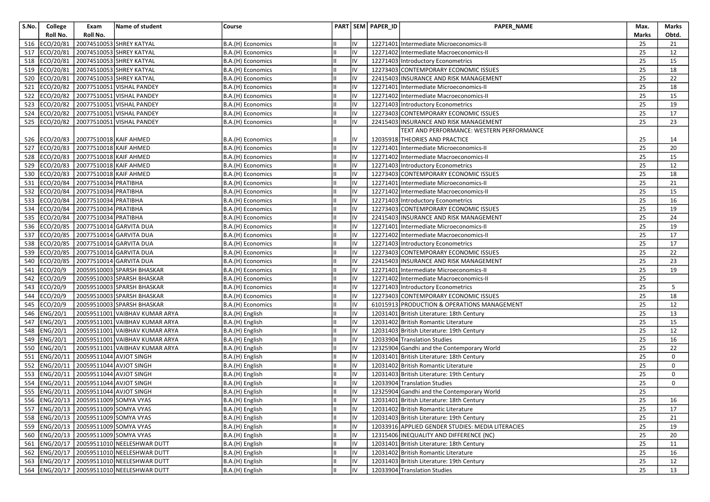| S.No. | College       | Exam                                       | Name of student                               | Course            |    |    | PART SEM PAPER_ID | PAPER_NAME                                        | Max.         | Marks       |
|-------|---------------|--------------------------------------------|-----------------------------------------------|-------------------|----|----|-------------------|---------------------------------------------------|--------------|-------------|
|       | Roll No.      | Roll No.                                   |                                               |                   |    |    |                   |                                                   | <b>Marks</b> | Obtd.       |
| 516   | ECO/20/81     |                                            | 20074510053 SHREY KATYAL                      | B.A.(H) Economics |    | IV |                   | 12271401 Intermediate Microeconomics-II           | 25           | 21          |
| 517   | ECO/20/81     |                                            | 20074510053 SHREY KATYAL                      | B.A.(H) Economics | IШ | IV |                   | 12271402 Intermediate Macroeconomics-II           | 25           | 12          |
| 518   | ECO/20/81     |                                            | 20074510053 SHREY KATYAL                      | B.A.(H) Economics |    | IV |                   | 12271403 Introductory Econometrics                | 25           | 15          |
| 519   | ECO/20/81     |                                            | 20074510053 SHREY KATYAL                      | B.A.(H) Economics |    | IV |                   | 12273403 CONTEMPORARY ECONOMIC ISSUES             | 25           | 18          |
| 520   | ECO/20/81     |                                            | 20074510053 SHREY KATYAL                      | B.A.(H) Economics |    | IV |                   | 22415403 INSURANCE AND RISK MANAGEMENT            | 25           | 22          |
| 521   | ECO/20/82     |                                            | 20077510051 VISHAL PANDEY                     | B.A.(H) Economics | Ш  | IV |                   | 12271401 Intermediate Microeconomics-II           | 25           | 18          |
| 522   | ECO/20/82     |                                            | 20077510051 VISHAL PANDEY                     | B.A.(H) Economics |    | IV |                   | 12271402 Intermediate Macroeconomics-II           | 25           | 15          |
| 523   | ECO/20/82     |                                            | 20077510051 VISHAL PANDEY                     | B.A.(H) Economics |    | IV |                   | 12271403 Introductory Econometrics                | 25           | 19          |
| 524   | ECO/20/82     |                                            | 20077510051 VISHAL PANDEY                     | B.A.(H) Economics | IШ | IV |                   | 12273403 CONTEMPORARY ECONOMIC ISSUES             | 25           | 17          |
| 525   | ECO/20/82     |                                            | 20077510051 VISHAL PANDEY                     | B.A.(H) Economics |    | IV |                   | 22415403 INSURANCE AND RISK MANAGEMENT            | 25           | 23          |
|       |               |                                            |                                               |                   |    |    |                   | TEXT AND PERFORMANCE: WESTERN PERFORMANCE         |              |             |
|       | 526 ECO/20/83 | 20077510018 KAIF AHMED                     |                                               | B.A.(H) Economics |    | IV |                   | 12035918 THEORIES AND PRACTICE                    | 25           | 14          |
| 527   | ECO/20/83     | 20077510018 KAIF AHMED                     |                                               | B.A.(H) Economics | Ш  | IV |                   | 12271401 Intermediate Microeconomics-II           | 25           | 20          |
| 528   | ECO/20/83     | 20077510018 KAIF AHMED                     |                                               | B.A.(H) Economics |    | IV |                   | 12271402 Intermediate Macroeconomics-II           | 25           | 15          |
| 529   | ECO/20/83     | 20077510018 KAIF AHMED                     |                                               | B.A.(H) Economics |    | IV |                   | 12271403 Introductory Econometrics                | 25           | 12          |
| 530   | ECO/20/83     | 20077510018 KAIF AHMED                     |                                               | B.A.(H) Economics |    | IV |                   | 12273403 CONTEMPORARY ECONOMIC ISSUES             | 25           | 18          |
| 531   | ECO/20/84     | 20077510034 PRATIBHA                       |                                               | B.A.(H) Economics |    | IV |                   | 12271401 Intermediate Microeconomics-II           | 25           | 21          |
| 532   | ECO/20/84     | 20077510034 PRATIBHA                       |                                               | B.A.(H) Economics |    | IV |                   | 12271402 Intermediate Macroeconomics-II           | 25           | 15          |
| 533   | ECO/20/84     | 20077510034 PRATIBHA                       |                                               | B.A.(H) Economics |    | IV |                   | 12271403 Introductory Econometrics                | 25           | 16          |
| 534   | ECO/20/84     | 20077510034 PRATIBHA                       |                                               | B.A.(H) Economics | IШ | IV |                   | 12273403 CONTEMPORARY ECONOMIC ISSUES             | 25           | 19          |
| 535   | ECO/20/84     | 20077510034 PRATIBHA                       |                                               | B.A.(H) Economics |    | IV |                   | 22415403 INSURANCE AND RISK MANAGEMENT            | 25           | 24          |
| 536   | ECO/20/85     |                                            | 20077510014 GARVITA DUA                       | B.A.(H) Economics |    | IV |                   | 12271401 Intermediate Microeconomics-II           | 25           | 19          |
| 537   | ECO/20/85     |                                            | 20077510014 GARVITA DUA                       | B.A.(H) Economics |    | IV |                   | 12271402 Intermediate Macroeconomics-II           | 25           | 17          |
| 538   | ECO/20/85     |                                            | 20077510014 GARVITA DUA                       | B.A.(H) Economics | Ш  | IV |                   | 12271403 Introductory Econometrics                | 25           | 17          |
| 539   | ECO/20/85     |                                            | 20077510014 GARVITA DUA                       | B.A.(H) Economics |    | IV |                   | 12273403 CONTEMPORARY ECONOMIC ISSUES             | 25           | 22          |
| 540   | ECO/20/85     |                                            | 20077510014 GARVITA DUA                       | B.A.(H) Economics |    | IV |                   | 22415403 INSURANCE AND RISK MANAGEMENT            | 25           | 23          |
| 541   | ECO/20/9      |                                            | 20059510003 SPARSH BHASKAR                    | B.A.(H) Economics | Ш  | IV |                   | 12271401 Intermediate Microeconomics-II           | 25           | 19          |
| 542   | ECO/20/9      |                                            | 20059510003 SPARSH BHASKAR                    | B.A.(H) Economics |    | IV |                   | 12271402 Intermediate Macroeconomics-II           | 25           |             |
| 543   | ECO/20/9      |                                            | 20059510003 SPARSH BHASKAR                    | B.A.(H) Economics |    | IV |                   | 12271403 Introductory Econometrics                | 25           | 5           |
| 544   | ECO/20/9      |                                            | 20059510003 SPARSH BHASKAR                    | B.A.(H) Economics |    | IV |                   | 12273403 CONTEMPORARY ECONOMIC ISSUES             | 25           | 18          |
| 545   | ECO/20/9      |                                            | 20059510003 SPARSH BHASKAR                    | B.A.(H) Economics | Ш  | IV |                   | 61015913 PRODUCTION & OPERATIONS MANAGEMENT       | 25           | 12          |
| 546   | ENG/20/1      |                                            | 20059511001 VAIBHAV KUMAR ARYA                | B.A.(H) English   |    | IV |                   | 12031401 British Literature: 18th Century         | 25           | 13          |
| 547   | ENG/20/1      |                                            | 20059511001 VAIBHAV KUMAR ARYA                | B.A.(H) English   |    | IV |                   | 12031402 British Romantic Literature              | 25           | 15          |
| 548   | ENG/20/1      |                                            | 20059511001 VAIBHAV KUMAR ARYA                | B.A.(H) English   | Iн | IV |                   | 12031403 British Literature: 19th Century         | 25           | 12          |
| 549   | ENG/20/1      |                                            | 20059511001 VAIBHAV KUMAR ARYA                | B.A.(H) English   |    | IV |                   | 12033904 Translation Studies                      | 25           | 16          |
| 550   | ENG/20/1      |                                            | 20059511001 VAIBHAV KUMAR ARYA                | B.A.(H) English   |    | IV |                   | 12325904 Gandhi and the Contemporary World        | 25           | 22          |
| 551   | ENG/20/11     | 20059511044 AVJOT SINGH                    |                                               | B.A.(H) English   |    | IV |                   | 12031401 British Literature: 18th Century         | 25           | 0           |
| 552   | ENG/20/11     | 20059511044 AVJOT SINGH                    |                                               | B.A.(H) English   | Ш  | IV |                   | 12031402 British Romantic Literature              | 25           | 0           |
| 553   | ENG/20/11     | 20059511044 AVJOT SINGH                    |                                               | B.A.(H) English   |    | IV |                   | 12031403 British Literature: 19th Century         | 25           | $\mathbf 0$ |
| 554   | ENG/20/11     | 20059511044 AVJOT SINGH                    |                                               | B.A.(H) English   |    | IV |                   | 12033904 Translation Studies                      | 25           | 0           |
| 555   | ENG/20/11     | 20059511044 AVJOT SINGH                    |                                               | B.A.(H) English   |    | IV |                   | 12325904 Gandhi and the Contemporary World        | 25           |             |
|       |               | 556 ENG/20/13 20059511009 SOMYA VYAS       |                                               | B.A.(H) English   | TШ | IV |                   | 12031401 British Literature: 18th Century         | 25           | 16          |
|       |               | 557   ENG/20/13   20059511009   SOMYA VYAS |                                               | B.A.(H) English   | Iш | IV |                   | 12031402 British Romantic Literature              | 25           | 17          |
|       |               | 558  ENG/20/13   20059511009 SOMYA VYAS    |                                               | B.A.(H) English   |    | IV |                   | 12031403 British Literature: 19th Century         | 25           | 21          |
|       |               | 559 ENG/20/13 20059511009 SOMYA VYAS       |                                               | B.A.(H) English   | IШ | IV |                   | 12033916 APPLIED GENDER STUDIES: MEDIA LITERACIES | 25           | 19          |
|       |               |                                            | 560 ENG/20/13 20059511009 SOMYA VYAS          | B.A.(H) English   |    | IV |                   | 12315406 INEQUALITY AND DIFFERENCE (NC)           | 25           | 20          |
|       |               |                                            | 561   ENG/20/17   20059511010 NEELESHWAR DUTT | B.A.(H) English   |    | IV |                   | 12031401 British Literature: 18th Century         | 25           | 11          |
|       |               |                                            | 562   ENG/20/17   20059511010 NEELESHWAR DUTT | B.A.(H) English   |    | IV |                   | 12031402 British Romantic Literature              | 25           | 16          |
|       |               |                                            | 563 ENG/20/17 20059511010 NEELESHWAR DUTT     | B.A.(H) English   | Ш  | IV |                   | 12031403 British Literature: 19th Century         | 25           | 12          |
|       |               |                                            | 564   ENG/20/17   20059511010 NEELESHWAR DUTT | B.A.(H) English   |    | IV |                   | 12033904 Translation Studies                      | 25           | 13          |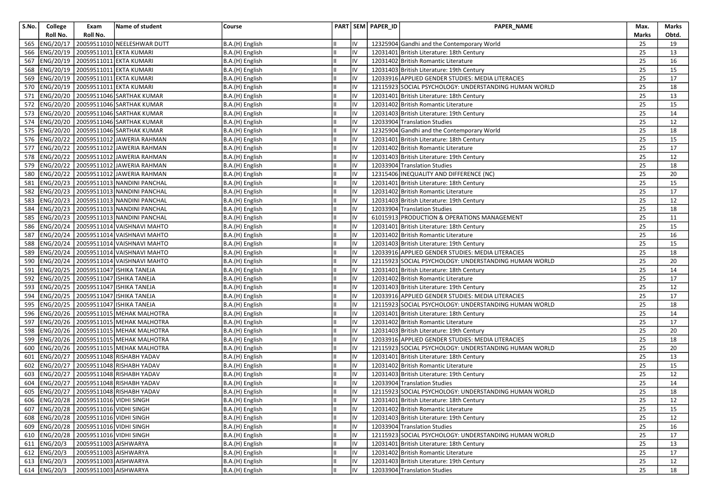| S.No. | College                   | Exam                                        | Name of student                       | Course          |    | PART SEM PAPER_ID | PAPER_NAME                                            | Max.  | Marks |
|-------|---------------------------|---------------------------------------------|---------------------------------------|-----------------|----|-------------------|-------------------------------------------------------|-------|-------|
|       | Roll No.                  | Roll No.                                    |                                       |                 |    |                   |                                                       | Marks | Obtd. |
| 565   |                           |                                             | ENG/20/17 20059511010 NEELESHWAR DUTT | B.A.(H) English | IV |                   | 12325904 Gandhi and the Contemporary World            | 25    | 19    |
| 566   |                           |                                             | ENG/20/19 20059511011 EKTA KUMARI     | B.A.(H) English | IV |                   | 12031401 British Literature: 18th Century             | 25    | 13    |
| 567   |                           |                                             | ENG/20/19 20059511011 EKTA KUMARI     | B.A.(H) English | IV |                   | 12031402 British Romantic Literature                  | 25    | 16    |
| 568   |                           |                                             | ENG/20/19 20059511011 EKTA KUMARI     | B.A.(H) English | IV |                   | 12031403 British Literature: 19th Century             | 25    | 15    |
| 569   |                           | ENG/20/19   20059511011 EKTA KUMARI         |                                       | B.A.(H) English | IV |                   | 12033916 APPLIED GENDER STUDIES: MEDIA LITERACIES     | 25    | 17    |
|       |                           | 570   ENG/20/19   20059511011 EKTA KUMARI   |                                       | B.A.(H) English | IV |                   | 12115923 SOCIAL PSYCHOLOGY: UNDERSTANDING HUMAN WORLD | 25    | 18    |
| 571   |                           |                                             | ENG/20/20 20059511046 SARTHAK KUMAR   | B.A.(H) English | IV |                   | 12031401 British Literature: 18th Century             | 25    | 13    |
| 572   |                           |                                             | ENG/20/20 20059511046 SARTHAK KUMAR   | B.A.(H) English | IV |                   | 12031402 British Romantic Literature                  | 25    | 15    |
| 573   |                           |                                             | ENG/20/20 20059511046 SARTHAK KUMAR   | B.A.(H) English | IV |                   | 12031403 British Literature: 19th Century             | 25    | 14    |
| 574   |                           |                                             | ENG/20/20 20059511046 SARTHAK KUMAR   | B.A.(H) English | IV |                   | 12033904 Translation Studies                          | 25    | 12    |
| 575   |                           |                                             | ENG/20/20 20059511046 SARTHAK KUMAR   | B.A.(H) English | IV |                   | 12325904 Gandhi and the Contemporary World            | 25    | 18    |
| 576   |                           |                                             | ENG/20/22 20059511012 JAWERIA RAHMAN  | B.A.(H) English | IV |                   | 12031401 British Literature: 18th Century             | 25    | 15    |
| 577   |                           |                                             | ENG/20/22 20059511012 JAWERIA RAHMAN  | B.A.(H) English | IV |                   | 12031402 British Romantic Literature                  | 25    | 17    |
| 578   |                           |                                             | ENG/20/22 20059511012 JAWERIA RAHMAN  | B.A.(H) English | IV |                   | 12031403 British Literature: 19th Century             | 25    | 12    |
| 579   |                           |                                             | ENG/20/22 20059511012 JAWERIA RAHMAN  | B.A.(H) English | IV |                   | 12033904 Translation Studies                          | 25    | 18    |
| 580   |                           |                                             | ENG/20/22 20059511012 JAWERIA RAHMAN  | B.A.(H) English | IV |                   | 12315406 INEQUALITY AND DIFFERENCE (NC)               | 25    | 20    |
| 581   |                           |                                             | ENG/20/23 20059511013 NANDINI PANCHAL | B.A.(H) English | IV |                   | 12031401 British Literature: 18th Century             | 25    | 15    |
| 582   |                           |                                             | ENG/20/23 20059511013 NANDINI PANCHAL | B.A.(H) English | IV |                   | 12031402 British Romantic Literature                  | 25    | 17    |
| 583   |                           |                                             | ENG/20/23 20059511013 NANDINI PANCHAL | B.A.(H) English | IV |                   | 12031403 British Literature: 19th Century             | 25    | 12    |
| 584   |                           |                                             | ENG/20/23 20059511013 NANDINI PANCHAL | B.A.(H) English | IV |                   | 12033904 Translation Studies                          | 25    | 18    |
| 585   |                           |                                             | ENG/20/23 20059511013 NANDINI PANCHAL | B.A.(H) English | IV |                   | 61015913 PRODUCTION & OPERATIONS MANAGEMENT           | 25    | 11    |
| 586   |                           |                                             | ENG/20/24 20059511014 VAISHNAVI MAHTO | B.A.(H) English | IV |                   | 12031401 British Literature: 18th Century             | 25    | 15    |
| 587   |                           |                                             | ENG/20/24 20059511014 VAISHNAVI MAHTO | B.A.(H) English | IV |                   | 12031402 British Romantic Literature                  | 25    | 16    |
| 588   |                           |                                             | ENG/20/24 20059511014 VAISHNAVI MAHTO | B.A.(H) English | IV |                   | 12031403 British Literature: 19th Century             | 25    | 15    |
| 589   |                           |                                             | ENG/20/24 20059511014 VAISHNAVI MAHTO | B.A.(H) English | IV |                   | 12033916 APPLIED GENDER STUDIES: MEDIA LITERACIES     | 25    | 18    |
| 590   |                           |                                             | ENG/20/24 20059511014 VAISHNAVI MAHTO | B.A.(H) English | IV |                   | 12115923 SOCIAL PSYCHOLOGY: UNDERSTANDING HUMAN WORLD | 25    | 20    |
| 591   |                           |                                             | ENG/20/25 20059511047 ISHIKA TANEJA   | B.A.(H) English | IV |                   | 12031401 British Literature: 18th Century             | 25    | 14    |
| 592   |                           |                                             | ENG/20/25   20059511047 ISHIKA TANEJA | B.A.(H) English | IV |                   | 12031402 British Romantic Literature                  | 25    | 17    |
| 593   |                           |                                             | ENG/20/25 20059511047 ISHIKA TANEJA   | B.A.(H) English | IV |                   | 12031403 British Literature: 19th Century             | 25    | 12    |
| 594   |                           |                                             | ENG/20/25 20059511047 ISHIKA TANEJA   | B.A.(H) English | IV |                   | 12033916 APPLIED GENDER STUDIES: MEDIA LITERACIES     | 25    | 17    |
| 595   |                           |                                             | ENG/20/25 20059511047 ISHIKA TANEJA   | B.A.(H) English | IV |                   | 12115923 SOCIAL PSYCHOLOGY: UNDERSTANDING HUMAN WORLD | 25    | 18    |
| 596   |                           |                                             | ENG/20/26 20059511015 MEHAK MALHOTRA  | B.A.(H) English | IV |                   | 12031401 British Literature: 18th Century             | 25    | 14    |
| 597   |                           |                                             | ENG/20/26 20059511015 MEHAK MALHOTRA  | B.A.(H) English | IV |                   | 12031402 British Romantic Literature                  | 25    | 17    |
| 598   |                           |                                             | ENG/20/26 20059511015 MEHAK MALHOTRA  | B.A.(H) English | IV |                   | 12031403 British Literature: 19th Century             | 25    | 20    |
| 599   |                           |                                             | ENG/20/26 20059511015 MEHAK MALHOTRA  | B.A.(H) English | IV |                   | 12033916 APPLIED GENDER STUDIES: MEDIA LITERACIES     | 25    | 18    |
| 600   |                           |                                             | ENG/20/26 20059511015 MEHAK MALHOTRA  | B.A.(H) English | IV |                   | 12115923 SOCIAL PSYCHOLOGY: UNDERSTANDING HUMAN WORLD | 25    | 20    |
| 601   |                           |                                             | ENG/20/27 20059511048 RISHABH YADAV   | B.A.(H) English | IV |                   | 12031401 British Literature: 18th Century             | 25    | 13    |
| 602   |                           |                                             | ENG/20/27 20059511048 RISHABH YADAV   | B.A.(H) English | IV |                   | 12031402 British Romantic Literature                  | 25    | 15    |
| 603   |                           |                                             | ENG/20/27 20059511048 RISHABH YADAV   | B.A.(H) English | IV |                   | 12031403 British Literature: 19th Century             | 25    | 12    |
| 604   |                           |                                             | ENG/20/27 20059511048 RISHABH YADAV   | B.A.(H) English | IV |                   | 12033904 Translation Studies                          | 25    | 14    |
| 605   |                           |                                             | ENG/20/27 20059511048 RISHABH YADAV   | B.A.(H) English | IV |                   | 12115923 SOCIAL PSYCHOLOGY: UNDERSTANDING HUMAN WORLD | 25    | 18    |
|       |                           | 606 ENG/20/28 20059511016 VIDHI SINGH       |                                       | B.A.(H) English | IV |                   | 12031401 British Literature: 18th Century             | 25    | 12    |
|       |                           | 607   ENG/20/28   20059511016 VIDHI SINGH   |                                       | B.A.(H) English | IV |                   | 12031402 British Romantic Literature                  | 25    | 15    |
|       |                           | 608  ENG/20/28 20059511016 VIDHI SINGH      |                                       | B.A.(H) English | IV |                   | 12031403 British Literature: 19th Century             | 25    | 12    |
|       |                           | 609   ENG/20/28   20059511016   VIDHI SINGH |                                       | B.A.(H) English | IV |                   | 12033904 Translation Studies                          | 25    | 16    |
|       |                           | 610 ENG/20/28 20059511016 VIDHI SINGH       |                                       | B.A.(H) English | IV |                   | 12115923 SOCIAL PSYCHOLOGY: UNDERSTANDING HUMAN WORLD | 25    | 17    |
|       | 611   ENG/20/3            | 20059511003 AISHWARYA                       |                                       | B.A.(H) English | IV |                   | 12031401 British Literature: 18th Century             | 25    | 13    |
|       | 612 ENG/20/3              | 20059511003 AISHWARYA                       |                                       | B.A.(H) English | IV |                   | 12031402 British Romantic Literature                  | 25    | 17    |
|       | $\overline{613}$ ENG/20/3 | 20059511003 AISHWARYA                       |                                       | B.A.(H) English | IV |                   | 12031403 British Literature: 19th Century             | 25    | 12    |
|       | 614 ENG/20/3              | 20059511003 AISHWARYA                       |                                       | B.A.(H) English | IV |                   | 12033904 Translation Studies                          | 25    | 18    |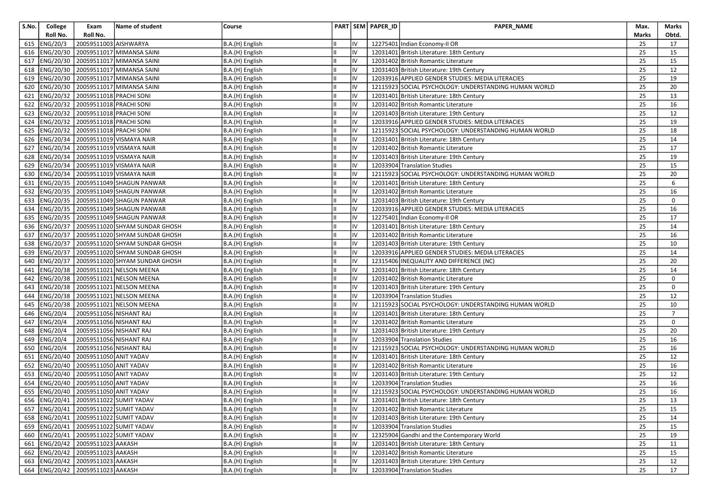| S.No. | College       | Exam                                    | Name of student                           | Course          |    |    | PART SEM PAPER_ID | PAPER_NAME                                            | Max.  | Marks          |
|-------|---------------|-----------------------------------------|-------------------------------------------|-----------------|----|----|-------------------|-------------------------------------------------------|-------|----------------|
|       | Roll No.      | Roll No.                                |                                           |                 |    |    |                   |                                                       | Marks | Obtd.          |
| 615   | ENG/20/3      | 20059511003 AISHWARYA                   |                                           | B.A.(H) English |    | IV |                   | 12275401 Indian Economy-II OR                         | 25    | 17             |
| 616   | ENG/20/30     |                                         | 20059511017 MIMANSA SAINI                 | B.A.(H) English | Ш  | IV |                   | 12031401 British Literature: 18th Century             | 25    | 15             |
| 617   | ENG/20/30     |                                         | 20059511017 MIMANSA SAINI                 | B.A.(H) English |    | IV |                   | 12031402 British Romantic Literature                  | 25    | 15             |
| 618   | ENG/20/30     |                                         | 20059511017 MIMANSA SAINI                 | B.A.(H) English |    | IV |                   | 12031403 British Literature: 19th Century             | 25    | 12             |
| 619   | ENG/20/30     |                                         | 20059511017 MIMANSA SAINI                 | B.A.(H) English |    | IV |                   | 12033916 APPLIED GENDER STUDIES: MEDIA LITERACIES     | 25    | 19             |
|       | 620 ENG/20/30 |                                         | 20059511017 MIMANSA SAINI                 | B.A.(H) English |    | IV |                   | 12115923 SOCIAL PSYCHOLOGY: UNDERSTANDING HUMAN WORLD | 25    | 20             |
| 621   | ENG/20/32     | 20059511018 PRACHI SONI                 |                                           | B.A.(H) English |    | IV |                   | 12031401 British Literature: 18th Century             | 25    | 13             |
| 622   | ENG/20/32     | 20059511018 PRACHI SONI                 |                                           | B.A.(H) English |    | IV |                   | 12031402 British Romantic Literature                  | 25    | 16             |
| 623   | ENG/20/32     | 20059511018 PRACHI SONI                 |                                           | B.A.(H) English |    | IV |                   | 12031403 British Literature: 19th Century             | 25    | 12             |
| 624   | ENG/20/32     | 20059511018 PRACHI SONI                 |                                           | B.A.(H) English |    | IV |                   | 12033916 APPLIED GENDER STUDIES: MEDIA LITERACIES     | 25    | 19             |
| 625   |               | ENG/20/32 20059511018 PRACHI SONI       |                                           | B.A.(H) English |    | IV |                   | 12115923 SOCIAL PSYCHOLOGY: UNDERSTANDING HUMAN WORLD | 25    | 18             |
| 626   | ENG/20/34     |                                         | 20059511019 VISMAYA NAIR                  | B.A.(H) English |    | IV |                   | 12031401 British Literature: 18th Century             | 25    | 14             |
| 627   | ENG/20/34     |                                         | 20059511019 VISMAYA NAIR                  | B.A.(H) English |    | IV |                   | 12031402 British Romantic Literature                  | 25    | 17             |
| 628   | ENG/20/34     |                                         | 20059511019 VISMAYA NAIR                  | B.A.(H) English |    | IV |                   | 12031403 British Literature: 19th Century             | 25    | 19             |
| 629   | ENG/20/34     |                                         | 20059511019 VISMAYA NAIR                  | B.A.(H) English |    | IV |                   | 12033904 Translation Studies                          | 25    | 15             |
| 630   | ENG/20/34     |                                         | 20059511019 VISMAYA NAIR                  | B.A.(H) English | Ш  | IV |                   | 12115923 SOCIAL PSYCHOLOGY: UNDERSTANDING HUMAN WORLD | 25    | 20             |
| 631   | ENG/20/35     |                                         | 20059511049 SHAGUN PANWAR                 | B.A.(H) English |    | IV |                   | 12031401 British Literature: 18th Century             | 25    | 6              |
| 632   | ENG/20/35     |                                         | 20059511049 SHAGUN PANWAR                 | B.A.(H) English |    | IV |                   | 12031402 British Romantic Literature                  | 25    | 16             |
| 633   | ENG/20/35     |                                         | 20059511049 SHAGUN PANWAR                 | B.A.(H) English |    | IV |                   | 12031403 British Literature: 19th Century             | 25    | $\mathbf 0$    |
| 634   | ENG/20/35     |                                         | 20059511049 SHAGUN PANWAR                 | B.A.(H) English |    | IV |                   | 12033916 APPLIED GENDER STUDIES: MEDIA LITERACIES     | 25    | 16             |
| 635   | ENG/20/35     |                                         | 20059511049 SHAGUN PANWAR                 | B.A.(H) English |    | IV |                   | 12275401 Indian Economy-II OR                         | 25    | 17             |
| 636   | ENG/20/37     |                                         | 20059511020 SHYAM SUNDAR GHOSH            | B.A.(H) English |    | IV |                   | 12031401 British Literature: 18th Century             | 25    | 14             |
| 637   | ENG/20/37     |                                         | 20059511020 SHYAM SUNDAR GHOSH            | B.A.(H) English | Iн | IV |                   | 12031402 British Romantic Literature                  | 25    | 16             |
| 638   | ENG/20/37     |                                         | 20059511020 SHYAM SUNDAR GHOSH            | B.A.(H) English |    | IV |                   | 12031403 British Literature: 19th Century             | 25    | 10             |
| 639   | ENG/20/37     |                                         | 20059511020 SHYAM SUNDAR GHOSH            | B.A.(H) English |    | IV |                   | 12033916 APPLIED GENDER STUDIES: MEDIA LITERACIES     | 25    | 14             |
| 640   | ENG/20/37     |                                         | 20059511020 SHYAM SUNDAR GHOSH            | B.A.(H) English |    | IV |                   | 12315406 INEQUALITY AND DIFFERENCE (NC)               | 25    | 20             |
| 641   | ENG/20/38     |                                         | 20059511021 NELSON MEENA                  | B.A.(H) English |    | IV |                   | 12031401 British Literature: 18th Century             | 25    | 14             |
| 642   | ENG/20/38     |                                         | 20059511021 NELSON MEENA                  | B.A.(H) English |    | IV |                   | 12031402 British Romantic Literature                  | 25    | 0              |
| 643   | ENG/20/38     |                                         | 20059511021 NELSON MEENA                  | B.A.(H) English |    | IV |                   | 12031403 British Literature: 19th Century             | 25    | 0              |
| 644   | ENG/20/38     |                                         | 20059511021 NELSON MEENA                  | B.A.(H) English |    | IV |                   | 12033904 Translation Studies                          | 25    | 12             |
| 645   | ENG/20/38     |                                         | 20059511021 NELSON MEENA                  | B.A.(H) English |    | IV |                   | 12115923 SOCIAL PSYCHOLOGY: UNDERSTANDING HUMAN WORLD | 25    | 10             |
| 646   | ENG/20/4      | 20059511056 NISHANT RAJ                 |                                           | B.A.(H) English |    | IV |                   | 12031401 British Literature: 18th Century             | 25    | $\overline{7}$ |
| 647   | ENG/20/4      | 20059511056 NISHANT RAJ                 |                                           | B.A.(H) English |    | IV |                   | 12031402 British Romantic Literature                  | 25    | 0              |
| 648   | ENG/20/4      | 20059511056 NISHANT RAJ                 |                                           | B.A.(H) English |    | IV |                   | 12031403 British Literature: 19th Century             | 25    | 20             |
| 649   | ENG/20/4      | 20059511056 NISHANT RAJ                 |                                           | B.A.(H) English |    | IV |                   | 12033904 Translation Studies                          | 25    | 16             |
| 650   | ENG/20/4      | 20059511056 NISHANT RAJ                 |                                           | B.A.(H) English |    | IV |                   | 12115923 SOCIAL PSYCHOLOGY: UNDERSTANDING HUMAN WORLD | 25    | 16             |
| 651   | ENG/20/40     | 20059511050 ANIT YADAV                  |                                           | B.A.(H) English |    | IV |                   | 12031401 British Literature: 18th Century             | 25    | 12             |
| 652   | ENG/20/40     | 20059511050 ANIT YADAV                  |                                           | B.A.(H) English |    | IV |                   | 12031402 British Romantic Literature                  | 25    | 16             |
| 653   | ENG/20/40     | 20059511050 ANIT YADAV                  |                                           | B.A.(H) English |    | IV |                   | 12031403 British Literature: 19th Century             | 25    | 12             |
| 654   | ENG/20/40     | 20059511050 ANIT YADAV                  |                                           | B.A.(H) English |    | IV |                   | 12033904 Translation Studies                          | 25    | 16             |
|       |               | 655  ENG/20/40   20059511050 ANIT YADAV |                                           | B.A.(H) English | Ш  | IV |                   | 12115923 SOCIAL PSYCHOLOGY: UNDERSTANDING HUMAN WORLD | 25    | 16             |
|       |               |                                         | 656 ENG/20/41 20059511022 SUMIT YADAV     | B.A.(H) English |    |    |                   | 12031401 British Literature: 18th Century             | 25    | 13             |
|       |               |                                         | 657 ENG/20/41 20059511022 SUMIT YADAV     | B.A.(H) English |    | IV |                   | 12031402 British Romantic Literature                  | 25    | 15             |
|       |               |                                         | 658 ENG/20/41 20059511022 SUMIT YADAV     | B.A.(H) English |    | IV |                   | 12031403 British Literature: 19th Century             | 25    | 14             |
|       |               |                                         | 659   ENG/20/41   20059511022 SUMIT YADAV | B.A.(H) English | Ш  | IV |                   | 12033904 Translation Studies                          | 25    | 15             |
|       |               |                                         | 660 ENG/20/41 20059511022 SUMIT YADAV     | B.A.(H) English |    | IV |                   | 12325904 Gandhi and the Contemporary World            | 25    | 19             |
|       |               | 661  ENG/20/42   20059511023 AAKASH     |                                           | B.A.(H) English |    | IV |                   | 12031401 British Literature: 18th Century             | 25    | 11             |
|       |               | 662   ENG/20/42   20059511023   AAKASH  |                                           | B.A.(H) English | Iш | IV |                   | 12031402 British Romantic Literature                  | 25    | 15             |
|       |               | 663 ENG/20/42 20059511023 AAKASH        |                                           | B.A.(H) English |    | IV |                   | 12031403 British Literature: 19th Century             | 25    | 12             |
|       |               | 664   ENG/20/42   20059511023   AAKASH  |                                           | B.A.(H) English |    | IV |                   | 12033904 Translation Studies                          | 25    | 17             |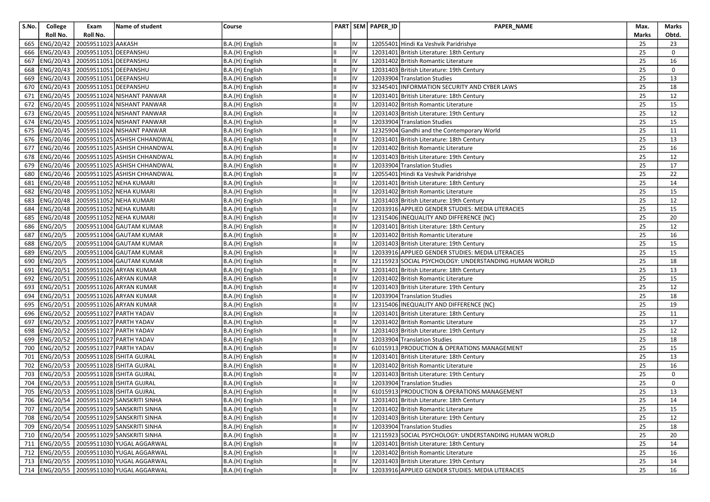| S.No. | College         | Exam                                      | Name of student                                 | Course          |    | PART SEM PAPER_ID | PAPER_NAME                                            | Max.  | Marks |
|-------|-----------------|-------------------------------------------|-------------------------------------------------|-----------------|----|-------------------|-------------------------------------------------------|-------|-------|
|       | Roll No.        | Roll No.                                  |                                                 |                 |    |                   |                                                       | Marks | Obtd. |
| 665   | ENG/20/42       | 20059511023 AAKASH                        |                                                 | B.A.(H) English | IV |                   | 12055401 Hindi Ka Veshvik Paridrishye                 | 25    | 23    |
| 666   |                 | ENG/20/43 20059511051 DEEPANSHU           |                                                 | B.A.(H) English | IV |                   | 12031401 British Literature: 18th Century             | 25    | 0     |
| 667   |                 | ENG/20/43 20059511051 DEEPANSHU           |                                                 | B.A.(H) English | IV |                   | 12031402 British Romantic Literature                  | 25    | 16    |
| 668   |                 | ENG/20/43 20059511051 DEEPANSHU           |                                                 | B.A.(H) English | IV |                   | 12031403 British Literature: 19th Century             | 25    | 0     |
| 669   |                 | ENG/20/43 20059511051 DEEPANSHU           |                                                 | B.A.(H) English | IV |                   | 12033904 Translation Studies                          | 25    | 13    |
|       |                 | 670   ENG/20/43   20059511051   DEEPANSHU |                                                 | B.A.(H) English | IV |                   | 32345401 INFORMATION SECURITY AND CYBER LAWS          | 25    | 18    |
| 671   |                 |                                           | ENG/20/45 20059511024 NISHANT PANWAR            | B.A.(H) English | IV |                   | 12031401 British Literature: 18th Century             | 25    | 12    |
| 672   |                 |                                           | ENG/20/45 20059511024 NISHANT PANWAR            | B.A.(H) English | IV |                   | 12031402 British Romantic Literature                  | 25    | 15    |
| 673   |                 |                                           | ENG/20/45   20059511024 NISHANT PANWAR          | B.A.(H) English | IV |                   | 12031403 British Literature: 19th Century             | 25    | 12    |
| 674   |                 |                                           | ENG/20/45 20059511024 NISHANT PANWAR            | B.A.(H) English | IV |                   | 12033904 Translation Studies                          | 25    | 15    |
| 675   |                 |                                           | ENG/20/45 20059511024 NISHANT PANWAR            | B.A.(H) English | IV |                   | 12325904 Gandhi and the Contemporary World            | 25    | 11    |
| 676   |                 |                                           | ENG/20/46 20059511025 ASHISH CHHANDWAL          | B.A.(H) English | IV |                   | 12031401 British Literature: 18th Century             | 25    | 13    |
| 677   |                 |                                           | ENG/20/46 20059511025 ASHISH CHHANDWAL          | B.A.(H) English | IV |                   | 12031402 British Romantic Literature                  | 25    | 16    |
| 678   |                 |                                           | ENG/20/46 20059511025 ASHISH CHHANDWAL          | B.A.(H) English | IV |                   | 12031403 British Literature: 19th Century             | 25    | 12    |
| 679   |                 |                                           | ENG/20/46 20059511025 ASHISH CHHANDWAL          | B.A.(H) English | IV |                   | 12033904 Translation Studies                          | 25    | 17    |
| 680   |                 |                                           | ENG/20/46 20059511025 ASHISH CHHANDWAL          | B.A.(H) English | IV |                   | 12055401 Hindi Ka Veshvik Paridrishye                 | 25    | 22    |
| 681   |                 |                                           | ENG/20/48 20059511052 NEHA KUMARI               | B.A.(H) English | IV |                   | 12031401 British Literature: 18th Century             | 25    | 14    |
| 682   |                 |                                           | ENG/20/48 20059511052 NEHA KUMARI               | B.A.(H) English | IV |                   | 12031402 British Romantic Literature                  | 25    | 15    |
| 683   |                 |                                           | ENG/20/48 20059511052 NEHA KUMARI               | B.A.(H) English | IV |                   | 12031403 British Literature: 19th Century             | 25    | 12    |
| 684   |                 |                                           | ENG/20/48 20059511052 NEHA KUMARI               | B.A.(H) English | IV |                   | 12033916 APPLIED GENDER STUDIES: MEDIA LITERACIES     | 25    | 15    |
| 685   |                 |                                           | ENG/20/48 20059511052 NEHA KUMARI               | B.A.(H) English | IV |                   | 12315406 INEQUALITY AND DIFFERENCE (NC)               | 25    | 20    |
| 686   | ENG/20/5        |                                           | 20059511004 GAUTAM KUMAR                        | B.A.(H) English | IV |                   | 12031401 British Literature: 18th Century             | 25    | 12    |
| 687   | ENG/20/5        |                                           | 20059511004 GAUTAM KUMAR                        | B.A.(H) English | IV |                   | 12031402 British Romantic Literature                  | 25    | 16    |
| 688   | ENG/20/5        |                                           | 20059511004 GAUTAM KUMAR                        | B.A.(H) English | IV |                   | 12031403 British Literature: 19th Century             | 25    | 15    |
| 689   | ENG/20/5        |                                           | 20059511004 GAUTAM KUMAR                        | B.A.(H) English | IV |                   | 12033916 APPLIED GENDER STUDIES: MEDIA LITERACIES     | 25    | 15    |
| 690   | <b>ENG/20/5</b> |                                           | 20059511004 GAUTAM KUMAR                        | B.A.(H) English | IV |                   | 12115923 SOCIAL PSYCHOLOGY: UNDERSTANDING HUMAN WORLD | 25    | 18    |
| 691   |                 |                                           | ENG/20/51 20059511026 ARYAN KUMAR               | B.A.(H) English | IV |                   | 12031401 British Literature: 18th Century             | 25    | 13    |
| 692   |                 |                                           | ENG/20/51 20059511026 ARYAN KUMAR               | B.A.(H) English | IV |                   | 12031402 British Romantic Literature                  | 25    | 15    |
| 693   |                 |                                           | ENG/20/51 20059511026 ARYAN KUMAR               | B.A.(H) English | IV |                   | 12031403 British Literature: 19th Century             | 25    | 12    |
| 694   | ENG/20/51       |                                           | 20059511026 ARYAN KUMAR                         | B.A.(H) English | IV |                   | 12033904 Translation Studies                          | 25    | 18    |
| 695   |                 |                                           | ENG/20/51 20059511026 ARYAN KUMAR               | B.A.(H) English | IV |                   | 12315406 INEQUALITY AND DIFFERENCE (NC)               | 25    | 19    |
| 696   |                 |                                           | ENG/20/52 20059511027 PARTH YADAV               | B.A.(H) English | IV |                   | 12031401 British Literature: 18th Century             | 25    | 11    |
| 697   |                 |                                           | ENG/20/52 20059511027 PARTH YADAV               | B.A.(H) English | IV |                   | 12031402 British Romantic Literature                  | 25    | 17    |
| 698   |                 |                                           | ENG/20/52 20059511027 PARTH YADAV               | B.A.(H) English | IV |                   | 12031403 British Literature: 19th Century             | 25    | 12    |
| 699   |                 |                                           | ENG/20/52 20059511027 PARTH YADAV               | B.A.(H) English | IV |                   | 12033904 Translation Studies                          | 25    | 18    |
| 700   |                 |                                           | ENG/20/52 20059511027 PARTH YADAV               | B.A.(H) English | IV |                   | 61015913 PRODUCTION & OPERATIONS MANAGEMENT           | 25    | 15    |
| 701   |                 |                                           | ENG/20/53 20059511028 ISHITA GUJRAL             | B.A.(H) English | IV |                   | 12031401 British Literature: 18th Century             | 25    | 13    |
| 702   |                 |                                           | ENG/20/53 20059511028 ISHITA GUJRAL             | B.A.(H) English | IV |                   | 12031402 British Romantic Literature                  | 25    | 16    |
| 703   |                 |                                           | ENG/20/53 20059511028 ISHITA GUJRAL             | B.A.(H) English | IV |                   | 12031403 British Literature: 19th Century             | 25    | 0     |
| 704   |                 |                                           | ENG/20/53 20059511028 ISHITA GUJRAL             | B.A.(H) English | IV |                   | 12033904 Translation Studies                          | 25    | 0     |
| 705   |                 |                                           | ENG/20/53 20059511028 ISHITA GUJRAL             | B.A.(H) English | IV |                   | 61015913 PRODUCTION & OPERATIONS MANAGEMENT           | 25    | 13    |
|       |                 |                                           | 706 ENG/20/54 20059511029 SANSKRITI SINHA       | B.A.(H) English | IV |                   | 12031401 British Literature: 18th Century             | 25    | 14    |
|       |                 |                                           | 707   ENG/20/54   20059511029 SANSKRITI SINHA   | B.A.(H) English | IV |                   | 12031402 British Romantic Literature                  | 25    | 15    |
|       |                 |                                           | 708   ENG/20/54   20059511029 SANSKRITI SINHA   | B.A.(H) English | IV |                   | 12031403 British Literature: 19th Century             | 25    | 12    |
|       |                 |                                           | 709   ENG/20/54   20059511029   SANSKRITI SINHA | B.A.(H) English | IV |                   | 12033904 Translation Studies                          | 25    | 18    |
|       |                 |                                           | 710   ENG/20/54   20059511029 SANSKRITI SINHA   | B.A.(H) English | IV |                   | 12115923 SOCIAL PSYCHOLOGY: UNDERSTANDING HUMAN WORLD | 25    | 20    |
|       |                 |                                           | 711   ENG/20/55   20059511030 YUGAL AGGARWAL    | B.A.(H) English | IV |                   | 12031401 British Literature: 18th Century             | 25    | 14    |
|       |                 |                                           | 712   ENG/20/55   20059511030 YUGAL AGGARWAL    | B.A.(H) English | IV |                   | 12031402 British Romantic Literature                  | 25    | 16    |
|       |                 |                                           | 713  ENG/20/55   20059511030 YUGAL AGGARWAL     | B.A.(H) English | IV |                   | 12031403 British Literature: 19th Century             | 25    | 14    |
|       |                 |                                           | 714   ENG/20/55   20059511030 YUGAL AGGARWAL    | B.A.(H) English | IV |                   | 12033916 APPLIED GENDER STUDIES: MEDIA LITERACIES     | 25    | 16    |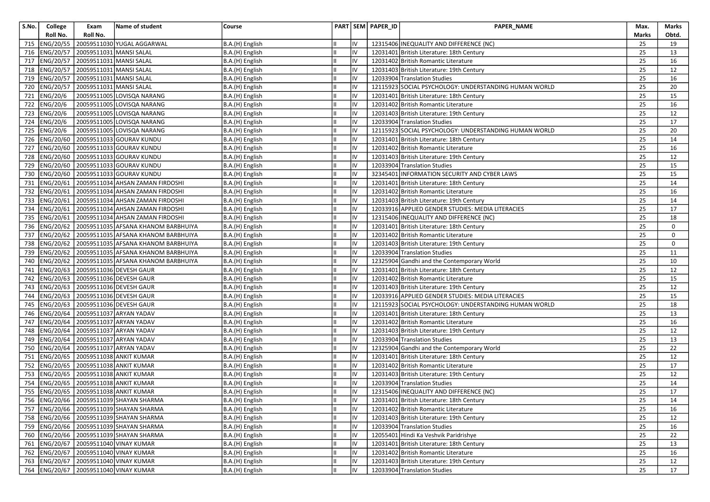| S.No. | College      | Exam                                        | Name of student                                         | Course          |            | PART SEM PAPER_ID | PAPER_NAME                                            | Max.  | Marks       |
|-------|--------------|---------------------------------------------|---------------------------------------------------------|-----------------|------------|-------------------|-------------------------------------------------------|-------|-------------|
|       | Roll No.     | Roll No.                                    |                                                         |                 |            |                   |                                                       | Marks | Obtd.       |
| 715   |              |                                             | ENG/20/55 20059511030 YUGAL AGGARWAL                    | B.A.(H) English | IV         |                   | 12315406 INEQUALITY AND DIFFERENCE (NC)               | 25    | 19          |
|       |              | 716   ENG/20/57   20059511031   MANSI SALAL |                                                         | B.A.(H) English | IV         |                   | 12031401 British Literature: 18th Century             | 25    | 13          |
|       |              | 717   ENG/20/57   20059511031   MANSI SALAL |                                                         | B.A.(H) English | IV         |                   | 12031402 British Romantic Literature                  | 25    | 16          |
| 718   |              | ENG/20/57 20059511031 MANSI SALAL           |                                                         | B.A.(H) English | IV         |                   | 12031403 British Literature: 19th Century             | 25    | 12          |
|       |              | 719   ENG/20/57   20059511031   MANSI SALAL |                                                         | B.A.(H) English | IV         |                   | 12033904 Translation Studies                          | 25    | 16          |
|       |              | 720   ENG/20/57   20059511031   MANSI SALAL |                                                         | B.A.(H) English | IV         |                   | 12115923 SOCIAL PSYCHOLOGY: UNDERSTANDING HUMAN WORLD | 25    | 20          |
|       | 721 ENG/20/6 |                                             | 20059511005 LOVISQA NARANG                              | B.A.(H) English | IV         |                   | 12031401 British Literature: 18th Century             | 25    | 15          |
|       | 722 ENG/20/6 |                                             | 20059511005 LOVISQA NARANG                              | B.A.(H) English | IV         |                   | 12031402 British Romantic Literature                  | 25    | 16          |
|       | 723 ENG/20/6 |                                             | 20059511005 LOVISQA NARANG                              | B.A.(H) English | IV         |                   | 12031403 British Literature: 19th Century             | 25    | 12          |
|       | 724 ENG/20/6 |                                             | 20059511005 LOVISQA NARANG                              | B.A.(H) English | IV         |                   | 12033904 Translation Studies                          | 25    | 17          |
|       | 725 ENG/20/6 |                                             | 20059511005 LOVISQA NARANG                              | B.A.(H) English | IV         |                   | 12115923 SOCIAL PSYCHOLOGY: UNDERSTANDING HUMAN WORLD | 25    | 20          |
|       |              |                                             | 726 ENG/20/60 20059511033 GOURAV KUNDU                  | B.A.(H) English | IV         |                   | 12031401 British Literature: 18th Century             | 25    | 14          |
|       |              |                                             | 727   ENG/20/60   20059511033 GOURAV KUNDU              | B.A.(H) English | IV         |                   | 12031402 British Romantic Literature                  | 25    | 16          |
| 728   |              |                                             | ENG/20/60 20059511033 GOURAV KUNDU                      | B.A.(H) English | liv        |                   | 12031403 British Literature: 19th Century             | 25    | 12          |
|       |              |                                             | 729 ENG/20/60 20059511033 GOURAV KUNDU                  | B.A.(H) English | IV         |                   | 12033904 Translation Studies                          | 25    | 15          |
|       |              |                                             | 730   ENG/20/60   20059511033 GOURAV KUNDU              | B.A.(H) English | IV         |                   | 32345401 INFORMATION SECURITY AND CYBER LAWS          | 25    | 15          |
| 731   |              |                                             | ENG/20/61 20059511034 AHSAN ZAMAN FIRDOSHI              | B.A.(H) English | IV         |                   | 12031401 British Literature: 18th Century             | 25    | 14          |
|       |              |                                             | 732   ENG/20/61   20059511034 AHSAN ZAMAN FIRDOSHI      | B.A.(H) English | IV         |                   | 12031402 British Romantic Literature                  | 25    | 16          |
| 733   |              |                                             | ENG/20/61 20059511034 AHSAN ZAMAN FIRDOSHI              | B.A.(H) English | IV         |                   | 12031403 British Literature: 19th Century             | 25    | 14          |
|       |              |                                             | 734   ENG/20/61   20059511034 AHSAN ZAMAN FIRDOSHI      | B.A.(H) English | IV         |                   | 12033916 APPLIED GENDER STUDIES: MEDIA LITERACIES     | 25    | 17          |
|       |              |                                             | 735   ENG/20/61   20059511034 AHSAN ZAMAN FIRDOSHI      | B.A.(H) English | IV         |                   | 12315406 INEQUALITY AND DIFFERENCE (NC)               | 25    | 18          |
|       |              |                                             | 736   ENG/20/62   20059511035   AFSANA KHANOM BARBHUIYA | B.A.(H) English | IV         |                   | 12031401 British Literature: 18th Century             | 25    | 0           |
|       |              |                                             | 737 ENG/20/62   20059511035 AFSANA KHANOM BARBHUIYA     | B.A.(H) English | IV         |                   | 12031402 British Romantic Literature                  | 25    | $\mathbf 0$ |
|       |              |                                             | 738   ENG/20/62   20059511035   AFSANA KHANOM BARBHUIYA | B.A.(H) English | IV         |                   | 12031403 British Literature: 19th Century             | 25    | 0           |
|       |              |                                             | 739 ENG/20/62 20059511035 AFSANA KHANOM BARBHUIYA       | B.A.(H) English | IV         |                   | 12033904 Translation Studies                          | 25    | 11          |
| 740   |              |                                             | ENG/20/62 20059511035 AFSANA KHANOM BARBHUIYA           | B.A.(H) English | IV         |                   | 12325904 Gandhi and the Contemporary World            | 25    | 10          |
|       |              |                                             | 741   ENG/20/63   20059511036 DEVESH GAUR               | B.A.(H) English | IV         |                   | 12031401 British Literature: 18th Century             | 25    | 12          |
|       |              |                                             | 742   ENG/20/63   20059511036 DEVESH GAUR               | B.A.(H) English | IV         |                   | 12031402 British Romantic Literature                  | 25    | 15          |
| 743   |              |                                             | ENG/20/63 20059511036 DEVESH GAUR                       | B.A.(H) English | IV         |                   | 12031403 British Literature: 19th Century             | 25    | 12          |
| 744   |              |                                             | ENG/20/63   20059511036 DEVESH GAUR                     | B.A.(H) English | IV         |                   | 12033916 APPLIED GENDER STUDIES: MEDIA LITERACIES     | 25    | 15          |
| 745   |              |                                             | ENG/20/63 20059511036 DEVESH GAUR                       | B.A.(H) English | IV         |                   | 12115923 SOCIAL PSYCHOLOGY: UNDERSTANDING HUMAN WORLD | 25    | 18          |
|       |              |                                             | 746   ENG/20/64   20059511037 ARYAN YADAV               | B.A.(H) English | IV         |                   | 12031401 British Literature: 18th Century             | 25    | 13          |
| 747   |              |                                             | ENG/20/64 20059511037 ARYAN YADAV                       | B.A.(H) English | IV         |                   | 12031402 British Romantic Literature                  | 25    | 16          |
| 748   |              |                                             | ENG/20/64 20059511037 ARYAN YADAV                       | B.A.(H) English | IV         |                   | 12031403 British Literature: 19th Century             | 25    | 12          |
| 749   |              |                                             | ENG/20/64 20059511037 ARYAN YADAV                       | B.A.(H) English | IV         |                   | 12033904 Translation Studies                          | 25    | 13          |
|       |              |                                             | 750   ENG/20/64   20059511037 ARYAN YADAV               | B.A.(H) English | IV         |                   | 12325904 Gandhi and the Contemporary World            | 25    | 22          |
| 751   |              |                                             | ENG/20/65   20059511038 ANKIT KUMAR                     | B.A.(H) English | IV         |                   | 12031401 British Literature: 18th Century             | 25    | 12          |
| 752   |              |                                             | ENG/20/65 20059511038 ANKIT KUMAR                       | B.A.(H) English | IV         |                   | 12031402 British Romantic Literature                  | 25    | 17          |
|       |              |                                             | 753  ENG/20/65   20059511038 ANKIT KUMAR                | B.A.(H) English | IV         |                   | 12031403 British Literature: 19th Century             | 25    | 12          |
|       |              |                                             | 754   ENG/20/65   20059511038 ANKIT KUMAR               | B.A.(H) English | IV         |                   | 12033904 Translation Studies                          | 25    | 14          |
|       |              |                                             | 755   ENG/20/65   20059511038 ANKIT KUMAR               | B.A.(H) English | IV         |                   | 12315406 INEQUALITY AND DIFFERENCE (NC)               | 25    | 17          |
|       |              |                                             | 756 ENG/20/66 20059511039 SHAYAN SHARMA                 | B.A.(H) English | ${\sf IV}$ |                   | 12031401 British Literature: 18th Century             | 25    | 14          |
|       |              |                                             | 757  ENG/20/66   20059511039 SHAYAN SHARMA              | B.A.(H) English | IV         |                   | 12031402 British Romantic Literature                  | 25    | 16          |
|       |              |                                             | 758 ENG/20/66 20059511039 SHAYAN SHARMA                 | B.A.(H) English | IV         |                   | 12031403 British Literature: 19th Century             | 25    | 12          |
|       |              |                                             | 759   ENG/20/66   20059511039 SHAYAN SHARMA             | B.A.(H) English | IV         |                   | 12033904 Translation Studies                          | 25    | 16          |
|       |              |                                             | 760   ENG/20/66   20059511039 SHAYAN SHARMA             | B.A.(H) English | IV         |                   | 12055401 Hindi Ka Veshvik Paridrishye                 | 25    | 22          |
|       |              |                                             | 761   ENG/20/67   20059511040   VINAY KUMAR             | B.A.(H) English | IV         |                   | 12031401 British Literature: 18th Century             | 25    | 13          |
|       |              |                                             | 762   ENG/20/67   20059511040   VINAY KUMAR             | B.A.(H) English | IV         |                   | 12031402 British Romantic Literature                  | 25    | 16          |
|       |              |                                             | 763 ENG/20/67 20059511040 VINAY KUMAR                   | B.A.(H) English | IV         |                   | 12031403 British Literature: 19th Century             | 25    | 12          |
|       |              |                                             | 764 ENG/20/67 20059511040 VINAY KUMAR                   | B.A.(H) English | liv        |                   | 12033904 Translation Studies                          | 25    | 17          |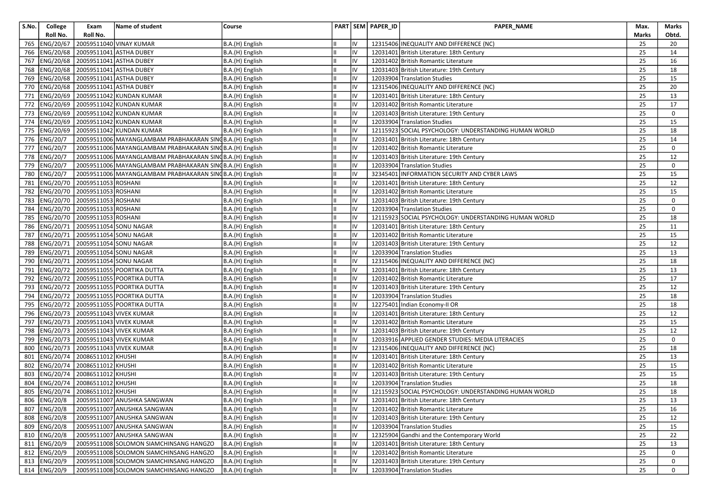| S.No. | College        | Exam                         | Name of student                                            | Course          |    |    | PART SEM PAPER_ID | PAPER_NAME                                            | Max.            | Marks       |
|-------|----------------|------------------------------|------------------------------------------------------------|-----------------|----|----|-------------------|-------------------------------------------------------|-----------------|-------------|
|       | Roll No.       | Roll No.                     |                                                            |                 |    |    |                   |                                                       | <b>Marks</b>    | Obtd.       |
| 765   | ENG/20/67      |                              | 20059511040 VINAY KUMAR                                    | B.A.(H) English |    | IV |                   | 12315406 INEQUALITY AND DIFFERENCE (NC)               | 25              | 20          |
| 766   | ENG/20/68      |                              | 20059511041 ASTHA DUBEY                                    | B.A.(H) English |    | IV |                   | 12031401 British Literature: 18th Century             | 25              | 14          |
| 767   | ENG/20/68      |                              | 20059511041 ASTHA DUBEY                                    | B.A.(H) English |    | IV |                   | 12031402 British Romantic Literature                  | 25              | 16          |
| 768   | ENG/20/68      |                              | 20059511041 ASTHA DUBEY                                    | B.A.(H) English |    | IV |                   | 12031403 British Literature: 19th Century             | 25              | 18          |
| 769   | ENG/20/68      |                              | 20059511041 ASTHA DUBEY                                    | B.A.(H) English |    | IV |                   | 12033904 Translation Studies                          | 25              | 15          |
| 770   | ENG/20/68      |                              | 20059511041 ASTHA DUBEY                                    | B.A.(H) English |    | IV |                   | 12315406 INEQUALITY AND DIFFERENCE (NC)               | 25              | 20          |
| 771   | ENG/20/69      |                              | 20059511042 KUNDAN KUMAR                                   | B.A.(H) English |    | IV |                   | 12031401 British Literature: 18th Century             | 25              | 13          |
| 772   | ENG/20/69      |                              | 20059511042 KUNDAN KUMAR                                   | B.A.(H) English |    | IV |                   | 12031402 British Romantic Literature                  | 25              | 17          |
| 773   | ENG/20/69      |                              | 20059511042 KUNDAN KUMAR                                   | B.A.(H) English |    | IV |                   | 12031403 British Literature: 19th Century             | 25              | 0           |
| 774   | ENG/20/69      |                              | 20059511042 KUNDAN KUMAR                                   | B.A.(H) English |    | IV |                   | 12033904 Translation Studies                          | 25              | 15          |
| 775   | ENG/20/69      |                              | 20059511042 KUNDAN KUMAR                                   | B.A.(H) English |    | IV |                   | 12115923 SOCIAL PSYCHOLOGY: UNDERSTANDING HUMAN WORLD | 25              | 18          |
| 776   | ENG/20/7       |                              | 20059511006 MAYANGLAMBAM PRABHAKARAN SING B.A. (H) English |                 |    | IV |                   | 12031401 British Literature: 18th Century             | 25              | 14          |
| 777   | ENG/20/7       |                              | 20059511006 MAYANGLAMBAM PRABHAKARAN SINGB.A.(H) English   |                 |    | IV |                   | 12031402 British Romantic Literature                  | 25              | 0           |
| 778   | ENG/20/7       |                              | 20059511006 MAYANGLAMBAM PRABHAKARAN SINGB.A.(H) English   |                 |    | IV |                   | 12031403 British Literature: 19th Century             | 25              | 12          |
| 779   | ENG/20/7       |                              | 20059511006 MAYANGLAMBAM PRABHAKARAN SINGB.A.(H) English   |                 |    | IV |                   | 12033904 Translation Studies                          | 25              | 0           |
| 780   | ENG/20/7       |                              | 20059511006 MAYANGLAMBAM PRABHAKARAN SING B.A. (H) English |                 | Iн | IV |                   | 32345401 INFORMATION SECURITY AND CYBER LAWS          | 25              | 15          |
| 781   | ENG/20/70      | 20059511053 ROSHANI          |                                                            | B.A.(H) English |    | IV |                   | 12031401 British Literature: 18th Century             | 25              | 12          |
| 782   | ENG/20/70      | 20059511053 ROSHANI          |                                                            | B.A.(H) English |    | IV |                   | 12031402 British Romantic Literature                  | 25              | 15          |
| 783   | ENG/20/70      | 20059511053 ROSHANI          |                                                            | B.A.(H) English |    | IV |                   | 12031403 British Literature: 19th Century             | 25              | 0           |
| 784   | ENG/20/70      | 20059511053 ROSHANI          |                                                            | B.A.(H) English |    | IV |                   | 12033904 Translation Studies                          | 25              | $\mathbf 0$ |
| 785   | ENG/20/70      | 20059511053 ROSHANI          |                                                            | B.A.(H) English |    | IV |                   | 12115923 SOCIAL PSYCHOLOGY: UNDERSTANDING HUMAN WORLD | 25              | 18          |
| 786   | ENG/20/71      |                              | 20059511054 SONU NAGAR                                     | B.A.(H) English |    | IV |                   | 12031401 British Literature: 18th Century             | 25              | 11          |
| 787   | ENG/20/71      |                              | 20059511054 SONU NAGAR                                     | B.A.(H) English |    | IV |                   | 12031402 British Romantic Literature                  | 25              | 15          |
| 788   | ENG/20/71      |                              | 20059511054 SONU NAGAR                                     | B.A.(H) English |    | IV |                   | 12031403 British Literature: 19th Century             | 25              | 12          |
| 789   | ENG/20/71      |                              | 20059511054 SONU NAGAR                                     | B.A.(H) English |    | IV |                   | 12033904 Translation Studies                          | 25              | 13          |
| 790   | ENG/20/71      |                              | 20059511054 SONU NAGAR                                     | B.A.(H) English |    | IV |                   | 12315406 INEQUALITY AND DIFFERENCE (NC)               | 25              | 18          |
| 791   | ENG/20/72      |                              | 20059511055 POORTIKA DUTTA                                 | B.A.(H) English | Iн | IV |                   | 12031401 British Literature: 18th Century             | 25              | 13          |
| 792   | ENG/20/72      |                              | 20059511055 POORTIKA DUTTA                                 | B.A.(H) English |    | IV |                   | 12031402 British Romantic Literature                  | 25              | 17          |
| 793   | ENG/20/72      |                              | 20059511055 POORTIKA DUTTA                                 | B.A.(H) English |    | IV |                   | 12031403 British Literature: 19th Century             | 25              | 12          |
| 794   | ENG/20/72      |                              | 20059511055 POORTIKA DUTTA                                 | B.A.(H) English |    | IV |                   | 12033904 Translation Studies                          | 25              | 18          |
| 795   | ENG/20/72      |                              | 20059511055 POORTIKA DUTTA                                 | B.A.(H) English |    | IV |                   | 12275401 Indian Economy-II OR                         | 25              | 18          |
| 796   | ENG/20/73      |                              | 20059511043 VIVEK KUMAR                                    | B.A.(H) English |    | IV |                   | 12031401 British Literature: 18th Century             | 25              | 12          |
| 797   | ENG/20/73      |                              | 20059511043 VIVEK KUMAR                                    | B.A.(H) English |    | IV |                   | 12031402 British Romantic Literature                  | 25              | 15          |
| 798   | ENG/20/73      |                              | 20059511043 VIVEK KUMAR                                    | B.A.(H) English | Iн | IV |                   | 12031403 British Literature: 19th Century             | 25              | 12          |
| 799   | ENG/20/73      |                              | 20059511043 VIVEK KUMAR                                    | B.A.(H) English |    | IV |                   | 12033916 APPLIED GENDER STUDIES: MEDIA LITERACIES     | 25              | 0           |
| 800   | ENG/20/73      |                              | 20059511043 VIVEK KUMAR                                    | B.A.(H) English |    | IV |                   | 12315406 INEQUALITY AND DIFFERENCE (NC)               | 25              | 18          |
| 801   | ENG/20/74      | 20086511012 KHUSHI           |                                                            | B.A.(H) English |    | IV |                   | 12031401 British Literature: 18th Century             | 25              | 13          |
| 802   | ENG/20/74      | 20086511012 KHUSHI           |                                                            | B.A.(H) English |    | IV |                   | 12031402 British Romantic Literature                  | 25              | 15          |
| 803   | ENG/20/74      | 20086511012 KHUSHI           |                                                            | B.A.(H) English |    | IV |                   | 12031403 British Literature: 19th Century             | 25              | 15          |
| 804   | ENG/20/74      | 20086511012 KHUSHI           |                                                            | B.A.(H) English |    | IV |                   | 12033904 Translation Studies                          | 25              | 18          |
| 805   |                | ENG/20/74 20086511012 KHUSHI |                                                            | B.A.(H) English | Iн | IV |                   | 12115923 SOCIAL PSYCHOLOGY: UNDERSTANDING HUMAN WORLD | 25              | 18          |
|       | 806 ENG/20/8   |                              | 20059511007 ANUSHKA SANGWAN                                | B.A.(H) English | Ш  | IV |                   | 12031401 British Literature: 18th Century             | $\overline{25}$ | 13          |
|       | 807   ENG/20/8 |                              | 20059511007 ANUSHKA SANGWAN                                | B.A.(H) English |    | IV |                   | 12031402 British Romantic Literature                  | 25              | 16          |
|       | 808   ENG/20/8 |                              | 20059511007 ANUSHKA SANGWAN                                | B.A.(H) English |    | IV |                   | 12031403 British Literature: 19th Century             | 25              | 12          |
|       | 809   ENG/20/8 |                              | 20059511007 ANUSHKA SANGWAN                                | B.A.(H) English |    | IV |                   | 12033904 Translation Studies                          | 25              | 15          |
|       | 810   ENG/20/8 |                              | 20059511007 ANUSHKA SANGWAN                                | B.A.(H) English |    | IV |                   | 12325904 Gandhi and the Contemporary World            | 25              | 22          |
|       | 811   ENG/20/9 |                              | 20059511008 SOLOMON SIAMCHINSANG HANGZO                    | B.A.(H) English |    | IV |                   | 12031401 British Literature: 18th Century             | 25              | 13          |
|       | 812   ENG/20/9 |                              | 20059511008 SOLOMON SIAMCHINSANG HANGZO                    | B.A.(H) English |    | IV |                   | 12031402 British Romantic Literature                  | 25              | 0           |
|       | 813   ENG/20/9 |                              | 20059511008 SOLOMON SIAMCHINSANG HANGZO                    | B.A.(H) English |    | IV |                   | 12031403 British Literature: 19th Century             | 25              | 0           |
|       | 814   ENG/20/9 |                              | 20059511008 SOLOMON SIAMCHINSANG HANGZO                    | B.A.(H) English |    | IV |                   | 12033904 Translation Studies                          | 25              | 0           |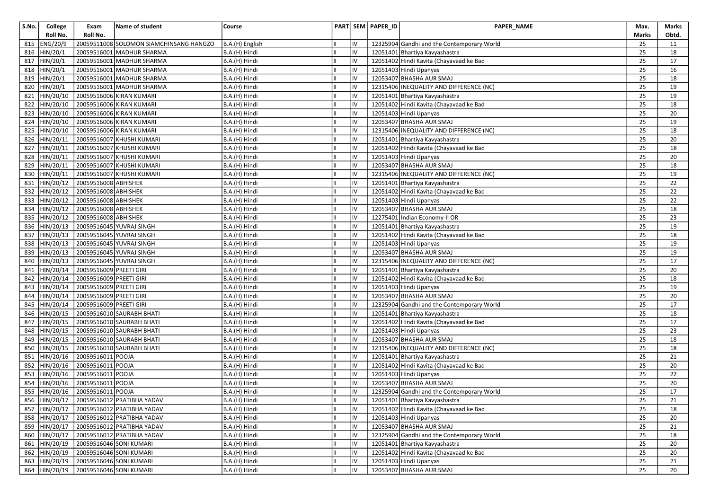| S.No.      | College                | Exam                                               | Name of student                          | Course                         |          | PART SEM PAPER_ID | <b>PAPER NAME</b>                                  | Max.     | Marks           |
|------------|------------------------|----------------------------------------------------|------------------------------------------|--------------------------------|----------|-------------------|----------------------------------------------------|----------|-----------------|
|            | Roll No.               | Roll No.                                           |                                          |                                |          |                   |                                                    | Marks    | Obtd.           |
| 815        | ENG/20/9               |                                                    | 20059511008 SOLOMON SIAMCHINSANG HANGZO  | B.A.(H) English                | IV       |                   | 12325904 Gandhi and the Contemporary World         | 25       | 11              |
|            | 816 HIN/20/1           |                                                    | 20059516001 MADHUR SHARMA                | B.A.(H) Hindi                  | IV       |                   | 12051401 Bhartiya Kavyashastra                     | 25       | 18              |
| 817        | HIN/20/1               |                                                    | 20059516001 MADHUR SHARMA                | B.A.(H) Hindi                  | IV       |                   | 12051402 Hindi Kavita (Chayavaad ke Bad            | 25       | 17              |
| 818        | HIN/20/1               |                                                    | 20059516001 MADHUR SHARMA                | B.A.(H) Hindi                  | IV       |                   | 12051403 Hindi Upanyas                             | 25       | 16              |
| 819        | HIN/20/1               |                                                    | 20059516001 MADHUR SHARMA                | B.A.(H) Hindi                  | IV       |                   | 12053407 BHASHA AUR SMAJ                           | 25       | 18              |
|            | 820 HIN/20/1           |                                                    | 20059516001 MADHUR SHARMA                | B.A.(H) Hindi                  | IV       |                   | 12315406 INEQUALITY AND DIFFERENCE (NC)            | 25       | 19              |
| 821        | HIN/20/10              |                                                    | 20059516006 KIRAN KUMARI                 | B.A.(H) Hindi                  | IV       |                   | 12051401 Bhartiya Kavyashastra                     | 25       | 19              |
| 822        | HIN/20/10              |                                                    | 20059516006 KIRAN KUMARI                 | B.A.(H) Hindi                  | IV       |                   | 12051402 Hindi Kavita (Chayavaad ke Bad            | 25       | 18              |
|            | 823 HIN/20/10          |                                                    | 20059516006 KIRAN KUMARI                 | B.A.(H) Hindi                  | IV       |                   | 12051403 Hindi Upanyas                             | 25       | 20              |
| 824        | HIN/20/10              |                                                    | 20059516006 KIRAN KUMARI                 | B.A.(H) Hindi                  | IV       |                   | 12053407 BHASHA AUR SMAJ                           | 25       | 19              |
| 825        | HIN/20/10              |                                                    | 20059516006 KIRAN KUMARI                 | B.A.(H) Hindi                  | IV       |                   | 12315406 INEQUALITY AND DIFFERENCE (NC)            | 25       | 18              |
| 826        | HIN/20/11              |                                                    | 20059516007 KHUSHI KUMARI                | B.A.(H) Hindi                  | IV       |                   | 12051401 Bhartiya Kavyashastra                     | 25       | 20              |
| 827        | HIN/20/11              |                                                    | 20059516007 KHUSHI KUMARI                | B.A.(H) Hindi                  | IV       |                   | 12051402 Hindi Kavita (Chayavaad ke Bad            | 25       | 18              |
| 828        | HIN/20/11              |                                                    | 20059516007 KHUSHI KUMARI                | B.A.(H) Hindi                  | IV       |                   | 12051403 Hindi Upanyas                             | 25       | 20              |
| 829        | HIN/20/11              |                                                    | 20059516007 KHUSHI KUMARI                | B.A.(H) Hindi                  | IV       |                   | 12053407 BHASHA AUR SMAJ                           | 25       | 18              |
|            | 830 HIN/20/11          |                                                    | 20059516007 KHUSHI KUMARI                | B.A.(H) Hindi                  | IV       |                   | 12315406 INEQUALITY AND DIFFERENCE (NC)            | 25       | 19              |
|            | 831 HIN/20/12          | 20059516008 ABHISHEK                               |                                          | B.A.(H) Hindi                  | IV       |                   | 12051401 Bhartiya Kavyashastra                     | 25       | 22              |
| 832        | HIN/20/12              | 20059516008 ABHISHEK                               |                                          | B.A.(H) Hindi                  | IV       |                   | 12051402 Hindi Kavita (Chayavaad ke Bad            | 25       | 22              |
| 833        | HIN/20/12              | 20059516008 ABHISHEK                               |                                          | B.A.(H) Hindi                  | IV       |                   | 12051403 Hindi Upanyas                             | 25       | 22              |
|            | 834 HIN/20/12          | 20059516008 ABHISHEK                               |                                          | B.A.(H) Hindi                  | IV       |                   | 12053407 BHASHA AUR SMAJ                           | 25       | 18              |
| 835        | HIN/20/12              | 20059516008 ABHISHEK                               |                                          | B.A.(H) Hindi                  | IV       |                   | 12275401 Indian Economy-II OR                      | 25       | 23              |
| 836        | HIN/20/13              |                                                    | 20059516045 YUVRAJ SINGH                 | B.A.(H) Hindi                  | IV       |                   | 12051401 Bhartiya Kavyashastra                     | 25       | 19              |
| 837        | HIN/20/13              |                                                    | 20059516045 YUVRAJ SINGH                 | B.A.(H) Hindi                  | IV       |                   | 12051402 Hindi Kavita (Chayavaad ke Bad            | 25       | 18              |
|            | 838 HIN/20/13          |                                                    | 20059516045 YUVRAJ SINGH                 | B.A.(H) Hindi                  | IV       |                   | 12051403 Hindi Upanyas                             | 25       | 19              |
| 839        | HIN/20/13              |                                                    | 20059516045 YUVRAJ SINGH                 | B.A.(H) Hindi                  | IV       |                   | 12053407 BHASHA AUR SMAJ                           | 25       | 19              |
| 840        | HIN/20/13              |                                                    | 20059516045 YUVRAJ SINGH                 | B.A.(H) Hindi                  | IV       |                   | 12315406 INEQUALITY AND DIFFERENCE (NC)            | 25       | 17              |
| 841        | HIN/20/14              | 20059516009 PREETI GIRI                            |                                          | B.A.(H) Hindi                  | IV       |                   | 12051401 Bhartiya Kavyashastra                     | 25       | 20              |
| 842        | HIN/20/14              | 20059516009 PREETI GIRI<br>20059516009 PREETI GIRI |                                          | B.A.(H) Hindi                  | IV<br>IV |                   | 12051402 Hindi Kavita (Chayavaad ke Bad            | 25<br>25 | 18              |
| 843        | HIN/20/14<br>HIN/20/14 | 20059516009 PREETI GIRI                            |                                          | B.A.(H) Hindi<br>B.A.(H) Hindi | IV       |                   | 12051403 Hindi Upanyas<br>12053407 BHASHA AUR SMAJ |          | 19              |
| 844<br>845 | HIN/20/14              | 20059516009 PREETI GIRI                            |                                          |                                | IV       |                   | 12325904 Gandhi and the Contemporary World         | 25<br>25 | 20<br>17        |
| 846        | HIN/20/15              |                                                    | 20059516010 SAURABH BHATI                | B.A.(H) Hindi<br>B.A.(H) Hindi | IV       |                   | 12051401 Bhartiya Kavyashastra                     | 25       | 18              |
| 847        | HIN/20/15              |                                                    | 20059516010 SAURABH BHATI                | B.A.(H) Hindi                  | IV       |                   | 12051402 Hindi Kavita (Chayavaad ke Bad            | 25       | 17              |
| 848        | HIN/20/15              |                                                    | 20059516010 SAURABH BHATI                | B.A.(H) Hindi                  | IV       |                   | 12051403 Hindi Upanyas                             | 25       | 23              |
| 849        | HIN/20/15              |                                                    | 20059516010 SAURABH BHATI                | B.A.(H) Hindi                  | IV       |                   | 12053407 BHASHA AUR SMAJ                           | 25       | 18              |
| 850        | HIN/20/15              |                                                    | 20059516010 SAURABH BHATI                | B.A.(H) Hindi                  | IV       |                   | 12315406 INEQUALITY AND DIFFERENCE (NC)            | 25       | 18              |
| 851        | HIN/20/16              | 20059516011 POOJA                                  |                                          | B.A.(H) Hindi                  | IV       |                   | 12051401 Bhartiya Kavyashastra                     | 25       | 21              |
|            | 852 HIN/20/16          | 20059516011 POOJA                                  |                                          | B.A.(H) Hindi                  | IV       |                   | 12051402 Hindi Kavita (Chayavaad ke Bad            | 25       | 20              |
|            | 853 HIN/20/16          | 20059516011 POOJA                                  |                                          | B.A.(H) Hindi                  | IV       |                   | 12051403 Hindi Upanyas                             | 25       | 22              |
| 854        | HIN/20/16              | 20059516011 POOJA                                  |                                          | B.A.(H) Hindi                  | IV       |                   | 12053407 BHASHA AUR SMAJ                           | 25       | 20              |
|            |                        | 855 HIN/20/16 20059516011 POOJA                    |                                          | B.A.(H) Hindi                  | IV       |                   | 12325904 Gandhi and the Contemporary World         | 25       | 17              |
|            |                        |                                                    | 856 HIN/20/17 20059516012 PRATIBHA YADAV | B.A.(H) Hindi                  | IV       |                   | 12051401 Bhartiya Kavyashastra                     | 25       | $\overline{21}$ |
|            | 857 HIN/20/17          |                                                    | 20059516012 PRATIBHA YADAV               | B.A.(H) Hindi                  | IV       |                   | 12051402 Hindi Kavita (Chayavaad ke Bad            | 25       | 18              |
|            | 858 HIN/20/17          |                                                    | 20059516012 PRATIBHA YADAV               | B.A.(H) Hindi                  | IV       |                   | 12051403 Hindi Upanyas                             | 25       | 20              |
|            | 859 HIN/20/17          |                                                    | 20059516012 PRATIBHA YADAV               | B.A.(H) Hindi                  | IV       |                   | 12053407 BHASHA AUR SMAJ                           | 25       | 21              |
|            | 860 HIN/20/17          |                                                    | 20059516012 PRATIBHA YADAV               | B.A.(H) Hindi                  | IV       |                   | 12325904 Gandhi and the Contemporary World         | 25       | 18              |
|            | 861 HIN/20/19          |                                                    | 20059516046 SONI KUMARI                  | B.A.(H) Hindi                  | IV       |                   | 12051401 Bhartiya Kavyashastra                     | 25       | 20              |
|            | 862 HIN/20/19          |                                                    | 20059516046 SONI KUMARI                  | B.A.(H) Hindi                  | IV       |                   | 12051402 Hindi Kavita (Chayavaad ke Bad            | 25       | 20              |
|            | 863 HIN/20/19          |                                                    | 20059516046 SONI KUMARI                  | B.A.(H) Hindi                  | IV       |                   | 12051403 Hindi Upanyas                             | 25       | 21              |
|            | 864 HIN/20/19          |                                                    | 20059516046 SONI KUMARI                  | B.A.(H) Hindi                  | liv      |                   | 12053407 BHASHA AUR SMAJ                           | 25       | 20              |
|            |                        |                                                    |                                          |                                |          |                   |                                                    |          |                 |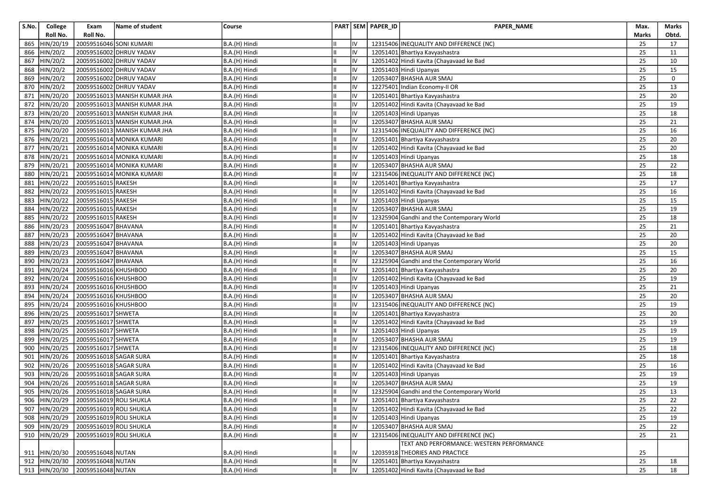| S.No. | College        | Exam                                  | Name of student              | Course        |    |    | PART SEM PAPER_ID | <b>PAPER NAME</b>                          | Max.  | Marks           |
|-------|----------------|---------------------------------------|------------------------------|---------------|----|----|-------------------|--------------------------------------------|-------|-----------------|
|       | Roll No.       | Roll No.                              |                              |               |    |    |                   |                                            | Marks | Obtd.           |
| 865   | HIN/20/19      |                                       | 20059516046 SONI KUMARI      | B.A.(H) Hindi |    | IV |                   | 12315406 INEQUALITY AND DIFFERENCE (NC)    | 25    | 17              |
| 866   | HIN/20/2       |                                       | 20059516002 DHRUV YADAV      | B.A.(H) Hindi | Ш  | IV |                   | 12051401 Bhartiya Kavyashastra             | 25    | 11              |
| 867   | HIN/20/2       |                                       | 20059516002 DHRUV YADAV      | B.A.(H) Hindi |    | IV |                   | 12051402 Hindi Kavita (Chayavaad ke Bad    | 25    | 10              |
| 868   | HIN/20/2       |                                       | 20059516002 DHRUV YADAV      | B.A.(H) Hindi |    | IV |                   | 12051403 Hindi Upanyas                     | 25    | 15              |
| 869   | HIN/20/2       |                                       | 20059516002 DHRUV YADAV      | B.A.(H) Hindi |    | IV |                   | 12053407 BHASHA AUR SMAJ                   | 25    | 0               |
|       | 870 HIN/20/2   |                                       | 20059516002 DHRUV YADAV      | B.A.(H) Hindi |    | IV |                   | 12275401 Indian Economy-II OR              | 25    | 13              |
| 871   | HIN/20/20      |                                       | 20059516013 MANISH KUMAR JHA | B.A.(H) Hindi |    | IV |                   | 12051401 Bhartiya Kavyashastra             | 25    | 20              |
| 872   | HIN/20/20      |                                       | 20059516013 MANISH KUMAR JHA | B.A.(H) Hindi |    | IV |                   | 12051402 Hindi Kavita (Chayavaad ke Bad    | 25    | 19              |
|       | 873 HIN/20/20  |                                       | 20059516013 MANISH KUMAR JHA | B.A.(H) Hindi | Ш  | IV |                   | 12051403 Hindi Upanyas                     | 25    | 18              |
| 874   | HIN/20/20      |                                       | 20059516013 MANISH KUMAR JHA | B.A.(H) Hindi |    | IV |                   | 12053407 BHASHA AUR SMAJ                   | 25    | 21              |
| 875   | HIN/20/20      |                                       | 20059516013 MANISH KUMAR JHA | B.A.(H) Hindi |    | IV |                   | 12315406 INEQUALITY AND DIFFERENCE (NC)    | 25    | 16              |
| 876   | HIN/20/21      |                                       | 20059516014 MONIKA KUMARI    | B.A.(H) Hindi |    | IV |                   | 12051401 Bhartiya Kavyashastra             | 25    | 20              |
| 877   | HIN/20/21      |                                       | 20059516014 MONIKA KUMARI    | B.A.(H) Hindi |    | IV |                   | 12051402 Hindi Kavita (Chayavaad ke Bad    | 25    | 20              |
| 878   | HIN/20/21      |                                       | 20059516014 MONIKA KUMARI    | B.A.(H) Hindi |    | IV |                   | 12051403 Hindi Upanyas                     | 25    | 18              |
| 879   | HIN/20/21      |                                       | 20059516014 MONIKA KUMARI    | B.A.(H) Hindi |    | IV |                   | 12053407 BHASHA AUR SMAJ                   | 25    | 22              |
| 880   | HIN/20/21      |                                       | 20059516014 MONIKA KUMARI    | B.A.(H) Hindi | Ш  | IV |                   | 12315406 INEQUALITY AND DIFFERENCE (NC)    | 25    | 18              |
| 881   | HIN/20/22      | 20059516015 RAKESH                    |                              | B.A.(H) Hindi |    | IV |                   | 12051401 Bhartiya Kavyashastra             | 25    | 17              |
| 882   | HIN/20/22      | 20059516015 RAKESH                    |                              | B.A.(H) Hindi |    | IV |                   | 12051402 Hindi Kavita (Chayavaad ke Bad    | 25    | 16              |
| 883   | HIN/20/22      | 20059516015 RAKESH                    |                              | B.A.(H) Hindi |    | IV |                   | 12051403 Hindi Upanyas                     | 25    | 15              |
| 884   | HIN/20/22      | 20059516015 RAKESH                    |                              | B.A.(H) Hindi | Ш  | IV |                   | 12053407 BHASHA AUR SMAJ                   | 25    | 19              |
| 885   | HIN/20/22      | 20059516015 RAKESH                    |                              | B.A.(H) Hindi |    | IV |                   | 12325904 Gandhi and the Contemporary World | 25    | 18              |
| 886   | HIN/20/23      | 20059516047 BHAVANA                   |                              | B.A.(H) Hindi |    | IV |                   | 12051401 Bhartiya Kavyashastra             | 25    | 21              |
| 887   | HIN/20/23      | 20059516047 BHAVANA                   |                              | B.A.(H) Hindi | Iн | IV |                   | 12051402 Hindi Kavita (Chayavaad ke Bad    | 25    | 20              |
| 888   | HIN/20/23      | 20059516047 BHAVANA                   |                              | B.A.(H) Hindi |    | IV |                   | 12051403 Hindi Upanyas                     | 25    | 20              |
| 889   | HIN/20/23      | 20059516047 BHAVANA                   |                              | B.A.(H) Hindi |    | IV |                   | 12053407 BHASHA AUR SMAJ                   | 25    | 15              |
| 890   | HIN/20/23      | 20059516047 BHAVANA                   |                              | B.A.(H) Hindi |    | IV |                   | 12325904 Gandhi and the Contemporary World | 25    | 16              |
| 891   | HIN/20/24      | 20059516016 KHUSHBOO                  |                              | B.A.(H) Hindi | Ш  | IV |                   | 12051401 Bhartiya Kavyashastra             | 25    | 20              |
| 892   | HIN/20/24      | 20059516016 KHUSHBOO                  |                              | B.A.(H) Hindi |    | IV |                   | 12051402 Hindi Kavita (Chayavaad ke Bad    | 25    | 19              |
| 893   | HIN/20/24      | 20059516016 KHUSHBOO                  |                              | B.A.(H) Hindi |    | IV |                   | 12051403 Hindi Upanyas                     | 25    | 21              |
| 894   | HIN/20/24      | 20059516016 KHUSHBOO                  |                              | B.A.(H) Hindi |    | IV |                   | 12053407 BHASHA AUR SMAJ                   | 25    | 20              |
| 895   | HIN/20/24      | 20059516016 KHUSHBOO                  |                              | B.A.(H) Hindi |    | IV |                   | 12315406 INEQUALITY AND DIFFERENCE (NC)    | 25    | 19              |
| 896   | HIN/20/25      | 20059516017 SHWETA                    |                              | B.A.(H) Hindi |    | IV |                   | 12051401 Bhartiya Kavyashastra             | 25    | 20              |
| 897   | HIN/20/25      | 20059516017 SHWETA                    |                              | B.A.(H) Hindi |    | IV |                   | 12051402 Hindi Kavita (Chayavaad ke Bad    | 25    | 19              |
| 898   | HIN/20/25      | 20059516017 SHWETA                    |                              | B.A.(H) Hindi |    | IV |                   | 12051403 Hindi Upanyas                     | 25    | 19              |
| 899   | HIN/20/25      | 20059516017 SHWETA                    |                              | B.A.(H) Hindi |    | IV |                   | 12053407 BHASHA AUR SMAJ                   | 25    | 19              |
| 900   | HIN/20/25      | 20059516017 SHWETA                    |                              | B.A.(H) Hindi |    | IV |                   | 12315406 INEQUALITY AND DIFFERENCE (NC)    | 25    | 18              |
| 901   | HIN/20/26      | 20059516018 SAGAR SURA                |                              | B.A.(H) Hindi |    | IV |                   | 12051401 Bhartiya Kavyashastra             | 25    | 18              |
| 902   | HIN/20/26      | 20059516018 SAGAR SURA                |                              | B.A.(H) Hindi | Ш  | IV |                   | 12051402 Hindi Kavita (Chayavaad ke Bad    | 25    | 16              |
| 903   | HIN/20/26      | 20059516018 SAGAR SURA                |                              | B.A.(H) Hindi |    | IV |                   | 12051403 Hindi Upanyas                     | 25    | 19              |
| 904   | HIN/20/26      | 20059516018 SAGAR SURA                |                              | B.A.(H) Hindi |    | IV |                   | 12053407 BHASHA AUR SMAJ                   | 25    | 19              |
|       | 905  HIN/20/26 | 20059516018 SAGAR SURA                |                              | B.A.(H) Hindi | Iн | IV |                   | 12325904 Gandhi and the Contemporary World | 25    | 13              |
|       |                | 906 HIN/20/29 20059516019 ROLI SHUKLA |                              | B.A.(H) Hindi |    |    |                   | 12051401 Bhartiya Kavyashastra             | 25    | $\overline{22}$ |
|       | 907 HIN/20/29  | 20059516019 ROLI SHUKLA               |                              | B.A.(H) Hindi |    | IV |                   | 12051402 Hindi Kavita (Chayavaad ke Bad    | 25    | 22              |
|       | 908 HIN/20/29  | 20059516019 ROLI SHUKLA               |                              | B.A.(H) Hindi |    | IV |                   | 12051403 Hindi Upanyas                     | 25    | 19              |
|       | 909 HIN/20/29  | 20059516019 ROLI SHUKLA               |                              | B.A.(H) Hindi |    | IV |                   | 12053407 BHASHA AUR SMAJ                   | 25    | 22              |
|       | 910 HIN/20/29  | 20059516019 ROLI SHUKLA               |                              | B.A.(H) Hindi |    | IV |                   | 12315406 INEQUALITY AND DIFFERENCE (NC)    | 25    | 21              |
|       |                |                                       |                              |               |    |    |                   | TEXT AND PERFORMANCE: WESTERN PERFORMANCE  |       |                 |
|       | 911  HIN/20/30 | 20059516048 NUTAN                     |                              | B.A.(H) Hindi |    | IV |                   | 12035918 THEORIES AND PRACTICE             | 25    |                 |
|       |                | 912 HIN/20/30 20059516048 NUTAN       |                              | B.A.(H) Hindi |    | IV |                   | 12051401 Bhartiya Kavyashastra             | 25    | 18              |
|       |                | 913 HIN/20/30 20059516048 NUTAN       |                              | B.A.(H) Hindi | Ш  | IV |                   | 12051402 Hindi Kavita (Chayavaad ke Bad    | 25    | 18              |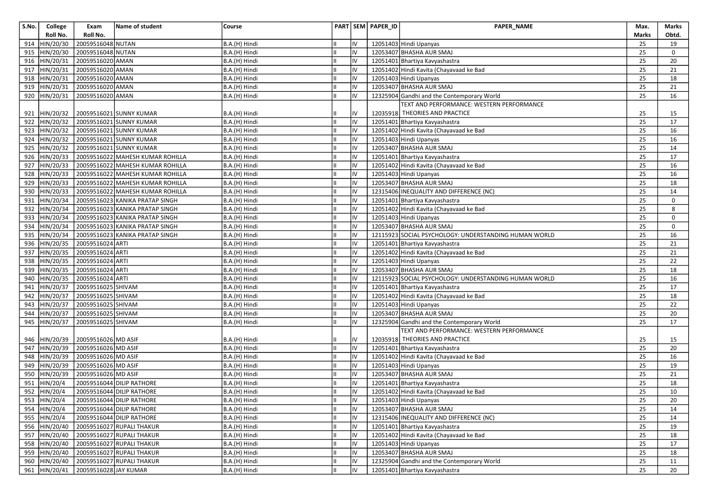| S.No. | College        | Exam                  | Name of student                  | Course        |            | PART SEM PAPER_ID | PAPER_NAME                                            | Max.         | Marks       |
|-------|----------------|-----------------------|----------------------------------|---------------|------------|-------------------|-------------------------------------------------------|--------------|-------------|
|       | Roll No.       | Roll No.              |                                  |               |            |                   |                                                       | <b>Marks</b> | Obtd.       |
| 914   | HIN/20/30      | 20059516048 NUTAN     |                                  | B.A.(H) Hindi | IV         |                   | 12051403 Hindi Upanyas                                | 25           | 19          |
|       | 915  HIN/20/30 | 20059516048 NUTAN     |                                  | B.A.(H) Hindi | IV         |                   | 12053407 BHASHA AUR SMAJ                              | 25           | $\mathbf 0$ |
| 916   | HIN/20/31      | 20059516020 AMAN      |                                  | B.A.(H) Hindi | IV         |                   | 12051401 Bhartiya Kavyashastra                        | 25           | 20          |
| 917   | HIN/20/31      | 20059516020 AMAN      |                                  | B.A.(H) Hindi | IV         |                   | 12051402 Hindi Kavita (Chayavaad ke Bad               | 25           | 21          |
| 918   | HIN/20/31      | 20059516020 AMAN      |                                  | B.A.(H) Hindi | IV         |                   | 12051403 Hindi Upanyas                                | 25           | 18          |
|       | 919 HIN/20/31  | 20059516020 AMAN      |                                  | B.A.(H) Hindi | IV         |                   | 12053407 BHASHA AUR SMAJ                              | 25           | 21          |
|       | 920 HIN/20/31  | 20059516020 AMAN      |                                  | B.A.(H) Hindi | IV         |                   | 12325904 Gandhi and the Contemporary World            | 25           | 16          |
|       |                |                       |                                  |               |            |                   | TEXT AND PERFORMANCE: WESTERN PERFORMANCE             |              |             |
|       | 921  HIN/20/32 |                       | 20059516021 SUNNY KUMAR          | B.A.(H) Hindi | IV         |                   | 12035918 THEORIES AND PRACTICE                        | 25           | 15          |
|       | 922 HIN/20/32  |                       | 20059516021 SUNNY KUMAR          | B.A.(H) Hindi | IV         |                   | 12051401 Bhartiya Kavyashastra                        | 25           | 17          |
| 923   | HIN/20/32      |                       | 20059516021 SUNNY KUMAR          | B.A.(H) Hindi | IV         |                   | 12051402 Hindi Kavita (Chayavaad ke Bad               | 25           | 16          |
| 924   | HIN/20/32      |                       | 20059516021 SUNNY KUMAR          | B.A.(H) Hindi | IV         |                   | 12051403 Hindi Upanyas                                | 25           | 16          |
|       | 925 HIN/20/32  |                       | 20059516021 SUNNY KUMAR          | B.A.(H) Hindi | IV         |                   | 12053407 BHASHA AUR SMAJ                              | 25           | 14          |
|       | 926 HIN/20/33  |                       | 20059516022 MAHESH KUMAR ROHILLA | B.A.(H) Hindi | IV         |                   | 12051401 Bhartiya Kavyashastra                        | 25           | 17          |
| 927   | HIN/20/33      |                       | 20059516022 MAHESH KUMAR ROHILLA | B.A.(H) Hindi | IV         |                   | 12051402 Hindi Kavita (Chayavaad ke Bad               | 25           | 16          |
|       | 928 HIN/20/33  |                       | 20059516022 MAHESH KUMAR ROHILLA | B.A.(H) Hindi | IV         |                   | 12051403 Hindi Upanyas                                | 25           | 16          |
|       | 929 HIN/20/33  |                       | 20059516022 MAHESH KUMAR ROHILLA | B.A.(H) Hindi | IV         |                   | 12053407 BHASHA AUR SMAJ                              | 25           | 18          |
| 930   | HIN/20/33      |                       | 20059516022 MAHESH KUMAR ROHILLA | B.A.(H) Hindi | IV         |                   | 12315406 INEQUALITY AND DIFFERENCE (NC)               | 25           | 14          |
| 931   | HIN/20/34      |                       | 20059516023 KANIKA PRATAP SINGH  | B.A.(H) Hindi | IV         |                   | 12051401 Bhartiya Kavyashastra                        | 25           | $\mathbf 0$ |
|       | 932 HIN/20/34  |                       | 20059516023 KANIKA PRATAP SINGH  | B.A.(H) Hindi | IV         |                   | 12051402 Hindi Kavita (Chayavaad ke Bad               | 25           | 8           |
|       | 933 HIN/20/34  |                       | 20059516023 KANIKA PRATAP SINGH  | B.A.(H) Hindi | IV         |                   | 12051403 Hindi Upanyas                                | 25           | 0           |
| 934   | HIN/20/34      |                       | 20059516023 KANIKA PRATAP SINGH  | B.A.(H) Hindi | IV         |                   | 12053407 BHASHA AUR SMAJ                              | 25           | $\mathbf 0$ |
|       | 935 HIN/20/34  |                       | 20059516023 KANIKA PRATAP SINGH  | B.A.(H) Hindi | IV         |                   | 12115923 SOCIAL PSYCHOLOGY: UNDERSTANDING HUMAN WORLD | 25           | 16          |
|       | 936 HIN/20/35  | 20059516024 ARTI      |                                  | B.A.(H) Hindi | IV         |                   | 12051401 Bhartiya Kavyashastra                        | 25           | 21          |
|       | 937 HIN/20/35  | 20059516024 ARTI      |                                  | B.A.(H) Hindi | IV         |                   | 12051402 Hindi Kavita (Chayavaad ke Bad               | 25           | 21          |
| 938   | HIN/20/35      | 20059516024 ARTI      |                                  | B.A.(H) Hindi | IV         |                   | 12051403 Hindi Upanyas                                | 25           | 22          |
|       | 939 HIN/20/35  | 20059516024 ARTI      |                                  | B.A.(H) Hindi | IV         |                   | 12053407 BHASHA AUR SMAJ                              | 25           | 18          |
| 940   | HIN/20/35      | 20059516024 ARTI      |                                  | B.A.(H) Hindi | IV         |                   | 12115923 SOCIAL PSYCHOLOGY: UNDERSTANDING HUMAN WORLD | 25           | 16          |
| 941   | HIN/20/37      | 20059516025 SHIVAM    |                                  | B.A.(H) Hindi | IV         |                   | 12051401 Bhartiya Kavyashastra                        | 25           | 17          |
| 942   | HIN/20/37      | 20059516025 SHIVAM    |                                  | B.A.(H) Hindi | IV         |                   | 12051402 Hindi Kavita (Chayavaad ke Bad               | 25           | 18          |
|       | 943  HIN/20/37 | 20059516025 SHIVAM    |                                  | B.A.(H) Hindi | IV         |                   | 12051403 Hindi Upanyas                                | 25           | 22          |
|       | 944 HIN/20/37  | 20059516025 SHIVAM    |                                  | B.A.(H) Hindi | IV         |                   | 12053407 BHASHA AUR SMAJ                              | 25           | 20          |
|       | 945  HIN/20/37 | 20059516025 SHIVAM    |                                  | B.A.(H) Hindi | IV         |                   | 12325904 Gandhi and the Contemporary World            | 25           | 17          |
|       |                |                       |                                  |               |            |                   | TEXT AND PERFORMANCE: WESTERN PERFORMANCE             |              |             |
|       | 946 HIN/20/39  | 20059516026 MD ASIF   |                                  | B.A.(H) Hindi | IV         |                   | 12035918 THEORIES AND PRACTICE                        | 25           | 15          |
|       | 947 HIN/20/39  | 20059516026 MD ASIF   |                                  | B.A.(H) Hindi | IV         |                   | 12051401 Bhartiya Kavyashastra                        | 25           | 20          |
| 948   | HIN/20/39      | 20059516026 MD ASIF   |                                  | B.A.(H) Hindi | IV         |                   | 12051402 Hindi Kavita (Chayavaad ke Bad               | 25           | 16          |
| 949   | HIN/20/39      | 20059516026 MD ASIF   |                                  | B.A.(H) Hindi | IV         |                   | 12051403 Hindi Upanyas                                | 25           | 19          |
|       | 950 HIN/20/39  | 20059516026 MD ASIF   |                                  | B.A.(H) Hindi | IV         |                   | 12053407 BHASHA AUR SMAJ                              | 25           | 21          |
| 951   | HIN/20/4       |                       | 20059516044 DILIP RATHORE        | B.A.(H) Hindi | IV         |                   | 12051401 Bhartiya Kavyashastra                        | 25           | 18          |
|       | 952 HIN/20/4   |                       | 20059516044 DILIP RATHORE        | B.A.(H) Hindi | IV         |                   | 12051402 Hindi Kavita (Chayavaad ke Bad               | 25           | 10          |
|       | 953 HIN/20/4   |                       | 20059516044 DILIP RATHORE        | B.A.(H) Hindi | ${\sf IV}$ |                   | 12051403 Hindi Upanyas                                | 25           | $20\,$      |
|       | 954 HIN/20/4   |                       | 20059516044 DILIP RATHORE        | B.A.(H) Hindi | IV         |                   | 12053407 BHASHA AUR SMAJ                              | 25           | 14          |
|       | 955 HIN/20/4   |                       | 20059516044 DILIP RATHORE        | B.A.(H) Hindi | IV         |                   | 12315406 INEQUALITY AND DIFFERENCE (NC)               | 25           | 14          |
|       | 956 HIN/20/40  |                       | 20059516027 RUPALI THAKUR        | B.A.(H) Hindi | IV         |                   | 12051401 Bhartiya Kavyashastra                        | 25           | 19          |
|       | 957 HIN/20/40  |                       | 20059516027 RUPALI THAKUR        | B.A.(H) Hindi | IV         |                   | 12051402 Hindi Kavita (Chayavaad ke Bad               | 25           | 18          |
|       | 958 HIN/20/40  |                       | 20059516027 RUPALI THAKUR        | B.A.(H) Hindi | IV         |                   | 12051403 Hindi Upanyas                                | 25           | 17          |
|       | 959 HIN/20/40  |                       | 20059516027 RUPALI THAKUR        | B.A.(H) Hindi | IV         |                   | 12053407 BHASHA AUR SMAJ                              | 25           | 18          |
|       | 960 HIN/20/40  |                       | 20059516027 RUPALI THAKUR        | B.A.(H) Hindi | IV         |                   | 12325904 Gandhi and the Contemporary World            | 25           | 11          |
|       | 961 HIN/20/41  | 20059516028 JAY KUMAR |                                  | B.A.(H) Hindi | lıv        |                   | 12051401 Bhartiya Kavyashastra                        | 25           | 20          |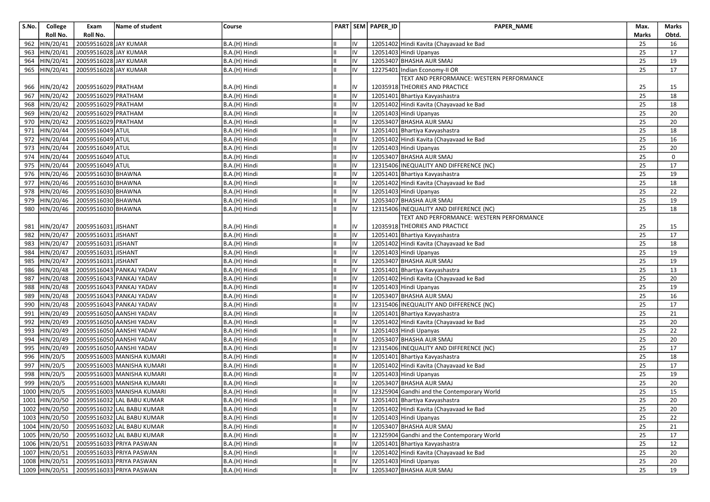| S.No. | College        | Exam                  | Name of student                           | Course        |    |    | PART SEM PAPER_ID | <b>PAPER NAME</b>                          | Max.  | Marks  |
|-------|----------------|-----------------------|-------------------------------------------|---------------|----|----|-------------------|--------------------------------------------|-------|--------|
|       | Roll No.       | Roll No.              |                                           |               |    |    |                   |                                            | Marks | Obtd.  |
| 962   | HIN/20/41      | 20059516028 JAY KUMAR |                                           | B.A.(H) Hindi |    | IV |                   | 12051402 Hindi Kavita (Chayavaad ke Bad    | 25    | 16     |
| 963   | HIN/20/41      | 20059516028 JAY KUMAR |                                           | B.A.(H) Hindi | Ш  | IV |                   | 12051403 Hindi Upanyas                     | 25    | 17     |
| 964   | HIN/20/41      | 20059516028 JAY KUMAR |                                           | B.A.(H) Hindi |    | IV |                   | 12053407 BHASHA AUR SMAJ                   | 25    | 19     |
| 965   | HIN/20/41      | 20059516028 JAY KUMAR |                                           | B.A.(H) Hindi |    | IV |                   | 12275401 Indian Economy-II OR              | 25    | 17     |
|       |                |                       |                                           |               |    |    |                   | TEXT AND PERFORMANCE: WESTERN PERFORMANCE  |       |        |
|       | 966  HIN/20/42 | 20059516029 PRATHAM   |                                           | B.A.(H) Hindi |    | IV |                   | 12035918 THEORIES AND PRACTICE             | 25    | 15     |
|       | 967 HIN/20/42  | 20059516029 PRATHAM   |                                           | B.A.(H) Hindi |    | IV |                   | 12051401 Bhartiya Kavyashastra             | 25    | 18     |
| 968   | HIN/20/42      | 20059516029 PRATHAM   |                                           | B.A.(H) Hindi |    | IV |                   | 12051402 Hindi Kavita (Chayavaad ke Bad    | 25    | 18     |
| 969   | HIN/20/42      | 20059516029 PRATHAM   |                                           | B.A.(H) Hindi |    | IV |                   | 12051403 Hindi Upanyas                     | 25    | 20     |
| 970   | HIN/20/42      | 20059516029 PRATHAM   |                                           | B.A.(H) Hindi |    | IV |                   | 12053407 BHASHA AUR SMAJ                   | 25    | 20     |
| 971   | HIN/20/44      | 20059516049 ATUL      |                                           | B.A.(H) Hindi |    | IV |                   | 12051401 Bhartiya Kavyashastra             | 25    | 18     |
| 972   | HIN/20/44      | 20059516049 ATUL      |                                           | B.A.(H) Hindi |    | IV |                   | 12051402 Hindi Kavita (Chayavaad ke Bad    | 25    | 16     |
|       | 973 HIN/20/44  | 20059516049 ATUL      |                                           | B.A.(H) Hindi |    | IV |                   | 12051403 Hindi Upanyas                     | 25    | 20     |
| 974   | HIN/20/44      | 20059516049 ATUL      |                                           | B.A.(H) Hindi |    | IV |                   | 12053407 BHASHA AUR SMAJ                   | 25    | 0      |
| 975   | HIN/20/44      | 20059516049 ATUL      |                                           | B.A.(H) Hindi |    | IV |                   | 12315406 INEQUALITY AND DIFFERENCE (NC)    | 25    | 17     |
| 976   | HIN/20/46      | 20059516030 BHAWNA    |                                           | B.A.(H) Hindi | Ш  | IV |                   | 12051401 Bhartiya Kavyashastra             | 25    | 19     |
| 977   | HIN/20/46      | 20059516030 BHAWNA    |                                           | B.A.(H) Hindi |    | IV |                   | 12051402 Hindi Kavita (Chayavaad ke Bad    | 25    | 18     |
| 978   | HIN/20/46      | 20059516030 BHAWNA    |                                           | B.A.(H) Hindi |    | IV |                   | 12051403 Hindi Upanyas                     | 25    | 22     |
| 979   | HIN/20/46      | 20059516030 BHAWNA    |                                           | B.A.(H) Hindi |    | IV |                   | 12053407 BHASHA AUR SMAJ                   | 25    | 19     |
|       | 980 HIN/20/46  | 20059516030 BHAWNA    |                                           | B.A.(H) Hindi |    | IV |                   | 12315406 INEQUALITY AND DIFFERENCE (NC)    | 25    | 18     |
|       |                |                       |                                           |               |    |    |                   | TEXT AND PERFORMANCE: WESTERN PERFORMANCE  |       |        |
| 981   | HIN/20/47      | 20059516031 JISHANT   |                                           | B.A.(H) Hindi |    | IV |                   | 12035918 THEORIES AND PRACTICE             | 25    | 15     |
| 982   | HIN/20/47      | 20059516031 JISHANT   |                                           | B.A.(H) Hindi | Iн | IV |                   | 12051401 Bhartiya Kavyashastra             | 25    | 17     |
| 983   | HIN/20/47      | 20059516031 JISHANT   |                                           | B.A.(H) Hindi |    | IV |                   | 12051402 Hindi Kavita (Chayavaad ke Bad    | 25    | 18     |
| 984   | HIN/20/47      | 20059516031 JISHANT   |                                           | B.A.(H) Hindi |    | IV |                   | 12051403 Hindi Upanyas                     | 25    | 19     |
| 985   | HIN/20/47      | 20059516031 JISHANT   |                                           | B.A.(H) Hindi |    | IV |                   | 12053407 BHASHA AUR SMAJ                   | 25    | 19     |
| 986   | HIN/20/48      |                       | 20059516043 PANKAJ YADAV                  | B.A.(H) Hindi | Ш  | IV |                   | 12051401 Bhartiya Kavyashastra             | 25    | 13     |
| 987   | HIN/20/48      |                       | 20059516043 PANKAJ YADAV                  | B.A.(H) Hindi |    | IV |                   | 12051402 Hindi Kavita (Chayavaad ke Bad    | 25    | 20     |
| 988   | HIN/20/48      |                       | 20059516043 PANKAJ YADAV                  | B.A.(H) Hindi |    | IV |                   | 12051403 Hindi Upanyas                     | 25    | 19     |
| 989   | HIN/20/48      |                       | 20059516043 PANKAJ YADAV                  | B.A.(H) Hindi |    | IV |                   | 12053407 BHASHA AUR SMAJ                   | 25    | 16     |
| 990   | HIN/20/48      |                       | 20059516043 PANKAJ YADAV                  | B.A.(H) Hindi |    | IV |                   | 12315406 INEQUALITY AND DIFFERENCE (NC)    | 25    | 17     |
| 991   | HIN/20/49      |                       | 20059516050 AANSHI YADAV                  | B.A.(H) Hindi |    | IV |                   | 12051401 Bhartiya Kavyashastra             | 25    | 21     |
| 992   | HIN/20/49      |                       | 20059516050 AANSHI YADAV                  | B.A.(H) Hindi |    | IV |                   | 12051402 Hindi Kavita (Chayavaad ke Bad    | 25    | 20     |
| 993   | HIN/20/49      |                       | 20059516050 AANSHI YADAV                  | B.A.(H) Hindi |    | IV |                   | 12051403 Hindi Upanyas                     | 25    | 22     |
| 994   | HIN/20/49      |                       | 20059516050 AANSHI YADAV                  | B.A.(H) Hindi |    | IV |                   | 12053407 BHASHA AUR SMAJ                   | 25    | 20     |
| 995   | HIN/20/49      |                       | 20059516050 AANSHI YADAV                  | B.A.(H) Hindi |    | IV |                   | 12315406 INEQUALITY AND DIFFERENCE (NC)    | 25    | 17     |
| 996   | HIN/20/5       |                       | 20059516003 MANISHA KUMARI                | B.A.(H) Hindi |    | IV |                   | 12051401 Bhartiya Kavyashastra             | 25    | 18     |
| 997   | THIN/20/5      |                       | 20059516003 MANISHA KUMARI                | B.A.(H) Hindi |    | IV |                   | 12051402 Hindi Kavita (Chayavaad ke Bad    | 25    | 17     |
| 998   | HIN/20/5       |                       | 20059516003 MANISHA KUMARI                | B.A.(H) Hindi |    | IV |                   | 12051403 Hindi Upanyas                     | 25    | 19     |
| 999   | HIN/20/5       |                       | 20059516003 MANISHA KUMARI                | B.A.(H) Hindi |    | IV |                   | 12053407 BHASHA AUR SMAJ                   | 25    | 20     |
|       | 1000 HIN/20/5  |                       | 20059516003 MANISHA KUMARI                | B.A.(H) Hindi | Iн | IV |                   | 12325904 Gandhi and the Contemporary World | 25    | 15     |
|       |                |                       | 1001 HIN/20/50 20059516032 LAL BABU KUMAR | B.A.(H) Hindi |    |    |                   | 12051401 Bhartiya Kavyashastra             | 25    | $20\,$ |
|       | 1002 HIN/20/50 |                       | 20059516032 LAL BABU KUMAR                | B.A.(H) Hindi |    | IV |                   | 12051402 Hindi Kavita (Chayavaad ke Bad    | 25    | 20     |
|       | 1003 HIN/20/50 |                       | 20059516032 LAL BABU KUMAR                | B.A.(H) Hindi |    | IV |                   | 12051403 Hindi Upanyas                     | 25    | 22     |
|       | 1004 HIN/20/50 |                       | 20059516032 LAL BABU KUMAR                | B.A.(H) Hindi |    | IV |                   | 12053407 BHASHA AUR SMAJ                   | 25    | 21     |
|       | 1005 HIN/20/50 |                       | 20059516032 LAL BABU KUMAR                | B.A.(H) Hindi |    | IV |                   | 12325904 Gandhi and the Contemporary World | 25    | 17     |
|       | 1006 HIN/20/51 |                       | 20059516033 PRIYA PASWAN                  | B.A.(H) Hindi |    | IV |                   | 12051401 Bhartiya Kavyashastra             | 25    | 12     |
|       | 1007 HIN/20/51 |                       | 20059516033 PRIYA PASWAN                  | B.A.(H) Hindi | IШ | IV |                   | 12051402 Hindi Kavita (Chayavaad ke Bad    | 25    | 20     |
|       | 1008 HIN/20/51 |                       | 20059516033 PRIYA PASWAN                  | B.A.(H) Hindi |    | IV |                   | 12051403 Hindi Upanyas                     | 25    | 20     |
|       | 1009 HIN/20/51 |                       | 20059516033 PRIYA PASWAN                  | B.A.(H) Hindi |    | IV |                   | 12053407 BHASHA AUR SMAJ                   | 25    | 19     |
|       |                |                       |                                           |               |    |    |                   |                                            |       |        |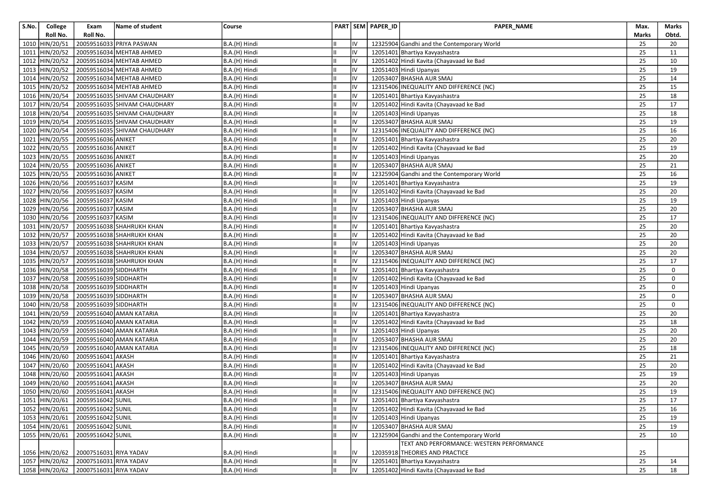| S.No. | College        | Exam                                  | Name of student              | Course        |    | PART SEM PAPER_ID | PAPER_NAME                                 | Max.         | Marks       |
|-------|----------------|---------------------------------------|------------------------------|---------------|----|-------------------|--------------------------------------------|--------------|-------------|
|       | Roll No.       | Roll No.                              |                              |               |    |                   |                                            | <b>Marks</b> | Obtd.       |
|       | 1010 HIN/20/51 |                                       | 20059516033 PRIYA PASWAN     | B.A.(H) Hindi | IV |                   | 12325904 Gandhi and the Contemporary World | 25           | 20          |
|       | 1011 HIN/20/52 |                                       | 20059516034 MEHTAB AHMED     | B.A.(H) Hindi | IV |                   | 12051401 Bhartiya Kavyashastra             | 25           | 11          |
|       | 1012 HIN/20/52 |                                       | 20059516034 MEHTAB AHMED     | B.A.(H) Hindi | IV |                   | 12051402 Hindi Kavita (Chayavaad ke Bad    | 25           | 10          |
|       | 1013 HIN/20/52 |                                       | 20059516034 MEHTAB AHMED     | B.A.(H) Hindi | IV |                   | 12051403 Hindi Upanyas                     | 25           | 19          |
|       | 1014 HIN/20/52 |                                       | 20059516034 MEHTAB AHMED     | B.A.(H) Hindi | IV |                   | 12053407 BHASHA AUR SMAJ                   | 25           | 14          |
|       | 1015 HIN/20/52 |                                       | 20059516034 MEHTAB AHMED     | B.A.(H) Hindi | IV |                   | 12315406 INEQUALITY AND DIFFERENCE (NC)    | 25           | 15          |
|       | 1016 HIN/20/54 |                                       | 20059516035 SHIVAM CHAUDHARY | B.A.(H) Hindi | IV |                   | 12051401 Bhartiya Kavyashastra             | 25           | 18          |
|       | 1017 HIN/20/54 |                                       | 20059516035 SHIVAM CHAUDHARY | B.A.(H) Hindi | IV |                   | 12051402 Hindi Kavita (Chayavaad ke Bad    | 25           | 17          |
|       | 1018 HIN/20/54 |                                       | 20059516035 SHIVAM CHAUDHARY | B.A.(H) Hindi | IV |                   | 12051403 Hindi Upanyas                     | 25           | 18          |
|       | 1019 HIN/20/54 |                                       | 20059516035 SHIVAM CHAUDHARY | B.A.(H) Hindi | IV |                   | 12053407 BHASHA AUR SMAJ                   | 25           | 19          |
|       | 1020 HIN/20/54 |                                       | 20059516035 SHIVAM CHAUDHARY | B.A.(H) Hindi | IV |                   | 12315406 INEQUALITY AND DIFFERENCE (NC)    | 25           | 16          |
|       | 1021 HIN/20/55 | 20059516036 ANIKET                    |                              | B.A.(H) Hindi | IV |                   | 12051401 Bhartiya Kavyashastra             | 25           | 20          |
|       | 1022 HIN/20/55 | 20059516036 ANIKET                    |                              | B.A.(H) Hindi | IV |                   | 12051402 Hindi Kavita (Chayavaad ke Bad    | 25           | 19          |
|       | 1023 HIN/20/55 | 20059516036 ANIKET                    |                              | B.A.(H) Hindi | IV |                   | 12051403 Hindi Upanyas                     | 25           | 20          |
|       | 1024 HIN/20/55 | 20059516036 ANIKET                    |                              | B.A.(H) Hindi | IV |                   | 12053407 BHASHA AUR SMAJ                   | 25           | 21          |
|       | 1025 HIN/20/55 | 20059516036 ANIKET                    |                              | B.A.(H) Hindi | IV |                   | 12325904 Gandhi and the Contemporary World | 25           | 16          |
|       | 1026 HIN/20/56 | 20059516037 KASIM                     |                              | B.A.(H) Hindi | IV |                   | 12051401 Bhartiya Kavyashastra             | 25           | 19          |
|       | 1027 HIN/20/56 | 20059516037 KASIM                     |                              | B.A.(H) Hindi | IV |                   | 12051402 Hindi Kavita (Chayavaad ke Bad    | 25           | 20          |
|       | 1028 HIN/20/56 | 20059516037 KASIM                     |                              | B.A.(H) Hindi | IV |                   | 12051403 Hindi Upanyas                     | 25           | 19          |
|       | 1029 HIN/20/56 | 20059516037 KASIM                     |                              | B.A.(H) Hindi | IV |                   | 12053407 BHASHA AUR SMAJ                   | 25           | 20          |
|       | 1030 HIN/20/56 | 20059516037 KASIM                     |                              | B.A.(H) Hindi | IV |                   | 12315406 INEQUALITY AND DIFFERENCE (NC)    | 25           | 17          |
|       | 1031 HIN/20/57 |                                       | 20059516038 SHAHRUKH KHAN    | B.A.(H) Hindi | IV |                   | 12051401 Bhartiya Kavyashastra             | 25           | 20          |
|       | 1032 HIN/20/57 |                                       | 20059516038 SHAHRUKH KHAN    | B.A.(H) Hindi | IV |                   | 12051402 Hindi Kavita (Chayavaad ke Bad    | 25           | 20          |
|       | 1033 HIN/20/57 |                                       | 20059516038 SHAHRUKH KHAN    | B.A.(H) Hindi | IV |                   | 12051403 Hindi Upanyas                     | 25           | 20          |
|       | 1034 HIN/20/57 |                                       | 20059516038 SHAHRUKH KHAN    | B.A.(H) Hindi | IV |                   | 12053407 BHASHA AUR SMAJ                   | 25           | 20          |
|       | 1035 HIN/20/57 |                                       | 20059516038 SHAHRUKH KHAN    | B.A.(H) Hindi | IV |                   | 12315406 INEQUALITY AND DIFFERENCE (NC)    | 25           | 17          |
|       | 1036 HIN/20/58 | 20059516039 SIDDHARTH                 |                              | B.A.(H) Hindi | IV |                   | 12051401 Bhartiya Kavyashastra             | 25           | $\mathbf 0$ |
|       | 1037 HIN/20/58 | 20059516039 SIDDHARTH                 |                              | B.A.(H) Hindi | IV |                   | 12051402 Hindi Kavita (Chayavaad ke Bad    | 25           | 0           |
|       | 1038 HIN/20/58 | 20059516039 SIDDHARTH                 |                              | B.A.(H) Hindi | IV |                   | 12051403 Hindi Upanyas                     | 25           | $\mathbf 0$ |
|       | 1039 HIN/20/58 | 20059516039 SIDDHARTH                 |                              | B.A.(H) Hindi | IV |                   | 12053407 BHASHA AUR SMAJ                   | 25           | $\mathbf 0$ |
|       | 1040 HIN/20/58 | 20059516039 SIDDHARTH                 |                              | B.A.(H) Hindi | IV |                   | 12315406 INEQUALITY AND DIFFERENCE (NC)    | 25           | $\mathbf 0$ |
|       | 1041 HIN/20/59 |                                       | 20059516040 AMAN KATARIA     | B.A.(H) Hindi | IV |                   | 12051401 Bhartiya Kavyashastra             | 25           | 20          |
|       | 1042 HIN/20/59 |                                       | 20059516040 AMAN KATARIA     | B.A.(H) Hindi | IV |                   | 12051402 Hindi Kavita (Chayavaad ke Bad    | 25           | 18          |
|       | 1043 HIN/20/59 |                                       | 20059516040 AMAN KATARIA     | B.A.(H) Hindi | IV |                   | 12051403 Hindi Upanyas                     | 25           | 20          |
|       | 1044 HIN/20/59 |                                       | 20059516040 AMAN KATARIA     | B.A.(H) Hindi | IV |                   | 12053407 BHASHA AUR SMAJ                   | 25           | 20          |
|       | 1045 HIN/20/59 |                                       | 20059516040 AMAN KATARIA     | B.A.(H) Hindi | IV |                   | 12315406 INEQUALITY AND DIFFERENCE (NC)    | 25           | 18          |
|       | 1046 HIN/20/60 | 20059516041 AKASH                     |                              | B.A.(H) Hindi | IV |                   | 12051401 Bhartiya Kavyashastra             | 25           | 21          |
|       | 1047 HIN/20/60 | 20059516041 AKASH                     |                              | B.A.(H) Hindi | IV |                   | 12051402 Hindi Kavita (Chayavaad ke Bad    | 25           | 20          |
|       | 1048 HIN/20/60 | 20059516041 AKASH                     |                              | B.A.(H) Hindi | IV |                   | 12051403 Hindi Upanyas                     | 25           | 19          |
|       | 1049 HIN/20/60 | 20059516041 AKASH                     |                              | B.A.(H) Hindi | IV |                   | 12053407 BHASHA AUR SMAJ                   | 25           | 20          |
|       | 1050 HIN/20/60 | 20059516041 AKASH                     |                              | B.A.(H) Hindi | IV |                   | 12315406 INEQUALITY AND DIFFERENCE (NC)    | 25           | 19          |
|       |                | 1051 HIN/20/61 20059516042 SUNIL      |                              | B.A.(H) Hindi | IV |                   | 12051401 Bhartiya Kavyashastra             | 25           | 17          |
|       |                | 1052 HIN/20/61 20059516042 SUNIL      |                              | B.A.(H) Hindi | IV |                   | 12051402 Hindi Kavita (Chayavaad ke Bad    | 25           | 16          |
|       |                | 1053 HIN/20/61 20059516042 SUNIL      |                              | B.A.(H) Hindi | IV |                   | 12051403 Hindi Upanyas                     | 25           | 19          |
|       | 1054 HIN/20/61 | 20059516042 SUNIL                     |                              | B.A.(H) Hindi | IV |                   | 12053407 BHASHA AUR SMAJ                   | 25           | 19          |
|       | 1055 HIN/20/61 | 20059516042 SUNIL                     |                              | B.A.(H) Hindi | IV |                   | 12325904 Gandhi and the Contemporary World | 25           | 10          |
|       |                |                                       |                              |               |    |                   | TEXT AND PERFORMANCE: WESTERN PERFORMANCE  |              |             |
|       | 1056 HIN/20/62 | 20007516031 RIYA YADAV                |                              | B.A.(H) Hindi | IV |                   | 12035918 THEORIES AND PRACTICE             | 25           |             |
|       |                | 1057 HIN/20/62 20007516031 RIYA YADAV |                              | B.A.(H) Hindi | IV |                   | 12051401 Bhartiya Kavyashastra             | 25           | 14          |
|       |                | 1058 HIN/20/62 20007516031 RIYA YADAV |                              | B.A.(H) Hindi | IV |                   | 12051402 Hindi Kavita (Chayavaad ke Bad    | 25           | 18          |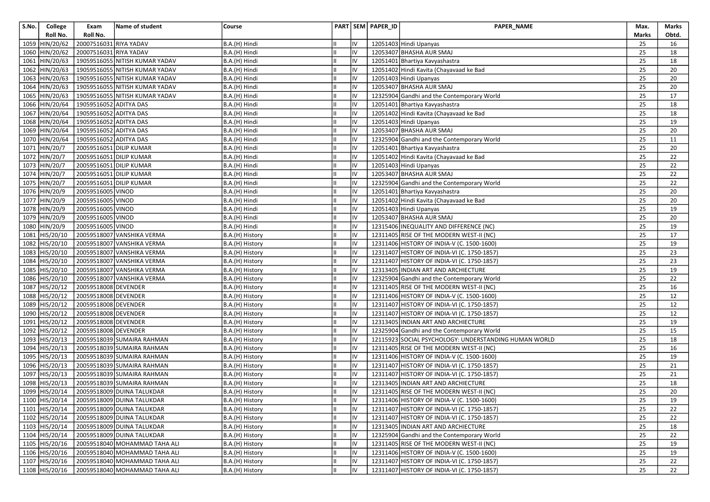| S.No. | College        | Exam                   | Name of student                           | Course          |    | PART SEM PAPER_ID | PAPER_NAME                                            | Max.  | Marks |
|-------|----------------|------------------------|-------------------------------------------|-----------------|----|-------------------|-------------------------------------------------------|-------|-------|
|       | Roll No.       | Roll No.               |                                           |                 |    |                   |                                                       | Marks | Obtd. |
|       | 1059 HIN/20/62 | 20007516031 RIYA YADAV |                                           | B.A.(H) Hindi   | IV |                   | 12051403 Hindi Upanyas                                | 25    | 16    |
|       | 1060 HIN/20/62 | 20007516031 RIYA YADAV |                                           | B.A.(H) Hindi   | IV |                   | 12053407 BHASHA AUR SMAJ                              | 25    | 18    |
|       | 1061 HIN/20/63 |                        | 19059516055 NITISH KUMAR YADAV            | B.A.(H) Hindi   | IV |                   | 12051401 Bhartiya Kavyashastra                        | 25    | 18    |
|       | 1062 HIN/20/63 |                        | 19059516055 NITISH KUMAR YADAV            | B.A.(H) Hindi   | IV |                   | 12051402 Hindi Kavita (Chayavaad ke Bad               | 25    | 20    |
|       | 1063 HIN/20/63 |                        | 19059516055 NITISH KUMAR YADAV            | B.A.(H) Hindi   | IV |                   | 12051403 Hindi Upanyas                                | 25    | 20    |
|       | 1064 HIN/20/63 |                        | 19059516055 NITISH KUMAR YADAV            | B.A.(H) Hindi   | IV |                   | 12053407 BHASHA AUR SMAJ                              | 25    | 20    |
|       | 1065 HIN/20/63 |                        | 19059516055 NITISH KUMAR YADAV            | B.A.(H) Hindi   | IV |                   | 12325904 Gandhi and the Contemporary World            | 25    | 17    |
|       | 1066 HIN/20/64 | 19059516052 ADITYA DAS |                                           | B.A.(H) Hindi   | IV |                   | 12051401 Bhartiya Kavyashastra                        | 25    | 18    |
|       | 1067 HIN/20/64 | 19059516052 ADITYA DAS |                                           | B.A.(H) Hindi   | IV |                   | 12051402 Hindi Kavita (Chayavaad ke Bad               | 25    | 18    |
|       | 1068 HIN/20/64 | 19059516052 ADITYA DAS |                                           | B.A.(H) Hindi   | IV |                   | 12051403 Hindi Upanyas                                | 25    | 19    |
|       | 1069 HIN/20/64 | 19059516052 ADITYA DAS |                                           | B.A.(H) Hindi   | IV |                   | 12053407 BHASHA AUR SMAJ                              | 25    | 20    |
|       | 1070 HIN/20/64 | 19059516052 ADITYA DAS |                                           | B.A.(H) Hindi   | IV |                   | 12325904 Gandhi and the Contemporary World            | 25    | 11    |
|       | 1071 HIN/20/7  |                        | 20059516051 DILIP KUMAR                   | B.A.(H) Hindi   | IV |                   | 12051401 Bhartiya Kavyashastra                        | 25    | 20    |
|       | 1072 HIN/20/7  |                        | 20059516051 DILIP KUMAR                   | B.A.(H) Hindi   | IV |                   | 12051402 Hindi Kavita (Chayavaad ke Bad               | 25    | 22    |
|       | 1073 HIN/20/7  |                        | 20059516051 DILIP KUMAR                   | B.A.(H) Hindi   | IV |                   | 12051403 Hindi Upanyas                                | 25    | 22    |
|       | 1074 HIN/20/7  |                        | 20059516051 DILIP KUMAR                   | B.A.(H) Hindi   | IV |                   | 12053407 BHASHA AUR SMAJ                              | 25    | 22    |
|       | 1075 HIN/20/7  |                        | 20059516051 DILIP KUMAR                   | B.A.(H) Hindi   | IV |                   | 12325904 Gandhi and the Contemporary World            | 25    | 22    |
|       | 1076 HIN/20/9  | 20059516005 VINOD      |                                           | B.A.(H) Hindi   | IV |                   | 12051401 Bhartiya Kavyashastra                        | 25    | 20    |
|       | 1077 HIN/20/9  | 20059516005 VINOD      |                                           | B.A.(H) Hindi   | IV |                   | 12051402 Hindi Kavita (Chayavaad ke Bad               | 25    | 20    |
|       | 1078 HIN/20/9  | 20059516005 VINOD      |                                           | B.A.(H) Hindi   | IV |                   | 12051403 Hindi Upanyas                                | 25    | 19    |
|       | 1079 HIN/20/9  | 20059516005 VINOD      |                                           | B.A.(H) Hindi   | IV |                   | 12053407 BHASHA AUR SMAJ                              | 25    | 20    |
|       | 1080 HIN/20/9  | 20059516005 VINOD      |                                           | B.A.(H) Hindi   | IV |                   | 12315406 INEQUALITY AND DIFFERENCE (NC)               | 25    | 19    |
|       | 1081 HIS/20/10 |                        | 20059518007 VANSHIKA VERMA                | B.A.(H) History | IV |                   | 12311405 RISE OF THE MODERN WEST-II (NC)              | 25    | 17    |
|       | 1082 HIS/20/10 |                        | 20059518007 VANSHIKA VERMA                | B.A.(H) History | IV |                   | 12311406 HISTORY OF INDIA-V (C. 1500-1600)            | 25    | 19    |
|       | 1083 HIS/20/10 |                        | 20059518007 VANSHIKA VERMA                | B.A.(H) History | IV |                   | 12311407 HISTORY OF INDIA-VI (C. 1750-1857)           | 25    | 23    |
|       | 1084 HIS/20/10 |                        | 20059518007 VANSHIKA VERMA                | B.A.(H) History | IV |                   | 12311407 HISTORY OF INDIA-VI (C. 1750-1857)           | 25    | 23    |
|       | 1085 HIS/20/10 |                        | 20059518007 VANSHIKA VERMA                | B.A.(H) History | IV |                   | 12313405 INDIAN ART AND ARCHIECTURE                   | 25    | 19    |
|       | 1086 HIS/20/10 |                        | 20059518007 VANSHIKA VERMA                | B.A.(H) History | IV |                   | 12325904 Gandhi and the Contemporary World            | 25    | 22    |
|       | 1087 HIS/20/12 | 20059518008 DEVENDER   |                                           | B.A.(H) History | IV |                   | 12311405 RISE OF THE MODERN WEST-II (NC)              | 25    | 16    |
|       | 1088 HIS/20/12 | 20059518008 DEVENDER   |                                           | B.A.(H) History | IV |                   | 12311406 HISTORY OF INDIA-V (C. 1500-1600)            | 25    | 12    |
|       | 1089 HIS/20/12 | 20059518008 DEVENDER   |                                           | B.A.(H) History | IV |                   | 12311407 HISTORY OF INDIA-VI (C. 1750-1857)           | 25    | 12    |
|       | 1090 HIS/20/12 | 20059518008 DEVENDER   |                                           | B.A.(H) History | IV |                   | 12311407 HISTORY OF INDIA-VI (C. 1750-1857)           | 25    | 12    |
|       | 1091 HIS/20/12 | 20059518008 DEVENDER   |                                           | B.A.(H) History | IV |                   | 12313405 INDIAN ART AND ARCHIECTURE                   | 25    | 19    |
|       | 1092 HIS/20/12 | 20059518008 DEVENDER   |                                           | B.A.(H) History | IV |                   | 12325904 Gandhi and the Contemporary World            | 25    | 15    |
|       | 1093 HIS/20/13 |                        | 20059518039 SUMAIRA RAHMAN                | B.A.(H) History | IV |                   | 12115923 SOCIAL PSYCHOLOGY: UNDERSTANDING HUMAN WORLD | 25    | 18    |
|       | 1094 HIS/20/13 |                        | 20059518039 SUMAIRA RAHMAN                | B.A.(H) History | IV |                   | 12311405 RISE OF THE MODERN WEST-II (NC)              | 25    | 16    |
|       | 1095 HIS/20/13 |                        | 20059518039 SUMAIRA RAHMAN                | B.A.(H) History | IV |                   | 12311406 HISTORY OF INDIA-V (C. 1500-1600)            | 25    | 19    |
|       | 1096 HIS/20/13 |                        | 20059518039 SUMAIRA RAHMAN                | B.A.(H) History | IV |                   | 12311407 HISTORY OF INDIA-VI (C. 1750-1857)           | 25    | 21    |
|       | 1097 HIS/20/13 |                        | 20059518039 SUMAIRA RAHMAN                | B.A.(H) History | IV |                   | 12311407 HISTORY OF INDIA-VI (C. 1750-1857)           | 25    | 21    |
|       | 1098 HIS/20/13 |                        | 20059518039 SUMAIRA RAHMAN                | B.A.(H) History | IV |                   | 12313405 INDIAN ART AND ARCHIECTURE                   | 25    | 18    |
|       | 1099 HIS/20/14 |                        | 20059518009 DUINA TALUKDAR                | B.A.(H) History | IV |                   | 12311405 RISE OF THE MODERN WEST-II (NC)              | 25    | 20    |
|       |                |                        | 1100 HIS/20/14 20059518009 DUINA TALUKDAR | B.A.(H) History | IV |                   | 12311406 HISTORY OF INDIA-V (C. 1500-1600)            | 25    | 19    |
|       | 1101 HIS/20/14 |                        | 20059518009 DUINA TALUKDAR                | B.A.(H) History | IV |                   | 12311407 HISTORY OF INDIA-VI (C. 1750-1857)           | 25    | 22    |
|       | 1102 HIS/20/14 |                        | 20059518009 DUINA TALUKDAR                | B.A.(H) History | IV |                   | 12311407 HISTORY OF INDIA-VI (C. 1750-1857)           | 25    | 22    |
|       | 1103 HIS/20/14 |                        | 20059518009 DUINA TALUKDAR                | B.A.(H) History | IV |                   | 12313405 INDIAN ART AND ARCHIECTURE                   | 25    | 18    |
|       | 1104 HIS/20/14 |                        | 20059518009 DUINA TALUKDAR                | B.A.(H) History | IV |                   | 12325904 Gandhi and the Contemporary World            | 25    | 22    |
|       | 1105 HIS/20/16 |                        | 20059518040 MOHAMMAD TAHA ALI             | B.A.(H) History | IV |                   | 12311405 RISE OF THE MODERN WEST-II (NC)              | 25    | 19    |
|       | 1106 HIS/20/16 |                        | 20059518040 MOHAMMAD TAHA ALI             | B.A.(H) History | IV |                   | 12311406 HISTORY OF INDIA-V (C. 1500-1600)            | 25    | 19    |
|       | 1107 HIS/20/16 |                        | 20059518040 MOHAMMAD TAHA ALI             | B.A.(H) History | IV |                   | 12311407 HISTORY OF INDIA-VI (C. 1750-1857)           | 25    | 22    |
|       | 1108 HIS/20/16 |                        | 20059518040 MOHAMMAD TAHA ALI             | B.A.(H) History | IV |                   | 12311407 HISTORY OF INDIA-VI (C. 1750-1857)           | 25    | 22    |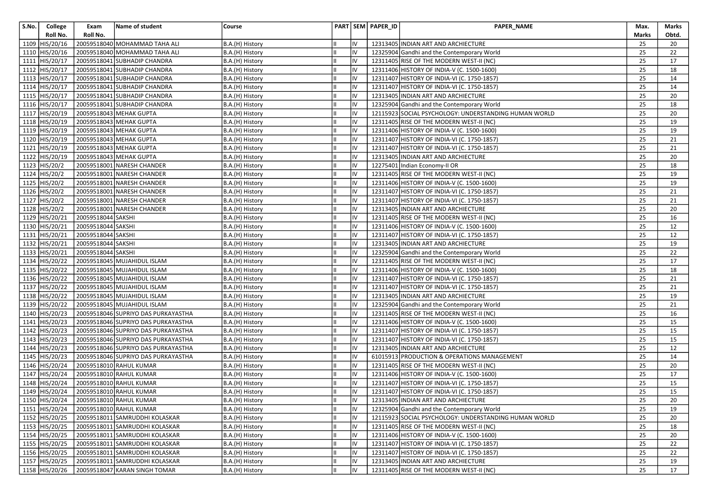| S.No. | College        | Exam               | Name of student                        | Course          |     | PART SEM PAPER_ID | PAPER_NAME                                            | Max.            | Marks |
|-------|----------------|--------------------|----------------------------------------|-----------------|-----|-------------------|-------------------------------------------------------|-----------------|-------|
|       | Roll No.       | Roll No.           |                                        |                 |     |                   |                                                       | Marks           | Obtd. |
|       | 1109 HIS/20/16 |                    | 20059518040 MOHAMMAD TAHA ALI          | B.A.(H) History | IV  |                   | 12313405 INDIAN ART AND ARCHIECTURE                   | 25              | 20    |
| 1110  | HIS/20/16      |                    | 20059518040 MOHAMMAD TAHA ALI          | B.A.(H) History | IV  |                   | 12325904 Gandhi and the Contemporary World            | 25              | 22    |
| 1111  | HIS/20/17      |                    | 20059518041 SUBHADIP CHANDRA           | B.A.(H) History | IV  |                   | 12311405 RISE OF THE MODERN WEST-II (NC)              | 25              | 17    |
| 1112  | HIS/20/17      |                    | 20059518041 SUBHADIP CHANDRA           | B.A.(H) History | IV  |                   | 12311406 HISTORY OF INDIA-V (C. 1500-1600)            | 25              | 18    |
|       | 1113 HIS/20/17 |                    | 20059518041 SUBHADIP CHANDRA           | B.A.(H) History | IV  |                   | 12311407 HISTORY OF INDIA-VI (C. 1750-1857)           | 25              | 14    |
|       | 1114 HIS/20/17 |                    | 20059518041 SUBHADIP CHANDRA           | B.A.(H) History | IV  |                   | 12311407 HISTORY OF INDIA-VI (C. 1750-1857)           | 25              | 14    |
|       | 1115 HIS/20/17 |                    | 20059518041 SUBHADIP CHANDRA           | B.A.(H) History | IV  |                   | 12313405 INDIAN ART AND ARCHIECTURE                   | 25              | 20    |
|       | 1116 HIS/20/17 |                    | 20059518041 SUBHADIP CHANDRA           | B.A.(H) History | IV  |                   | 12325904 Gandhi and the Contemporary World            | 25              | 18    |
|       | 1117 HIS/20/19 |                    | 20059518043 MEHAK GUPTA                | B.A.(H) History | IV  |                   | 12115923 SOCIAL PSYCHOLOGY: UNDERSTANDING HUMAN WORLD | 25              | 20    |
|       | 1118 HIS/20/19 |                    | 20059518043 MEHAK GUPTA                | B.A.(H) History | IV  |                   | 12311405 RISE OF THE MODERN WEST-II (NC)              | 25              | 19    |
|       | 1119 HIS/20/19 |                    | 20059518043 MEHAK GUPTA                | B.A.(H) History | IV  |                   | 12311406 HISTORY OF INDIA-V (C. 1500-1600)            | 25              | 19    |
|       | 1120 HIS/20/19 |                    | 20059518043 MEHAK GUPTA                | B.A.(H) History | IV  |                   | 12311407 HISTORY OF INDIA-VI (C. 1750-1857)           | 25              | 21    |
|       | 1121 HIS/20/19 |                    | 20059518043 MEHAK GUPTA                | B.A.(H) History | IV  |                   | 12311407 HISTORY OF INDIA-VI (C. 1750-1857)           | 25              | 21    |
|       | 1122 HIS/20/19 |                    | 20059518043 MEHAK GUPTA                | B.A.(H) History | IV  |                   | 12313405 INDIAN ART AND ARCHIECTURE                   | 25              | 20    |
|       | 1123 HIS/20/2  |                    | 20059518001 NARESH CHANDER             | B.A.(H) History | IV  |                   | 12275401 Indian Economy-II OR                         | 25              | 18    |
|       | 1124 HIS/20/2  |                    | 20059518001 NARESH CHANDER             | B.A.(H) History | IV  |                   | 12311405 RISE OF THE MODERN WEST-II (NC)              | 25              | 19    |
|       | 1125 HIS/20/2  |                    | 20059518001 NARESH CHANDER             | B.A.(H) History | IV  |                   | 12311406 HISTORY OF INDIA-V (C. 1500-1600)            | 25              | 19    |
|       | 1126 HIS/20/2  |                    | 20059518001 NARESH CHANDER             | B.A.(H) History | IV  |                   | 12311407 HISTORY OF INDIA-VI (C. 1750-1857)           | 25              | 21    |
| 1127  | HIS/20/2       |                    | 20059518001 NARESH CHANDER             | B.A.(H) History | IV  |                   | 12311407 HISTORY OF INDIA-VI (C. 1750-1857)           | 25              | 21    |
|       | 1128 HIS/20/2  |                    | 20059518001 NARESH CHANDER             | B.A.(H) History | IV  |                   | 12313405 INDIAN ART AND ARCHIECTURE                   | 25              | 20    |
|       | 1129 HIS/20/21 | 20059518044 SAKSHI |                                        | B.A.(H) History | IV  |                   | 12311405 RISE OF THE MODERN WEST-II (NC)              | 25              | 16    |
|       | 1130 HIS/20/21 | 20059518044 SAKSHI |                                        | B.A.(H) History | IV  |                   | 12311406 HISTORY OF INDIA-V (C. 1500-1600)            | 25              | 12    |
| 1131  | HIS/20/21      | 20059518044 SAKSHI |                                        | B.A.(H) History | IV  |                   | 12311407 HISTORY OF INDIA-VI (C. 1750-1857)           | 25              | 12    |
|       | 1132 HIS/20/21 | 20059518044 SAKSHI |                                        | B.A.(H) History | IV  |                   | 12313405 INDIAN ART AND ARCHIECTURE                   | 25              | 19    |
|       | 1133 HIS/20/21 | 20059518044 SAKSHI |                                        | B.A.(H) History | IV  |                   | 12325904 Gandhi and the Contemporary World            | 25              | 22    |
|       | 1134 HIS/20/22 |                    | 20059518045 MUJAHIDUL ISLAM            | B.A.(H) History | IV  |                   | 12311405 RISE OF THE MODERN WEST-II (NC)              | 25              | 17    |
|       | 1135 HIS/20/22 |                    | 20059518045 MUJAHIDUL ISLAM            | B.A.(H) History | IV  |                   | 12311406 HISTORY OF INDIA-V (C. 1500-1600)            | 25              | 18    |
|       | 1136 HIS/20/22 |                    | 20059518045 MUJAHIDUL ISLAM            | B.A.(H) History | IV  |                   | 12311407 HISTORY OF INDIA-VI (C. 1750-1857)           | 25              | 21    |
|       | 1137 HIS/20/22 |                    | 20059518045 MUJAHIDUL ISLAM            | B.A.(H) History | IV  |                   | 12311407 HISTORY OF INDIA-VI (C. 1750-1857)           | 25              | 21    |
|       | 1138 HIS/20/22 |                    | 20059518045 MUJAHIDUL ISLAM            | B.A.(H) History | IV  |                   | 12313405 INDIAN ART AND ARCHIECTURE                   | 25              | 19    |
|       | 1139 HIS/20/22 |                    | 20059518045 MUJAHIDUL ISLAM            | B.A.(H) History | IV  |                   | 12325904 Gandhi and the Contemporary World            | 25              | 21    |
|       | 1140 HIS/20/23 |                    | 20059518046 SUPRIYO DAS PURKAYASTHA    | B.A.(H) History | IV  |                   | 12311405 RISE OF THE MODERN WEST-II (NC)              | 25              | 16    |
|       | 1141 HIS/20/23 |                    | 20059518046 SUPRIYO DAS PURKAYASTHA    | B.A.(H) History | IV  |                   | 12311406 HISTORY OF INDIA-V (C. 1500-1600)            | 25              | 15    |
|       | 1142 HIS/20/23 |                    | 20059518046 SUPRIYO DAS PURKAYASTHA    | B.A.(H) History | IV  |                   | 12311407 HISTORY OF INDIA-VI (C. 1750-1857)           | 25              | 15    |
|       | 1143 HIS/20/23 |                    | 20059518046 SUPRIYO DAS PURKAYASTHA    | B.A.(H) History | IV  |                   | 12311407 HISTORY OF INDIA-VI (C. 1750-1857)           | 25              | 15    |
|       | 1144 HIS/20/23 |                    | 20059518046 SUPRIYO DAS PURKAYASTHA    | B.A.(H) History | IV  |                   | 12313405 INDIAN ART AND ARCHIECTURE                   | 25              | 12    |
| 1145  | HIS/20/23      |                    | 20059518046 SUPRIYO DAS PURKAYASTHA    | B.A.(H) History | IV  |                   | 61015913 PRODUCTION & OPERATIONS MANAGEMENT           | 25              | 14    |
|       | 1146 HIS/20/24 |                    | 20059518010 RAHUL KUMAR                | B.A.(H) History | IV  |                   | 12311405 RISE OF THE MODERN WEST-II (NC)              | 25              | 20    |
|       | 1147 HIS/20/24 |                    | 20059518010 RAHUL KUMAR                | B.A.(H) History | IV  |                   | 12311406 HISTORY OF INDIA-V (C. 1500-1600)            | 25              | 17    |
|       | 1148 HIS/20/24 |                    | 20059518010 RAHUL KUMAR                | B.A.(H) History | IV  |                   | 12311407 HISTORY OF INDIA-VI (C. 1750-1857)           | 25              | 15    |
|       | 1149 HIS/20/24 |                    | 20059518010 RAHUL KUMAR                | B.A.(H) History | IV  |                   | 12311407 HISTORY OF INDIA-VI (C. 1750-1857)           | 25              | 15    |
|       |                |                    | 1150 HIS/20/24 20059518010 RAHUL KUMAR | B.A.(H) History | IV  |                   | 12313405 INDIAN ART AND ARCHIECTURE                   | $\overline{25}$ | 20    |
|       | 1151 HIS/20/24 |                    | 20059518010 RAHUL KUMAR                | B.A.(H) History | lıv |                   | 12325904 Gandhi and the Contemporary World            | 25              | 19    |
|       | 1152 HIS/20/25 |                    | 20059518011 SAMRUDDHI KOLASKAR         | B.A.(H) History | IV  |                   | 12115923 SOCIAL PSYCHOLOGY: UNDERSTANDING HUMAN WORLD | 25              | 20    |
|       | 1153 HIS/20/25 |                    | 20059518011 SAMRUDDHI KOLASKAR         | B.A.(H) History | IV  |                   | 12311405 RISE OF THE MODERN WEST-II (NC)              | 25              | 18    |
|       | 1154 HIS/20/25 |                    | 20059518011 SAMRUDDHI KOLASKAR         | B.A.(H) History | IV  |                   | 12311406 HISTORY OF INDIA-V (C. 1500-1600)            | 25              | 20    |
|       | 1155 HIS/20/25 |                    | 20059518011 SAMRUDDHI KOLASKAR         | B.A.(H) History | IV  |                   | 12311407 HISTORY OF INDIA-VI (C. 1750-1857)           | 25              | 22    |
|       | 1156 HIS/20/25 |                    | 20059518011 SAMRUDDHI KOLASKAR         | B.A.(H) History | IV  |                   | 12311407 HISTORY OF INDIA-VI (C. 1750-1857)           | 25              | 22    |
|       | 1157 HIS/20/25 |                    | 20059518011 SAMRUDDHI KOLASKAR         | B.A.(H) History | IV  |                   | 12313405 INDIAN ART AND ARCHIECTURE                   | 25              | 19    |
|       | 1158 HIS/20/26 |                    | 20059518047 KARAN SINGH TOMAR          | B.A.(H) History | liv |                   | 12311405 RISE OF THE MODERN WEST-II (NC)              | 25              | 17    |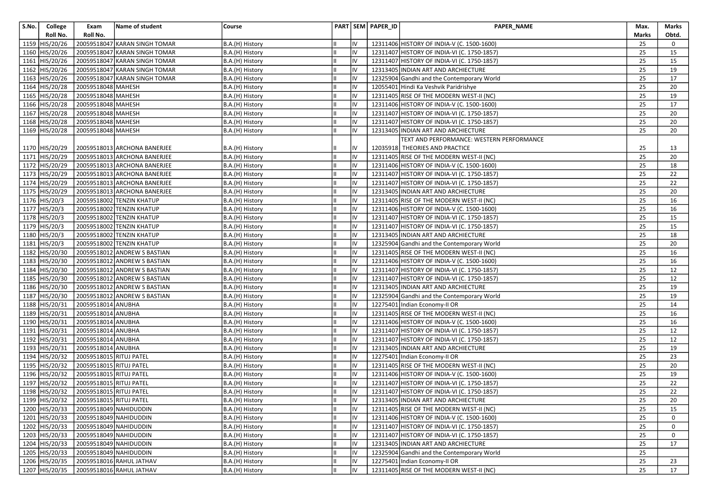| S.No. | College                          | Exam                    | Name of student                                  | Course                             |    |          | PART SEM PAPER_ID | PAPER_NAME                                                                                | Max.         | Marks    |
|-------|----------------------------------|-------------------------|--------------------------------------------------|------------------------------------|----|----------|-------------------|-------------------------------------------------------------------------------------------|--------------|----------|
|       | Roll No.                         | Roll No.                |                                                  |                                    |    |          |                   |                                                                                           | <b>Marks</b> | Obtd.    |
|       | 1159 HIS/20/26                   |                         | 20059518047 KARAN SINGH TOMAR                    | B.A.(H) History                    |    | IV       |                   | 12311406 HISTORY OF INDIA-V (C. 1500-1600)                                                | 25           | 0        |
|       | 1160 HIS/20/26                   |                         | 20059518047 KARAN SINGH TOMAR                    | B.A.(H) History                    | Iн | IV       |                   | 12311407 HISTORY OF INDIA-VI (C. 1750-1857)                                               | 25           | 15       |
|       | 1161 HIS/20/26                   |                         | 20059518047 KARAN SINGH TOMAR                    | B.A.(H) History                    |    | IV       |                   | 12311407 HISTORY OF INDIA-VI (C. 1750-1857)                                               | 25           | 15       |
|       | 1162 HIS/20/26                   |                         | 20059518047 KARAN SINGH TOMAR                    | B.A.(H) History                    |    | IV       |                   | 12313405 INDIAN ART AND ARCHIECTURE                                                       | 25           | 19       |
|       | 1163 HIS/20/26                   |                         | 20059518047 KARAN SINGH TOMAR                    | B.A.(H) History                    |    | IV       |                   | 12325904 Gandhi and the Contemporary World                                                | 25           | 17       |
|       | 1164 HIS/20/28                   | 20059518048 MAHESH      |                                                  | B.A.(H) History                    | Ш  | IV       |                   | 12055401 Hindi Ka Veshvik Paridrishye                                                     | 25           | 20       |
|       | 1165 HIS/20/28                   | 20059518048 MAHESH      |                                                  | B.A.(H) History                    |    | IV       |                   | 12311405 RISE OF THE MODERN WEST-II (NC)                                                  | 25           | 19       |
|       | 1166 HIS/20/28                   | 20059518048 MAHESH      |                                                  | B.A.(H) History                    |    | IV       |                   | 12311406 HISTORY OF INDIA-V (C. 1500-1600)                                                | 25           | 17       |
|       | 1167 HIS/20/28                   | 20059518048 MAHESH      |                                                  | B.A.(H) History                    | Iн | IV       |                   | 12311407 HISTORY OF INDIA-VI (C. 1750-1857)                                               | 25           | 20       |
|       | 1168 HIS/20/28                   | 20059518048 MAHESH      |                                                  | B.A.(H) History                    |    | IV       |                   | 12311407 HISTORY OF INDIA-VI (C. 1750-1857)                                               | 25           | 20       |
|       | 1169 HIS/20/28                   | 20059518048 MAHESH      |                                                  | B.A.(H) History                    |    | IV       |                   | 12313405 INDIAN ART AND ARCHIECTURE                                                       | 25           | 20       |
|       |                                  |                         |                                                  |                                    |    |          |                   | TEXT AND PERFORMANCE: WESTERN PERFORMANCE                                                 |              |          |
|       | 1170 HIS/20/29                   |                         | 20059518013 ARCHONA BANERJEE                     | B.A.(H) History                    |    | IV       |                   | 12035918 THEORIES AND PRACTICE                                                            | 25           | 13       |
|       | 1171 HIS/20/29                   |                         | 20059518013 ARCHONA BANERJEE                     | B.A.(H) History                    |    | IV       |                   | 12311405 RISE OF THE MODERN WEST-II (NC)                                                  | 25           | 20       |
|       | 1172 HIS/20/29                   |                         | 20059518013 ARCHONA BANERJEE                     | B.A.(H) History                    |    | IV       |                   | 12311406 HISTORY OF INDIA-V (C. 1500-1600)                                                | 25           | 18       |
|       | 1173 HIS/20/29                   |                         | 20059518013 ARCHONA BANERJEE                     | B.A.(H) History                    |    | IV       |                   | 12311407 HISTORY OF INDIA-VI (C. 1750-1857)                                               | 25           | 22       |
|       | 1174 HIS/20/29                   |                         | 20059518013 ARCHONA BANERJEE                     | B.A.(H) History                    |    | IV       |                   | 12311407 HISTORY OF INDIA-VI (C. 1750-1857)                                               | 25           | 22       |
|       | 1175 HIS/20/29                   |                         | 20059518013 ARCHONA BANERJEE                     | B.A.(H) History                    |    | IV       |                   | 12313405 INDIAN ART AND ARCHIECTURE                                                       | 25           | 20       |
|       | 1176 HIS/20/3                    |                         | 20059518002 TENZIN KHATUP                        | B.A.(H) History                    |    | IV       |                   | 12311405 RISE OF THE MODERN WEST-II (NC)                                                  | 25           | 16       |
|       | 1177 HIS/20/3                    |                         | 20059518002 TENZIN KHATUP                        | B.A.(H) History                    | IШ | IV       |                   | 12311406 HISTORY OF INDIA-V (C. 1500-1600)                                                | 25           | 16       |
|       | 1178 HIS/20/3                    |                         | 20059518002 TENZIN KHATUP                        | B.A.(H) History                    |    | IV       |                   | 12311407 HISTORY OF INDIA-VI (C. 1750-1857)                                               | 25           | 15       |
|       | 1179 HIS/20/3                    |                         | 20059518002 TENZIN KHATUP                        | B.A.(H) History                    |    | IV       |                   | 12311407 HISTORY OF INDIA-VI (C. 1750-1857)                                               | 25           | 15       |
|       | 1180 HIS/20/3                    |                         | 20059518002 TENZIN KHATUP                        | B.A.(H) History                    |    | IV       |                   | 12313405 INDIAN ART AND ARCHIECTURE                                                       | 25           | 18       |
|       | 1181 HIS/20/3                    |                         | 20059518002 TENZIN KHATUP                        | B.A.(H) History                    | Ш  | IV       |                   | 12325904 Gandhi and the Contemporary World                                                | 25           | 20       |
|       | 1182 HIS/20/30                   |                         | 20059518012 ANDREW S BASTIAN                     | B.A.(H) History                    |    | IV       |                   | 12311405 RISE OF THE MODERN WEST-II (NC)                                                  | 25           | 16       |
|       | 1183 HIS/20/30                   |                         | 20059518012 ANDREW S BASTIAN                     | B.A.(H) History                    |    | IV       |                   | 12311406 HISTORY OF INDIA-V (C. 1500-1600)                                                | 25           | 16       |
|       | 1184 HIS/20/30                   |                         | 20059518012 ANDREW S BASTIAN                     | B.A.(H) History                    | Iн | IV       |                   | 12311407 HISTORY OF INDIA-VI (C. 1750-1857)                                               | 25           | 12       |
|       | 1185 HIS/20/30                   |                         | 20059518012 ANDREW S BASTIAN                     | B.A.(H) History                    |    | IV       |                   | 12311407 HISTORY OF INDIA-VI (C. 1750-1857)                                               | 25           | 12       |
|       | 1186 HIS/20/30                   |                         | 20059518012 ANDREW S BASTIAN                     | B.A.(H) History                    |    | IV       |                   | 12313405 INDIAN ART AND ARCHIECTURE                                                       | 25           | 19       |
|       | 1187 HIS/20/30                   |                         | 20059518012 ANDREW S BASTIAN                     | B.A.(H) History                    |    | IV       |                   | 12325904 Gandhi and the Contemporary World                                                | 25           | 19       |
|       | 1188 HIS/20/31                   | 20059518014 ANUBHA      |                                                  | B.A.(H) History                    | Ш  | IV       |                   | 12275401 Indian Economy-II OR                                                             | 25           | 14       |
|       | 1189 HIS/20/31                   | 20059518014 ANUBHA      |                                                  | B.A.(H) History                    |    | IV       |                   | 12311405 RISE OF THE MODERN WEST-II (NC)                                                  | 25           | 16       |
|       | 1190 HIS/20/31                   | 20059518014 ANUBHA      |                                                  | B.A.(H) History                    |    | IV       |                   | 12311406 HISTORY OF INDIA-V (C. 1500-1600)                                                | 25           | 16       |
|       | 1191 HIS/20/31                   | 20059518014 ANUBHA      |                                                  | B.A.(H) History                    |    | IV       |                   | 12311407 HISTORY OF INDIA-VI (C. 1750-1857)                                               | 25           | 12       |
|       | 1192 HIS/20/31                   | 20059518014 ANUBHA      |                                                  | B.A.(H) History                    |    | IV       |                   | 12311407 HISTORY OF INDIA-VI (C. 1750-1857)                                               | 25           | 12       |
|       | 1193 HIS/20/31                   | 20059518014 ANUBHA      |                                                  | B.A.(H) History                    |    | IV       |                   | 12313405 INDIAN ART AND ARCHIECTURE                                                       | 25           | 19       |
|       | 1194 HIS/20/32                   | 20059518015 RITUJ PATEL |                                                  | B.A.(H) History                    |    | IV       |                   | 12275401 Indian Economy-II OR                                                             | 25           | 23       |
|       | 1195 HIS/20/32                   | 20059518015 RITUJ PATEL |                                                  | B.A.(H) History                    | IШ | IV       |                   | 12311405 RISE OF THE MODERN WEST-II (NC)                                                  | 25<br>25     | 20       |
|       | 1196 HIS/20/32                   | 20059518015 RITUJ PATEL |                                                  | B.A.(H) History                    |    | IV       |                   | 12311406 HISTORY OF INDIA-V (C. 1500-1600)                                                |              | 19       |
|       | 1197 HIS/20/32                   | 20059518015 RITUJ PATEL |                                                  | B.A.(H) History                    |    | IV       |                   | 12311407 HISTORY OF INDIA-VI (C. 1750-1857)                                               | 25           | 22       |
|       | 1198 HIS/20/32                   | 20059518015 RITUJ PATEL |                                                  | B.A.(H) History                    |    | IV       |                   | 12311407 HISTORY OF INDIA-VI (C. 1750-1857)                                               | 25           | 22       |
|       | 1199 HIS/20/32                   | 20059518015 RITUJ PATEL |                                                  | B.A.(H) History                    | TШ | IV       |                   | 12313405 INDIAN ART AND ARCHIECTURE                                                       | 25           | 20       |
|       | 1200 HIS/20/33                   |                         | 20059518049 NAHIDUDDIN                           | B.A.(H) History                    | Iш | IV       |                   | 12311405 RISE OF THE MODERN WEST-II (NC)                                                  | 25           | 15       |
|       | 1201 HIS/20/33                   |                         | 20059518049 NAHIDUDDIN                           | B.A.(H) History                    |    | IV       |                   | 12311406 HISTORY OF INDIA-V (C. 1500-1600)<br>12311407 HISTORY OF INDIA-VI (C. 1750-1857) | 25           | 0        |
|       | 1202 HIS/20/33                   |                         | 20059518049 NAHIDUDDIN                           | B.A.(H) History                    | IШ | IV       |                   |                                                                                           | 25           | 0        |
|       | 1203 HIS/20/33                   |                         | 20059518049 NAHIDUDDIN                           | B.A.(H) History                    |    | IV       |                   | 12311407 HISTORY OF INDIA-VI (C. 1750-1857)                                               | 25           | 0        |
|       | 1204 HIS/20/33<br>1205 HIS/20/33 |                         | 20059518049 NAHIDUDDIN<br>20059518049 NAHIDUDDIN | B.A.(H) History<br>B.A.(H) History |    | IV<br>IV |                   | 12313405 INDIAN ART AND ARCHIECTURE<br>12325904 Gandhi and the Contemporary World         | 25<br>25     | 17       |
|       |                                  |                         |                                                  |                                    |    |          |                   |                                                                                           |              |          |
|       | 1206 HIS/20/35                   |                         | 20059518016 RAHUL JATHAV                         | B.A.(H) History<br>B.A.(H) History | Ш  | IV<br>IV |                   | 12275401 Indian Economy-II OR<br>12311405 RISE OF THE MODERN WEST-II (NC)                 | 25<br>25     | 23<br>17 |
|       | 1207 HIS/20/35                   |                         | 20059518016 RAHUL JATHAV                         |                                    |    |          |                   |                                                                                           |              |          |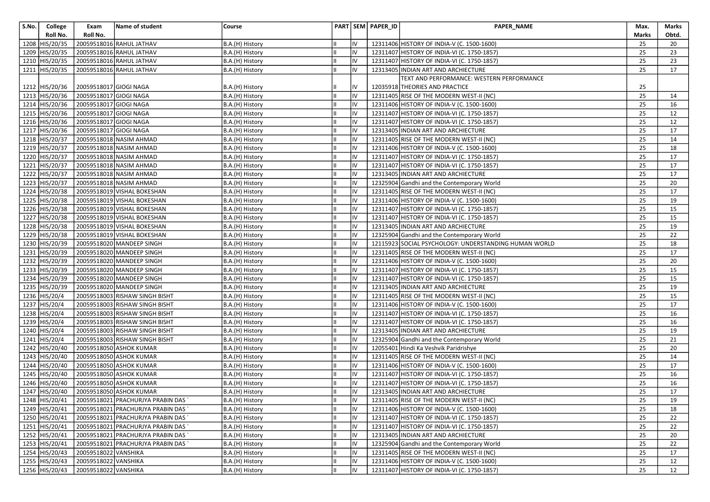| S.No. | College                        | Exam                   | Name of student                                                  | Course                             |          | PART SEM PAPER_ID | PAPER_NAME                                                                                 | Max.            | Marks    |
|-------|--------------------------------|------------------------|------------------------------------------------------------------|------------------------------------|----------|-------------------|--------------------------------------------------------------------------------------------|-----------------|----------|
|       | Roll No.                       | Roll No.               |                                                                  |                                    |          |                   |                                                                                            | Marks           | Obtd.    |
|       | 1208 HIS/20/35                 |                        | 20059518016 RAHUL JATHAV                                         | B.A.(H) History                    | IV       |                   | 12311406 HISTORY OF INDIA-V (C. 1500-1600)                                                 | 25              | 20       |
| 1209  | HIS/20/35                      |                        | 20059518016 RAHUL JATHAV                                         | B.A.(H) History                    | IV       |                   | 12311407 HISTORY OF INDIA-VI (C. 1750-1857)                                                | 25              | 23       |
|       | 1210 HIS/20/35                 |                        | 20059518016 RAHUL JATHAV                                         | B.A.(H) History                    | IV       |                   | 12311407 HISTORY OF INDIA-VI (C. 1750-1857)                                                | 25              | 23       |
|       | 1211 HIS/20/35                 |                        | 20059518016 RAHUL JATHAV                                         | B.A.(H) History                    | IV       |                   | 12313405 INDIAN ART AND ARCHIECTURE                                                        | 25              | 17       |
|       |                                |                        |                                                                  |                                    |          |                   | TEXT AND PERFORMANCE: WESTERN PERFORMANCE                                                  |                 |          |
|       | 1212 HIS/20/36                 | 20059518017 GIOGI NAGA |                                                                  | B.A.(H) History                    | IV       |                   | 12035918 THEORIES AND PRACTICE                                                             | 25              |          |
|       | 1213 HIS/20/36                 | 20059518017 GIOGI NAGA |                                                                  | B.A.(H) History                    | IV       |                   | 12311405 RISE OF THE MODERN WEST-II (NC)                                                   | 25              | 14       |
|       | 1214 HIS/20/36                 | 20059518017 GIOGI NAGA |                                                                  | B.A.(H) History                    | IV       |                   | 12311406 HISTORY OF INDIA-V (C. 1500-1600)                                                 | 25              | 16       |
|       | 1215 HIS/20/36                 | 20059518017 GIOGI NAGA |                                                                  | B.A.(H) History                    | IV       |                   | 12311407 HISTORY OF INDIA-VI (C. 1750-1857)                                                | 25              | 12       |
|       | 1216 HIS/20/36                 | 20059518017 GIOGI NAGA |                                                                  | B.A.(H) History                    | IV       |                   | 12311407 HISTORY OF INDIA-VI (C. 1750-1857)                                                | 25              | 12       |
|       | 1217 HIS/20/36                 | 20059518017 GIOGI NAGA |                                                                  | B.A.(H) History                    | IV       |                   | 12313405 INDIAN ART AND ARCHIECTURE                                                        | 25              | 17       |
|       | 1218 HIS/20/37                 |                        | 20059518018 NASIM AHMAD                                          | B.A.(H) History                    | IV       |                   | 12311405 RISE OF THE MODERN WEST-II (NC)                                                   | 25              | 14       |
|       | 1219 HIS/20/37                 |                        | 20059518018 NASIM AHMAD                                          | B.A.(H) History                    | IV       |                   | 12311406 HISTORY OF INDIA-V (C. 1500-1600)                                                 | 25              | 18       |
|       | 1220 HIS/20/37                 |                        | 20059518018 NASIM AHMAD                                          | B.A.(H) History                    | IV       |                   | 12311407 HISTORY OF INDIA-VI (C. 1750-1857)                                                | 25              | 17       |
|       | 1221 HIS/20/37                 |                        | 20059518018 NASIM AHMAD                                          | B.A.(H) History                    | IV       |                   | 12311407 HISTORY OF INDIA-VI (C. 1750-1857)                                                | 25              | 17       |
|       | 1222 HIS/20/37                 |                        | 20059518018 NASIM AHMAD                                          | B.A.(H) History                    | IV       |                   | 12313405 INDIAN ART AND ARCHIECTURE                                                        | 25              | 17       |
|       | 1223 HIS/20/37                 |                        | 20059518018 NASIM AHMAD                                          | B.A.(H) History                    | IV       |                   | 12325904 Gandhi and the Contemporary World                                                 | 25              | 20       |
|       | 1224 HIS/20/38                 |                        | 20059518019 VISHAL BOKESHAN                                      | B.A.(H) History                    | IV       |                   | 12311405 RISE OF THE MODERN WEST-II (NC)                                                   | 25              | 17       |
|       | 1225 HIS/20/38                 |                        | 20059518019 VISHAL BOKESHAN                                      | B.A.(H) History                    | IV       |                   | 12311406 HISTORY OF INDIA-V (C. 1500-1600)                                                 | 25              | 19       |
|       | 1226 HIS/20/38                 |                        | 20059518019 VISHAL BOKESHAN                                      | B.A.(H) History                    | IV       |                   | 12311407 HISTORY OF INDIA-VI (C. 1750-1857)                                                | 25              | 15       |
|       | 1227 HIS/20/38                 |                        | 20059518019 VISHAL BOKESHAN                                      | B.A.(H) History                    | IV       |                   | 12311407 HISTORY OF INDIA-VI (C. 1750-1857)                                                | 25              | 15       |
|       | 1228 HIS/20/38                 |                        | 20059518019 VISHAL BOKESHAN                                      | B.A.(H) History                    | IV       |                   | 12313405 INDIAN ART AND ARCHIECTURE                                                        | 25              | 19       |
|       | 1229 HIS/20/38                 |                        | 20059518019 VISHAL BOKESHAN                                      | B.A.(H) History                    | IV       |                   | 12325904 Gandhi and the Contemporary World                                                 | 25              | 22       |
|       | 1230 HIS/20/39                 |                        | 20059518020 MANDEEP SINGH                                        | B.A.(H) History                    | IV       |                   | 12115923 SOCIAL PSYCHOLOGY: UNDERSTANDING HUMAN WORLD                                      | 25              | 18       |
|       | 1231 HIS/20/39                 |                        | 20059518020 MANDEEP SINGH                                        | B.A.(H) History                    | IV       |                   | 12311405 RISE OF THE MODERN WEST-II (NC)                                                   | 25              | 17       |
|       | 1232 HIS/20/39                 |                        | 20059518020 MANDEEP SINGH                                        | B.A.(H) History                    | IV       |                   | 12311406 HISTORY OF INDIA-V (C. 1500-1600)                                                 | 25              | 20       |
|       | 1233 HIS/20/39                 |                        | 20059518020 MANDEEP SINGH                                        | B.A.(H) History                    | IV       |                   | 12311407 HISTORY OF INDIA-VI (C. 1750-1857)                                                | 25              | 15       |
|       | 1234 HIS/20/39                 |                        | 20059518020 MANDEEP SINGH                                        | B.A.(H) History                    | IV       |                   | 12311407 HISTORY OF INDIA-VI (C. 1750-1857)                                                | 25              | 15       |
|       | 1235 HIS/20/39                 |                        | 20059518020 MANDEEP SINGH                                        | B.A.(H) History                    | IV       |                   | 12313405 INDIAN ART AND ARCHIECTURE                                                        | 25              | 19       |
| 1236  | HIS/20/4                       |                        | 20059518003 RISHAW SINGH BISHT                                   | B.A.(H) History                    | IV<br>IV |                   | 12311405 RISE OF THE MODERN WEST-II (NC)                                                   | 25<br>25        | 15       |
|       | 1237 HIS/20/4                  |                        | 20059518003 RISHAW SINGH BISHT                                   | B.A.(H) History                    |          |                   | 12311406 HISTORY OF INDIA-V (C. 1500-1600)                                                 | 25              | 17       |
|       | 1238 HIS/20/4<br>1239 HIS/20/4 |                        | 20059518003 RISHAW SINGH BISHT<br>20059518003 RISHAW SINGH BISHT | B.A.(H) History<br>B.A.(H) History | IV<br>IV |                   | 12311407 HISTORY OF INDIA-VI (C. 1750-1857)<br>12311407 HISTORY OF INDIA-VI (C. 1750-1857) | 25              | 16<br>16 |
|       | 1240 HIS/20/4                  |                        | 20059518003 RISHAW SINGH BISHT                                   |                                    | IV       |                   | 12313405 INDIAN ART AND ARCHIECTURE                                                        | 25              | 19       |
|       | 1241 HIS/20/4                  |                        | 20059518003 RISHAW SINGH BISHT                                   | B.A.(H) History<br>B.A.(H) History | IV       |                   | 12325904 Gandhi and the Contemporary World                                                 | 25              | 21       |
|       | 1242 HIS/20/40                 |                        | 20059518050 ASHOK KUMAR                                          | B.A.(H) History                    | IV       |                   | 12055401 Hindi Ka Veshvik Paridrishye                                                      | 25              | 20       |
| 1243  | HIS/20/40                      |                        | 20059518050 ASHOK KUMAR                                          | B.A.(H) History                    | IV       |                   | 12311405 RISE OF THE MODERN WEST-II (NC)                                                   | 25              | 14       |
| 1244  | HIS/20/40                      |                        | 20059518050 ASHOK KUMAR                                          | B.A.(H) History                    | IV       |                   | 12311406 HISTORY OF INDIA-V (C. 1500-1600)                                                 | 25              | 17       |
|       | 1245 HIS/20/40                 |                        | 20059518050 ASHOK KUMAR                                          | B.A.(H) History                    | IV       |                   | 12311407 HISTORY OF INDIA-VI (C. 1750-1857)                                                | 25              | 16       |
|       | 1246 HIS/20/40                 |                        | 20059518050 ASHOK KUMAR                                          | B.A.(H) History                    | IV       |                   | 12311407 HISTORY OF INDIA-VI (C. 1750-1857)                                                | 25              | 16       |
|       | 1247 HIS/20/40                 |                        | 20059518050 ASHOK KUMAR                                          | B.A.(H) History                    | IV       |                   | 12313405 INDIAN ART AND ARCHIECTURE                                                        | 25              | 17       |
|       | 1248 HIS/20/41                 |                        | 20059518021 PRACHURJYA PRABIN DAS                                | B.A.(H) History                    | IV       |                   | 12311405 RISE OF THE MODERN WEST-II (NC)                                                   | $\overline{25}$ | 19       |
|       | 1249 HIS/20/41                 |                        | 20059518021 PRACHURJYA PRABIN DAS                                | B.A.(H) History                    | IV       |                   | 12311406 HISTORY OF INDIA-V (C. 1500-1600)                                                 | 25              | 18       |
|       | 1250 HIS/20/41                 |                        | 20059518021 PRACHURJYA PRABIN DAS                                | B.A.(H) History                    | IV       |                   | 12311407 HISTORY OF INDIA-VI (C. 1750-1857)                                                | 25              | 22       |
|       | 1251 HIS/20/41                 |                        | 20059518021 PRACHURJYA PRABIN DAS                                | B.A.(H) History                    | IV       |                   | 12311407 HISTORY OF INDIA-VI (C. 1750-1857)                                                | 25              | 22       |
|       | 1252 HIS/20/41                 |                        | 20059518021 PRACHURJYA PRABIN DAS                                | B.A.(H) History                    | IV       |                   | 12313405 INDIAN ART AND ARCHIECTURE                                                        | 25              | 20       |
|       | 1253 HIS/20/41                 |                        | 20059518021 PRACHURJYA PRABIN DAS                                | B.A.(H) History                    | IV       |                   | 12325904 Gandhi and the Contemporary World                                                 | 25              | 22       |
|       | 1254 HIS/20/43                 | 20059518022 VANSHIKA   |                                                                  | B.A.(H) History                    | IV       |                   | 12311405 RISE OF THE MODERN WEST-II (NC)                                                   | 25              | 17       |
|       | 1255 HIS/20/43                 | 20059518022 VANSHIKA   |                                                                  | B.A.(H) History                    | IV       |                   | 12311406 HISTORY OF INDIA-V (C. 1500-1600)                                                 | 25              | 12       |
|       | 1256 HIS/20/43                 | 20059518022 VANSHIKA   |                                                                  | B.A.(H) History                    | lıv      |                   | 12311407 HISTORY OF INDIA-VI (C. 1750-1857)                                                | 25              | 12       |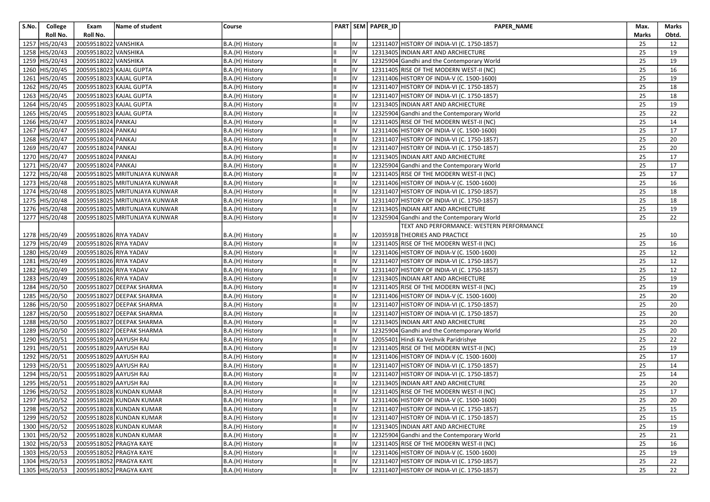| S.No. | College          | Exam                    | Name of student                         | Course          |     | PART SEM PAPER_ID | <b>PAPER NAME</b>                           | Max.            | Marks |
|-------|------------------|-------------------------|-----------------------------------------|-----------------|-----|-------------------|---------------------------------------------|-----------------|-------|
|       | Roll No.         | Roll No.                |                                         |                 |     |                   |                                             | Marks           | Obtd. |
| 1257  | HIS/20/43        | 20059518022 VANSHIKA    |                                         | B.A.(H) History | IV  |                   | 12311407 HISTORY OF INDIA-VI (C. 1750-1857) | 25              | 12    |
| 1258  | HIS/20/43        | 20059518022 VANSHIKA    |                                         | B.A.(H) History | IV  |                   | 12313405 INDIAN ART AND ARCHIECTURE         | 25              | 19    |
|       | 1259 HIS/20/43   | 20059518022 VANSHIKA    |                                         | B.A.(H) History | IV  |                   | 12325904 Gandhi and the Contemporary World  | 25              | 19    |
|       | 1260 HIS/20/45   | 20059518023 KAJAL GUPTA |                                         | B.A.(H) History | IV  |                   | 12311405 RISE OF THE MODERN WEST-II (NC)    | 25              | 16    |
| 1261  | HIS/20/45        |                         | 20059518023 KAJAL GUPTA                 | B.A.(H) History | IV  |                   | 12311406 HISTORY OF INDIA-V (C. 1500-1600)  | 25              | 19    |
|       | 1262 HIS/20/45   | 20059518023 KAJAL GUPTA |                                         | B.A.(H) History | IV  |                   | 12311407 HISTORY OF INDIA-VI (C. 1750-1857) | 25              | 18    |
|       | 1263 HIS/20/45   | 20059518023 KAJAL GUPTA |                                         | B.A.(H) History | IV  |                   | 12311407 HISTORY OF INDIA-VI (C. 1750-1857) | 25              | 18    |
|       | $1264$ HIS/20/45 | 20059518023 KAJAL GUPTA |                                         | B.A.(H) History | IV  |                   | 12313405 INDIAN ART AND ARCHIECTURE         | 25              | 19    |
|       | 1265 HIS/20/45   |                         | 20059518023 KAJAL GUPTA                 | B.A.(H) History | IV  |                   | 12325904 Gandhi and the Contemporary World  | 25              | 22    |
|       | 1266 HIS/20/47   | 20059518024 PANKAJ      |                                         | B.A.(H) History | IV  |                   | 12311405 RISE OF THE MODERN WEST-II (NC)    | 25              | 14    |
|       | 1267 HIS/20/47   | 20059518024 PANKAJ      |                                         | B.A.(H) History | IV  |                   | 12311406 HISTORY OF INDIA-V (C. 1500-1600)  | 25              | 17    |
| 1268  | HIS/20/47        | 20059518024 PANKAJ      |                                         | B.A.(H) History | IV  |                   | 12311407 HISTORY OF INDIA-VI (C. 1750-1857) | 25              | 20    |
|       | 1269 HIS/20/47   | 20059518024 PANKAJ      |                                         | B.A.(H) History | IV  |                   | 12311407 HISTORY OF INDIA-VI (C. 1750-1857) | 25              | 20    |
|       | 1270 HIS/20/47   | 20059518024 PANKAJ      |                                         | B.A.(H) History | IV  |                   | 12313405 INDIAN ART AND ARCHIECTURE         | 25              | 17    |
|       | 1271 HIS/20/47   | 20059518024 PANKAJ      |                                         | B.A.(H) History | IV  |                   | 12325904 Gandhi and the Contemporary World  | 25              | 17    |
|       | 1272 HIS/20/48   |                         | 20059518025 MRITUNJAYA KUNWAR           | B.A.(H) History | IV  |                   | 12311405 RISE OF THE MODERN WEST-II (NC)    | 25              | 17    |
|       | 1273 HIS/20/48   |                         | 20059518025 MRITUNJAYA KUNWAR           | B.A.(H) History | IV  |                   | 12311406 HISTORY OF INDIA-V (C. 1500-1600)  | 25              | 16    |
|       | 1274 HIS/20/48   |                         | 20059518025 MRITUNJAYA KUNWAR           | B.A.(H) History | IV  |                   | 12311407 HISTORY OF INDIA-VI (C. 1750-1857) | 25              | 18    |
|       | 1275 HIS/20/48   |                         | 20059518025 MRITUNJAYA KUNWAR           | B.A.(H) History | IV  |                   | 12311407 HISTORY OF INDIA-VI (C. 1750-1857) | 25              | 18    |
|       | 1276 HIS/20/48   |                         | 20059518025 MRITUNJAYA KUNWAR           | B.A.(H) History | IV  |                   | 12313405 INDIAN ART AND ARCHIECTURE         | 25              | 19    |
|       | 1277 HIS/20/48   |                         | 20059518025 MRITUNJAYA KUNWAR           | B.A.(H) History | IV  |                   | 12325904 Gandhi and the Contemporary World  | 25              | 22    |
|       |                  |                         |                                         |                 |     |                   | TEXT AND PERFORMANCE: WESTERN PERFORMANCE   |                 |       |
|       | 1278 HIS/20/49   | 20059518026 RIYA YADAV  |                                         | B.A.(H) History | IV  |                   | 12035918 THEORIES AND PRACTICE              | 25              | 10    |
|       | 1279 HIS/20/49   | 20059518026 RIYA YADAV  |                                         | B.A.(H) History | IV  |                   | 12311405 RISE OF THE MODERN WEST-II (NC)    | 25              | 16    |
|       | 1280 HIS/20/49   | 20059518026 RIYA YADAV  |                                         | B.A.(H) History | IV  |                   | 12311406 HISTORY OF INDIA-V (C. 1500-1600)  | 25              | 12    |
|       | 1281 HIS/20/49   | 20059518026 RIYA YADAV  |                                         | B.A.(H) History | IV  |                   | 12311407 HISTORY OF INDIA-VI (C. 1750-1857) | 25              | 12    |
|       | 1282 HIS/20/49   | 20059518026 RIYA YADAV  |                                         | B.A.(H) History | IV  |                   | 12311407 HISTORY OF INDIA-VI (C. 1750-1857) | 25              | 12    |
|       | 1283 HIS/20/49   | 20059518026 RIYA YADAV  |                                         | B.A.(H) History | IV  |                   | 12313405   INDIAN ART AND ARCHIECTURE       | 25              | 19    |
|       | 1284 HIS/20/50   |                         | 20059518027 DEEPAK SHARMA               | B.A.(H) History | IV  |                   | 12311405 RISE OF THE MODERN WEST-II (NC)    | 25              | 19    |
| 1285  | HIS/20/50        |                         | 20059518027 DEEPAK SHARMA               | B.A.(H) History | IV  |                   | 12311406 HISTORY OF INDIA-V (C. 1500-1600)  | 25              | 20    |
|       | 1286 HIS/20/50   |                         | 20059518027 DEEPAK SHARMA               | B.A.(H) History | IV  |                   | 12311407 HISTORY OF INDIA-VI (C. 1750-1857) | 25              | 20    |
|       | 1287 HIS/20/50   |                         | 20059518027 DEEPAK SHARMA               | B.A.(H) History | IV  |                   | 12311407 HISTORY OF INDIA-VI (C. 1750-1857) | 25              | 20    |
|       | 1288 HIS/20/50   |                         | 20059518027 DEEPAK SHARMA               | B.A.(H) History | IV  |                   | 12313405 INDIAN ART AND ARCHIECTURE         | 25              | 20    |
|       | 1289 HIS/20/50   |                         | 20059518027 DEEPAK SHARMA               | B.A.(H) History | IV  |                   | 12325904 Gandhi and the Contemporary World  | 25              | 20    |
|       | 1290 HIS/20/51   | 20059518029 AAYUSH RAJ  |                                         | B.A.(H) History | IV  |                   | 12055401 Hindi Ka Veshvik Paridrishye       | 25              | 22    |
|       | 1291 HIS/20/51   | 20059518029 AAYUSH RAJ  |                                         | B.A.(H) History | IV  |                   | 12311405 RISE OF THE MODERN WEST-II (NC)    | 25              | 19    |
| 1292  | HIS/20/51        | 20059518029 AAYUSH RAJ  |                                         | B.A.(H) History | IV  |                   | 12311406 HISTORY OF INDIA-V (C. 1500-1600)  | 25              | 17    |
| 1293  | HIS/20/51        | 20059518029 AAYUSH RAJ  |                                         | B.A.(H) History | IV  |                   | 12311407 HISTORY OF INDIA-VI (C. 1750-1857) | 25              | 14    |
|       | 1294 HIS/20/51   | 20059518029 AAYUSH RAJ  |                                         | B.A.(H) History | IV  |                   | 12311407 HISTORY OF INDIA-VI (C. 1750-1857) | 25              | 14    |
|       | 1295 HIS/20/51   | 20059518029 AAYUSH RAJ  |                                         | B.A.(H) History | IV  |                   | 12313405 INDIAN ART AND ARCHIECTURE         | 25              | 20    |
|       | 1296 HIS/20/52   |                         | 20059518028 KUNDAN KUMAR                | B.A.(H) History | IV  |                   | 12311405 RISE OF THE MODERN WEST-II (NC)    | 25              | 17    |
|       |                  |                         | 1297 HIS/20/52 20059518028 KUNDAN KUMAR | B.A.(H) History | IV  |                   | 12311406 HISTORY OF INDIA-V (C. 1500-1600)  | $\overline{25}$ | 20    |
|       | 1298 HIS/20/52   |                         | 20059518028 KUNDAN KUMAR                | B.A.(H) History | IV  |                   | 12311407 HISTORY OF INDIA-VI (C. 1750-1857) | 25              | 15    |
|       | 1299 HIS/20/52   |                         | 20059518028 KUNDAN KUMAR                | B.A.(H) History | IV  |                   | 12311407 HISTORY OF INDIA-VI (C. 1750-1857) | 25              | 15    |
|       | 1300 HIS/20/52   |                         | 20059518028 KUNDAN KUMAR                | B.A.(H) History | IV  |                   | 12313405 INDIAN ART AND ARCHIECTURE         | 25              | 19    |
|       | 1301 HIS/20/52   |                         | 20059518028 KUNDAN KUMAR                | B.A.(H) History | IV  |                   | 12325904 Gandhi and the Contemporary World  | 25              | 21    |
|       | 1302 HIS/20/53   |                         | 20059518052 PRAGYA KAYE                 | B.A.(H) History | IV  |                   | 12311405 RISE OF THE MODERN WEST-II (NC)    | 25              | 16    |
|       | 1303 HIS/20/53   |                         | 20059518052 PRAGYA KAYE                 | B.A.(H) History | IV  |                   | 12311406 HISTORY OF INDIA-V (C. 1500-1600)  | 25              | 19    |
|       | 1304 HIS/20/53   |                         | 20059518052 PRAGYA KAYE                 | B.A.(H) History | IV  |                   | 12311407 HISTORY OF INDIA-VI (C. 1750-1857) | 25              | 22    |
|       | 1305 HIS/20/53   |                         | 20059518052 PRAGYA KAYE                 | B.A.(H) History | lıv |                   | 12311407 HISTORY OF INDIA-VI (C. 1750-1857) | 25              | 22    |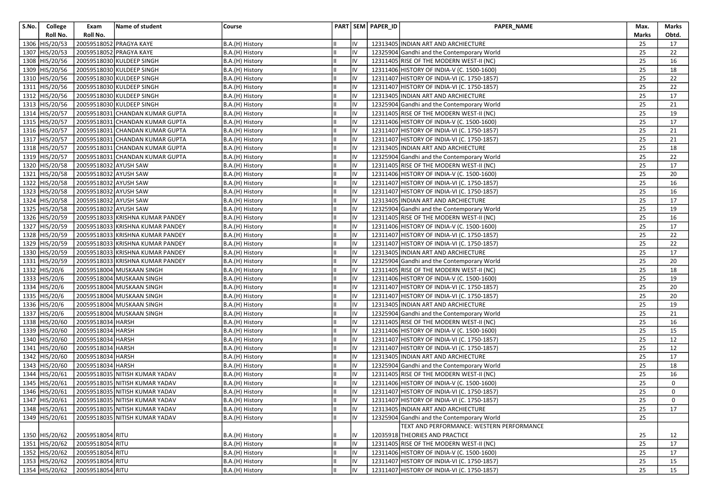| S.No. | College                 | Exam                  | Name of student                               | Course          |     | PART SEM PAPER_ID | <b>PAPER NAME</b>                           | Max.  | Marks       |
|-------|-------------------------|-----------------------|-----------------------------------------------|-----------------|-----|-------------------|---------------------------------------------|-------|-------------|
|       | Roll No.                | Roll No.              |                                               |                 |     |                   |                                             | Marks | Obtd.       |
|       | 1306 HIS/20/53          |                       | 20059518052 PRAGYA KAYE                       | B.A.(H) History | IV  |                   | 12313405 INDIAN ART AND ARCHIECTURE         | 25    | 17          |
| 1307  | HIS/20/53               |                       | 20059518052 PRAGYA KAYE                       | B.A.(H) History | IV  |                   | 12325904 Gandhi and the Contemporary World  | 25    | 22          |
| 1308  | HIS/20/56               |                       | 20059518030 KULDEEP SINGH                     | B.A.(H) History | IV  |                   | 12311405 RISE OF THE MODERN WEST-II (NC)    | 25    | 16          |
|       | 1309 HIS/20/56          |                       | 20059518030 KULDEEP SINGH                     | B.A.(H) History | IV  |                   | 12311406 HISTORY OF INDIA-V (C. 1500-1600)  | 25    | 18          |
|       | 1310 HIS/20/56          |                       | 20059518030 KULDEEP SINGH                     | B.A.(H) History | IV  |                   | 12311407 HISTORY OF INDIA-VI (C. 1750-1857) | 25    | 22          |
|       | 1311 HIS/20/56          |                       | 20059518030 KULDEEP SINGH                     | B.A.(H) History | IV  |                   | 12311407 HISTORY OF INDIA-VI (C. 1750-1857) | 25    | 22          |
|       | 1312 HIS/20/56          |                       | 20059518030 KULDEEP SINGH                     | B.A.(H) History | IV  |                   | 12313405 INDIAN ART AND ARCHIECTURE         | 25    | 17          |
|       | 1313 HIS/20/56          |                       | 20059518030 KULDEEP SINGH                     | B.A.(H) History | IV  |                   | 12325904 Gandhi and the Contemporary World  | 25    | 21          |
|       | 1314 HIS/20/57          |                       | 20059518031 CHANDAN KUMAR GUPTA               | B.A.(H) History | IV  |                   | 12311405 RISE OF THE MODERN WEST-II (NC)    | 25    | 19          |
|       | 1315 HIS/20/57          |                       | 20059518031 CHANDAN KUMAR GUPTA               | B.A.(H) History | IV  |                   | 12311406 HISTORY OF INDIA-V (C. 1500-1600)  | 25    | 17          |
|       | 1316 HIS/20/57          |                       | 20059518031 CHANDAN KUMAR GUPTA               | B.A.(H) History | IV  |                   | 12311407 HISTORY OF INDIA-VI (C. 1750-1857) | 25    | 21          |
| 1317  | HIS/20/57               |                       | 20059518031 CHANDAN KUMAR GUPTA               | B.A.(H) History | IV  |                   | 12311407 HISTORY OF INDIA-VI (C. 1750-1857) | 25    | 21          |
|       | 1318 HIS/20/57          |                       | 20059518031 CHANDAN KUMAR GUPTA               | B.A.(H) History | IV  |                   | 12313405   INDIAN ART AND ARCHIECTURE       | 25    | 18          |
|       | 1319 HIS/20/57          |                       | 20059518031 CHANDAN KUMAR GUPTA               | B.A.(H) History | IV  |                   | 12325904 Gandhi and the Contemporary World  | 25    | 22          |
|       | 1320 HIS/20/58          | 20059518032 AYUSH SAW |                                               | B.A.(H) History | IV  |                   | 12311405 RISE OF THE MODERN WEST-II (NC)    | 25    | 17          |
|       | 1321 HIS/20/58          | 20059518032 AYUSH SAW |                                               | B.A.(H) History | IV  |                   | 12311406 HISTORY OF INDIA-V (C. 1500-1600)  | 25    | 20          |
|       | 1322 HIS/20/58          | 20059518032 AYUSH SAW |                                               | B.A.(H) History | IV  |                   | 12311407 HISTORY OF INDIA-VI (C. 1750-1857) | 25    | 16          |
|       | 1323 HIS/20/58          | 20059518032 AYUSH SAW |                                               | B.A.(H) History | IV  |                   | 12311407 HISTORY OF INDIA-VI (C. 1750-1857) | 25    | 16          |
|       | 1324 HIS/20/58          | 20059518032 AYUSH SAW |                                               | B.A.(H) History | IV  |                   | 12313405 INDIAN ART AND ARCHIECTURE         | 25    | 17          |
|       | 1325 HIS/20/58          | 20059518032 AYUSH SAW |                                               | B.A.(H) History | IV  |                   | 12325904 Gandhi and the Contemporary World  | 25    | 19          |
|       | 1326 HIS/20/59          |                       | 20059518033 KRISHNA KUMAR PANDEY              | B.A.(H) History | IV  |                   | 12311405 RISE OF THE MODERN WEST-II (NC)    | 25    | 16          |
|       | 1327 HIS/20/59          |                       | 20059518033 KRISHNA KUMAR PANDEY              | B.A.(H) History | IV  |                   | 12311406 HISTORY OF INDIA-V (C. 1500-1600)  | 25    | 17          |
|       | 1328 HIS/20/59          |                       | 20059518033 KRISHNA KUMAR PANDEY              | B.A.(H) History | IV  |                   | 12311407 HISTORY OF INDIA-VI (C. 1750-1857) | 25    | 22          |
|       | 1329 HIS/20/59          |                       | 20059518033 KRISHNA KUMAR PANDEY              | B.A.(H) History | IV  |                   | 12311407 HISTORY OF INDIA-VI (C. 1750-1857) | 25    | 22          |
|       | 1330 HIS/20/59          |                       | 20059518033 KRISHNA KUMAR PANDEY              | B.A.(H) History | IV  |                   | 12313405 INDIAN ART AND ARCHIECTURE         | 25    | 17          |
|       | 1331 HIS/20/59          |                       | 20059518033 KRISHNA KUMAR PANDEY              | B.A.(H) History | IV  |                   | 12325904 Gandhi and the Contemporary World  | 25    | 20          |
|       | 1332 HIS/20/6           |                       | 20059518004 MUSKAAN SINGH                     | B.A.(H) History | IV  |                   | 12311405 RISE OF THE MODERN WEST-II (NC)    | 25    | 18          |
|       | 1333 HIS/20/6           |                       | 20059518004 MUSKAAN SINGH                     | B.A.(H) History | IV  |                   | 12311406 HISTORY OF INDIA-V (C. 1500-1600)  | 25    | 19          |
|       | 1334 HIS/20/6           |                       | 20059518004 MUSKAAN SINGH                     | B.A.(H) History | IV  |                   | 12311407 HISTORY OF INDIA-VI (C. 1750-1857) | 25    | 20          |
|       | 1335 HIS/20/6           |                       | 20059518004 MUSKAAN SINGH                     | B.A.(H) History | IV  |                   | 12311407 HISTORY OF INDIA-VI (C. 1750-1857) | 25    | 20          |
|       | 1336 HIS/20/6           |                       | 20059518004 MUSKAAN SINGH                     | B.A.(H) History | IV  |                   | 12313405 INDIAN ART AND ARCHIECTURE         | 25    | 19          |
|       | 1337 HIS/20/6           |                       | 20059518004 MUSKAAN SINGH                     | B.A.(H) History | IV  |                   | 12325904 Gandhi and the Contemporary World  | 25    | 21          |
|       | 1338 HIS/20/60          | 20059518034 HARSH     |                                               | B.A.(H) History | IV  |                   | 12311405 RISE OF THE MODERN WEST-II (NC)    | 25    | 16          |
|       | 1339 HIS/20/60          | 20059518034 HARSH     |                                               | B.A.(H) History | IV  |                   | 12311406 HISTORY OF INDIA-V (C. 1500-1600)  | 25    | 15          |
|       | 1340 HIS/20/60          | 20059518034 HARSH     |                                               | B.A.(H) History | IV  |                   | 12311407 HISTORY OF INDIA-VI (C. 1750-1857) | 25    | 12          |
|       | 1341 HIS/20/60          | 20059518034 HARSH     |                                               | B.A.(H) History | IV  |                   | 12311407 HISTORY OF INDIA-VI (C. 1750-1857) | 25    | 12          |
| 1342  | HIS/20/60               | 20059518034 HARSH     |                                               | B.A.(H) History | IV  |                   | 12313405 INDIAN ART AND ARCHIECTURE         | 25    | 17          |
| 1343  | HIS/20/60               | 20059518034 HARSH     |                                               | B.A.(H) History | IV  |                   | 12325904 Gandhi and the Contemporary World  | 25    | 18          |
|       | 1344 HIS/20/61          |                       | 20059518035 NITISH KUMAR YADAV                | B.A.(H) History | IV  |                   | 12311405 RISE OF THE MODERN WEST-II (NC)    | 25    | 16          |
|       | 1345 HIS/20/61          |                       | 20059518035 NITISH KUMAR YADAV                | B.A.(H) History | IV  |                   | 12311406 HISTORY OF INDIA-V (C. 1500-1600)  | 25    | 0           |
|       | 1346 HIS/20/61          |                       | 20059518035 NITISH KUMAR YADAV                | B.A.(H) History | IV  |                   | 12311407 HISTORY OF INDIA-VI (C. 1750-1857) | 25    | 0           |
|       |                         |                       | 1347 HIS/20/61 20059518035 NITISH KUMAR YADAV | B.A.(H) History | IV  |                   | 12311407 HISTORY OF INDIA-VI (C. 1750-1857) | 25    | $\mathbf 0$ |
|       | 1348 HIS/20/61          |                       | 20059518035 NITISH KUMAR YADAV                | B.A.(H) History | lıv |                   | 12313405 INDIAN ART AND ARCHIECTURE         | 25    | 17          |
|       | $\sqrt{1349}$ HIS/20/61 |                       | 20059518035 NITISH KUMAR YADAV                | B.A.(H) History | IV  |                   | 12325904 Gandhi and the Contemporary World  | 25    |             |
|       |                         |                       |                                               |                 |     |                   | TEXT AND PERFORMANCE: WESTERN PERFORMANCE   |       |             |
|       | 1350 HIS/20/62          | 20059518054 RITU      |                                               | B.A.(H) History | IV  |                   | 12035918 THEORIES AND PRACTICE              | 25    | 12          |
|       | 1351 HIS/20/62          | 20059518054 RITU      |                                               | B.A.(H) History | IV  |                   | 12311405 RISE OF THE MODERN WEST-II (NC)    | 25    | 17          |
|       | 1352 HIS/20/62          | 20059518054 RITU      |                                               | B.A.(H) History | IV  |                   | 12311406 HISTORY OF INDIA-V (C. 1500-1600)  | 25    | 17          |
|       | 1353 HIS/20/62          | 20059518054 RITU      |                                               | B.A.(H) History | IV  |                   | 12311407 HISTORY OF INDIA-VI (C. 1750-1857) | 25    | 15          |
|       | 1354 HIS/20/62          | 20059518054 RITU      |                                               | B.A.(H) History | IV  |                   | 12311407 HISTORY OF INDIA-VI (C. 1750-1857) | 25    | 15          |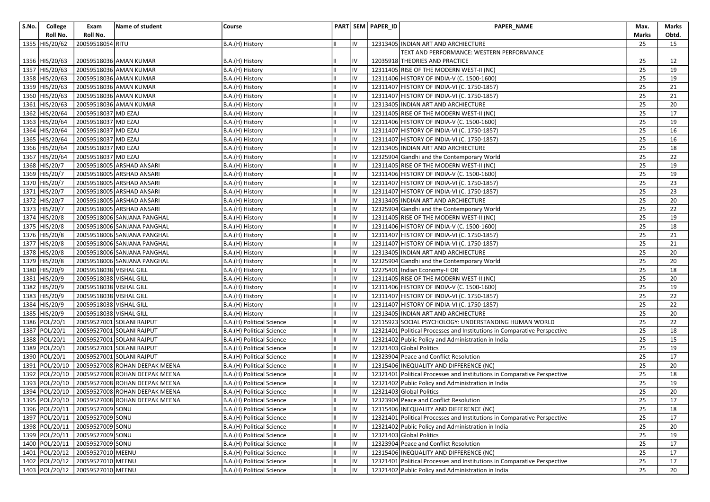| S.No. | College          | Exam                             | Name of student                               | Course                    |    |    | PART SEM PAPER_ID | PAPER_NAME                                                               | Max.  | Marks |
|-------|------------------|----------------------------------|-----------------------------------------------|---------------------------|----|----|-------------------|--------------------------------------------------------------------------|-------|-------|
|       | Roll No.         | Roll No.                         |                                               |                           |    |    |                   |                                                                          | Marks | Obtd. |
|       | 1355 HIS/20/62   | 20059518054 RITU                 |                                               | B.A.(H) History           |    | IV |                   | 12313405 INDIAN ART AND ARCHIECTURE                                      | 25    | 15    |
|       |                  |                                  |                                               |                           |    |    |                   | TEXT AND PERFORMANCE: WESTERN PERFORMANCE                                |       |       |
|       | 1356 HIS/20/63   |                                  | 20059518036 AMAN KUMAR                        | B.A.(H) History           |    |    |                   | 12035918 THEORIES AND PRACTICE                                           | 25    | 12    |
|       | 1357 HIS/20/63   |                                  | 20059518036 AMAN KUMAR                        | B.A.(H) History           |    | IV |                   | 12311405 RISE OF THE MODERN WEST-II (NC)                                 | 25    | 19    |
|       | 1358 HIS/20/63   |                                  | 20059518036 AMAN KUMAR                        | B.A.(H) History           |    | IV |                   | 12311406 HISTORY OF INDIA-V (C. 1500-1600)                               | 25    | 19    |
|       | 1359 HIS/20/63   |                                  | 20059518036 AMAN KUMAR                        | B.A.(H) History           |    | IV |                   | 12311407 HISTORY OF INDIA-VI (C. 1750-1857)                              | 25    | 21    |
|       | 1360 HIS/20/63   |                                  | 20059518036 AMAN KUMAR                        | B.A.(H) History           |    | IV |                   | 12311407 HISTORY OF INDIA-VI (C. 1750-1857)                              | 25    | 21    |
|       | $1361$ HIS/20/63 |                                  | 20059518036 AMAN KUMAR                        | B.A.(H) History           |    | IV |                   | 12313405 INDIAN ART AND ARCHIECTURE                                      | 25    | 20    |
|       | 1362 HIS/20/64   | 20059518037 MD EZAJ              |                                               | B.A.(H) History           |    | IV |                   | 12311405 RISE OF THE MODERN WEST-II (NC)                                 | 25    | 17    |
|       | 1363 HIS/20/64   | 20059518037 MD EZAJ              |                                               | B.A.(H) History           |    | IV |                   | 12311406 HISTORY OF INDIA-V (C. 1500-1600)                               | 25    | 19    |
|       | 1364 HIS/20/64   | 20059518037 MD EZAJ              |                                               | B.A.(H) History           |    |    |                   | 12311407 HISTORY OF INDIA-VI (C. 1750-1857)                              | 25    | 16    |
|       | 1365 HIS/20/64   | 20059518037 MD EZAJ              |                                               | B.A.(H) History           |    | IV |                   | 12311407 HISTORY OF INDIA-VI (C. 1750-1857)                              | 25    | 16    |
|       | 1366 HIS/20/64   | 20059518037 MD EZAJ              |                                               | B.A.(H) History           |    | IV |                   | 12313405 INDIAN ART AND ARCHIECTURE                                      | 25    | 18    |
|       | 1367 HIS/20/64   | 20059518037 MD EZAJ              |                                               | B.A.(H) History           |    | IV |                   | 12325904 Gandhi and the Contemporary World                               | 25    | 22    |
|       | 1368 HIS/20/7    |                                  | 20059518005 ARSHAD ANSARI                     | B.A.(H) History           |    | IV |                   | 12311405 RISE OF THE MODERN WEST-II (NC)                                 | 25    | 19    |
|       | 1369 HIS/20/7    |                                  | 20059518005 ARSHAD ANSARI                     | B.A.(H) History           |    | IV |                   | 12311406 HISTORY OF INDIA-V (C. 1500-1600)                               | 25    | 19    |
|       | 1370 HIS/20/7    |                                  | 20059518005 ARSHAD ANSARI                     | B.A.(H) History           |    | IV |                   | 12311407 HISTORY OF INDIA-VI (C. 1750-1857)                              | 25    | 23    |
|       | 1371 HIS/20/7    |                                  | 20059518005 ARSHAD ANSARI                     | B.A.(H) History           |    | IV |                   | 12311407 HISTORY OF INDIA-VI (C. 1750-1857)                              | 25    | 23    |
|       | 1372 HIS/20/7    |                                  | 20059518005 ARSHAD ANSARI                     | B.A.(H) History           |    | IV |                   | 12313405 INDIAN ART AND ARCHIECTURE                                      | 25    | 20    |
|       | 1373 HIS/20/7    |                                  | 20059518005 ARSHAD ANSARI                     | B.A.(H) History           |    | IV |                   | 12325904 Gandhi and the Contemporary World                               | 25    | 22    |
|       | 1374 HIS/20/8    |                                  | 20059518006 SANJANA PANGHAL                   | B.A.(H) History           |    | IV |                   | 12311405 RISE OF THE MODERN WEST-II (NC)                                 | 25    | 19    |
|       | 1375 HIS/20/8    |                                  | 20059518006 SANJANA PANGHAL                   | B.A.(H) History           |    | IV |                   | 12311406 HISTORY OF INDIA-V (C. 1500-1600)                               | 25    | 18    |
|       | 1376 HIS/20/8    |                                  | 20059518006 SANJANA PANGHAL                   | B.A.(H) History           |    | IV |                   | 12311407 HISTORY OF INDIA-VI (C. 1750-1857)                              | 25    | 21    |
|       | 1377 HIS/20/8    |                                  | 20059518006 SANJANA PANGHAL                   | B.A.(H) History           |    | IV |                   | 12311407 HISTORY OF INDIA-VI (C. 1750-1857)                              | 25    | 21    |
|       | 1378 HIS/20/8    |                                  | 20059518006 SANJANA PANGHAL                   | B.A.(H) History           |    | IV |                   | 12313405 INDIAN ART AND ARCHIECTURE                                      | 25    | 20    |
|       | 1379 HIS/20/8    |                                  | 20059518006 SANJANA PANGHAL                   | B.A.(H) History           |    | IV |                   | 12325904 Gandhi and the Contemporary World                               | 25    | 20    |
|       | 1380 HIS/20/9    | 20059518038 VISHAL GILL          |                                               | B.A.(H) History           | Ш  | IV |                   | 12275401 Indian Economy-II OR                                            | 25    | 18    |
|       | 1381 HIS/20/9    | 20059518038 VISHAL GILL          |                                               | B.A.(H) History           |    | IV |                   | 12311405 RISE OF THE MODERN WEST-II (NC)                                 | 25    | 20    |
|       | 1382 HIS/20/9    | 20059518038 VISHAL GILL          |                                               | B.A.(H) History           |    | IV |                   | 12311406 HISTORY OF INDIA-V (C. 1500-1600)                               | 25    | 19    |
|       | 1383 HIS/20/9    | 20059518038 VISHAL GILL          |                                               | B.A.(H) History           |    | IV |                   | 12311407 HISTORY OF INDIA-VI (C. 1750-1857)                              | 25    | 22    |
|       | 1384 HIS/20/9    | 20059518038 VISHAL GILL          |                                               | B.A.(H) History           |    | IV |                   | 12311407 HISTORY OF INDIA-VI (C. 1750-1857)                              | 25    | 22    |
|       | 1385 HIS/20/9    | 20059518038 VISHAL GILL          |                                               | B.A.(H) History           |    | IV |                   | 12313405 INDIAN ART AND ARCHIECTURE                                      | 25    | 20    |
|       | 1386 POL/20/1    |                                  | 20059527001 SOLANI RAJPUT                     | B.A.(H) Political Science |    | IV |                   | 12115923 SOCIAL PSYCHOLOGY: UNDERSTANDING HUMAN WORLD                    | 25    | 22    |
|       | 1387 POL/20/1    |                                  | 20059527001 SOLANI RAJPUT                     | B.A.(H) Political Science |    | IV |                   | 12321401 Political Processes and Institutions in Comparative Perspective | 25    | 18    |
|       | 1388 POL/20/1    |                                  | 20059527001 SOLANI RAJPUT                     | B.A.(H) Political Science |    | IV |                   | 12321402 Public Policy and Administration in India                       | 25    | 15    |
|       | 1389 POL/20/1    |                                  | 20059527001 SOLANI RAJPUT                     | B.A.(H) Political Science |    | IV |                   | 12321403 Global Politics                                                 | 25    | 19    |
|       | 1390 POL/20/1    |                                  | 20059527001 SOLANI RAJPUT                     | B.A.(H) Political Science |    | IV |                   | 12323904 Peace and Conflict Resolution                                   | 25    | 17    |
|       | 1391 POL/20/10   |                                  | 20059527008 ROHAN DEEPAK MEENA                | B.A.(H) Political Science |    | IV |                   | 12315406 INEQUALITY AND DIFFERENCE (NC)                                  | 25    | 20    |
|       | 1392 POL/20/10   |                                  | 20059527008 ROHAN DEEPAK MEENA                | B.A.(H) Political Science |    | IV |                   | 12321401 Political Processes and Institutions in Comparative Perspective | 25    | 18    |
|       | 1393 POL/20/10   |                                  | 20059527008 ROHAN DEEPAK MEENA                | B.A.(H) Political Science |    | IV |                   | 12321402 Public Policy and Administration in India                       | 25    | 19    |
|       | 1394 POL/20/10   |                                  | 20059527008 ROHAN DEEPAK MEENA                | B.A.(H) Political Science |    | IV |                   | 12321403 Global Politics                                                 | 25    | 20    |
|       |                  |                                  | 1395 POL/20/10 20059527008 ROHAN DEEPAK MEENA | B.A.(H) Political Science | Ш  | IV |                   | 12323904 Peace and Conflict Resolution                                   | 25    | 17    |
|       |                  | 1396 POL/20/11 20059527009 SONU  |                                               | B.A.(H) Political Science | Iн | IV |                   | 12315406 INEQUALITY AND DIFFERENCE (NC)                                  | 25    | 18    |
|       |                  | 1397 POL/20/11 20059527009 SONU  |                                               | B.A.(H) Political Science |    | IV |                   | 12321401 Political Processes and Institutions in Comparative Perspective | 25    | 17    |
|       |                  | 1398 POL/20/11 20059527009 SONU  |                                               | B.A.(H) Political Science |    | IV |                   | 12321402 Public Policy and Administration in India                       | 25    | 20    |
|       | 1399 POL/20/11   | 20059527009 SONU                 |                                               | B.A.(H) Political Science |    | IV |                   | 12321403 Global Politics                                                 | 25    | 19    |
|       |                  | 1400 POL/20/11 20059527009 SONU  |                                               | B.A.(H) Political Science |    | IV |                   | 12323904 Peace and Conflict Resolution                                   | 25    | 17    |
|       |                  | 1401 POL/20/12 20059527010 MEENU |                                               | B.A.(H) Political Science |    | IV |                   | 12315406 INEQUALITY AND DIFFERENCE (NC)                                  | 25    | 17    |
|       | 1402 POL/20/12   | 20059527010 MEENU                |                                               | B.A.(H) Political Science |    | IV |                   | 12321401 Political Processes and Institutions in Comparative Perspective | 25    | 17    |
|       | 1403 POL/20/12   | 20059527010 MEENU                |                                               | B.A.(H) Political Science |    | IV |                   | 12321402 Public Policy and Administration in India                       | 25    | 20    |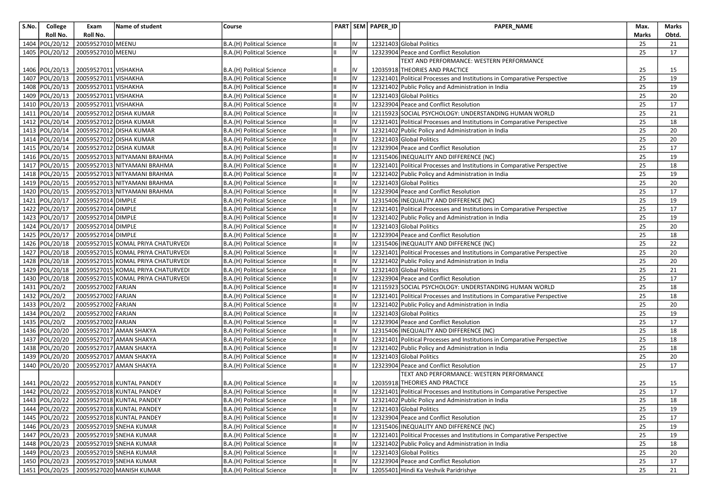| S.No. | College          | Exam                 | Name of student                          | Course                                                 |    |          | PART SEM PAPER_ID | PAPER_NAME                                                                          | Max.     | Marks    |
|-------|------------------|----------------------|------------------------------------------|--------------------------------------------------------|----|----------|-------------------|-------------------------------------------------------------------------------------|----------|----------|
|       | Roll No.         | Roll No.             |                                          |                                                        |    |          |                   |                                                                                     | Marks    | Obtd.    |
| 1404  | POL/20/12        | 20059527010 MEENU    |                                          | B.A.(H) Political Science                              |    | IV       |                   | 12321403 Global Politics                                                            | 25       | 21       |
|       | 1405 POL/20/12   | 20059527010 MEENU    |                                          | B.A.(H) Political Science                              |    | IV       |                   | 12323904 Peace and Conflict Resolution                                              | 25       | 17       |
|       |                  |                      |                                          |                                                        |    |          |                   | TEXT AND PERFORMANCE: WESTERN PERFORMANCE                                           |          |          |
|       | 1406 POL/20/13   | 20059527011 VISHAKHA |                                          | B.A.(H) Political Science                              |    | IV       |                   | 12035918 THEORIES AND PRACTICE                                                      | 25       | 15       |
|       | 1407 POL/20/13   | 20059527011 VISHAKHA |                                          | B.A.(H) Political Science                              |    | IV       |                   | 12321401 Political Processes and Institutions in Comparative Perspective            | 25       | 19       |
|       | 1408 POL/20/13   | 20059527011 VISHAKHA |                                          | B.A.(H) Political Science                              |    | IV       |                   | 12321402 Public Policy and Administration in India                                  | 25       | 19       |
|       | 1409 POL/20/13   | 20059527011 VISHAKHA |                                          | B.A.(H) Political Science                              |    | IV       |                   | 12321403 Global Politics                                                            | 25       | 20       |
|       | 1410 POL/20/13   | 20059527011 VISHAKHA |                                          | B.A.(H) Political Science                              |    | IV       |                   | 12323904 Peace and Conflict Resolution                                              | 25       | 17       |
|       | 1411   POL/20/14 |                      | 20059527012 DISHA KUMAR                  | B.A.(H) Political Science                              |    | IV       |                   | 12115923 SOCIAL PSYCHOLOGY: UNDERSTANDING HUMAN WORLD                               | 25       | 21       |
|       | 1412 POL/20/14   |                      | 20059527012 DISHA KUMAR                  | B.A.(H) Political Science                              |    | I۷       |                   | 12321401 Political Processes and Institutions in Comparative Perspective            | 25       | 18       |
|       | 1413 POL/20/14   |                      | 20059527012 DISHA KUMAR                  | B.A.(H) Political Science                              |    | IV       |                   | 12321402 Public Policy and Administration in India                                  | 25       | 20       |
|       | 1414 POL/20/14   |                      | 20059527012 DISHA KUMAR                  | B.A.(H) Political Science                              |    | IV       |                   | 12321403 Global Politics                                                            | 25       | 20       |
|       | 1415 POL/20/14   |                      | 20059527012 DISHA KUMAR                  | B.A.(H) Political Science                              |    | IV       |                   | 12323904 Peace and Conflict Resolution                                              | 25       | 17       |
|       | 1416 POL/20/15   |                      | 20059527013 NITYAMANI BRAHMA             | B.A.(H) Political Science                              |    | IV       |                   | 12315406 INEQUALITY AND DIFFERENCE (NC)                                             | 25       | 19       |
|       | 1417 POL/20/15   |                      | 20059527013 NITYAMANI BRAHMA             | B.A.(H) Political Science                              |    | IV       |                   | 12321401 Political Processes and Institutions in Comparative Perspective            | 25       | 18       |
|       | 1418 POL/20/15   |                      | 20059527013 NITYAMANI BRAHMA             | B.A.(H) Political Science                              |    | IV       |                   | 12321402 Public Policy and Administration in India                                  | 25       | 19       |
|       | 1419 POL/20/15   |                      | 20059527013 NITYAMANI BRAHMA             | B.A.(H) Political Science                              |    | IV       |                   | 12321403 Global Politics                                                            | 25       | 20       |
|       | 1420 POL/20/15   |                      | 20059527013 NITYAMANI BRAHMA             | B.A.(H) Political Science                              |    | IV       |                   | 12323904 Peace and Conflict Resolution                                              | 25       | 17       |
|       | 1421 POL/20/17   | 20059527014 DIMPLE   |                                          | B.A.(H) Political Science                              |    | IV       |                   | 12315406 INEQUALITY AND DIFFERENCE (NC)                                             | 25       | 19       |
|       | 1422 POL/20/17   | 20059527014 DIMPLE   |                                          | B.A.(H) Political Science                              |    | IV       |                   | 12321401 Political Processes and Institutions in Comparative Perspective            | 25       | 17       |
|       | 1423 POL/20/17   | 20059527014 DIMPLE   |                                          | B.A.(H) Political Science                              |    | IV       |                   | 12321402 Public Policy and Administration in India                                  | 25       | 19       |
|       | 1424 POL/20/17   | 20059527014 DIMPLE   |                                          | B.A.(H) Political Science                              |    | IV       |                   | 12321403 Global Politics                                                            | 25       | 20       |
|       | 1425 POL/20/17   | 20059527014 DIMPLE   |                                          | B.A.(H) Political Science                              |    | IV       |                   | 12323904 Peace and Conflict Resolution                                              | 25       | 18       |
|       | 1426 POL/20/18   |                      | 20059527015 KOMAL PRIYA CHATURVEDI       | B.A.(H) Political Science                              |    | IV       |                   | 12315406 INEQUALITY AND DIFFERENCE (NC)                                             | 25       | 22       |
|       | 1427 POL/20/18   |                      | 20059527015 KOMAL PRIYA CHATURVEDI       | B.A.(H) Political Science                              |    | IV       |                   | 12321401 Political Processes and Institutions in Comparative Perspective            | 25       | 20       |
|       | 1428 POL/20/18   |                      | 20059527015 KOMAL PRIYA CHATURVEDI       | B.A.(H) Political Science                              |    | IV       |                   | 12321402 Public Policy and Administration in India                                  | 25       | 20       |
|       | 1429 POL/20/18   |                      | 20059527015 KOMAL PRIYA CHATURVEDI       | B.A.(H) Political Science                              |    | IV       |                   | 12321403 Global Politics                                                            | 25       | 21       |
|       | 1430 POL/20/18   |                      | 20059527015 KOMAL PRIYA CHATURVEDI       | B.A.(H) Political Science                              |    | IV       |                   | 12323904 Peace and Conflict Resolution                                              | 25       | 17       |
|       | 1431 POL/20/2    | 20059527002 FARJAN   |                                          | B.A.(H) Political Science                              |    | IV       |                   | 12115923 SOCIAL PSYCHOLOGY: UNDERSTANDING HUMAN WORLD                               | 25       | 18       |
|       | 1432 POL/20/2    | 20059527002 FARJAN   |                                          | B.A.(H) Political Science                              |    | IV       |                   | 12321401 Political Processes and Institutions in Comparative Perspective            | 25       | 18       |
|       | 1433 POL/20/2    | 20059527002 FARJAN   |                                          | B.A.(H) Political Science                              |    | IV       |                   | 12321402 Public Policy and Administration in India                                  | 25       | 20       |
|       | 1434 POL/20/2    | 20059527002 FARJAN   |                                          | B.A.(H) Political Science                              |    | IV       |                   | 12321403 Global Politics                                                            | 25       | 19       |
|       | 1435 POL/20/2    | 20059527002 FARJAN   |                                          | B.A.(H) Political Science                              |    | IV       |                   | 12323904 Peace and Conflict Resolution                                              | 25       | 17       |
|       | 1436 POL/20/20   |                      | 20059527017 AMAN SHAKYA                  | B.A.(H) Political Science                              |    | IV       |                   | 12315406 INEQUALITY AND DIFFERENCE (NC)                                             | 25       | 18       |
|       | 1437 POL/20/20   |                      | 20059527017 AMAN SHAKYA                  | B.A.(H) Political Science                              |    | IV       |                   | 12321401 Political Processes and Institutions in Comparative Perspective            | 25       | 18       |
|       | 1438 POL/20/20   |                      | 20059527017 AMAN SHAKYA                  | B.A.(H) Political Science                              |    | IV<br>IV |                   | 12321402 Public Policy and Administration in India<br>12321403 Global Politics      | 25<br>25 | 18<br>20 |
|       | 1439 POL/20/20   |                      | 20059527017 AMAN SHAKYA                  | B.A.(H) Political Science                              |    | IV       |                   |                                                                                     | 25       | 17       |
|       | 1440 POL/20/20   |                      | 20059527017 AMAN SHAKYA                  | B.A.(H) Political Science                              |    |          |                   | 12323904 Peace and Conflict Resolution<br>TEXT AND PERFORMANCE: WESTERN PERFORMANCE |          |          |
|       | 1441 POL/20/22   |                      | 20059527018 KUNTAL PANDEY                |                                                        |    | IV       |                   | 12035918 THEORIES AND PRACTICE                                                      | 25       | 15       |
|       | 1442 POL/20/22   |                      | 20059527018 KUNTAL PANDEY                | B.A.(H) Political Science<br>B.A.(H) Political Science | IШ | IV       |                   | 12321401 Political Processes and Institutions in Comparative Perspective            | 25       | 17       |
|       |                  |                      | 1443 POL/20/22 20059527018 KUNTAL PANDEY | B.A.(H) Political Science                              |    |          |                   | 12321402 Public Policy and Administration in India                                  | 25       | 18       |
|       | 1444 POL/20/22   |                      | 20059527018 KUNTAL PANDEY                |                                                        |    | IV       |                   | 12321403 Global Politics                                                            | 25       | 19       |
|       | 1445 POL/20/22   |                      | 20059527018 KUNTAL PANDEY                | B.A.(H) Political Science<br>B.A.(H) Political Science |    | IV       |                   | 12323904 Peace and Conflict Resolution                                              | 25       | 17       |
|       | 1446 POL/20/23   |                      | 20059527019 SNEHA KUMAR                  | B.A.(H) Political Science                              |    | IV       |                   | 12315406 INEQUALITY AND DIFFERENCE (NC)                                             | 25       | 19       |
|       | 1447 POL/20/23   |                      | 20059527019 SNEHA KUMAR                  | B.A.(H) Political Science                              |    | IV       |                   | 12321401 Political Processes and Institutions in Comparative Perspective            | 25       | 19       |
|       | 1448 POL/20/23   |                      | 20059527019 SNEHA KUMAR                  | B.A.(H) Political Science                              |    | IV       |                   | 12321402 Public Policy and Administration in India                                  | 25       | 18       |
|       | 1449 POL/20/23   |                      | 20059527019 SNEHA KUMAR                  | B.A.(H) Political Science                              |    | IV       |                   | 12321403 Global Politics                                                            | 25       | 20       |
|       | 1450 POL/20/23   |                      | 20059527019 SNEHA KUMAR                  | B.A.(H) Political Science                              |    | IV       |                   | 12323904 Peace and Conflict Resolution                                              | 25       | 17       |
|       | 1451 POL/20/25   |                      | 20059527020 MANISH KUMAR                 | B.A.(H) Political Science                              | Iш | IV       |                   | 12055401 Hindi Ka Veshvik Paridrishye                                               | 25       | 21       |
|       |                  |                      |                                          |                                                        |    |          |                   |                                                                                     |          |          |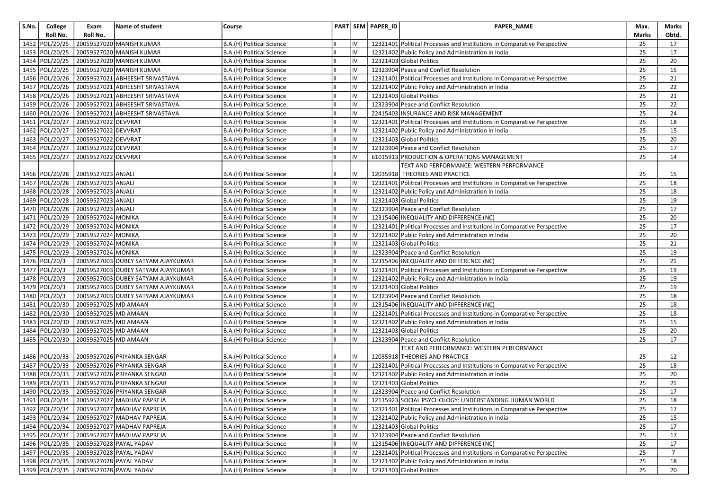| Roll No.<br>Roll No.<br>Marks<br>Obtd.<br>1452 POL/20/25<br>20059527020 MANISH KUMAR<br>IV<br>12321401 Political Processes and Institutions in Comparative Perspective<br>25<br>B.A.(H) Political Science<br>17<br>IV<br>1453 POL/20/25<br>20059527020 MANISH KUMAR<br>25<br>12321402 Public Policy and Administration in India<br>17<br>B.A.(H) Political Science<br>Ш<br>1454 POL/20/25<br>20059527020 MANISH KUMAR<br>IV<br>12321403 Global Politics<br>25<br>B.A.(H) Political Science<br>20<br>IV<br>1455 POL/20/25<br>20059527020 MANISH KUMAR<br>12323904 Peace and Conflict Resolution<br>25<br>B.A.(H) Political Science<br>15<br>IШ<br>Iv<br>1456 POL/20/26<br>20059527021 ABHEESHT SRIVASTAVA<br>12321401 Political Processes and Institutions in Comparative Perspective<br>25<br>21<br>B.A.(H) Political Science<br>IШ<br>1457 POL/20/26<br>IV<br>25<br>20059527021<br>ABHEESHT SRIVASTAVA<br>12321402 Public Policy and Administration in India<br>22<br>B.A.(H) Political Science<br>Ш<br>1458 POL/20/26<br>20059527021 ABHEESHT SRIVASTAVA<br>IV<br>12321403 Global Politics<br>25<br>21<br>B.A.(H) Political Science<br>Iн<br>1459 POL/20/26<br>20059527021 ABHEESHT SRIVASTAVA<br>IV<br>12323904 Peace and Conflict Resolution<br>25<br>22<br>B.A.(H) Political Science<br>1460 POL/20/26<br>20059527021<br>IV<br>25<br><b>ABHEESHT SRIVASTAVA</b><br>22415403 INSURANCE AND RISK MANAGEMENT<br>24<br>B.A.(H) Political Science<br>IШ<br>1461 POL/20/27<br>20059527022 DEVVRAT<br>25<br>IV<br>12321401 Political Processes and Institutions in Comparative Perspective<br>18<br>B.A.(H) Political Science<br>1462 POL/20/27<br>20059527022 DEVVRAT<br>IV<br>25<br>15<br>12321402 Public Policy and Administration in India<br>B.A.(H) Political Science<br>1463 POL/20/27<br>20059527022 DEVVRAT<br>IV<br>12321403 Global Politics<br>25<br>B.A.(H) Political Science<br>20<br>Ш<br>1464 POL/20/27<br>20059527022 DEVVRAT<br>Iv<br>12323904 Peace and Conflict Resolution<br>25<br>17<br>B.A.(H) Political Science<br>IШ<br>1465 POL/20/27<br>20059527022 DEVVRAT<br>Iv<br>25<br>B.A.(H) Political Science<br>lπ<br>61015913 PRODUCTION & OPERATIONS MANAGEMENT<br>14<br>TEXT AND PERFORMANCE: WESTERN PERFORMANCE<br>1466 POL/20/28<br>20059527023 ANJALI<br>IV<br>12035918 THEORIES AND PRACTICE<br>B.A.(H) Political Science<br>25<br>15<br>1467 POL/20/28<br>20059527023 ANJALI<br>IV<br>25<br>12321401 Political Processes and Institutions in Comparative Perspective<br>18<br>B.A.(H) Political Science<br>1468 POL/20/28<br>20059527023 ANJALI<br>Iv<br>25<br>12321402 Public Policy and Administration in India<br>18<br>B.A.(H) Political Science<br>IШ<br>20059527023 ANJALI<br>1469 POL/20/28<br>IV<br>12321403 Global Politics<br>25<br>19<br>B.A.(H) Political Science<br>1470 POL/20/28<br>20059527023 ANJALI<br>Iv<br>12323904 Peace and Conflict Resolution<br>25<br>17<br>B.A.(H) Political Science<br>IШ<br>25<br>1471 POL/20/29<br>20059527024 MONIKA<br>IV<br>20<br>B.A.(H) Political Science<br>12315406 INEQUALITY AND DIFFERENCE (NC)<br>1472 POL/20/29<br>20059527024 MONIKA<br>Iv<br>25<br>12321401 Political Processes and Institutions in Comparative Perspective<br>17<br>B.A.(H) Political Science<br>Ш<br>IV<br>1473 POL/20/29<br>20059527024 MONIKA<br>25<br>20<br>lπ<br>12321402 Public Policy and Administration in India<br>B.A.(H) Political Science<br>1474 POL/20/29<br>20059527024 MONIKA<br>IV<br>25<br>12321403 Global Politics<br>21<br>B.A.(H) Political Science<br>Ш<br>1475 POL/20/29<br>20059527024 MONIKA<br>Iv<br>25<br>12323904 Peace and Conflict Resolution<br>19<br>B.A.(H) Political Science<br>1476 POL/20/3<br>20059527003 DUBEY SATYAM AJAYKUMAR<br>IV<br>12315406 INEQUALITY AND DIFFERENCE (NC)<br>25<br>21<br>B.A.(H) Political Science<br>1477 POL/20/3<br>IV<br>25<br>20059527003 DUBEY SATYAM AJAYKUMAR<br>Iп<br>12321401 Political Processes and Institutions in Comparative Perspective<br>19<br>B.A.(H) Political Science<br>1478 POL/20/3<br>25<br>20059527003 DUBEY SATYAM AJAYKUMAR<br>IV<br>19<br>12321402 Public Policy and Administration in India<br>B.A.(H) Political Science<br>IV<br>1479 POL/20/3<br>12321403 Global Politics<br>25<br>19<br>20059527003 DUBEY SATYAM AJAYKUMAR<br>B.A.(H) Political Science<br>Ш<br>1480 POL/20/3<br>20059527003 DUBEY SATYAM AJAYKUMAR<br>Iv<br>12323904 Peace and Conflict Resolution<br>25<br>18<br>B.A.(H) Political Science<br>Ш<br>IV<br>25<br>1481   POL/20/30<br>20059527025 MD AMAAN<br>12315406 INEQUALITY AND DIFFERENCE (NC)<br>18<br>B.A.(H) Political Science<br>IШ<br>1482 POL/20/30<br>Iv<br>25<br>20059527025 MD AMAAN<br>12321401 Political Processes and Institutions in Comparative Perspective<br>18<br>B.A.(H) Political Science<br>IШ<br>20059527025 MD AMAAN<br>IV<br>25<br>1483 POL/20/30<br>12321402 Public Policy and Administration in India<br>15<br>B.A.(H) Political Science<br>1484 POL/20/30<br>20059527025 MD AMAAN<br>IV<br>12321403 Global Politics<br>25<br>Iн<br>20<br>B.A.(H) Political Science<br>1485 POL/20/30<br>20059527025 MD AMAAN<br>IV<br>25<br>12323904 Peace and Conflict Resolution<br>17<br>B.A.(H) Political Science<br>TEXT AND PERFORMANCE: WESTERN PERFORMANCE<br>1486 POL/20/33<br>12035918 THEORIES AND PRACTICE<br>20059527026 PRIYANKA SENGAR<br>IV<br>25<br>12<br>B.A.(H) Political Science<br>1487 POL/20/33<br>Iv<br>25<br>20059527026 PRIYANKA SENGAR<br>12321401 Political Processes and Institutions in Comparative Perspective<br>18<br>B.A.(H) Political Science<br>IШ<br>IV<br>1488 POL/20/33<br>20059527026 PRIYANKA SENGAR<br>12321402 Public Policy and Administration in India<br>25<br>20<br>B.A.(H) Political Science<br>IШ<br>1489 POL/20/33<br>IV<br>12321403 Global Politics<br>20059527026 PRIYANKA SENGAR<br>25<br>21<br>B.A.(H) Political Science<br>IV<br>1490 POL/20/33<br>Iш<br>12323904 Peace and Conflict Resolution<br>25<br>17<br>20059527026 PRIYANKA SENGAR<br>B.A.(H) Political Science<br>1491 POL/20/34 20059527027 MADHAV PAPREJA<br>IV<br>12115923 SOCIAL PSYCHOLOGY: UNDERSTANDING HUMAN WORLD<br>25<br>B.A.(H) Political Science<br>18<br>Ш<br>Iш<br>IV<br>1492   POL/20/34   20059527027   MADHAV PAPREJA<br>12321401 Political Processes and Institutions in Comparative Perspective<br>25<br>17<br>B.A.(H) Political Science<br>1493 POL/20/34 20059527027 MADHAV PAPREJA<br>B.A.(H) Political Science<br>IV<br>12321402 Public Policy and Administration in India<br>25<br>15<br>1494 POL/20/34<br>IV<br>20059527027 MADHAV PAPREJA<br>12321403 Global Politics<br>B.A.(H) Political Science<br>25<br>Ш<br>17<br>12323904 Peace and Conflict Resolution<br>1495 POL/20/34 20059527027 MADHAV PAPREJA<br>B.A.(H) Political Science<br>IV<br>25<br>17<br>lıv<br>1496 POL/20/35 20059527028 PAYAL YADAV<br>12315406 INEQUALITY AND DIFFERENCE (NC)<br>25<br>B.A.(H) Political Science<br>lπ<br>17<br>1497 POL/20/35 20059527028 PAYAL YADAV<br>IV<br>B.A.(H) Political Science<br>Iш<br>12321401 Political Processes and Institutions in Comparative Perspective<br>25<br>$\overline{7}$<br>IV<br>1498 POL/20/35<br>20059527028 PAYAL YADAV<br>B.A.(H) Political Science<br>12321402 Public Policy and Administration in India<br>25<br>IШ<br>18<br>1499 POL/20/35<br>20059527028 PAYAL YADAV<br>IV<br>12321403 Global Politics | S.No. | College | Exam | Name of student | Course                    |  | PART SEM PAPER_ID | PAPER_NAME | Max. | Marks |
|------------------------------------------------------------------------------------------------------------------------------------------------------------------------------------------------------------------------------------------------------------------------------------------------------------------------------------------------------------------------------------------------------------------------------------------------------------------------------------------------------------------------------------------------------------------------------------------------------------------------------------------------------------------------------------------------------------------------------------------------------------------------------------------------------------------------------------------------------------------------------------------------------------------------------------------------------------------------------------------------------------------------------------------------------------------------------------------------------------------------------------------------------------------------------------------------------------------------------------------------------------------------------------------------------------------------------------------------------------------------------------------------------------------------------------------------------------------------------------------------------------------------------------------------------------------------------------------------------------------------------------------------------------------------------------------------------------------------------------------------------------------------------------------------------------------------------------------------------------------------------------------------------------------------------------------------------------------------------------------------------------------------------------------------------------------------------------------------------------------------------------------------------------------------------------------------------------------------------------------------------------------------------------------------------------------------------------------------------------------------------------------------------------------------------------------------------------------------------------------------------------------------------------------------------------------------------------------------------------------------------------------------------------------------------------------------------------------------------------------------------------------------------------------------------------------------------------------------------------------------------------------------------------------------------------------------------------------------------------------------------------------------------------------------------------------------------------------------------------------------------------------------------------------------------------------------------------------------------------------------------------------------------------------------------------------------------------------------------------------------------------------------------------------------------------------------------------------------------------------------------------------------------------------------------------------------------------------------------------------------------------------------------------------------------------------------------------------------------------------------------------------------------------------------------------------------------------------------------------------------------------------------------------------------------------------------------------------------------------------------------------------------------------------------------------------------------------------------------------------------------------------------------------------------------------------------------------------------------------------------------------------------------------------------------------------------------------------------------------------------------------------------------------------------------------------------------------------------------------------------------------------------------------------------------------------------------------------------------------------------------------------------------------------------------------------------------------------------------------------------------------------------------------------------------------------------------------------------------------------------------------------------------------------------------------------------------------------------------------------------------------------------------------------------------------------------------------------------------------------------------------------------------------------------------------------------------------------------------------------------------------------------------------------------------------------------------------------------------------------------------------------------------------------------------------------------------------------------------------------------------------------------------------------------------------------------------------------------------------------------------------------------------------------------------------------------------------------------------------------------------------------------------------------------------------------------------------------------------------------------------------------------------------------------------------------------------------------------------------------------------------------------------------------------------------------------------------------------------------------------------------------------------------------------------------------------------------------------------------------------------------------------------------------------------------------------------------------------------------------------------------------------------------------------------------------------------------------------------------------------------------------------------------------------------------------------------------------------------------------------------------------------------------------------------------------------------------------------------------------------------------------------------------------------------------------------------------------------------------------------------------------------------------------------------------------------------------------------------------------------------------------------------------------------------------------------------------------------------------------------------------------------------------------------------------------------------------------------------------------------------------------------------------------------------------------------------------------------------------------|-------|---------|------|-----------------|---------------------------|--|-------------------|------------|------|-------|
|                                                                                                                                                                                                                                                                                                                                                                                                                                                                                                                                                                                                                                                                                                                                                                                                                                                                                                                                                                                                                                                                                                                                                                                                                                                                                                                                                                                                                                                                                                                                                                                                                                                                                                                                                                                                                                                                                                                                                                                                                                                                                                                                                                                                                                                                                                                                                                                                                                                                                                                                                                                                                                                                                                                                                                                                                                                                                                                                                                                                                                                                                                                                                                                                                                                                                                                                                                                                                                                                                                                                                                                                                                                                                                                                                                                                                                                                                                                                                                                                                                                                                                                                                                                                                                                                                                                                                                                                                                                                                                                                                                                                                                                                                                                                                                                                                                                                                                                                                                                                                                                                                                                                                                                                                                                                                                                                                                                                                                                                                                                                                                                                                                                                                                                                                                                                                                                                                                                                                                                                                                                                                                                                                                                                                                                                                                                                                                                                                                                                                                                                                                                                                                                                                                                                                                                                                                                                                                                                                                                                                                                                                                                                                                                                                                                                                                                                                                  |       |         |      |                 |                           |  |                   |            |      |       |
|                                                                                                                                                                                                                                                                                                                                                                                                                                                                                                                                                                                                                                                                                                                                                                                                                                                                                                                                                                                                                                                                                                                                                                                                                                                                                                                                                                                                                                                                                                                                                                                                                                                                                                                                                                                                                                                                                                                                                                                                                                                                                                                                                                                                                                                                                                                                                                                                                                                                                                                                                                                                                                                                                                                                                                                                                                                                                                                                                                                                                                                                                                                                                                                                                                                                                                                                                                                                                                                                                                                                                                                                                                                                                                                                                                                                                                                                                                                                                                                                                                                                                                                                                                                                                                                                                                                                                                                                                                                                                                                                                                                                                                                                                                                                                                                                                                                                                                                                                                                                                                                                                                                                                                                                                                                                                                                                                                                                                                                                                                                                                                                                                                                                                                                                                                                                                                                                                                                                                                                                                                                                                                                                                                                                                                                                                                                                                                                                                                                                                                                                                                                                                                                                                                                                                                                                                                                                                                                                                                                                                                                                                                                                                                                                                                                                                                                                                                  |       |         |      |                 |                           |  |                   |            |      |       |
|                                                                                                                                                                                                                                                                                                                                                                                                                                                                                                                                                                                                                                                                                                                                                                                                                                                                                                                                                                                                                                                                                                                                                                                                                                                                                                                                                                                                                                                                                                                                                                                                                                                                                                                                                                                                                                                                                                                                                                                                                                                                                                                                                                                                                                                                                                                                                                                                                                                                                                                                                                                                                                                                                                                                                                                                                                                                                                                                                                                                                                                                                                                                                                                                                                                                                                                                                                                                                                                                                                                                                                                                                                                                                                                                                                                                                                                                                                                                                                                                                                                                                                                                                                                                                                                                                                                                                                                                                                                                                                                                                                                                                                                                                                                                                                                                                                                                                                                                                                                                                                                                                                                                                                                                                                                                                                                                                                                                                                                                                                                                                                                                                                                                                                                                                                                                                                                                                                                                                                                                                                                                                                                                                                                                                                                                                                                                                                                                                                                                                                                                                                                                                                                                                                                                                                                                                                                                                                                                                                                                                                                                                                                                                                                                                                                                                                                                                                  |       |         |      |                 |                           |  |                   |            |      |       |
|                                                                                                                                                                                                                                                                                                                                                                                                                                                                                                                                                                                                                                                                                                                                                                                                                                                                                                                                                                                                                                                                                                                                                                                                                                                                                                                                                                                                                                                                                                                                                                                                                                                                                                                                                                                                                                                                                                                                                                                                                                                                                                                                                                                                                                                                                                                                                                                                                                                                                                                                                                                                                                                                                                                                                                                                                                                                                                                                                                                                                                                                                                                                                                                                                                                                                                                                                                                                                                                                                                                                                                                                                                                                                                                                                                                                                                                                                                                                                                                                                                                                                                                                                                                                                                                                                                                                                                                                                                                                                                                                                                                                                                                                                                                                                                                                                                                                                                                                                                                                                                                                                                                                                                                                                                                                                                                                                                                                                                                                                                                                                                                                                                                                                                                                                                                                                                                                                                                                                                                                                                                                                                                                                                                                                                                                                                                                                                                                                                                                                                                                                                                                                                                                                                                                                                                                                                                                                                                                                                                                                                                                                                                                                                                                                                                                                                                                                                  |       |         |      |                 |                           |  |                   |            |      |       |
|                                                                                                                                                                                                                                                                                                                                                                                                                                                                                                                                                                                                                                                                                                                                                                                                                                                                                                                                                                                                                                                                                                                                                                                                                                                                                                                                                                                                                                                                                                                                                                                                                                                                                                                                                                                                                                                                                                                                                                                                                                                                                                                                                                                                                                                                                                                                                                                                                                                                                                                                                                                                                                                                                                                                                                                                                                                                                                                                                                                                                                                                                                                                                                                                                                                                                                                                                                                                                                                                                                                                                                                                                                                                                                                                                                                                                                                                                                                                                                                                                                                                                                                                                                                                                                                                                                                                                                                                                                                                                                                                                                                                                                                                                                                                                                                                                                                                                                                                                                                                                                                                                                                                                                                                                                                                                                                                                                                                                                                                                                                                                                                                                                                                                                                                                                                                                                                                                                                                                                                                                                                                                                                                                                                                                                                                                                                                                                                                                                                                                                                                                                                                                                                                                                                                                                                                                                                                                                                                                                                                                                                                                                                                                                                                                                                                                                                                                                  |       |         |      |                 |                           |  |                   |            |      |       |
|                                                                                                                                                                                                                                                                                                                                                                                                                                                                                                                                                                                                                                                                                                                                                                                                                                                                                                                                                                                                                                                                                                                                                                                                                                                                                                                                                                                                                                                                                                                                                                                                                                                                                                                                                                                                                                                                                                                                                                                                                                                                                                                                                                                                                                                                                                                                                                                                                                                                                                                                                                                                                                                                                                                                                                                                                                                                                                                                                                                                                                                                                                                                                                                                                                                                                                                                                                                                                                                                                                                                                                                                                                                                                                                                                                                                                                                                                                                                                                                                                                                                                                                                                                                                                                                                                                                                                                                                                                                                                                                                                                                                                                                                                                                                                                                                                                                                                                                                                                                                                                                                                                                                                                                                                                                                                                                                                                                                                                                                                                                                                                                                                                                                                                                                                                                                                                                                                                                                                                                                                                                                                                                                                                                                                                                                                                                                                                                                                                                                                                                                                                                                                                                                                                                                                                                                                                                                                                                                                                                                                                                                                                                                                                                                                                                                                                                                                                  |       |         |      |                 |                           |  |                   |            |      |       |
|                                                                                                                                                                                                                                                                                                                                                                                                                                                                                                                                                                                                                                                                                                                                                                                                                                                                                                                                                                                                                                                                                                                                                                                                                                                                                                                                                                                                                                                                                                                                                                                                                                                                                                                                                                                                                                                                                                                                                                                                                                                                                                                                                                                                                                                                                                                                                                                                                                                                                                                                                                                                                                                                                                                                                                                                                                                                                                                                                                                                                                                                                                                                                                                                                                                                                                                                                                                                                                                                                                                                                                                                                                                                                                                                                                                                                                                                                                                                                                                                                                                                                                                                                                                                                                                                                                                                                                                                                                                                                                                                                                                                                                                                                                                                                                                                                                                                                                                                                                                                                                                                                                                                                                                                                                                                                                                                                                                                                                                                                                                                                                                                                                                                                                                                                                                                                                                                                                                                                                                                                                                                                                                                                                                                                                                                                                                                                                                                                                                                                                                                                                                                                                                                                                                                                                                                                                                                                                                                                                                                                                                                                                                                                                                                                                                                                                                                                                  |       |         |      |                 |                           |  |                   |            |      |       |
|                                                                                                                                                                                                                                                                                                                                                                                                                                                                                                                                                                                                                                                                                                                                                                                                                                                                                                                                                                                                                                                                                                                                                                                                                                                                                                                                                                                                                                                                                                                                                                                                                                                                                                                                                                                                                                                                                                                                                                                                                                                                                                                                                                                                                                                                                                                                                                                                                                                                                                                                                                                                                                                                                                                                                                                                                                                                                                                                                                                                                                                                                                                                                                                                                                                                                                                                                                                                                                                                                                                                                                                                                                                                                                                                                                                                                                                                                                                                                                                                                                                                                                                                                                                                                                                                                                                                                                                                                                                                                                                                                                                                                                                                                                                                                                                                                                                                                                                                                                                                                                                                                                                                                                                                                                                                                                                                                                                                                                                                                                                                                                                                                                                                                                                                                                                                                                                                                                                                                                                                                                                                                                                                                                                                                                                                                                                                                                                                                                                                                                                                                                                                                                                                                                                                                                                                                                                                                                                                                                                                                                                                                                                                                                                                                                                                                                                                                                  |       |         |      |                 |                           |  |                   |            |      |       |
|                                                                                                                                                                                                                                                                                                                                                                                                                                                                                                                                                                                                                                                                                                                                                                                                                                                                                                                                                                                                                                                                                                                                                                                                                                                                                                                                                                                                                                                                                                                                                                                                                                                                                                                                                                                                                                                                                                                                                                                                                                                                                                                                                                                                                                                                                                                                                                                                                                                                                                                                                                                                                                                                                                                                                                                                                                                                                                                                                                                                                                                                                                                                                                                                                                                                                                                                                                                                                                                                                                                                                                                                                                                                                                                                                                                                                                                                                                                                                                                                                                                                                                                                                                                                                                                                                                                                                                                                                                                                                                                                                                                                                                                                                                                                                                                                                                                                                                                                                                                                                                                                                                                                                                                                                                                                                                                                                                                                                                                                                                                                                                                                                                                                                                                                                                                                                                                                                                                                                                                                                                                                                                                                                                                                                                                                                                                                                                                                                                                                                                                                                                                                                                                                                                                                                                                                                                                                                                                                                                                                                                                                                                                                                                                                                                                                                                                                                                  |       |         |      |                 |                           |  |                   |            |      |       |
|                                                                                                                                                                                                                                                                                                                                                                                                                                                                                                                                                                                                                                                                                                                                                                                                                                                                                                                                                                                                                                                                                                                                                                                                                                                                                                                                                                                                                                                                                                                                                                                                                                                                                                                                                                                                                                                                                                                                                                                                                                                                                                                                                                                                                                                                                                                                                                                                                                                                                                                                                                                                                                                                                                                                                                                                                                                                                                                                                                                                                                                                                                                                                                                                                                                                                                                                                                                                                                                                                                                                                                                                                                                                                                                                                                                                                                                                                                                                                                                                                                                                                                                                                                                                                                                                                                                                                                                                                                                                                                                                                                                                                                                                                                                                                                                                                                                                                                                                                                                                                                                                                                                                                                                                                                                                                                                                                                                                                                                                                                                                                                                                                                                                                                                                                                                                                                                                                                                                                                                                                                                                                                                                                                                                                                                                                                                                                                                                                                                                                                                                                                                                                                                                                                                                                                                                                                                                                                                                                                                                                                                                                                                                                                                                                                                                                                                                                                  |       |         |      |                 |                           |  |                   |            |      |       |
|                                                                                                                                                                                                                                                                                                                                                                                                                                                                                                                                                                                                                                                                                                                                                                                                                                                                                                                                                                                                                                                                                                                                                                                                                                                                                                                                                                                                                                                                                                                                                                                                                                                                                                                                                                                                                                                                                                                                                                                                                                                                                                                                                                                                                                                                                                                                                                                                                                                                                                                                                                                                                                                                                                                                                                                                                                                                                                                                                                                                                                                                                                                                                                                                                                                                                                                                                                                                                                                                                                                                                                                                                                                                                                                                                                                                                                                                                                                                                                                                                                                                                                                                                                                                                                                                                                                                                                                                                                                                                                                                                                                                                                                                                                                                                                                                                                                                                                                                                                                                                                                                                                                                                                                                                                                                                                                                                                                                                                                                                                                                                                                                                                                                                                                                                                                                                                                                                                                                                                                                                                                                                                                                                                                                                                                                                                                                                                                                                                                                                                                                                                                                                                                                                                                                                                                                                                                                                                                                                                                                                                                                                                                                                                                                                                                                                                                                                                  |       |         |      |                 |                           |  |                   |            |      |       |
|                                                                                                                                                                                                                                                                                                                                                                                                                                                                                                                                                                                                                                                                                                                                                                                                                                                                                                                                                                                                                                                                                                                                                                                                                                                                                                                                                                                                                                                                                                                                                                                                                                                                                                                                                                                                                                                                                                                                                                                                                                                                                                                                                                                                                                                                                                                                                                                                                                                                                                                                                                                                                                                                                                                                                                                                                                                                                                                                                                                                                                                                                                                                                                                                                                                                                                                                                                                                                                                                                                                                                                                                                                                                                                                                                                                                                                                                                                                                                                                                                                                                                                                                                                                                                                                                                                                                                                                                                                                                                                                                                                                                                                                                                                                                                                                                                                                                                                                                                                                                                                                                                                                                                                                                                                                                                                                                                                                                                                                                                                                                                                                                                                                                                                                                                                                                                                                                                                                                                                                                                                                                                                                                                                                                                                                                                                                                                                                                                                                                                                                                                                                                                                                                                                                                                                                                                                                                                                                                                                                                                                                                                                                                                                                                                                                                                                                                                                  |       |         |      |                 |                           |  |                   |            |      |       |
|                                                                                                                                                                                                                                                                                                                                                                                                                                                                                                                                                                                                                                                                                                                                                                                                                                                                                                                                                                                                                                                                                                                                                                                                                                                                                                                                                                                                                                                                                                                                                                                                                                                                                                                                                                                                                                                                                                                                                                                                                                                                                                                                                                                                                                                                                                                                                                                                                                                                                                                                                                                                                                                                                                                                                                                                                                                                                                                                                                                                                                                                                                                                                                                                                                                                                                                                                                                                                                                                                                                                                                                                                                                                                                                                                                                                                                                                                                                                                                                                                                                                                                                                                                                                                                                                                                                                                                                                                                                                                                                                                                                                                                                                                                                                                                                                                                                                                                                                                                                                                                                                                                                                                                                                                                                                                                                                                                                                                                                                                                                                                                                                                                                                                                                                                                                                                                                                                                                                                                                                                                                                                                                                                                                                                                                                                                                                                                                                                                                                                                                                                                                                                                                                                                                                                                                                                                                                                                                                                                                                                                                                                                                                                                                                                                                                                                                                                                  |       |         |      |                 |                           |  |                   |            |      |       |
|                                                                                                                                                                                                                                                                                                                                                                                                                                                                                                                                                                                                                                                                                                                                                                                                                                                                                                                                                                                                                                                                                                                                                                                                                                                                                                                                                                                                                                                                                                                                                                                                                                                                                                                                                                                                                                                                                                                                                                                                                                                                                                                                                                                                                                                                                                                                                                                                                                                                                                                                                                                                                                                                                                                                                                                                                                                                                                                                                                                                                                                                                                                                                                                                                                                                                                                                                                                                                                                                                                                                                                                                                                                                                                                                                                                                                                                                                                                                                                                                                                                                                                                                                                                                                                                                                                                                                                                                                                                                                                                                                                                                                                                                                                                                                                                                                                                                                                                                                                                                                                                                                                                                                                                                                                                                                                                                                                                                                                                                                                                                                                                                                                                                                                                                                                                                                                                                                                                                                                                                                                                                                                                                                                                                                                                                                                                                                                                                                                                                                                                                                                                                                                                                                                                                                                                                                                                                                                                                                                                                                                                                                                                                                                                                                                                                                                                                                                  |       |         |      |                 |                           |  |                   |            |      |       |
|                                                                                                                                                                                                                                                                                                                                                                                                                                                                                                                                                                                                                                                                                                                                                                                                                                                                                                                                                                                                                                                                                                                                                                                                                                                                                                                                                                                                                                                                                                                                                                                                                                                                                                                                                                                                                                                                                                                                                                                                                                                                                                                                                                                                                                                                                                                                                                                                                                                                                                                                                                                                                                                                                                                                                                                                                                                                                                                                                                                                                                                                                                                                                                                                                                                                                                                                                                                                                                                                                                                                                                                                                                                                                                                                                                                                                                                                                                                                                                                                                                                                                                                                                                                                                                                                                                                                                                                                                                                                                                                                                                                                                                                                                                                                                                                                                                                                                                                                                                                                                                                                                                                                                                                                                                                                                                                                                                                                                                                                                                                                                                                                                                                                                                                                                                                                                                                                                                                                                                                                                                                                                                                                                                                                                                                                                                                                                                                                                                                                                                                                                                                                                                                                                                                                                                                                                                                                                                                                                                                                                                                                                                                                                                                                                                                                                                                                                                  |       |         |      |                 |                           |  |                   |            |      |       |
|                                                                                                                                                                                                                                                                                                                                                                                                                                                                                                                                                                                                                                                                                                                                                                                                                                                                                                                                                                                                                                                                                                                                                                                                                                                                                                                                                                                                                                                                                                                                                                                                                                                                                                                                                                                                                                                                                                                                                                                                                                                                                                                                                                                                                                                                                                                                                                                                                                                                                                                                                                                                                                                                                                                                                                                                                                                                                                                                                                                                                                                                                                                                                                                                                                                                                                                                                                                                                                                                                                                                                                                                                                                                                                                                                                                                                                                                                                                                                                                                                                                                                                                                                                                                                                                                                                                                                                                                                                                                                                                                                                                                                                                                                                                                                                                                                                                                                                                                                                                                                                                                                                                                                                                                                                                                                                                                                                                                                                                                                                                                                                                                                                                                                                                                                                                                                                                                                                                                                                                                                                                                                                                                                                                                                                                                                                                                                                                                                                                                                                                                                                                                                                                                                                                                                                                                                                                                                                                                                                                                                                                                                                                                                                                                                                                                                                                                                                  |       |         |      |                 |                           |  |                   |            |      |       |
|                                                                                                                                                                                                                                                                                                                                                                                                                                                                                                                                                                                                                                                                                                                                                                                                                                                                                                                                                                                                                                                                                                                                                                                                                                                                                                                                                                                                                                                                                                                                                                                                                                                                                                                                                                                                                                                                                                                                                                                                                                                                                                                                                                                                                                                                                                                                                                                                                                                                                                                                                                                                                                                                                                                                                                                                                                                                                                                                                                                                                                                                                                                                                                                                                                                                                                                                                                                                                                                                                                                                                                                                                                                                                                                                                                                                                                                                                                                                                                                                                                                                                                                                                                                                                                                                                                                                                                                                                                                                                                                                                                                                                                                                                                                                                                                                                                                                                                                                                                                                                                                                                                                                                                                                                                                                                                                                                                                                                                                                                                                                                                                                                                                                                                                                                                                                                                                                                                                                                                                                                                                                                                                                                                                                                                                                                                                                                                                                                                                                                                                                                                                                                                                                                                                                                                                                                                                                                                                                                                                                                                                                                                                                                                                                                                                                                                                                                                  |       |         |      |                 |                           |  |                   |            |      |       |
|                                                                                                                                                                                                                                                                                                                                                                                                                                                                                                                                                                                                                                                                                                                                                                                                                                                                                                                                                                                                                                                                                                                                                                                                                                                                                                                                                                                                                                                                                                                                                                                                                                                                                                                                                                                                                                                                                                                                                                                                                                                                                                                                                                                                                                                                                                                                                                                                                                                                                                                                                                                                                                                                                                                                                                                                                                                                                                                                                                                                                                                                                                                                                                                                                                                                                                                                                                                                                                                                                                                                                                                                                                                                                                                                                                                                                                                                                                                                                                                                                                                                                                                                                                                                                                                                                                                                                                                                                                                                                                                                                                                                                                                                                                                                                                                                                                                                                                                                                                                                                                                                                                                                                                                                                                                                                                                                                                                                                                                                                                                                                                                                                                                                                                                                                                                                                                                                                                                                                                                                                                                                                                                                                                                                                                                                                                                                                                                                                                                                                                                                                                                                                                                                                                                                                                                                                                                                                                                                                                                                                                                                                                                                                                                                                                                                                                                                                                  |       |         |      |                 |                           |  |                   |            |      |       |
|                                                                                                                                                                                                                                                                                                                                                                                                                                                                                                                                                                                                                                                                                                                                                                                                                                                                                                                                                                                                                                                                                                                                                                                                                                                                                                                                                                                                                                                                                                                                                                                                                                                                                                                                                                                                                                                                                                                                                                                                                                                                                                                                                                                                                                                                                                                                                                                                                                                                                                                                                                                                                                                                                                                                                                                                                                                                                                                                                                                                                                                                                                                                                                                                                                                                                                                                                                                                                                                                                                                                                                                                                                                                                                                                                                                                                                                                                                                                                                                                                                                                                                                                                                                                                                                                                                                                                                                                                                                                                                                                                                                                                                                                                                                                                                                                                                                                                                                                                                                                                                                                                                                                                                                                                                                                                                                                                                                                                                                                                                                                                                                                                                                                                                                                                                                                                                                                                                                                                                                                                                                                                                                                                                                                                                                                                                                                                                                                                                                                                                                                                                                                                                                                                                                                                                                                                                                                                                                                                                                                                                                                                                                                                                                                                                                                                                                                                                  |       |         |      |                 |                           |  |                   |            |      |       |
|                                                                                                                                                                                                                                                                                                                                                                                                                                                                                                                                                                                                                                                                                                                                                                                                                                                                                                                                                                                                                                                                                                                                                                                                                                                                                                                                                                                                                                                                                                                                                                                                                                                                                                                                                                                                                                                                                                                                                                                                                                                                                                                                                                                                                                                                                                                                                                                                                                                                                                                                                                                                                                                                                                                                                                                                                                                                                                                                                                                                                                                                                                                                                                                                                                                                                                                                                                                                                                                                                                                                                                                                                                                                                                                                                                                                                                                                                                                                                                                                                                                                                                                                                                                                                                                                                                                                                                                                                                                                                                                                                                                                                                                                                                                                                                                                                                                                                                                                                                                                                                                                                                                                                                                                                                                                                                                                                                                                                                                                                                                                                                                                                                                                                                                                                                                                                                                                                                                                                                                                                                                                                                                                                                                                                                                                                                                                                                                                                                                                                                                                                                                                                                                                                                                                                                                                                                                                                                                                                                                                                                                                                                                                                                                                                                                                                                                                                                  |       |         |      |                 |                           |  |                   |            |      |       |
|                                                                                                                                                                                                                                                                                                                                                                                                                                                                                                                                                                                                                                                                                                                                                                                                                                                                                                                                                                                                                                                                                                                                                                                                                                                                                                                                                                                                                                                                                                                                                                                                                                                                                                                                                                                                                                                                                                                                                                                                                                                                                                                                                                                                                                                                                                                                                                                                                                                                                                                                                                                                                                                                                                                                                                                                                                                                                                                                                                                                                                                                                                                                                                                                                                                                                                                                                                                                                                                                                                                                                                                                                                                                                                                                                                                                                                                                                                                                                                                                                                                                                                                                                                                                                                                                                                                                                                                                                                                                                                                                                                                                                                                                                                                                                                                                                                                                                                                                                                                                                                                                                                                                                                                                                                                                                                                                                                                                                                                                                                                                                                                                                                                                                                                                                                                                                                                                                                                                                                                                                                                                                                                                                                                                                                                                                                                                                                                                                                                                                                                                                                                                                                                                                                                                                                                                                                                                                                                                                                                                                                                                                                                                                                                                                                                                                                                                                                  |       |         |      |                 |                           |  |                   |            |      |       |
|                                                                                                                                                                                                                                                                                                                                                                                                                                                                                                                                                                                                                                                                                                                                                                                                                                                                                                                                                                                                                                                                                                                                                                                                                                                                                                                                                                                                                                                                                                                                                                                                                                                                                                                                                                                                                                                                                                                                                                                                                                                                                                                                                                                                                                                                                                                                                                                                                                                                                                                                                                                                                                                                                                                                                                                                                                                                                                                                                                                                                                                                                                                                                                                                                                                                                                                                                                                                                                                                                                                                                                                                                                                                                                                                                                                                                                                                                                                                                                                                                                                                                                                                                                                                                                                                                                                                                                                                                                                                                                                                                                                                                                                                                                                                                                                                                                                                                                                                                                                                                                                                                                                                                                                                                                                                                                                                                                                                                                                                                                                                                                                                                                                                                                                                                                                                                                                                                                                                                                                                                                                                                                                                                                                                                                                                                                                                                                                                                                                                                                                                                                                                                                                                                                                                                                                                                                                                                                                                                                                                                                                                                                                                                                                                                                                                                                                                                                  |       |         |      |                 |                           |  |                   |            |      |       |
|                                                                                                                                                                                                                                                                                                                                                                                                                                                                                                                                                                                                                                                                                                                                                                                                                                                                                                                                                                                                                                                                                                                                                                                                                                                                                                                                                                                                                                                                                                                                                                                                                                                                                                                                                                                                                                                                                                                                                                                                                                                                                                                                                                                                                                                                                                                                                                                                                                                                                                                                                                                                                                                                                                                                                                                                                                                                                                                                                                                                                                                                                                                                                                                                                                                                                                                                                                                                                                                                                                                                                                                                                                                                                                                                                                                                                                                                                                                                                                                                                                                                                                                                                                                                                                                                                                                                                                                                                                                                                                                                                                                                                                                                                                                                                                                                                                                                                                                                                                                                                                                                                                                                                                                                                                                                                                                                                                                                                                                                                                                                                                                                                                                                                                                                                                                                                                                                                                                                                                                                                                                                                                                                                                                                                                                                                                                                                                                                                                                                                                                                                                                                                                                                                                                                                                                                                                                                                                                                                                                                                                                                                                                                                                                                                                                                                                                                                                  |       |         |      |                 |                           |  |                   |            |      |       |
|                                                                                                                                                                                                                                                                                                                                                                                                                                                                                                                                                                                                                                                                                                                                                                                                                                                                                                                                                                                                                                                                                                                                                                                                                                                                                                                                                                                                                                                                                                                                                                                                                                                                                                                                                                                                                                                                                                                                                                                                                                                                                                                                                                                                                                                                                                                                                                                                                                                                                                                                                                                                                                                                                                                                                                                                                                                                                                                                                                                                                                                                                                                                                                                                                                                                                                                                                                                                                                                                                                                                                                                                                                                                                                                                                                                                                                                                                                                                                                                                                                                                                                                                                                                                                                                                                                                                                                                                                                                                                                                                                                                                                                                                                                                                                                                                                                                                                                                                                                                                                                                                                                                                                                                                                                                                                                                                                                                                                                                                                                                                                                                                                                                                                                                                                                                                                                                                                                                                                                                                                                                                                                                                                                                                                                                                                                                                                                                                                                                                                                                                                                                                                                                                                                                                                                                                                                                                                                                                                                                                                                                                                                                                                                                                                                                                                                                                                                  |       |         |      |                 |                           |  |                   |            |      |       |
|                                                                                                                                                                                                                                                                                                                                                                                                                                                                                                                                                                                                                                                                                                                                                                                                                                                                                                                                                                                                                                                                                                                                                                                                                                                                                                                                                                                                                                                                                                                                                                                                                                                                                                                                                                                                                                                                                                                                                                                                                                                                                                                                                                                                                                                                                                                                                                                                                                                                                                                                                                                                                                                                                                                                                                                                                                                                                                                                                                                                                                                                                                                                                                                                                                                                                                                                                                                                                                                                                                                                                                                                                                                                                                                                                                                                                                                                                                                                                                                                                                                                                                                                                                                                                                                                                                                                                                                                                                                                                                                                                                                                                                                                                                                                                                                                                                                                                                                                                                                                                                                                                                                                                                                                                                                                                                                                                                                                                                                                                                                                                                                                                                                                                                                                                                                                                                                                                                                                                                                                                                                                                                                                                                                                                                                                                                                                                                                                                                                                                                                                                                                                                                                                                                                                                                                                                                                                                                                                                                                                                                                                                                                                                                                                                                                                                                                                                                  |       |         |      |                 |                           |  |                   |            |      |       |
|                                                                                                                                                                                                                                                                                                                                                                                                                                                                                                                                                                                                                                                                                                                                                                                                                                                                                                                                                                                                                                                                                                                                                                                                                                                                                                                                                                                                                                                                                                                                                                                                                                                                                                                                                                                                                                                                                                                                                                                                                                                                                                                                                                                                                                                                                                                                                                                                                                                                                                                                                                                                                                                                                                                                                                                                                                                                                                                                                                                                                                                                                                                                                                                                                                                                                                                                                                                                                                                                                                                                                                                                                                                                                                                                                                                                                                                                                                                                                                                                                                                                                                                                                                                                                                                                                                                                                                                                                                                                                                                                                                                                                                                                                                                                                                                                                                                                                                                                                                                                                                                                                                                                                                                                                                                                                                                                                                                                                                                                                                                                                                                                                                                                                                                                                                                                                                                                                                                                                                                                                                                                                                                                                                                                                                                                                                                                                                                                                                                                                                                                                                                                                                                                                                                                                                                                                                                                                                                                                                                                                                                                                                                                                                                                                                                                                                                                                                  |       |         |      |                 |                           |  |                   |            |      |       |
|                                                                                                                                                                                                                                                                                                                                                                                                                                                                                                                                                                                                                                                                                                                                                                                                                                                                                                                                                                                                                                                                                                                                                                                                                                                                                                                                                                                                                                                                                                                                                                                                                                                                                                                                                                                                                                                                                                                                                                                                                                                                                                                                                                                                                                                                                                                                                                                                                                                                                                                                                                                                                                                                                                                                                                                                                                                                                                                                                                                                                                                                                                                                                                                                                                                                                                                                                                                                                                                                                                                                                                                                                                                                                                                                                                                                                                                                                                                                                                                                                                                                                                                                                                                                                                                                                                                                                                                                                                                                                                                                                                                                                                                                                                                                                                                                                                                                                                                                                                                                                                                                                                                                                                                                                                                                                                                                                                                                                                                                                                                                                                                                                                                                                                                                                                                                                                                                                                                                                                                                                                                                                                                                                                                                                                                                                                                                                                                                                                                                                                                                                                                                                                                                                                                                                                                                                                                                                                                                                                                                                                                                                                                                                                                                                                                                                                                                                                  |       |         |      |                 |                           |  |                   |            |      |       |
|                                                                                                                                                                                                                                                                                                                                                                                                                                                                                                                                                                                                                                                                                                                                                                                                                                                                                                                                                                                                                                                                                                                                                                                                                                                                                                                                                                                                                                                                                                                                                                                                                                                                                                                                                                                                                                                                                                                                                                                                                                                                                                                                                                                                                                                                                                                                                                                                                                                                                                                                                                                                                                                                                                                                                                                                                                                                                                                                                                                                                                                                                                                                                                                                                                                                                                                                                                                                                                                                                                                                                                                                                                                                                                                                                                                                                                                                                                                                                                                                                                                                                                                                                                                                                                                                                                                                                                                                                                                                                                                                                                                                                                                                                                                                                                                                                                                                                                                                                                                                                                                                                                                                                                                                                                                                                                                                                                                                                                                                                                                                                                                                                                                                                                                                                                                                                                                                                                                                                                                                                                                                                                                                                                                                                                                                                                                                                                                                                                                                                                                                                                                                                                                                                                                                                                                                                                                                                                                                                                                                                                                                                                                                                                                                                                                                                                                                                                  |       |         |      |                 |                           |  |                   |            |      |       |
|                                                                                                                                                                                                                                                                                                                                                                                                                                                                                                                                                                                                                                                                                                                                                                                                                                                                                                                                                                                                                                                                                                                                                                                                                                                                                                                                                                                                                                                                                                                                                                                                                                                                                                                                                                                                                                                                                                                                                                                                                                                                                                                                                                                                                                                                                                                                                                                                                                                                                                                                                                                                                                                                                                                                                                                                                                                                                                                                                                                                                                                                                                                                                                                                                                                                                                                                                                                                                                                                                                                                                                                                                                                                                                                                                                                                                                                                                                                                                                                                                                                                                                                                                                                                                                                                                                                                                                                                                                                                                                                                                                                                                                                                                                                                                                                                                                                                                                                                                                                                                                                                                                                                                                                                                                                                                                                                                                                                                                                                                                                                                                                                                                                                                                                                                                                                                                                                                                                                                                                                                                                                                                                                                                                                                                                                                                                                                                                                                                                                                                                                                                                                                                                                                                                                                                                                                                                                                                                                                                                                                                                                                                                                                                                                                                                                                                                                                                  |       |         |      |                 |                           |  |                   |            |      |       |
|                                                                                                                                                                                                                                                                                                                                                                                                                                                                                                                                                                                                                                                                                                                                                                                                                                                                                                                                                                                                                                                                                                                                                                                                                                                                                                                                                                                                                                                                                                                                                                                                                                                                                                                                                                                                                                                                                                                                                                                                                                                                                                                                                                                                                                                                                                                                                                                                                                                                                                                                                                                                                                                                                                                                                                                                                                                                                                                                                                                                                                                                                                                                                                                                                                                                                                                                                                                                                                                                                                                                                                                                                                                                                                                                                                                                                                                                                                                                                                                                                                                                                                                                                                                                                                                                                                                                                                                                                                                                                                                                                                                                                                                                                                                                                                                                                                                                                                                                                                                                                                                                                                                                                                                                                                                                                                                                                                                                                                                                                                                                                                                                                                                                                                                                                                                                                                                                                                                                                                                                                                                                                                                                                                                                                                                                                                                                                                                                                                                                                                                                                                                                                                                                                                                                                                                                                                                                                                                                                                                                                                                                                                                                                                                                                                                                                                                                                                  |       |         |      |                 |                           |  |                   |            |      |       |
|                                                                                                                                                                                                                                                                                                                                                                                                                                                                                                                                                                                                                                                                                                                                                                                                                                                                                                                                                                                                                                                                                                                                                                                                                                                                                                                                                                                                                                                                                                                                                                                                                                                                                                                                                                                                                                                                                                                                                                                                                                                                                                                                                                                                                                                                                                                                                                                                                                                                                                                                                                                                                                                                                                                                                                                                                                                                                                                                                                                                                                                                                                                                                                                                                                                                                                                                                                                                                                                                                                                                                                                                                                                                                                                                                                                                                                                                                                                                                                                                                                                                                                                                                                                                                                                                                                                                                                                                                                                                                                                                                                                                                                                                                                                                                                                                                                                                                                                                                                                                                                                                                                                                                                                                                                                                                                                                                                                                                                                                                                                                                                                                                                                                                                                                                                                                                                                                                                                                                                                                                                                                                                                                                                                                                                                                                                                                                                                                                                                                                                                                                                                                                                                                                                                                                                                                                                                                                                                                                                                                                                                                                                                                                                                                                                                                                                                                                                  |       |         |      |                 |                           |  |                   |            |      |       |
|                                                                                                                                                                                                                                                                                                                                                                                                                                                                                                                                                                                                                                                                                                                                                                                                                                                                                                                                                                                                                                                                                                                                                                                                                                                                                                                                                                                                                                                                                                                                                                                                                                                                                                                                                                                                                                                                                                                                                                                                                                                                                                                                                                                                                                                                                                                                                                                                                                                                                                                                                                                                                                                                                                                                                                                                                                                                                                                                                                                                                                                                                                                                                                                                                                                                                                                                                                                                                                                                                                                                                                                                                                                                                                                                                                                                                                                                                                                                                                                                                                                                                                                                                                                                                                                                                                                                                                                                                                                                                                                                                                                                                                                                                                                                                                                                                                                                                                                                                                                                                                                                                                                                                                                                                                                                                                                                                                                                                                                                                                                                                                                                                                                                                                                                                                                                                                                                                                                                                                                                                                                                                                                                                                                                                                                                                                                                                                                                                                                                                                                                                                                                                                                                                                                                                                                                                                                                                                                                                                                                                                                                                                                                                                                                                                                                                                                                                                  |       |         |      |                 |                           |  |                   |            |      |       |
|                                                                                                                                                                                                                                                                                                                                                                                                                                                                                                                                                                                                                                                                                                                                                                                                                                                                                                                                                                                                                                                                                                                                                                                                                                                                                                                                                                                                                                                                                                                                                                                                                                                                                                                                                                                                                                                                                                                                                                                                                                                                                                                                                                                                                                                                                                                                                                                                                                                                                                                                                                                                                                                                                                                                                                                                                                                                                                                                                                                                                                                                                                                                                                                                                                                                                                                                                                                                                                                                                                                                                                                                                                                                                                                                                                                                                                                                                                                                                                                                                                                                                                                                                                                                                                                                                                                                                                                                                                                                                                                                                                                                                                                                                                                                                                                                                                                                                                                                                                                                                                                                                                                                                                                                                                                                                                                                                                                                                                                                                                                                                                                                                                                                                                                                                                                                                                                                                                                                                                                                                                                                                                                                                                                                                                                                                                                                                                                                                                                                                                                                                                                                                                                                                                                                                                                                                                                                                                                                                                                                                                                                                                                                                                                                                                                                                                                                                                  |       |         |      |                 |                           |  |                   |            |      |       |
|                                                                                                                                                                                                                                                                                                                                                                                                                                                                                                                                                                                                                                                                                                                                                                                                                                                                                                                                                                                                                                                                                                                                                                                                                                                                                                                                                                                                                                                                                                                                                                                                                                                                                                                                                                                                                                                                                                                                                                                                                                                                                                                                                                                                                                                                                                                                                                                                                                                                                                                                                                                                                                                                                                                                                                                                                                                                                                                                                                                                                                                                                                                                                                                                                                                                                                                                                                                                                                                                                                                                                                                                                                                                                                                                                                                                                                                                                                                                                                                                                                                                                                                                                                                                                                                                                                                                                                                                                                                                                                                                                                                                                                                                                                                                                                                                                                                                                                                                                                                                                                                                                                                                                                                                                                                                                                                                                                                                                                                                                                                                                                                                                                                                                                                                                                                                                                                                                                                                                                                                                                                                                                                                                                                                                                                                                                                                                                                                                                                                                                                                                                                                                                                                                                                                                                                                                                                                                                                                                                                                                                                                                                                                                                                                                                                                                                                                                                  |       |         |      |                 |                           |  |                   |            |      |       |
|                                                                                                                                                                                                                                                                                                                                                                                                                                                                                                                                                                                                                                                                                                                                                                                                                                                                                                                                                                                                                                                                                                                                                                                                                                                                                                                                                                                                                                                                                                                                                                                                                                                                                                                                                                                                                                                                                                                                                                                                                                                                                                                                                                                                                                                                                                                                                                                                                                                                                                                                                                                                                                                                                                                                                                                                                                                                                                                                                                                                                                                                                                                                                                                                                                                                                                                                                                                                                                                                                                                                                                                                                                                                                                                                                                                                                                                                                                                                                                                                                                                                                                                                                                                                                                                                                                                                                                                                                                                                                                                                                                                                                                                                                                                                                                                                                                                                                                                                                                                                                                                                                                                                                                                                                                                                                                                                                                                                                                                                                                                                                                                                                                                                                                                                                                                                                                                                                                                                                                                                                                                                                                                                                                                                                                                                                                                                                                                                                                                                                                                                                                                                                                                                                                                                                                                                                                                                                                                                                                                                                                                                                                                                                                                                                                                                                                                                                                  |       |         |      |                 |                           |  |                   |            |      |       |
|                                                                                                                                                                                                                                                                                                                                                                                                                                                                                                                                                                                                                                                                                                                                                                                                                                                                                                                                                                                                                                                                                                                                                                                                                                                                                                                                                                                                                                                                                                                                                                                                                                                                                                                                                                                                                                                                                                                                                                                                                                                                                                                                                                                                                                                                                                                                                                                                                                                                                                                                                                                                                                                                                                                                                                                                                                                                                                                                                                                                                                                                                                                                                                                                                                                                                                                                                                                                                                                                                                                                                                                                                                                                                                                                                                                                                                                                                                                                                                                                                                                                                                                                                                                                                                                                                                                                                                                                                                                                                                                                                                                                                                                                                                                                                                                                                                                                                                                                                                                                                                                                                                                                                                                                                                                                                                                                                                                                                                                                                                                                                                                                                                                                                                                                                                                                                                                                                                                                                                                                                                                                                                                                                                                                                                                                                                                                                                                                                                                                                                                                                                                                                                                                                                                                                                                                                                                                                                                                                                                                                                                                                                                                                                                                                                                                                                                                                                  |       |         |      |                 |                           |  |                   |            |      |       |
|                                                                                                                                                                                                                                                                                                                                                                                                                                                                                                                                                                                                                                                                                                                                                                                                                                                                                                                                                                                                                                                                                                                                                                                                                                                                                                                                                                                                                                                                                                                                                                                                                                                                                                                                                                                                                                                                                                                                                                                                                                                                                                                                                                                                                                                                                                                                                                                                                                                                                                                                                                                                                                                                                                                                                                                                                                                                                                                                                                                                                                                                                                                                                                                                                                                                                                                                                                                                                                                                                                                                                                                                                                                                                                                                                                                                                                                                                                                                                                                                                                                                                                                                                                                                                                                                                                                                                                                                                                                                                                                                                                                                                                                                                                                                                                                                                                                                                                                                                                                                                                                                                                                                                                                                                                                                                                                                                                                                                                                                                                                                                                                                                                                                                                                                                                                                                                                                                                                                                                                                                                                                                                                                                                                                                                                                                                                                                                                                                                                                                                                                                                                                                                                                                                                                                                                                                                                                                                                                                                                                                                                                                                                                                                                                                                                                                                                                                                  |       |         |      |                 |                           |  |                   |            |      |       |
|                                                                                                                                                                                                                                                                                                                                                                                                                                                                                                                                                                                                                                                                                                                                                                                                                                                                                                                                                                                                                                                                                                                                                                                                                                                                                                                                                                                                                                                                                                                                                                                                                                                                                                                                                                                                                                                                                                                                                                                                                                                                                                                                                                                                                                                                                                                                                                                                                                                                                                                                                                                                                                                                                                                                                                                                                                                                                                                                                                                                                                                                                                                                                                                                                                                                                                                                                                                                                                                                                                                                                                                                                                                                                                                                                                                                                                                                                                                                                                                                                                                                                                                                                                                                                                                                                                                                                                                                                                                                                                                                                                                                                                                                                                                                                                                                                                                                                                                                                                                                                                                                                                                                                                                                                                                                                                                                                                                                                                                                                                                                                                                                                                                                                                                                                                                                                                                                                                                                                                                                                                                                                                                                                                                                                                                                                                                                                                                                                                                                                                                                                                                                                                                                                                                                                                                                                                                                                                                                                                                                                                                                                                                                                                                                                                                                                                                                                                  |       |         |      |                 |                           |  |                   |            |      |       |
|                                                                                                                                                                                                                                                                                                                                                                                                                                                                                                                                                                                                                                                                                                                                                                                                                                                                                                                                                                                                                                                                                                                                                                                                                                                                                                                                                                                                                                                                                                                                                                                                                                                                                                                                                                                                                                                                                                                                                                                                                                                                                                                                                                                                                                                                                                                                                                                                                                                                                                                                                                                                                                                                                                                                                                                                                                                                                                                                                                                                                                                                                                                                                                                                                                                                                                                                                                                                                                                                                                                                                                                                                                                                                                                                                                                                                                                                                                                                                                                                                                                                                                                                                                                                                                                                                                                                                                                                                                                                                                                                                                                                                                                                                                                                                                                                                                                                                                                                                                                                                                                                                                                                                                                                                                                                                                                                                                                                                                                                                                                                                                                                                                                                                                                                                                                                                                                                                                                                                                                                                                                                                                                                                                                                                                                                                                                                                                                                                                                                                                                                                                                                                                                                                                                                                                                                                                                                                                                                                                                                                                                                                                                                                                                                                                                                                                                                                                  |       |         |      |                 |                           |  |                   |            |      |       |
|                                                                                                                                                                                                                                                                                                                                                                                                                                                                                                                                                                                                                                                                                                                                                                                                                                                                                                                                                                                                                                                                                                                                                                                                                                                                                                                                                                                                                                                                                                                                                                                                                                                                                                                                                                                                                                                                                                                                                                                                                                                                                                                                                                                                                                                                                                                                                                                                                                                                                                                                                                                                                                                                                                                                                                                                                                                                                                                                                                                                                                                                                                                                                                                                                                                                                                                                                                                                                                                                                                                                                                                                                                                                                                                                                                                                                                                                                                                                                                                                                                                                                                                                                                                                                                                                                                                                                                                                                                                                                                                                                                                                                                                                                                                                                                                                                                                                                                                                                                                                                                                                                                                                                                                                                                                                                                                                                                                                                                                                                                                                                                                                                                                                                                                                                                                                                                                                                                                                                                                                                                                                                                                                                                                                                                                                                                                                                                                                                                                                                                                                                                                                                                                                                                                                                                                                                                                                                                                                                                                                                                                                                                                                                                                                                                                                                                                                                                  |       |         |      |                 |                           |  |                   |            |      |       |
|                                                                                                                                                                                                                                                                                                                                                                                                                                                                                                                                                                                                                                                                                                                                                                                                                                                                                                                                                                                                                                                                                                                                                                                                                                                                                                                                                                                                                                                                                                                                                                                                                                                                                                                                                                                                                                                                                                                                                                                                                                                                                                                                                                                                                                                                                                                                                                                                                                                                                                                                                                                                                                                                                                                                                                                                                                                                                                                                                                                                                                                                                                                                                                                                                                                                                                                                                                                                                                                                                                                                                                                                                                                                                                                                                                                                                                                                                                                                                                                                                                                                                                                                                                                                                                                                                                                                                                                                                                                                                                                                                                                                                                                                                                                                                                                                                                                                                                                                                                                                                                                                                                                                                                                                                                                                                                                                                                                                                                                                                                                                                                                                                                                                                                                                                                                                                                                                                                                                                                                                                                                                                                                                                                                                                                                                                                                                                                                                                                                                                                                                                                                                                                                                                                                                                                                                                                                                                                                                                                                                                                                                                                                                                                                                                                                                                                                                                                  |       |         |      |                 |                           |  |                   |            |      |       |
|                                                                                                                                                                                                                                                                                                                                                                                                                                                                                                                                                                                                                                                                                                                                                                                                                                                                                                                                                                                                                                                                                                                                                                                                                                                                                                                                                                                                                                                                                                                                                                                                                                                                                                                                                                                                                                                                                                                                                                                                                                                                                                                                                                                                                                                                                                                                                                                                                                                                                                                                                                                                                                                                                                                                                                                                                                                                                                                                                                                                                                                                                                                                                                                                                                                                                                                                                                                                                                                                                                                                                                                                                                                                                                                                                                                                                                                                                                                                                                                                                                                                                                                                                                                                                                                                                                                                                                                                                                                                                                                                                                                                                                                                                                                                                                                                                                                                                                                                                                                                                                                                                                                                                                                                                                                                                                                                                                                                                                                                                                                                                                                                                                                                                                                                                                                                                                                                                                                                                                                                                                                                                                                                                                                                                                                                                                                                                                                                                                                                                                                                                                                                                                                                                                                                                                                                                                                                                                                                                                                                                                                                                                                                                                                                                                                                                                                                                                  |       |         |      |                 |                           |  |                   |            |      |       |
|                                                                                                                                                                                                                                                                                                                                                                                                                                                                                                                                                                                                                                                                                                                                                                                                                                                                                                                                                                                                                                                                                                                                                                                                                                                                                                                                                                                                                                                                                                                                                                                                                                                                                                                                                                                                                                                                                                                                                                                                                                                                                                                                                                                                                                                                                                                                                                                                                                                                                                                                                                                                                                                                                                                                                                                                                                                                                                                                                                                                                                                                                                                                                                                                                                                                                                                                                                                                                                                                                                                                                                                                                                                                                                                                                                                                                                                                                                                                                                                                                                                                                                                                                                                                                                                                                                                                                                                                                                                                                                                                                                                                                                                                                                                                                                                                                                                                                                                                                                                                                                                                                                                                                                                                                                                                                                                                                                                                                                                                                                                                                                                                                                                                                                                                                                                                                                                                                                                                                                                                                                                                                                                                                                                                                                                                                                                                                                                                                                                                                                                                                                                                                                                                                                                                                                                                                                                                                                                                                                                                                                                                                                                                                                                                                                                                                                                                                                  |       |         |      |                 |                           |  |                   |            |      |       |
|                                                                                                                                                                                                                                                                                                                                                                                                                                                                                                                                                                                                                                                                                                                                                                                                                                                                                                                                                                                                                                                                                                                                                                                                                                                                                                                                                                                                                                                                                                                                                                                                                                                                                                                                                                                                                                                                                                                                                                                                                                                                                                                                                                                                                                                                                                                                                                                                                                                                                                                                                                                                                                                                                                                                                                                                                                                                                                                                                                                                                                                                                                                                                                                                                                                                                                                                                                                                                                                                                                                                                                                                                                                                                                                                                                                                                                                                                                                                                                                                                                                                                                                                                                                                                                                                                                                                                                                                                                                                                                                                                                                                                                                                                                                                                                                                                                                                                                                                                                                                                                                                                                                                                                                                                                                                                                                                                                                                                                                                                                                                                                                                                                                                                                                                                                                                                                                                                                                                                                                                                                                                                                                                                                                                                                                                                                                                                                                                                                                                                                                                                                                                                                                                                                                                                                                                                                                                                                                                                                                                                                                                                                                                                                                                                                                                                                                                                                  |       |         |      |                 |                           |  |                   |            |      |       |
|                                                                                                                                                                                                                                                                                                                                                                                                                                                                                                                                                                                                                                                                                                                                                                                                                                                                                                                                                                                                                                                                                                                                                                                                                                                                                                                                                                                                                                                                                                                                                                                                                                                                                                                                                                                                                                                                                                                                                                                                                                                                                                                                                                                                                                                                                                                                                                                                                                                                                                                                                                                                                                                                                                                                                                                                                                                                                                                                                                                                                                                                                                                                                                                                                                                                                                                                                                                                                                                                                                                                                                                                                                                                                                                                                                                                                                                                                                                                                                                                                                                                                                                                                                                                                                                                                                                                                                                                                                                                                                                                                                                                                                                                                                                                                                                                                                                                                                                                                                                                                                                                                                                                                                                                                                                                                                                                                                                                                                                                                                                                                                                                                                                                                                                                                                                                                                                                                                                                                                                                                                                                                                                                                                                                                                                                                                                                                                                                                                                                                                                                                                                                                                                                                                                                                                                                                                                                                                                                                                                                                                                                                                                                                                                                                                                                                                                                                                  |       |         |      |                 |                           |  |                   |            |      |       |
|                                                                                                                                                                                                                                                                                                                                                                                                                                                                                                                                                                                                                                                                                                                                                                                                                                                                                                                                                                                                                                                                                                                                                                                                                                                                                                                                                                                                                                                                                                                                                                                                                                                                                                                                                                                                                                                                                                                                                                                                                                                                                                                                                                                                                                                                                                                                                                                                                                                                                                                                                                                                                                                                                                                                                                                                                                                                                                                                                                                                                                                                                                                                                                                                                                                                                                                                                                                                                                                                                                                                                                                                                                                                                                                                                                                                                                                                                                                                                                                                                                                                                                                                                                                                                                                                                                                                                                                                                                                                                                                                                                                                                                                                                                                                                                                                                                                                                                                                                                                                                                                                                                                                                                                                                                                                                                                                                                                                                                                                                                                                                                                                                                                                                                                                                                                                                                                                                                                                                                                                                                                                                                                                                                                                                                                                                                                                                                                                                                                                                                                                                                                                                                                                                                                                                                                                                                                                                                                                                                                                                                                                                                                                                                                                                                                                                                                                                                  |       |         |      |                 |                           |  |                   |            |      |       |
|                                                                                                                                                                                                                                                                                                                                                                                                                                                                                                                                                                                                                                                                                                                                                                                                                                                                                                                                                                                                                                                                                                                                                                                                                                                                                                                                                                                                                                                                                                                                                                                                                                                                                                                                                                                                                                                                                                                                                                                                                                                                                                                                                                                                                                                                                                                                                                                                                                                                                                                                                                                                                                                                                                                                                                                                                                                                                                                                                                                                                                                                                                                                                                                                                                                                                                                                                                                                                                                                                                                                                                                                                                                                                                                                                                                                                                                                                                                                                                                                                                                                                                                                                                                                                                                                                                                                                                                                                                                                                                                                                                                                                                                                                                                                                                                                                                                                                                                                                                                                                                                                                                                                                                                                                                                                                                                                                                                                                                                                                                                                                                                                                                                                                                                                                                                                                                                                                                                                                                                                                                                                                                                                                                                                                                                                                                                                                                                                                                                                                                                                                                                                                                                                                                                                                                                                                                                                                                                                                                                                                                                                                                                                                                                                                                                                                                                                                                  |       |         |      |                 |                           |  |                   |            |      |       |
|                                                                                                                                                                                                                                                                                                                                                                                                                                                                                                                                                                                                                                                                                                                                                                                                                                                                                                                                                                                                                                                                                                                                                                                                                                                                                                                                                                                                                                                                                                                                                                                                                                                                                                                                                                                                                                                                                                                                                                                                                                                                                                                                                                                                                                                                                                                                                                                                                                                                                                                                                                                                                                                                                                                                                                                                                                                                                                                                                                                                                                                                                                                                                                                                                                                                                                                                                                                                                                                                                                                                                                                                                                                                                                                                                                                                                                                                                                                                                                                                                                                                                                                                                                                                                                                                                                                                                                                                                                                                                                                                                                                                                                                                                                                                                                                                                                                                                                                                                                                                                                                                                                                                                                                                                                                                                                                                                                                                                                                                                                                                                                                                                                                                                                                                                                                                                                                                                                                                                                                                                                                                                                                                                                                                                                                                                                                                                                                                                                                                                                                                                                                                                                                                                                                                                                                                                                                                                                                                                                                                                                                                                                                                                                                                                                                                                                                                                                  |       |         |      |                 |                           |  |                   |            |      |       |
|                                                                                                                                                                                                                                                                                                                                                                                                                                                                                                                                                                                                                                                                                                                                                                                                                                                                                                                                                                                                                                                                                                                                                                                                                                                                                                                                                                                                                                                                                                                                                                                                                                                                                                                                                                                                                                                                                                                                                                                                                                                                                                                                                                                                                                                                                                                                                                                                                                                                                                                                                                                                                                                                                                                                                                                                                                                                                                                                                                                                                                                                                                                                                                                                                                                                                                                                                                                                                                                                                                                                                                                                                                                                                                                                                                                                                                                                                                                                                                                                                                                                                                                                                                                                                                                                                                                                                                                                                                                                                                                                                                                                                                                                                                                                                                                                                                                                                                                                                                                                                                                                                                                                                                                                                                                                                                                                                                                                                                                                                                                                                                                                                                                                                                                                                                                                                                                                                                                                                                                                                                                                                                                                                                                                                                                                                                                                                                                                                                                                                                                                                                                                                                                                                                                                                                                                                                                                                                                                                                                                                                                                                                                                                                                                                                                                                                                                                                  |       |         |      |                 |                           |  |                   |            |      |       |
|                                                                                                                                                                                                                                                                                                                                                                                                                                                                                                                                                                                                                                                                                                                                                                                                                                                                                                                                                                                                                                                                                                                                                                                                                                                                                                                                                                                                                                                                                                                                                                                                                                                                                                                                                                                                                                                                                                                                                                                                                                                                                                                                                                                                                                                                                                                                                                                                                                                                                                                                                                                                                                                                                                                                                                                                                                                                                                                                                                                                                                                                                                                                                                                                                                                                                                                                                                                                                                                                                                                                                                                                                                                                                                                                                                                                                                                                                                                                                                                                                                                                                                                                                                                                                                                                                                                                                                                                                                                                                                                                                                                                                                                                                                                                                                                                                                                                                                                                                                                                                                                                                                                                                                                                                                                                                                                                                                                                                                                                                                                                                                                                                                                                                                                                                                                                                                                                                                                                                                                                                                                                                                                                                                                                                                                                                                                                                                                                                                                                                                                                                                                                                                                                                                                                                                                                                                                                                                                                                                                                                                                                                                                                                                                                                                                                                                                                                                  |       |         |      |                 | B.A.(H) Political Science |  |                   |            | 25   | 20    |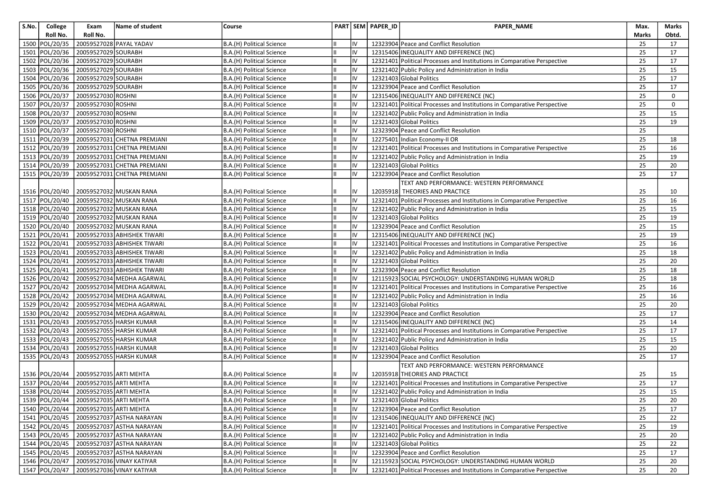| S.No. | College        | Exam                                  | Name of student             | Course                    |    | PART SEM PAPER_ID | <b>PAPER NAME</b>                                                        | Max.  | Marks       |
|-------|----------------|---------------------------------------|-----------------------------|---------------------------|----|-------------------|--------------------------------------------------------------------------|-------|-------------|
|       | Roll No.       | Roll No.                              |                             |                           |    |                   |                                                                          | Marks | Obtd.       |
|       | 1500 POL/20/35 |                                       | 20059527028 PAYAL YADAV     | B.A.(H) Political Science | IV |                   | 12323904 Peace and Conflict Resolution                                   | 25    | 17          |
| 1501  | POL/20/36      | 20059527029 SOURABH                   |                             | B.A.(H) Political Science | IV |                   | 12315406 INEQUALITY AND DIFFERENCE (NC)                                  | 25    | 17          |
|       | 1502 POL/20/36 | 20059527029 SOURABH                   |                             | B.A.(H) Political Science | IV |                   | 12321401 Political Processes and Institutions in Comparative Perspective | 25    | 17          |
|       | 1503 POL/20/36 | 20059527029 SOURABH                   |                             | B.A.(H) Political Science | IV |                   | 12321402 Public Policy and Administration in India                       | 25    | 15          |
|       | 1504 POL/20/36 | 20059527029 SOURABH                   |                             | B.A.(H) Political Science | IV |                   | 12321403 Global Politics                                                 | 25    | 17          |
|       | 1505 POL/20/36 | 20059527029 SOURABH                   |                             | B.A.(H) Political Science | IV |                   | 12323904 Peace and Conflict Resolution                                   | 25    | 17          |
|       | 1506 POL/20/37 | 20059527030 ROSHNI                    |                             | B.A.(H) Political Science | IV |                   | 12315406 INEQUALITY AND DIFFERENCE (NC)                                  | 25    | $\mathbf 0$ |
|       | 1507 POL/20/37 | 20059527030 ROSHNI                    |                             | B.A.(H) Political Science | IV |                   | 12321401 Political Processes and Institutions in Comparative Perspective | 25    | 0           |
|       | 1508 POL/20/37 | 20059527030 ROSHNI                    |                             | B.A.(H) Political Science | IV |                   | 12321402 Public Policy and Administration in India                       | 25    | 15          |
|       | 1509 POL/20/37 | 20059527030 ROSHNI                    |                             | B.A.(H) Political Science | IV |                   | 12321403 Global Politics                                                 | 25    | 19          |
|       | 1510 POL/20/37 | 20059527030 ROSHNI                    |                             | B.A.(H) Political Science | IV |                   | 12323904 Peace and Conflict Resolution                                   | 25    |             |
|       | 1511 POL/20/39 |                                       | 20059527031 CHETNA PREMJANI | B.A.(H) Political Science | IV |                   | 12275401 Indian Economy-II OR                                            | 25    | 18          |
|       | 1512 POL/20/39 |                                       | 20059527031 CHETNA PREMJANI | B.A.(H) Political Science | IV |                   | 12321401 Political Processes and Institutions in Comparative Perspective | 25    | 16          |
|       | 1513 POL/20/39 |                                       | 20059527031 CHETNA PREMJANI | B.A.(H) Political Science | IV |                   | 12321402 Public Policy and Administration in India                       | 25    | 19          |
|       | 1514 POL/20/39 |                                       | 20059527031 CHETNA PREMJANI | B.A.(H) Political Science | IV |                   | 12321403 Global Politics                                                 | 25    | 20          |
|       | 1515 POL/20/39 |                                       | 20059527031 CHETNA PREMJANI | B.A.(H) Political Science | IV |                   | 12323904 Peace and Conflict Resolution                                   | 25    | 17          |
|       |                |                                       |                             |                           |    |                   | TEXT AND PERFORMANCE: WESTERN PERFORMANCE                                |       |             |
|       | 1516 POL/20/40 |                                       | 20059527032 MUSKAN RANA     | B.A.(H) Political Science | ı٧ |                   | 12035918 THEORIES AND PRACTICE                                           | 25    | 10          |
|       | 1517 POL/20/40 |                                       | 20059527032 MUSKAN RANA     | B.A.(H) Political Science | IV |                   | 12321401 Political Processes and Institutions in Comparative Perspective | 25    | 16          |
|       | 1518 POL/20/40 |                                       | 20059527032 MUSKAN RANA     | B.A.(H) Political Science | IV |                   | 12321402 Public Policy and Administration in India                       | 25    | 15          |
|       | 1519 POL/20/40 |                                       | 20059527032 MUSKAN RANA     | B.A.(H) Political Science | IV |                   | 12321403 Global Politics                                                 | 25    | 19          |
|       | 1520 POL/20/40 |                                       | 20059527032 MUSKAN RANA     | B.A.(H) Political Science | IV |                   | 12323904 Peace and Conflict Resolution                                   | 25    | 15          |
|       | 1521 POL/20/41 |                                       | 20059527033 ABHISHEK TIWARI | B.A.(H) Political Science | IV |                   | 12315406 INEQUALITY AND DIFFERENCE (NC)                                  | 25    | 19          |
|       | 1522 POL/20/41 |                                       | 20059527033 ABHISHEK TIWARI | B.A.(H) Political Science | IV |                   | 12321401 Political Processes and Institutions in Comparative Perspective | 25    | 16          |
|       | 1523 POL/20/41 |                                       | 20059527033 ABHISHEK TIWARI | B.A.(H) Political Science | IV |                   | 12321402 Public Policy and Administration in India                       | 25    | 18          |
|       | 1524 POL/20/41 |                                       | 20059527033 ABHISHEK TIWARI | B.A.(H) Political Science | IV |                   | 12321403 Global Politics                                                 | 25    | 20          |
|       | 1525 POL/20/41 |                                       | 20059527033 ABHISHEK TIWARI | B.A.(H) Political Science | IV |                   | 12323904 Peace and Conflict Resolution                                   | 25    | 18          |
|       | 1526 POL/20/42 |                                       | 20059527034 MEDHA AGARWAL   | B.A.(H) Political Science | IV |                   | 12115923 SOCIAL PSYCHOLOGY: UNDERSTANDING HUMAN WORLD                    | 25    | 18          |
|       | 1527 POL/20/42 |                                       | 20059527034 MEDHA AGARWAL   | B.A.(H) Political Science | IV |                   | 12321401 Political Processes and Institutions in Comparative Perspective | 25    | 16          |
|       | 1528 POL/20/42 |                                       | 20059527034 MEDHA AGARWAL   | B.A.(H) Political Science | IV |                   | 12321402 Public Policy and Administration in India                       | 25    | 16          |
|       | 1529 POL/20/42 |                                       | 20059527034 MEDHA AGARWAL   | B.A.(H) Political Science | IV |                   | 12321403 Global Politics                                                 | 25    | 20          |
|       | 1530 POL/20/42 |                                       | 20059527034 MEDHA AGARWAL   | B.A.(H) Political Science | IV |                   | 12323904 Peace and Conflict Resolution                                   | 25    | 17          |
|       | 1531 POL/20/43 |                                       | 20059527055 HARSH KUMAR     | B.A.(H) Political Science | IV |                   | 12315406 INEQUALITY AND DIFFERENCE (NC)                                  | 25    | 14          |
|       | 1532 POL/20/43 |                                       | 20059527055 HARSH KUMAR     | B.A.(H) Political Science | IV |                   | 12321401 Political Processes and Institutions in Comparative Perspective | 25    | 17          |
|       | 1533 POL/20/43 |                                       | 20059527055 HARSH KUMAR     | B.A.(H) Political Science | IV |                   | 12321402 Public Policy and Administration in India                       | 25    | 15          |
|       | 1534 POL/20/43 |                                       | 20059527055 HARSH KUMAR     | B.A.(H) Political Science | IV |                   | 12321403 Global Politics                                                 | 25    | 20          |
|       | 1535 POL/20/43 |                                       | 20059527055 HARSH KUMAR     | B.A.(H) Political Science | IV |                   | 12323904 Peace and Conflict Resolution                                   | 25    | 17          |
|       |                |                                       |                             |                           |    |                   | TEXT AND PERFORMANCE: WESTERN PERFORMANCE                                |       |             |
|       | 1536 POL/20/44 | 20059527035 ARTI MEHTA                |                             | B.A.(H) Political Science | IV |                   | 12035918 THEORIES AND PRACTICE                                           | 25    | 15          |
|       | 1537 POL/20/44 | 20059527035 ARTI MEHTA                |                             | B.A.(H) Political Science | IV |                   | 12321401 Political Processes and Institutions in Comparative Perspective | 25    | 17          |
|       | 1538 POL/20/44 | 20059527035 ARTI MEHTA                |                             | B.A.(H) Political Science | IV |                   | 12321402 Public Policy and Administration in India                       | 25    | 15          |
|       |                | 1539 POL/20/44 20059527035 ARTI MEHTA |                             | B.A.(H) Political Science | IV |                   | 12321403 Global Politics                                                 | 25    | $20\,$      |
|       | 1540 POL/20/44 | 20059527035 ARTI MEHTA                |                             | B.A.(H) Political Science | IV |                   | 12323904 Peace and Conflict Resolution                                   | 25    | 17          |
|       | 1541 POL/20/45 |                                       | 20059527037 ASTHA NARAYAN   | B.A.(H) Political Science | IV |                   | 12315406 INEQUALITY AND DIFFERENCE (NC)                                  | 25    | 22          |
|       | 1542 POL/20/45 |                                       | 20059527037 ASTHA NARAYAN   | B.A.(H) Political Science | IV |                   | 12321401 Political Processes and Institutions in Comparative Perspective | 25    | 19          |
|       | 1543 POL/20/45 |                                       | 20059527037 ASTHA NARAYAN   | B.A.(H) Political Science | IV |                   | 12321402 Public Policy and Administration in India                       | 25    | 20          |
|       | 1544 POL/20/45 |                                       | 20059527037 ASTHA NARAYAN   | B.A.(H) Political Science | IV |                   | 12321403 Global Politics                                                 | 25    | 22          |
|       | 1545 POL/20/45 |                                       | 20059527037 ASTHA NARAYAN   | B.A.(H) Political Science | IV |                   | 12323904 Peace and Conflict Resolution                                   | 25    | 17          |
|       | 1546 POL/20/47 |                                       | 20059527036 VINAY KATIYAR   | B.A.(H) Political Science | IV |                   | 12115923 SOCIAL PSYCHOLOGY: UNDERSTANDING HUMAN WORLD                    | 25    | 20          |
|       | 1547 POL/20/47 |                                       | 20059527036 VINAY KATIYAR   | B.A.(H) Political Science | IV |                   | 12321401 Political Processes and Institutions in Comparative Perspective | 25    | 20          |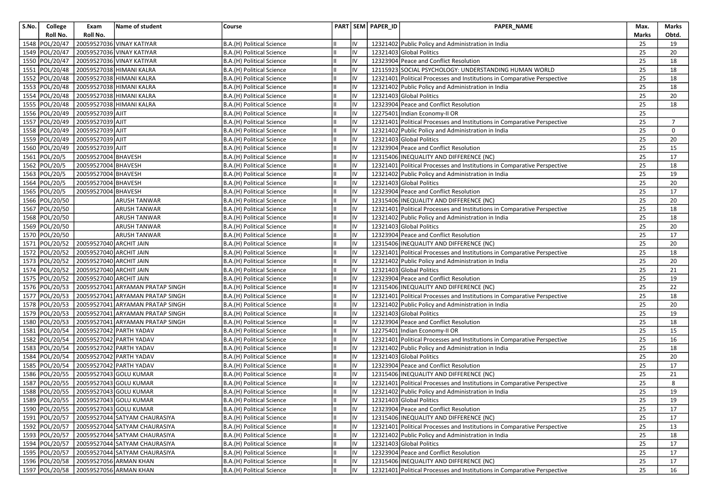| S.No. | College        | Exam                    | Name of student                       | Course                    |    |    | PART SEM PAPER_ID | PAPER_NAME                                                               | Max.  | Marks          |
|-------|----------------|-------------------------|---------------------------------------|---------------------------|----|----|-------------------|--------------------------------------------------------------------------|-------|----------------|
|       | Roll No.       | Roll No.                |                                       |                           |    |    |                   |                                                                          | Marks | Obtd.          |
|       | 1548 POL/20/47 |                         | 20059527036 VINAY KATIYAR             | B.A.(H) Political Science |    | IV |                   | 12321402 Public Policy and Administration in India                       | 25    | 19             |
|       | 1549 POL/20/47 |                         | 20059527036 VINAY KATIYAR             | B.A.(H) Political Science |    | IV |                   | 12321403 Global Politics                                                 | 25    | 20             |
|       | 1550 POL/20/47 |                         | 20059527036 VINAY KATIYAR             | B.A.(H) Political Science |    | IV |                   | 12323904 Peace and Conflict Resolution                                   | 25    | 18             |
|       | 1551 POL/20/48 |                         | 20059527038 HIMANI KALRA              | B.A.(H) Political Science |    | IV |                   | 12115923 SOCIAL PSYCHOLOGY: UNDERSTANDING HUMAN WORLD                    | 25    | 18             |
|       | 1552 POL/20/48 |                         | 20059527038 HIMANI KALRA              | B.A.(H) Political Science |    | IV |                   | 12321401 Political Processes and Institutions in Comparative Perspective | 25    | 18             |
|       | 1553 POL/20/48 |                         | 20059527038 HIMANI KALRA              | B.A.(H) Political Science |    | IV |                   | 12321402 Public Policy and Administration in India                       | 25    | 18             |
|       | 1554 POL/20/48 |                         | 20059527038 HIMANI KALRA              | B.A.(H) Political Science |    | IV |                   | 12321403 Global Politics                                                 | 25    | 20             |
|       | 1555 POL/20/48 |                         | 20059527038 HIMANI KALRA              | B.A.(H) Political Science |    | IV |                   | 12323904 Peace and Conflict Resolution                                   | 25    | 18             |
|       | 1556 POL/20/49 | 20059527039 AJIT        |                                       | B.A.(H) Political Science |    | IV |                   | 12275401 Indian Economy-II OR                                            | 25    |                |
|       | 1557 POL/20/49 | 20059527039 AJIT        |                                       | B.A.(H) Political Science |    | IV |                   | 12321401 Political Processes and Institutions in Comparative Perspective | 25    | $\overline{7}$ |
|       | 1558 POL/20/49 | 20059527039 AJIT        |                                       | B.A.(H) Political Science |    | IV |                   | 12321402 Public Policy and Administration in India                       | 25    | 0              |
|       | 1559 POL/20/49 | 20059527039 AJIT        |                                       | B.A.(H) Political Science |    | IV |                   | 12321403 Global Politics                                                 | 25    | 20             |
|       | 1560 POL/20/49 | 20059527039 AJIT        |                                       | B.A.(H) Political Science |    | IV |                   | 12323904 Peace and Conflict Resolution                                   | 25    | 15             |
|       | 1561 POL/20/5  | 20059527004 BHAVESH     |                                       | B.A.(H) Political Science |    | IV |                   | 12315406 INEQUALITY AND DIFFERENCE (NC)                                  | 25    | 17             |
|       | 1562 POL/20/5  | 20059527004 BHAVESH     |                                       | B.A.(H) Political Science |    | IV |                   | 12321401 Political Processes and Institutions in Comparative Perspective | 25    | 18             |
|       | 1563 POL/20/5  | 20059527004 BHAVESH     |                                       | B.A.(H) Political Science |    | IV |                   | 12321402 Public Policy and Administration in India                       | 25    | 19             |
|       | 1564 POL/20/5  | 20059527004 BHAVESH     |                                       | B.A.(H) Political Science |    | IV |                   | 12321403 Global Politics                                                 | 25    | 20             |
|       | 1565 POL/20/5  | 20059527004 BHAVESH     |                                       | B.A.(H) Political Science |    | IV |                   | 12323904 Peace and Conflict Resolution                                   | 25    | 17             |
|       | 1566 POL/20/50 |                         | <b>ARUSH TANWAR</b>                   | B.A.(H) Political Science |    | IV |                   | 12315406 INEQUALITY AND DIFFERENCE (NC)                                  | 25    | 20             |
|       | 1567 POL/20/50 |                         | <b>ARUSH TANWAR</b>                   | B.A.(H) Political Science |    | IV |                   | 12321401 Political Processes and Institutions in Comparative Perspective | 25    | 18             |
|       | 1568 POL/20/50 |                         | <b>ARUSH TANWAR</b>                   | B.A.(H) Political Science |    | IV |                   | 12321402 Public Policy and Administration in India                       | 25    | 18             |
|       | 1569 POL/20/50 |                         | <b>ARUSH TANWAR</b>                   | B.A.(H) Political Science |    | IV |                   | 12321403 Global Politics                                                 | 25    | 20             |
|       | 1570 POL/20/50 |                         | <b>ARUSH TANWAR</b>                   | B.A.(H) Political Science |    | IV |                   | 12323904 Peace and Conflict Resolution                                   | 25    | 17             |
|       | 1571 POL/20/52 | 20059527040 ARCHIT JAIN |                                       | B.A.(H) Political Science |    | IV |                   | 12315406 INEQUALITY AND DIFFERENCE (NC)                                  | 25    | 20             |
|       | 1572 POL/20/52 | 20059527040 ARCHIT JAIN |                                       | B.A.(H) Political Science |    | IV |                   | 12321401 Political Processes and Institutions in Comparative Perspective | 25    | 18             |
|       | 1573 POL/20/52 | 20059527040 ARCHIT JAIN |                                       | B.A.(H) Political Science |    | IV |                   | 12321402 Public Policy and Administration in India                       | 25    | 20             |
|       | 1574 POL/20/52 | 20059527040 ARCHIT JAIN |                                       | B.A.(H) Political Science | Ш  | IV |                   | 12321403 Global Politics                                                 | 25    | 21             |
|       | 1575 POL/20/52 | 20059527040 ARCHIT JAIN |                                       | B.A.(H) Political Science |    | IV |                   | 12323904 Peace and Conflict Resolution                                   | 25    | 19             |
|       | 1576 POL/20/53 |                         | 20059527041 ARYAMAN PRATAP SINGH      | B.A.(H) Political Science |    | IV |                   | 12315406 INEQUALITY AND DIFFERENCE (NC)                                  | 25    | 22             |
|       | 1577 POL/20/53 |                         | 20059527041 ARYAMAN PRATAP SINGH      | B.A.(H) Political Science |    | IV |                   | 12321401 Political Processes and Institutions in Comparative Perspective | 25    | 18             |
|       | 1578 POL/20/53 |                         | 20059527041 ARYAMAN PRATAP SINGH      | B.A.(H) Political Science |    | IV |                   | 12321402 Public Policy and Administration in India                       | 25    | 20             |
|       | 1579 POL/20/53 |                         | 20059527041 ARYAMAN PRATAP SINGH      | B.A.(H) Political Science |    | IV |                   | 12321403 Global Politics                                                 | 25    | 19             |
|       | 1580 POL/20/53 |                         | 20059527041 ARYAMAN PRATAP SINGH      | B.A.(H) Political Science |    | IV |                   | 12323904 Peace and Conflict Resolution                                   | 25    | 18             |
|       | 1581 POL/20/54 |                         | 20059527042 PARTH YADAV               | B.A.(H) Political Science | Iн | IV |                   | 12275401 Indian Economy-II OR                                            | 25    | 15             |
|       | 1582 POL/20/54 |                         | 20059527042 PARTH YADAV               | B.A.(H) Political Science |    | IV |                   | 12321401 Political Processes and Institutions in Comparative Perspective | 25    | 16             |
| 1583  | POL/20/54      |                         | 20059527042 PARTH YADAV               | B.A.(H) Political Science |    | IV |                   | 12321402 Public Policy and Administration in India                       | 25    | 18             |
|       | 1584 POL/20/54 |                         | 20059527042 PARTH YADAV               | B.A.(H) Political Science |    | IV |                   | 12321403 Global Politics                                                 | 25    | 20             |
|       | 1585 POL/20/54 |                         | 20059527042 PARTH YADAV               | B.A.(H) Political Science |    | IV |                   | 12323904 Peace and Conflict Resolution                                   | 25    | 17             |
|       | 1586 POL/20/55 |                         | 20059527043 GOLU KUMAR                | B.A.(H) Political Science |    | IV |                   | 12315406 INEQUALITY AND DIFFERENCE (NC)                                  | 25    | 21             |
|       | 1587 POL/20/55 |                         | 20059527043 GOLU KUMAR                | B.A.(H) Political Science |    | IV |                   | 12321401 Political Processes and Institutions in Comparative Perspective | 25    | 8              |
|       | 1588 POL/20/55 |                         | 20059527043 GOLU KUMAR                | B.A.(H) Political Science | Ш  | IV |                   | 12321402 Public Policy and Administration in India                       | 25    | 19             |
|       |                |                         | 1589 POL/20/55 20059527043 GOLU KUMAR | B.A.(H) Political Science | Ш  |    |                   | 12321403 Global Politics                                                 | 25    | 19             |
|       |                |                         | 1590 POL/20/55 20059527043 GOLU KUMAR | B.A.(H) Political Science |    | IV |                   | 12323904 Peace and Conflict Resolution                                   | 25    | 17             |
|       | 1591 POL/20/57 |                         | 20059527044 SATYAM CHAURASIYA         | B.A.(H) Political Science |    | IV |                   | 12315406 INEQUALITY AND DIFFERENCE (NC)                                  | 25    | 17             |
|       | 1592 POL/20/57 |                         | 20059527044 SATYAM CHAURASIYA         | B.A.(H) Political Science |    | IV |                   | 12321401 Political Processes and Institutions in Comparative Perspective | 25    | 13             |
|       | 1593 POL/20/57 |                         | 20059527044 SATYAM CHAURASIYA         | B.A.(H) Political Science |    | IV |                   | 12321402 Public Policy and Administration in India                       | 25    | 18             |
|       | 1594 POL/20/57 |                         | 20059527044 SATYAM CHAURASIYA         | B.A.(H) Political Science |    | IV |                   | 12321403 Global Politics                                                 | 25    | 17             |
|       | 1595 POL/20/57 |                         | 20059527044 SATYAM CHAURASIYA         | B.A.(H) Political Science |    | IV |                   | 12323904 Peace and Conflict Resolution                                   | 25    | 17             |
|       | 1596 POL/20/58 |                         | 20059527056 ARMAN KHAN                | B.A.(H) Political Science |    | IV |                   | 12315406 INEQUALITY AND DIFFERENCE (NC)                                  | 25    | 17             |
|       | 1597 POL/20/58 |                         | 20059527056 ARMAN KHAN                | B.A.(H) Political Science |    | IV |                   | 12321401 Political Processes and Institutions in Comparative Perspective | 25    | 16             |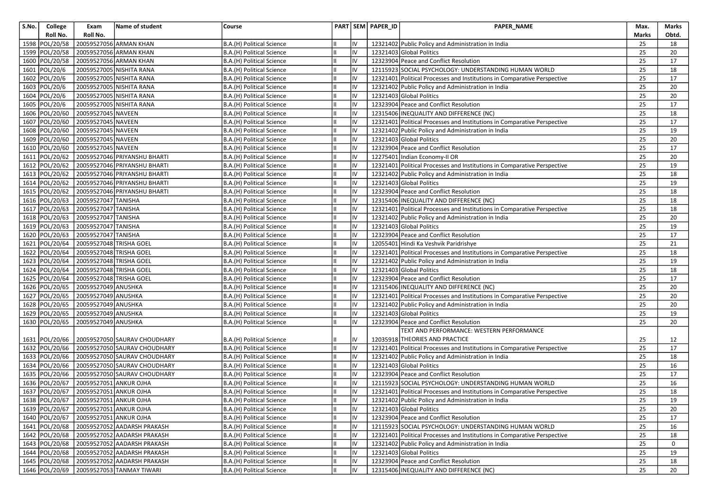| S.No. | College          | Exam                                  | Name of student              | Course                    |    | PART SEM PAPER_ID | PAPER_NAME                                                               | Max.  | Marks       |
|-------|------------------|---------------------------------------|------------------------------|---------------------------|----|-------------------|--------------------------------------------------------------------------|-------|-------------|
|       | Roll No.         | Roll No.                              |                              |                           |    |                   |                                                                          | Marks | Obtd.       |
|       | 1598 POL/20/58   |                                       | 20059527056 ARMAN KHAN       | B.A.(H) Political Science | IV |                   | 12321402 Public Policy and Administration in India                       | 25    | 18          |
|       | 1599 POL/20/58   |                                       | 20059527056 ARMAN KHAN       | B.A.(H) Political Science | IV |                   | 12321403 Global Politics                                                 | 25    | 20          |
|       | 1600 POL/20/58   |                                       | 20059527056 ARMAN KHAN       | B.A.(H) Political Science | IV |                   | 12323904 Peace and Conflict Resolution                                   | 25    | 17          |
| 1601  | POL/20/6         |                                       | 20059527005 NISHITA RANA     | B.A.(H) Political Science | IV |                   | 12115923 SOCIAL PSYCHOLOGY: UNDERSTANDING HUMAN WORLD                    | 25    | 18          |
|       | 1602 POL/20/6    |                                       | 20059527005 NISHITA RANA     | B.A.(H) Political Science | IV |                   | 12321401 Political Processes and Institutions in Comparative Perspective | 25    | 17          |
|       | 1603 POL/20/6    |                                       | 20059527005 NISHITA RANA     | B.A.(H) Political Science | IV |                   | 12321402 Public Policy and Administration in India                       | 25    | 20          |
|       | 1604 POL/20/6    |                                       | 20059527005 NISHITA RANA     | B.A.(H) Political Science | IV |                   | 12321403 Global Politics                                                 | 25    | 20          |
|       | 1605 POL/20/6    |                                       | 20059527005 NISHITA RANA     | B.A.(H) Political Science | IV |                   | 12323904 Peace and Conflict Resolution                                   | 25    | 17          |
|       | 1606 POL/20/60   | 20059527045 NAVEEN                    |                              | B.A.(H) Political Science | IV |                   | 12315406 INEQUALITY AND DIFFERENCE (NC)                                  | 25    | 18          |
|       | 1607 POL/20/60   | 20059527045 NAVEEN                    |                              | B.A.(H) Political Science | IV |                   | 12321401 Political Processes and Institutions in Comparative Perspective | 25    | 17          |
| 1608  | POL/20/60        | 20059527045 NAVEEN                    |                              | B.A.(H) Political Science | IV |                   | 12321402 Public Policy and Administration in India                       | 25    | 19          |
|       | 1609 POL/20/60   | 20059527045 NAVEEN                    |                              | B.A.(H) Political Science | IV |                   | 12321403 Global Politics                                                 | 25    | 20          |
|       | 1610 POL/20/60   | 20059527045 NAVEEN                    |                              | B.A.(H) Political Science | IV |                   | 12323904 Peace and Conflict Resolution                                   | 25    | 17          |
|       | 1611 POL/20/62   |                                       | 20059527046 PRIYANSHU BHARTI | B.A.(H) Political Science | IV |                   | 12275401 Indian Economy-II OR                                            | 25    | 20          |
|       | 1612 POL/20/62   |                                       | 20059527046 PRIYANSHU BHARTI | B.A.(H) Political Science | IV |                   | 12321401 Political Processes and Institutions in Comparative Perspective | 25    | 19          |
|       | 1613 POL/20/62   |                                       | 20059527046 PRIYANSHU BHARTI | B.A.(H) Political Science | IV |                   | 12321402 Public Policy and Administration in India                       | 25    | 18          |
|       | 1614 POL/20/62   |                                       | 20059527046 PRIYANSHU BHARTI | B.A.(H) Political Science | IV |                   | 12321403 Global Politics                                                 | 25    | 19          |
|       | 1615 POL/20/62   |                                       | 20059527046 PRIYANSHU BHARTI | B.A.(H) Political Science | IV |                   | 12323904 Peace and Conflict Resolution                                   | 25    | 18          |
|       | 1616 POL/20/63   | 20059527047 TANISHA                   |                              | B.A.(H) Political Science | IV |                   | 12315406 INEQUALITY AND DIFFERENCE (NC)                                  | 25    | 18          |
|       | 1617 POL/20/63   | 20059527047 TANISHA                   |                              | B.A.(H) Political Science | IV |                   | 12321401 Political Processes and Institutions in Comparative Perspective | 25    | 18          |
|       | 1618 POL/20/63   | 20059527047 TANISHA                   |                              | B.A.(H) Political Science | IV |                   | 12321402 Public Policy and Administration in India                       | 25    | 20          |
|       | 1619 POL/20/63   | 20059527047 TANISHA                   |                              | B.A.(H) Political Science | IV |                   | 12321403 Global Politics                                                 | 25    | 19          |
|       | 1620 POL/20/63   | 20059527047 TANISHA                   |                              | B.A.(H) Political Science | IV |                   | 12323904 Peace and Conflict Resolution                                   | 25    | 17          |
|       | 1621   POL/20/64 | 20059527048 TRISHA GOEL               |                              | B.A.(H) Political Science | IV |                   | 12055401 Hindi Ka Veshvik Paridrishye                                    | 25    | 21          |
|       | 1622 POL/20/64   | 20059527048 TRISHA GOEL               |                              | B.A.(H) Political Science | IV |                   | 12321401 Political Processes and Institutions in Comparative Perspective | 25    | 18          |
|       | 1623 POL/20/64   | 20059527048 TRISHA GOEL               |                              | B.A.(H) Political Science | IV |                   | 12321402 Public Policy and Administration in India                       | 25    | 19          |
|       | 1624 POL/20/64   | 20059527048 TRISHA GOEL               |                              | B.A.(H) Political Science | IV |                   | 12321403 Global Politics                                                 | 25    | 18          |
|       | 1625 POL/20/64   | 20059527048 TRISHA GOEL               |                              | B.A.(H) Political Science | IV |                   | 12323904 Peace and Conflict Resolution                                   | 25    | 17          |
|       | 1626 POL/20/65   | 20059527049 ANUSHKA                   |                              | B.A.(H) Political Science | IV |                   | 12315406 INEQUALITY AND DIFFERENCE (NC)                                  | 25    | 20          |
|       | 1627 POL/20/65   | 20059527049 ANUSHKA                   |                              | B.A.(H) Political Science | IV |                   | 12321401 Political Processes and Institutions in Comparative Perspective | 25    | 20          |
|       | 1628 POL/20/65   | 20059527049 ANUSHKA                   |                              | B.A.(H) Political Science | IV |                   | 12321402 Public Policy and Administration in India                       | 25    | 20          |
|       | 1629 POL/20/65   | 20059527049 ANUSHKA                   |                              | B.A.(H) Political Science | IV |                   | 12321403 Global Politics                                                 | 25    | 19          |
|       | 1630 POL/20/65   | 20059527049 ANUSHKA                   |                              | B.A.(H) Political Science | IV |                   | 12323904 Peace and Conflict Resolution                                   | 25    | 20          |
|       |                  |                                       |                              |                           |    |                   | TEXT AND PERFORMANCE: WESTERN PERFORMANCE                                |       |             |
|       | 1631   POL/20/66 |                                       | 20059527050 SAURAV CHOUDHARY | B.A.(H) Political Science | IV |                   | 12035918 THEORIES AND PRACTICE                                           | 25    | 12          |
|       | 1632 POL/20/66   |                                       | 20059527050 SAURAV CHOUDHARY | B.A.(H) Political Science | IV |                   | 12321401 Political Processes and Institutions in Comparative Perspective | 25    | 17          |
|       | 1633 POL/20/66   |                                       | 20059527050 SAURAV CHOUDHARY | B.A.(H) Political Science | IV |                   | 12321402 Public Policy and Administration in India                       | 25    | 18          |
|       | 1634 POL/20/66   |                                       | 20059527050 SAURAV CHOUDHARY | B.A.(H) Political Science | IV |                   | 12321403 Global Politics                                                 | 25    | 16          |
|       | 1635 POL/20/66   |                                       | 20059527050 SAURAV CHOUDHARY | B.A.(H) Political Science | IV |                   | 12323904 Peace and Conflict Resolution                                   | 25    | 17          |
|       | 1636 POL/20/67   | 20059527051 ANKUR OJHA                |                              | B.A.(H) Political Science | IV |                   | 12115923 SOCIAL PSYCHOLOGY: UNDERSTANDING HUMAN WORLD                    | 25    | 16          |
|       | 1637 POL/20/67   | 20059527051 ANKUR OJHA                |                              | B.A.(H) Political Science | IV |                   | 12321401 Political Processes and Institutions in Comparative Perspective | 25    | 18          |
|       |                  | 1638 POL/20/67 20059527051 ANKUR OJHA |                              | B.A.(H) Political Science | IV |                   | 12321402 Public Policy and Administration in India                       | 25    | 19          |
|       |                  | 1639 POL/20/67 20059527051 ANKUR OJHA |                              | B.A.(H) Political Science | IV |                   | 12321403 Global Politics                                                 | 25    | 20          |
|       | 1640 POL/20/67   | 20059527051 ANKUR OJHA                |                              | B.A.(H) Political Science | IV |                   | 12323904 Peace and Conflict Resolution                                   | 25    | 17          |
|       | 1641 POL/20/68   |                                       | 20059527052 AADARSH PRAKASH  | B.A.(H) Political Science | IV |                   | 12115923 SOCIAL PSYCHOLOGY: UNDERSTANDING HUMAN WORLD                    | 25    | 16          |
|       | 1642 POL/20/68   |                                       | 20059527052 AADARSH PRAKASH  | B.A.(H) Political Science | IV |                   | 12321401 Political Processes and Institutions in Comparative Perspective | 25    | 18          |
|       | 1643 POL/20/68   |                                       | 20059527052 AADARSH PRAKASH  | B.A.(H) Political Science | IV |                   | 12321402 Public Policy and Administration in India                       | 25    | $\mathbf 0$ |
|       | 1644 POL/20/68   |                                       | 20059527052 AADARSH PRAKASH  | B.A.(H) Political Science | IV |                   | 12321403 Global Politics                                                 | 25    | 19          |
|       | 1645 POL/20/68   |                                       | 20059527052 AADARSH PRAKASH  | B.A.(H) Political Science | IV |                   | 12323904 Peace and Conflict Resolution                                   | 25    | 18          |
|       | 1646 POL/20/69   |                                       | 20059527053 TANMAY TIWARI    | B.A.(H) Political Science | IV |                   | 12315406 INEQUALITY AND DIFFERENCE (NC)                                  | 25    | 20          |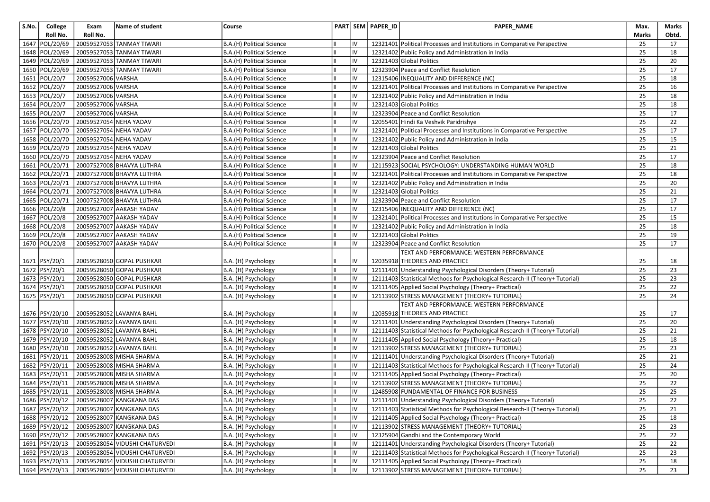| S.No. | College          | Exam                   | Name of student                         | Course                    |    |     | PART SEM PAPER_ID | PAPER_NAME                                                                    | Max.  | Marks           |
|-------|------------------|------------------------|-----------------------------------------|---------------------------|----|-----|-------------------|-------------------------------------------------------------------------------|-------|-----------------|
|       | Roll No.         | Roll No.               |                                         |                           |    |     |                   |                                                                               | Marks | Obtd.           |
|       | 1647 POL/20/69   |                        | 20059527053 TANMAY TIWARI               | B.A.(H) Political Science |    | IV  |                   | 12321401 Political Processes and Institutions in Comparative Perspective      | 25    | 17              |
|       | 1648 POL/20/69   |                        | 20059527053 TANMAY TIWARI               | B.A.(H) Political Science | Ш  | IV  |                   | 12321402 Public Policy and Administration in India                            | 25    | 18              |
|       | 1649 POL/20/69   |                        | 20059527053 TANMAY TIWARI               | B.A.(H) Political Science |    | IV  |                   | 12321403 Global Politics                                                      | 25    | 20              |
|       | 1650 POL/20/69   |                        | 20059527053 TANMAY TIWARI               | B.A.(H) Political Science | IШ | lıv |                   | 12323904 Peace and Conflict Resolution                                        | 25    | 17              |
|       | 1651 POL/20/7    | 20059527006 VARSHA     |                                         | B.A.(H) Political Science | IШ | IV  |                   | 12315406 INEQUALITY AND DIFFERENCE (NC)                                       | 25    | 18              |
|       | 1652 POL/20/7    | 20059527006 VARSHA     |                                         | B.A.(H) Political Science | IШ | IV  |                   | 12321401 Political Processes and Institutions in Comparative Perspective      | 25    | 16              |
|       | 1653 POL/20/7    | 20059527006 VARSHA     |                                         | B.A.(H) Political Science | Iн | IV  |                   | 12321402 Public Policy and Administration in India                            | 25    | 18              |
|       | 1654 POL/20/7    | 20059527006 VARSHA     |                                         | B.A.(H) Political Science |    | IV  |                   | 12321403 Global Politics                                                      | 25    | 18              |
|       | 1655 POL/20/7    | 20059527006 VARSHA     |                                         | B.A.(H) Political Science | Iн | IV  |                   | 12323904 Peace and Conflict Resolution                                        | 25    | 17              |
|       | 1656 POL/20/70   | 20059527054 NEHA YADAV |                                         | B.A.(H) Political Science | Ш  | IV  |                   | 12055401 Hindi Ka Veshvik Paridrishye                                         | 25    | 22              |
|       | 1657 POL/20/70   | 20059527054 NEHA YADAV |                                         | B.A.(H) Political Science |    | IV  |                   | 12321401 Political Processes and Institutions in Comparative Perspective      | 25    | 17              |
|       | 1658 POL/20/70   | 20059527054 NEHA YADAV |                                         | B.A.(H) Political Science | lπ | IV  |                   | 12321402 Public Policy and Administration in India                            | 25    | 15              |
|       | 1659 POL/20/70   |                        | 20059527054 NEHA YADAV                  | B.A.(H) Political Science | IШ | lıv |                   | 12321403 Global Politics                                                      | 25    | 21              |
|       | 1660 POL/20/70   | 20059527054 NEHA YADAV |                                         | B.A.(H) Political Science | IШ | IV  |                   | 12323904 Peace and Conflict Resolution                                        | 25    | 17              |
|       | 1661 POL/20/71   |                        | 20007527008 BHAVYA LUTHRA               | B.A.(H) Political Science | IШ | IV  |                   | 12115923 SOCIAL PSYCHOLOGY: UNDERSTANDING HUMAN WORLD                         | 25    | 18              |
|       | 1662 POL/20/71   |                        | 20007527008 BHAVYA LUTHRA               | B.A.(H) Political Science | Iн | IV  |                   | 12321401 Political Processes and Institutions in Comparative Perspective      | 25    | 18              |
|       | 1663 POL/20/71   |                        | 20007527008 BHAVYA LUTHRA               | B.A.(H) Political Science | Ш  | IV  |                   | 12321402 Public Policy and Administration in India                            | 25    | 20              |
|       | 1664 POL/20/71   |                        | 20007527008 BHAVYA LUTHRA               | B.A.(H) Political Science | Iн | IV  |                   | 12321403 Global Politics                                                      | 25    | 21              |
|       | 1665 POL/20/71   |                        | 20007527008 BHAVYA LUTHRA               | B.A.(H) Political Science | lπ | IV  |                   | 12323904 Peace and Conflict Resolution                                        | 25    | 17              |
|       | 1666 POL/20/8    |                        | 20059527007 AAKASH YADAV                | B.A.(H) Political Science | IШ | Iv  |                   | 12315406 INEQUALITY AND DIFFERENCE (NC)                                       | 25    | 17              |
|       | 1667 POL/20/8    |                        | 20059527007 AAKASH YADAV                | B.A.(H) Political Science |    | Iv  |                   | 12321401 Political Processes and Institutions in Comparative Perspective      | 25    | 15              |
|       | 1668 POL/20/8    |                        | 20059527007 AAKASH YADAV                | B.A.(H) Political Science | IШ | lıv |                   | 12321402 Public Policy and Administration in India                            | 25    | 18              |
|       | 1669 POL/20/8    |                        | 20059527007 AAKASH YADAV                | B.A.(H) Political Science | Iн | IV  |                   | 12321403 Global Politics                                                      | 25    | 19              |
|       | 1670 POL/20/8    |                        | 20059527007 AAKASH YADAV                | B.A.(H) Political Science | IШ | IV  |                   | 12323904 Peace and Conflict Resolution                                        | 25    | 17              |
|       |                  |                        |                                         |                           |    |     |                   | TEXT AND PERFORMANCE: WESTERN PERFORMANCE                                     |       |                 |
|       | 1671   PSY/20/1  |                        | 20059528050 GOPAL PUSHKAR               | B.A. (H) Psychology       |    | IV  |                   | 12035918 THEORIES AND PRACTICE                                                | 25    | 18              |
|       | 1672 PSY/20/1    |                        | 20059528050 GOPAL PUSHKAR               | B.A. (H) Psychology       | Iп | IV  |                   | 12111401 Understanding Psychological Disorders (Theory+ Tutorial)             | 25    | 23              |
|       | 1673 PSY/20/1    |                        | 20059528050 GOPAL PUSHKAR               | B.A. (H) Psychology       |    | IV  |                   | 12111403 Statistical Methods for Psychological Research-II (Theory+ Tutorial) | 25    | 23              |
|       | 1674 PSY/20/1    |                        | 20059528050 GOPAL PUSHKAR               | B.A. (H) Psychology       | IШ | lıv |                   | 12111405 Applied Social Psychology (Theory+ Practical)                        | 25    | 22              |
|       | 1675 PSY/20/1    |                        | 20059528050 GOPAL PUSHKAR               | B.A. (H) Psychology       | Iш | Iv  |                   | 12113902 STRESS MANAGEMENT (THEORY+ TUTORIAL)                                 | 25    | 24              |
|       |                  |                        |                                         |                           |    |     |                   | TEXT AND PERFORMANCE: WESTERN PERFORMANCE                                     |       |                 |
|       | 1676   PSY/20/10 |                        | 20059528052 LAVANYA BAHL                | B.A. (H) Psychology       |    | IV  |                   | 12035918 THEORIES AND PRACTICE                                                | 25    | 17              |
|       | 1677 PSY/20/10   |                        | 20059528052 LAVANYA BAHL                | B.A. (H) Psychology       |    | IV  |                   | 12111401 Understanding Psychological Disorders (Theory+ Tutorial)             | 25    | 20              |
|       | 1678 PSY/20/10   |                        | 20059528052 LAVANYA BAHL                | B.A. (H) Psychology       | Iн | IV  |                   | 12111403 Statistical Methods for Psychological Research-II (Theory+ Tutorial) | 25    | 21              |
|       | 1679 PSY/20/10   |                        | 20059528052 LAVANYA BAHL                | B.A. (H) Psychology       |    | IV  |                   | 12111405 Applied Social Psychology (Theory+ Practical)                        | 25    | 18              |
|       | 1680 PSY/20/10   |                        | 20059528052 LAVANYA BAHL                | B.A. (H) Psychology       | IШ | IV  |                   | 12113902 STRESS MANAGEMENT (THEORY+ TUTORIAL)                                 | 25    | 23              |
|       | 1681 PSY/20/11   |                        | 20059528008 MISHA SHARMA                | B.A. (H) Psychology       | lπ | IV  |                   | 12111401 Understanding Psychological Disorders (Theory+ Tutorial)             | 25    | 21              |
|       | 1682 PSY/20/11   |                        | 20059528008 MISHA SHARMA                | B.A. (H) Psychology       | IШ | lıv |                   | 12111403 Statistical Methods for Psychological Research-II (Theory+ Tutorial) | 25    | 24              |
|       | 1683 PSY/20/11   |                        | 20059528008 MISHA SHARMA                | B.A. (H) Psychology       | IШ | IV  |                   | 12111405 Applied Social Psychology (Theory+ Practical)                        | 25    | 20              |
|       | 1684 PSY/20/11   |                        | 20059528008 MISHA SHARMA                | B.A. (H) Psychology       | Ш  | IV  |                   | 12113902 STRESS MANAGEMENT (THEORY+ TUTORIAL)                                 | 25    | 22              |
|       | 1685 PSY/20/11   |                        | 20059528008 MISHA SHARMA                | B.A. (H) Psychology       | Iш | IV  |                   | 12485908 FUNDAMENTAL OF FINANCE FOR BUSINESS                                  | 25    | 25              |
|       |                  |                        | 1686 PSY/20/12 20059528007 KANGKANA DAS | B.A. (H) Psychology       | Ш  | IV  |                   | 12111401 Understanding Psychological Disorders (Theory+ Tutorial)             | 25    | $\overline{22}$ |
|       | 1687 PSY/20/12   |                        | 20059528007 KANGKANA DAS                | B.A. (H) Psychology       | Iш | IV  |                   | 12111403 Statistical Methods for Psychological Research-II (Theory+ Tutorial) | 25    | 21              |
|       | 1688 PSY/20/12   |                        | 20059528007 KANGKANA DAS                | B.A. (H) Psychology       |    | IV  |                   | 12111405 Applied Social Psychology (Theory+ Practical)                        | 25    | 18              |
|       | 1689 PSY/20/12   |                        | 20059528007 KANGKANA DAS                | B.A. (H) Psychology       | IШ | IV  |                   | 12113902 STRESS MANAGEMENT (THEORY+ TUTORIAL)                                 | 25    | 23              |
|       | 1690 PSY/20/12   |                        | 20059528007 KANGKANA DAS                | B.A. (H) Psychology       |    | IV  |                   | 12325904 Gandhi and the Contemporary World                                    | 25    | 22              |
|       | 1691 PSY/20/13   |                        | 20059528054 VIDUSHI CHATURVEDI          | B.A. (H) Psychology       | lπ | lıv |                   | 12111401 Understanding Psychological Disorders (Theory+ Tutorial)             | 25    | 22              |
|       | 1692 PSY/20/13   |                        | 20059528054 VIDUSHI CHATURVEDI          | B.A. (H) Psychology       | Iш | IV  |                   | 12111403 Statistical Methods for Psychological Research-II (Theory+ Tutorial) | 25    | 23              |
|       | 1693 PSY/20/13   |                        | 20059528054 VIDUSHI CHATURVEDI          | B.A. (H) Psychology       | IШ | IV  |                   | 12111405 Applied Social Psychology (Theory+ Practical)                        | 25    | 18              |
|       | 1694 PSY/20/13   |                        | 20059528054 VIDUSHI CHATURVEDI          | B.A. (H) Psychology       | Iш | IV  |                   | 12113902 STRESS MANAGEMENT (THEORY+ TUTORIAL)                                 | 25    | 23              |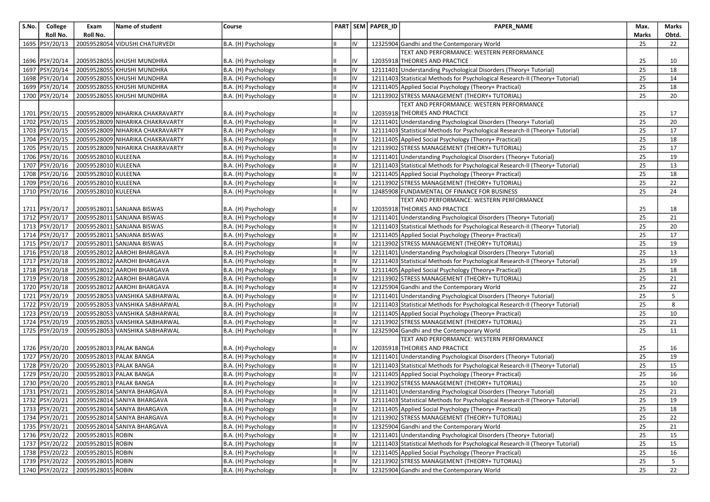| S.No. | College          | Exam                | Name of student                            | Course              |    | PART SEM PAPER_ID | PAPER_NAME                                                                    | Max.  | Marks |
|-------|------------------|---------------------|--------------------------------------------|---------------------|----|-------------------|-------------------------------------------------------------------------------|-------|-------|
|       | Roll No.         | Roll No.            |                                            |                     |    |                   |                                                                               | Marks | Obtd. |
|       | 1695   PSY/20/13 |                     | 20059528054 VIDUSHI CHATURVEDI             | B.A. (H) Psychology | IV |                   | 12325904 Gandhi and the Contemporary World                                    | 25    | 22    |
|       |                  |                     |                                            |                     |    |                   | TEXT AND PERFORMANCE: WESTERN PERFORMANCE                                     |       |       |
|       | 1696   PSY/20/14 |                     | 20059528055 KHUSHI MUNDHRA                 | B.A. (H) Psychology | I۷ |                   | 12035918 THEORIES AND PRACTICE                                                | 25    | 10    |
|       | 1697 PSY/20/14   |                     | 20059528055 KHUSHI MUNDHRA                 | B.A. (H) Psychology | IV |                   | 12111401 Understanding Psychological Disorders (Theory+ Tutorial)             | 25    | 18    |
|       | 1698 PSY/20/14   |                     | 20059528055 KHUSHI MUNDHRA                 | B.A. (H) Psychology | IV |                   | 12111403 Statistical Methods for Psychological Research-II (Theory+ Tutorial) | 25    | 14    |
|       | 1699 PSY/20/14   |                     | 20059528055 KHUSHI MUNDHRA                 | B.A. (H) Psychology | IV |                   | 12111405 Applied Social Psychology (Theory+ Practical)                        | 25    | 18    |
|       | 1700 PSY/20/14   |                     | 20059528055 KHUSHI MUNDHRA                 | B.A. (H) Psychology | IV |                   | 12113902 STRESS MANAGEMENT (THEORY+ TUTORIAL)                                 | 25    | 20    |
|       |                  |                     |                                            |                     |    |                   | TEXT AND PERFORMANCE: WESTERN PERFORMANCE                                     |       |       |
|       | 1701   PSY/20/15 |                     | 20059528009 NIHARIKA CHAKRAVARTY           | B.A. (H) Psychology | IV |                   | 12035918 THEORIES AND PRACTICE                                                | 25    | 17    |
|       | 1702 PSY/20/15   |                     | 20059528009 NIHARIKA CHAKRAVARTY           | B.A. (H) Psychology | IV |                   | 12111401 Understanding Psychological Disorders (Theory+ Tutorial)             | 25    | 20    |
|       | 1703 PSY/20/15   |                     | 20059528009 NIHARIKA CHAKRAVARTY           | B.A. (H) Psychology | IV |                   | 12111403 Statistical Methods for Psychological Research-II (Theory+ Tutorial) | 25    | 17    |
|       | 1704 PSY/20/15   |                     | 20059528009 NIHARIKA CHAKRAVARTY           | B.A. (H) Psychology | IV |                   | 12111405 Applied Social Psychology (Theory+ Practical)                        | 25    | 18    |
|       | 1705 PSY/20/15   |                     | 20059528009 NIHARIKA CHAKRAVARTY           | B.A. (H) Psychology | IV |                   | 12113902 STRESS MANAGEMENT (THEORY+ TUTORIAL)                                 | 25    | 17    |
|       | 1706 PSY/20/16   | 20059528010 KULEENA |                                            | B.A. (H) Psychology | IV |                   | 12111401 Understanding Psychological Disorders (Theory+ Tutorial)             | 25    | 19    |
|       | 1707 PSY/20/16   | 20059528010 KULEENA |                                            | B.A. (H) Psychology | IV |                   | 12111403 Statistical Methods for Psychological Research-II (Theory+ Tutorial) | 25    | 13    |
|       | 1708 PSY/20/16   | 20059528010 KULEENA |                                            | B.A. (H) Psychology | IV |                   | 12111405 Applied Social Psychology (Theory+ Practical)                        | 25    | 18    |
|       | 1709 PSY/20/16   | 20059528010 KULEENA |                                            | B.A. (H) Psychology | IV |                   | 12113902 STRESS MANAGEMENT (THEORY+ TUTORIAL)                                 | 25    | 22    |
|       | 1710 PSY/20/16   | 20059528010 KULEENA |                                            | B.A. (H) Psychology | IV |                   | 12485908 FUNDAMENTAL OF FINANCE FOR BUSINESS                                  | 25    | 24    |
|       |                  |                     |                                            |                     |    |                   | TEXT AND PERFORMANCE: WESTERN PERFORMANCE                                     |       |       |
|       | 1711   PSY/20/17 |                     | 20059528011 SANJANA BISWAS                 | B.A. (H) Psychology | I۷ |                   | 12035918 THEORIES AND PRACTICE                                                | 25    | 18    |
|       | 1712 PSY/20/17   |                     | 20059528011 SANJANA BISWAS                 | B.A. (H) Psychology | IV |                   | 12111401 Understanding Psychological Disorders (Theory+ Tutorial)             | 25    | 21    |
|       | 1713 PSY/20/17   |                     | 20059528011 SANJANA BISWAS                 | B.A. (H) Psychology | IV |                   | 12111403 Statistical Methods for Psychological Research-II (Theory+ Tutorial) | 25    | 20    |
|       | 1714 PSY/20/17   |                     | 20059528011 SANJANA BISWAS                 | B.A. (H) Psychology | IV |                   | 12111405 Applied Social Psychology (Theory+ Practical)                        | 25    | 17    |
|       | 1715 PSY/20/17   |                     | 20059528011 SANJANA BISWAS                 | B.A. (H) Psychology | IV |                   | 12113902 STRESS MANAGEMENT (THEORY+ TUTORIAL)                                 | 25    | 19    |
|       | 1716 PSY/20/18   |                     | 20059528012 AAROHI BHARGAVA                | B.A. (H) Psychology | IV |                   | 12111401 Understanding Psychological Disorders (Theory+ Tutorial)             | 25    | 13    |
|       | 1717 PSY/20/18   |                     | 20059528012 AAROHI BHARGAVA                | B.A. (H) Psychology | IV |                   | 12111403 Statistical Methods for Psychological Research-II (Theory+ Tutorial) | 25    | 19    |
|       | 1718 PSY/20/18   |                     | 20059528012 AAROHI BHARGAVA                | B.A. (H) Psychology | IV |                   | 12111405 Applied Social Psychology (Theory+ Practical)                        | 25    | 18    |
|       | 1719 PSY/20/18   |                     | 20059528012 AAROHI BHARGAVA                | B.A. (H) Psychology | IV |                   | 12113902 STRESS MANAGEMENT (THEORY+ TUTORIAL)                                 | 25    | 21    |
|       | 1720 PSY/20/18   |                     | 20059528012 AAROHI BHARGAVA                | B.A. (H) Psychology | IV |                   | 12325904 Gandhi and the Contemporary World                                    | 25    | 22    |
|       | 1721 PSY/20/19   |                     | 20059528053 VANSHIKA SABHARWAL             | B.A. (H) Psychology | IV |                   | 12111401 Understanding Psychological Disorders (Theory+ Tutorial)             | 25    | 5     |
|       | 1722 PSY/20/19   |                     | 20059528053 VANSHIKA SABHARWAL             | B.A. (H) Psychology | IV |                   | 12111403 Statistical Methods for Psychological Research-II (Theory+ Tutorial) | 25    | 8     |
|       | 1723 PSY/20/19   |                     | 20059528053 VANSHIKA SABHARWAL             | B.A. (H) Psychology | IV |                   | 12111405 Applied Social Psychology (Theory+ Practical)                        | 25    | 10    |
|       | 1724 PSY/20/19   |                     | 20059528053 VANSHIKA SABHARWAL             | B.A. (H) Psychology | IV |                   | 12113902 STRESS MANAGEMENT (THEORY+ TUTORIAL)                                 | 25    | 21    |
|       | 1725 PSY/20/19   |                     | 20059528053 VANSHIKA SABHARWAL             | B.A. (H) Psychology | IV |                   | 12325904 Gandhi and the Contemporary World                                    | 25    | 11    |
|       |                  |                     |                                            |                     |    |                   | TEXT AND PERFORMANCE: WESTERN PERFORMANCE                                     |       |       |
|       | 1726 PSY/20/20   |                     | 20059528013 PALAK BANGA                    | B.A. (H) Psychology | I۷ |                   | 12035918 THEORIES AND PRACTICE                                                | 25    | 16    |
|       | 1727 PSY/20/20   |                     | 20059528013 PALAK BANGA                    | B.A. (H) Psychology | IV |                   | 12111401 Understanding Psychological Disorders (Theory+ Tutorial)             | 25    | 19    |
|       | 1728 PSY/20/20   |                     | 20059528013 PALAK BANGA                    | B.A. (H) Psychology | IV |                   | 12111403 Statistical Methods for Psychological Research-II (Theory+ Tutorial) | 25    | 15    |
|       | 1729 PSY/20/20   |                     | 20059528013 PALAK BANGA                    | B.A. (H) Psychology | IV |                   | 12111405 Applied Social Psychology (Theory+ Practical)                        | 25    | 16    |
|       | 1730 PSY/20/20   |                     | 20059528013 PALAK BANGA                    | B.A. (H) Psychology | IV |                   | 12113902 STRESS MANAGEMENT (THEORY+ TUTORIAL)                                 | 25    | 10    |
|       | 1731 PSY/20/21   |                     | 20059528014 SANIYA BHARGAVA                | B.A. (H) Psychology | IV |                   | 12111401 Understanding Psychological Disorders (Theory+ Tutorial)             | 25    | 21    |
|       |                  |                     | 1732 PSY/20/21 20059528014 SANIYA BHARGAVA | B.A. (H) Psychology | IV |                   | 12111403 Statistical Methods for Psychological Research-II (Theory+ Tutorial) | 25    | 19    |
|       | 1733 PSY/20/21   |                     | 20059528014 SANIYA BHARGAVA                | B.A. (H) Psychology | IV |                   | 12111405 Applied Social Psychology (Theory+ Practical)                        | 25    | 18    |
|       | 1734 PSY/20/21   |                     | 20059528014 SANIYA BHARGAVA                | B.A. (H) Psychology | IV |                   | 12113902 STRESS MANAGEMENT (THEORY+ TUTORIAL)                                 | 25    | 22    |
|       | 1735 PSY/20/21   |                     | 20059528014 SANIYA BHARGAVA                | B.A. (H) Psychology | IV |                   | 12325904 Gandhi and the Contemporary World                                    | 25    | 21    |
|       | 1736 PSY/20/22   | 20059528015 ROBIN   |                                            | B.A. (H) Psychology | IV |                   | 12111401 Understanding Psychological Disorders (Theory+ Tutorial)             | 25    | 15    |
|       | 1737 PSY/20/22   | 20059528015 ROBIN   |                                            | B.A. (H) Psychology | IV |                   | 12111403 Statistical Methods for Psychological Research-II (Theory+ Tutorial) | 25    | 15    |
|       | 1738 PSY/20/22   | 20059528015 ROBIN   |                                            | B.A. (H) Psychology | IV |                   | 12111405 Applied Social Psychology (Theory+ Practical)                        | 25    | 16    |
|       | 1739 PSY/20/22   | 20059528015 ROBIN   |                                            | B.A. (H) Psychology | IV |                   | 12113902 STRESS MANAGEMENT (THEORY+ TUTORIAL)                                 | 25    | 5     |
|       | 1740 PSY/20/22   | 20059528015 ROBIN   |                                            | B.A. (H) Psychology | IV |                   | 12325904 Gandhi and the Contemporary World                                    | 25    | 22    |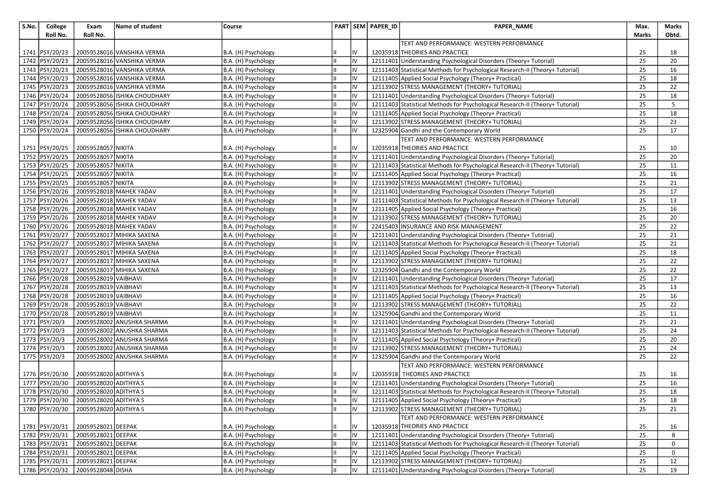| S.No. | College          | Exam                                 | Name of student              | Course              |    |    | PART SEM PAPER_ID | PAPER_NAME                                                                    | Max.  | <b>Marks</b> |
|-------|------------------|--------------------------------------|------------------------------|---------------------|----|----|-------------------|-------------------------------------------------------------------------------|-------|--------------|
|       | Roll No.         | Roll No.                             |                              |                     |    |    |                   | TEXT AND PERFORMANCE: WESTERN PERFORMANCE                                     | Marks | Obtd.        |
|       | 1741   PSY/20/23 |                                      | 20059528016 VANSHIKA VERMA   | B.A. (H) Psychology |    | IV |                   | 12035918 THEORIES AND PRACTICE                                                | 25    | 18           |
|       | 1742 PSY/20/23   |                                      | 20059528016 VANSHIKA VERMA   | B.A. (H) Psychology |    | IV |                   | 12111401 Understanding Psychological Disorders (Theory+ Tutorial)             | 25    | 20           |
|       | 1743 PSY/20/23   |                                      | 20059528016 VANSHIKA VERMA   | B.A. (H) Psychology |    | IV |                   | 12111403 Statistical Methods for Psychological Research-II (Theory+ Tutorial) | 25    | 16           |
|       | 1744 PSY/20/23   |                                      | 20059528016 VANSHIKA VERMA   | B.A. (H) Psychology |    | IV |                   | 12111405 Applied Social Psychology (Theory+ Practical)                        | 25    | 18           |
|       | 1745 PSY/20/23   |                                      | 20059528016 VANSHIKA VERMA   | B.A. (H) Psychology | Ш  | IV |                   | 12113902 STRESS MANAGEMENT (THEORY+ TUTORIAL)                                 | 25    | 22           |
|       | 1746 PSY/20/24   |                                      | 20059528056 ISHIKA CHOUDHARY | B.A. (H) Psychology |    | IV |                   | 12111401 Understanding Psychological Disorders (Theory+ Tutorial)             | 25    | 18           |
|       | 1747 PSY/20/24   |                                      | 20059528056 ISHIKA CHOUDHARY | B.A. (H) Psychology |    | IV |                   | 12111403 Statistical Methods for Psychological Research-II (Theory+ Tutorial) | 25    | 5            |
|       | 1748 PSY/20/24   |                                      | 20059528056 ISHIKA CHOUDHARY | B.A. (H) Psychology | Iн | IV |                   | 12111405 Applied Social Psychology (Theory+ Practical)                        | 25    | 18           |
|       | 1749 PSY/20/24   |                                      | 20059528056 ISHIKA CHOUDHARY | B.A. (H) Psychology |    | IV |                   | 12113902 STRESS MANAGEMENT (THEORY+ TUTORIAL)                                 | 25    | 23           |
|       | 1750 PSY/20/24   |                                      | 20059528056 ISHIKA CHOUDHARY | B.A. (H) Psychology |    | IV |                   | 12325904 Gandhi and the Contemporary World                                    | 25    | 17           |
|       |                  |                                      |                              |                     |    |    |                   | TEXT AND PERFORMANCE: WESTERN PERFORMANCE                                     |       |              |
|       | 1751   PSY/20/25 | 20059528057 NIKITA                   |                              | B.A. (H) Psychology |    | IV |                   | 12035918 THEORIES AND PRACTICE                                                | 25    | 10           |
|       | 1752 PSY/20/25   | 20059528057 NIKITA                   |                              | B.A. (H) Psychology |    | IV |                   | 12111401 Understanding Psychological Disorders (Theory+ Tutorial)             | 25    | 20           |
|       | 1753 PSY/20/25   | 20059528057 NIKITA                   |                              | B.A. (H) Psychology | Ш  | IV |                   | 12111403 Statistical Methods for Psychological Research-II (Theory+ Tutorial) | 25    | 11           |
|       | 1754 PSY/20/25   | 20059528057 NIKITA                   |                              | B.A. (H) Psychology | IШ | IV |                   | 12111405 Applied Social Psychology (Theory+ Practical)                        | 25    | 16           |
|       | 1755 PSY/20/25   | 20059528057 NIKITA                   |                              | B.A. (H) Psychology | Ш  | IV |                   | 12113902 STRESS MANAGEMENT (THEORY+ TUTORIAL)                                 | 25    | 21           |
|       | 1756 PSY/20/26   |                                      | 20059528018 MAHEK YADAV      | B.A. (H) Psychology |    | IV |                   | 12111401 Understanding Psychological Disorders (Theory+ Tutorial)             | 25    | 17           |
|       | 1757 PSY/20/26   |                                      | 20059528018 MAHEK YADAV      | B.A. (H) Psychology |    | IV |                   | 12111403 Statistical Methods for Psychological Research-II (Theory+ Tutorial) | 25    | 13           |
|       | 1758 PSY/20/26   |                                      | 20059528018 MAHEK YADAV      | B.A. (H) Psychology | Iн | IV |                   | 12111405 Applied Social Psychology (Theory+ Practical)                        | 25    | 16           |
|       | 1759 PSY/20/26   |                                      | 20059528018 MAHEK YADAV      | B.A. (H) Psychology |    | IV |                   | 12113902 STRESS MANAGEMENT (THEORY+ TUTORIAL)                                 | 25    | 20           |
|       | 1760 PSY/20/26   |                                      | 20059528018 MAHEK YADAV      | B.A. (H) Psychology |    | IV |                   | 22415403 INSURANCE AND RISK MANAGEMENT                                        | 25    | 22           |
|       | 1761 PSY/20/27   |                                      | 20059528017 MIHIKA SAXENA    | B.A. (H) Psychology |    | IV |                   | 12111401 Understanding Psychological Disorders (Theory+ Tutorial)             | 25    | 21           |
|       | 1762 PSY/20/27   |                                      | 20059528017 MIHIKA SAXENA    | B.A. (H) Psychology | Ш  | IV |                   | 12111403 Statistical Methods for Psychological Research-II (Theory+ Tutorial) | 25    | 21           |
|       | 1763 PSY/20/27   |                                      | 20059528017 MIHIKA SAXENA    | B.A. (H) Psychology |    | IV |                   | 12111405 Applied Social Psychology (Theory+ Practical)                        | 25    | 18           |
|       | 1764 PSY/20/27   |                                      | 20059528017 MIHIKA SAXENA    | B.A. (H) Psychology |    | IV |                   | 12113902 STRESS MANAGEMENT (THEORY+ TUTORIAL)                                 | 25    | 22           |
|       | 1765 PSY/20/27   |                                      | 20059528017 MIHIKA SAXENA    | B.A. (H) Psychology | Iн | IV |                   | 12325904 Gandhi and the Contemporary World                                    | 25    | 22           |
|       | 1766 PSY/20/28   | 20059528019 VAIBHAVI                 |                              | B.A. (H) Psychology |    | IV |                   | 12111401 Understanding Psychological Disorders (Theory+ Tutorial)             | 25    | 17           |
|       | 1767 PSY/20/28   | 20059528019 VAIBHAVI                 |                              | B.A. (H) Psychology |    | IV |                   | 12111403 Statistical Methods for Psychological Research-II (Theory+ Tutorial) | 25    | 13           |
|       | 1768 PSY/20/28   | 20059528019 VAIBHAVI                 |                              | B.A. (H) Psychology |    | IV |                   | 12111405 Applied Social Psychology (Theory+ Practical)                        | 25    | 16           |
|       | 1769 PSY/20/28   | 20059528019 VAIBHAVI                 |                              | B.A. (H) Psychology | Ш  | IV |                   | 12113902 STRESS MANAGEMENT (THEORY+ TUTORIAL)                                 | 25    | 22           |
|       | 1770 PSY/20/28   | 20059528019 VAIBHAVI                 |                              | B.A. (H) Psychology |    | IV |                   | 12325904 Gandhi and the Contemporary World                                    | 25    | 11           |
|       | 1771 PSY/20/3    |                                      | 20059528002 ANUSHKA SHARMA   | B.A. (H) Psychology |    | IV |                   | 12111401 Understanding Psychological Disorders (Theory+ Tutorial)             | 25    | 21           |
|       | 1772 PSY/20/3    |                                      | 20059528002 ANUSHKA SHARMA   | B.A. (H) Psychology | Iн | IV |                   | 12111403 Statistical Methods for Psychological Research-II (Theory+ Tutorial) | 25    | 24           |
|       | 1773 PSY/20/3    |                                      | 20059528002 ANUSHKA SHARMA   | B.A. (H) Psychology |    | IV |                   | 12111405 Applied Social Psychology (Theory+ Practical)                        | 25    | 20           |
|       | 1774 PSY/20/3    |                                      | 20059528002 ANUSHKA SHARMA   | B.A. (H) Psychology |    | IV |                   | 12113902 STRESS MANAGEMENT (THEORY+ TUTORIAL)                                 | 25    | 24           |
|       | 1775 PSY/20/3    |                                      | 20059528002 ANUSHKA SHARMA   | B.A. (H) Psychology |    | IV |                   | 12325904 Gandhi and the Contemporary World                                    | 25    | 22           |
|       |                  |                                      |                              |                     |    |    |                   | TEXT AND PERFORMANCE: WESTERN PERFORMANCE                                     |       |              |
|       | 1776 PSY/20/30   | 20059528020 ADITHYA S                |                              | B.A. (H) Psychology |    | IV |                   | 12035918 THEORIES AND PRACTICE                                                | 25    | 16           |
|       | 1777 PSY/20/30   | 20059528020 ADITHYA S                |                              | B.A. (H) Psychology |    | IV |                   | 12111401 Understanding Psychological Disorders (Theory+ Tutorial)             | 25    | 16           |
|       | 1778 PSY/20/30   | 20059528020 ADITHYA S                |                              | B.A. (H) Psychology | Iн | IV |                   | 12111403 Statistical Methods for Psychological Research-II (Theory+ Tutorial) | 25    | 18           |
|       |                  | 1779 PSY/20/30 20059528020 ADITHYA S |                              | B.A. (H) Psychology | TШ | IV |                   | 12111405 Applied Social Psychology (Theory+ Practical)                        | 25    | 18           |
|       | 1780 PSY/20/30   | 20059528020 ADITHYA S                |                              | B.A. (H) Psychology |    | Iv |                   | 12113902 STRESS MANAGEMENT (THEORY+ TUTORIAL)                                 | 25    | 21           |
|       |                  |                                      |                              |                     |    |    |                   | TEXT AND PERFORMANCE: WESTERN PERFORMANCE                                     |       |              |
|       | 1781 PSY/20/31   | 20059528021 DEEPAK                   |                              | B.A. (H) Psychology |    | IV |                   | 12035918 THEORIES AND PRACTICE                                                | 25    | 16           |
|       |                  | 1782 PSY/20/31 20059528021 DEEPAK    |                              | B.A. (H) Psychology |    | IV |                   | 12111401 Understanding Psychological Disorders (Theory+ Tutorial)             | 25    | 8            |
|       |                  | 1783 PSY/20/31 20059528021 DEEPAK    |                              | B.A. (H) Psychology |    | IV |                   | 12111403 Statistical Methods for Psychological Research-II (Theory+ Tutorial) | 25    | 0            |
|       | 1784 PSY/20/31   | 20059528021 DEEPAK                   |                              | B.A. (H) Psychology |    | IV |                   | 12111405 Applied Social Psychology (Theory+ Practical)                        | 25    | 0            |
|       | 1785 PSY/20/31   | 20059528021 DEEPAK                   |                              | B.A. (H) Psychology | Ш  | IV |                   | 12113902 STRESS MANAGEMENT (THEORY+ TUTORIAL)                                 | 25    | 12           |
|       |                  | 1786 PSY/20/32 20059528048 DISHA     |                              | B.A. (H) Psychology | IШ | IV |                   | 12111401 Understanding Psychological Disorders (Theory+ Tutorial)             | 25    | 19           |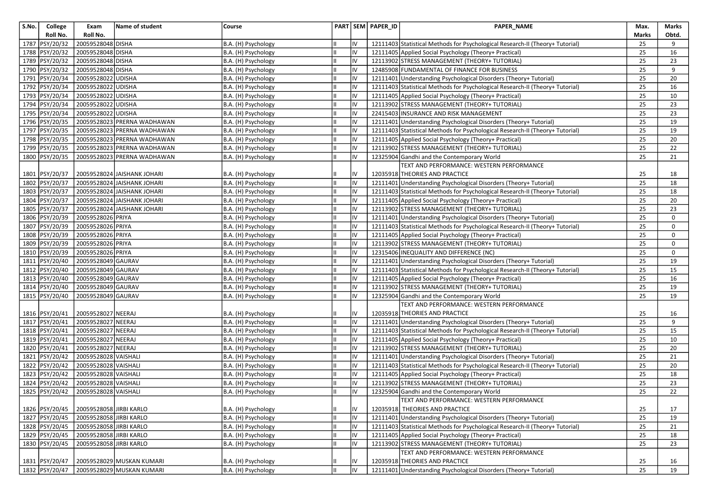| S.No. | College<br>Roll No. | Exam<br>Roll No.        | Name of student             | Course              |     |     | PART SEM PAPER ID | PAPER_NAME                                                                    | Max.<br>Marks | Marks<br>Obtd. |
|-------|---------------------|-------------------------|-----------------------------|---------------------|-----|-----|-------------------|-------------------------------------------------------------------------------|---------------|----------------|
|       | 1787 PSY/20/32      | 20059528048 DISHA       |                             | B.A. (H) Psychology |     | IV  |                   | 12111403 Statistical Methods for Psychological Research-II (Theory+ Tutorial) | 25            | 9              |
|       | 1788 PSY/20/32      | 20059528048 DISHA       |                             | B.A. (H) Psychology | IL  | IV  |                   | 12111405 Applied Social Psychology (Theory+ Practical)                        | 25            | 16             |
|       | 1789 PSY/20/32      | 20059528048 DISHA       |                             | B.A. (H) Psychology |     | IV  |                   | 12113902 STRESS MANAGEMENT (THEORY+ TUTORIAL)                                 | 25            | 23             |
|       | 1790 PSY/20/32      | 20059528048 DISHA       |                             | B.A. (H) Psychology | lπ  | lıv |                   | 12485908 FUNDAMENTAL OF FINANCE FOR BUSINESS                                  | 25            | 9              |
|       | 1791 PSY/20/34      | 20059528022 UDISHA      |                             | B.A. (H) Psychology | lπ  | IV  |                   | 12111401 Understanding Psychological Disorders (Theory+ Tutorial)             | 25            | 20             |
|       | 1792 PSY/20/34      | 20059528022 UDISHA      |                             | B.A. (H) Psychology | IШ  | IV  |                   | 12111403 Statistical Methods for Psychological Research-II (Theory+ Tutorial) | 25            | 16             |
|       | 1793 PSY/20/34      | 20059528022 UDISHA      |                             | B.A. (H) Psychology | l။  | IV  |                   | 12111405 Applied Social Psychology (Theory+ Practical)                        | 25            | 10             |
|       | 1794 PSY/20/34      | 20059528022 UDISHA      |                             | B.A. (H) Psychology | lπ  | IV  |                   | 12113902 STRESS MANAGEMENT (THEORY+ TUTORIAL)                                 | 25            | 23             |
|       | 1795 PSY/20/34      | 20059528022 UDISHA      |                             | B.A. (H) Psychology | Iн  | IV  |                   | 22415403 INSURANCE AND RISK MANAGEMENT                                        | 25            | 23             |
|       | 1796 PSY/20/35      |                         | 20059528023 PRERNA WADHAWAN | B.A. (H) Psychology | lπ  | IV  |                   | 12111401 Understanding Psychological Disorders (Theory+ Tutorial)             | 25            | 19             |
|       | 1797 PSY/20/35      |                         | 20059528023 PRERNA WADHAWAN | B.A. (H) Psychology | Ш   | IV  |                   | 12111403 Statistical Methods for Psychological Research-II (Theory+ Tutorial) | 25            | 19             |
|       | 1798 PSY/20/35      |                         | 20059528023 PRERNA WADHAWAN | B.A. (H) Psychology | Iн  | IV  |                   | 12111405 Applied Social Psychology (Theory+ Practical)                        | 25            | 20             |
|       | 1799 PSY/20/35      |                         | 20059528023 PRERNA WADHAWAN | B.A. (H) Psychology | IШ  | lıv |                   | 12113902 STRESS MANAGEMENT (THEORY+ TUTORIAL)                                 | 25            | 22             |
|       | 1800 PSY/20/35      |                         | 20059528023 PRERNA WADHAWAN | B.A. (H) Psychology | lπ  | lıv |                   | 12325904 Gandhi and the Contemporary World                                    | 25            | 21             |
|       |                     |                         |                             |                     |     |     |                   | TEXT AND PERFORMANCE: WESTERN PERFORMANCE                                     |               |                |
|       | 1801 PSY/20/37      |                         | 20059528024 JAISHANK JOHARI | B.A. (H) Psychology |     | IV  |                   | 12035918 THEORIES AND PRACTICE                                                | 25            | 18             |
|       | 1802 PSY/20/37      |                         | 20059528024 JAISHANK JOHARI | B.A. (H) Psychology | Ш   | IV  |                   | 12111401 Understanding Psychological Disorders (Theory+ Tutorial)             | 25            | 18             |
|       | 1803 PSY/20/37      |                         | 20059528024 JAISHANK JOHARI | B.A. (H) Psychology | Iн  | Iv  |                   | 12111403 Statistical Methods for Psychological Research-II (Theory+ Tutorial) | 25            | 18             |
|       | 1804 PSY/20/37      |                         | 20059528024 JAISHANK JOHARI | B.A. (H) Psychology | lπ  | IV  |                   | 12111405 Applied Social Psychology (Theory+ Practical)                        | 25            | 20             |
|       | 1805 PSY/20/37      |                         | 20059528024 JAISHANK JOHARI | B.A. (H) Psychology | IШ  | lıv |                   | 12113902 STRESS MANAGEMENT (THEORY+ TUTORIAL)                                 | 25            | 23             |
|       | 1806 PSY/20/39      | 20059528026 PRIYA       |                             | B.A. (H) Psychology |     | lıv |                   | 12111401 Understanding Psychological Disorders (Theory+ Tutorial)             | 25            | 0              |
|       | 1807 PSY/20/39      | 20059528026 PRIYA       |                             | B.A. (H) Psychology | IШ  | lıv |                   | 12111403 Statistical Methods for Psychological Research-II (Theory+ Tutorial) | 25            | 0              |
|       | 1808 PSY/20/39      | 20059528026 PRIYA       |                             | B.A. (H) Psychology | Iш  | IV  |                   | 12111405 Applied Social Psychology (Theory+ Practical)                        | 25            | $\mathbf 0$    |
|       | 1809 PSY/20/39      | 20059528026 PRIYA       |                             | B.A. (H) Psychology | IШ  | IV  |                   | 12113902 STRESS MANAGEMENT (THEORY+ TUTORIAL)                                 | 25            | 0              |
|       | 1810 PSY/20/39      | 20059528026 PRIYA       |                             | B.A. (H) Psychology | Ш   | IV  |                   | 12315406 INEQUALITY AND DIFFERENCE (NC)                                       | 25            | $\mathbf 0$    |
|       | 1811 PSY/20/40      | 20059528049 GAURAV      |                             | B.A. (H) Psychology | Ш   | IV  |                   | 12111401 Understanding Psychological Disorders (Theory+ Tutorial)             | 25            | 19             |
|       | 1812 PSY/20/40      | 20059528049 GAURAV      |                             | B.A. (H) Psychology | Iш  | IV  |                   | 12111403 Statistical Methods for Psychological Research-II (Theory+ Tutorial) | 25            | 15             |
|       | 1813 PSY/20/40      | 20059528049 GAURAV      |                             | B.A. (H) Psychology |     | IV  |                   | 12111405 Applied Social Psychology (Theory+ Practical)                        | 25            | 16             |
|       | 1814 PSY/20/40      | 20059528049 GAURAV      |                             | B.A. (H) Psychology | lπ  | IV  |                   | 12113902 STRESS MANAGEMENT (THEORY+ TUTORIAL)                                 | 25            | 19             |
|       | 1815 PSY/20/40      | 20059528049 GAURAV      |                             | B.A. (H) Psychology | Iш  | lıv |                   | 12325904 Gandhi and the Contemporary World                                    | 25            | 19             |
|       |                     |                         |                             |                     |     |     |                   | TEXT AND PERFORMANCE: WESTERN PERFORMANCE                                     |               |                |
|       | 1816   PSY/20/41    | 20059528027 NEERAJ      |                             | B.A. (H) Psychology |     | IV  |                   | 12035918 THEORIES AND PRACTICE                                                | 25            | 16             |
|       | 1817   PSY/20/41    | 20059528027 NEERAJ      |                             | B.A. (H) Psychology | Ш   | IV  |                   | 12111401 Understanding Psychological Disorders (Theory+ Tutorial)             | 25            | 9              |
|       | 1818   PSY/20/41    | 20059528027 NEERAJ      |                             | B.A. (H) Psychology | Iш  | IV  |                   | 12111403 Statistical Methods for Psychological Research-II (Theory+ Tutorial) | 25            | 15             |
|       | 1819   PSY/20/41    | 20059528027 NEERAJ      |                             | B.A. (H) Psychology | Ш   | IV  |                   | 12111405 Applied Social Psychology (Theory+ Practical)                        | 25            | 10             |
|       | 1820 PSY/20/41      | 20059528027 NEERAJ      |                             | B.A. (H) Psychology | Ш   | lıv |                   | 12113902 STRESS MANAGEMENT (THEORY+ TUTORIAL)                                 | 25            | 20             |
|       | 1821 PSY/20/42      | 20059528028 VAISHALI    |                             | B.A. (H) Psychology | II. | IV  |                   | 12111401 Understanding Psychological Disorders (Theory+ Tutorial)             | 25            | 21             |
|       | 1822 PSY/20/42      | 20059528028 VAISHALI    |                             | B.A. (H) Psychology | IШ  | lıv |                   | 12111403 Statistical Methods for Psychological Research-II (Theory+ Tutorial) | 25            | 20             |
|       | 1823   PSY/20/42    | 20059528028 VAISHALI    |                             | B.A. (H) Psychology | Iн  | IV  |                   | 12111405 Applied Social Psychology (Theory+ Practical)                        | 25            | 18             |
|       | 1824 PSY/20/42      | 20059528028 VAISHALI    |                             | B.A. (H) Psychology | Ш   | IV  |                   | 12113902 STRESS MANAGEMENT (THEORY+ TUTORIAL)                                 | 25            | 23             |
|       | 1825 PSY/20/42      | 20059528028 VAISHALI    |                             | B.A. (H) Psychology | Iш  | IV  |                   | 12325904 Gandhi and the Contemporary World                                    | 25            | 22             |
|       |                     |                         |                             |                     |     |     |                   | TEXT AND PERFORMANCE: WESTERN PERFORMANCE                                     |               |                |
|       | 1826 PSY/20/45      | 20059528058 JIRBI KARLO |                             | B.A. (H) Psychology |     | IV  |                   | 12035918 THEORIES AND PRACTICE                                                | 25            | 17             |
|       | 1827   PSY/20/45    | 20059528058 JIRBI KARLO |                             | B.A. (H) Psychology | lπ  | IV  |                   | 12111401 Understanding Psychological Disorders (Theory+ Tutorial)             | 25            | 19             |
|       | 1828   PSY/20/45    | 20059528058 JIRBI KARLO |                             | B.A. (H) Psychology | IШ  | IV  |                   | 12111403 Statistical Methods for Psychological Research-II (Theory+ Tutorial) | 25            | 21             |
|       | 1829 PSY/20/45      | 20059528058 JIRBI KARLO |                             | B.A. (H) Psychology |     | IV  |                   | 12111405 Applied Social Psychology (Theory+ Practical)                        | 25            | 18             |
|       | 1830 PSY/20/45      | 20059528058 JIRBI KARLO |                             | B.A. (H) Psychology | IШ  | lıv |                   | 12113902 STRESS MANAGEMENT (THEORY+ TUTORIAL)                                 | 25            | 23             |
|       |                     |                         |                             |                     |     |     |                   | TEXT AND PERFORMANCE: WESTERN PERFORMANCE                                     |               |                |
|       | 1831 PSY/20/47      |                         | 20059528029 MUSKAN KUMARI   | B.A. (H) Psychology |     | IV  |                   | 12035918 THEORIES AND PRACTICE                                                | 25            | 16             |
|       | 1832 PSY/20/47      |                         | 20059528029 MUSKAN KUMARI   | B.A. (H) Psychology | lπ  | IV  |                   | 12111401 Understanding Psychological Disorders (Theory+ Tutorial)             | 25            | 19             |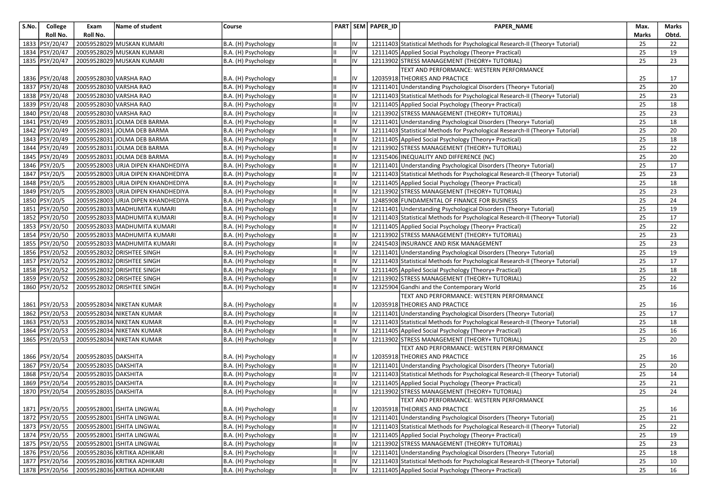| S.No. | College          | Exam                   | Name of student                    | Course              |   |           | PART SEM PAPER_ID | PAPER_NAME                                                                    | Max.         | Marks |
|-------|------------------|------------------------|------------------------------------|---------------------|---|-----------|-------------------|-------------------------------------------------------------------------------|--------------|-------|
|       | Roll No.         | Roll No.               |                                    |                     |   |           |                   |                                                                               | <b>Marks</b> | Obtd. |
|       | 1833 PSY/20/47   |                        | 20059528029 MUSKAN KUMARI          | B.A. (H) Psychology |   | IV        |                   | 12111403 Statistical Methods for Psychological Research-II (Theory+ Tutorial) | 25           | 22    |
| 1834  | PSY/20/47        |                        | 20059528029 MUSKAN KUMARI          | B.A. (H) Psychology | Ш | l١v       |                   | 12111405 Applied Social Psychology (Theory+ Practical)                        | 25           | 19    |
|       | 1835 PSY/20/47   |                        | 20059528029 MUSKAN KUMARI          | B.A. (H) Psychology |   | Iv        |                   | 12113902 STRESS MANAGEMENT (THEORY+ TUTORIAL)                                 | 25           | 23    |
|       |                  |                        |                                    |                     |   |           |                   | TEXT AND PERFORMANCE: WESTERN PERFORMANCE                                     |              |       |
|       | 1836   PSY/20/48 |                        | 20059528030 VARSHA RAO             | B.A. (H) Psychology |   | IV        |                   | 12035918 THEORIES AND PRACTICE                                                | 25           | 17    |
|       | 1837 PSY/20/48   |                        | 20059528030 VARSHA RAO             | B.A. (H) Psychology | Ш | IV        |                   | 12111401 Understanding Psychological Disorders (Theory+ Tutorial)             | 25           | 20    |
|       | 1838 PSY/20/48   | 20059528030 VARSHA RAO |                                    | B.A. (H) Psychology | Ш | IV        |                   | 12111403 Statistical Methods for Psychological Research-II (Theory+ Tutorial) | 25           | 23    |
|       | 1839 PSY/20/48   |                        | 20059528030 VARSHA RAO             | B.A. (H) Psychology | Ш | IV        |                   | 12111405 Applied Social Psychology (Theory+ Practical)                        | 25           | 18    |
|       | 1840 PSY/20/48   | 20059528030 VARSHA RAO |                                    | B.A. (H) Psychology | Ш | l٧        |                   | 12113902 STRESS MANAGEMENT (THEORY+ TUTORIAL)                                 | 25           | 23    |
|       | 1841   PSY/20/49 |                        | 20059528031 JOLMA DEB BARMA        | B.A. (H) Psychology |   | IV        |                   | 12111401 Understanding Psychological Disorders (Theory+ Tutorial)             | 25           | 18    |
| 1842  | PSY/20/49        |                        | 20059528031 JOLMA DEB BARMA        | B.A. (H) Psychology |   | IV        |                   | 12111403 Statistical Methods for Psychological Research-II (Theory+ Tutorial) | 25           | 20    |
| 1843  | PSY/20/49        |                        | 20059528031 JOLMA DEB BARMA        | B.A. (H) Psychology |   | IV        |                   | 12111405 Applied Social Psychology (Theory+ Practical)                        | 25           | 18    |
|       | 1844   PSY/20/49 |                        | 20059528031 JOLMA DEB BARMA        | B.A. (H) Psychology |   | lıv       |                   | 12113902 STRESS MANAGEMENT (THEORY+ TUTORIAL)                                 | 25           | 22    |
| 1845  | PSY/20/49        |                        | 20059528031 JOLMA DEB BARMA        | B.A. (H) Psychology |   | IV        |                   | 12315406 INEQUALITY AND DIFFERENCE (NC)                                       | 25           | 20    |
| 1846  | PSY/20/5         |                        | 20059528003 URJA DIPEN KHANDHEDIYA | B.A. (H) Psychology |   | IV        |                   | 12111401 Understanding Psychological Disorders (Theory+ Tutorial)             | 25           | 17    |
| 1847  | PSY/20/5         |                        | 20059528003 URJA DIPEN KHANDHEDIYA | B.A. (H) Psychology | Ш | l٧        |                   | 12111403 Statistical Methods for Psychological Research-II (Theory+ Tutorial) | 25           | 23    |
|       | 1848 PSY/20/5    |                        | 20059528003 URJA DIPEN KHANDHEDIYA | B.A. (H) Psychology |   | l٧        |                   | 12111405 Applied Social Psychology (Theory+ Practical)                        | 25           | 18    |
|       | 1849 PSY/20/5    |                        | 20059528003 URJA DIPEN KHANDHEDIYA | B.A. (H) Psychology |   | IV        |                   | 12113902 STRESS MANAGEMENT (THEORY+ TUTORIAL)                                 | 25           | 23    |
|       | 1850 PSY/20/5    |                        | 20059528003 URJA DIPEN KHANDHEDIYA | B.A. (H) Psychology |   | IV        |                   | 12485908 FUNDAMENTAL OF FINANCE FOR BUSINESS                                  | 25           | 24    |
|       | 1851 PSY/20/50   |                        | 20059528033 MADHUMITA KUMARI       | B.A. (H) Psychology | Ш | IV        |                   | 12111401 Understanding Psychological Disorders (Theory+ Tutorial)             | 25           | 19    |
|       | 1852 PSY/20/50   |                        | 20059528033 MADHUMITA KUMARI       | B.A. (H) Psychology |   | IV        |                   | 12111403 Statistical Methods for Psychological Research-II (Theory+ Tutorial) | 25           | 17    |
|       | 1853 PSY/20/50   |                        | 20059528033 MADHUMITA KUMARI       | B.A. (H) Psychology |   | IV        |                   | 12111405 Applied Social Psychology (Theory+ Practical)                        | 25           | 22    |
| 1854  | PSY/20/50        |                        | 20059528033 MADHUMITA KUMARI       | B.A. (H) Psychology | Ш | l٧        |                   | 12113902 STRESS MANAGEMENT (THEORY+ TUTORIAL)                                 | 25           | 23    |
|       | 1855 PSY/20/50   |                        | 20059528033 MADHUMITA KUMARI       | B.A. (H) Psychology |   | IV        |                   | 22415403 INSURANCE AND RISK MANAGEMENT                                        | 25           | 23    |
|       | 1856 PSY/20/52   |                        | 20059528032 DRISHTEE SINGH         | B.A. (H) Psychology |   | IV        |                   | 12111401 Understanding Psychological Disorders (Theory+ Tutorial)             | 25           | 19    |
| 1857  | PSY/20/52        |                        | 20059528032 DRISHTEE SINGH         | B.A. (H) Psychology |   | IV        |                   | 12111403 Statistical Methods for Psychological Research-II (Theory+ Tutorial) | 25           | 17    |
|       | 1858 PSY/20/52   |                        | 20059528032 DRISHTEE SINGH         | B.A. (H) Psychology | Ш | IV        |                   | 12111405 Applied Social Psychology (Theory+ Practical)                        | 25           | 18    |
|       | 1859 PSY/20/52   |                        | 20059528032 DRISHTEE SINGH         | B.A. (H) Psychology |   | IV        |                   | 12113902 STRESS MANAGEMENT (THEORY+ TUTORIAL)                                 | 25           | 22    |
|       | 1860 PSY/20/52   |                        | 20059528032 DRISHTEE SINGH         | B.A. (H) Psychology |   | IV        |                   | 12325904 Gandhi and the Contemporary World                                    | 25           | 16    |
|       |                  |                        |                                    |                     |   |           |                   | TEXT AND PERFORMANCE: WESTERN PERFORMANCE                                     |              |       |
|       | 1861   PSY/20/53 |                        | 20059528034 NIKETAN KUMAR          | B.A. (H) Psychology |   | IV        |                   | 12035918 THEORIES AND PRACTICE                                                | 25           | 16    |
| 1862  | PSY/20/53        |                        | 20059528034 NIKETAN KUMAR          | B.A. (H) Psychology |   | IV        |                   | 12111401 Understanding Psychological Disorders (Theory+ Tutorial)             | 25           | 17    |
|       | 1863 PSY/20/53   |                        | 20059528034 NIKETAN KUMAR          | B.A. (H) Psychology |   | IV        |                   | 12111403 Statistical Methods for Psychological Research-II (Theory+ Tutorial) | 25           | 18    |
|       | 1864 PSY/20/53   |                        | 20059528034 NIKETAN KUMAR          | B.A. (H) Psychology | Ш | l٧        |                   | 12111405 Applied Social Psychology (Theory+ Practical)                        | 25           | 16    |
|       | 1865 PSY/20/53   |                        | 20059528034 NIKETAN KUMAR          | B.A. (H) Psychology |   | IV        |                   | 12113902 STRESS MANAGEMENT (THEORY+ TUTORIAL)                                 | 25           | 20    |
|       |                  |                        |                                    |                     |   |           |                   | TEXT AND PERFORMANCE: WESTERN PERFORMANCE                                     |              |       |
|       | 1866 PSY/20/54   | 20059528035 DAKSHITA   |                                    | B.A. (H) Psychology |   | IV        |                   | 12035918 THEORIES AND PRACTICE                                                | 25           | 16    |
|       | 1867 PSY/20/54   | 20059528035 DAKSHITA   |                                    | B.A. (H) Psychology | Ш | lıv       |                   | 12111401 Understanding Psychological Disorders (Theory+ Tutorial)             | 25           | 20    |
|       | 1868 PSY/20/54   | 20059528035 DAKSHITA   |                                    | B.A. (H) Psychology |   | IV        |                   | 12111403 Statistical Methods for Psychological Research-II (Theory+ Tutorial) | 25           | 14    |
| 1869  | PSY/20/54        | 20059528035 DAKSHITA   |                                    | B.A. (H) Psychology |   | lıv       |                   | 12111405 Applied Social Psychology (Theory+ Practical)                        | 25           | 21    |
|       | 1870 PSY/20/54   | 20059528035 DAKSHITA   |                                    | B.A. (H) Psychology | Ш | l١v       |                   | 12113902 STRESS MANAGEMENT (THEORY+ TUTORIAL)                                 | 25           | 24    |
|       |                  |                        |                                    |                     |   |           |                   | TEXT AND PERFORMANCE: WESTERN PERFORMANCE                                     |              |       |
|       | 1871   PSY/20/55 |                        | 20059528001 ISHITA LINGWAL         | B.A. (H) Psychology | Ш | IV        |                   | 12035918 THEORIES AND PRACTICE                                                | 25           | 16    |
|       | 1872 PSY/20/55   |                        | 20059528001 ISHITA LINGWAL         | B.A. (H) Psychology |   | IV        |                   | 12111401 Understanding Psychological Disorders (Theory+ Tutorial)             | 25           | 21    |
|       | 1873 PSY/20/55   |                        | 20059528001 ISHITA LINGWAL         | B.A. (H) Psychology | Ш | l١v       |                   | 12111403 Statistical Methods for Psychological Research-II (Theory+ Tutorial) | 25           | 22    |
|       | 1874 PSY/20/55   |                        | 20059528001 ISHITA LINGWAL         | B.A. (H) Psychology |   | IV        |                   | 12111405 Applied Social Psychology (Theory+ Practical)                        | 25           | 19    |
|       | 1875 PSY/20/55   |                        | 20059528001 ISHITA LINGWAL         | B.A. (H) Psychology |   | lıv       |                   | 12113902 STRESS MANAGEMENT (THEORY+ TUTORIAL)                                 | 25           | 23    |
|       | 1876 PSY/20/56   |                        | 20059528036 KRITIKA ADHIKARI       | B.A. (H) Psychology | Ш | IV        |                   | 12111401 Understanding Psychological Disorders (Theory+ Tutorial)             | 25           | 18    |
|       | 1877   PSY/20/56 |                        | 20059528036 KRITIKA ADHIKARI       | B.A. (H) Psychology |   | IIV       |                   | 12111403 Statistical Methods for Psychological Research-II (Theory+ Tutorial) | 25           | 10    |
|       | 1878 PSY/20/56   |                        | 20059528036 KRITIKA ADHIKARI       | B.A. (H) Psychology | Ш | <b>IV</b> |                   | 12111405 Applied Social Psychology (Theory+ Practical)                        | 25           | 16    |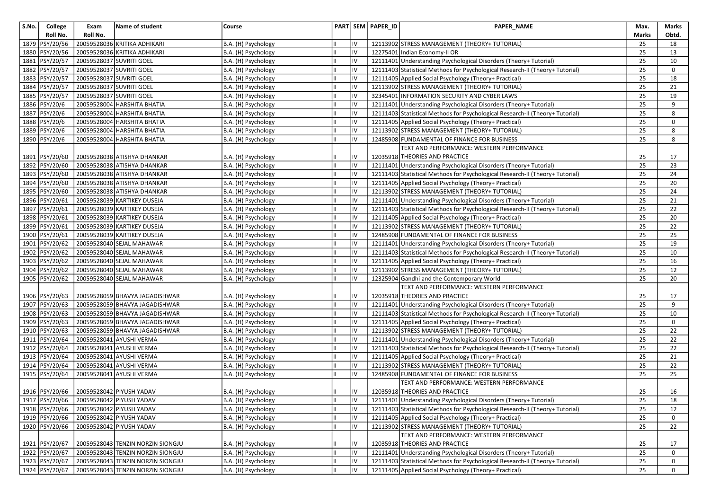| S.No. | College          | Exam     | Name of student                         | Course              |    |                | PART SEM PAPER_ID | <b>PAPER NAME</b>                                                             | Max.  | Marks |
|-------|------------------|----------|-----------------------------------------|---------------------|----|----------------|-------------------|-------------------------------------------------------------------------------|-------|-------|
|       | Roll No.         | Roll No. |                                         |                     |    |                |                   |                                                                               | Marks | Obtd. |
|       | 1879 PSY/20/56   |          | 20059528036 KRITIKA ADHIKARI            | B.A. (H) Psychology |    | IV             |                   | 12113902 STRESS MANAGEMENT (THEORY+ TUTORIAL)                                 | 25    | 18    |
|       | 1880 PSY/20/56   |          | 20059528036 KRITIKA ADHIKARI            | B.A. (H) Psychology |    | IV             |                   | 12275401 Indian Economy-II OR                                                 | 25    | 13    |
|       | 1881 PSY/20/57   |          | 20059528037 SUVRITI GOEL                | B.A. (H) Psychology |    | IV             |                   | 12111401 Understanding Psychological Disorders (Theory+ Tutorial)             | 25    | 10    |
|       | 1882 PSY/20/57   |          | 20059528037 SUVRITI GOEL                | B.A. (H) Psychology |    | IV             |                   | 12111403 Statistical Methods for Psychological Research-II (Theory+ Tutorial) | 25    | 0     |
|       | 1883 PSY/20/57   |          | 20059528037 SUVRITI GOEL                | B.A. (H) Psychology | Iн | IV             |                   | 12111405 Applied Social Psychology (Theory+ Practical)                        | 25    | 18    |
|       | 1884 PSY/20/57   |          | 20059528037 SUVRITI GOEL                | B.A. (H) Psychology | Ш  | IV             |                   | 12113902 STRESS MANAGEMENT (THEORY+ TUTORIAL)                                 | 25    | 21    |
|       | 1885 PSY/20/57   |          | 20059528037 SUVRITI GOEL                | B.A. (H) Psychology |    | IV             |                   | 32345401 INFORMATION SECURITY AND CYBER LAWS                                  | 25    | 19    |
|       | 1886 PSY/20/6    |          | 20059528004 HARSHITA BHATIA             | B.A. (H) Psychology |    | IV             |                   | 12111401 Understanding Psychological Disorders (Theory+ Tutorial)             | 25    | 9     |
|       | 1887 PSY/20/6    |          | 20059528004 HARSHITA BHATIA             | B.A. (H) Psychology | Iн | IV             |                   | 12111403 Statistical Methods for Psychological Research-II (Theory+ Tutorial) | 25    | 8     |
|       | 1888 PSY/20/6    |          | 20059528004 HARSHITA BHATIA             | B.A. (H) Psychology |    | IV             |                   | 12111405 Applied Social Psychology (Theory+ Practical)                        | 25    | 0     |
| 1889  | PSY/20/6         |          | 20059528004 HARSHITA BHATIA             | B.A. (H) Psychology |    | IV             |                   | 12113902 STRESS MANAGEMENT (THEORY+ TUTORIAL)                                 | 25    | 8     |
|       | 1890 PSY/20/6    |          | 20059528004 HARSHITA BHATIA             | B.A. (H) Psychology |    | IV             |                   | 12485908 FUNDAMENTAL OF FINANCE FOR BUSINESS                                  | 25    | 8     |
|       |                  |          |                                         |                     |    |                |                   | TEXT AND PERFORMANCE: WESTERN PERFORMANCE                                     |       |       |
|       | 1891   PSY/20/60 |          | 20059528038 ATISHYA DHANKAR             | B.A. (H) Psychology |    | IV             |                   | 12035918 THEORIES AND PRACTICE                                                | 25    | 17    |
|       | 1892 PSY/20/60   |          | 20059528038 ATISHYA DHANKAR             | B.A. (H) Psychology |    | IV             |                   | 12111401 Understanding Psychological Disorders (Theory+ Tutorial)             | 25    | 23    |
|       | 1893 PSY/20/60   |          | 20059528038 ATISHYA DHANKAR             | B.A. (H) Psychology | Iн | IV             |                   | 12111403 Statistical Methods for Psychological Research-II (Theory+ Tutorial) | 25    | 24    |
|       | 1894 PSY/20/60   |          | 20059528038 ATISHYA DHANKAR             | B.A. (H) Psychology |    | IV             |                   | 12111405 Applied Social Psychology (Theory+ Practical)                        | 25    | 20    |
|       | 1895 PSY/20/60   |          | 20059528038 ATISHYA DHANKAR             | B.A. (H) Psychology |    | IV             |                   | 12113902 STRESS MANAGEMENT (THEORY+ TUTORIAL)                                 | 25    | 24    |
|       | 1896 PSY/20/61   |          | 20059528039 KARTIKEY DUSEJA             | B.A. (H) Psychology |    | IV             |                   | 12111401 Understanding Psychological Disorders (Theory+ Tutorial)             | 25    | 21    |
|       | 1897 PSY/20/61   |          | 20059528039 KARTIKEY DUSEJA             | B.A. (H) Psychology | Ш  | IV             |                   | 12111403 Statistical Methods for Psychological Research-II (Theory+ Tutorial) | 25    | 22    |
|       | 1898 PSY/20/61   |          | 20059528039 KARTIKEY DUSEJA             | B.A. (H) Psychology |    | IV             |                   | 12111405 Applied Social Psychology (Theory+ Practical)                        | 25    | 20    |
|       | 1899 PSY/20/61   |          | 20059528039 KARTIKEY DUSEJA             | B.A. (H) Psychology |    | IV             |                   | 12113902 STRESS MANAGEMENT (THEORY+ TUTORIAL)                                 | 25    | 22    |
|       | 1900 PSY/20/61   |          | 20059528039 KARTIKEY DUSEJA             | B.A. (H) Psychology | IШ | IV             |                   | 12485908 FUNDAMENTAL OF FINANCE FOR BUSINESS                                  | 25    | 25    |
|       | 1901 PSY/20/62   |          | 20059528040 SEJAL MAHAWAR               | B.A. (H) Psychology |    | IV             |                   | 12111401 Understanding Psychological Disorders (Theory+ Tutorial)             | 25    | 19    |
|       | 1902 PSY/20/62   |          | 20059528040 SEJAL MAHAWAR               | B.A. (H) Psychology |    | IV             |                   | 12111403 Statistical Methods for Psychological Research-II (Theory+ Tutorial) | 25    | 10    |
|       | 1903 PSY/20/62   |          | 20059528040 SEJAL MAHAWAR               | B.A. (H) Psychology |    | IV             |                   | 12111405 Applied Social Psychology (Theory+ Practical)                        | 25    | 16    |
|       | 1904 PSY/20/62   |          | 20059528040 SEJAL MAHAWAR               | B.A. (H) Psychology | IШ | IV             |                   | 12113902 STRESS MANAGEMENT (THEORY+ TUTORIAL)                                 | 25    | 12    |
|       | 1905 PSY/20/62   |          | 20059528040 SEJAL MAHAWAR               | B.A. (H) Psychology |    | I٧             |                   | 12325904 Gandhi and the Contemporary World                                    | 25    | 20    |
|       |                  |          |                                         |                     |    |                |                   | TEXT AND PERFORMANCE: WESTERN PERFORMANCE                                     |       |       |
|       | 1906   PSY/20/63 |          | 20059528059 BHAVYA JAGADISHWAR          | B.A. (H) Psychology |    | IV             |                   | 12035918 THEORIES AND PRACTICE                                                | 25    | 17    |
|       | 1907   PSY/20/63 |          | 20059528059 BHAVYA JAGADISHWAR          | B.A. (H) Psychology |    | IV             |                   | 12111401 Understanding Psychological Disorders (Theory+ Tutorial)             | 25    | 9     |
|       | 1908   PSY/20/63 |          | 20059528059 BHAVYA JAGADISHWAR          | B.A. (H) Psychology |    | IV             |                   | 12111403 Statistical Methods for Psychological Research-II (Theory+ Tutorial) | 25    | 10    |
|       | 1909 PSY/20/63   |          | 20059528059 BHAVYA JAGADISHWAR          | B.A. (H) Psychology |    | IV             |                   | 12111405 Applied Social Psychology (Theory+ Practical)                        | 25    | 0     |
|       | 1910 PSY/20/63   |          | 20059528059 BHAVYA JAGADISHWAR          | B.A. (H) Psychology | Iн | IV             |                   | 12113902 STRESS MANAGEMENT (THEORY+ TUTORIAL)                                 | 25    | 22    |
|       | 1911 PSY/20/64   |          | 20059528041 AYUSHI VERMA                | B.A. (H) Psychology |    | IV             |                   | 12111401 Understanding Psychological Disorders (Theory+ Tutorial)             | 25    | 22    |
|       | 1912 PSY/20/64   |          | 20059528041 AYUSHI VERMA                | B.A. (H) Psychology |    | IV             |                   | 12111403 Statistical Methods for Psychological Research-II (Theory+ Tutorial) | 25    | 22    |
|       | 1913 PSY/20/64   |          | 20059528041 AYUSHI VERMA                | B.A. (H) Psychology |    | IV             |                   | 12111405 Applied Social Psychology (Theory+ Practical)                        | 25    | 21    |
|       | 1914   PSY/20/64 |          | 20059528041 AYUSHI VERMA                | B.A. (H) Psychology | ш  | IV             |                   | 12113902 STRESS MANAGEMENT (THEORY+ TUTORIAL)                                 | 25    | 22    |
|       | 1915   PSY/20/64 |          | 20059528041 AYUSHI VERMA                | B.A. (H) Psychology |    | IV             |                   | 12485908 FUNDAMENTAL OF FINANCE FOR BUSINESS                                  | 25    | 25    |
|       |                  |          |                                         |                     |    |                |                   | TEXT AND PERFORMANCE: WESTERN PERFORMANCE                                     |       |       |
|       | 1916   PSY/20/66 |          | 20059528042 PIYUSH YADAV                | B.A. (H) Psychology |    | IV             |                   | 12035918 THEORIES AND PRACTICE                                                | 25    | 16    |
|       |                  |          | 1917 PSY/20/66 20059528042 PIYUSH YADAV | B.A. (H) Psychology | IШ | $\overline{N}$ |                   | 12111401 Understanding Psychological Disorders (Theory+ Tutorial)             | 25    | 18    |
|       | 1918   PSY/20/66 |          | 20059528042 PIYUSH YADAV                | B.A. (H) Psychology |    | IV             |                   | 12111403 Statistical Methods for Psychological Research-II (Theory+ Tutorial) | 25    | 12    |
|       | 1919 PSY/20/66   |          | 20059528042 PIYUSH YADAV                | B.A. (H) Psychology |    | IV             |                   | 12111405 Applied Social Psychology (Theory+ Practical)                        | 25    | 0     |
|       | 1920 PSY/20/66   |          | 20059528042 PIYUSH YADAV                | B.A. (H) Psychology |    | IV             |                   | 12113902 STRESS MANAGEMENT (THEORY+ TUTORIAL)                                 | 25    | 22    |
|       |                  |          |                                         |                     |    |                |                   | TEXT AND PERFORMANCE: WESTERN PERFORMANCE                                     |       |       |
|       | 1921   PSY/20/67 |          | 20059528043 TENZIN NORZIN SIONGJU       | B.A. (H) Psychology |    | IV             |                   | 12035918 THEORIES AND PRACTICE                                                | 25    | 17    |
|       | 1922 PSY/20/67   |          | 20059528043 TENZIN NORZIN SIONGJU       | B.A. (H) Psychology | IШ | IV             |                   | 12111401 Understanding Psychological Disorders (Theory+ Tutorial)             | 25    | 0     |
|       | 1923 PSY/20/67   |          | 20059528043 TENZIN NORZIN SIONGJU       | B.A. (H) Psychology |    | IV             |                   | 12111403 Statistical Methods for Psychological Research-II (Theory+ Tutorial) | 25    | 0     |
|       | 1924 PSY/20/67   |          | 20059528043 TENZIN NORZIN SIONGJU       | B.A. (H) Psychology |    | IV             |                   | 12111405 Applied Social Psychology (Theory+ Practical)                        | 25    | 0     |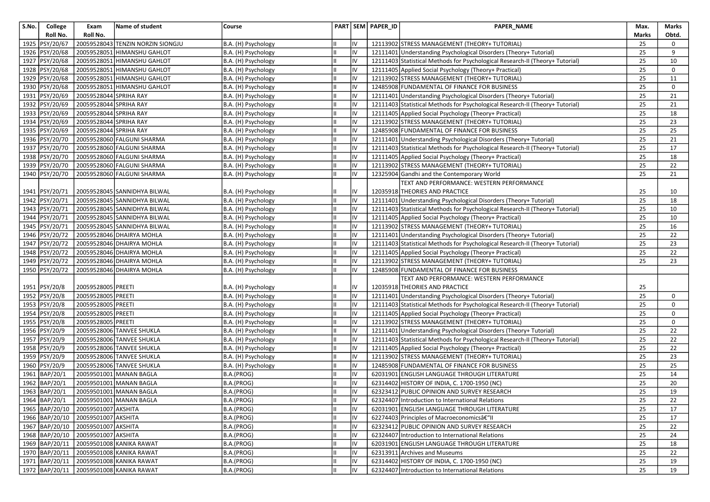| S.No. | College          | Exam                                   | Name of student                         | Course              |    |    | PART SEM PAPER ID | PAPER_NAME                                                                    | Max.  | Marks |
|-------|------------------|----------------------------------------|-----------------------------------------|---------------------|----|----|-------------------|-------------------------------------------------------------------------------|-------|-------|
|       | Roll No.         | Roll No.                               |                                         |                     |    |    |                   |                                                                               | Marks | Obtd. |
|       | 1925 PSY/20/67   |                                        | 20059528043 TENZIN NORZIN SIONGJU       | B.A. (H) Psychology |    | IV |                   | 12113902 STRESS MANAGEMENT (THEORY+ TUTORIAL)                                 | 25    | 0     |
|       | 1926 PSY/20/68   | 20059528051                            | HIMANSHU GAHLOT                         | B.A. (H) Psychology |    | IV |                   | 12111401 Understanding Psychological Disorders (Theory+ Tutorial)             | 25    | 9     |
|       | 1927 PSY/20/68   |                                        | 20059528051 HIMANSHU GAHLOT             | B.A. (H) Psychology |    | IV |                   | 12111403 Statistical Methods for Psychological Research-II (Theory+ Tutorial) | 25    | 10    |
|       | 1928 PSY/20/68   |                                        | 20059528051 HIMANSHU GAHLOT             | B.A. (H) Psychology |    | IV |                   | 12111405 Applied Social Psychology (Theory+ Practical)                        | 25    | 0     |
|       | 1929 PSY/20/68   |                                        | 20059528051 HIMANSHU GAHLOT             | B.A. (H) Psychology | Iн | IV |                   | 12113902 STRESS MANAGEMENT (THEORY+ TUTORIAL)                                 | 25    | 11    |
|       | 1930 PSY/20/68   |                                        | 20059528051 HIMANSHU GAHLOT             | B.A. (H) Psychology |    | IV |                   | 12485908 FUNDAMENTAL OF FINANCE FOR BUSINESS                                  | 25    | 0     |
|       | 1931   PSY/20/69 | 20059528044 SPRIHA RAY                 |                                         | B.A. (H) Psychology |    | IV |                   | 12111401 Understanding Psychological Disorders (Theory+ Tutorial)             | 25    | 21    |
|       | 1932 PSY/20/69   | 20059528044 SPRIHA RAY                 |                                         | B.A. (H) Psychology |    | IV |                   | 12111403 Statistical Methods for Psychological Research-II (Theory+ Tutorial) | 25    | 21    |
|       | 1933 PSY/20/69   | 20059528044 SPRIHA RAY                 |                                         | B.A. (H) Psychology |    | IV |                   | 12111405 Applied Social Psychology (Theory+ Practical)                        | 25    | 18    |
|       | 1934 PSY/20/69   | 20059528044 SPRIHA RAY                 |                                         | B.A. (H) Psychology |    | IV |                   | 12113902 STRESS MANAGEMENT (THEORY+ TUTORIAL)                                 | 25    | 23    |
|       | 1935 PSY/20/69   | 20059528044 SPRIHA RAY                 |                                         | B.A. (H) Psychology |    | IV |                   | 12485908 FUNDAMENTAL OF FINANCE FOR BUSINESS                                  | 25    | 25    |
|       | 1936 PSY/20/70   |                                        | 20059528060 FALGUNI SHARMA              | B.A. (H) Psychology |    | IV |                   | 12111401 Understanding Psychological Disorders (Theory+ Tutorial)             | 25    | 21    |
|       | 1937 PSY/20/70   |                                        | 20059528060 FALGUNI SHARMA              | B.A. (H) Psychology |    | IV |                   | 12111403 Statistical Methods for Psychological Research-II (Theory+ Tutorial) | 25    | 17    |
|       | 1938 PSY/20/70   |                                        | 20059528060 FALGUNI SHARMA              | B.A. (H) Psychology |    | IV |                   | 12111405 Applied Social Psychology (Theory+ Practical)                        | 25    | 18    |
|       | 1939 PSY/20/70   |                                        | 20059528060 FALGUNI SHARMA              | B.A. (H) Psychology |    | IV |                   | 12113902 STRESS MANAGEMENT (THEORY+ TUTORIAL)                                 | 25    | 22    |
|       | 1940 PSY/20/70   |                                        | 20059528060 FALGUNI SHARMA              | B.A. (H) Psychology | Ш  | IV |                   | 12325904 Gandhi and the Contemporary World                                    | 25    | 21    |
|       |                  |                                        |                                         |                     |    |    |                   | TEXT AND PERFORMANCE: WESTERN PERFORMANCE                                     |       |       |
|       | 1941   PSY/20/71 |                                        | 20059528045 SANNIDHYA BILWAL            | B.A. (H) Psychology |    | I۷ |                   | 12035918 THEORIES AND PRACTICE                                                | 25    | 10    |
|       | 1942 PSY/20/71   |                                        | 20059528045 SANNIDHYA BILWAL            | B.A. (H) Psychology |    | IV |                   | 12111401 Understanding Psychological Disorders (Theory+ Tutorial)             | 25    | 18    |
|       | 1943 PSY/20/71   |                                        | 20059528045 SANNIDHYA BILWAL            | B.A. (H) Psychology |    | IV |                   | 12111403 Statistical Methods for Psychological Research-II (Theory+ Tutorial) | 25    | 10    |
|       | 1944 PSY/20/71   |                                        | 20059528045 SANNIDHYA BILWAL            | B.A. (H) Psychology |    | IV |                   | 12111405 Applied Social Psychology (Theory+ Practical)                        | 25    | 10    |
|       | 1945 PSY/20/71   |                                        | 20059528045 SANNIDHYA BILWAL            | B.A. (H) Psychology |    | IV |                   | 12113902 STRESS MANAGEMENT (THEORY+ TUTORIAL)                                 | 25    | 16    |
|       | 1946 PSY/20/72   |                                        | 20059528046 DHAIRYA MOHLA               | B.A. (H) Psychology | Iн | IV |                   | 12111401 Understanding Psychological Disorders (Theory+ Tutorial)             | 25    | 22    |
|       | 1947   PSY/20/72 |                                        | 20059528046 DHAIRYA MOHLA               | B.A. (H) Psychology |    | IV |                   | 12111403 Statistical Methods for Psychological Research-II (Theory+ Tutorial) | 25    | 23    |
|       | 1948   PSY/20/72 |                                        | 20059528046 DHAIRYA MOHLA               | B.A. (H) Psychology |    | IV |                   | 12111405 Applied Social Psychology (Theory+ Practical)                        | 25    | 22    |
|       | 1949 PSY/20/72   |                                        | 20059528046 DHAIRYA MOHLA               | B.A. (H) Psychology |    | IV |                   | 12113902 STRESS MANAGEMENT (THEORY+ TUTORIAL)                                 | 25    | 23    |
|       | 1950 PSY/20/72   |                                        | 20059528046 DHAIRYA MOHLA               | B.A. (H) Psychology | Iн | IV |                   | 12485908 FUNDAMENTAL OF FINANCE FOR BUSINESS                                  |       |       |
|       |                  |                                        |                                         |                     |    |    |                   | TEXT AND PERFORMANCE: WESTERN PERFORMANCE                                     |       |       |
|       | 1951   PSY/20/8  | 20059528005 PREETI                     |                                         | B.A. (H) Psychology |    | I۷ |                   | 12035918 THEORIES AND PRACTICE                                                | 25    |       |
|       | 1952 PSY/20/8    | 20059528005 PREETI                     |                                         | B.A. (H) Psychology |    | IV |                   | 12111401 Understanding Psychological Disorders (Theory+ Tutorial)             | 25    | 0     |
|       | 1953   PSY/20/8  | 20059528005 PREETI                     |                                         | B.A. (H) Psychology |    | IV |                   | 12111403 Statistical Methods for Psychological Research-II (Theory+ Tutorial) | 25    | 0     |
|       | 1954 PSY/20/8    | 20059528005 PREETI                     |                                         | B.A. (H) Psychology |    | IV |                   | 12111405 Applied Social Psychology (Theory+ Practical)                        | 25    | 0     |
|       | 1955 PSY/20/8    | 20059528005 PREETI                     |                                         | B.A. (H) Psychology |    | IV |                   | 12113902 STRESS MANAGEMENT (THEORY+ TUTORIAL)                                 | 25    | 0     |
|       | 1956 PSY/20/9    |                                        | 20059528006 TANVEE SHUKLA               | B.A. (H) Psychology | Iн | IV |                   | 12111401 Understanding Psychological Disorders (Theory+ Tutorial)             | 25    | 22    |
|       | 1957 PSY/20/9    |                                        | 20059528006 TANVEE SHUKLA               | B.A. (H) Psychology |    | IV |                   | 12111403 Statistical Methods for Psychological Research-II (Theory+ Tutorial) | 25    | 22    |
|       | 1958 PSY/20/9    |                                        | 20059528006 TANVEE SHUKLA               | B.A. (H) Psychology |    | IV |                   | 12111405 Applied Social Psychology (Theory+ Practical)                        | 25    | 22    |
|       | 1959 PSY/20/9    |                                        | 20059528006 TANVEE SHUKLA               | B.A. (H) Psychology |    | IV |                   | 12113902 STRESS MANAGEMENT (THEORY+ TUTORIAL)                                 | 25    | 23    |
|       | 1960 PSY/20/9    |                                        | 20059528006 TANVEE SHUKLA               | B.A. (H) Psychology | Ш  | IV |                   | 12485908 FUNDAMENTAL OF FINANCE FOR BUSINESS                                  | 25    | 25    |
|       | 1961   BAP/20/1  |                                        | 20059501001 MANAN BAGLA                 | B.A.(PROG)          |    | IV |                   | 62031901 ENGLISH LANGUAGE THROUGH LITERATURE                                  | 25    | 14    |
|       | 1962 BAP/20/1    |                                        | 20059501001 MANAN BAGLA                 | B.A.(PROG)          |    | IV |                   | 62314402 HISTORY OF INDIA, C. 1700-1950 (NC)                                  | 25    | 20    |
|       | 1963 BAP/20/1    |                                        | 20059501001 MANAN BAGLA                 | B.A.(PROG)          | Iн | IV |                   | 62323412 PUBLIC OPINION AND SURVEY RESEARCH                                   | 25    | 19    |
|       | 1964 BAP/20/1    |                                        | 20059501001 MANAN BAGLA                 | B.A.(PROG)          | Ш. |    |                   | 62324407 Introduction to International Relations                              | 25    | 22    |
|       | 1965   BAP/20/10 | 20059501007 AKSHITA                    |                                         | B.A.(PROG)          |    | IV |                   | 62031901 ENGLISH LANGUAGE THROUGH LITERATURE                                  | 25    | 17    |
|       |                  | 1966 BAP/20/10 20059501007 AKSHITA     |                                         | B.A.(PROG)          |    | IV |                   | 62274403 Principles of Macroeconomics–II                                      | 25    | 17    |
|       |                  | 1967   BAP/20/10   20059501007 AKSHITA |                                         | B.A.(PROG)          |    | IV |                   | 62323412 PUBLIC OPINION AND SURVEY RESEARCH                                   | 25    | 22    |
|       | 1968 BAP/20/10   | 20059501007 AKSHITA                    |                                         | B.A.(PROG)          |    | IV |                   | 62324407 Introduction to International Relations                              | 25    | 24    |
|       | 1969 BAP/20/11   |                                        | 20059501008 KANIKA RAWAT                | B.A.(PROG)          |    | IV |                   | 62031901 ENGLISH LANGUAGE THROUGH LITERATURE                                  | 25    | 18    |
|       |                  |                                        | 1970 BAP/20/11 20059501008 KANIKA RAWAT | B.A.(PROG)          |    | IV |                   | 62313911 Archives and Museums                                                 | 25    | 22    |
|       | 1971 BAP/20/11   |                                        | 20059501008 KANIKA RAWAT                | B.A.(PROG)          |    | IV |                   | 62314402 HISTORY OF INDIA, C. 1700-1950 (NC)                                  | 25    | 19    |
|       | 1972 BAP/20/11   |                                        | 20059501008 KANIKA RAWAT                | B.A.(PROG)          |    | IV |                   | 62324407 Introduction to International Relations                              | 25    | 19    |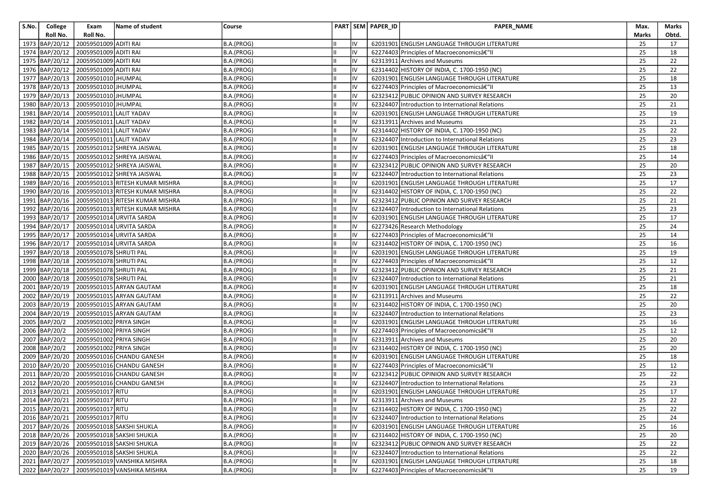| S.No. | College          | Exam                                  | Name of student                            | Course     |    |    | PART SEM PAPER_ID | <b>PAPER NAME</b>                                | Max.  | Marks           |
|-------|------------------|---------------------------------------|--------------------------------------------|------------|----|----|-------------------|--------------------------------------------------|-------|-----------------|
|       | Roll No.         | Roll No.                              |                                            |            |    |    |                   |                                                  | Marks | Obtd.           |
|       | 1973 BAP/20/12   | 20059501009 ADITI RAI                 |                                            | B.A.(PROG) |    |    |                   | 62031901 ENGLISH LANGUAGE THROUGH LITERATURE     | 25    | 17              |
|       | 1974 BAP/20/12   | 20059501009 ADITI RAI                 |                                            | B.A.(PROG) | Ш  | IV |                   | 62274403 Principles of Macroeconomics–II         | 25    | 18              |
|       | 1975 BAP/20/12   | 20059501009 ADITI RAI                 |                                            | B.A.(PROG) |    | IV |                   | 62313911 Archives and Museums                    | 25    | 22              |
|       | 1976 BAP/20/12   | 20059501009 ADITI RAI                 |                                            | B.A.(PROG) |    | IV |                   | 62314402 HISTORY OF INDIA, C. 1700-1950 (NC)     | 25    | 22              |
|       | 1977 BAP/20/13   | 20059501010 JHUMPAL                   |                                            | B.A.(PROG) |    | IV |                   | 62031901 ENGLISH LANGUAGE THROUGH LITERATURE     | 25    | 18              |
|       | 1978   BAP/20/13 | 20059501010 JHUMPAL                   |                                            | B.A.(PROG) |    | IV |                   | 62274403 Principles of Macroeconomicsâ€"II       | 25    | 13              |
|       | 1979 BAP/20/13   | 20059501010 JHUMPAL                   |                                            | B.A.(PROG) |    | IV |                   | 62323412 PUBLIC OPINION AND SURVEY RESEARCH      | 25    | 20              |
|       | 1980 BAP/20/13   | 20059501010 JHUMPAL                   |                                            | B.A.(PROG) |    | IV |                   | 62324407 Introduction to International Relations | 25    | 21              |
|       | 1981 BAP/20/14   | 20059501011 LALIT YADAV               |                                            | B.A.(PROG) |    | IV |                   | 62031901 ENGLISH LANGUAGE THROUGH LITERATURE     | 25    | 19              |
|       | 1982 BAP/20/14   | 20059501011 LALIT YADAV               |                                            | B.A.(PROG) |    | IV |                   | 62313911 Archives and Museums                    | 25    | 21              |
|       | 1983 BAP/20/14   | 20059501011 LALIT YADAV               |                                            | B.A.(PROG) |    | IV |                   | 62314402 HISTORY OF INDIA, C. 1700-1950 (NC)     | 25    | 22              |
|       | 1984 BAP/20/14   | 20059501011 LALIT YADAV               |                                            | B.A.(PROG) |    | IV |                   | 62324407 Introduction to International Relations | 25    | 23              |
|       | 1985 BAP/20/15   |                                       | 20059501012 SHREYA JAISWAL                 | B.A.(PROG) |    | IV |                   | 62031901 ENGLISH LANGUAGE THROUGH LITERATURE     | 25    | 18              |
|       | 1986 BAP/20/15   |                                       | 20059501012 SHREYA JAISWAL                 | B.A.(PROG) |    | IV |                   | 62274403 Principles of Macroeconomicsâ€"II       | 25    | 14              |
|       | 1987 BAP/20/15   |                                       | 20059501012 SHREYA JAISWAL                 | B.A.(PROG) |    | IV |                   | 62323412 PUBLIC OPINION AND SURVEY RESEARCH      | 25    | 20              |
|       | 1988   BAP/20/15 |                                       | 20059501012 SHREYA JAISWAL                 | B.A.(PROG) | Ш  | IV |                   | 62324407 Introduction to International Relations | 25    | 23              |
|       | 1989 BAP/20/16   |                                       | 20059501013 RITESH KUMAR MISHRA            | B.A.(PROG) |    | IV |                   | 62031901 ENGLISH LANGUAGE THROUGH LITERATURE     | 25    | 17              |
|       | 1990 BAP/20/16   |                                       | 20059501013 RITESH KUMAR MISHRA            | B.A.(PROG) |    | IV |                   | 62314402 HISTORY OF INDIA, C. 1700-1950 (NC)     | 25    | 22              |
|       | 1991 BAP/20/16   |                                       | 20059501013 RITESH KUMAR MISHRA            | B.A.(PROG) |    | IV |                   | 62323412 PUBLIC OPINION AND SURVEY RESEARCH      | 25    | 21              |
|       | 1992 BAP/20/16   |                                       | 20059501013 RITESH KUMAR MISHRA            | B.A.(PROG) |    | IV |                   | 62324407 Introduction to International Relations | 25    | 23              |
|       | 1993 BAP/20/17   |                                       | 20059501014 URVITA SARDA                   | B.A.(PROG) |    | IV |                   | 62031901 ENGLISH LANGUAGE THROUGH LITERATURE     | 25    | 17              |
|       | 1994 BAP/20/17   |                                       | 20059501014 URVITA SARDA                   | B.A.(PROG) |    | IV |                   | 62273426 Research Methodology                    | 25    | 24              |
|       | 1995 BAP/20/17   |                                       | 20059501014 URVITA SARDA                   | B.A.(PROG) |    | IV |                   | 62274403 Principles of Macroeconomicsâ€"II       | 25    | 14              |
|       | 1996 BAP/20/17   |                                       | 20059501014 URVITA SARDA                   | B.A.(PROG) |    | IV |                   | 62314402 HISTORY OF INDIA, C. 1700-1950 (NC)     | 25    | 16              |
|       | 1997 BAP/20/18   | 20059501078 SHRUTI PAL                |                                            | B.A.(PROG) |    | IV |                   | 62031901 ENGLISH LANGUAGE THROUGH LITERATURE     | 25    | 19              |
|       | 1998 BAP/20/18   | 20059501078 SHRUTI PAL                |                                            | B.A.(PROG) |    | IV |                   | 62274403 Principles of Macroeconomicsâ€"II       | 25    | 12              |
|       | 1999 BAP/20/18   | 20059501078 SHRUTI PAL                |                                            | B.A.(PROG) | Ш  | IV |                   | 62323412 PUBLIC OPINION AND SURVEY RESEARCH      | 25    | 21              |
|       | 2000 BAP/20/18   | 20059501078 SHRUTI PAL                |                                            | B.A.(PROG) |    | IV |                   | 62324407 Introduction to International Relations | 25    | 21              |
|       | 2001 BAP/20/19   |                                       | 20059501015 ARYAN GAUTAM                   | B.A.(PROG) |    | IV |                   | 62031901 ENGLISH LANGUAGE THROUGH LITERATURE     | 25    | 18              |
|       | 2002 BAP/20/19   |                                       | 20059501015 ARYAN GAUTAM                   | B.A.(PROG) |    | IV |                   | 62313911 Archives and Museums                    | 25    | 22              |
|       | 2003 BAP/20/19   |                                       | 20059501015 ARYAN GAUTAM                   | B.A.(PROG) |    | IV |                   | 62314402 HISTORY OF INDIA, C. 1700-1950 (NC)     | 25    | 20              |
|       | 2004 BAP/20/19   |                                       | 20059501015 ARYAN GAUTAM                   | B.A.(PROG) |    | IV |                   | 62324407 Introduction to International Relations | 25    | 23              |
|       | 2005 BAP/20/2    | 20059501002 PRIYA SINGH               |                                            | B.A.(PROG) |    | IV |                   | 62031901 ENGLISH LANGUAGE THROUGH LITERATURE     | 25    | 16              |
|       | 2006 BAP/20/2    | 20059501002 PRIYA SINGH               |                                            | B.A.(PROG) |    | IV |                   | 62274403 Principles of Macroeconomicsâ€"         | 25    | 12              |
|       | 2007 BAP/20/2    | 20059501002 PRIYA SINGH               |                                            | B.A.(PROG) |    | IV |                   | 62313911 Archives and Museums                    | 25    | 20              |
|       | 2008 BAP/20/2    | 20059501002 PRIYA SINGH               |                                            | B.A.(PROG) |    | IV |                   | 62314402 HISTORY OF INDIA, C. 1700-1950 (NC)     | 25    | 20              |
|       | 2009 BAP/20/20   |                                       | 20059501016 CHANDU GANESH                  | B.A.(PROG) |    | IV |                   | 62031901 ENGLISH LANGUAGE THROUGH LITERATURE     | 25    | 18              |
|       | 2010 BAP/20/20   |                                       | 20059501016 CHANDU GANESH                  | B.A.(PROG) |    | IV |                   | 62274403 Principles of Macroeconomicsâ€"II       | 25    | 12              |
|       | 2011 BAP/20/20   |                                       | 20059501016 CHANDU GANESH                  | B.A.(PROG) |    | IV |                   | 62323412 PUBLIC OPINION AND SURVEY RESEARCH      | 25    | 22              |
|       | 2012 BAP/20/20   |                                       | 20059501016 CHANDU GANESH                  | B.A.(PROG) |    | IV |                   | 62324407 Introduction to International Relations | 25    | 23              |
|       |                  | 2013   BAP/20/21   20059501017   RITU |                                            | B.A.(PROG) | Ш  | IV |                   | 62031901 ENGLISH LANGUAGE THROUGH LITERATURE     | 25    | 17              |
|       |                  | 2014 BAP/20/21 20059501017 RITU       |                                            | B.A.(PROG) |    |    |                   | 62313911 Archives and Museums                    | 25    | $\overline{22}$ |
|       |                  | 2015 BAP/20/21 20059501017 RITU       |                                            | B.A.(PROG) |    | IV |                   | 62314402 HISTORY OF INDIA, C. 1700-1950 (NC)     | 25    | 22              |
|       |                  | 2016 BAP/20/21 20059501017 RITU       |                                            | B.A.(PROG) |    | IV |                   | 62324407 Introduction to International Relations | 25    | 24              |
|       |                  |                                       | 2017 BAP/20/26 20059501018 SAKSHI SHUKLA   | B.A.(PROG) |    | IV |                   | 62031901 ENGLISH LANGUAGE THROUGH LITERATURE     | 25    | 16              |
|       | 2018 BAP/20/26   |                                       | 20059501018 SAKSHI SHUKLA                  | B.A.(PROG) |    | IV |                   | 62314402 HISTORY OF INDIA, C. 1700-1950 (NC)     | 25    | 20              |
|       | 2019 BAP/20/26   |                                       | 20059501018 SAKSHI SHUKLA                  | B.A.(PROG) |    | IV |                   | 62323412 PUBLIC OPINION AND SURVEY RESEARCH      | 25    | 22              |
|       |                  |                                       | 2020 BAP/20/26 20059501018 SAKSHI SHUKLA   | B.A.(PROG) | IШ | IV |                   | 62324407 Introduction to International Relations | 25    | 22              |
|       |                  |                                       | 2021 BAP/20/27 20059501019 VANSHIKA MISHRA | B.A.(PROG) |    | IV |                   | 62031901 ENGLISH LANGUAGE THROUGH LITERATURE     | 25    | 18              |
|       |                  |                                       | 2022 BAP/20/27 20059501019 VANSHIKA MISHRA | B.A.(PROG) |    | IV |                   | 62274403 Principles of Macroeconomicsâ€"II       | 25    | 19              |
|       |                  |                                       |                                            |            |    |    |                   |                                                  |       |                 |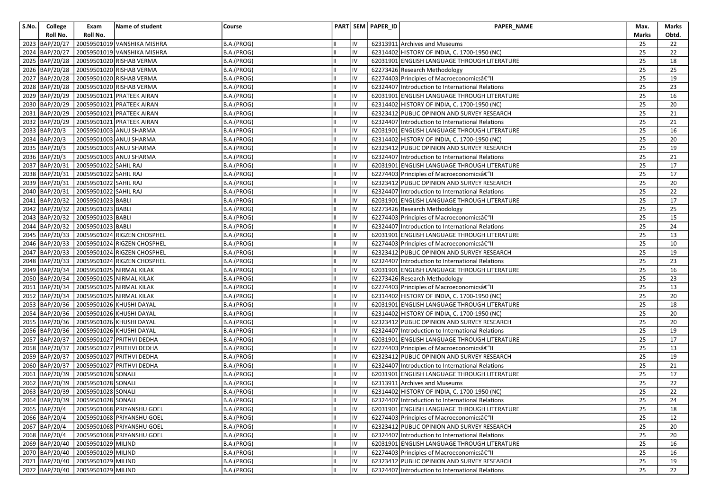| S.No. | College          | Exam                              | Name of student             | Course     |    |    | PART SEM PAPER_ID | PAPER_NAME                                       | Max.  | Marks |
|-------|------------------|-----------------------------------|-----------------------------|------------|----|----|-------------------|--------------------------------------------------|-------|-------|
|       | Roll No.         | Roll No.                          |                             |            |    |    |                   |                                                  | Marks | Obtd. |
|       | 2023 BAP/20/27   |                                   | 20059501019 VANSHIKA MISHRA | B.A.(PROG) |    | IV |                   | 62313911 Archives and Museums                    | 25    | 22    |
|       | 2024 BAP/20/27   |                                   | 20059501019 VANSHIKA MISHRA | B.A.(PROG) | Ш  | IV |                   | 62314402 HISTORY OF INDIA, C. 1700-1950 (NC)     | 25    | 22    |
|       | 2025 BAP/20/28   |                                   | 20059501020 RISHAB VERMA    | B.A.(PROG) |    | IV |                   | 62031901 ENGLISH LANGUAGE THROUGH LITERATURE     | 25    | 18    |
|       | 2026 BAP/20/28   |                                   | 20059501020 RISHAB VERMA    | B.A.(PROG) |    | IV |                   | 62273426 Research Methodology                    | 25    | 25    |
|       | 2027 BAP/20/28   |                                   | 20059501020 RISHAB VERMA    | B.A.(PROG) |    | IV |                   | 62274403 Principles of Macroeconomicsâ€"II       | 25    | 19    |
|       | 2028 BAP/20/28   |                                   | 20059501020 RISHAB VERMA    | B.A.(PROG) |    | IV |                   | 62324407 Introduction to International Relations | 25    | 23    |
|       | 2029 BAP/20/29   |                                   | 20059501021 PRATEEK AIRAN   | B.A.(PROG) |    | IV |                   | 62031901 ENGLISH LANGUAGE THROUGH LITERATURE     | 25    | 16    |
|       | 2030 BAP/20/29   |                                   | 20059501021 PRATEEK AIRAN   | B.A.(PROG) |    | IV |                   | 62314402 HISTORY OF INDIA, C. 1700-1950 (NC)     | 25    | 20    |
|       | 2031 BAP/20/29   |                                   | 20059501021 PRATEEK AIRAN   | B.A.(PROG) |    | IV |                   | 62323412 PUBLIC OPINION AND SURVEY RESEARCH      | 25    | 21    |
|       | 2032 BAP/20/29   |                                   | 20059501021 PRATEEK AIRAN   | B.A.(PROG) |    | IV |                   | 62324407 Introduction to International Relations | 25    | 21    |
|       | 2033 BAP/20/3    |                                   | 20059501003 ANUJ SHARMA     | B.A.(PROG) |    | IV |                   | 62031901 ENGLISH LANGUAGE THROUGH LITERATURE     | 25    | 16    |
|       | 2034 BAP/20/3    |                                   | 20059501003 ANUJ SHARMA     | B.A.(PROG) |    | IV |                   | 62314402 HISTORY OF INDIA, C. 1700-1950 (NC)     | 25    | 20    |
|       | 2035 BAP/20/3    |                                   | 20059501003 ANUJ SHARMA     | B.A.(PROG) |    | IV |                   | 62323412 PUBLIC OPINION AND SURVEY RESEARCH      | 25    | 19    |
|       | 2036 BAP/20/3    |                                   | 20059501003 ANUJ SHARMA     | B.A.(PROG) |    | IV |                   | 62324407 Introduction to International Relations | 25    | 21    |
|       | 2037 BAP/20/31   | 20059501022 SAHIL RAJ             |                             | B.A.(PROG) |    | IV |                   | 62031901 ENGLISH LANGUAGE THROUGH LITERATURE     | 25    | 17    |
|       | 2038 BAP/20/31   | 20059501022 SAHIL RAJ             |                             | B.A.(PROG) | Ш  | IV |                   | 62274403 Principles of Macroeconomicsâ€"II       | 25    | 17    |
|       | 2039 BAP/20/31   | 20059501022 SAHIL RAJ             |                             | B.A.(PROG) |    | IV |                   | 62323412 PUBLIC OPINION AND SURVEY RESEARCH      | 25    | 20    |
|       | 2040 BAP/20/31   | 20059501022 SAHIL RAJ             |                             | B.A.(PROG) |    | IV |                   | 62324407 Introduction to International Relations | 25    | 22    |
|       | 2041 BAP/20/32   | 20059501023 BABLI                 |                             | B.A.(PROG) |    | IV |                   | 62031901 ENGLISH LANGUAGE THROUGH LITERATURE     | 25    | 17    |
|       | 2042 BAP/20/32   | 20059501023 BABLI                 |                             | B.A.(PROG) |    | IV |                   | 62273426 Research Methodology                    | 25    | 25    |
|       | 2043 BAP/20/32   | 20059501023 BABLI                 |                             | B.A.(PROG) |    | IV |                   | 62274403 Principles of Macroeconomics–II         | 25    | 15    |
|       | 2044 BAP/20/32   | 20059501023 BABLI                 |                             | B.A.(PROG) |    | IV |                   | 62324407 Introduction to International Relations | 25    | 24    |
|       | 2045 BAP/20/33   |                                   | 20059501024 RIGZEN CHOSPHEL | B.A.(PROG) |    | IV |                   | 62031901 ENGLISH LANGUAGE THROUGH LITERATURE     | 25    | 13    |
|       | 2046   BAP/20/33 |                                   | 20059501024 RIGZEN CHOSPHEL | B.A.(PROG) |    | IV |                   | 62274403 Principles of Macroeconomicsâ€"II       | 25    | 10    |
|       | 2047 BAP/20/33   |                                   | 20059501024 RIGZEN CHOSPHEL | B.A.(PROG) |    | IV |                   | 62323412 PUBLIC OPINION AND SURVEY RESEARCH      | 25    | 19    |
|       | 2048 BAP/20/33   |                                   | 20059501024 RIGZEN CHOSPHEL | B.A.(PROG) |    | IV |                   | 62324407 Introduction to International Relations | 25    | 23    |
|       | 2049 BAP/20/34   |                                   | 20059501025 NIRMAL KILAK    | B.A.(PROG) | Ш  | IV |                   | 62031901 ENGLISH LANGUAGE THROUGH LITERATURE     | 25    | 16    |
|       | 2050 BAP/20/34   |                                   | 20059501025 NIRMAL KILAK    | B.A.(PROG) |    | IV |                   | 62273426 Research Methodology                    | 25    | 23    |
|       | 2051 BAP/20/34   |                                   | 20059501025 NIRMAL KILAK    | B.A.(PROG) |    | IV |                   | 62274403 Principles of Macroeconomicsâ€"II       | 25    | 13    |
|       | 2052 BAP/20/34   |                                   | 20059501025 NIRMAL KILAK    | B.A.(PROG) |    | IV |                   | 62314402 HISTORY OF INDIA, C. 1700-1950 (NC)     | 25    | 20    |
|       | 2053 BAP/20/36   |                                   | 20059501026 KHUSHI DAYAL    | B.A.(PROG) |    | IV |                   | 62031901 ENGLISH LANGUAGE THROUGH LITERATURE     | 25    | 18    |
|       | 2054 BAP/20/36   |                                   | 20059501026 KHUSHI DAYAL    | B.A.(PROG) |    | IV |                   | 62314402 HISTORY OF INDIA, C. 1700-1950 (NC)     | 25    | 20    |
|       | 2055 BAP/20/36   |                                   | 20059501026 KHUSHI DAYAL    | B.A.(PROG) |    | IV |                   | 62323412 PUBLIC OPINION AND SURVEY RESEARCH      | 25    | 20    |
|       | 2056 BAP/20/36   |                                   | 20059501026 KHUSHI DAYAL    | B.A.(PROG) |    | IV |                   | 62324407 Introduction to International Relations | 25    | 19    |
|       | 2057 BAP/20/37   |                                   | 20059501027 PRITHVI DEDHA   | B.A.(PROG) |    | IV |                   | 62031901 ENGLISH LANGUAGE THROUGH LITERATURE     | 25    | 17    |
|       | 2058 BAP/20/37   |                                   | 20059501027 PRITHVI DEDHA   | B.A.(PROG) |    | IV |                   | 62274403 Principles of Macroeconomicsâ€"II       | 25    | 13    |
|       | 2059 BAP/20/37   |                                   | 20059501027 PRITHVI DEDHA   | B.A.(PROG) |    | IV |                   | 62323412 PUBLIC OPINION AND SURVEY RESEARCH      | 25    | 19    |
|       | 2060 BAP/20/37   |                                   | 20059501027 PRITHVI DEDHA   | B.A.(PROG) |    | IV |                   | 62324407 Introduction to International Relations | 25    | 21    |
|       | 2061 BAP/20/39   | 20059501028 SONALI                |                             | B.A.(PROG) |    | IV |                   | 62031901 ENGLISH LANGUAGE THROUGH LITERATURE     | 25    | 17    |
|       | 2062 BAP/20/39   | 20059501028 SONALI                |                             | B.A.(PROG) |    | IV |                   | 62313911 Archives and Museums                    | 25    | 22    |
|       |                  | 2063 BAP/20/39 20059501028 SONALI |                             | B.A.(PROG) | Iн | IV |                   | 62314402 HISTORY OF INDIA, C. 1700-1950 (NC)     | 25    | 22    |
|       |                  | 2064 BAP/20/39 20059501028 SONALI |                             | B.A.(PROG) |    |    |                   | 62324407 Introduction to International Relations | 25    | 24    |
|       | 2065 BAP/20/4    |                                   | 20059501068 PRIYANSHU GOEL  | B.A.(PROG) |    | IV |                   | 62031901 ENGLISH LANGUAGE THROUGH LITERATURE     | 25    | 18    |
|       | 2066 BAP/20/4    |                                   | 20059501068 PRIYANSHU GOEL  | B.A.(PROG) |    | IV |                   | 62274403 Principles of Macroeconomics–II         | 25    | 12    |
|       | 2067 BAP/20/4    |                                   | 20059501068 PRIYANSHU GOEL  | B.A.(PROG) |    | IV |                   | 62323412 PUBLIC OPINION AND SURVEY RESEARCH      | 25    | 20    |
|       | 2068 BAP/20/4    |                                   | 20059501068 PRIYANSHU GOEL  | B.A.(PROG) |    | IV |                   | 62324407 Introduction to International Relations | 25    | 20    |
|       | 2069 BAP/20/40   | 20059501029 MILIND                |                             | B.A.(PROG) |    | IV |                   | 62031901 ENGLISH LANGUAGE THROUGH LITERATURE     | 25    | 16    |
|       |                  | 2070 BAP/20/40 20059501029 MILIND |                             | B.A.(PROG) | Ш  | IV |                   | 62274403 Principles of Macroeconomics–II         | 25    | 16    |
|       |                  | 2071 BAP/20/40 20059501029 MILIND |                             | B.A.(PROG) |    | IV |                   | 62323412 PUBLIC OPINION AND SURVEY RESEARCH      | 25    | 19    |
|       |                  | 2072 BAP/20/40 20059501029 MILIND |                             | B.A.(PROG) | IШ | IV |                   | 62324407 Introduction to International Relations | 25    | 22    |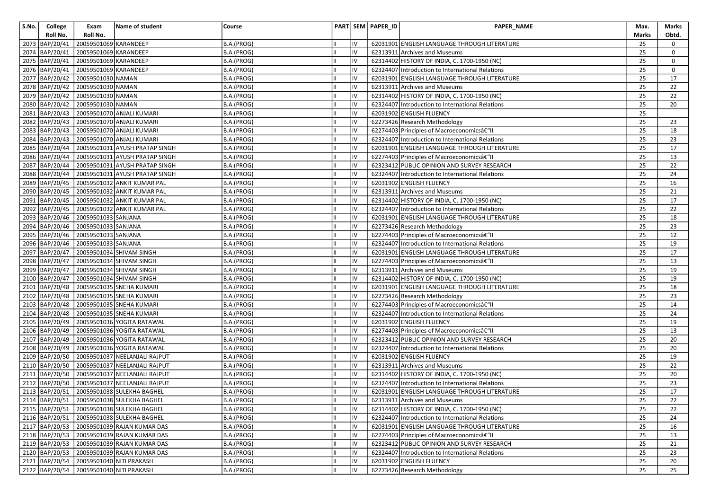| S.No. | College          | Exam                  | Name of student                            | Course     |    |    | PART SEM PAPER_ID | PAPER_NAME                                       | Max.  | Marks           |
|-------|------------------|-----------------------|--------------------------------------------|------------|----|----|-------------------|--------------------------------------------------|-------|-----------------|
|       | Roll No.         | Roll No.              |                                            |            |    |    |                   |                                                  | Marks | Obtd.           |
|       | 2073 BAP/20/41   | 20059501069 KARANDEEP |                                            | B.A.(PROG) |    |    |                   | 62031901 ENGLISH LANGUAGE THROUGH LITERATURE     | 25    | 0               |
|       | 2074 BAP/20/41   | 20059501069 KARANDEEP |                                            | B.A.(PROG) | Ш  | IV |                   | 62313911 Archives and Museums                    | 25    | 0               |
|       | 2075 BAP/20/41   | 20059501069 KARANDEEP |                                            | B.A.(PROG) |    | IV |                   | 62314402 HISTORY OF INDIA, C. 1700-1950 (NC)     | 25    | $\mathbf 0$     |
|       | 2076 BAP/20/41   | 20059501069 KARANDEEP |                                            | B.A.(PROG) |    | IV |                   | 62324407 Introduction to International Relations | 25    | 0               |
|       | 2077 BAP/20/42   | 20059501030 NAMAN     |                                            | B.A.(PROG) |    | IV |                   | 62031901 ENGLISH LANGUAGE THROUGH LITERATURE     | 25    | 17              |
|       | 2078   BAP/20/42 | 20059501030 NAMAN     |                                            | B.A.(PROG) |    | IV |                   | 62313911 Archives and Museums                    | 25    | 22              |
|       | 2079 BAP/20/42   | 20059501030 NAMAN     |                                            | B.A.(PROG) |    | IV |                   | 62314402 HISTORY OF INDIA, C. 1700-1950 (NC)     | 25    | 22              |
|       | 2080 BAP/20/42   | 20059501030 NAMAN     |                                            | B.A.(PROG) |    | IV |                   | 62324407 Introduction to International Relations | 25    | 20              |
|       | 2081 BAP/20/43   |                       | 20059501070 ANJALI KUMARI                  | B.A.(PROG) |    | IV |                   | 62031902 ENGLISH FLUENCY                         | 25    |                 |
|       | 2082 BAP/20/43   |                       | 20059501070 ANJALI KUMARI                  | B.A.(PROG) |    | IV |                   | 62273426 Research Methodology                    | 25    | 23              |
|       | 2083   BAP/20/43 |                       | 20059501070 ANJALI KUMARI                  | B.A.(PROG) |    | IV |                   | 62274403 Principles of Macroeconomicsâ€" II      | 25    | 18              |
|       | 2084 BAP/20/43   |                       | 20059501070 ANJALI KUMARI                  | B.A.(PROG) |    | IV |                   | 62324407 Introduction to International Relations | 25    | 23              |
|       | 2085 BAP/20/44   |                       | 20059501031 AYUSH PRATAP SINGH             | B.A.(PROG) |    | IV |                   | 62031901 ENGLISH LANGUAGE THROUGH LITERATURE     | 25    | 17              |
|       | 2086 BAP/20/44   |                       | 20059501031 AYUSH PRATAP SINGH             | B.A.(PROG) |    | IV |                   | 62274403 Principles of Macroeconomicsâ€" II      | 25    | 13              |
|       | 2087 BAP/20/44   |                       | 20059501031 AYUSH PRATAP SINGH             | B.A.(PROG) |    | IV |                   | 62323412 PUBLIC OPINION AND SURVEY RESEARCH      | 25    | 22              |
|       | 2088 BAP/20/44   |                       | 20059501031 AYUSH PRATAP SINGH             | B.A.(PROG) | Ш  | IV |                   | 62324407 Introduction to International Relations | 25    | 24              |
|       | 2089 BAP/20/45   |                       | 20059501032 ANKIT KUMAR PAL                | B.A.(PROG) |    | IV |                   | 62031902 ENGLISH FLUENCY                         | 25    | 16              |
|       | 2090 BAP/20/45   |                       | 20059501032 ANKIT KUMAR PAL                | B.A.(PROG) |    | IV |                   | 62313911 Archives and Museums                    | 25    | 21              |
|       | 2091 BAP/20/45   |                       | 20059501032 ANKIT KUMAR PAL                | B.A.(PROG) |    | IV |                   | 62314402 HISTORY OF INDIA, C. 1700-1950 (NC)     | 25    | 17              |
|       | 2092 BAP/20/45   |                       | 20059501032 ANKIT KUMAR PAL                | B.A.(PROG) | Ш  | IV |                   | 62324407 Introduction to International Relations | 25    | 22              |
|       | 2093 BAP/20/46   | 20059501033 SANJANA   |                                            | B.A.(PROG) |    | IV |                   | 62031901 ENGLISH LANGUAGE THROUGH LITERATURE     | 25    | 18              |
|       | 2094 BAP/20/46   | 20059501033 SANJANA   |                                            | B.A.(PROG) |    | IV |                   | 62273426 Research Methodology                    | 25    | 23              |
|       | 2095 BAP/20/46   | 20059501033 SANJANA   |                                            | B.A.(PROG) |    | IV |                   | 62274403 Principles of Macroeconomicsâ€"II       | 25    | 12              |
|       | 2096 BAP/20/46   | 20059501033 SANJANA   |                                            | B.A.(PROG) |    | IV |                   | 62324407 Introduction to International Relations | 25    | 19              |
|       | 2097 BAP/20/47   |                       | 20059501034 SHIVAM SINGH                   | B.A.(PROG) |    | IV |                   | 62031901 ENGLISH LANGUAGE THROUGH LITERATURE     | 25    | 17              |
|       | 2098 BAP/20/47   |                       | 20059501034 SHIVAM SINGH                   | B.A.(PROG) |    | IV |                   | 62274403 Principles of Macroeconomicsâ€"II       | 25    | 13              |
|       | 2099 BAP/20/47   |                       | 20059501034 SHIVAM SINGH                   | B.A.(PROG) |    | IV |                   | 62313911 Archives and Museums                    | 25    | 19              |
|       | 2100 BAP/20/47   |                       | 20059501034 SHIVAM SINGH                   | B.A.(PROG) |    | IV |                   | 62314402 HISTORY OF INDIA, C. 1700-1950 (NC)     | 25    | 19              |
|       | 2101 BAP/20/48   |                       | 20059501035 SNEHA KUMARI                   | B.A.(PROG) |    | IV |                   | 62031901 ENGLISH LANGUAGE THROUGH LITERATURE     | 25    | 18              |
|       | 2102 BAP/20/48   |                       | 20059501035 SNEHA KUMARI                   | B.A.(PROG) |    | IV |                   | 62273426 Research Methodology                    | 25    | 23              |
|       | 2103 BAP/20/48   |                       | 20059501035 SNEHA KUMARI                   | B.A.(PROG) |    | IV |                   | 62274403 Principles of Macroeconomicsâ€"II       | 25    | 14              |
|       | 2104 BAP/20/48   |                       | 20059501035 SNEHA KUMARI                   | B.A.(PROG) |    | IV |                   | 62324407 Introduction to International Relations | 25    | 24              |
|       | 2105 BAP/20/49   |                       | 20059501036 YOGITA RATAWAL                 | B.A.(PROG) |    | IV |                   | 62031902 ENGLISH FLUENCY                         | 25    | 19              |
|       | 2106 BAP/20/49   |                       | 20059501036 YOGITA RATAWAL                 | B.A.(PROG) |    | IV |                   | 62274403 Principles of Macroeconomicsâ€"II       | 25    | 13              |
|       | 2107 BAP/20/49   |                       | 20059501036 YOGITA RATAWAL                 | B.A.(PROG) |    | IV |                   | 62323412 PUBLIC OPINION AND SURVEY RESEARCH      | 25    | 20              |
|       | 2108 BAP/20/49   |                       | 20059501036 YOGITA RATAWAL                 | B.A.(PROG) |    | IV |                   | 62324407 Introduction to International Relations | 25    | 20              |
|       | 2109 BAP/20/50   |                       | 20059501037 NEELANJALI RAJPUT              | B.A.(PROG) |    | IV |                   | 62031902 ENGLISH FLUENCY                         | 25    | 19              |
|       | 2110 BAP/20/50   |                       | 20059501037 NEELANJALI RAJPUT              | B.A.(PROG) |    | IV |                   | 62313911 Archives and Museums                    | 25    | 22              |
|       | 2111 BAP/20/50   |                       | 20059501037 NEELANJALI RAJPUT              | B.A.(PROG) |    | IV |                   | 62314402 HISTORY OF INDIA, C. 1700-1950 (NC)     | 25    | 20              |
|       | 2112 BAP/20/50   |                       | 20059501037 NEELANJALI RAJPUT              | B.A.(PROG) |    | IV |                   | 62324407 Introduction to International Relations | 25    | 23              |
|       |                  |                       | 2113 BAP/20/51 20059501038 SULEKHA BAGHEL  | B.A.(PROG) | Iн | IV |                   | 62031901 ENGLISH LANGUAGE THROUGH LITERATURE     | 25    | 17              |
|       |                  |                       | 2114 BAP/20/51 20059501038 SULEKHA BAGHEL  | B.A.(PROG) |    |    |                   | 62313911 Archives and Museums                    | 25    | $\overline{22}$ |
|       |                  |                       | 2115 BAP/20/51 20059501038 SULEKHA BAGHEL  | B.A.(PROG) |    | IV |                   | 62314402 HISTORY OF INDIA, C. 1700-1950 (NC)     | 25    | 22              |
|       |                  |                       | 2116 BAP/20/51 20059501038 SULEKHA BAGHEL  | B.A.(PROG) |    | IV |                   | 62324407 Introduction to International Relations | 25    | 24              |
|       |                  |                       | 2117 BAP/20/53 20059501039 RAJAN KUMAR DAS | B.A.(PROG) |    | IV |                   | 62031901 ENGLISH LANGUAGE THROUGH LITERATURE     | 25    | 16              |
|       | 2118 BAP/20/53   |                       | 20059501039 RAJAN KUMAR DAS                | B.A.(PROG) |    | IV |                   | 62274403 Principles of Macroeconomicsâ€"II       | 25    | 13              |
|       |                  |                       | 2119 BAP/20/53 20059501039 RAJAN KUMAR DAS | B.A.(PROG) |    | IV |                   | 62323412 PUBLIC OPINION AND SURVEY RESEARCH      | 25    | 21              |
|       |                  |                       | 2120 BAP/20/53 20059501039 RAJAN KUMAR DAS | B.A.(PROG) |    | IV |                   | 62324407 Introduction to International Relations | 25    | 23              |
|       |                  |                       | 2121 BAP/20/54 20059501040 NITI PRAKASH    | B.A.(PROG) |    | IV |                   | 62031902 ENGLISH FLUENCY                         | 25    | 20              |
|       |                  |                       | 2122 BAP/20/54 20059501040 NITI PRAKASH    | B.A.(PROG) |    | IV |                   | 62273426 Research Methodology                    | 25    | 25              |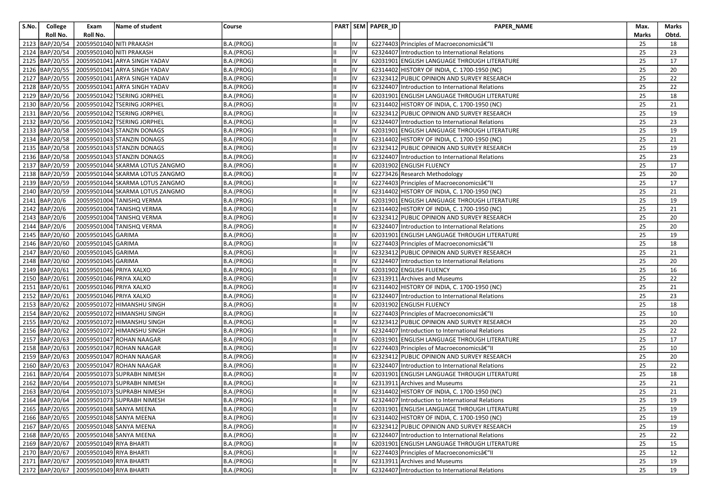| S.No. | College        | Exam                                       | Name of student                                   | Course     |    | PART SEM PAPER_ID | PAPER_NAME                                       | Max.  | Marks |
|-------|----------------|--------------------------------------------|---------------------------------------------------|------------|----|-------------------|--------------------------------------------------|-------|-------|
|       | Roll No.       | Roll No.                                   |                                                   |            |    |                   |                                                  | Marks | Obtd. |
|       | 2123 BAP/20/54 |                                            | 20059501040 NITI PRAKASH                          | B.A.(PROG) | IV |                   | 62274403 Principles of Macroeconomics–II         | 25    | 18    |
|       | 2124 BAP/20/54 |                                            | 20059501040 NITI PRAKASH                          | B.A.(PROG) | IV |                   | 62324407 Introduction to International Relations | 25    | 23    |
|       | 2125 BAP/20/55 |                                            | 20059501041 ARYA SINGH YADAV                      | B.A.(PROG) | IV |                   | 62031901 ENGLISH LANGUAGE THROUGH LITERATURE     | 25    | 17    |
|       | 2126 BAP/20/55 |                                            | 20059501041 ARYA SINGH YADAV                      | B.A.(PROG) | IV |                   | 62314402 HISTORY OF INDIA, C. 1700-1950 (NC)     | 25    | 20    |
|       |                |                                            | 2127 BAP/20/55 20059501041 ARYA SINGH YADAV       | B.A.(PROG) | IV |                   | 62323412 PUBLIC OPINION AND SURVEY RESEARCH      | 25    | 22    |
|       |                |                                            | 2128   BAP/20/55   20059501041   ARYA SINGH YADAV | B.A.(PROG) | IV |                   | 62324407 Introduction to International Relations | 25    | 22    |
|       |                |                                            | 2129 BAP/20/56 20059501042 TSERING JORPHEL        | B.A.(PROG) | IV |                   | 62031901 ENGLISH LANGUAGE THROUGH LITERATURE     | 25    | 18    |
|       |                |                                            | 2130 BAP/20/56 20059501042 TSERING JORPHEL        | B.A.(PROG) | IV |                   | 62314402 HISTORY OF INDIA, C. 1700-1950 (NC)     | 25    | 21    |
|       | 2131 BAP/20/56 |                                            | 20059501042 TSERING JORPHEL                       | B.A.(PROG) | IV |                   | 62323412 PUBLIC OPINION AND SURVEY RESEARCH      | 25    | 19    |
|       |                |                                            | 2132 BAP/20/56 20059501042 TSERING JORPHEL        | B.A.(PROG) | IV |                   | 62324407 Introduction to International Relations | 25    | 23    |
|       |                |                                            | 2133   BAP/20/58   20059501043 STANZIN DONAGS     | B.A.(PROG) | IV |                   | 62031901 ENGLISH LANGUAGE THROUGH LITERATURE     | 25    | 19    |
|       | 2134 BAP/20/58 |                                            | 20059501043 STANZIN DONAGS                        | B.A.(PROG) | IV |                   | 62314402 HISTORY OF INDIA, C. 1700-1950 (NC)     | 25    | 21    |
|       | 2135 BAP/20/58 |                                            | 20059501043 STANZIN DONAGS                        | B.A.(PROG) | IV |                   | 62323412 PUBLIC OPINION AND SURVEY RESEARCH      | 25    | 19    |
|       |                |                                            | 2136   BAP/20/58   20059501043   STANZIN DONAGS   | B.A.(PROG) | IV |                   | 62324407 Introduction to International Relations | 25    | 23    |
|       |                |                                            | 2137 BAP/20/59 20059501044 SKARMA LOTUS ZANGMO    | B.A.(PROG) | IV |                   | 62031902 ENGLISH FLUENCY                         | 25    | 17    |
|       | 2138 BAP/20/59 |                                            | 20059501044 SKARMA LOTUS ZANGMO                   | B.A.(PROG) | IV |                   | 62273426 Research Methodology                    | 25    | 20    |
|       | 2139 BAP/20/59 |                                            | 20059501044 SKARMA LOTUS ZANGMO                   | B.A.(PROG) | IV |                   | 62274403 Principles of Macroeconomicsâ€"II       | 25    | 17    |
|       |                |                                            | 2140 BAP/20/59 20059501044 SKARMA LOTUS ZANGMO    | B.A.(PROG) | IV |                   | 62314402 HISTORY OF INDIA, C. 1700-1950 (NC)     | 25    | 21    |
|       | 2141 BAP/20/6  |                                            | 20059501004 TANISHQ VERMA                         | B.A.(PROG) | IV |                   | 62031901 ENGLISH LANGUAGE THROUGH LITERATURE     | 25    | 19    |
|       | 2142 BAP/20/6  |                                            | 20059501004 TANISHQ VERMA                         | B.A.(PROG) | IV |                   | 62314402 HISTORY OF INDIA, C. 1700-1950 (NC)     | 25    | 21    |
|       | 2143 BAP/20/6  |                                            | 20059501004 TANISHQ VERMA                         | B.A.(PROG) | IV |                   | 62323412 PUBLIC OPINION AND SURVEY RESEARCH      | 25    | 20    |
|       | 2144 BAP/20/6  |                                            | 20059501004 TANISHQ VERMA                         | B.A.(PROG) | IV |                   | 62324407 Introduction to International Relations | 25    | 20    |
|       | 2145 BAP/20/60 | 20059501045 GARIMA                         |                                                   | B.A.(PROG) | IV |                   | 62031901 ENGLISH LANGUAGE THROUGH LITERATURE     | 25    | 19    |
|       |                | 2146   BAP/20/60   20059501045 GARIMA      |                                                   | B.A.(PROG) | IV |                   | 62274403 Principles of Macroeconomicsâ€"II       | 25    | 18    |
|       |                | 2147 BAP/20/60 20059501045 GARIMA          |                                                   | B.A.(PROG) | IV |                   | 62323412 PUBLIC OPINION AND SURVEY RESEARCH      | 25    | 21    |
|       | 2148 BAP/20/60 | 20059501045 GARIMA                         |                                                   | B.A.(PROG) | IV |                   | 62324407 Introduction to International Relations | 25    | 20    |
|       | 2149 BAP/20/61 | 20059501046 PRIYA XALXO                    |                                                   | B.A.(PROG) | IV |                   | 62031902 ENGLISH FLUENCY                         | 25    | 16    |
|       |                | 2150 BAP/20/61 20059501046 PRIYA XALXO     |                                                   | B.A.(PROG) | IV |                   | 62313911 Archives and Museums                    | 25    | 22    |
|       |                | 2151 BAP/20/61 20059501046 PRIYA XALXO     |                                                   | B.A.(PROG) | IV |                   | 62314402 HISTORY OF INDIA, C. 1700-1950 (NC)     | 25    | 21    |
|       | 2152 BAP/20/61 | 20059501046 PRIYA XALXO                    |                                                   | B.A.(PROG) | IV |                   | 62324407 Introduction to International Relations | 25    | 23    |
|       |                |                                            | 2153 BAP/20/62 20059501072 HIMANSHU SINGH         | B.A.(PROG) | IV |                   | 62031902 ENGLISH FLUENCY                         | 25    | 18    |
|       |                |                                            | 2154 BAP/20/62 20059501072 HIMANSHU SINGH         | B.A.(PROG) | IV |                   | 62274403 Principles of Macroeconomicsâ€"II       | 25    | 10    |
|       |                |                                            | 2155 BAP/20/62 20059501072 HIMANSHU SINGH         | B.A.(PROG) | IV |                   | 62323412 PUBLIC OPINION AND SURVEY RESEARCH      | 25    | 20    |
|       | 2156 BAP/20/62 |                                            | 20059501072 HIMANSHU SINGH                        | B.A.(PROG) | IV |                   | 62324407 Introduction to International Relations | 25    | 22    |
|       | 2157 BAP/20/63 |                                            | 20059501047 ROHAN NAAGAR                          | B.A.(PROG) | IV |                   | 62031901 ENGLISH LANGUAGE THROUGH LITERATURE     | 25    | 17    |
|       |                |                                            | 2158 BAP/20/63 20059501047 ROHAN NAAGAR           | B.A.(PROG) | IV |                   | 62274403 Principles of Macroeconomicsâ€" II      | 25    | 10    |
|       | 2159 BAP/20/63 |                                            | 20059501047 ROHAN NAAGAR                          | B.A.(PROG) | IV |                   | 62323412 PUBLIC OPINION AND SURVEY RESEARCH      | 25    | 20    |
|       | 2160 BAP/20/63 |                                            | 20059501047 ROHAN NAAGAR                          | B.A.(PROG) | IV |                   | 62324407 Introduction to International Relations | 25    | 22    |
|       |                |                                            | 2161   BAP/20/64   20059501073   SUPRABH NIMESH   | B.A.(PROG) | IV |                   | 62031901 ENGLISH LANGUAGE THROUGH LITERATURE     | 25    | 18    |
|       |                |                                            | 2162 BAP/20/64 20059501073 SUPRABH NIMESH         | B.A.(PROG) | IV |                   | 62313911 Archives and Museums                    | 25    | 21    |
|       |                |                                            | 2163 BAP/20/64 20059501073 SUPRABH NIMESH         | B.A.(PROG) | IV |                   | 62314402 HISTORY OF INDIA, C. 1700-1950 (NC)     | 25    | 21    |
|       |                |                                            | 2164 BAP/20/64 20059501073 SUPRABH NIMESH         | B.A.(PROG) | IV |                   | 62324407 Introduction to International Relations | 25    | 19    |
|       |                |                                            | 2165 BAP/20/65 20059501048 SANYA MEENA            | B.A.(PROG) | IV |                   | 62031901 ENGLISH LANGUAGE THROUGH LITERATURE     | 25    | 19    |
|       |                |                                            | 2166 BAP/20/65 20059501048 SANYA MEENA            | B.A.(PROG) | IV |                   | 62314402 HISTORY OF INDIA, C. 1700-1950 (NC)     | 25    | 19    |
|       |                |                                            | 2167 BAP/20/65 20059501048 SANYA MEENA            | B.A.(PROG) | IV |                   | 62323412 PUBLIC OPINION AND SURVEY RESEARCH      | 25    | 19    |
|       |                |                                            | 2168 BAP/20/65 20059501048 SANYA MEENA            | B.A.(PROG) | IV |                   | 62324407 Introduction to International Relations | 25    | 22    |
|       |                | 2169 BAP/20/67 20059501049 RIYA BHARTI     |                                                   | B.A.(PROG) | IV |                   | 62031901 ENGLISH LANGUAGE THROUGH LITERATURE     | 25    | 15    |
|       |                | 2170 BAP/20/67 20059501049 RIYA BHARTI     |                                                   | B.A.(PROG) | IV |                   | 62274403 Principles of Macroeconomicsâ€"II       | 25    | 12    |
|       |                | 2171   BAP/20/67   20059501049 RIYA BHARTI |                                                   | B.A.(PROG) | IV |                   | 62313911 Archives and Museums                    | 25    | 19    |
|       |                | 2172 BAP/20/67 20059501049 RIYA BHARTI     |                                                   | B.A.(PROG) | IV |                   | 62324407 Introduction to International Relations | 25    | 19    |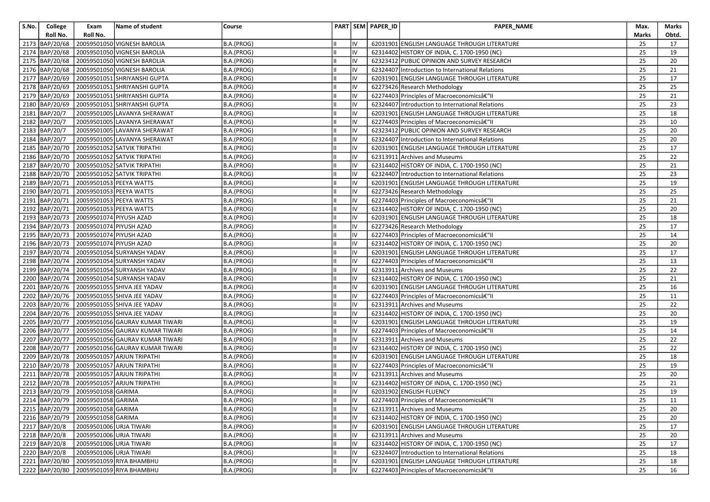| S.No. | College        | Exam                                         | Name of student                                  | Course     |     | PART SEM PAPER ID | PAPER_NAME                                       | Max.  | Marks |
|-------|----------------|----------------------------------------------|--------------------------------------------------|------------|-----|-------------------|--------------------------------------------------|-------|-------|
|       | Roll No.       | Roll No.                                     |                                                  |            |     |                   |                                                  | Marks | Obtd. |
|       | 2173 BAP/20/68 |                                              | 20059501050 VIGNESH BAROLIA                      | B.A.(PROG) | IV  |                   | 62031901 ENGLISH LANGUAGE THROUGH LITERATURE     | 25    | 17    |
|       | 2174 BAP/20/68 |                                              | 20059501050 VIGNESH BAROLIA                      | B.A.(PROG) | IV  |                   | 62314402 HISTORY OF INDIA, C. 1700-1950 (NC)     | 25    | 19    |
|       | 2175 BAP/20/68 |                                              | 20059501050 VIGNESH BAROLIA                      | B.A.(PROG) | IV  |                   | 62323412 PUBLIC OPINION AND SURVEY RESEARCH      | 25    | 20    |
|       |                |                                              | 2176 BAP/20/68 20059501050 VIGNESH BAROLIA       | B.A.(PROG) | IV  |                   | 62324407 Introduction to International Relations | 25    | 21    |
|       |                |                                              | 2177   BAP/20/69   20059501051 SHRIYANSHI GUPTA  | B.A.(PROG) | IV  |                   | 62031901 ENGLISH LANGUAGE THROUGH LITERATURE     | 25    | 17    |
|       |                |                                              | 2178   BAP/20/69   20059501051 SHRIYANSHI GUPTA  | B.A.(PROG) | IV  |                   | 62273426 Research Methodology                    | 25    | 25    |
|       |                |                                              | 2179 BAP/20/69 20059501051 SHRIYANSHI GUPTA      | B.A.(PROG) | IV  |                   | 62274403 Principles of Macroeconomicsâ€"II       | 25    | 21    |
|       | 2180 BAP/20/69 |                                              | 20059501051 SHRIYANSHI GUPTA                     | B.A.(PROG) | IV  |                   | 62324407 Introduction to International Relations | 25    | 23    |
|       | 2181 BAP/20/7  |                                              | 20059501005 LAVANYA SHERAWAT                     | B.A.(PROG) | IV  |                   | 62031901 ENGLISH LANGUAGE THROUGH LITERATURE     | 25    | 18    |
|       | 2182 BAP/20/7  |                                              | 20059501005 LAVANYA SHERAWAT                     | B.A.(PROG) | IV  |                   | 62274403 Principles of Macroeconomicsâ€"II       | 25    | 10    |
|       | 2183 BAP/20/7  |                                              | 20059501005 LAVANYA SHERAWAT                     | B.A.(PROG) | IV  |                   | 62323412 PUBLIC OPINION AND SURVEY RESEARCH      | 25    | 20    |
|       | 2184 BAP/20/7  |                                              | 20059501005 LAVANYA SHERAWAT                     | B.A.(PROG) | IV  |                   | 62324407 Introduction to International Relations | 25    | 20    |
|       |                |                                              | 2185   BAP/20/70   20059501052   SATVIK TRIPATHI | B.A.(PROG) | IV  |                   | 62031901 ENGLISH LANGUAGE THROUGH LITERATURE     | 25    | 17    |
|       |                |                                              | 2186   BAP/20/70   20059501052   SATVIK TRIPATHI | B.A.(PROG) | liv |                   | 62313911 Archives and Museums                    | 25    | 22    |
|       |                |                                              | 2187 BAP/20/70 20059501052 SATVIK TRIPATHI       | B.A.(PROG) | IV  |                   | 62314402 HISTORY OF INDIA, C. 1700-1950 (NC)     | 25    | 21    |
|       |                |                                              | 2188   BAP/20/70   20059501052 SATVIK TRIPATHI   | B.A.(PROG) | IV  |                   | 62324407 Introduction to International Relations | 25    | 23    |
|       |                | 2189 BAP/20/71 20059501053 PEEYA WATTS       |                                                  | B.A.(PROG) | IV  |                   | 62031901 ENGLISH LANGUAGE THROUGH LITERATURE     | 25    | 19    |
|       |                | 2190 BAP/20/71 20059501053 PEEYA WATTS       |                                                  | B.A.(PROG) | IV  |                   | 62273426 Research Methodology                    | 25    | 25    |
|       |                | 2191   BAP/20/71   20059501053   PEEYA WATTS |                                                  | B.A.(PROG) | IV  |                   | 62274403 Principles of Macroeconomicsâ€"II       | 25    | 21    |
|       |                | 2192 BAP/20/71 20059501053 PEEYA WATTS       |                                                  | B.A.(PROG) | IV  |                   | 62314402 HISTORY OF INDIA, C. 1700-1950 (NC)     | 25    | 20    |
|       |                | 2193 BAP/20/73 20059501074 PIYUSH AZAD       |                                                  | B.A.(PROG) | IV  |                   | 62031901 ENGLISH LANGUAGE THROUGH LITERATURE     | 25    | 18    |
|       |                | 2194 BAP/20/73 20059501074 PIYUSH AZAD       |                                                  | B.A.(PROG) | IV  |                   | 62273426 Research Methodology                    | 25    | 17    |
|       |                | 2195 BAP/20/73 20059501074 PIYUSH AZAD       |                                                  | B.A.(PROG) | IV  |                   | 62274403 Principles of Macroeconomicsâ€"II       | 25    | 14    |
|       |                | 2196 BAP/20/73 20059501074 PIYUSH AZAD       |                                                  | B.A.(PROG) | IV  |                   | 62314402 HISTORY OF INDIA, C. 1700-1950 (NC)     | 25    | 20    |
|       |                |                                              | 2197 BAP/20/74 20059501054 SURYANSH YADAV        | B.A.(PROG) | IV  |                   | 62031901 ENGLISH LANGUAGE THROUGH LITERATURE     | 25    | 17    |
|       |                |                                              | 2198 BAP/20/74 20059501054 SURYANSH YADAV        | B.A.(PROG) | IV  |                   | 62274403 Principles of Macroeconomicsâ€"II       | 25    | 13    |
|       |                |                                              | 2199 BAP/20/74 20059501054 SURYANSH YADAV        | B.A.(PROG) | IV  |                   | 62313911 Archives and Museums                    | 25    | 22    |
|       |                |                                              | 2200 BAP/20/74 20059501054 SURYANSH YADAV        | B.A.(PROG) | IV  |                   | 62314402 HISTORY OF INDIA, C. 1700-1950 (NC)     | 25    | 21    |
|       |                |                                              | 2201   BAP/20/76   20059501055 SHIVA JEE YADAV   | B.A.(PROG) | IV  |                   | 62031901 ENGLISH LANGUAGE THROUGH LITERATURE     | 25    | 16    |
|       |                |                                              | 2202   BAP/20/76   20059501055   SHIVA JEE YADAV | B.A.(PROG) | IV  |                   | 62274403 Principles of Macroeconomicsâ€"II       | 25    | 11    |
|       |                |                                              | 2203 BAP/20/76 20059501055 SHIVA JEE YADAV       | B.A.(PROG) | IV  |                   | 62313911 Archives and Museums                    | 25    | 22    |
|       |                |                                              | 2204 BAP/20/76 20059501055 SHIVA JEE YADAV       | B.A.(PROG) | IV  |                   | 62314402 HISTORY OF INDIA, C. 1700-1950 (NC)     | 25    | 20    |
|       |                |                                              | 2205 BAP/20/77 20059501056 GAURAV KUMAR TIWARI   | B.A.(PROG) | IV  |                   | 62031901 ENGLISH LANGUAGE THROUGH LITERATURE     | 25    | 19    |
|       |                |                                              | 2206 BAP/20/77 20059501056 GAURAV KUMAR TIWARI   | B.A.(PROG) | IV  |                   | 62274403 Principles of Macroeconomicsâ€"II       | 25    | 14    |
|       |                |                                              | 2207 BAP/20/77 20059501056 GAURAV KUMAR TIWARI   | B.A.(PROG) | IV  |                   | 62313911 Archives and Museums                    | 25    | 22    |
|       |                |                                              | 2208 BAP/20/77 20059501056 GAURAV KUMAR TIWARI   | B.A.(PROG) | IV  |                   | 62314402 HISTORY OF INDIA, C. 1700-1950 (NC)     | 25    | 22    |
|       |                |                                              | 2209   BAP/20/78   20059501057 ARJUN TRIPATHI    | B.A.(PROG) | IV  |                   | 62031901 ENGLISH LANGUAGE THROUGH LITERATURE     | 25    | 18    |
|       |                |                                              | 2210   BAP/20/78   20059501057   ARJUN TRIPATHI  | B.A.(PROG) | IV  |                   | 62274403 Principles of Macroeconomics–II         | 25    | 19    |
|       |                |                                              | 2211 BAP/20/78 20059501057 ARJUN TRIPATHI        | B.A.(PROG) | IV  |                   | 62313911 Archives and Museums                    | 25    | 20    |
|       |                |                                              | 2212 BAP/20/78 20059501057 ARJUN TRIPATHI        | B.A.(PROG) | IV  |                   | 62314402 HISTORY OF INDIA, C. 1700-1950 (NC)     | 25    | 21    |
|       |                | 2213 BAP/20/79 20059501058 GARIMA            |                                                  | B.A.(PROG) | IV  |                   | 62031902 ENGLISH FLUENCY                         | 25    | 19    |
|       |                | 2214 BAP/20/79 20059501058 GARIMA            |                                                  | B.A.(PROG) | IV  |                   | 62274403 Principles of Macroeconomicsâ€"II       | 25    | 11    |
|       |                | 2215 BAP/20/79 20059501058 GARIMA            |                                                  | B.A.(PROG) | IV  |                   | 62313911 Archives and Museums                    | 25    | 20    |
|       |                | 2216 BAP/20/79 20059501058 GARIMA            |                                                  | B.A.(PROG) | IV  |                   | 62314402 HISTORY OF INDIA, C. 1700-1950 (NC)     | 25    | 20    |
|       | 2217 BAP/20/8  | 20059501006 URJA TIWARI                      |                                                  | B.A.(PROG) | IV  |                   | 62031901 ENGLISH LANGUAGE THROUGH LITERATURE     | 25    | 17    |
|       | 2218 BAP/20/8  | 20059501006 URJA TIWARI                      |                                                  | B.A.(PROG) | IV  |                   | 62313911 Archives and Museums                    | 25    | 20    |
|       | 2219 BAP/20/8  | 20059501006 URJA TIWARI                      |                                                  | B.A.(PROG) | IV  |                   | 62314402 HISTORY OF INDIA, C. 1700-1950 (NC)     | 25    | 17    |
|       | 2220 BAP/20/8  | 20059501006 URJA TIWARI                      |                                                  | B.A.(PROG) | IV  |                   | 62324407 Introduction to International Relations | 25    | 18    |
|       |                |                                              | 2221 BAP/20/80 20059501059 RIYA BHAMBHU          | B.A.(PROG) | IV  |                   | 62031901 ENGLISH LANGUAGE THROUGH LITERATURE     | 25    | 18    |
|       |                |                                              | 2222 BAP/20/80 20059501059 RIYA BHAMBHU          | B.A.(PROG) | liv |                   | 62274403 Principles of Macroeconomicsâ€"II       | 25    | 16    |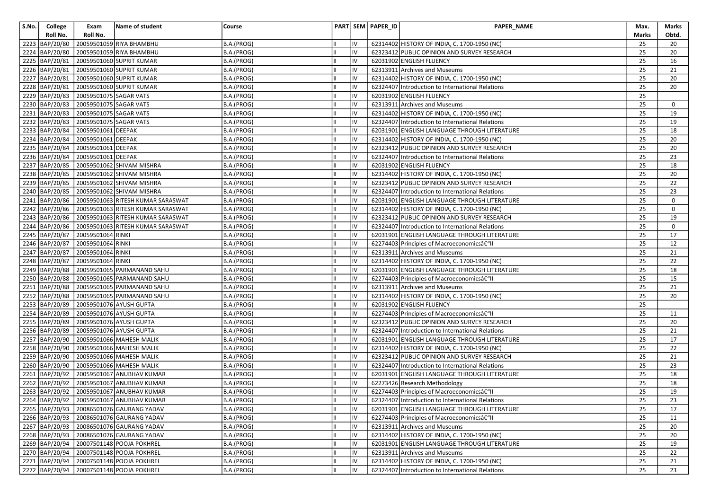| S.No. | College        | Exam                              | Name of student                                  | Course     |     | PART   SEM   PAPER_ID | PAPER_NAME                                       | Max.  | Marks |
|-------|----------------|-----------------------------------|--------------------------------------------------|------------|-----|-----------------------|--------------------------------------------------|-------|-------|
|       | Roll No.       | Roll No.                          |                                                  |            |     |                       |                                                  | Marks | Obtd. |
|       | 2223 BAP/20/80 |                                   | 20059501059 RIYA BHAMBHU                         | B.A.(PROG) | IV  |                       | 62314402 HISTORY OF INDIA, C. 1700-1950 (NC)     | 25    | 20    |
|       | 2224 BAP/20/80 |                                   | 20059501059 RIYA BHAMBHU                         | B.A.(PROG) | IV  |                       | 62323412 PUBLIC OPINION AND SURVEY RESEARCH      | 25    | 20    |
|       | 2225 BAP/20/81 |                                   | 20059501060 SUPRIT KUMAR                         | B.A.(PROG) | IV  |                       | 62031902 ENGLISH FLUENCY                         | 25    | 16    |
|       | 2226 BAP/20/81 |                                   | 20059501060 SUPRIT KUMAR                         | B.A.(PROG) | IV  |                       | 62313911 Archives and Museums                    | 25    | 21    |
|       | 2227 BAP/20/81 |                                   | 20059501060 SUPRIT KUMAR                         | B.A.(PROG) | IV  |                       | 62314402 HISTORY OF INDIA, C. 1700-1950 (NC)     | 25    | 20    |
|       | 2228 BAP/20/81 |                                   | 20059501060 SUPRIT KUMAR                         | B.A.(PROG) | IV  |                       | 62324407 Introduction to International Relations | 25    | 20    |
|       | 2229 BAP/20/83 | 20059501075 SAGAR VATS            |                                                  | B.A.(PROG) | IV  |                       | 62031902 ENGLISH FLUENCY                         | 25    |       |
|       | 2230 BAP/20/83 | 20059501075 SAGAR VATS            |                                                  | B.A.(PROG) | IV  |                       | 62313911 Archives and Museums                    | 25    | 0     |
|       | 2231 BAP/20/83 | 20059501075 SAGAR VATS            |                                                  | B.A.(PROG) | IV  |                       | 62314402 HISTORY OF INDIA, C. 1700-1950 (NC)     | 25    | 19    |
|       | 2232 BAP/20/83 | 20059501075 SAGAR VATS            |                                                  | B.A.(PROG) | IV  |                       | 62324407 Introduction to International Relations | 25    | 19    |
|       | 2233 BAP/20/84 | 20059501061 DEEPAK                |                                                  | B.A.(PROG) | IV  |                       | 62031901 ENGLISH LANGUAGE THROUGH LITERATURE     | 25    | 18    |
|       | 2234 BAP/20/84 | 20059501061 DEEPAK                |                                                  | B.A.(PROG) | IV  |                       | 62314402 HISTORY OF INDIA, C. 1700-1950 (NC)     | 25    | 20    |
|       | 2235 BAP/20/84 | 20059501061 DEEPAK                |                                                  | B.A.(PROG) | IV  |                       | 62323412 PUBLIC OPINION AND SURVEY RESEARCH      | 25    | 20    |
|       |                | 2236 BAP/20/84 20059501061 DEEPAK |                                                  | B.A.(PROG) | liv |                       | 62324407 Introduction to International Relations | 25    | 23    |
|       |                |                                   | 2237 BAP/20/85 20059501062 SHIVAM MISHRA         | B.A.(PROG) | IV  |                       | 62031902 ENGLISH FLUENCY                         | 25    | 18    |
|       |                |                                   | 2238 BAP/20/85 20059501062 SHIVAM MISHRA         | B.A.(PROG) | IV  |                       | 62314402 HISTORY OF INDIA, C. 1700-1950 (NC)     | 25    | 20    |
|       |                |                                   | 2239 BAP/20/85 20059501062 SHIVAM MISHRA         | B.A.(PROG) | IV  |                       | 62323412 PUBLIC OPINION AND SURVEY RESEARCH      | 25    | 22    |
|       |                |                                   | 2240 BAP/20/85 20059501062 SHIVAM MISHRA         | B.A.(PROG) | IV  |                       | 62324407 Introduction to International Relations | 25    | 23    |
|       |                |                                   | 2241 BAP/20/86 20059501063 RITESH KUMAR SARASWAT | B.A.(PROG) | IV  |                       | 62031901 ENGLISH LANGUAGE THROUGH LITERATURE     | 25    | 0     |
|       |                |                                   | 2242 BAP/20/86 20059501063 RITESH KUMAR SARASWAT | B.A.(PROG) | IV  |                       | 62314402 HISTORY OF INDIA, C. 1700-1950 (NC)     | 25    | 0     |
|       |                |                                   | 2243 BAP/20/86 20059501063 RITESH KUMAR SARASWAT | B.A.(PROG) | IV  |                       | 62323412 PUBLIC OPINION AND SURVEY RESEARCH      | 25    | 19    |
|       |                |                                   | 2244 BAP/20/86 20059501063 RITESH KUMAR SARASWAT | B.A.(PROG) | IV  |                       | 62324407 Introduction to International Relations | 25    | 0     |
|       |                | 2245 BAP/20/87 20059501064 RINKI  |                                                  | B.A.(PROG) | IV  |                       | 62031901 ENGLISH LANGUAGE THROUGH LITERATURE     | 25    | 17    |
|       |                | 2246 BAP/20/87 20059501064 RINKI  |                                                  | B.A.(PROG) | IV  |                       | 62274403 Principles of Macroeconomicsâ€"II       | 25    | 12    |
|       |                | 2247 BAP/20/87 20059501064 RINKI  |                                                  | B.A.(PROG) | IV  |                       | 62313911 Archives and Museums                    | 25    | 21    |
|       | 2248 BAP/20/87 | 20059501064 RINKI                 |                                                  | B.A.(PROG) | IV  |                       | 62314402 HISTORY OF INDIA, C. 1700-1950 (NC)     | 25    | 22    |
|       | 2249 BAP/20/88 |                                   | 20059501065 PARMANAND SAHU                       | B.A.(PROG) | IV  |                       | 62031901 ENGLISH LANGUAGE THROUGH LITERATURE     | 25    | 18    |
|       | 2250 BAP/20/88 |                                   | 20059501065 PARMANAND SAHU                       | B.A.(PROG) | IV  |                       | 62274403 Principles of Macroeconomics–II         | 25    | 15    |
|       | 2251 BAP/20/88 |                                   | 20059501065 PARMANAND SAHU                       | B.A.(PROG) | IV  |                       | 62313911 Archives and Museums                    | 25    | 21    |
|       | 2252 BAP/20/88 |                                   | 20059501065 PARMANAND SAHU                       | B.A.(PROG) | IV  |                       | 62314402 HISTORY OF INDIA, C. 1700-1950 (NC)     | 25    | 20    |
|       |                |                                   | 2253 BAP/20/89 20059501076 AYUSH GUPTA           | B.A.(PROG) | IV  |                       | 62031902 ENGLISH FLUENCY                         | 25    |       |
|       |                |                                   | 2254 BAP/20/89 20059501076 AYUSH GUPTA           | B.A.(PROG) | IV  |                       | 62274403 Principles of Macroeconomicsâ€"II       | 25    | 11    |
|       | 2255 BAP/20/89 |                                   | 20059501076 AYUSH GUPTA                          | B.A.(PROG) | IV  |                       | 62323412 PUBLIC OPINION AND SURVEY RESEARCH      | 25    | 20    |
|       | 2256 BAP/20/89 |                                   | 20059501076 AYUSH GUPTA                          | B.A.(PROG) | IV  |                       | 62324407 Introduction to International Relations | 25    | 21    |
|       |                |                                   | 2257 BAP/20/90 20059501066 MAHESH MALIK          | B.A.(PROG) | IV  |                       | 62031901 ENGLISH LANGUAGE THROUGH LITERATURE     | 25    | 17    |
|       |                |                                   | 2258 BAP/20/90 20059501066 MAHESH MALIK          | B.A.(PROG) | IV  |                       | 62314402 HISTORY OF INDIA, C. 1700-1950 (NC)     | 25    | 22    |
|       |                |                                   | 2259 BAP/20/90 20059501066 MAHESH MALIK          | B.A.(PROG) | IV  |                       | 62323412 PUBLIC OPINION AND SURVEY RESEARCH      | 25    | 21    |
|       |                |                                   | 2260 BAP/20/90 20059501066 MAHESH MALIK          | B.A.(PROG) | IV  |                       | 62324407 Introduction to International Relations | 25    | 23    |
|       |                |                                   | 2261 BAP/20/92 20059501067 ANUBHAV KUMAR         | B.A.(PROG) | IV  |                       | 62031901 ENGLISH LANGUAGE THROUGH LITERATURE     | 25    | 18    |
|       |                |                                   | 2262 BAP/20/92 20059501067 ANUBHAV KUMAR         | B.A.(PROG) | IV  |                       | 62273426 Research Methodology                    | 25    | 18    |
|       |                |                                   | 2263 BAP/20/92 20059501067 ANUBHAV KUMAR         | B.A.(PROG) | IV  |                       | 62274403 Principles of Macroeconomics–II         | 25    | 19    |
|       |                |                                   | 2264 BAP/20/92 20059501067 ANUBHAV KUMAR         | B.A.(PROG) | IV  |                       | 62324407 Introduction to International Relations | 25    | 23    |
|       |                |                                   | 2265 BAP/20/93 20086501076 GAURANG YADAV         | B.A.(PROG) | IV  |                       | 62031901 ENGLISH LANGUAGE THROUGH LITERATURE     | 25    | 17    |
|       |                |                                   | 2266 BAP/20/93 20086501076 GAURANG YADAV         | B.A.(PROG) | IV  |                       | 62274403 Principles of Macroeconomicsâ€"II       | 25    | 11    |
|       |                |                                   | 2267 BAP/20/93 20086501076 GAURANG YADAV         | B.A.(PROG) | IV  |                       | 62313911 Archives and Museums                    | 25    | 20    |
|       |                |                                   | 2268 BAP/20/93 20086501076 GAURANG YADAV         | B.A.(PROG) | IV  |                       | 62314402 HISTORY OF INDIA, C. 1700-1950 (NC)     | 25    | 20    |
|       |                |                                   | 2269 BAP/20/94 20007501148 POOJA POKHREL         | B.A.(PROG) | IV  |                       | 62031901 ENGLISH LANGUAGE THROUGH LITERATURE     | 25    | 19    |
|       |                |                                   | 2270 BAP/20/94 20007501148 POOJA POKHREL         | B.A.(PROG) | IV  |                       | 62313911 Archives and Museums                    | 25    | 22    |
|       |                |                                   | 2271 BAP/20/94 20007501148 POOJA POKHREL         | B.A.(PROG) | IV  |                       | 62314402 HISTORY OF INDIA, C. 1700-1950 (NC)     | 25    | 21    |
|       |                |                                   | 2272 BAP/20/94 20007501148 POOJA POKHREL         | B.A.(PROG) | liv |                       | 62324407 Introduction to International Relations | 25    | 23    |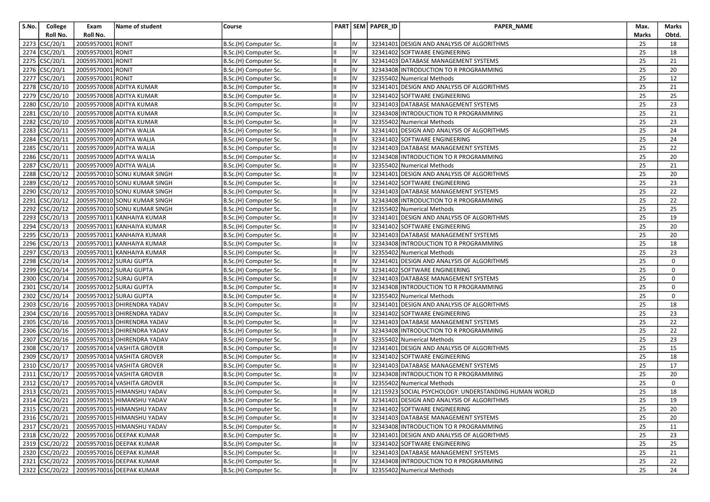| S.No. | College                                     | Exam                    | Name of student                           | Course                |            | PART SEM PAPER_ID | PAPER_NAME                                            | Max.            | Marks |
|-------|---------------------------------------------|-------------------------|-------------------------------------------|-----------------------|------------|-------------------|-------------------------------------------------------|-----------------|-------|
|       | Roll No.                                    | Roll No.                |                                           |                       |            |                   |                                                       | Marks           | Obtd. |
|       | 2273 CSC/20/1                               | 20059570001 RONIT       |                                           | B.Sc.(H) Computer Sc. | IV         |                   | 32341401 DESIGN AND ANALYSIS OF ALGORITHMS            | 25              | 18    |
| 2274  | CSC/20/1                                    | 20059570001 RONIT       |                                           | B.Sc.(H) Computer Sc. | IV         |                   | 32341402 SOFTWARE ENGINEERING                         | 25              | 18    |
| 2275  | CSC/20/1                                    | 20059570001 RONIT       |                                           | B.Sc.(H) Computer Sc. | IV         |                   | 32341403 DATABASE MANAGEMENT SYSTEMS                  | 25              | 21    |
|       | 2276 CSC/20/1                               | 20059570001 RONIT       |                                           | B.Sc.(H) Computer Sc. | IV         |                   | 32343408 INTRODUCTION TO R PROGRAMMING                | 25              | 20    |
| 2277  | CSC/20/1                                    | 20059570001 RONIT       |                                           | B.Sc.(H) Computer Sc. | IV         |                   | 32355402 Numerical Methods                            | 25              | 12    |
|       | 2278 CSC/20/10                              |                         | 20059570008 ADITYA KUMAR                  | B.Sc.(H) Computer Sc. | IV         |                   | 32341401 DESIGN AND ANALYSIS OF ALGORITHMS            | 25              | 21    |
|       | 2279 CSC/20/10                              |                         | 20059570008 ADITYA KUMAR                  | B.Sc.(H) Computer Sc. | IV         |                   | 32341402 SOFTWARE ENGINEERING                         | 25              | 25    |
|       | 2280 CSC/20/10                              |                         | 20059570008 ADITYA KUMAR                  | B.Sc.(H) Computer Sc. | IV         |                   | 32341403 DATABASE MANAGEMENT SYSTEMS                  | 25              | 23    |
|       | 2281 CSC/20/10                              |                         | 20059570008 ADITYA KUMAR                  | B.Sc.(H) Computer Sc. | IV         |                   | 32343408 INTRODUCTION TO R PROGRAMMING                | 25              | 21    |
| 2282  | CSC/20/10                                   |                         | 20059570008 ADITYA KUMAR                  | B.Sc.(H) Computer Sc. | IV         |                   | 32355402 Numerical Methods                            | 25              | 23    |
| 2283  | CSC/20/11                                   |                         | 20059570009 ADITYA WALIA                  | B.Sc.(H) Computer Sc. | IV         |                   | 32341401 DESIGN AND ANALYSIS OF ALGORITHMS            | 25              | 24    |
| 2284  | CSC/20/11                                   |                         | 20059570009 ADITYA WALIA                  | B.Sc.(H) Computer Sc. | IV         |                   | 32341402 SOFTWARE ENGINEERING                         | 25              | 24    |
|       | 2285 CSC/20/11                              |                         | 20059570009 ADITYA WALIA                  | B.Sc.(H) Computer Sc. | IV         |                   | 32341403 DATABASE MANAGEMENT SYSTEMS                  | 25              | 22    |
| 2286  | CSC/20/11                                   |                         | 20059570009 ADITYA WALIA                  | B.Sc.(H) Computer Sc. | IV         |                   | 32343408 INTRODUCTION TO R PROGRAMMING                | 25              | 20    |
| 2287  | CSC/20/11                                   |                         | 20059570009 ADITYA WALIA                  | B.Sc.(H) Computer Sc. | IV         |                   | 32355402 Numerical Methods                            | 25              | 21    |
|       | 2288 CSC/20/12                              |                         | 20059570010 SONU KUMAR SINGH              | B.Sc.(H) Computer Sc. | IV         |                   | 32341401 DESIGN AND ANALYSIS OF ALGORITHMS            | 25              | 20    |
|       | 2289 CSC/20/12                              |                         | 20059570010 SONU KUMAR SINGH              | B.Sc.(H) Computer Sc. | IV         |                   | 32341402 SOFTWARE ENGINEERING                         | 25              | 23    |
| 2290  | CSC/20/12                                   |                         | 20059570010 SONU KUMAR SINGH              | B.Sc.(H) Computer Sc. | IV         |                   | 32341403 DATABASE MANAGEMENT SYSTEMS                  | 25              | 22    |
| 2291  | CSC/20/12                                   |                         | 20059570010 SONU KUMAR SINGH              | B.Sc.(H) Computer Sc. | IV         |                   | 32343408 INTRODUCTION TO R PROGRAMMING                | 25              | 22    |
| 2292  | CSC/20/12                                   |                         | 20059570010 SONU KUMAR SINGH              | B.Sc.(H) Computer Sc. | IV         |                   | 32355402 Numerical Methods                            | 25              | 25    |
| 2293  | CSC/20/13                                   |                         | 20059570011 KANHAIYA KUMAR                | B.Sc.(H) Computer Sc. | IV         |                   | 32341401 DESIGN AND ANALYSIS OF ALGORITHMS            | 25              | 19    |
| 2294  | CSC/20/13                                   |                         | 20059570011 KANHAIYA KUMAR                | B.Sc.(H) Computer Sc. | IV         |                   | 32341402 SOFTWARE ENGINEERING                         | 25              | 20    |
| 2295  | CSC/20/13                                   |                         | 20059570011 KANHAIYA KUMAR                | B.Sc.(H) Computer Sc. | IV         |                   | 32341403 DATABASE MANAGEMENT SYSTEMS                  | 25              | 20    |
|       | 2296 CSC/20/13                              |                         | 20059570011 KANHAIYA KUMAR                | B.Sc.(H) Computer Sc. | IV         |                   | 32343408 INTRODUCTION TO R PROGRAMMING                | 25              | 18    |
|       | 2297 CSC/20/13                              |                         | 20059570011 KANHAIYA KUMAR                | B.Sc.(H) Computer Sc. | IV         |                   | 32355402 Numerical Methods                            | 25              | 23    |
|       | 2298 CSC/20/14                              | 20059570012 SURAJ GUPTA |                                           | B.Sc.(H) Computer Sc. | IV         |                   | 32341401 DESIGN AND ANALYSIS OF ALGORITHMS            | 25              | 0     |
|       | 2299 CSC/20/14                              | 20059570012 SURAJ GUPTA |                                           | B.Sc.(H) Computer Sc. | IV         |                   | 32341402 SOFTWARE ENGINEERING                         | 25              | 0     |
|       | 2300 CSC/20/14                              |                         | 20059570012 SURAJ GUPTA                   | B.Sc.(H) Computer Sc. | IV         |                   | 32341403 DATABASE MANAGEMENT SYSTEMS                  | 25              | 0     |
| 2301  | CSC/20/14                                   | 20059570012 SURAJ GUPTA |                                           | B.Sc.(H) Computer Sc. | IV         |                   | 32343408 INTRODUCTION TO R PROGRAMMING                | 25              | 0     |
| 2302  | CSC/20/14                                   |                         | 20059570012 SURAJ GUPTA                   | B.Sc.(H) Computer Sc. | IV         |                   | 32355402 Numerical Methods                            | 25              | 0     |
| 2303  | CSC/20/16                                   |                         | 20059570013 DHIRENDRA YADAV               | B.Sc.(H) Computer Sc. | IV         |                   | 32341401 DESIGN AND ANALYSIS OF ALGORITHMS            | 25              | 18    |
| 2304  | $\big {\rm CSC}/20/16\big $                 |                         | 20059570013 DHIRENDRA YADAV               | B.Sc.(H) Computer Sc. | IV         |                   | 32341402 SOFTWARE ENGINEERING                         | 25              | 23    |
| 2305  | CSC/20/16                                   |                         | 20059570013 DHIRENDRA YADAV               | B.Sc.(H) Computer Sc. | IV         |                   | 32341403 DATABASE MANAGEMENT SYSTEMS                  | 25              | 22    |
|       | 2306 CSC/20/16                              |                         | 20059570013 DHIRENDRA YADAV               | B.Sc.(H) Computer Sc. | IV         |                   | 32343408 INTRODUCTION TO R PROGRAMMING                | 25              | 22    |
| 2307  | CSC/20/16                                   |                         | 20059570013 DHIRENDRA YADAV               | B.Sc.(H) Computer Sc. | IV         |                   | 32355402 Numerical Methods                            | 25              | 23    |
| 2308  | $\overline{\text{CSC}}\text{/}20\text{/}17$ |                         | 20059570014 VASHITA GROVER                | B.Sc.(H) Computer Sc. | IV         |                   | 32341401 DESIGN AND ANALYSIS OF ALGORITHMS            | 25              | 15    |
| 2309  | CSC/20/17                                   |                         | 20059570014 VASHITA GROVER                | B.Sc.(H) Computer Sc. | IV         |                   | 32341402 SOFTWARE ENGINEERING                         | 25              | 18    |
|       | 2310 CSC/20/17                              |                         | 20059570014 VASHITA GROVER                | B.Sc.(H) Computer Sc. | IV         |                   | 32341403 DATABASE MANAGEMENT SYSTEMS                  | 25              | 17    |
|       | 2311 CSC/20/17                              |                         | 20059570014 VASHITA GROVER                | B.Sc.(H) Computer Sc. | IV         |                   | 32343408 INTRODUCTION TO R PROGRAMMING                | 25              | 20    |
| 2312  | CSC/20/17                                   |                         | 20059570014 VASHITA GROVER                | B.Sc.(H) Computer Sc. | IV         |                   | 32355402 Numerical Methods                            | 25              | 0     |
|       | 2313 CSC/20/21                              |                         | 20059570015 HIMANSHU YADAV                | B.Sc.(H) Computer Sc. | lıv        |                   | 12115923 SOCIAL PSYCHOLOGY: UNDERSTANDING HUMAN WORLD | 25              | 18    |
|       |                                             |                         | 2314 CSC/20/21 20059570015 HIMANSHU YADAV | B.Sc.(H) Computer Sc. | ${\sf IV}$ |                   | 32341401 DESIGN AND ANALYSIS OF ALGORITHMS            | $\overline{25}$ | 19    |
|       |                                             |                         | 2315 CSC/20/21 20059570015 HIMANSHU YADAV | B.Sc.(H) Computer Sc. | lıv        |                   | 32341402 SOFTWARE ENGINEERING                         | 25              | 20    |
|       | 2316 CSC/20/21                              |                         | 20059570015 HIMANSHU YADAV                | B.Sc.(H) Computer Sc. | IV         |                   | 32341403 DATABASE MANAGEMENT SYSTEMS                  | 25              | 20    |
|       | 2317 CSC/20/21                              |                         | 20059570015 HIMANSHU YADAV                | B.Sc.(H) Computer Sc. | IV         |                   | 32343408 INTRODUCTION TO R PROGRAMMING                | 25              | 11    |
|       | 2318 CSC/20/22                              |                         | 20059570016 DEEPAK KUMAR                  | B.Sc.(H) Computer Sc. | IV         |                   | 32341401 DESIGN AND ANALYSIS OF ALGORITHMS            | 25              | 23    |
|       | 2319 CSC/20/22                              |                         | 20059570016 DEEPAK KUMAR                  | B.Sc.(H) Computer Sc. | IV         |                   | 32341402 SOFTWARE ENGINEERING                         | 25              | 25    |
|       | 2320 CSC/20/22                              |                         | 20059570016 DEEPAK KUMAR                  | B.Sc.(H) Computer Sc. | IV         |                   | 32341403 DATABASE MANAGEMENT SYSTEMS                  | 25              | 21    |
|       | 2321 CSC/20/22                              |                         | 20059570016 DEEPAK KUMAR                  | B.Sc.(H) Computer Sc. | IV         |                   | 32343408 INTRODUCTION TO R PROGRAMMING                | 25              | 22    |
|       |                                             |                         | 2322 CSC/20/22 20059570016 DEEPAK KUMAR   | B.Sc.(H) Computer Sc. | liv        |                   | 32355402 Numerical Methods                            | 25              | 24    |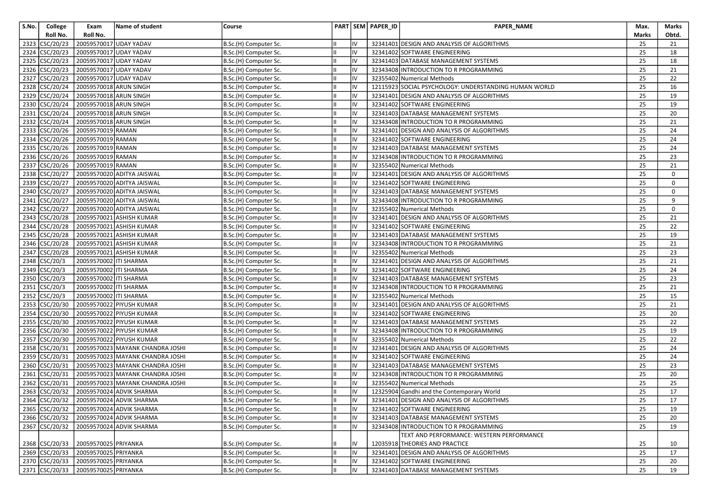| S.No. | College                          | Exam                   | <b>Name of student</b>                  | Course                |    |    | PART SEM PAPER_ID | PAPER_NAME                                            | Max.            | Marks       |
|-------|----------------------------------|------------------------|-----------------------------------------|-----------------------|----|----|-------------------|-------------------------------------------------------|-----------------|-------------|
|       | Roll No.                         | Roll No.               |                                         |                       |    |    |                   |                                                       | Marks           | Obtd.       |
|       | 2323 CSC/20/23                   |                        | 20059570017 UDAY YADAV                  | B.Sc.(H) Computer Sc. |    | IV |                   | 32341401 DESIGN AND ANALYSIS OF ALGORITHMS            | 25              | 21          |
| 2324  | CSC/20/23                        |                        | 20059570017 UDAY YADAV                  | B.Sc.(H) Computer Sc. |    | IV |                   | 32341402 SOFTWARE ENGINEERING                         | 25              | 18          |
| 2325  | CSC/20/23                        |                        | 20059570017 UDAY YADAV                  | B.Sc.(H) Computer Sc. |    | IV |                   | 32341403 DATABASE MANAGEMENT SYSTEMS                  | 25              | 18          |
| 2326  | CSC/20/23                        |                        | 20059570017 UDAY YADAV                  | B.Sc.(H) Computer Sc. |    | IV |                   | 32343408 INTRODUCTION TO R PROGRAMMING                | 25              | 21          |
| 2327  | $\text{CSC}/\text{20}/\text{23}$ |                        | 20059570017 UDAY YADAV                  | B.Sc.(H) Computer Sc. |    | IV |                   | 32355402 Numerical Methods                            | 25              | 22          |
|       | 2328 CSC/20/24                   | 20059570018 ARUN SINGH |                                         | B.Sc.(H) Computer Sc. |    | IV |                   | 12115923 SOCIAL PSYCHOLOGY: UNDERSTANDING HUMAN WORLD | 25              | 16          |
| 2329  | CSC/20/24                        | 20059570018 ARUN SINGH |                                         | B.Sc.(H) Computer Sc. |    | IV |                   | 32341401 DESIGN AND ANALYSIS OF ALGORITHMS            | 25              | 19          |
|       | 2330 CSC/20/24                   | 20059570018 ARUN SINGH |                                         | B.Sc.(H) Computer Sc. |    | IV |                   | 32341402 SOFTWARE ENGINEERING                         | 25              | 19          |
|       | 2331 CSC/20/24                   | 20059570018 ARUN SINGH |                                         | B.Sc.(H) Computer Sc. |    | IV |                   | 32341403 DATABASE MANAGEMENT SYSTEMS                  | 25              | 20          |
|       | 2332 CSC/20/24                   | 20059570018 ARUN SINGH |                                         | B.Sc.(H) Computer Sc. |    | IV |                   | 32343408 INTRODUCTION TO R PROGRAMMING                | 25              | 21          |
| 2333  | CSC/20/26                        | 20059570019 RAMAN      |                                         | B.Sc.(H) Computer Sc. |    | IV |                   | 32341401 DESIGN AND ANALYSIS OF ALGORITHMS            | 25              | 24          |
| 2334  | CSC/20/26                        | 20059570019 RAMAN      |                                         | B.Sc.(H) Computer Sc. |    | IV |                   | 32341402 SOFTWARE ENGINEERING                         | 25              | 24          |
|       | 2335 CSC/20/26                   | 20059570019 RAMAN      |                                         | B.Sc.(H) Computer Sc. |    | IV |                   | 32341403 DATABASE MANAGEMENT SYSTEMS                  | 25              | 24          |
| 2336  | CSC/20/26                        | 20059570019 RAMAN      |                                         | B.Sc.(H) Computer Sc. |    | IV |                   | 32343408 INTRODUCTION TO R PROGRAMMING                | 25              | 23          |
| 2337  | CSC/20/26                        | 20059570019 RAMAN      |                                         | B.Sc.(H) Computer Sc. |    | IV |                   | 32355402 Numerical Methods                            | 25              | 21          |
| 2338  | CSC/20/27                        |                        | 20059570020 ADITYA JAISWAL              | B.Sc.(H) Computer Sc. |    | IV |                   | 32341401 DESIGN AND ANALYSIS OF ALGORITHMS            | 25              | $\mathbf 0$ |
|       | 2339 CSC/20/27                   |                        | 20059570020 ADITYA JAISWAL              | B.Sc.(H) Computer Sc. |    | IV |                   | 32341402 SOFTWARE ENGINEERING                         | 25              | 0           |
| 2340  | CSC/20/27                        |                        | 20059570020 ADITYA JAISWAL              | B.Sc.(H) Computer Sc. |    | IV |                   | 32341403 DATABASE MANAGEMENT SYSTEMS                  | 25              | $\mathbf 0$ |
| 2341  | CSC/20/27                        |                        | 20059570020 ADITYA JAISWAL              | B.Sc.(H) Computer Sc. |    | IV |                   | 32343408 INTRODUCTION TO R PROGRAMMING                | 25              | 9           |
|       | 2342 CSC/20/27                   |                        | 20059570020 ADITYA JAISWAL              | B.Sc.(H) Computer Sc. |    | IV |                   | 32355402 Numerical Methods                            | 25              | $\mathbf 0$ |
| 2343  | CSC/20/28                        |                        | 20059570021 ASHISH KUMAR                | B.Sc.(H) Computer Sc. |    |    |                   | 32341401 DESIGN AND ANALYSIS OF ALGORITHMS            | 25              | 21          |
|       | 2344 CSC/20/28                   |                        | 20059570021 ASHISH KUMAR                | B.Sc.(H) Computer Sc. |    | IV |                   | 32341402 SOFTWARE ENGINEERING                         | 25              | 22          |
| 2345  | CSC/20/28                        |                        | 20059570021 ASHISH KUMAR                | B.Sc.(H) Computer Sc. |    | IV |                   | 32341403 DATABASE MANAGEMENT SYSTEMS                  | 25              | 19          |
| 2346  | CSC/20/28                        |                        | 20059570021 ASHISH KUMAR                | B.Sc.(H) Computer Sc. |    | IV |                   | 32343408 INTRODUCTION TO R PROGRAMMING                | 25              | 21          |
| 2347  | CSC/20/28                        |                        | 20059570021 ASHISH KUMAR                | B.Sc.(H) Computer Sc. |    | IV |                   | 32355402 Numerical Methods                            | 25              | 23          |
| 2348  | $\text{CSC}/\text{20}/\text{3}$  | 20059570002 ITI SHARMA |                                         | B.Sc.(H) Computer Sc. |    | IV |                   | 32341401 DESIGN AND ANALYSIS OF ALGORITHMS            | 25              | 21          |
| 2349  | CSC/20/3                         | 20059570002 ITI SHARMA |                                         | B.Sc.(H) Computer Sc. |    | IV |                   | 32341402 SOFTWARE ENGINEERING                         | 25              | 24          |
|       | 2350 CSC/20/3                    | 20059570002 ITI SHARMA |                                         | B.Sc.(H) Computer Sc. |    | IV |                   | 32341403 DATABASE MANAGEMENT SYSTEMS                  | 25              | 23          |
| 2351  | $\text{CSC}/\text{20}/\text{3}$  | 20059570002 ITI SHARMA |                                         | B.Sc.(H) Computer Sc. |    | IV |                   | 32343408 INTRODUCTION TO R PROGRAMMING                | 25              | 21          |
|       | 2352 CSC/20/3                    | 20059570002 ITI SHARMA |                                         | B.Sc.(H) Computer Sc. |    | IV |                   | 32355402 Numerical Methods                            | 25              | 15          |
|       | 2353 CSC/20/30                   |                        | 20059570022 PIYUSH KUMAR                | B.Sc.(H) Computer Sc. |    | IV |                   | 32341401 DESIGN AND ANALYSIS OF ALGORITHMS            | 25              | 21          |
|       | 2354 CSC/20/30                   |                        | 20059570022 PIYUSH KUMAR                | B.Sc.(H) Computer Sc. |    | IV |                   | 32341402 SOFTWARE ENGINEERING                         | 25              | 20          |
| 2355  | CSC/20/30                        |                        | 20059570022 PIYUSH KUMAR                | B.Sc.(H) Computer Sc. |    | IV |                   | 32341403 DATABASE MANAGEMENT SYSTEMS                  | 25              | 22          |
|       | 2356 CSC/20/30                   |                        | 20059570022 PIYUSH KUMAR                | B.Sc.(H) Computer Sc. |    | IV |                   | 32343408 INTRODUCTION TO R PROGRAMMING                | 25              | 19          |
|       | 2357 CSC/20/30                   |                        | 20059570022 PIYUSH KUMAR                | B.Sc.(H) Computer Sc. |    | IV |                   | 32355402 Numerical Methods                            | 25              | 22          |
| 2358  | CSC/20/31                        |                        | 20059570023 MAYANK CHANDRA JOSHI        | B.Sc.(H) Computer Sc. |    | IV |                   | 32341401 DESIGN AND ANALYSIS OF ALGORITHMS            | 25              | 24          |
| 2359  | CSC/20/31                        |                        | 20059570023 MAYANK CHANDRA JOSHI        | B.Sc.(H) Computer Sc. |    | IV |                   | 32341402 SOFTWARE ENGINEERING                         | 25              | 24          |
| 2360  | CSC/20/31                        |                        | 20059570023 MAYANK CHANDRA JOSHI        | B.Sc.(H) Computer Sc. |    | IV |                   | 32341403 DATABASE MANAGEMENT SYSTEMS                  | 25              | 23          |
|       | 2361 CSC/20/31                   |                        | 20059570023 MAYANK CHANDRA JOSHI        | B.Sc.(H) Computer Sc. |    | IV |                   | 32343408 INTRODUCTION TO R PROGRAMMING                | 25              | 20          |
| 2362  | CSC/20/31                        |                        | 20059570023 MAYANK CHANDRA JOSHI        | B.Sc.(H) Computer Sc. |    | IV |                   | 32355402 Numerical Methods                            | 25              | 25          |
|       | 2363 CSC/20/32                   |                        | 20059570024 ADVIK SHARMA                | B.Sc.(H) Computer Sc. |    | IV |                   | 12325904 Gandhi and the Contemporary World            | 25              | 17          |
|       |                                  |                        | 2364 CSC/20/32 20059570024 ADVIK SHARMA | B.Sc.(H) Computer Sc. | Ш. |    |                   | 32341401 DESIGN AND ANALYSIS OF ALGORITHMS            | $\overline{25}$ | 17          |
|       |                                  |                        | 2365 CSC/20/32 20059570024 ADVIK SHARMA | B.Sc.(H) Computer Sc. |    | IV |                   | 32341402 SOFTWARE ENGINEERING                         | 25              | 19          |
|       | 2366 CSC/20/32                   |                        | 20059570024 ADVIK SHARMA                | B.Sc.(H) Computer Sc. |    | IV |                   | 32341403 DATABASE MANAGEMENT SYSTEMS                  | 25              | 20          |
|       | 2367 CSC/20/32                   |                        | 20059570024 ADVIK SHARMA                | B.Sc.(H) Computer Sc. |    | IV |                   | 32343408 INTRODUCTION TO R PROGRAMMING                | 25              | 19          |
|       |                                  |                        |                                         |                       |    |    |                   | TEXT AND PERFORMANCE: WESTERN PERFORMANCE             |                 |             |
|       | 2368 CSC/20/33                   | 20059570025 PRIYANKA   |                                         | B.Sc.(H) Computer Sc. |    | IV |                   | 12035918 THEORIES AND PRACTICE                        | 25              | 10          |
|       | 2369 CSC/20/33                   | 20059570025 PRIYANKA   |                                         | B.Sc.(H) Computer Sc. |    | IV |                   | 32341401 DESIGN AND ANALYSIS OF ALGORITHMS            | 25              | 17          |
|       | 2370 CSC/20/33                   | 20059570025 PRIYANKA   |                                         | B.Sc.(H) Computer Sc. |    | IV |                   | 32341402 SOFTWARE ENGINEERING                         | 25              | 20          |
|       | 2371 CSC/20/33                   | 20059570025 PRIYANKA   |                                         | B.Sc.(H) Computer Sc. |    | IV |                   | 32341403 DATABASE MANAGEMENT SYSTEMS                  | 25              | 19          |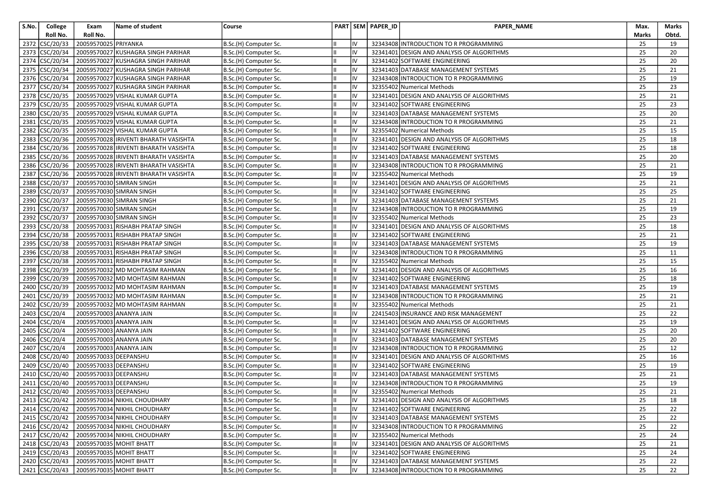| S.No. | College                          | Exam                    | Name of student                                              | Course                                         |           | PART SEM PAPER_ID | PAPER_NAME                                                                  | Max.                  | Marks    |
|-------|----------------------------------|-------------------------|--------------------------------------------------------------|------------------------------------------------|-----------|-------------------|-----------------------------------------------------------------------------|-----------------------|----------|
|       | Roll No.                         | Roll No.                |                                                              |                                                |           |                   |                                                                             | Marks                 | Obtd.    |
| 2372  | CSC/20/33                        | 20059570025 PRIYANKA    |                                                              | B.Sc.(H) Computer Sc.                          | IV        |                   | 32343408 INTRODUCTION TO R PROGRAMMING                                      | 25                    | 19       |
| 2373  | CSC/20/34                        |                         | 20059570027 KUSHAGRA SINGH PARIHAR                           | B.Sc.(H) Computer Sc.                          | IV        |                   | 32341401 DESIGN AND ANALYSIS OF ALGORITHMS                                  | 25                    | 20       |
| 2374  | CSC/20/34                        |                         | 20059570027 KUSHAGRA SINGH PARIHAR                           | B.Sc.(H) Computer Sc.                          | IV        |                   | 32341402 SOFTWARE ENGINEERING                                               | 25                    | 20       |
|       | 2375 CSC/20/34                   |                         | 20059570027 KUSHAGRA SINGH PARIHAR                           | B.Sc.(H) Computer Sc.                          | IV        |                   | 32341403 DATABASE MANAGEMENT SYSTEMS                                        | 25                    | 21       |
| 2376  | CSC/20/34                        |                         | 20059570027 KUSHAGRA SINGH PARIHAR                           | B.Sc.(H) Computer Sc.                          | IV        |                   | 32343408 INTRODUCTION TO R PROGRAMMING                                      | 25                    | 19       |
| 2377  | CSC/20/34                        |                         | 20059570027 KUSHAGRA SINGH PARIHAR                           | B.Sc.(H) Computer Sc.                          | IV        |                   | 32355402 Numerical Methods                                                  | 25                    | 23       |
|       | 2378 CSC/20/35                   |                         | 20059570029 VISHAL KUMAR GUPTA                               | B.Sc.(H) Computer Sc.                          | IV        |                   | 32341401 DESIGN AND ANALYSIS OF ALGORITHMS                                  | 25                    | 21       |
|       | 2379 CSC/20/35                   |                         | 20059570029 VISHAL KUMAR GUPTA                               | B.Sc.(H) Computer Sc.                          | IV        |                   | 32341402 SOFTWARE ENGINEERING                                               | 25                    | 23       |
|       | 2380 CSC/20/35                   |                         | 20059570029 VISHAL KUMAR GUPTA                               | B.Sc.(H) Computer Sc.                          | IV        |                   | 32341403 DATABASE MANAGEMENT SYSTEMS                                        | 25                    | 20       |
| 2381  | CSC/20/35                        |                         | 20059570029 VISHAL KUMAR GUPTA                               | B.Sc.(H) Computer Sc.                          | IV        |                   | 32343408 INTRODUCTION TO R PROGRAMMING                                      | 25                    | 21       |
| 2382  | CSC/20/35                        |                         | 20059570029 VISHAL KUMAR GUPTA                               | B.Sc.(H) Computer Sc.                          | IV        |                   | 32355402 Numerical Methods                                                  | 25                    | 15       |
| 2383  | CSC/20/36                        |                         | 20059570028 IRIVENTI BHARATH VASISHTA                        | B.Sc.(H) Computer Sc.                          | IV        |                   | 32341401 DESIGN AND ANALYSIS OF ALGORITHMS                                  | 25                    | 18       |
| 2384  | CSC/20/36                        |                         | 20059570028 IRIVENTI BHARATH VASISHTA                        | B.Sc.(H) Computer Sc.                          | IV        |                   | 32341402 SOFTWARE ENGINEERING                                               | 25                    | 18       |
| 2385  | CSC/20/36                        |                         | 20059570028 IRIVENTI BHARATH VASISHTA                        | B.Sc.(H) Computer Sc.                          | IV        |                   | 32341403 DATABASE MANAGEMENT SYSTEMS                                        | 25                    | 20       |
| 2386  | CSC/20/36                        |                         | 20059570028 IRIVENTI BHARATH VASISHTA                        | B.Sc.(H) Computer Sc.                          | IV        |                   | 32343408 INTRODUCTION TO R PROGRAMMING                                      | 25                    | 21       |
| 2387  | CSC/20/36                        |                         | 20059570028 IRIVENTI BHARATH VASISHTA                        | B.Sc.(H) Computer Sc.                          | IV        |                   | 32355402 Numerical Methods                                                  | 25                    | 19       |
|       | 2388 CSC/20/37                   |                         | 20059570030 SIMRAN SINGH                                     | B.Sc.(H) Computer Sc.                          | IV        |                   | 32341401 DESIGN AND ANALYSIS OF ALGORITHMS                                  | 25                    | 21       |
|       | 2389 CSC/20/37                   |                         | 20059570030 SIMRAN SINGH                                     | B.Sc.(H) Computer Sc.                          | IV        |                   | 32341402 SOFTWARE ENGINEERING                                               | 25                    | 25       |
| 2390  | CSC/20/37                        |                         | 20059570030 SIMRAN SINGH                                     | B.Sc.(H) Computer Sc.                          | IV        |                   | 32341403 DATABASE MANAGEMENT SYSTEMS                                        | 25                    | 21       |
| 2391  | CSC/20/37                        |                         | 20059570030 SIMRAN SINGH                                     | B.Sc.(H) Computer Sc.                          | IV        |                   | 32343408 INTRODUCTION TO R PROGRAMMING                                      | 25                    | 19       |
| 2392  | CSC/20/37                        |                         | 20059570030 SIMRAN SINGH                                     | B.Sc.(H) Computer Sc.                          | IV        |                   | 32355402 Numerical Methods                                                  | 25                    | 23       |
| 2393  | CSC/20/38                        |                         | 20059570031 RISHABH PRATAP SINGH                             | B.Sc.(H) Computer Sc.                          | IV        |                   | 32341401 DESIGN AND ANALYSIS OF ALGORITHMS                                  | 25                    | 18       |
| 2394  | CSC/20/38                        |                         | 20059570031 RISHABH PRATAP SINGH                             | B.Sc.(H) Computer Sc.                          | IV        |                   | 32341402 SOFTWARE ENGINEERING                                               | 25                    | 21       |
|       | 2395 CSC/20/38                   |                         | 20059570031 RISHABH PRATAP SINGH                             | B.Sc.(H) Computer Sc.                          | IV        |                   | 32341403 DATABASE MANAGEMENT SYSTEMS                                        | 25                    | 19       |
|       | 2396 CSC/20/38                   |                         | 20059570031 RISHABH PRATAP SINGH                             | B.Sc.(H) Computer Sc.                          | IV        |                   | 32343408 INTRODUCTION TO R PROGRAMMING                                      | 25                    | 11       |
| 2397  | CSC/20/38                        |                         | 20059570031 RISHABH PRATAP SINGH                             | B.Sc.(H) Computer Sc.                          | IV        |                   | 32355402 Numerical Methods                                                  | 25                    | 15       |
|       | 2398 CSC/20/39                   |                         | 20059570032 MD MOHTASIM RAHMAN                               | B.Sc.(H) Computer Sc.                          | IV        |                   | 32341401 DESIGN AND ANALYSIS OF ALGORITHMS                                  | 25                    | 16       |
|       | 2399 CSC/20/39                   |                         | 20059570032 MD MOHTASIM RAHMAN                               | B.Sc.(H) Computer Sc.                          | IV        |                   | 32341402 SOFTWARE ENGINEERING                                               | 25                    | 18       |
|       | 2400 CSC/20/39                   |                         | 20059570032 MD MOHTASIM RAHMAN                               | B.Sc.(H) Computer Sc.                          | IV        |                   | 32341403 DATABASE MANAGEMENT SYSTEMS                                        | 25                    | 19       |
| 2401  | CSC/20/39                        |                         | 20059570032 MD MOHTASIM RAHMAN                               | B.Sc.(H) Computer Sc.                          | IV        |                   | 32343408 INTRODUCTION TO R PROGRAMMING                                      | 25                    | 21       |
| 2402  | CSC/20/39                        |                         | 20059570032 MD MOHTASIM RAHMAN                               | B.Sc.(H) Computer Sc.                          | IV        |                   | 32355402 Numerical Methods                                                  | 25                    | 21       |
| 2403  | CSC/20/4                         |                         | 20059570003 ANANYA JAIN                                      | B.Sc.(H) Computer Sc.                          | IV        |                   | 22415403 INSURANCE AND RISK MANAGEMENT                                      | 25                    | 22       |
| 2404  | CSC/20/4                         | 20059570003 ANANYA JAIN |                                                              | B.Sc.(H) Computer Sc.                          | IV        |                   | 32341401 DESIGN AND ANALYSIS OF ALGORITHMS                                  | 25                    | 19       |
|       | 2405 CSC/20/4                    |                         | 20059570003 ANANYA JAIN                                      | B.Sc.(H) Computer Sc.                          | IV        |                   | 32341402 SOFTWARE ENGINEERING                                               | 25                    | 20       |
|       | 2406 CSC/20/4                    |                         | 20059570003 ANANYA JAIN                                      | B.Sc.(H) Computer Sc.                          | IV        |                   | 32341403 DATABASE MANAGEMENT SYSTEMS                                        | 25                    | 20       |
| 2407  | CSC/20/4                         | 20059570003 ANANYA JAIN |                                                              | B.Sc.(H) Computer Sc.                          | IV        |                   | 32343408 INTRODUCTION TO R PROGRAMMING                                      | 25                    | 12       |
| 2408  | CSC/20/40                        | 20059570033 DEEPANSHU   |                                                              | B.Sc.(H) Computer Sc.                          | IV        |                   | 32341401 DESIGN AND ANALYSIS OF ALGORITHMS                                  | 25                    | 16       |
|       | 2409 CSC/20/40                   | 20059570033 DEEPANSHU   |                                                              | B.Sc.(H) Computer Sc.                          | IV        |                   | 32341402 SOFTWARE ENGINEERING                                               | 25                    | 19       |
|       | 2410 CSC/20/40                   | 20059570033 DEEPANSHU   |                                                              | B.Sc.(H) Computer Sc.                          | IV        |                   | 32341403 DATABASE MANAGEMENT SYSTEMS                                        | 25                    | 21       |
| 2411  | CSC/20/40<br>2412 CSC/20/40      | 20059570033 DEEPANSHU   |                                                              | B.Sc.(H) Computer Sc.                          | IV<br>lıv |                   | 32343408 INTRODUCTION TO R PROGRAMMING                                      | 25                    | 19       |
|       |                                  | 20059570033 DEEPANSHU   |                                                              | B.Sc.(H) Computer Sc.                          | IV        |                   | 32355402 Numerical Methods                                                  | 25<br>$\overline{25}$ | 21       |
|       |                                  |                         | 2413 CSC/20/42 20059570034 NIKHIL CHOUDHARY                  | B.Sc.(H) Computer Sc.                          |           |                   | 32341401 DESIGN AND ANALYSIS OF ALGORITHMS                                  |                       | 18       |
|       |                                  |                         | 2414 CSC/20/42 20059570034 NIKHIL CHOUDHARY                  | B.Sc.(H) Computer Sc.                          | lıv       |                   | 32341402 SOFTWARE ENGINEERING                                               | 25                    | 22       |
|       | $\sqrt{2415}$ CSC/20/42          |                         | 20059570034 NIKHIL CHOUDHARY                                 | B.Sc.(H) Computer Sc.                          | IV        |                   | 32341403 DATABASE MANAGEMENT SYSTEMS                                        | 25                    | 22       |
|       | 2416 CSC/20/42                   |                         | 20059570034 NIKHIL CHOUDHARY<br>20059570034 NIKHIL CHOUDHARY | B.Sc.(H) Computer Sc.<br>B.Sc.(H) Computer Sc. | IV<br>IV  |                   | 32343408 INTRODUCTION TO R PROGRAMMING                                      | 25<br>25              | 22<br>24 |
|       | 2417 CSC/20/42<br>2418 CSC/20/43 |                         | 20059570035 MOHIT BHATT                                      |                                                | IV        |                   | 32355402 Numerical Methods                                                  |                       |          |
|       | 2419 CSC/20/43                   |                         | 20059570035 MOHIT BHATT                                      | B.Sc.(H) Computer Sc.<br>B.Sc.(H) Computer Sc. | IV        |                   | 32341401 DESIGN AND ANALYSIS OF ALGORITHMS<br>32341402 SOFTWARE ENGINEERING | 25<br>25              | 21<br>24 |
|       | 2420 CSC/20/43                   |                         | 20059570035 MOHIT BHATT                                      | B.Sc.(H) Computer Sc.                          | IV        |                   | 32341403 DATABASE MANAGEMENT SYSTEMS                                        | 25                    | 22       |
|       |                                  |                         | 2421 CSC/20/43 20059570035 MOHIT BHATT                       | B.Sc.(H) Computer Sc.                          | liv       |                   | 32343408 INTRODUCTION TO R PROGRAMMING                                      | 25                    | 22       |
|       |                                  |                         |                                                              |                                                |           |                   |                                                                             |                       |          |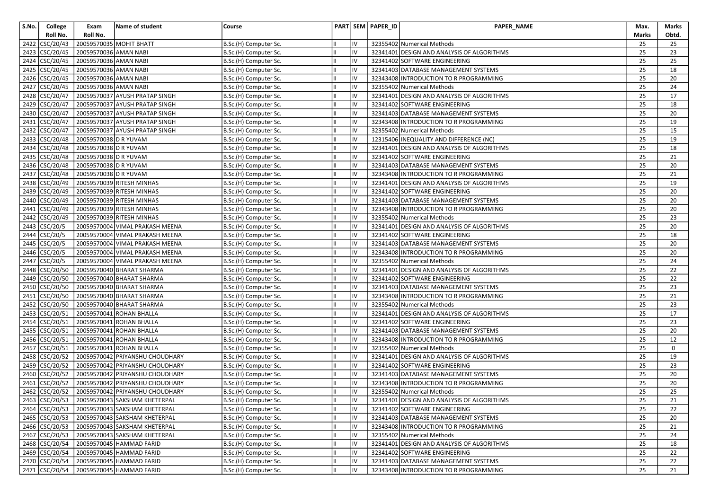| S.No. | College                          | Exam                  | Name of student                              | Course                |    |    | PART SEM PAPER_ID | PAPER_NAME                                 | Max.  | Marks       |
|-------|----------------------------------|-----------------------|----------------------------------------------|-----------------------|----|----|-------------------|--------------------------------------------|-------|-------------|
|       | Roll No.                         | Roll No.              |                                              |                       |    |    |                   |                                            | Marks | Obtd.       |
|       | 2422 CSC/20/43                   |                       | 20059570035 MOHIT BHATT                      | B.Sc.(H) Computer Sc. |    |    |                   | 32355402 Numerical Methods                 | 25    | 25          |
|       | 2423 CSC/20/45                   | 20059570036 AMAN NABI |                                              | B.Sc.(H) Computer Sc. |    | IV |                   | 32341401 DESIGN AND ANALYSIS OF ALGORITHMS | 25    | 23          |
|       | 2424 CSC/20/45                   | 20059570036 AMAN NABI |                                              | B.Sc.(H) Computer Sc. |    | IV |                   | 32341402 SOFTWARE ENGINEERING              | 25    | 25          |
| 2425  | CSC/20/45                        | 20059570036 AMAN NABI |                                              | B.Sc.(H) Computer Sc. |    | IV |                   | 32341403 DATABASE MANAGEMENT SYSTEMS       | 25    | 18          |
|       | 2426 CSC/20/45                   | 20059570036 AMAN NABI |                                              | B.Sc.(H) Computer Sc. |    | IV |                   | 32343408 INTRODUCTION TO R PROGRAMMING     | 25    | 20          |
|       | 2427 CSC/20/45                   | 20059570036 AMAN NABI |                                              | B.Sc.(H) Computer Sc. |    | IV |                   | 32355402 Numerical Methods                 | 25    | 24          |
|       | 2428 CSC/20/47                   |                       | 20059570037 AYUSH PRATAP SINGH               | B.Sc.(H) Computer Sc. |    | IV |                   | 32341401 DESIGN AND ANALYSIS OF ALGORITHMS | 25    | 17          |
| 2429  | CSC/20/47                        |                       | 20059570037 AYUSH PRATAP SINGH               | B.Sc.(H) Computer Sc. |    | IV |                   | 32341402 SOFTWARE ENGINEERING              | 25    | 18          |
|       | 2430 CSC/20/47                   |                       | 20059570037 AYUSH PRATAP SINGH               | B.Sc.(H) Computer Sc. |    | IV |                   | 32341403 DATABASE MANAGEMENT SYSTEMS       | 25    | 20          |
| 2431  | $\text{CSC}/\text{20}/\text{47}$ |                       | 20059570037 AYUSH PRATAP SINGH               | B.Sc.(H) Computer Sc. |    | IV |                   | 32343408 INTRODUCTION TO R PROGRAMMING     | 25    | 19          |
|       | 2432 CSC/20/47                   |                       | 20059570037 AYUSH PRATAP SINGH               | B.Sc.(H) Computer Sc. |    | IV |                   | 32355402 Numerical Methods                 | 25    | 15          |
| 2433  | CSC/20/48                        | 20059570038 D R YUVAM |                                              | B.Sc.(H) Computer Sc. |    | IV |                   | 12315406 INEQUALITY AND DIFFERENCE (NC)    | 25    | 19          |
|       | 2434 CSC/20/48                   | 20059570038 D R YUVAM |                                              | B.Sc.(H) Computer Sc. |    | IV |                   | 32341401 DESIGN AND ANALYSIS OF ALGORITHMS | 25    | 18          |
| 2435  | CSC/20/48                        | 20059570038 D R YUVAM |                                              | B.Sc.(H) Computer Sc. |    | IV |                   | 32341402 SOFTWARE ENGINEERING              | 25    | 21          |
|       | $\frac{1}{2436}$ CSC/20/48       | 20059570038 D R YUVAM |                                              | B.Sc.(H) Computer Sc. |    | IV |                   | 32341403 DATABASE MANAGEMENT SYSTEMS       | 25    | 20          |
|       | 2437 CSC/20/48                   | 20059570038 D R YUVAM |                                              | B.Sc.(H) Computer Sc. |    | IV |                   | 32343408 INTRODUCTION TO R PROGRAMMING     | 25    | 21          |
| 2438  | CSC/20/49                        |                       | 20059570039 RITESH MINHAS                    | B.Sc.(H) Computer Sc. |    | I۷ |                   | 32341401 DESIGN AND ANALYSIS OF ALGORITHMS | 25    | 19          |
| 2439  | CSC/20/49                        |                       | 20059570039 RITESH MINHAS                    | B.Sc.(H) Computer Sc. |    | IV |                   | 32341402 SOFTWARE ENGINEERING              | 25    | 20          |
| 2440  | CSC/20/49                        |                       | 20059570039 RITESH MINHAS                    | B.Sc.(H) Computer Sc. |    | IV |                   | 32341403 DATABASE MANAGEMENT SYSTEMS       | 25    | 20          |
|       | 2441 CSC/20/49                   |                       | 20059570039 RITESH MINHAS                    | B.Sc.(H) Computer Sc. |    | IV |                   | 32343408 INTRODUCTION TO R PROGRAMMING     | 25    | 20          |
| 2442  | CSC/20/49                        |                       | 20059570039 RITESH MINHAS                    | B.Sc.(H) Computer Sc. |    | IV |                   | 32355402 Numerical Methods                 | 25    | 23          |
| 2443  | CSC/20/5                         |                       | 20059570004 VIMAL PRAKASH MEENA              | B.Sc.(H) Computer Sc. |    | IV |                   | 32341401 DESIGN AND ANALYSIS OF ALGORITHMS | 25    | 20          |
| 2444  | CSC/20/5                         |                       | 20059570004 VIMAL PRAKASH MEENA              | B.Sc.(H) Computer Sc. |    | IV |                   | 32341402 SOFTWARE ENGINEERING              | 25    | 18          |
| 2445  | CSC/20/5                         |                       | 20059570004 VIMAL PRAKASH MEENA              | B.Sc.(H) Computer Sc. |    | IV |                   | 32341403 DATABASE MANAGEMENT SYSTEMS       | 25    | 20          |
|       | 2446 CSC/20/5                    |                       | 20059570004 VIMAL PRAKASH MEENA              | B.Sc.(H) Computer Sc. |    |    |                   | 32343408 INTRODUCTION TO R PROGRAMMING     | 25    | 20          |
| 2447  | CSC/20/5                         |                       | 20059570004 VIMAL PRAKASH MEENA              | B.Sc.(H) Computer Sc. |    | I۷ |                   | 32355402 Numerical Methods                 | 25    | 24          |
|       | 2448 CSC/20/50                   |                       | 20059570040 BHARAT SHARMA                    | B.Sc.(H) Computer Sc. |    | IV |                   | 32341401 DESIGN AND ANALYSIS OF ALGORITHMS | 25    | 22          |
|       | 2449 CSC/20/50                   |                       | 20059570040 BHARAT SHARMA                    | B.Sc.(H) Computer Sc. |    |    |                   | 32341402 SOFTWARE ENGINEERING              | 25    | 22          |
|       | 2450 CSC/20/50                   |                       | 20059570040 BHARAT SHARMA                    | B.Sc.(H) Computer Sc. |    | IV |                   | 32341403 DATABASE MANAGEMENT SYSTEMS       | 25    | 23          |
| 2451  | CSC/20/50                        |                       | 20059570040 BHARAT SHARMA                    | B.Sc.(H) Computer Sc. |    | IV |                   | 32343408 INTRODUCTION TO R PROGRAMMING     | 25    | 21          |
|       | $\frac{1}{2452}$ CSC/20/50       |                       | 20059570040 BHARAT SHARMA                    | B.Sc.(H) Computer Sc. |    | IV |                   | 32355402 Numerical Methods                 | 25    | 23          |
|       | 2453 CSC/20/51                   |                       | 20059570041 ROHAN BHALLA                     | B.Sc.(H) Computer Sc. |    | IV |                   | 32341401 DESIGN AND ANALYSIS OF ALGORITHMS | 25    | 17          |
|       | 2454 CSC/20/51                   |                       | 20059570041 ROHAN BHALLA                     | B.Sc.(H) Computer Sc. |    | IV |                   | 32341402 SOFTWARE ENGINEERING              | 25    | 23          |
|       | 2455 CSC/20/51                   |                       | 20059570041 ROHAN BHALLA                     | B.Sc.(H) Computer Sc. |    | IV |                   | 32341403 DATABASE MANAGEMENT SYSTEMS       | 25    | 20          |
| 2456  | CSC/20/51                        |                       | 20059570041 ROHAN BHALLA                     | B.Sc.(H) Computer Sc. |    | I۷ |                   | 32343408 INTRODUCTION TO R PROGRAMMING     | 25    | 12          |
|       | 2457 CSC/20/51                   |                       | 20059570041 ROHAN BHALLA                     | B.Sc.(H) Computer Sc. |    | IV |                   | 32355402 Numerical Methods                 | 25    | $\mathbf 0$ |
| 2458  | CSC/20/52                        |                       | 20059570042 PRIYANSHU CHOUDHARY              | B.Sc.(H) Computer Sc. |    | IV |                   | 32341401 DESIGN AND ANALYSIS OF ALGORITHMS | 25    | 19          |
| 2459  | CSC/20/52                        |                       | 20059570042 PRIYANSHU CHOUDHARY              | B.Sc.(H) Computer Sc. |    | IV |                   | 32341402 SOFTWARE ENGINEERING              | 25    | 23          |
|       | 2460 CSC/20/52                   |                       | 20059570042 PRIYANSHU CHOUDHARY              | B.Sc.(H) Computer Sc. |    | IV |                   | 32341403 DATABASE MANAGEMENT SYSTEMS       | 25    | 20          |
|       | 2461 CSC/20/52                   |                       | 20059570042 PRIYANSHU CHOUDHARY              | B.Sc.(H) Computer Sc. |    | IV |                   | 32343408 INTRODUCTION TO R PROGRAMMING     | 25    | 20          |
|       | 2462 CSC/20/52                   |                       | 20059570042 PRIYANSHU CHOUDHARY              | B.Sc.(H) Computer Sc. |    | IV |                   | 32355402 Numerical Methods                 | 25    | 25          |
|       |                                  |                       | 2463 CSC/20/53 20059570043 SAKSHAM KHETERPAL | B.Sc.(H) Computer Sc. |    |    |                   | 32341401 DESIGN AND ANALYSIS OF ALGORITHMS | 25    | 21          |
|       | 2464 CSC/20/53                   |                       | 20059570043 SAKSHAM KHETERPAL                | B.Sc.(H) Computer Sc. |    | IV |                   | 32341402 SOFTWARE ENGINEERING              | 25    | 22          |
|       | 2465 CSC/20/53                   |                       | 20059570043 SAKSHAM KHETERPAL                | B.Sc.(H) Computer Sc. |    | IV |                   | 32341403 DATABASE MANAGEMENT SYSTEMS       | 25    | 20          |
|       | 2466 CSC/20/53                   |                       | 20059570043 SAKSHAM KHETERPAL                | B.Sc.(H) Computer Sc. |    | IV |                   | 32343408 INTRODUCTION TO R PROGRAMMING     | 25    | 21          |
|       | 2467 CSC/20/53                   |                       | 20059570043 SAKSHAM KHETERPAL                | B.Sc.(H) Computer Sc. |    | IV |                   | 32355402 Numerical Methods                 | 25    | 24          |
|       | 2468 CSC/20/54                   |                       | 20059570045 HAMMAD FARID                     | B.Sc.(H) Computer Sc. |    | IV |                   | 32341401 DESIGN AND ANALYSIS OF ALGORITHMS | 25    | 18          |
|       | 2469 CSC/20/54                   |                       | 20059570045 HAMMAD FARID                     | B.Sc.(H) Computer Sc. |    | IV |                   | 32341402 SOFTWARE ENGINEERING              | 25    | 22          |
|       | 2470 CSC/20/54                   |                       | 20059570045 HAMMAD FARID                     | B.Sc.(H) Computer Sc. |    | IV |                   | 32341403 DATABASE MANAGEMENT SYSTEMS       | 25    | 22          |
|       | 2471 CSC/20/54                   |                       | 20059570045 HAMMAD FARID                     | B.Sc.(H) Computer Sc. | IШ | IV |                   | 32343408 INTRODUCTION TO R PROGRAMMING     | 25    | 21          |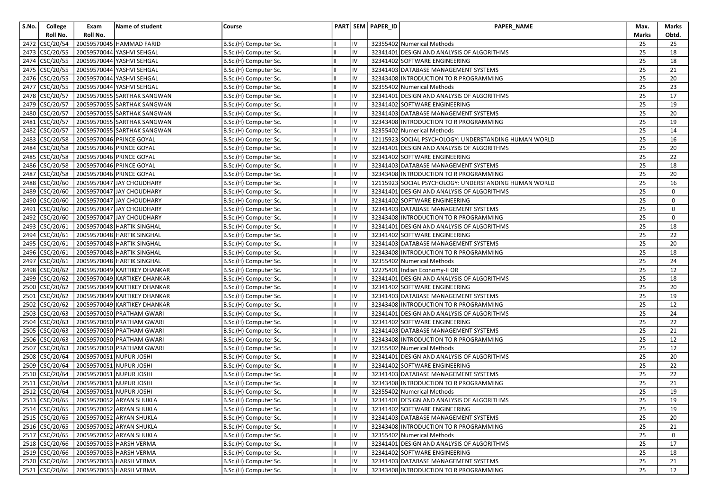| S.No. | College                          | Exam                                   | Name of student                           | Course                |                 | PART SEM PAPER_ID | PAPER_NAME                                            | Max.            | Marks       |
|-------|----------------------------------|----------------------------------------|-------------------------------------------|-----------------------|-----------------|-------------------|-------------------------------------------------------|-----------------|-------------|
|       | Roll No.                         | Roll No.                               |                                           |                       |                 |                   |                                                       | Marks           | Obtd.       |
|       | 2472 CSC/20/54                   |                                        | 20059570045 HAMMAD FARID                  | B.Sc.(H) Computer Sc. | ı٧              |                   | 32355402 Numerical Methods                            | 25              | 25          |
|       | 2473 CSC/20/55                   |                                        | 20059570044 YASHVI SEHGAL                 | B.Sc.(H) Computer Sc. | IV              |                   | 32341401 DESIGN AND ANALYSIS OF ALGORITHMS            | 25              | 18          |
|       | 2474 CSC/20/55                   |                                        | 20059570044 YASHVI SEHGAL                 | B.Sc.(H) Computer Sc. | IV              |                   | 32341402 SOFTWARE ENGINEERING                         | 25              | 18          |
|       | 2475 CSC/20/55                   |                                        | 20059570044 YASHVI SEHGAL                 | B.Sc.(H) Computer Sc. | IV              |                   | 32341403 DATABASE MANAGEMENT SYSTEMS                  | 25              | 21          |
|       | 2476 CSC/20/55                   |                                        | 20059570044 YASHVI SEHGAL                 | B.Sc.(H) Computer Sc. | IV              |                   | 32343408 INTRODUCTION TO R PROGRAMMING                | 25              | 20          |
|       | 2477 CSC/20/55                   |                                        | 20059570044 YASHVI SEHGAL                 | B.Sc.(H) Computer Sc. | IV              |                   | 32355402 Numerical Methods                            | 25              | 23          |
|       | 2478 CSC/20/57                   |                                        | 20059570055 SARTHAK SANGWAN               | B.Sc.(H) Computer Sc. | IV              |                   | 32341401 DESIGN AND ANALYSIS OF ALGORITHMS            | 25              | 17          |
|       | 2479 CSC/20/57                   |                                        | 20059570055 SARTHAK SANGWAN               | B.Sc.(H) Computer Sc. | I۷              |                   | 32341402 SOFTWARE ENGINEERING                         | 25              | 19          |
|       | 2480 CSC/20/57                   |                                        | 20059570055 SARTHAK SANGWAN               | B.Sc.(H) Computer Sc. | IV              |                   | 32341403 DATABASE MANAGEMENT SYSTEMS                  | 25              | 20          |
|       | 2481 CSC/20/57                   |                                        | 20059570055 SARTHAK SANGWAN               | B.Sc.(H) Computer Sc. | I۷              |                   | 32343408 INTRODUCTION TO R PROGRAMMING                | 25              | 19          |
| 2482  | CSC/20/57                        |                                        | 20059570055 SARTHAK SANGWAN               | B.Sc.(H) Computer Sc. | IV              |                   | 32355402 Numerical Methods                            | 25              | 14          |
|       | 2483 CSC/20/58                   |                                        | 20059570046 PRINCE GOYAL                  | B.Sc.(H) Computer Sc. | I۷              |                   | 12115923 SOCIAL PSYCHOLOGY: UNDERSTANDING HUMAN WORLD | 25              | 16          |
|       | 2484 CSC/20/58                   |                                        | 20059570046 PRINCE GOYAL                  | B.Sc.(H) Computer Sc. | IV              |                   | 32341401 DESIGN AND ANALYSIS OF ALGORITHMS            | 25              | 20          |
|       | 2485 CSC/20/58                   |                                        | 20059570046 PRINCE GOYAL                  | B.Sc.(H) Computer Sc. | IV              |                   | 32341402 SOFTWARE ENGINEERING                         | 25              | 22          |
|       | 2486 CSC/20/58                   |                                        | 20059570046 PRINCE GOYAL                  | B.Sc.(H) Computer Sc. | IV              |                   | 32341403 DATABASE MANAGEMENT SYSTEMS                  | 25              | 18          |
|       | 2487 CSC/20/58                   |                                        | 20059570046 PRINCE GOYAL                  | B.Sc.(H) Computer Sc. | IV              |                   | 32343408 INTRODUCTION TO R PROGRAMMING                | 25              | 20          |
|       | 2488 CSC/20/60                   |                                        | 20059570047 JAY CHOUDHARY                 | B.Sc.(H) Computer Sc. | IV              |                   | 12115923 SOCIAL PSYCHOLOGY: UNDERSTANDING HUMAN WORLD | 25              | 16          |
|       | 2489 CSC/20/60                   |                                        | 20059570047 JAY CHOUDHARY                 | B.Sc.(H) Computer Sc. | IV              |                   | 32341401 DESIGN AND ANALYSIS OF ALGORITHMS            | 25              | 0           |
|       | 2490 CSC/20/60                   |                                        | 20059570047 JAY CHOUDHARY                 | B.Sc.(H) Computer Sc. | I۷              |                   | 32341402 SOFTWARE ENGINEERING                         | 25              | 0           |
|       | 2491 CSC/20/60                   |                                        | 20059570047 JAY CHOUDHARY                 | B.Sc.(H) Computer Sc. | IV              |                   | 32341403 DATABASE MANAGEMENT SYSTEMS                  | 25              | $\mathbf 0$ |
|       | 2492 CSC/20/60                   |                                        | 20059570047 JAY CHOUDHARY                 | B.Sc.(H) Computer Sc. | IV              |                   | 32343408 INTRODUCTION TO R PROGRAMMING                | 25              | $\mathbf 0$ |
|       | 2493 CSC/20/61                   |                                        | 20059570048 HARTIK SINGHAL                | B.Sc.(H) Computer Sc. | IV              |                   | 32341401 DESIGN AND ANALYSIS OF ALGORITHMS            | 25              | 18          |
| 2494  | $\text{CSC}/\text{20}/\text{61}$ |                                        | 20059570048 HARTIK SINGHAL                | B.Sc.(H) Computer Sc. | IV              |                   | 32341402 SOFTWARE ENGINEERING                         | 25              | 22          |
|       |                                  |                                        | 2495 CSC/20/61 20059570048 HARTIK SINGHAL | B.Sc.(H) Computer Sc. | IV              |                   | 32341403 DATABASE MANAGEMENT SYSTEMS                  | 25              | 20          |
|       |                                  |                                        | 2496 CSC/20/61 20059570048 HARTIK SINGHAL | B.Sc.(H) Computer Sc. | IV              |                   | 32343408 INTRODUCTION TO R PROGRAMMING                | 25              | 18          |
| 2497  | $\text{CSC}/\text{20}/\text{61}$ |                                        | 20059570048 HARTIK SINGHAL                | B.Sc.(H) Computer Sc. | I۷              |                   | 32355402 Numerical Methods                            | 25              | 24          |
|       | $\frac{1}{2498}$ CSC/20/62       |                                        | 20059570049 KARTIKEY DHANKAR              | B.Sc.(H) Computer Sc. | IV              |                   | 12275401 Indian Economy-II OR                         | 25              | 12          |
|       | 2499 CSC/20/62                   |                                        | 20059570049 KARTIKEY DHANKAR              | B.Sc.(H) Computer Sc. | I۷              |                   | 32341401 DESIGN AND ANALYSIS OF ALGORITHMS            | 25              | 18          |
|       | 2500 CSC/20/62                   |                                        | 20059570049 KARTIKEY DHANKAR              | B.Sc.(H) Computer Sc. | IV              |                   | 32341402 SOFTWARE ENGINEERING                         | 25              | 20          |
| 2501  | $\text{CSC}/\text{20}/\text{62}$ |                                        | 20059570049 KARTIKEY DHANKAR              | B.Sc.(H) Computer Sc. | IV              |                   | 32341403 DATABASE MANAGEMENT SYSTEMS                  | 25              | 19          |
|       | 2502 CSC/20/62                   |                                        | 20059570049 KARTIKEY DHANKAR              | B.Sc.(H) Computer Sc. | IV              |                   | 32343408 INTRODUCTION TO R PROGRAMMING                | 25              | 12          |
|       | 2503 CSC/20/63                   |                                        | 20059570050 PRATHAM GWARI                 | B.Sc.(H) Computer Sc. | IV              |                   | 32341401 DESIGN AND ANALYSIS OF ALGORITHMS            | 25              | 24          |
|       | 2504 CSC/20/63                   |                                        | 20059570050 PRATHAM GWARI                 | B.Sc.(H) Computer Sc. | I۷              |                   | 32341402 SOFTWARE ENGINEERING                         | 25              | 22          |
|       | 2505 CSC/20/63                   |                                        | 20059570050 PRATHAM GWARI                 | B.Sc.(H) Computer Sc. | IV              |                   | 32341403 DATABASE MANAGEMENT SYSTEMS                  | 25              | 21          |
|       | 2506 CSC/20/63                   |                                        | 20059570050 PRATHAM GWARI                 | B.Sc.(H) Computer Sc. | I۷              |                   | 32343408 INTRODUCTION TO R PROGRAMMING                | 25              | 12          |
| 2507  | $\big $ CSC/20/63                |                                        | 20059570050 PRATHAM GWARI                 | B.Sc.(H) Computer Sc. | IV              |                   | 32355402 Numerical Methods                            | 25              | 12          |
| 2508  | $\big $ CSC/20/64                |                                        | 20059570051 NUPUR JOSHI                   | B.Sc.(H) Computer Sc. | IV              |                   | 32341401 DESIGN AND ANALYSIS OF ALGORITHMS            | 25              | 20          |
|       | 2509 CSC/20/64                   |                                        | 20059570051 NUPUR JOSHI                   | B.Sc.(H) Computer Sc. | IV              |                   | 32341402 SOFTWARE ENGINEERING                         | 25              | 22          |
|       |                                  | 2510 CSC/20/64 20059570051 NUPUR JOSHI |                                           | B.Sc.(H) Computer Sc. | IV              |                   | 32341403 DATABASE MANAGEMENT SYSTEMS                  | 25              | 22          |
|       | 2511 CSC/20/64                   |                                        | 20059570051 NUPUR JOSHI                   | B.Sc.(H) Computer Sc. | IV              |                   | 32343408 INTRODUCTION TO R PROGRAMMING                | 25              | 21          |
|       |                                  | 2512 CSC/20/64 20059570051 NUPUR JOSHI |                                           | B.Sc.(H) Computer Sc. | IV              |                   | 32355402 Numerical Methods                            | 25              | 19          |
|       |                                  |                                        | 2513 CSC/20/65 20059570052 ARYAN SHUKLA   | B.Sc.(H) Computer Sc. | $\overline{IV}$ |                   | 32341401 DESIGN AND ANALYSIS OF ALGORITHMS            | $\overline{25}$ | 19          |
|       |                                  |                                        | 2514 CSC/20/65 20059570052 ARYAN SHUKLA   | B.Sc.(H) Computer Sc. | IV              |                   | 32341402 SOFTWARE ENGINEERING                         | 25              | 19          |
|       |                                  |                                        | 2515 CSC/20/65 20059570052 ARYAN SHUKLA   | B.Sc.(H) Computer Sc. | IV              |                   | 32341403 DATABASE MANAGEMENT SYSTEMS                  | 25              | 20          |
|       |                                  |                                        | 2516 CSC/20/65 20059570052 ARYAN SHUKLA   | B.Sc.(H) Computer Sc. | IV              |                   | 32343408 INTRODUCTION TO R PROGRAMMING                | 25              | 21          |
|       |                                  |                                        | 2517 CSC/20/65 20059570052 ARYAN SHUKLA   | B.Sc.(H) Computer Sc. | IV              |                   | 32355402 Numerical Methods                            | 25              | 0           |
|       |                                  |                                        | 2518 CSC/20/66 20059570053 HARSH VERMA    | B.Sc.(H) Computer Sc. | IV              |                   | 32341401 DESIGN AND ANALYSIS OF ALGORITHMS            | 25              | 17          |
|       |                                  |                                        | 2519 CSC/20/66 20059570053 HARSH VERMA    | B.Sc.(H) Computer Sc. | IV              |                   | 32341402 SOFTWARE ENGINEERING                         | 25              | 18          |
|       |                                  |                                        | 2520 CSC/20/66 20059570053 HARSH VERMA    | B.Sc.(H) Computer Sc. | IV              |                   | 32341403 DATABASE MANAGEMENT SYSTEMS                  | 25              | 21          |
|       |                                  |                                        | 2521 CSC/20/66 20059570053 HARSH VERMA    | B.Sc.(H) Computer Sc. | IV              |                   | 32343408 INTRODUCTION TO R PROGRAMMING                | 25              | 12          |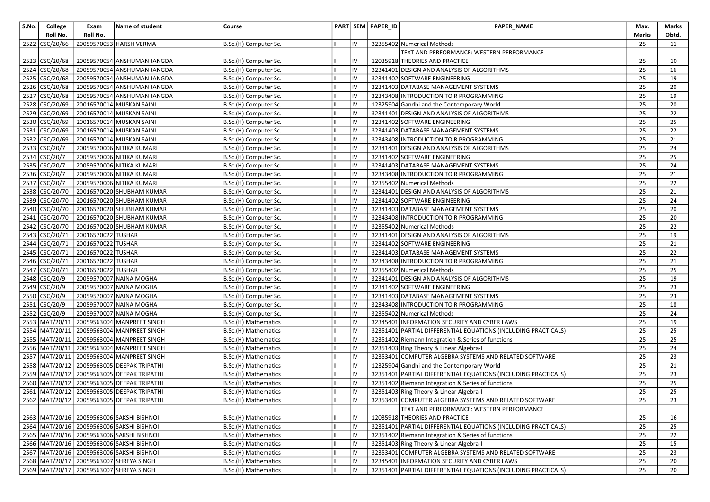| S.No. | College                                     | Exam               | Name of student                                | Course                |    |    | PART SEM PAPER_ID | PAPER_NAME                                                     | Max.  | Marks |
|-------|---------------------------------------------|--------------------|------------------------------------------------|-----------------------|----|----|-------------------|----------------------------------------------------------------|-------|-------|
|       | Roll No.                                    | Roll No.           |                                                |                       |    |    |                   |                                                                | Marks | Obtd. |
|       | 2522 CSC/20/66                              |                    | 20059570053 HARSH VERMA                        | B.Sc.(H) Computer Sc. |    | IV |                   | 32355402 Numerical Methods                                     | 25    | 11    |
|       |                                             |                    |                                                |                       |    |    |                   | TEXT AND PERFORMANCE: WESTERN PERFORMANCE                      |       |       |
|       | 2523 CSC/20/68                              |                    | 20059570054 ANSHUMAN JANGDA                    | B.Sc.(H) Computer Sc. |    |    |                   | 12035918 THEORIES AND PRACTICE                                 | 25    | 10    |
|       | 2524 CSC/20/68                              |                    | 20059570054 ANSHUMAN JANGDA                    | B.Sc.(H) Computer Sc. |    | IV |                   | 32341401 DESIGN AND ANALYSIS OF ALGORITHMS                     | 25    | 16    |
|       | 2525 CSC/20/68                              |                    | 20059570054 ANSHUMAN JANGDA                    | B.Sc.(H) Computer Sc. |    | IV |                   | 32341402 SOFTWARE ENGINEERING                                  | 25    | 19    |
|       | 2526 CSC/20/68                              |                    | 20059570054 ANSHUMAN JANGDA                    | B.Sc.(H) Computer Sc. |    | IV |                   | 32341403 DATABASE MANAGEMENT SYSTEMS                           | 25    | 20    |
|       | 2527 CSC/20/68                              |                    | 20059570054 ANSHUMAN JANGDA                    | B.Sc.(H) Computer Sc. |    | IV |                   | 32343408 INTRODUCTION TO R PROGRAMMING                         | 25    | 19    |
|       | 2528 CSC/20/69                              |                    | 20016570014 MUSKAN SAINI                       | B.Sc.(H) Computer Sc. |    | IV |                   | 12325904 Gandhi and the Contemporary World                     | 25    | 20    |
|       | 2529 CSC/20/69                              |                    | 20016570014 MUSKAN SAINI                       | B.Sc.(H) Computer Sc. |    | IV |                   | 32341401 DESIGN AND ANALYSIS OF ALGORITHMS                     | 25    | 22    |
|       | 2530 CSC/20/69                              |                    | 20016570014 MUSKAN SAINI                       | B.Sc.(H) Computer Sc. |    | IV |                   | 32341402 SOFTWARE ENGINEERING                                  | 25    | 25    |
| 2531  | CSC/20/69                                   |                    | 20016570014 MUSKAN SAINI                       | B.Sc.(H) Computer Sc. |    |    |                   | 32341403 DATABASE MANAGEMENT SYSTEMS                           | 25    | 22    |
|       | 2532 CSC/20/69                              |                    | 20016570014 MUSKAN SAINI                       | B.Sc.(H) Computer Sc. |    | IV |                   | 32343408 INTRODUCTION TO R PROGRAMMING                         | 25    | 21    |
|       | 2533 CSC/20/7                               |                    | 20059570006 NITIKA KUMARI                      | B.Sc.(H) Computer Sc. |    | IV |                   | 32341401 DESIGN AND ANALYSIS OF ALGORITHMS                     | 25    | 24    |
|       | 2534 CSC/20/7                               |                    | 20059570006 NITIKA KUMARI                      | B.Sc.(H) Computer Sc. |    | IV |                   | 32341402 SOFTWARE ENGINEERING                                  | 25    | 25    |
| 2535  | CSC/20/7                                    |                    | 20059570006 NITIKA KUMARI                      | B.Sc.(H) Computer Sc. |    | IV |                   | 32341403 DATABASE MANAGEMENT SYSTEMS                           | 25    | 24    |
|       | 2536 CSC/20/7                               |                    | 20059570006 NITIKA KUMARI                      | B.Sc.(H) Computer Sc. |    | IV |                   | 32343408 INTRODUCTION TO R PROGRAMMING                         | 25    | 21    |
|       | 2537 CSC/20/7                               |                    | 20059570006 NITIKA KUMARI                      | B.Sc.(H) Computer Sc. |    | IV |                   | 32355402 Numerical Methods                                     | 25    | 22    |
| 2538  | CSC/20/70                                   |                    | 20016570020 SHUBHAM KUMAR                      | B.Sc.(H) Computer Sc. |    | IV |                   | 32341401 DESIGN AND ANALYSIS OF ALGORITHMS                     | 25    | 21    |
| 2539  | CSC/20/70                                   |                    | 20016570020 SHUBHAM KUMAR                      | B.Sc.(H) Computer Sc. |    | IV |                   | 32341402 SOFTWARE ENGINEERING                                  | 25    | 24    |
|       | 2540 CSC/20/70                              |                    | 20016570020 SHUBHAM KUMAR                      | B.Sc.(H) Computer Sc. |    | IV |                   | 32341403 DATABASE MANAGEMENT SYSTEMS                           | 25    | 20    |
|       | 2541 CSC/20/70                              |                    | 20016570020 SHUBHAM KUMAR                      | B.Sc.(H) Computer Sc. |    |    |                   | 32343408 INTRODUCTION TO R PROGRAMMING                         | 25    | 20    |
| 2542  | CSC/20/70                                   |                    | 20016570020 SHUBHAM KUMAR                      | B.Sc.(H) Computer Sc. |    | IV |                   | 32355402 Numerical Methods                                     | 25    | 22    |
| 2543  | CSC/20/71                                   | 20016570022 TUSHAR |                                                | B.Sc.(H) Computer Sc. |    | IV |                   | 32341401 DESIGN AND ANALYSIS OF ALGORITHMS                     | 25    | 19    |
| 2544  | $\overline{\text{CSC}/\text{20}/\text{71}}$ | 20016570022 TUSHAR |                                                | B.Sc.(H) Computer Sc. |    | IV |                   | 32341402 SOFTWARE ENGINEERING                                  | 25    | 21    |
| 2545  | CSC/20/71                                   | 20016570022 TUSHAR |                                                | B.Sc.(H) Computer Sc. |    | IV |                   | 32341403 DATABASE MANAGEMENT SYSTEMS                           | 25    | 22    |
| 2546  | CSC/20/71                                   | 20016570022 TUSHAR |                                                | B.Sc.(H) Computer Sc. |    | IV |                   | 32343408 INTRODUCTION TO R PROGRAMMING                         | 25    | 21    |
|       | 2547 CSC/20/71                              | 20016570022 TUSHAR |                                                | B.Sc.(H) Computer Sc. |    | IV |                   | 32355402 Numerical Methods                                     | 25    | 25    |
| 2548  | CSC/20/9                                    |                    | 20059570007 NAINA MOGHA                        | B.Sc.(H) Computer Sc. |    | ١V |                   | 32341401 DESIGN AND ANALYSIS OF ALGORITHMS                     | 25    | 19    |
| 2549  | CSC/20/9                                    |                    | 20059570007 NAINA MOGHA                        | B.Sc.(H) Computer Sc. |    | ١V |                   | 32341402 SOFTWARE ENGINEERING                                  | 25    | 23    |
|       | 2550 CSC/20/9                               |                    | 20059570007 NAINA MOGHA                        | B.Sc.(H) Computer Sc. |    | IV |                   | 32341403 DATABASE MANAGEMENT SYSTEMS                           | 25    | 23    |
|       | 2551 CSC/20/9                               |                    | 20059570007 NAINA MOGHA                        | B.Sc.(H) Computer Sc. |    | IV |                   | 32343408 INTRODUCTION TO R PROGRAMMING                         | 25    | 18    |
|       | 2552 CSC/20/9                               |                    | 20059570007 NAINA MOGHA                        | B.Sc.(H) Computer Sc. |    | IV |                   | 32355402 Numerical Methods                                     | 25    | 24    |
|       | 2553 MAT/20/11                              |                    | 20059563004 MANPREET SINGH                     | B.Sc.(H) Mathematics  |    | IV |                   | 32345401 INFORMATION SECURITY AND CYBER LAWS                   | 25    | 19    |
|       | 2554 MAT/20/11                              |                    | 20059563004 MANPREET SINGH                     | B.Sc.(H) Mathematics  | Iн | IV |                   | 32351401 PARTIAL DIFFERENTIAL EQUATIONS (INCLUDING PRACTICALS) | 25    | 25    |
|       | 2555 MAT/20/11                              |                    | 20059563004 MANPREET SINGH                     | B.Sc.(H) Mathematics  |    | IV |                   | 32351402 Riemann Integration & Series of functions             | 25    | 25    |
|       | 2556 MAT/20/11                              |                    | 20059563004 MANPREET SINGH                     | B.Sc.(H) Mathematics  |    | IV |                   | 32351403 Ring Theory & Linear Algebra-I                        | 25    | 24    |
|       | 2557 MAT/20/11                              |                    | 20059563004 MANPREET SINGH                     | B.Sc.(H) Mathematics  |    | IV |                   | 32353401 COMPUTER ALGEBRA SYSTEMS AND RELATED SOFTWARE         | 25    | 23    |
|       | 2558 MAT/20/12                              |                    | 20059563005 DEEPAK TRIPATHI                    | B.Sc.(H) Mathematics  |    | IV |                   | 12325904 Gandhi and the Contemporary World                     | 25    | 21    |
|       |                                             |                    | 2559   MAT/20/12   20059563005 DEEPAK TRIPATHI | B.Sc.(H) Mathematics  |    | IV |                   | 32351401 PARTIAL DIFFERENTIAL EQUATIONS (INCLUDING PRACTICALS) | 25    | 23    |
|       | 2560 MAT/20/12                              |                    | 20059563005 DEEPAK TRIPATHI                    | B.Sc.(H) Mathematics  |    | IV |                   | 32351402 Riemann Integration & Series of functions             | 25    | 25    |
|       |                                             |                    | 2561 MAT/20/12 20059563005 DEEPAK TRIPATHI     | B.Sc.(H) Mathematics  | Ш  | IV |                   | 32351403 Ring Theory & Linear Algebra-I                        | 25    | 25    |
|       |                                             |                    | 2562 MAT/20/12 20059563005 DEEPAK TRIPATHI     | B.Sc.(H) Mathematics  | Ш  |    |                   | 32353401 COMPUTER ALGEBRA SYSTEMS AND RELATED SOFTWARE         | 25    | 23    |
|       |                                             |                    |                                                |                       |    |    |                   | TEXT AND PERFORMANCE: WESTERN PERFORMANCE                      |       |       |
|       |                                             |                    | 2563 MAT/20/16 20059563006 SAKSHI BISHNOI      | B.Sc.(H) Mathematics  |    | IV |                   | 12035918 THEORIES AND PRACTICE                                 | 25    | 16    |
|       |                                             |                    | 2564 MAT/20/16 20059563006 SAKSHI BISHNOI      | B.Sc.(H) Mathematics  |    | IV |                   | 32351401 PARTIAL DIFFERENTIAL EQUATIONS (INCLUDING PRACTICALS) | 25    | 25    |
|       |                                             |                    | 2565 MAT/20/16 20059563006 SAKSHI BISHNOI      | B.Sc.(H) Mathematics  |    | IV |                   | 32351402 Riemann Integration & Series of functions             | 25    | 22    |
|       |                                             |                    | 2566 MAT/20/16 20059563006 SAKSHI BISHNOI      | B.Sc.(H) Mathematics  |    | IV |                   | 32351403 Ring Theory & Linear Algebra-I                        | 25    | 15    |
|       |                                             |                    | 2567 MAT/20/16 20059563006 SAKSHI BISHNOI      | B.Sc.(H) Mathematics  |    | IV |                   | 32353401 COMPUTER ALGEBRA SYSTEMS AND RELATED SOFTWARE         | 25    | 23    |
|       |                                             |                    | 2568 MAT/20/17 20059563007 SHREYA SINGH        | B.Sc.(H) Mathematics  | Ш  | IV |                   | 32345401 INFORMATION SECURITY AND CYBER LAWS                   | 25    | 20    |
|       |                                             |                    | 2569 MAT/20/17 20059563007 SHREYA SINGH        | B.Sc.(H) Mathematics  | Ш  | IV |                   | 32351401 PARTIAL DIFFERENTIAL EQUATIONS (INCLUDING PRACTICALS) | 25    | 20    |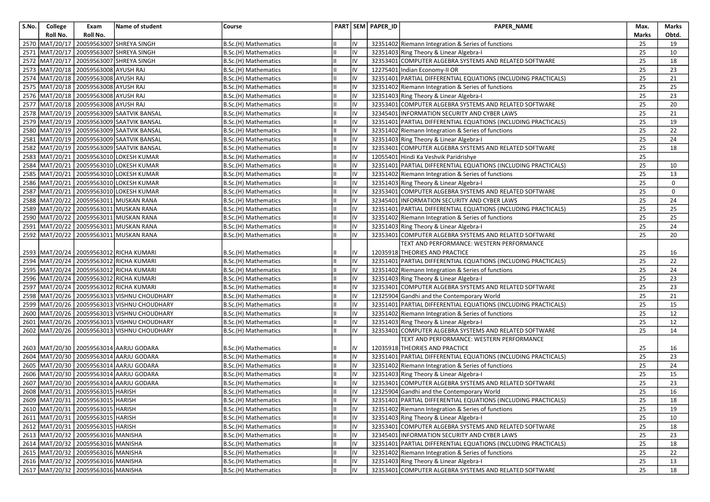| S.No. | College          | Exam                                     | <b>Name of student</b>                        | Course               |    |    | PART SEM PAPER_ID | PAPER_NAME                                                     | Max.  | Marks |
|-------|------------------|------------------------------------------|-----------------------------------------------|----------------------|----|----|-------------------|----------------------------------------------------------------|-------|-------|
|       | Roll No.         | Roll No.                                 |                                               |                      |    |    |                   |                                                                | Marks | Obtd. |
|       | 2570 MAT/20/17   |                                          | 20059563007 SHREYA SINGH                      | B.Sc.(H) Mathematics |    | IV |                   | 32351402 Riemann Integration & Series of functions             | 25    | 19    |
|       | 2571 MAT/20/17   |                                          | 20059563007 SHREYA SINGH                      | B.Sc.(H) Mathematics |    | IV |                   | 32351403 Ring Theory & Linear Algebra-I                        | 25    | 10    |
|       | 2572 MAT/20/17   |                                          | 20059563007 SHREYA SINGH                      | B.Sc.(H) Mathematics |    | IV |                   | 32353401 COMPUTER ALGEBRA SYSTEMS AND RELATED SOFTWARE         | 25    | 18    |
|       |                  | 2573 MAT/20/18 20059563008 AYUSH RAJ     |                                               | B.Sc.(H) Mathematics |    | IV |                   | 12275401 Indian Economy-II OR                                  | 25    | 23    |
|       | 2574   MAT/20/18 | 20059563008 AYUSH RAJ                    |                                               | B.Sc.(H) Mathematics | Iн | IV |                   | 32351401 PARTIAL DIFFERENTIAL EQUATIONS (INCLUDING PRACTICALS) | 25    | 21    |
|       |                  | 2575   MAT/20/18   20059563008 AYUSH RAJ |                                               | B.Sc.(H) Mathematics |    | IV |                   | 32351402 Riemann Integration & Series of functions             | 25    | 25    |
|       |                  | 2576 MAT/20/18 20059563008 AYUSH RAJ     |                                               | B.Sc.(H) Mathematics |    | IV |                   | 32351403 Ring Theory & Linear Algebra-I                        | 25    | 23    |
|       |                  | 2577 MAT/20/18 20059563008 AYUSH RAJ     |                                               | B.Sc.(H) Mathematics |    | IV |                   | 32353401 COMPUTER ALGEBRA SYSTEMS AND RELATED SOFTWARE         | 25    | 20    |
|       |                  |                                          | 2578 MAT/20/19 20059563009 SAATVIK BANSAL     | B.Sc.(H) Mathematics |    | IV |                   | 32345401 INFORMATION SECURITY AND CYBER LAWS                   | 25    | 21    |
|       |                  |                                          | 2579 MAT/20/19 20059563009 SAATVIK BANSAL     | B.Sc.(H) Mathematics |    | IV |                   | 32351401 PARTIAL DIFFERENTIAL EQUATIONS (INCLUDING PRACTICALS) | 25    | 19    |
| 2580  |                  |                                          | MAT/20/19 20059563009 SAATVIK BANSAL          | B.Sc.(H) Mathematics |    | IV |                   | 32351402 Riemann Integration & Series of functions             | 25    | 22    |
| 2581  |                  |                                          | MAT/20/19 20059563009 SAATVIK BANSAL          | B.Sc.(H) Mathematics |    | IV |                   | 32351403 Ring Theory & Linear Algebra-I                        | 25    | 24    |
|       |                  |                                          | 2582 MAT/20/19 20059563009 SAATVIK BANSAL     | B.Sc.(H) Mathematics |    | IV |                   | 32353401 COMPUTER ALGEBRA SYSTEMS AND RELATED SOFTWARE         | 25    | 18    |
|       |                  |                                          | 2583 MAT/20/21 20059563010 LOKESH KUMAR       | B.Sc.(H) Mathematics |    | IV |                   | 12055401 Hindi Ka Veshvik Paridrishye                          | 25    |       |
| 2584  | MAT/20/21        |                                          | 20059563010 LOKESH KUMAR                      | B.Sc.(H) Mathematics |    | IV |                   | 32351401 PARTIAL DIFFERENTIAL EQUATIONS (INCLUDING PRACTICALS) | 25    | 10    |
|       |                  |                                          | 2585 MAT/20/21 20059563010 LOKESH KUMAR       | B.Sc.(H) Mathematics | Iн | IV |                   | 32351402 Riemann Integration & Series of functions             | 25    | 13    |
|       |                  |                                          | 2586 MAT/20/21 20059563010 LOKESH KUMAR       | B.Sc.(H) Mathematics |    | IV |                   | 32351403 Ring Theory & Linear Algebra-I                        | 25    | 0     |
|       |                  |                                          | 2587 MAT/20/21 20059563010 LOKESH KUMAR       | B.Sc.(H) Mathematics |    | IV |                   | 32353401 COMPUTER ALGEBRA SYSTEMS AND RELATED SOFTWARE         | 25    | 0     |
| 2588  |                  |                                          | MAT/20/22 20059563011 MUSKAN RANA             | B.Sc.(H) Mathematics |    | IV |                   | 32345401 INFORMATION SECURITY AND CYBER LAWS                   | 25    | 24    |
|       |                  |                                          | 2589 MAT/20/22 20059563011 MUSKAN RANA        | B.Sc.(H) Mathematics |    | IV |                   | 32351401 PARTIAL DIFFERENTIAL EQUATIONS (INCLUDING PRACTICALS) | 25    | 25    |
|       |                  |                                          | 2590 MAT/20/22 20059563011 MUSKAN RANA        | B.Sc.(H) Mathematics |    | IV |                   | 32351402 Riemann Integration & Series of functions             | 25    | 25    |
|       |                  |                                          | 2591   MAT/20/22   20059563011   MUSKAN RANA  | B.Sc.(H) Mathematics |    | IV |                   | 32351403 Ring Theory & Linear Algebra-I                        | 25    | 24    |
|       | 2592 MAT/20/22   |                                          | 20059563011 MUSKAN RANA                       | B.Sc.(H) Mathematics | Ш  | IV |                   | 32353401 COMPUTER ALGEBRA SYSTEMS AND RELATED SOFTWARE         | 25    | 20    |
|       |                  |                                          |                                               |                      |    |    |                   | TEXT AND PERFORMANCE: WESTERN PERFORMANCE                      |       |       |
|       |                  |                                          | 2593   MAT/20/24   20059563012   RICHA KUMARI | B.Sc.(H) Mathematics |    | IV |                   | 12035918 THEORIES AND PRACTICE                                 | 25    | 16    |
|       |                  |                                          | 2594 MAT/20/24 20059563012 RICHA KUMARI       | B.Sc.(H) Mathematics |    | IV |                   | 32351401 PARTIAL DIFFERENTIAL EQUATIONS (INCLUDING PRACTICALS) | 25    | 22    |
|       |                  |                                          | 2595 MAT/20/24 20059563012 RICHA KUMARI       | B.Sc.(H) Mathematics | Ш  | IV |                   | 32351402 Riemann Integration & Series of functions             | 25    | 24    |
|       |                  |                                          | 2596 MAT/20/24 20059563012 RICHA KUMARI       | B.Sc.(H) Mathematics |    | IV |                   | 32351403 Ring Theory & Linear Algebra-I                        | 25    | 23    |
| 2597  |                  |                                          | MAT/20/24 20059563012 RICHA KUMARI            | B.Sc.(H) Mathematics |    | IV |                   | 32353401 COMPUTER ALGEBRA SYSTEMS AND RELATED SOFTWARE         | 25    | 23    |
| 2598  |                  |                                          | MAT/20/26 20059563013 VISHNU CHOUDHARY        | B.Sc.(H) Mathematics |    | IV |                   | 12325904 Gandhi and the Contemporary World                     | 25    | 21    |
|       |                  |                                          | 2599 MAT/20/26 20059563013 VISHNU CHOUDHARY   | B.Sc.(H) Mathematics |    | IV |                   | 32351401 PARTIAL DIFFERENTIAL EQUATIONS (INCLUDING PRACTICALS) | 25    | 15    |
|       |                  |                                          | 2600 MAT/20/26 20059563013 VISHNU CHOUDHARY   | B.Sc.(H) Mathematics |    | IV |                   | 32351402 Riemann Integration & Series of functions             | 25    | 12    |
|       |                  |                                          | 2601 MAT/20/26 20059563013 VISHNU CHOUDHARY   | B.Sc.(H) Mathematics |    | IV |                   | 32351403 Ring Theory & Linear Algebra-I                        | 25    | 12    |
|       |                  |                                          | 2602 MAT/20/26 20059563013 VISHNU CHOUDHARY   | B.Sc.(H) Mathematics | Iн | IV |                   | 32353401 COMPUTER ALGEBRA SYSTEMS AND RELATED SOFTWARE         | 25    | 14    |
|       |                  |                                          |                                               |                      |    |    |                   | TEXT AND PERFORMANCE: WESTERN PERFORMANCE                      |       |       |
|       |                  |                                          | 2603   MAT/20/30   20059563014   AARJU GODARA | B.Sc.(H) Mathematics |    | IV |                   | 12035918 THEORIES AND PRACTICE                                 | 25    | 16    |
|       |                  |                                          | 2604   MAT/20/30   20059563014   AARJU GODARA | B.Sc.(H) Mathematics |    | IV |                   | 32351401 PARTIAL DIFFERENTIAL EQUATIONS (INCLUDING PRACTICALS) | 25    | 23    |
|       |                  |                                          | 2605 MAT/20/30 20059563014 AARJU GODARA       | B.Sc.(H) Mathematics |    | IV |                   | 32351402 Riemann Integration & Series of functions             | 25    | 24    |
|       |                  |                                          | 2606   MAT/20/30   20059563014 AARJU GODARA   | B.Sc.(H) Mathematics |    | IV |                   | 32351403 Ring Theory & Linear Algebra-I                        | 25    | 15    |
| 2607  | MAT/20/30        |                                          | 20059563014 AARJU GODARA                      | B.Sc.(H) Mathematics |    | IV |                   | 32353401 COMPUTER ALGEBRA SYSTEMS AND RELATED SOFTWARE         | 25    | 23    |
|       |                  | 2608 MAT/20/31 20059563015 HARISH        |                                               | B.Sc.(H) Mathematics | Iн | IV |                   | 12325904 Gandhi and the Contemporary World                     | 25    | 16    |
|       |                  | 2609 MAT/20/31 20059563015 HARISH        |                                               | B.Sc.(H) Mathematics | Ш  |    |                   | 32351401 PARTIAL DIFFERENTIAL EQUATIONS (INCLUDING PRACTICALS) | 25    | 18    |
|       |                  | 2610 MAT/20/31 20059563015 HARISH        |                                               | B.Sc.(H) Mathematics | Iн | IV |                   | 32351402 Riemann Integration & Series of functions             | 25    | 19    |
|       |                  | 2611   MAT/20/31 20059563015   HARISH    |                                               | B.Sc.(H) Mathematics |    | IV |                   | 32351403 Ring Theory & Linear Algebra-I                        | 25    | 10    |
|       |                  | 2612 MAT/20/31 20059563015 HARISH        |                                               | B.Sc.(H) Mathematics |    | IV |                   | 32353401 COMPUTER ALGEBRA SYSTEMS AND RELATED SOFTWARE         | 25    | 18    |
|       |                  | 2613 MAT/20/32 20059563016 MANISHA       |                                               | B.Sc.(H) Mathematics |    | IV |                   | 32345401 INFORMATION SECURITY AND CYBER LAWS                   | 25    | 23    |
|       |                  | 2614 MAT/20/32 20059563016 MANISHA       |                                               | B.Sc.(H) Mathematics |    | IV |                   | 32351401 PARTIAL DIFFERENTIAL EQUATIONS (INCLUDING PRACTICALS) | 25    | 18    |
|       |                  | 2615 MAT/20/32 20059563016 MANISHA       |                                               | B.Sc.(H) Mathematics | IШ | IV |                   | 32351402 Riemann Integration & Series of functions             | 25    | 22    |
|       |                  | 2616 MAT/20/32 20059563016 MANISHA       |                                               | B.Sc.(H) Mathematics |    | IV |                   | 32351403 Ring Theory & Linear Algebra-I                        | 25    | 13    |
|       |                  | 2617 MAT/20/32 20059563016 MANISHA       |                                               | B.Sc.(H) Mathematics |    | IV |                   | 32353401 COMPUTER ALGEBRA SYSTEMS AND RELATED SOFTWARE         | 25    | 18    |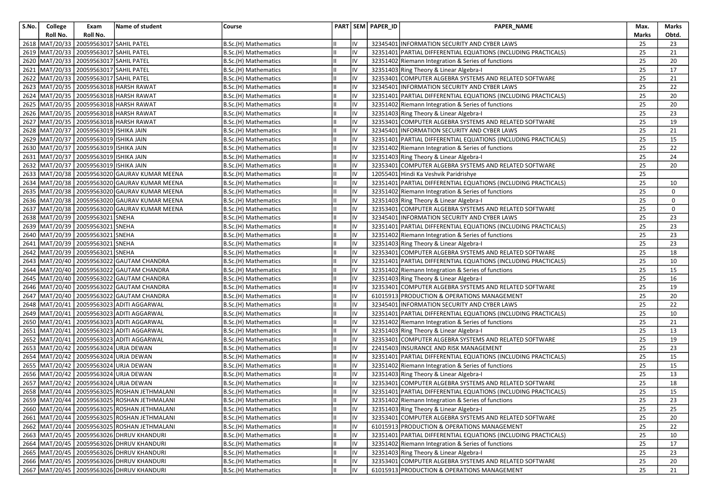| S.No. | College          | Exam                                   | Name of student                                     | Course               |    |    | PART SEM PAPER_ID | PAPER_NAME                                                     | Max.  | Marks           |
|-------|------------------|----------------------------------------|-----------------------------------------------------|----------------------|----|----|-------------------|----------------------------------------------------------------|-------|-----------------|
|       | Roll No.         | Roll No.                               |                                                     |                      |    |    |                   |                                                                | Marks | Obtd.           |
|       | 2618   MAT/20/33 | 20059563017 SAHIL PATEL                |                                                     | B.Sc.(H) Mathematics |    | IV |                   | 32345401 INFORMATION SECURITY AND CYBER LAWS                   | 25    | 23              |
| 2619  | MAT/20/33        | 20059563017 SAHIL PATEL                |                                                     | B.Sc.(H) Mathematics |    | IV |                   | 32351401 PARTIAL DIFFERENTIAL EQUATIONS (INCLUDING PRACTICALS) | 25    | 21              |
|       | 2620 MAT/20/33   | 20059563017 SAHIL PATEL                |                                                     | B.Sc.(H) Mathematics |    | IV |                   | 32351402 Riemann Integration & Series of functions             | 25    | 20              |
| 2621  | MAT/20/33        | 20059563017 SAHIL PATEL                |                                                     | B.Sc.(H) Mathematics |    | IV |                   | 32351403 Ring Theory & Linear Algebra-I                        | 25    | 17              |
|       | 2622   MAT/20/33 | 20059563017 SAHIL PATEL                |                                                     | B.Sc.(H) Mathematics |    | IV |                   | 32353401 COMPUTER ALGEBRA SYSTEMS AND RELATED SOFTWARE         | 25    | 21              |
|       |                  |                                        | 2623   MAT/20/35   20059563018   HARSH RAWAT        | B.Sc.(H) Mathematics |    | IV |                   | 32345401 INFORMATION SECURITY AND CYBER LAWS                   | 25    | 22              |
|       |                  |                                        | 2624 MAT/20/35 20059563018 HARSH RAWAT              | B.Sc.(H) Mathematics |    | IV |                   | 32351401 PARTIAL DIFFERENTIAL EQUATIONS (INCLUDING PRACTICALS) | 25    | 20              |
|       |                  |                                        | 2625 MAT/20/35 20059563018 HARSH RAWAT              | B.Sc.(H) Mathematics |    | IV |                   | 32351402 Riemann Integration & Series of functions             | 25    | 20              |
|       |                  |                                        | 2626   MAT/20/35   20059563018 HARSH RAWAT          | B.Sc.(H) Mathematics |    | IV |                   | 32351403 Ring Theory & Linear Algebra-I                        | 25    | 23              |
|       |                  |                                        | 2627   MAT/20/35   20059563018   HARSH RAWAT        | B.Sc.(H) Mathematics |    | IV |                   | 32353401 COMPUTER ALGEBRA SYSTEMS AND RELATED SOFTWARE         | 25    | 19              |
| 2628  | MAT/20/37        | 20059563019 ISHIKA JAIN                |                                                     | B.Sc.(H) Mathematics |    | IV |                   | 32345401 INFORMATION SECURITY AND CYBER LAWS                   | 25    | 21              |
| 2629  | MAT/20/37        | 20059563019 ISHIKA JAIN                |                                                     | B.Sc.(H) Mathematics |    | IV |                   | 32351401 PARTIAL DIFFERENTIAL EQUATIONS (INCLUDING PRACTICALS) | 25    | 15              |
|       |                  | 2630 MAT/20/37 20059563019 ISHIKA JAIN |                                                     | B.Sc.(H) Mathematics |    | IV |                   | 32351402 Riemann Integration & Series of functions             | 25    | 22              |
|       | 2631 MAT/20/37   | 20059563019 ISHIKA JAIN                |                                                     | B.Sc.(H) Mathematics |    | IV |                   | 32351403 Ring Theory & Linear Algebra-I                        | 25    | 24              |
| 2632  | MAT/20/37        | 20059563019 ISHIKA JAIN                |                                                     | B.Sc.(H) Mathematics |    | IV |                   | 32353401 COMPUTER ALGEBRA SYSTEMS AND RELATED SOFTWARE         | 25    | 20              |
|       |                  |                                        | 2633 MAT/20/38 20059563020 GAURAV KUMAR MEENA       | B.Sc.(H) Mathematics | Iн | IV |                   | 12055401 Hindi Ka Veshvik Paridrishye                          | 25    |                 |
|       |                  |                                        | 2634 MAT/20/38 20059563020 GAURAV KUMAR MEENA       | B.Sc.(H) Mathematics |    | IV |                   | 32351401 PARTIAL DIFFERENTIAL EQUATIONS (INCLUDING PRACTICALS) | 25    | 10              |
|       |                  |                                        | 2635   MAT/20/38   20059563020   GAURAV KUMAR MEENA | B.Sc.(H) Mathematics |    | IV |                   | 32351402 Riemann Integration & Series of functions             | 25    | $\mathbf 0$     |
| 2636  |                  |                                        | MAT/20/38 20059563020 GAURAV KUMAR MEENA            | B.Sc.(H) Mathematics |    | IV |                   | 32351403 Ring Theory & Linear Algebra-I                        | 25    | 0               |
|       |                  |                                        | 2637 MAT/20/38 20059563020 GAURAV KUMAR MEENA       | B.Sc.(H) Mathematics |    | IV |                   | 32353401 COMPUTER ALGEBRA SYSTEMS AND RELATED SOFTWARE         | 25    | $\mathbf 0$     |
|       |                  | 2638 MAT/20/39 20059563021 SNEHA       |                                                     | B.Sc.(H) Mathematics |    | IV |                   | 32345401 INFORMATION SECURITY AND CYBER LAWS                   | 25    | 23              |
| 2639  |                  | MAT/20/39 20059563021 SNEHA            |                                                     | B.Sc.(H) Mathematics |    | IV |                   | 32351401 PARTIAL DIFFERENTIAL EQUATIONS (INCLUDING PRACTICALS) | 25    | 23              |
| 2640  |                  | MAT/20/39 20059563021 SNEHA            |                                                     | B.Sc.(H) Mathematics |    | IV |                   | 32351402 Riemann Integration & Series of functions             | 25    | 23              |
|       |                  | 2641   MAT/20/39   20059563021 SNEHA   |                                                     | B.Sc.(H) Mathematics |    | IV |                   | 32351403 Ring Theory & Linear Algebra-I                        | 25    | 23              |
|       |                  | 2642 MAT/20/39 20059563021 SNEHA       |                                                     | B.Sc.(H) Mathematics |    | IV |                   | 32353401 COMPUTER ALGEBRA SYSTEMS AND RELATED SOFTWARE         | 25    | 18              |
|       |                  |                                        | 2643 MAT/20/40 20059563022 GAUTAM CHANDRA           | B.Sc.(H) Mathematics |    | IV |                   | 32351401 PARTIAL DIFFERENTIAL EQUATIONS (INCLUDING PRACTICALS) | 25    | 10              |
|       |                  |                                        | 2644 MAT/20/40 20059563022 GAUTAM CHANDRA           | B.Sc.(H) Mathematics | Ш  | IV |                   | 32351402 Riemann Integration & Series of functions             | 25    | 15              |
| 2645  |                  |                                        | MAT/20/40   20059563022 GAUTAM CHANDRA              | B.Sc.(H) Mathematics |    | IV |                   | 32351403 Ring Theory & Linear Algebra-I                        | 25    | 16              |
| 2646  |                  |                                        | MAT/20/40 20059563022 GAUTAM CHANDRA                | B.Sc.(H) Mathematics |    | IV |                   | 32353401 COMPUTER ALGEBRA SYSTEMS AND RELATED SOFTWARE         | 25    | 19              |
| 2647  | MAT/20/40        |                                        | 20059563022 GAUTAM CHANDRA                          | B.Sc.(H) Mathematics |    | IV |                   | 61015913 PRODUCTION & OPERATIONS MANAGEMENT                    | 25    | 20              |
|       |                  |                                        | 2648   MAT/20/41   20059563023   ADITI AGGARWAL     | B.Sc.(H) Mathematics |    | IV |                   | 32345401 INFORMATION SECURITY AND CYBER LAWS                   | 25    | 22              |
|       | 2649 MAT/20/41   |                                        | 20059563023 ADITI AGGARWAL                          | B.Sc.(H) Mathematics |    | IV |                   | 32351401 PARTIAL DIFFERENTIAL EQUATIONS (INCLUDING PRACTICALS) | 25    | 10              |
| 2650  | MAT/20/41        |                                        | 20059563023 ADITI AGGARWAL                          | B.Sc.(H) Mathematics |    | IV |                   | 32351402 Riemann Integration & Series of functions             | 25    | 21              |
|       |                  |                                        | 2651   MAT/20/41   20059563023 ADITI AGGARWAL       | B.Sc.(H) Mathematics | IШ | IV |                   | 32351403 Ring Theory & Linear Algebra-I                        | 25    | 13              |
|       | 2652 MAT/20/41   |                                        | 20059563023 ADITI AGGARWAL                          | B.Sc.(H) Mathematics |    | IV |                   | 32353401 COMPUTER ALGEBRA SYSTEMS AND RELATED SOFTWARE         | 25    | 19              |
| 2653  | MAT/20/42        | 20059563024 URJA DEWAN                 |                                                     | B.Sc.(H) Mathematics |    | IV |                   | 22415403 INSURANCE AND RISK MANAGEMENT                         | 25    | 23              |
| 2654  | MAT/20/42        | 20059563024 URJA DEWAN                 |                                                     | B.Sc.(H) Mathematics |    | IV |                   | 32351401 PARTIAL DIFFERENTIAL EQUATIONS (INCLUDING PRACTICALS) | 25    | 15              |
|       | 2655 MAT/20/42   | 20059563024 URJA DEWAN                 |                                                     | B.Sc.(H) Mathematics | Ш  | IV |                   | 32351402 Riemann Integration & Series of functions             | 25    | 15              |
|       |                  | 2656 MAT/20/42 20059563024 URJA DEWAN  |                                                     | B.Sc.(H) Mathematics |    | IV |                   | 32351403 Ring Theory & Linear Algebra-I                        | 25    | 13              |
| 2657  | MAT/20/42        |                                        | 20059563024 URJA DEWAN                              | B.Sc.(H) Mathematics |    | IV | 32353401          | COMPUTER ALGEBRA SYSTEMS AND RELATED SOFTWARE                  | 25    | 18              |
|       |                  |                                        | 2658 MAT/20/44 20059563025 ROSHAN JETHMALANI        | B.Sc.(H) Mathematics | Iн | IV |                   | 32351401 PARTIAL DIFFERENTIAL EQUATIONS (INCLUDING PRACTICALS) | 25    | 15              |
|       |                  |                                        | 2659 MAT/20/44 20059563025 ROSHAN JETHMALANI        | B.Sc.(H) Mathematics | Ш  |    |                   | 32351402 Riemann Integration & Series of functions             | 25    | $\overline{23}$ |
|       |                  |                                        | 2660   MAT/20/44   20059563025   ROSHAN JETHMALANI  | B.Sc.(H) Mathematics | Iн | IV |                   | 32351403 Ring Theory & Linear Algebra-I                        | 25    | 25              |
|       |                  |                                        | 2661 MAT/20/44 20059563025 ROSHAN JETHMALANI        | B.Sc.(H) Mathematics |    | IV |                   | 32353401 COMPUTER ALGEBRA SYSTEMS AND RELATED SOFTWARE         | 25    | 20              |
|       |                  |                                        | 2662 MAT/20/44 20059563025 ROSHAN JETHMALANI        | B.Sc.(H) Mathematics |    | IV |                   | 61015913 PRODUCTION & OPERATIONS MANAGEMENT                    | 25    | 22              |
|       |                  |                                        | 2663 MAT/20/45 20059563026 DHRUV KHANDURI           | B.Sc.(H) Mathematics |    | IV |                   | 32351401 PARTIAL DIFFERENTIAL EQUATIONS (INCLUDING PRACTICALS) | 25    | 10              |
|       |                  |                                        | 2664 MAT/20/45 20059563026 DHRUV KHANDURI           | B.Sc.(H) Mathematics |    | IV |                   | 32351402 Riemann Integration & Series of functions             | 25    | 17              |
|       |                  |                                        | 2665 MAT/20/45 20059563026 DHRUV KHANDURI           | B.Sc.(H) Mathematics |    | IV |                   | 32351403 Ring Theory & Linear Algebra-I                        | 25    | 23              |
|       |                  |                                        | 2666 MAT/20/45 20059563026 DHRUV KHANDURI           | B.Sc.(H) Mathematics |    | IV |                   | 32353401 COMPUTER ALGEBRA SYSTEMS AND RELATED SOFTWARE         | 25    | 20              |
|       |                  |                                        | 2667 MAT/20/45 20059563026 DHRUV KHANDURI           | B.Sc.(H) Mathematics |    | IV |                   | 61015913 PRODUCTION & OPERATIONS MANAGEMENT                    | 25    | 21              |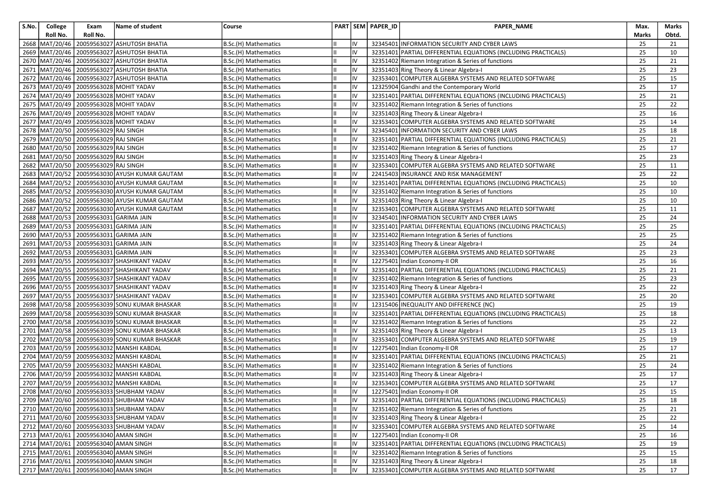| Roll No.<br>Roll No.<br>Marks<br>2668<br>20059563027 ASHUTOSH BHATIA<br>MAT/20/46<br>B.Sc.(H) Mathematics<br>32345401 INFORMATION SECURITY AND CYBER LAWS<br>25<br>IV<br>2669 MAT/20/46 20059563027 ASHUTOSH BHATIA<br>IV<br>25<br>32351401 PARTIAL DIFFERENTIAL EQUATIONS (INCLUDING PRACTICALS)<br>B.Sc.(H) Mathematics<br>Ш<br>2670   MAT/20/46   20059563027 ASHUTOSH BHATIA<br>IV<br>25<br>B.Sc.(H) Mathematics<br>32351402 Riemann Integration & Series of functions<br>MAT/20/46 20059563027 ASHUTOSH BHATIA<br>IV<br>25<br>2671<br>B.Sc.(H) Mathematics<br>32351403 Ring Theory & Linear Algebra-I<br>2672 MAT/20/46 20059563027 ASHUTOSH BHATIA<br>IV<br>25<br>32353401 COMPUTER ALGEBRA SYSTEMS AND RELATED SOFTWARE<br>B.Sc.(H) Mathematics<br>2673 MAT/20/49 20059563028 MOHIT YADAV<br>25<br>IV<br>12325904 Gandhi and the Contemporary World<br>B.Sc.(H) Mathematics<br>2674 MAT/20/49 20059563028 MOHIT YADAV<br>IV<br>25<br>32351401 PARTIAL DIFFERENTIAL EQUATIONS (INCLUDING PRACTICALS)<br>B.Sc.(H) Mathematics<br>2675 MAT/20/49 20059563028 MOHIT YADAV<br>IV<br>25<br>B.Sc.(H) Mathematics<br>32351402 Riemann Integration & Series of functions<br>IV<br>25<br>2676 MAT/20/49 20059563028 MOHIT YADAV<br>32351403 Ring Theory & Linear Algebra-I<br>B.Sc.(H) Mathematics<br>25<br>2677   MAT/20/49   20059563028   MOHIT YADAV<br>32353401 COMPUTER ALGEBRA SYSTEMS AND RELATED SOFTWARE<br>B.Sc.(H) Mathematics<br>IV<br>2678 MAT/20/50 20059563029 RAJ SINGH<br>32345401 INFORMATION SECURITY AND CYBER LAWS<br>B.Sc.(H) Mathematics<br>IV<br>25<br>2679   MAT/20/50   20059563029   RAJ SINGH<br>B.Sc.(H) Mathematics<br>IV<br>32351401 PARTIAL DIFFERENTIAL EQUATIONS (INCLUDING PRACTICALS)<br>25<br>2680 MAT/20/50 20059563029 RAJ SINGH<br>IV<br>25<br>B.Sc.(H) Mathematics<br>32351402 Riemann Integration & Series of functions<br>2681   MAT/20/50   20059563029 RAJ SINGH<br>25<br>B.Sc.(H) Mathematics<br>IV<br>32351403 Ring Theory & Linear Algebra-I<br>2682 MAT/20/50 20059563029 RAJ SINGH<br>IV<br>25<br>B.Sc.(H) Mathematics<br>32353401 COMPUTER ALGEBRA SYSTEMS AND RELATED SOFTWARE<br>IV<br>25<br>2683   MAT/20/52   20059563030 AYUSH KUMAR GAUTAM<br>22415403 INSURANCE AND RISK MANAGEMENT<br>B.Sc.(H) Mathematics<br>MAT/20/52 20059563030 AYUSH KUMAR GAUTAM<br>25<br>2684<br>B.Sc.(H) Mathematics<br>IV<br>32351401 PARTIAL DIFFERENTIAL EQUATIONS (INCLUDING PRACTICALS)<br>IV<br>25<br>MAT/20/52<br>20059563030 AYUSH KUMAR GAUTAM<br>B.Sc.(H) Mathematics<br>32351402 Riemann Integration & Series of functions<br>2685<br>20059563030 AYUSH KUMAR GAUTAM<br>25<br>2686<br>MAT/20/52<br>B.Sc.(H) Mathematics<br>IV<br>32351403 Ring Theory & Linear Algebra-I<br>IV<br>25<br>2687 MAT/20/52<br>20059563030 AYUSH KUMAR GAUTAM<br>32353401 COMPUTER ALGEBRA SYSTEMS AND RELATED SOFTWARE<br>B.Sc.(H) Mathematics<br>2688 MAT/20/53 20059563031 GARIMA JAIN<br>25<br>B.Sc.(H) Mathematics<br>IV<br>32345401 INFORMATION SECURITY AND CYBER LAWS<br>MAT/20/53 20059563031 GARIMA JAIN<br>IV<br>25<br>2689<br>B.Sc.(H) Mathematics<br>32351401 PARTIAL DIFFERENTIAL EQUATIONS (INCLUDING PRACTICALS)<br>2690 MAT/20/53 20059563031 GARIMA JAIN<br>IV<br>25<br>32351402 Riemann Integration & Series of functions<br>B.Sc.(H) Mathematics<br>25<br>2691   MAT/20/53   20059563031   GARIMA JAIN<br>B.Sc.(H) Mathematics<br>IV<br>32351403 Ring Theory & Linear Algebra-I<br>MAT/20/53 20059563031 GARIMA JAIN<br>25<br>IV<br>32353401 COMPUTER ALGEBRA SYSTEMS AND RELATED SOFTWARE<br>2692<br>B.Sc.(H) Mathematics<br>2693<br>20059563037 SHASHIKANT YADAV<br>IV<br>25<br>MAT/20/55<br>B.Sc.(H) Mathematics<br>12275401 Indian Economy-II OR<br>IV<br>25<br>2694   MAT/20/55   20059563037 SHASHIKANT YADAV<br>32351401 PARTIAL DIFFERENTIAL EQUATIONS (INCLUDING PRACTICALS)<br>B.Sc.(H) Mathematics<br>MAT/20/55 20059563037 SHASHIKANT YADAV<br>32351402 Riemann Integration & Series of functions<br>25<br>2695<br>B.Sc.(H) Mathematics<br>IV<br>IV<br>MAT/20/55 20059563037 SHASHIKANT YADAV<br>B.Sc.(H) Mathematics<br>32351403 Ring Theory & Linear Algebra-I<br>25<br>2696<br>20059563037 SHASHIKANT YADAV<br>IV<br>2697<br>MAT/20/55<br>B.Sc.(H) Mathematics<br>32353401 COMPUTER ALGEBRA SYSTEMS AND RELATED SOFTWARE<br>25<br>IV<br>25<br>2698   MAT/20/58   20059563039 SONU KUMAR BHASKAR<br>B.Sc.(H) Mathematics<br>12315406 INEQUALITY AND DIFFERENCE (NC)<br>2699 MAT/20/58 20059563039 SONU KUMAR BHASKAR<br>IV<br>25<br>32351401 PARTIAL DIFFERENTIAL EQUATIONS (INCLUDING PRACTICALS)<br>B.Sc.(H) Mathematics<br>2700 MAT/20/58 20059563039 SONU KUMAR BHASKAR<br>25<br>B.Sc.(H) Mathematics<br>IV<br>32351402 Riemann Integration & Series of functions<br>MAT/20/58 20059563039 SONU KUMAR BHASKAR<br>IV<br>25<br>2701<br>32351403 Ring Theory & Linear Algebra-I<br>B.Sc.(H) Mathematics<br>25<br>2702 MAT/20/58 20059563039 SONU KUMAR BHASKAR<br>32353401 COMPUTER ALGEBRA SYSTEMS AND RELATED SOFTWARE<br>B.Sc.(H) Mathematics<br>IV |       |
|------------------------------------------------------------------------------------------------------------------------------------------------------------------------------------------------------------------------------------------------------------------------------------------------------------------------------------------------------------------------------------------------------------------------------------------------------------------------------------------------------------------------------------------------------------------------------------------------------------------------------------------------------------------------------------------------------------------------------------------------------------------------------------------------------------------------------------------------------------------------------------------------------------------------------------------------------------------------------------------------------------------------------------------------------------------------------------------------------------------------------------------------------------------------------------------------------------------------------------------------------------------------------------------------------------------------------------------------------------------------------------------------------------------------------------------------------------------------------------------------------------------------------------------------------------------------------------------------------------------------------------------------------------------------------------------------------------------------------------------------------------------------------------------------------------------------------------------------------------------------------------------------------------------------------------------------------------------------------------------------------------------------------------------------------------------------------------------------------------------------------------------------------------------------------------------------------------------------------------------------------------------------------------------------------------------------------------------------------------------------------------------------------------------------------------------------------------------------------------------------------------------------------------------------------------------------------------------------------------------------------------------------------------------------------------------------------------------------------------------------------------------------------------------------------------------------------------------------------------------------------------------------------------------------------------------------------------------------------------------------------------------------------------------------------------------------------------------------------------------------------------------------------------------------------------------------------------------------------------------------------------------------------------------------------------------------------------------------------------------------------------------------------------------------------------------------------------------------------------------------------------------------------------------------------------------------------------------------------------------------------------------------------------------------------------------------------------------------------------------------------------------------------------------------------------------------------------------------------------------------------------------------------------------------------------------------------------------------------------------------------------------------------------------------------------------------------------------------------------------------------------------------------------------------------------------------------------------------------------------------------------------------------------------------------------------------------------------------------------------------------------------------------------------------------------------------------------------------------------------------------------------------------------------------------------------------------------------------------------------------------------------------------------------------------------------------------------------------------------------------------------------------------------------------------------------------------------------------------------------------------------------------------------------------------------------------------------------------------------------------------------------|-------|
|                                                                                                                                                                                                                                                                                                                                                                                                                                                                                                                                                                                                                                                                                                                                                                                                                                                                                                                                                                                                                                                                                                                                                                                                                                                                                                                                                                                                                                                                                                                                                                                                                                                                                                                                                                                                                                                                                                                                                                                                                                                                                                                                                                                                                                                                                                                                                                                                                                                                                                                                                                                                                                                                                                                                                                                                                                                                                                                                                                                                                                                                                                                                                                                                                                                                                                                                                                                                                                                                                                                                                                                                                                                                                                                                                                                                                                                                                                                                                                                                                                                                                                                                                                                                                                                                                                                                                                                                                                                                                                                                                                                                                                                                                                                                                                                                                                                                                                                                                                                                                  | Obtd. |
|                                                                                                                                                                                                                                                                                                                                                                                                                                                                                                                                                                                                                                                                                                                                                                                                                                                                                                                                                                                                                                                                                                                                                                                                                                                                                                                                                                                                                                                                                                                                                                                                                                                                                                                                                                                                                                                                                                                                                                                                                                                                                                                                                                                                                                                                                                                                                                                                                                                                                                                                                                                                                                                                                                                                                                                                                                                                                                                                                                                                                                                                                                                                                                                                                                                                                                                                                                                                                                                                                                                                                                                                                                                                                                                                                                                                                                                                                                                                                                                                                                                                                                                                                                                                                                                                                                                                                                                                                                                                                                                                                                                                                                                                                                                                                                                                                                                                                                                                                                                                                  | 21    |
|                                                                                                                                                                                                                                                                                                                                                                                                                                                                                                                                                                                                                                                                                                                                                                                                                                                                                                                                                                                                                                                                                                                                                                                                                                                                                                                                                                                                                                                                                                                                                                                                                                                                                                                                                                                                                                                                                                                                                                                                                                                                                                                                                                                                                                                                                                                                                                                                                                                                                                                                                                                                                                                                                                                                                                                                                                                                                                                                                                                                                                                                                                                                                                                                                                                                                                                                                                                                                                                                                                                                                                                                                                                                                                                                                                                                                                                                                                                                                                                                                                                                                                                                                                                                                                                                                                                                                                                                                                                                                                                                                                                                                                                                                                                                                                                                                                                                                                                                                                                                                  | 10    |
|                                                                                                                                                                                                                                                                                                                                                                                                                                                                                                                                                                                                                                                                                                                                                                                                                                                                                                                                                                                                                                                                                                                                                                                                                                                                                                                                                                                                                                                                                                                                                                                                                                                                                                                                                                                                                                                                                                                                                                                                                                                                                                                                                                                                                                                                                                                                                                                                                                                                                                                                                                                                                                                                                                                                                                                                                                                                                                                                                                                                                                                                                                                                                                                                                                                                                                                                                                                                                                                                                                                                                                                                                                                                                                                                                                                                                                                                                                                                                                                                                                                                                                                                                                                                                                                                                                                                                                                                                                                                                                                                                                                                                                                                                                                                                                                                                                                                                                                                                                                                                  | 21    |
|                                                                                                                                                                                                                                                                                                                                                                                                                                                                                                                                                                                                                                                                                                                                                                                                                                                                                                                                                                                                                                                                                                                                                                                                                                                                                                                                                                                                                                                                                                                                                                                                                                                                                                                                                                                                                                                                                                                                                                                                                                                                                                                                                                                                                                                                                                                                                                                                                                                                                                                                                                                                                                                                                                                                                                                                                                                                                                                                                                                                                                                                                                                                                                                                                                                                                                                                                                                                                                                                                                                                                                                                                                                                                                                                                                                                                                                                                                                                                                                                                                                                                                                                                                                                                                                                                                                                                                                                                                                                                                                                                                                                                                                                                                                                                                                                                                                                                                                                                                                                                  | 23    |
|                                                                                                                                                                                                                                                                                                                                                                                                                                                                                                                                                                                                                                                                                                                                                                                                                                                                                                                                                                                                                                                                                                                                                                                                                                                                                                                                                                                                                                                                                                                                                                                                                                                                                                                                                                                                                                                                                                                                                                                                                                                                                                                                                                                                                                                                                                                                                                                                                                                                                                                                                                                                                                                                                                                                                                                                                                                                                                                                                                                                                                                                                                                                                                                                                                                                                                                                                                                                                                                                                                                                                                                                                                                                                                                                                                                                                                                                                                                                                                                                                                                                                                                                                                                                                                                                                                                                                                                                                                                                                                                                                                                                                                                                                                                                                                                                                                                                                                                                                                                                                  | 15    |
|                                                                                                                                                                                                                                                                                                                                                                                                                                                                                                                                                                                                                                                                                                                                                                                                                                                                                                                                                                                                                                                                                                                                                                                                                                                                                                                                                                                                                                                                                                                                                                                                                                                                                                                                                                                                                                                                                                                                                                                                                                                                                                                                                                                                                                                                                                                                                                                                                                                                                                                                                                                                                                                                                                                                                                                                                                                                                                                                                                                                                                                                                                                                                                                                                                                                                                                                                                                                                                                                                                                                                                                                                                                                                                                                                                                                                                                                                                                                                                                                                                                                                                                                                                                                                                                                                                                                                                                                                                                                                                                                                                                                                                                                                                                                                                                                                                                                                                                                                                                                                  | 17    |
|                                                                                                                                                                                                                                                                                                                                                                                                                                                                                                                                                                                                                                                                                                                                                                                                                                                                                                                                                                                                                                                                                                                                                                                                                                                                                                                                                                                                                                                                                                                                                                                                                                                                                                                                                                                                                                                                                                                                                                                                                                                                                                                                                                                                                                                                                                                                                                                                                                                                                                                                                                                                                                                                                                                                                                                                                                                                                                                                                                                                                                                                                                                                                                                                                                                                                                                                                                                                                                                                                                                                                                                                                                                                                                                                                                                                                                                                                                                                                                                                                                                                                                                                                                                                                                                                                                                                                                                                                                                                                                                                                                                                                                                                                                                                                                                                                                                                                                                                                                                                                  | 21    |
|                                                                                                                                                                                                                                                                                                                                                                                                                                                                                                                                                                                                                                                                                                                                                                                                                                                                                                                                                                                                                                                                                                                                                                                                                                                                                                                                                                                                                                                                                                                                                                                                                                                                                                                                                                                                                                                                                                                                                                                                                                                                                                                                                                                                                                                                                                                                                                                                                                                                                                                                                                                                                                                                                                                                                                                                                                                                                                                                                                                                                                                                                                                                                                                                                                                                                                                                                                                                                                                                                                                                                                                                                                                                                                                                                                                                                                                                                                                                                                                                                                                                                                                                                                                                                                                                                                                                                                                                                                                                                                                                                                                                                                                                                                                                                                                                                                                                                                                                                                                                                  | 22    |
|                                                                                                                                                                                                                                                                                                                                                                                                                                                                                                                                                                                                                                                                                                                                                                                                                                                                                                                                                                                                                                                                                                                                                                                                                                                                                                                                                                                                                                                                                                                                                                                                                                                                                                                                                                                                                                                                                                                                                                                                                                                                                                                                                                                                                                                                                                                                                                                                                                                                                                                                                                                                                                                                                                                                                                                                                                                                                                                                                                                                                                                                                                                                                                                                                                                                                                                                                                                                                                                                                                                                                                                                                                                                                                                                                                                                                                                                                                                                                                                                                                                                                                                                                                                                                                                                                                                                                                                                                                                                                                                                                                                                                                                                                                                                                                                                                                                                                                                                                                                                                  | 16    |
|                                                                                                                                                                                                                                                                                                                                                                                                                                                                                                                                                                                                                                                                                                                                                                                                                                                                                                                                                                                                                                                                                                                                                                                                                                                                                                                                                                                                                                                                                                                                                                                                                                                                                                                                                                                                                                                                                                                                                                                                                                                                                                                                                                                                                                                                                                                                                                                                                                                                                                                                                                                                                                                                                                                                                                                                                                                                                                                                                                                                                                                                                                                                                                                                                                                                                                                                                                                                                                                                                                                                                                                                                                                                                                                                                                                                                                                                                                                                                                                                                                                                                                                                                                                                                                                                                                                                                                                                                                                                                                                                                                                                                                                                                                                                                                                                                                                                                                                                                                                                                  | 14    |
|                                                                                                                                                                                                                                                                                                                                                                                                                                                                                                                                                                                                                                                                                                                                                                                                                                                                                                                                                                                                                                                                                                                                                                                                                                                                                                                                                                                                                                                                                                                                                                                                                                                                                                                                                                                                                                                                                                                                                                                                                                                                                                                                                                                                                                                                                                                                                                                                                                                                                                                                                                                                                                                                                                                                                                                                                                                                                                                                                                                                                                                                                                                                                                                                                                                                                                                                                                                                                                                                                                                                                                                                                                                                                                                                                                                                                                                                                                                                                                                                                                                                                                                                                                                                                                                                                                                                                                                                                                                                                                                                                                                                                                                                                                                                                                                                                                                                                                                                                                                                                  | 18    |
|                                                                                                                                                                                                                                                                                                                                                                                                                                                                                                                                                                                                                                                                                                                                                                                                                                                                                                                                                                                                                                                                                                                                                                                                                                                                                                                                                                                                                                                                                                                                                                                                                                                                                                                                                                                                                                                                                                                                                                                                                                                                                                                                                                                                                                                                                                                                                                                                                                                                                                                                                                                                                                                                                                                                                                                                                                                                                                                                                                                                                                                                                                                                                                                                                                                                                                                                                                                                                                                                                                                                                                                                                                                                                                                                                                                                                                                                                                                                                                                                                                                                                                                                                                                                                                                                                                                                                                                                                                                                                                                                                                                                                                                                                                                                                                                                                                                                                                                                                                                                                  | 21    |
|                                                                                                                                                                                                                                                                                                                                                                                                                                                                                                                                                                                                                                                                                                                                                                                                                                                                                                                                                                                                                                                                                                                                                                                                                                                                                                                                                                                                                                                                                                                                                                                                                                                                                                                                                                                                                                                                                                                                                                                                                                                                                                                                                                                                                                                                                                                                                                                                                                                                                                                                                                                                                                                                                                                                                                                                                                                                                                                                                                                                                                                                                                                                                                                                                                                                                                                                                                                                                                                                                                                                                                                                                                                                                                                                                                                                                                                                                                                                                                                                                                                                                                                                                                                                                                                                                                                                                                                                                                                                                                                                                                                                                                                                                                                                                                                                                                                                                                                                                                                                                  | 17    |
|                                                                                                                                                                                                                                                                                                                                                                                                                                                                                                                                                                                                                                                                                                                                                                                                                                                                                                                                                                                                                                                                                                                                                                                                                                                                                                                                                                                                                                                                                                                                                                                                                                                                                                                                                                                                                                                                                                                                                                                                                                                                                                                                                                                                                                                                                                                                                                                                                                                                                                                                                                                                                                                                                                                                                                                                                                                                                                                                                                                                                                                                                                                                                                                                                                                                                                                                                                                                                                                                                                                                                                                                                                                                                                                                                                                                                                                                                                                                                                                                                                                                                                                                                                                                                                                                                                                                                                                                                                                                                                                                                                                                                                                                                                                                                                                                                                                                                                                                                                                                                  | 23    |
|                                                                                                                                                                                                                                                                                                                                                                                                                                                                                                                                                                                                                                                                                                                                                                                                                                                                                                                                                                                                                                                                                                                                                                                                                                                                                                                                                                                                                                                                                                                                                                                                                                                                                                                                                                                                                                                                                                                                                                                                                                                                                                                                                                                                                                                                                                                                                                                                                                                                                                                                                                                                                                                                                                                                                                                                                                                                                                                                                                                                                                                                                                                                                                                                                                                                                                                                                                                                                                                                                                                                                                                                                                                                                                                                                                                                                                                                                                                                                                                                                                                                                                                                                                                                                                                                                                                                                                                                                                                                                                                                                                                                                                                                                                                                                                                                                                                                                                                                                                                                                  | 11    |
|                                                                                                                                                                                                                                                                                                                                                                                                                                                                                                                                                                                                                                                                                                                                                                                                                                                                                                                                                                                                                                                                                                                                                                                                                                                                                                                                                                                                                                                                                                                                                                                                                                                                                                                                                                                                                                                                                                                                                                                                                                                                                                                                                                                                                                                                                                                                                                                                                                                                                                                                                                                                                                                                                                                                                                                                                                                                                                                                                                                                                                                                                                                                                                                                                                                                                                                                                                                                                                                                                                                                                                                                                                                                                                                                                                                                                                                                                                                                                                                                                                                                                                                                                                                                                                                                                                                                                                                                                                                                                                                                                                                                                                                                                                                                                                                                                                                                                                                                                                                                                  | 22    |
|                                                                                                                                                                                                                                                                                                                                                                                                                                                                                                                                                                                                                                                                                                                                                                                                                                                                                                                                                                                                                                                                                                                                                                                                                                                                                                                                                                                                                                                                                                                                                                                                                                                                                                                                                                                                                                                                                                                                                                                                                                                                                                                                                                                                                                                                                                                                                                                                                                                                                                                                                                                                                                                                                                                                                                                                                                                                                                                                                                                                                                                                                                                                                                                                                                                                                                                                                                                                                                                                                                                                                                                                                                                                                                                                                                                                                                                                                                                                                                                                                                                                                                                                                                                                                                                                                                                                                                                                                                                                                                                                                                                                                                                                                                                                                                                                                                                                                                                                                                                                                  | 10    |
|                                                                                                                                                                                                                                                                                                                                                                                                                                                                                                                                                                                                                                                                                                                                                                                                                                                                                                                                                                                                                                                                                                                                                                                                                                                                                                                                                                                                                                                                                                                                                                                                                                                                                                                                                                                                                                                                                                                                                                                                                                                                                                                                                                                                                                                                                                                                                                                                                                                                                                                                                                                                                                                                                                                                                                                                                                                                                                                                                                                                                                                                                                                                                                                                                                                                                                                                                                                                                                                                                                                                                                                                                                                                                                                                                                                                                                                                                                                                                                                                                                                                                                                                                                                                                                                                                                                                                                                                                                                                                                                                                                                                                                                                                                                                                                                                                                                                                                                                                                                                                  | 10    |
|                                                                                                                                                                                                                                                                                                                                                                                                                                                                                                                                                                                                                                                                                                                                                                                                                                                                                                                                                                                                                                                                                                                                                                                                                                                                                                                                                                                                                                                                                                                                                                                                                                                                                                                                                                                                                                                                                                                                                                                                                                                                                                                                                                                                                                                                                                                                                                                                                                                                                                                                                                                                                                                                                                                                                                                                                                                                                                                                                                                                                                                                                                                                                                                                                                                                                                                                                                                                                                                                                                                                                                                                                                                                                                                                                                                                                                                                                                                                                                                                                                                                                                                                                                                                                                                                                                                                                                                                                                                                                                                                                                                                                                                                                                                                                                                                                                                                                                                                                                                                                  | 10    |
|                                                                                                                                                                                                                                                                                                                                                                                                                                                                                                                                                                                                                                                                                                                                                                                                                                                                                                                                                                                                                                                                                                                                                                                                                                                                                                                                                                                                                                                                                                                                                                                                                                                                                                                                                                                                                                                                                                                                                                                                                                                                                                                                                                                                                                                                                                                                                                                                                                                                                                                                                                                                                                                                                                                                                                                                                                                                                                                                                                                                                                                                                                                                                                                                                                                                                                                                                                                                                                                                                                                                                                                                                                                                                                                                                                                                                                                                                                                                                                                                                                                                                                                                                                                                                                                                                                                                                                                                                                                                                                                                                                                                                                                                                                                                                                                                                                                                                                                                                                                                                  | 11    |
|                                                                                                                                                                                                                                                                                                                                                                                                                                                                                                                                                                                                                                                                                                                                                                                                                                                                                                                                                                                                                                                                                                                                                                                                                                                                                                                                                                                                                                                                                                                                                                                                                                                                                                                                                                                                                                                                                                                                                                                                                                                                                                                                                                                                                                                                                                                                                                                                                                                                                                                                                                                                                                                                                                                                                                                                                                                                                                                                                                                                                                                                                                                                                                                                                                                                                                                                                                                                                                                                                                                                                                                                                                                                                                                                                                                                                                                                                                                                                                                                                                                                                                                                                                                                                                                                                                                                                                                                                                                                                                                                                                                                                                                                                                                                                                                                                                                                                                                                                                                                                  | 24    |
|                                                                                                                                                                                                                                                                                                                                                                                                                                                                                                                                                                                                                                                                                                                                                                                                                                                                                                                                                                                                                                                                                                                                                                                                                                                                                                                                                                                                                                                                                                                                                                                                                                                                                                                                                                                                                                                                                                                                                                                                                                                                                                                                                                                                                                                                                                                                                                                                                                                                                                                                                                                                                                                                                                                                                                                                                                                                                                                                                                                                                                                                                                                                                                                                                                                                                                                                                                                                                                                                                                                                                                                                                                                                                                                                                                                                                                                                                                                                                                                                                                                                                                                                                                                                                                                                                                                                                                                                                                                                                                                                                                                                                                                                                                                                                                                                                                                                                                                                                                                                                  | 25    |
|                                                                                                                                                                                                                                                                                                                                                                                                                                                                                                                                                                                                                                                                                                                                                                                                                                                                                                                                                                                                                                                                                                                                                                                                                                                                                                                                                                                                                                                                                                                                                                                                                                                                                                                                                                                                                                                                                                                                                                                                                                                                                                                                                                                                                                                                                                                                                                                                                                                                                                                                                                                                                                                                                                                                                                                                                                                                                                                                                                                                                                                                                                                                                                                                                                                                                                                                                                                                                                                                                                                                                                                                                                                                                                                                                                                                                                                                                                                                                                                                                                                                                                                                                                                                                                                                                                                                                                                                                                                                                                                                                                                                                                                                                                                                                                                                                                                                                                                                                                                                                  | 25    |
|                                                                                                                                                                                                                                                                                                                                                                                                                                                                                                                                                                                                                                                                                                                                                                                                                                                                                                                                                                                                                                                                                                                                                                                                                                                                                                                                                                                                                                                                                                                                                                                                                                                                                                                                                                                                                                                                                                                                                                                                                                                                                                                                                                                                                                                                                                                                                                                                                                                                                                                                                                                                                                                                                                                                                                                                                                                                                                                                                                                                                                                                                                                                                                                                                                                                                                                                                                                                                                                                                                                                                                                                                                                                                                                                                                                                                                                                                                                                                                                                                                                                                                                                                                                                                                                                                                                                                                                                                                                                                                                                                                                                                                                                                                                                                                                                                                                                                                                                                                                                                  | 24    |
|                                                                                                                                                                                                                                                                                                                                                                                                                                                                                                                                                                                                                                                                                                                                                                                                                                                                                                                                                                                                                                                                                                                                                                                                                                                                                                                                                                                                                                                                                                                                                                                                                                                                                                                                                                                                                                                                                                                                                                                                                                                                                                                                                                                                                                                                                                                                                                                                                                                                                                                                                                                                                                                                                                                                                                                                                                                                                                                                                                                                                                                                                                                                                                                                                                                                                                                                                                                                                                                                                                                                                                                                                                                                                                                                                                                                                                                                                                                                                                                                                                                                                                                                                                                                                                                                                                                                                                                                                                                                                                                                                                                                                                                                                                                                                                                                                                                                                                                                                                                                                  | 23    |
|                                                                                                                                                                                                                                                                                                                                                                                                                                                                                                                                                                                                                                                                                                                                                                                                                                                                                                                                                                                                                                                                                                                                                                                                                                                                                                                                                                                                                                                                                                                                                                                                                                                                                                                                                                                                                                                                                                                                                                                                                                                                                                                                                                                                                                                                                                                                                                                                                                                                                                                                                                                                                                                                                                                                                                                                                                                                                                                                                                                                                                                                                                                                                                                                                                                                                                                                                                                                                                                                                                                                                                                                                                                                                                                                                                                                                                                                                                                                                                                                                                                                                                                                                                                                                                                                                                                                                                                                                                                                                                                                                                                                                                                                                                                                                                                                                                                                                                                                                                                                                  | 16    |
|                                                                                                                                                                                                                                                                                                                                                                                                                                                                                                                                                                                                                                                                                                                                                                                                                                                                                                                                                                                                                                                                                                                                                                                                                                                                                                                                                                                                                                                                                                                                                                                                                                                                                                                                                                                                                                                                                                                                                                                                                                                                                                                                                                                                                                                                                                                                                                                                                                                                                                                                                                                                                                                                                                                                                                                                                                                                                                                                                                                                                                                                                                                                                                                                                                                                                                                                                                                                                                                                                                                                                                                                                                                                                                                                                                                                                                                                                                                                                                                                                                                                                                                                                                                                                                                                                                                                                                                                                                                                                                                                                                                                                                                                                                                                                                                                                                                                                                                                                                                                                  | 21    |
|                                                                                                                                                                                                                                                                                                                                                                                                                                                                                                                                                                                                                                                                                                                                                                                                                                                                                                                                                                                                                                                                                                                                                                                                                                                                                                                                                                                                                                                                                                                                                                                                                                                                                                                                                                                                                                                                                                                                                                                                                                                                                                                                                                                                                                                                                                                                                                                                                                                                                                                                                                                                                                                                                                                                                                                                                                                                                                                                                                                                                                                                                                                                                                                                                                                                                                                                                                                                                                                                                                                                                                                                                                                                                                                                                                                                                                                                                                                                                                                                                                                                                                                                                                                                                                                                                                                                                                                                                                                                                                                                                                                                                                                                                                                                                                                                                                                                                                                                                                                                                  | 23    |
|                                                                                                                                                                                                                                                                                                                                                                                                                                                                                                                                                                                                                                                                                                                                                                                                                                                                                                                                                                                                                                                                                                                                                                                                                                                                                                                                                                                                                                                                                                                                                                                                                                                                                                                                                                                                                                                                                                                                                                                                                                                                                                                                                                                                                                                                                                                                                                                                                                                                                                                                                                                                                                                                                                                                                                                                                                                                                                                                                                                                                                                                                                                                                                                                                                                                                                                                                                                                                                                                                                                                                                                                                                                                                                                                                                                                                                                                                                                                                                                                                                                                                                                                                                                                                                                                                                                                                                                                                                                                                                                                                                                                                                                                                                                                                                                                                                                                                                                                                                                                                  | 22    |
|                                                                                                                                                                                                                                                                                                                                                                                                                                                                                                                                                                                                                                                                                                                                                                                                                                                                                                                                                                                                                                                                                                                                                                                                                                                                                                                                                                                                                                                                                                                                                                                                                                                                                                                                                                                                                                                                                                                                                                                                                                                                                                                                                                                                                                                                                                                                                                                                                                                                                                                                                                                                                                                                                                                                                                                                                                                                                                                                                                                                                                                                                                                                                                                                                                                                                                                                                                                                                                                                                                                                                                                                                                                                                                                                                                                                                                                                                                                                                                                                                                                                                                                                                                                                                                                                                                                                                                                                                                                                                                                                                                                                                                                                                                                                                                                                                                                                                                                                                                                                                  | 20    |
|                                                                                                                                                                                                                                                                                                                                                                                                                                                                                                                                                                                                                                                                                                                                                                                                                                                                                                                                                                                                                                                                                                                                                                                                                                                                                                                                                                                                                                                                                                                                                                                                                                                                                                                                                                                                                                                                                                                                                                                                                                                                                                                                                                                                                                                                                                                                                                                                                                                                                                                                                                                                                                                                                                                                                                                                                                                                                                                                                                                                                                                                                                                                                                                                                                                                                                                                                                                                                                                                                                                                                                                                                                                                                                                                                                                                                                                                                                                                                                                                                                                                                                                                                                                                                                                                                                                                                                                                                                                                                                                                                                                                                                                                                                                                                                                                                                                                                                                                                                                                                  | 19    |
|                                                                                                                                                                                                                                                                                                                                                                                                                                                                                                                                                                                                                                                                                                                                                                                                                                                                                                                                                                                                                                                                                                                                                                                                                                                                                                                                                                                                                                                                                                                                                                                                                                                                                                                                                                                                                                                                                                                                                                                                                                                                                                                                                                                                                                                                                                                                                                                                                                                                                                                                                                                                                                                                                                                                                                                                                                                                                                                                                                                                                                                                                                                                                                                                                                                                                                                                                                                                                                                                                                                                                                                                                                                                                                                                                                                                                                                                                                                                                                                                                                                                                                                                                                                                                                                                                                                                                                                                                                                                                                                                                                                                                                                                                                                                                                                                                                                                                                                                                                                                                  | 18    |
|                                                                                                                                                                                                                                                                                                                                                                                                                                                                                                                                                                                                                                                                                                                                                                                                                                                                                                                                                                                                                                                                                                                                                                                                                                                                                                                                                                                                                                                                                                                                                                                                                                                                                                                                                                                                                                                                                                                                                                                                                                                                                                                                                                                                                                                                                                                                                                                                                                                                                                                                                                                                                                                                                                                                                                                                                                                                                                                                                                                                                                                                                                                                                                                                                                                                                                                                                                                                                                                                                                                                                                                                                                                                                                                                                                                                                                                                                                                                                                                                                                                                                                                                                                                                                                                                                                                                                                                                                                                                                                                                                                                                                                                                                                                                                                                                                                                                                                                                                                                                                  | 22    |
|                                                                                                                                                                                                                                                                                                                                                                                                                                                                                                                                                                                                                                                                                                                                                                                                                                                                                                                                                                                                                                                                                                                                                                                                                                                                                                                                                                                                                                                                                                                                                                                                                                                                                                                                                                                                                                                                                                                                                                                                                                                                                                                                                                                                                                                                                                                                                                                                                                                                                                                                                                                                                                                                                                                                                                                                                                                                                                                                                                                                                                                                                                                                                                                                                                                                                                                                                                                                                                                                                                                                                                                                                                                                                                                                                                                                                                                                                                                                                                                                                                                                                                                                                                                                                                                                                                                                                                                                                                                                                                                                                                                                                                                                                                                                                                                                                                                                                                                                                                                                                  | 13    |
|                                                                                                                                                                                                                                                                                                                                                                                                                                                                                                                                                                                                                                                                                                                                                                                                                                                                                                                                                                                                                                                                                                                                                                                                                                                                                                                                                                                                                                                                                                                                                                                                                                                                                                                                                                                                                                                                                                                                                                                                                                                                                                                                                                                                                                                                                                                                                                                                                                                                                                                                                                                                                                                                                                                                                                                                                                                                                                                                                                                                                                                                                                                                                                                                                                                                                                                                                                                                                                                                                                                                                                                                                                                                                                                                                                                                                                                                                                                                                                                                                                                                                                                                                                                                                                                                                                                                                                                                                                                                                                                                                                                                                                                                                                                                                                                                                                                                                                                                                                                                                  | 19    |
| MAT/20/59 20059563032 MANSHI KABDAL<br>IV<br>25<br>2703<br>B.Sc.(H) Mathematics<br>12275401 Indian Economy-II OR                                                                                                                                                                                                                                                                                                                                                                                                                                                                                                                                                                                                                                                                                                                                                                                                                                                                                                                                                                                                                                                                                                                                                                                                                                                                                                                                                                                                                                                                                                                                                                                                                                                                                                                                                                                                                                                                                                                                                                                                                                                                                                                                                                                                                                                                                                                                                                                                                                                                                                                                                                                                                                                                                                                                                                                                                                                                                                                                                                                                                                                                                                                                                                                                                                                                                                                                                                                                                                                                                                                                                                                                                                                                                                                                                                                                                                                                                                                                                                                                                                                                                                                                                                                                                                                                                                                                                                                                                                                                                                                                                                                                                                                                                                                                                                                                                                                                                                 | 17    |
| 20059563032 MANSHI KABDAL<br>IV<br>32351401 PARTIAL DIFFERENTIAL EQUATIONS (INCLUDING PRACTICALS)<br>25<br>2704   MAT/20/59  <br>B.Sc.(H) Mathematics                                                                                                                                                                                                                                                                                                                                                                                                                                                                                                                                                                                                                                                                                                                                                                                                                                                                                                                                                                                                                                                                                                                                                                                                                                                                                                                                                                                                                                                                                                                                                                                                                                                                                                                                                                                                                                                                                                                                                                                                                                                                                                                                                                                                                                                                                                                                                                                                                                                                                                                                                                                                                                                                                                                                                                                                                                                                                                                                                                                                                                                                                                                                                                                                                                                                                                                                                                                                                                                                                                                                                                                                                                                                                                                                                                                                                                                                                                                                                                                                                                                                                                                                                                                                                                                                                                                                                                                                                                                                                                                                                                                                                                                                                                                                                                                                                                                            | 21    |
| IV<br>32351402 Riemann Integration & Series of functions<br>2705   MAT/20/59   20059563032   MANSHI KABDAL<br>B.Sc.(H) Mathematics<br>25                                                                                                                                                                                                                                                                                                                                                                                                                                                                                                                                                                                                                                                                                                                                                                                                                                                                                                                                                                                                                                                                                                                                                                                                                                                                                                                                                                                                                                                                                                                                                                                                                                                                                                                                                                                                                                                                                                                                                                                                                                                                                                                                                                                                                                                                                                                                                                                                                                                                                                                                                                                                                                                                                                                                                                                                                                                                                                                                                                                                                                                                                                                                                                                                                                                                                                                                                                                                                                                                                                                                                                                                                                                                                                                                                                                                                                                                                                                                                                                                                                                                                                                                                                                                                                                                                                                                                                                                                                                                                                                                                                                                                                                                                                                                                                                                                                                                         | 24    |
| 2706   MAT/20/59   20059563032   MANSHI KABDAL<br>25<br>IV<br>32351403 Ring Theory & Linear Algebra-I<br>B.Sc.(H) Mathematics                                                                                                                                                                                                                                                                                                                                                                                                                                                                                                                                                                                                                                                                                                                                                                                                                                                                                                                                                                                                                                                                                                                                                                                                                                                                                                                                                                                                                                                                                                                                                                                                                                                                                                                                                                                                                                                                                                                                                                                                                                                                                                                                                                                                                                                                                                                                                                                                                                                                                                                                                                                                                                                                                                                                                                                                                                                                                                                                                                                                                                                                                                                                                                                                                                                                                                                                                                                                                                                                                                                                                                                                                                                                                                                                                                                                                                                                                                                                                                                                                                                                                                                                                                                                                                                                                                                                                                                                                                                                                                                                                                                                                                                                                                                                                                                                                                                                                    | 17    |
| 2707 MAT/20/59 20059563032 MANSHI KABDAL<br>32353401 COMPUTER ALGEBRA SYSTEMS AND RELATED SOFTWARE<br>25<br>B.Sc.(H) Mathematics<br>IV                                                                                                                                                                                                                                                                                                                                                                                                                                                                                                                                                                                                                                                                                                                                                                                                                                                                                                                                                                                                                                                                                                                                                                                                                                                                                                                                                                                                                                                                                                                                                                                                                                                                                                                                                                                                                                                                                                                                                                                                                                                                                                                                                                                                                                                                                                                                                                                                                                                                                                                                                                                                                                                                                                                                                                                                                                                                                                                                                                                                                                                                                                                                                                                                                                                                                                                                                                                                                                                                                                                                                                                                                                                                                                                                                                                                                                                                                                                                                                                                                                                                                                                                                                                                                                                                                                                                                                                                                                                                                                                                                                                                                                                                                                                                                                                                                                                                           | 17    |
| 2708 MAT/20/60 20059563033 SHUBHAM YADAV<br>IV<br>25<br>12275401 Indian Economy-II OR<br>B.Sc.(H) Mathematics<br>Ш                                                                                                                                                                                                                                                                                                                                                                                                                                                                                                                                                                                                                                                                                                                                                                                                                                                                                                                                                                                                                                                                                                                                                                                                                                                                                                                                                                                                                                                                                                                                                                                                                                                                                                                                                                                                                                                                                                                                                                                                                                                                                                                                                                                                                                                                                                                                                                                                                                                                                                                                                                                                                                                                                                                                                                                                                                                                                                                                                                                                                                                                                                                                                                                                                                                                                                                                                                                                                                                                                                                                                                                                                                                                                                                                                                                                                                                                                                                                                                                                                                                                                                                                                                                                                                                                                                                                                                                                                                                                                                                                                                                                                                                                                                                                                                                                                                                                                               | 15    |
| 2709 MAT/20/60 20059563033 SHUBHAM YADAV<br>32351401 PARTIAL DIFFERENTIAL EQUATIONS (INCLUDING PRACTICALS)<br>25<br>B.Sc.(H) Mathematics                                                                                                                                                                                                                                                                                                                                                                                                                                                                                                                                                                                                                                                                                                                                                                                                                                                                                                                                                                                                                                                                                                                                                                                                                                                                                                                                                                                                                                                                                                                                                                                                                                                                                                                                                                                                                                                                                                                                                                                                                                                                                                                                                                                                                                                                                                                                                                                                                                                                                                                                                                                                                                                                                                                                                                                                                                                                                                                                                                                                                                                                                                                                                                                                                                                                                                                                                                                                                                                                                                                                                                                                                                                                                                                                                                                                                                                                                                                                                                                                                                                                                                                                                                                                                                                                                                                                                                                                                                                                                                                                                                                                                                                                                                                                                                                                                                                                         | 18    |
| 2710 MAT/20/60 20059563033 SHUBHAM YADAV<br>IV<br>25<br>32351402 Riemann Integration & Series of functions<br>B.Sc.(H) Mathematics                                                                                                                                                                                                                                                                                                                                                                                                                                                                                                                                                                                                                                                                                                                                                                                                                                                                                                                                                                                                                                                                                                                                                                                                                                                                                                                                                                                                                                                                                                                                                                                                                                                                                                                                                                                                                                                                                                                                                                                                                                                                                                                                                                                                                                                                                                                                                                                                                                                                                                                                                                                                                                                                                                                                                                                                                                                                                                                                                                                                                                                                                                                                                                                                                                                                                                                                                                                                                                                                                                                                                                                                                                                                                                                                                                                                                                                                                                                                                                                                                                                                                                                                                                                                                                                                                                                                                                                                                                                                                                                                                                                                                                                                                                                                                                                                                                                                               | 21    |
| 2711  MAT/20/60   20059563033 SHUBHAM YADAV<br>32351403 Ring Theory & Linear Algebra-I<br>B.Sc.(H) Mathematics<br>IV<br>25                                                                                                                                                                                                                                                                                                                                                                                                                                                                                                                                                                                                                                                                                                                                                                                                                                                                                                                                                                                                                                                                                                                                                                                                                                                                                                                                                                                                                                                                                                                                                                                                                                                                                                                                                                                                                                                                                                                                                                                                                                                                                                                                                                                                                                                                                                                                                                                                                                                                                                                                                                                                                                                                                                                                                                                                                                                                                                                                                                                                                                                                                                                                                                                                                                                                                                                                                                                                                                                                                                                                                                                                                                                                                                                                                                                                                                                                                                                                                                                                                                                                                                                                                                                                                                                                                                                                                                                                                                                                                                                                                                                                                                                                                                                                                                                                                                                                                       | 22    |
| 2712  MAT/20/60   20059563033 SHUBHAM YADAV<br>IV<br>32353401 COMPUTER ALGEBRA SYSTEMS AND RELATED SOFTWARE<br>25<br>B.Sc.(H) Mathematics<br>Ш                                                                                                                                                                                                                                                                                                                                                                                                                                                                                                                                                                                                                                                                                                                                                                                                                                                                                                                                                                                                                                                                                                                                                                                                                                                                                                                                                                                                                                                                                                                                                                                                                                                                                                                                                                                                                                                                                                                                                                                                                                                                                                                                                                                                                                                                                                                                                                                                                                                                                                                                                                                                                                                                                                                                                                                                                                                                                                                                                                                                                                                                                                                                                                                                                                                                                                                                                                                                                                                                                                                                                                                                                                                                                                                                                                                                                                                                                                                                                                                                                                                                                                                                                                                                                                                                                                                                                                                                                                                                                                                                                                                                                                                                                                                                                                                                                                                                   | 14    |
| 2713 MAT/20/61 20059563040 AMAN SINGH<br>B.Sc.(H) Mathematics<br>IV<br>12275401 Indian Economy-II OR<br>25                                                                                                                                                                                                                                                                                                                                                                                                                                                                                                                                                                                                                                                                                                                                                                                                                                                                                                                                                                                                                                                                                                                                                                                                                                                                                                                                                                                                                                                                                                                                                                                                                                                                                                                                                                                                                                                                                                                                                                                                                                                                                                                                                                                                                                                                                                                                                                                                                                                                                                                                                                                                                                                                                                                                                                                                                                                                                                                                                                                                                                                                                                                                                                                                                                                                                                                                                                                                                                                                                                                                                                                                                                                                                                                                                                                                                                                                                                                                                                                                                                                                                                                                                                                                                                                                                                                                                                                                                                                                                                                                                                                                                                                                                                                                                                                                                                                                                                       | 16    |
| 2714 MAT/20/61 20059563040 AMAN SINGH<br>B.Sc.(H) Mathematics<br>IV<br>32351401 PARTIAL DIFFERENTIAL EQUATIONS (INCLUDING PRACTICALS)<br>25<br>IШ                                                                                                                                                                                                                                                                                                                                                                                                                                                                                                                                                                                                                                                                                                                                                                                                                                                                                                                                                                                                                                                                                                                                                                                                                                                                                                                                                                                                                                                                                                                                                                                                                                                                                                                                                                                                                                                                                                                                                                                                                                                                                                                                                                                                                                                                                                                                                                                                                                                                                                                                                                                                                                                                                                                                                                                                                                                                                                                                                                                                                                                                                                                                                                                                                                                                                                                                                                                                                                                                                                                                                                                                                                                                                                                                                                                                                                                                                                                                                                                                                                                                                                                                                                                                                                                                                                                                                                                                                                                                                                                                                                                                                                                                                                                                                                                                                                                                | 19    |
| 2715 MAT/20/61 20059563040 AMAN SINGH<br>IV<br>32351402 Riemann Integration & Series of functions<br>25<br>B.Sc.(H) Mathematics<br>Ш                                                                                                                                                                                                                                                                                                                                                                                                                                                                                                                                                                                                                                                                                                                                                                                                                                                                                                                                                                                                                                                                                                                                                                                                                                                                                                                                                                                                                                                                                                                                                                                                                                                                                                                                                                                                                                                                                                                                                                                                                                                                                                                                                                                                                                                                                                                                                                                                                                                                                                                                                                                                                                                                                                                                                                                                                                                                                                                                                                                                                                                                                                                                                                                                                                                                                                                                                                                                                                                                                                                                                                                                                                                                                                                                                                                                                                                                                                                                                                                                                                                                                                                                                                                                                                                                                                                                                                                                                                                                                                                                                                                                                                                                                                                                                                                                                                                                             | 15    |
| 2716 MAT/20/61 20059563040 AMAN SINGH<br>B.Sc.(H) Mathematics<br>IV<br>32351403 Ring Theory & Linear Algebra-I<br>25                                                                                                                                                                                                                                                                                                                                                                                                                                                                                                                                                                                                                                                                                                                                                                                                                                                                                                                                                                                                                                                                                                                                                                                                                                                                                                                                                                                                                                                                                                                                                                                                                                                                                                                                                                                                                                                                                                                                                                                                                                                                                                                                                                                                                                                                                                                                                                                                                                                                                                                                                                                                                                                                                                                                                                                                                                                                                                                                                                                                                                                                                                                                                                                                                                                                                                                                                                                                                                                                                                                                                                                                                                                                                                                                                                                                                                                                                                                                                                                                                                                                                                                                                                                                                                                                                                                                                                                                                                                                                                                                                                                                                                                                                                                                                                                                                                                                                             | 18    |
| 2717   MAT/20/61   20059563040   AMAN SINGH<br>IV<br>32353401 COMPUTER ALGEBRA SYSTEMS AND RELATED SOFTWARE<br>25<br>B.Sc.(H) Mathematics<br>Ш                                                                                                                                                                                                                                                                                                                                                                                                                                                                                                                                                                                                                                                                                                                                                                                                                                                                                                                                                                                                                                                                                                                                                                                                                                                                                                                                                                                                                                                                                                                                                                                                                                                                                                                                                                                                                                                                                                                                                                                                                                                                                                                                                                                                                                                                                                                                                                                                                                                                                                                                                                                                                                                                                                                                                                                                                                                                                                                                                                                                                                                                                                                                                                                                                                                                                                                                                                                                                                                                                                                                                                                                                                                                                                                                                                                                                                                                                                                                                                                                                                                                                                                                                                                                                                                                                                                                                                                                                                                                                                                                                                                                                                                                                                                                                                                                                                                                   | 17    |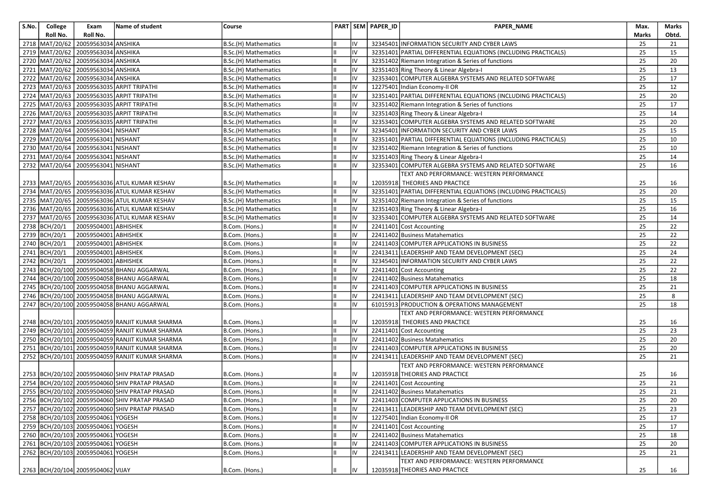| S.No. | College        | Exam                               | Name of student                                       | Course               |    |    | PART SEM PAPER_ID | <b>PAPER NAME</b>                                              | Max.  | Marks |
|-------|----------------|------------------------------------|-------------------------------------------------------|----------------------|----|----|-------------------|----------------------------------------------------------------|-------|-------|
|       | Roll No.       | Roll No.                           |                                                       |                      |    |    |                   |                                                                | Marks | Obtd. |
|       | 2718 MAT/20/62 | 20059563034 ANSHIKA                |                                                       | B.Sc.(H) Mathematics |    | IV |                   | 32345401 INFORMATION SECURITY AND CYBER LAWS                   | 25    | 21    |
|       | 2719 MAT/20/62 | 20059563034 ANSHIKA                |                                                       | B.Sc.(H) Mathematics |    | IV |                   | 32351401 PARTIAL DIFFERENTIAL EQUATIONS (INCLUDING PRACTICALS) | 25    | 15    |
|       | 2720 MAT/20/62 | 20059563034 ANSHIKA                |                                                       | B.Sc.(H) Mathematics |    | IV |                   | 32351402 Riemann Integration & Series of functions             | 25    | 20    |
| 2721  | MAT/20/62      | 20059563034 ANSHIKA                |                                                       | B.Sc.(H) Mathematics |    | IV |                   | 32351403 Ring Theory & Linear Algebra-I                        | 25    | 13    |
|       | 2722 MAT/20/62 | 20059563034 ANSHIKA                |                                                       | B.Sc.(H) Mathematics |    | IV |                   | 32353401 COMPUTER ALGEBRA SYSTEMS AND RELATED SOFTWARE         | 25    | 17    |
|       | 2723 MAT/20/63 |                                    | 20059563035 ARPIT TRIPATHI                            | B.Sc.(H) Mathematics |    | IV |                   | 12275401 Indian Economy-II OR                                  | 25    | 12    |
|       |                |                                    | 2724   MAT/20/63   20059563035   ARPIT TRIPATHI       | B.Sc.(H) Mathematics |    | IV |                   | 32351401 PARTIAL DIFFERENTIAL EQUATIONS (INCLUDING PRACTICALS) | 25    | 20    |
|       |                |                                    | 2725   MAT/20/63   20059563035   ARPIT TRIPATHI       | B.Sc.(H) Mathematics |    | IV |                   | 32351402 Riemann Integration & Series of functions             | 25    | 17    |
|       |                |                                    | 2726 MAT/20/63 20059563035 ARPIT TRIPATHI             | B.Sc.(H) Mathematics |    | IV |                   | 32351403 Ring Theory & Linear Algebra-I                        | 25    | 14    |
|       |                |                                    | 2727   MAT/20/63   20059563035   ARPIT TRIPATHI       | B.Sc.(H) Mathematics |    | IV |                   | 32353401 COMPUTER ALGEBRA SYSTEMS AND RELATED SOFTWARE         | 25    | 20    |
|       | 2728 MAT/20/64 | 20059563041 NISHANT                |                                                       | B.Sc.(H) Mathematics |    | IV |                   | 32345401 INFORMATION SECURITY AND CYBER LAWS                   | 25    | 15    |
|       | 2729 MAT/20/64 | 20059563041 NISHANT                |                                                       | B.Sc.(H) Mathematics |    | IV |                   | 32351401 PARTIAL DIFFERENTIAL EQUATIONS (INCLUDING PRACTICALS) | 25    | 10    |
|       |                | 2730 MAT/20/64 20059563041 NISHANT |                                                       | B.Sc.(H) Mathematics |    | IV |                   | 32351402 Riemann Integration & Series of functions             | 25    | 10    |
|       | 2731 MAT/20/64 | 20059563041 NISHANT                |                                                       | B.Sc.(H) Mathematics |    | IV |                   | 32351403 Ring Theory & Linear Algebra-I                        | 25    | 14    |
|       | 2732 MAT/20/64 | 20059563041 NISHANT                |                                                       | B.Sc.(H) Mathematics |    | IV | 32353401          | COMPUTER ALGEBRA SYSTEMS AND RELATED SOFTWARE                  | 25    | 16    |
|       |                |                                    |                                                       |                      |    |    |                   | TEXT AND PERFORMANCE: WESTERN PERFORMANCE                      |       |       |
|       |                |                                    | 2733 MAT/20/65   20059563036 ATUL KUMAR KESHAV        | B.Sc.(H) Mathematics |    | IV |                   | 12035918 THEORIES AND PRACTICE                                 | 25    | 16    |
|       |                |                                    | 2734 MAT/20/65 20059563036 ATUL KUMAR KESHAV          | B.Sc.(H) Mathematics |    | IV |                   | 32351401 PARTIAL DIFFERENTIAL EQUATIONS (INCLUDING PRACTICALS) | 25    | 20    |
|       |                |                                    | 2735 MAT/20/65 20059563036 ATUL KUMAR KESHAV          | B.Sc.(H) Mathematics |    | IV |                   | 32351402 Riemann Integration & Series of functions             | 25    | 15    |
|       |                |                                    | 2736 MAT/20/65 20059563036 ATUL KUMAR KESHAV          | B.Sc.(H) Mathematics |    | IV |                   | 32351403 Ring Theory & Linear Algebra-I                        | 25    | 16    |
|       | 2737 MAT/20/65 |                                    | 20059563036 ATUL KUMAR KESHAV                         | B.Sc.(H) Mathematics |    | IV |                   | 32353401 COMPUTER ALGEBRA SYSTEMS AND RELATED SOFTWARE         | 25    | 14    |
|       | 2738 BCH/20/1  | 20059504001 ABHISHEK               |                                                       | B.Com. (Hons.)       |    | IV |                   | 22411401 Cost Accounting                                       | 25    | 22    |
|       | 2739 BCH/20/1  | 20059504001 ABHISHEK               |                                                       | B.Com. (Hons.)       |    | IV |                   | 22411402 Business Matahematics                                 | 25    | 22    |
|       | 2740 BCH/20/1  | 20059504001 ABHISHEK               |                                                       | B.Com. (Hons.)       |    | IV |                   | 22411403 COMPUTER APPLICATIONS IN BUSINESS                     | 25    | 22    |
|       | 2741 BCH/20/1  | 20059504001 ABHISHEK               |                                                       | B.Com. (Hons.)       |    | IV |                   | 22413411 LEADERSHIP AND TEAM DEVELOPMENT (SEC)                 | 25    | 24    |
|       | 2742 BCH/20/1  | 20059504001 ABHISHEK               |                                                       | B.Com. (Hons.)       |    | IV |                   | 32345401 INFORMATION SECURITY AND CYBER LAWS                   | 25    | 22    |
|       |                |                                    | 2743 BCH/20/100 20059504058 BHANU AGGARWAL            | B.Com. (Hons.)       | Ш  | IV |                   | 22411401 Cost Accounting                                       | 25    | 22    |
|       |                |                                    | 2744 BCH/20/100 20059504058 BHANU AGGARWAL            | B.Com. (Hons.)       |    | IV |                   | 22411402 Business Matahematics                                 | 25    | 18    |
|       |                |                                    | 2745 BCH/20/100 20059504058 BHANU AGGARWAL            | B.Com. (Hons.)       |    | IV |                   | 22411403 COMPUTER APPLICATIONS IN BUSINESS                     | 25    | 21    |
|       |                |                                    | 2746 BCH/20/100 20059504058 BHANU AGGARWAL            | B.Com. (Hons.)       |    | IV |                   | 22413411 LEADERSHIP AND TEAM DEVELOPMENT (SEC)                 | 25    | 8     |
|       |                |                                    | 2747   BCH/20/100   20059504058   BHANU AGGARWAL      | B.Com. (Hons.)       |    | IV |                   | 61015913 PRODUCTION & OPERATIONS MANAGEMENT                    | 25    | 18    |
|       |                |                                    |                                                       |                      |    |    |                   | TEXT AND PERFORMANCE: WESTERN PERFORMANCE                      |       |       |
|       |                |                                    | 2748   BCH/20/101   20059504059   RANJIT KUMAR SHARMA | B.Com. (Hons.)       |    | IV |                   | 12035918 THEORIES AND PRACTICE                                 | 25    | 16    |
|       |                |                                    | 2749 BCH/20/101 20059504059 RANJIT KUMAR SHARMA       | B.Com. (Hons.)       |    | IV |                   | 22411401 Cost Accounting                                       | 25    | 23    |
|       |                |                                    | 2750 BCH/20/101 20059504059 RANJIT KUMAR SHARMA       | B.Com. (Hons.)       |    | IV |                   | 22411402 Business Matahematics                                 | 25    | 20    |
|       |                |                                    | 2751 BCH/20/101 20059504059 RANJIT KUMAR SHARMA       | B.Com. (Hons.)       |    | IV |                   | 22411403 COMPUTER APPLICATIONS IN BUSINESS                     | 25    | 20    |
|       |                |                                    | 2752 BCH/20/101 20059504059 RANJIT KUMAR SHARMA       | B.Com. (Hons.)       |    | IV |                   | 22413411 LEADERSHIP AND TEAM DEVELOPMENT (SEC)                 | 25    | 21    |
|       |                |                                    |                                                       |                      |    |    |                   | TEXT AND PERFORMANCE: WESTERN PERFORMANCE                      |       |       |
|       |                |                                    | 2753 BCH/20/102 20059504060 SHIV PRATAP PRASAD        | B.Com. (Hons.)       |    |    |                   | 12035918 THEORIES AND PRACTICE                                 | 25    | 16    |
|       |                |                                    | 2754 BCH/20/102 20059504060 SHIV PRATAP PRASAD        | B.Com. (Hons.)       |    | IV |                   | 22411401 Cost Accounting                                       | 25    | 21    |
|       |                |                                    | 2755 BCH/20/102 20059504060 SHIV PRATAP PRASAD        | B.Com. (Hons.)       | Iн | IV |                   | 22411402 Business Matahematics                                 | 25    | 21    |
|       |                |                                    | 2756 BCH/20/102 20059504060 SHIV PRATAP PRASAD        | B.Com. (Hons.)       | Ш. |    |                   | 22411403 COMPUTER APPLICATIONS IN BUSINESS                     | 25    | 20    |
|       |                |                                    | 2757 BCH/20/102 20059504060 SHIV PRATAP PRASAD        | B.Com. (Hons.)       |    | IV |                   | 22413411 LEADERSHIP AND TEAM DEVELOPMENT (SEC)                 | 25    | 23    |
|       |                | 2758 BCH/20/103 20059504061 YOGESH |                                                       | B.Com. (Hons.)       |    | IV |                   | 12275401 Indian Economy-II OR                                  | 25    | 17    |
|       |                | 2759 BCH/20/103 20059504061 YOGESH |                                                       | B.Com. (Hons.)       |    | IV |                   | 22411401 Cost Accounting                                       | 25    | 17    |
|       |                | 2760 BCH/20/103 20059504061 YOGESH |                                                       | B.Com. (Hons.)       |    | IV |                   | 22411402 Business Matahematics                                 | 25    | 18    |
|       |                | 2761 BCH/20/103 20059504061 YOGESH |                                                       | B.Com. (Hons.)       |    | IV |                   | 22411403 COMPUTER APPLICATIONS IN BUSINESS                     | 25    | 20    |
|       |                | 2762 BCH/20/103 20059504061 YOGESH |                                                       | B.Com. (Hons.)       | l။ | IV |                   | 22413411 LEADERSHIP AND TEAM DEVELOPMENT (SEC)                 | 25    | 21    |
|       |                |                                    |                                                       |                      |    |    |                   | TEXT AND PERFORMANCE: WESTERN PERFORMANCE                      |       |       |
|       |                | 2763 BCH/20/104 20059504062 VIJAY  |                                                       | B.Com. (Hons.)       |    | IV |                   | 12035918 THEORIES AND PRACTICE                                 | 25    | 16    |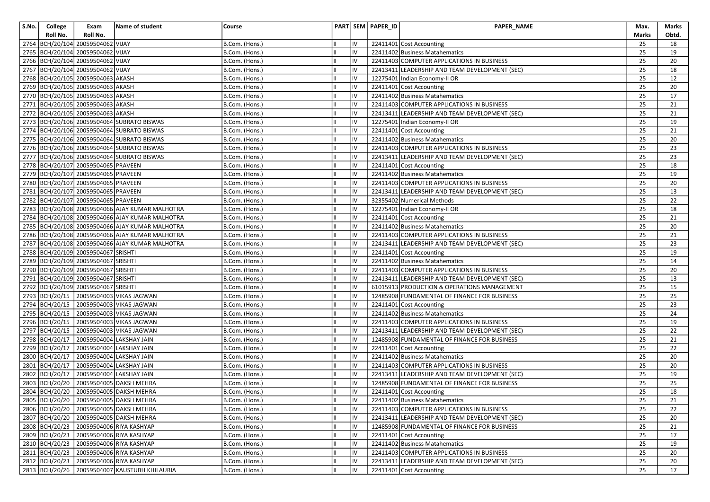| S.No. | College          | Exam                                | Name of student                                 | Course         |   |    | PART SEM PAPER_ID | <b>PAPER NAME</b>                              | Max.  | Marks |
|-------|------------------|-------------------------------------|-------------------------------------------------|----------------|---|----|-------------------|------------------------------------------------|-------|-------|
|       | Roll No.         | Roll No.                            |                                                 |                |   |    |                   |                                                | Marks | Obtd. |
|       |                  | 2764 BCH/20/104 20059504062 VIJAY   |                                                 | B.Com. (Hons.) |   |    |                   | 22411401 Cost Accounting                       | 25    | 18    |
|       |                  | 2765 BCH/20/104 20059504062 VIJAY   |                                                 | B.Com. (Hons.) | Ш | IV |                   | 22411402 Business Matahematics                 | 25    | 19    |
|       |                  | 2766 BCH/20/104 20059504062 VIJAY   |                                                 | B.Com. (Hons.) |   | IV |                   | 22411403 COMPUTER APPLICATIONS IN BUSINESS     | 25    | 20    |
|       |                  | 2767 BCH/20/104 20059504062 VIJAY   |                                                 | B.Com. (Hons.) |   | IV |                   | 22413411 LEADERSHIP AND TEAM DEVELOPMENT (SEC) | 25    | 18    |
|       |                  | 2768 BCH/20/105 20059504063 AKASH   |                                                 | B.Com. (Hons.) |   | IV |                   | 12275401 Indian Economy-II OR                  | 25    | 12    |
|       |                  | 2769 BCH/20/105 20059504063 AKASH   |                                                 | B.Com. (Hons.) |   | IV |                   | 22411401 Cost Accounting                       | 25    | 20    |
|       |                  | 2770 BCH/20/105 20059504063 AKASH   |                                                 | B.Com. (Hons.) |   | IV |                   | 22411402 Business Matahematics                 | 25    | 17    |
|       |                  | 2771 BCH/20/105 20059504063 AKASH   |                                                 | B.Com. (Hons.) |   | IV |                   | 22411403 COMPUTER APPLICATIONS IN BUSINESS     | 25    | 21    |
|       |                  | 2772 BCH/20/105 20059504063 AKASH   |                                                 | B.Com. (Hons.) |   | IV |                   | 22413411 LEADERSHIP AND TEAM DEVELOPMENT (SEC) | 25    | 21    |
|       |                  |                                     | 2773 BCH/20/106 20059504064 SUBRATO BISWAS      | B.Com. (Hons.) |   | IV |                   | 12275401 Indian Economy-II OR                  | 25    | 19    |
|       |                  |                                     | 2774 BCH/20/106 20059504064 SUBRATO BISWAS      | B.Com. (Hons.) |   | IV |                   | 22411401 Cost Accounting                       | 25    | 21    |
|       |                  |                                     | 2775   BCH/20/106   20059504064 SUBRATO BISWAS  | B.Com. (Hons.) |   | IV |                   | 22411402 Business Matahematics                 | 25    | 20    |
|       |                  |                                     | 2776 BCH/20/106 20059504064 SUBRATO BISWAS      | B.Com. (Hons.) |   | IV |                   | 22411403 COMPUTER APPLICATIONS IN BUSINESS     | 25    | 23    |
|       |                  |                                     | 2777 BCH/20/106 20059504064 SUBRATO BISWAS      | B.Com. (Hons.) |   | IV |                   | 22413411 LEADERSHIP AND TEAM DEVELOPMENT (SEC) | 25    | 23    |
|       |                  | 2778 BCH/20/107 20059504065 PRAVEEN |                                                 | B.Com. (Hons.) |   | IV |                   | 22411401 Cost Accounting                       | 25    | 18    |
|       |                  | 2779 BCH/20/107 20059504065 PRAVEEN |                                                 | B.Com. (Hons.) |   | IV |                   | 22411402 Business Matahematics                 | 25    | 19    |
|       |                  | 2780 BCH/20/107 20059504065 PRAVEEN |                                                 | B.Com. (Hons.) |   | IV |                   | 22411403 COMPUTER APPLICATIONS IN BUSINESS     | 25    | 20    |
|       |                  | 2781 BCH/20/107 20059504065 PRAVEEN |                                                 | B.Com. (Hons.) |   | IV |                   | 22413411 LEADERSHIP AND TEAM DEVELOPMENT (SEC) | 25    | 13    |
|       |                  | 2782 BCH/20/107 20059504065 PRAVEEN |                                                 | B.Com. (Hons.) |   | IV |                   | 32355402 Numerical Methods                     | 25    | 22    |
|       |                  |                                     | 2783 BCH/20/108 20059504066 AJAY KUMAR MALHOTRA | B.Com. (Hons.) |   | IV |                   | 12275401 Indian Economy-II OR                  | 25    | 18    |
|       |                  |                                     | 2784 BCH/20/108 20059504066 AJAY KUMAR MALHOTRA | B.Com. (Hons.) |   | IV |                   | 22411401 Cost Accounting                       | 25    | 21    |
|       |                  |                                     | 2785 BCH/20/108 20059504066 AJAY KUMAR MALHOTRA | B.Com. (Hons.) |   | IV |                   | 22411402 Business Matahematics                 | 25    | 20    |
|       |                  |                                     | 2786 BCH/20/108 20059504066 AJAY KUMAR MALHOTRA | B.Com. (Hons.) |   | IV |                   | 22411403 COMPUTER APPLICATIONS IN BUSINESS     | 25    | 21    |
|       |                  |                                     | 2787 BCH/20/108 20059504066 AJAY KUMAR MALHOTRA | B.Com. (Hons.) |   | IV |                   | 22413411 LEADERSHIP AND TEAM DEVELOPMENT (SEC) | 25    | 23    |
|       |                  | 2788 BCH/20/109 20059504067 SRISHTI |                                                 | B.Com. (Hons.) |   | IV |                   | 22411401 Cost Accounting                       | 25    | 19    |
|       |                  | 2789 BCH/20/109 20059504067 SRISHTI |                                                 | B.Com. (Hons.) |   | IV |                   | 22411402 Business Matahematics                 | 25    | 14    |
|       |                  | 2790 BCH/20/109 20059504067 SRISHTI |                                                 | B.Com. (Hons.) |   | IV |                   | 22411403 COMPUTER APPLICATIONS IN BUSINESS     | 25    | 20    |
|       |                  | 2791 BCH/20/109 20059504067 SRISHTI |                                                 | B.Com. (Hons.) |   | IV |                   | 22413411 LEADERSHIP AND TEAM DEVELOPMENT (SEC) | 25    | 13    |
|       |                  | 2792 BCH/20/109 20059504067 SRISHTI |                                                 | B.Com. (Hons.) |   | IV |                   | 61015913 PRODUCTION & OPERATIONS MANAGEMENT    | 25    | 15    |
|       |                  |                                     | 2793 BCH/20/15 20059504003 VIKAS JAGWAN         | B.Com. (Hons.) |   | IV |                   | 12485908 FUNDAMENTAL OF FINANCE FOR BUSINESS   | 25    | 25    |
|       |                  |                                     | 2794 BCH/20/15 20059504003 VIKAS JAGWAN         | B.Com. (Hons.) |   | IV |                   | 22411401 Cost Accounting                       | 25    | 23    |
|       |                  |                                     | 2795 BCH/20/15 20059504003 VIKAS JAGWAN         | B.Com. (Hons.) |   | IV |                   | 22411402 Business Matahematics                 | 25    | 24    |
|       |                  |                                     | 2796 BCH/20/15 20059504003 VIKAS JAGWAN         | B.Com. (Hons.) |   | IV |                   | 22411403 COMPUTER APPLICATIONS IN BUSINESS     | 25    | 19    |
|       |                  |                                     | 2797 BCH/20/15 20059504003 VIKAS JAGWAN         | B.Com. (Hons.) |   | IV |                   | 22413411 LEADERSHIP AND TEAM DEVELOPMENT (SEC) | 25    | 22    |
|       | 2798 BCH/20/17   |                                     | 20059504004 LAKSHAY JAIN                        | B.Com. (Hons.) |   | IV |                   | 12485908 FUNDAMENTAL OF FINANCE FOR BUSINESS   | 25    | 21    |
|       | 2799 BCH/20/17   |                                     | 20059504004 LAKSHAY JAIN                        | B.Com. (Hons.) |   | IV |                   | 22411401 Cost Accounting                       | 25    | 22    |
|       | 2800 BCH/20/17   |                                     | 20059504004 LAKSHAY JAIN                        | B.Com. (Hons.) |   | IV |                   | 22411402 Business Matahematics                 | 25    | 20    |
|       | 2801   BCH/20/17 |                                     | 20059504004 LAKSHAY JAIN                        | B.Com. (Hons.) |   | IV |                   | 22411403 COMPUTER APPLICATIONS IN BUSINESS     | 25    | 20    |
|       |                  |                                     | 2802 BCH/20/17 20059504004 LAKSHAY JAIN         | B.Com. (Hons.) |   | IV |                   | 22413411 LEADERSHIP AND TEAM DEVELOPMENT (SEC) | 25    | 19    |
|       | 2803 BCH/20/20   |                                     | 20059504005 DAKSH MEHRA                         | B.Com. (Hons.) |   | IV |                   | 12485908 FUNDAMENTAL OF FINANCE FOR BUSINESS   | 25    | 25    |
|       |                  |                                     | 2804 BCH/20/20 20059504005 DAKSH MEHRA          | B.Com. (Hons.) | Ш | IV |                   | 22411401 Cost Accounting                       | 25    | 18    |
|       |                  |                                     | 2805 BCH/20/20 20059504005 DAKSH MEHRA          | B.Com. (Hons.) |   |    |                   | 22411402 Business Matahematics                 | 25    | 21    |
|       |                  |                                     | 2806 BCH/20/20 20059504005 DAKSH MEHRA          | B.Com. (Hons.) |   | IV |                   | 22411403 COMPUTER APPLICATIONS IN BUSINESS     | 25    | 22    |
|       |                  |                                     | 2807 BCH/20/20 20059504005 DAKSH MEHRA          | B.Com. (Hons.) |   | IV |                   | 22413411 LEADERSHIP AND TEAM DEVELOPMENT (SEC) | 25    | 20    |
|       |                  |                                     | 2808 BCH/20/23 20059504006 RIYA KASHYAP         | B.Com. (Hons.) |   | IV |                   | 12485908 FUNDAMENTAL OF FINANCE FOR BUSINESS   | 25    | 21    |
|       | 2809 BCH/20/23   |                                     | 20059504006 RIYA KASHYAP                        | B.Com. (Hons.) |   | IV |                   | 22411401 Cost Accounting                       | 25    | 17    |
|       | 2810 BCH/20/23   |                                     | 20059504006 RIYA KASHYAP                        | B.Com. (Hons.) |   | IV |                   | 22411402 Business Matahematics                 | 25    | 19    |
|       |                  |                                     | 2811   BCH/20/23   20059504006   RIYA KASHYAP   | B.Com. (Hons.) |   | IV |                   | 22411403 COMPUTER APPLICATIONS IN BUSINESS     | 25    | 20    |
|       |                  |                                     | 2812 BCH/20/23 20059504006 RIYA KASHYAP         | B.Com. (Hons.) |   | IV |                   | 22413411 LEADERSHIP AND TEAM DEVELOPMENT (SEC) | 25    | 20    |
|       |                  |                                     | 2813 BCH/20/26 20059504007 KAUSTUBH KHILAURIA   | B.Com. (Hons.) |   | IV |                   | 22411401 Cost Accounting                       | 25    | 17    |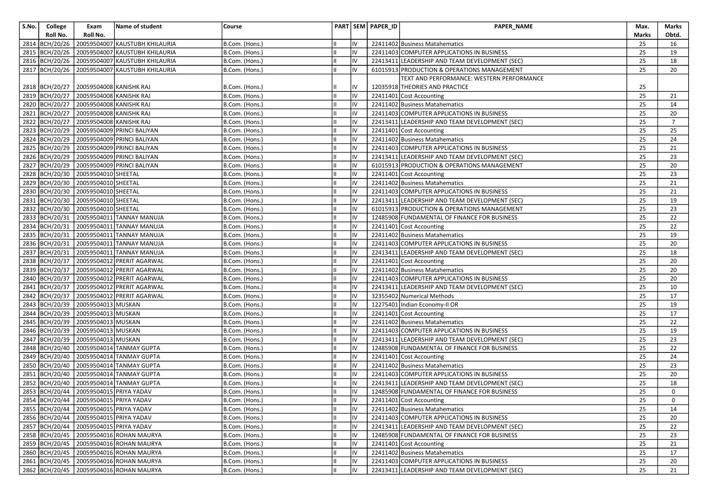| S.No. | College        | Exam                                         | Name of student                                     | Course         |    | PART SEM PAPER_ID | PAPER_NAME                                     | Max.  | Marks          |
|-------|----------------|----------------------------------------------|-----------------------------------------------------|----------------|----|-------------------|------------------------------------------------|-------|----------------|
|       | Roll No.       | Roll No.                                     |                                                     |                |    |                   |                                                | Marks | Obtd.          |
|       |                |                                              | 2814 BCH/20/26 20059504007 KAUSTUBH KHILAURIA       | B.Com. (Hons.) | IV |                   | 22411402 Business Matahematics                 | 25    | 16             |
|       |                |                                              | 2815 BCH/20/26 20059504007 KAUSTUBH KHILAURIA       | B.Com. (Hons.) | IV |                   | 22411403 COMPUTER APPLICATIONS IN BUSINESS     | 25    | 19             |
|       |                |                                              | 2816   BCH/20/26   20059504007   KAUSTUBH KHILAURIA | B.Com. (Hons.) | IV |                   | 22413411 LEADERSHIP AND TEAM DEVELOPMENT (SEC) | 25    | 18             |
|       |                |                                              | 2817 BCH/20/26 20059504007 KAUSTUBH KHILAURIA       | B.Com. (Hons.) | IV |                   | 61015913 PRODUCTION & OPERATIONS MANAGEMENT    | 25    | 20             |
|       |                |                                              |                                                     |                |    |                   | TEXT AND PERFORMANCE: WESTERN PERFORMANCE      |       |                |
|       |                | 2818   BCH/20/27   20059504008   KANISHK RAJ |                                                     | B.Com. (Hons.) | IV |                   | 12035918 THEORIES AND PRACTICE                 | 25    |                |
|       |                | 2819 BCH/20/27 20059504008 KANISHK RAJ       |                                                     | B.Com. (Hons.) | IV |                   | 22411401 Cost Accounting                       | 25    | 21             |
|       |                | 2820 BCH/20/27 20059504008 KANISHK RAJ       |                                                     | B.Com. (Hons.) | IV |                   | 22411402 Business Matahematics                 | 25    | 14             |
|       |                | 2821 BCH/20/27 20059504008 KANISHK RAJ       |                                                     | B.Com. (Hons.) | IV |                   | 22411403 COMPUTER APPLICATIONS IN BUSINESS     | 25    | 20             |
|       |                | 2822 BCH/20/27 20059504008 KANISHK RAJ       |                                                     | B.Com. (Hons.) | IV |                   | 22413411 LEADERSHIP AND TEAM DEVELOPMENT (SEC) | 25    | $\overline{7}$ |
|       |                |                                              | 2823 BCH/20/29 20059504009 PRINCI BALIYAN           | B.Com. (Hons.) | IV |                   | 22411401 Cost Accounting                       | 25    | 25             |
|       |                |                                              | 2824   BCH/20/29   20059504009   PRINCI BALIYAN     | B.Com. (Hons.) | IV |                   | 22411402 Business Matahematics                 | 25    | 24             |
|       |                |                                              | 2825 BCH/20/29 20059504009 PRINCI BALIYAN           | B.Com. (Hons.) | IV |                   | 22411403 COMPUTER APPLICATIONS IN BUSINESS     | 25    | 21             |
|       |                |                                              | 2826 BCH/20/29 20059504009 PRINCI BALIYAN           | B.Com. (Hons.) | IV |                   | 22413411 LEADERSHIP AND TEAM DEVELOPMENT (SEC) | 25    | 23             |
|       |                |                                              | 2827 BCH/20/29 20059504009 PRINCI BALIYAN           | B.Com. (Hons.) | IV |                   | 61015913 PRODUCTION & OPERATIONS MANAGEMENT    | 25    | 20             |
|       |                | 2828 BCH/20/30 20059504010 SHEETAL           |                                                     | B.Com. (Hons.) | IV |                   | 22411401 Cost Accounting                       | 25    | 23             |
|       |                | 2829 BCH/20/30 20059504010 SHEETAL           |                                                     | B.Com. (Hons.) | IV |                   | 22411402 Business Matahematics                 | 25    | 21             |
|       |                | 2830 BCH/20/30 20059504010 SHEETAL           |                                                     | B.Com. (Hons.) | IV |                   | 22411403 COMPUTER APPLICATIONS IN BUSINESS     | 25    | 21             |
|       |                | 2831 BCH/20/30 20059504010 SHEETAL           |                                                     | B.Com. (Hons.) | IV |                   | 22413411 LEADERSHIP AND TEAM DEVELOPMENT (SEC) | 25    | 19             |
|       |                | 2832 BCH/20/30 20059504010 SHEETAL           |                                                     | B.Com. (Hons.) | IV |                   | 61015913 PRODUCTION & OPERATIONS MANAGEMENT    | 25    | 23             |
|       |                |                                              | 2833 BCH/20/31 20059504011 TANNAY MANUJA            | B.Com. (Hons.) | IV |                   | 12485908 FUNDAMENTAL OF FINANCE FOR BUSINESS   | 25    | 22             |
|       |                |                                              | 2834 BCH/20/31 20059504011 TANNAY MANUJA            | B.Com. (Hons.) | IV |                   | 22411401 Cost Accounting                       | 25    | 22             |
|       |                |                                              | 2835 BCH/20/31 20059504011 TANNAY MANUJA            | B.Com. (Hons.) | IV |                   | 22411402 Business Matahematics                 | 25    | 19             |
|       |                |                                              | 2836 BCH/20/31 20059504011 TANNAY MANUJA            | B.Com. (Hons.) | IV |                   | 22411403 COMPUTER APPLICATIONS IN BUSINESS     | 25    | 20             |
|       |                |                                              | 2837 BCH/20/31 20059504011 TANNAY MANUJA            | B.Com. (Hons.) | IV |                   | 22413411 LEADERSHIP AND TEAM DEVELOPMENT (SEC) | 25    | 18             |
|       | 2838 BCH/20/37 |                                              | 20059504012 PRERIT AGARWAL                          | B.Com. (Hons.) | IV |                   | 22411401 Cost Accounting                       | 25    | 20             |
|       |                |                                              | 2839 BCH/20/37 20059504012 PRERIT AGARWAL           | B.Com. (Hons.) | IV |                   | 22411402 Business Matahematics                 | 25    | 20             |
|       |                |                                              | 2840 BCH/20/37 20059504012 PRERIT AGARWAL           | B.Com. (Hons.) | IV |                   | 22411403 COMPUTER APPLICATIONS IN BUSINESS     | 25    | 20             |
|       |                |                                              | 2841 BCH/20/37 20059504012 PRERIT AGARWAL           | B.Com. (Hons.) | IV |                   | 22413411 LEADERSHIP AND TEAM DEVELOPMENT (SEC) | 25    | 10             |
|       | 2842 BCH/20/37 |                                              | 20059504012 PRERIT AGARWAL                          | B.Com. (Hons.) | IV |                   | 32355402 Numerical Methods                     | 25    | 17             |
|       |                | 2843 BCH/20/39 20059504013 MUSKAN            |                                                     | B.Com. (Hons.) | IV |                   | 12275401 Indian Economy-II OR                  | 25    | 19             |
|       |                | 2844 BCH/20/39 20059504013 MUSKAN            |                                                     | B.Com. (Hons.) | IV |                   | 22411401 Cost Accounting                       | 25    | 17             |
|       |                | 2845   BCH/20/39   20059504013   MUSKAN      |                                                     | B.Com. (Hons.) | IV |                   | 22411402 Business Matahematics                 | 25    | 22             |
|       |                | 2846 BCH/20/39 20059504013 MUSKAN            |                                                     | B.Com. (Hons.) | IV |                   | 22411403 COMPUTER APPLICATIONS IN BUSINESS     | 25    | 19             |
|       |                | 2847 BCH/20/39 20059504013 MUSKAN            |                                                     | B.Com. (Hons.) | IV |                   | 22413411 LEADERSHIP AND TEAM DEVELOPMENT (SEC) | 25    | 23             |
|       |                |                                              | 2848 BCH/20/40 20059504014 TANMAY GUPTA             | B.Com. (Hons.) | IV |                   | 12485908 FUNDAMENTAL OF FINANCE FOR BUSINESS   | 25    | 22             |
|       |                |                                              | 2849 BCH/20/40 20059504014 TANMAY GUPTA             | B.Com. (Hons.) | IV |                   | 22411401 Cost Accounting                       | 25    | 24             |
|       |                |                                              | 2850 BCH/20/40 20059504014 TANMAY GUPTA             | B.Com. (Hons.) | IV |                   | 22411402 Business Matahematics                 | 25    | 23             |
|       |                |                                              | 2851 BCH/20/40 20059504014 TANMAY GUPTA             | B.Com. (Hons.) | IV |                   | 22411403 COMPUTER APPLICATIONS IN BUSINESS     | 25    | 20             |
|       |                |                                              | 2852 BCH/20/40 20059504014 TANMAY GUPTA             | B.Com. (Hons.) | IV |                   | 22413411 LEADERSHIP AND TEAM DEVELOPMENT (SEC) | 25    | 18             |
|       |                | 2853 BCH/20/44 20059504015 PRIYA YADAV       |                                                     | B.Com. (Hons.) | IV |                   | 12485908 FUNDAMENTAL OF FINANCE FOR BUSINESS   | 25    | 0              |
|       |                | 2854 BCH/20/44 20059504015 PRIYA YADAV       |                                                     | B.Com. (Hons.) | IV |                   | 22411401 Cost Accounting                       | 25    | $\overline{0}$ |
|       |                | 2855 BCH/20/44 20059504015 PRIYA YADAV       |                                                     | B.Com. (Hons.) | IV |                   | 22411402 Business Matahematics                 | 25    | 14             |
|       |                | 2856 BCH/20/44 20059504015 PRIYA YADAV       |                                                     | B.Com. (Hons.) | IV |                   | 22411403 COMPUTER APPLICATIONS IN BUSINESS     | 25    | 20             |
|       |                | 2857 BCH/20/44 20059504015 PRIYA YADAV       |                                                     | B.Com. (Hons.) | IV |                   | 22413411 LEADERSHIP AND TEAM DEVELOPMENT (SEC) | 25    | 22             |
|       |                |                                              | 2858 BCH/20/45 20059504016 ROHAN MAURYA             | B.Com. (Hons.) | IV |                   | 12485908 FUNDAMENTAL OF FINANCE FOR BUSINESS   | 25    | 23             |
|       |                |                                              | 2859 BCH/20/45 20059504016 ROHAN MAURYA             | B.Com. (Hons.) | IV |                   | 22411401 Cost Accounting                       | 25    | 21             |
|       |                |                                              | 2860 BCH/20/45 20059504016 ROHAN MAURYA             | B.Com. (Hons.) | IV |                   | 22411402 Business Matahematics                 | 25    | 17             |
|       |                |                                              | 2861 BCH/20/45 20059504016 ROHAN MAURYA             | B.Com. (Hons.) | IV |                   | 22411403 COMPUTER APPLICATIONS IN BUSINESS     | 25    | 20             |
|       |                |                                              | 2862 BCH/20/45 20059504016 ROHAN MAURYA             | B.Com. (Hons.) | IV |                   | 22413411 LEADERSHIP AND TEAM DEVELOPMENT (SEC) | 25    | 21             |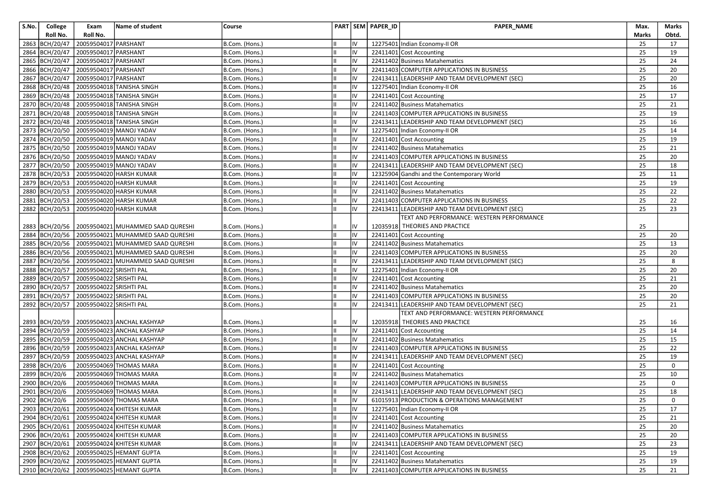| S.No. | College        | Exam                    | Name of student                                  | Course         |    |                | PART SEM PAPER_ID | <b>PAPER NAME</b>                              | Max.         | Marks          |
|-------|----------------|-------------------------|--------------------------------------------------|----------------|----|----------------|-------------------|------------------------------------------------|--------------|----------------|
|       | Roll No.       | Roll No.                |                                                  |                |    |                |                   |                                                | <b>Marks</b> | Obtd.          |
|       | 2863 BCH/20/47 | 20059504017 PARSHANT    |                                                  | B.Com. (Hons.) |    | IV             |                   | 12275401 Indian Economy-II OR                  | 25           | 17             |
|       | 2864 BCH/20/47 | 20059504017 PARSHANT    |                                                  | B.Com. (Hons.) |    | IV             |                   | 22411401 Cost Accounting                       | 25           | 19             |
|       | 2865 BCH/20/47 | 20059504017 PARSHANT    |                                                  | B.Com. (Hons.) |    | IV             |                   | 22411402 Business Matahematics                 | 25           | 24             |
|       | 2866 BCH/20/47 | 20059504017 PARSHANT    |                                                  | B.Com. (Hons.) |    | IV             |                   | 22411403 COMPUTER APPLICATIONS IN BUSINESS     | 25           | 20             |
|       | 2867 BCH/20/47 | 20059504017 PARSHANT    |                                                  | B.Com. (Hons.) | Iн | IV             |                   | 22413411 LEADERSHIP AND TEAM DEVELOPMENT (SEC) | 25           | 20             |
|       | 2868 BCH/20/48 |                         | 20059504018 TANISHA SINGH                        | B.Com. (Hons.) |    | IV             |                   | 12275401 Indian Economy-II OR                  | 25           | 16             |
|       | 2869 BCH/20/48 |                         | 20059504018 TANISHA SINGH                        | B.Com. (Hons.) |    | IV             |                   | 22411401 Cost Accounting                       | 25           | 17             |
|       | 2870 BCH/20/48 |                         | 20059504018 TANISHA SINGH                        | B.Com. (Hons.) |    | IV             |                   | 22411402 Business Matahematics                 | 25           | 21             |
|       | 2871 BCH/20/48 |                         | 20059504018 TANISHA SINGH                        | B.Com. (Hons.) |    | IV             |                   | 22411403 COMPUTER APPLICATIONS IN BUSINESS     | 25           | 19             |
|       | 2872 BCH/20/48 |                         | 20059504018 TANISHA SINGH                        | B.Com. (Hons.) |    | IV             |                   | 22413411 LEADERSHIP AND TEAM DEVELOPMENT (SEC) | 25           | 16             |
|       | 2873 BCH/20/50 |                         | 20059504019 MANOJ YADAV                          | B.Com. (Hons.) |    | IV             |                   | 12275401 Indian Economy-II OR                  | 25           | 14             |
|       | 2874 BCH/20/50 |                         | 20059504019 MANOJ YADAV                          | B.Com. (Hons.) | Iн | IV             |                   | 22411401 Cost Accounting                       | 25           | 19             |
|       | 2875 BCH/20/50 |                         | 20059504019 MANOJ YADAV                          | B.Com. (Hons.) |    | IV             |                   | 22411402 Business Matahematics                 | 25           | 21             |
|       | 2876 BCH/20/50 |                         | 20059504019 MANOJ YADAV                          | B.Com. (Hons.) |    | IV             |                   | 22411403 COMPUTER APPLICATIONS IN BUSINESS     | 25           | 20             |
|       | 2877 BCH/20/50 |                         | 20059504019 MANOJ YADAV                          | B.Com. (Hons.) |    | IV             |                   | 22413411 LEADERSHIP AND TEAM DEVELOPMENT (SEC) | 25           | 18             |
|       | 2878 BCH/20/53 |                         | 20059504020 HARSH KUMAR                          | B.Com. (Hons.) |    | IV             |                   | 12325904 Gandhi and the Contemporary World     | 25           | 11             |
|       | 2879 BCH/20/53 |                         | 20059504020 HARSH KUMAR                          | B.Com. (Hons.) |    | IV             |                   | 22411401 Cost Accounting                       | 25           | 19             |
|       | 2880 BCH/20/53 |                         | 20059504020 HARSH KUMAR                          | B.Com. (Hons.) |    | IV             |                   | 22411402 Business Matahematics                 | 25           | 22             |
|       | 2881 BCH/20/53 |                         | 20059504020 HARSH KUMAR                          | B.Com. (Hons.) |    | IV             |                   | 22411403 COMPUTER APPLICATIONS IN BUSINESS     | 25           | 22             |
|       | 2882 BCH/20/53 |                         | 20059504020 HARSH KUMAR                          | B.Com. (Hons.) |    | IV             |                   | 22413411 LEADERSHIP AND TEAM DEVELOPMENT (SEC) | 25           | 23             |
|       |                |                         |                                                  |                |    |                |                   | TEXT AND PERFORMANCE: WESTERN PERFORMANCE      |              |                |
|       | 2883 BCH/20/56 |                         | 20059504021 MUHAMMED SAAD QURESHI                | B.Com. (Hons.) |    | IV             |                   | 12035918 THEORIES AND PRACTICE                 | 25           |                |
|       |                |                         | 2884 BCH/20/56 20059504021 MUHAMMED SAAD QURESHI | B.Com. (Hons.) |    | IV             |                   | 22411401 Cost Accounting                       | 25           | 20             |
|       | 2885 BCH/20/56 |                         | 20059504021 MUHAMMED SAAD QURESHI                | B.Com. (Hons.) |    | IV             |                   | 22411402 Business Matahematics                 | 25           | 13             |
|       | 2886 BCH/20/56 |                         | 20059504021 MUHAMMED SAAD QURESHI                | B.Com. (Hons.) |    | IV             |                   | 22411403 COMPUTER APPLICATIONS IN BUSINESS     | 25           | 20             |
|       | 2887 BCH/20/56 |                         | 20059504021 MUHAMMED SAAD QURESHI                | B.Com. (Hons.) |    | IV             |                   | 22413411 LEADERSHIP AND TEAM DEVELOPMENT (SEC) | 25           | 8              |
|       | 2888 BCH/20/57 | 20059504022 SRISHTI PAL |                                                  | B.Com. (Hons.) |    | IV             |                   | 12275401 Indian Economy-II OR                  | 25           | 20             |
|       | 2889 BCH/20/57 | 20059504022 SRISHTI PAL |                                                  | B.Com. (Hons.) |    | IV             |                   | 22411401 Cost Accounting                       | 25           | 21             |
|       | 2890 BCH/20/57 | 20059504022 SRISHTI PAL |                                                  | B.Com. (Hons.) |    | IV             |                   | 22411402 Business Matahematics                 | 25           | 20             |
|       | 2891 BCH/20/57 | 20059504022 SRISHTI PAL |                                                  | B.Com. (Hons.) | Iн | IV             |                   | 22411403 COMPUTER APPLICATIONS IN BUSINESS     | 25           | 20             |
|       | 2892 BCH/20/57 | 20059504022 SRISHTI PAL |                                                  | B.Com. (Hons.) |    | IV             |                   | 22413411 LEADERSHIP AND TEAM DEVELOPMENT (SEC) | 25           | 21             |
|       |                |                         |                                                  |                |    |                |                   | TEXT AND PERFORMANCE: WESTERN PERFORMANCE      |              |                |
|       | 2893 BCH/20/59 |                         | 20059504023 ANCHAL KASHYAP                       | B.Com. (Hons.) |    | IV             |                   | 12035918 THEORIES AND PRACTICE                 | 25           | 16             |
|       | 2894 BCH/20/59 |                         | 20059504023 ANCHAL KASHYAP                       | B.Com. (Hons.) |    | IV             |                   | 22411401 Cost Accounting                       | 25           | 14             |
|       | 2895 BCH/20/59 |                         | 20059504023 ANCHAL KASHYAP                       | B.Com. (Hons.) |    | IV             |                   | 22411402 Business Matahematics                 | 25           | 15             |
|       | 2896 BCH/20/59 |                         | 20059504023 ANCHAL KASHYAP                       | B.Com. (Hons.) |    | IV             |                   | 22411403 COMPUTER APPLICATIONS IN BUSINESS     | 25           | 22             |
|       | 2897 BCH/20/59 |                         | 20059504023 ANCHAL KASHYAP                       | B.Com. (Hons.) |    | IV             |                   | 22413411 LEADERSHIP AND TEAM DEVELOPMENT (SEC) | 25           | 19             |
|       | 2898 BCH/20/6  |                         | 20059504069 THOMAS MARA                          | B.Com. (Hons.) |    | IV             |                   | 22411401 Cost Accounting                       | 25           | 0              |
|       | 2899 BCH/20/6  |                         | 20059504069 THOMAS MARA                          | B.Com. (Hons.) |    | IV             |                   | 22411402 Business Matahematics                 | 25           | 10             |
|       | 2900 BCH/20/6  |                         | 20059504069 THOMAS MARA                          | B.Com. (Hons.) |    | IV             |                   | 22411403 COMPUTER APPLICATIONS IN BUSINESS     | 25           | 0              |
|       | 2901 BCH/20/6  |                         | 20059504069 THOMAS MARA                          | B.Com. (Hons.) | Ш  | IV             |                   | 22413411 LEADERSHIP AND TEAM DEVELOPMENT (SEC) | 25           | 18             |
|       |                |                         | 2902 BCH/20/6 20059504069 THOMAS MARA            | B.Com. (Hons.) |    | $\overline{N}$ |                   | 61015913 PRODUCTION & OPERATIONS MANAGEMENT    | 25           | $\overline{0}$ |
|       | 2903 BCH/20/61 |                         | 20059504024 KHITESH KUMAR                        | B.Com. (Hons.) |    | IV             |                   | 12275401 Indian Economy-II OR                  | 25           | 17             |
|       | 2904 BCH/20/61 |                         | 20059504024 KHITESH KUMAR                        | B.Com. (Hons.) |    | IV             |                   | 22411401 Cost Accounting                       | 25           | 21             |
|       | 2905 BCH/20/61 |                         | 20059504024 KHITESH KUMAR                        | B.Com. (Hons.) |    | IV             |                   | 22411402 Business Matahematics                 | 25           | 20             |
|       | 2906 BCH/20/61 |                         | 20059504024 KHITESH KUMAR                        | B.Com. (Hons.) |    | IV             |                   | 22411403 COMPUTER APPLICATIONS IN BUSINESS     | 25           | 20             |
|       |                |                         | 2907 BCH/20/61 20059504024 KHITESH KUMAR         | B.Com. (Hons.) |    | IV             |                   | 22413411 LEADERSHIP AND TEAM DEVELOPMENT (SEC) | 25           | 23             |
|       |                |                         | 2908 BCH/20/62 20059504025 HEMANT GUPTA          | B.Com. (Hons.) |    | IV             |                   | 22411401 Cost Accounting                       | 25           | 19             |
|       | 2909 BCH/20/62 |                         | 20059504025 HEMANT GUPTA                         | B.Com. (Hons.) |    | IV             |                   | 22411402 Business Matahematics                 | 25           | 19             |
|       | 2910 BCH/20/62 |                         | 20059504025 HEMANT GUPTA                         | B.Com. (Hons.) |    | IV             |                   | 22411403 COMPUTER APPLICATIONS IN BUSINESS     | 25           | 21             |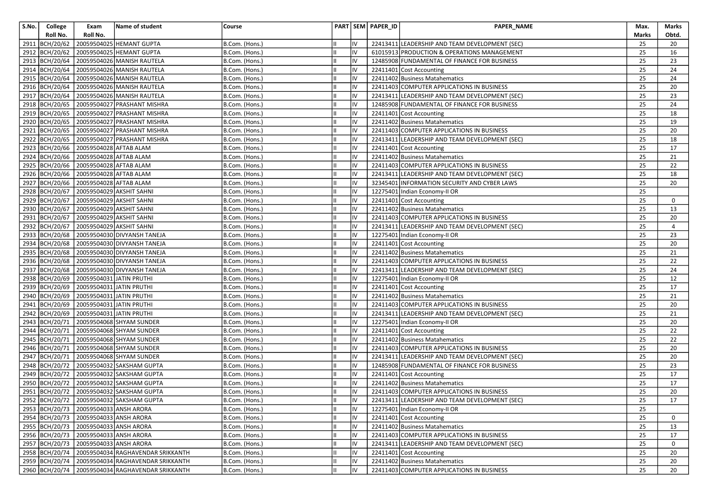| S.No. | College        | Exam                                        | Name of student                                        | Course         |            | PART SEM PAPER ID | <b>PAPER NAME</b>                              | Max.  | Marks |
|-------|----------------|---------------------------------------------|--------------------------------------------------------|----------------|------------|-------------------|------------------------------------------------|-------|-------|
|       | Roll No.       | Roll No.                                    |                                                        |                |            |                   |                                                | Marks | Obtd. |
|       | 2911 BCH/20/62 |                                             | 20059504025 HEMANT GUPTA                               | B.Com. (Hons.) | IV         |                   | 22413411 LEADERSHIP AND TEAM DEVELOPMENT (SEC) | 25    | 20    |
|       | 2912 BCH/20/62 |                                             | 20059504025 HEMANT GUPTA                               | B.Com. (Hons.) | IV         |                   | 61015913 PRODUCTION & OPERATIONS MANAGEMENT    | 25    | 16    |
|       |                |                                             | 2913   BCH/20/64   20059504026   MANISH RAUTELA        | B.Com. (Hons.) | IV         |                   | 12485908 FUNDAMENTAL OF FINANCE FOR BUSINESS   | 25    | 23    |
|       |                |                                             | 2914 BCH/20/64 20059504026 MANISH RAUTELA              | B.Com. (Hons.) | IV         |                   | 22411401 Cost Accounting                       | 25    | 24    |
|       |                |                                             | 2915   BCH/20/64   20059504026   MANISH RAUTELA        | B.Com. (Hons.) | IV         |                   | 22411402 Business Matahematics                 | 25    | 24    |
|       |                |                                             | 2916   BCH/20/64   20059504026   MANISH RAUTELA        | B.Com. (Hons.) | IV         |                   | 22411403 COMPUTER APPLICATIONS IN BUSINESS     | 25    | 20    |
|       |                |                                             | 2917 BCH/20/64 20059504026 MANISH RAUTELA              | B.Com. (Hons.) | IV         |                   | 22413411 LEADERSHIP AND TEAM DEVELOPMENT (SEC) | 25    | 23    |
|       |                |                                             | 2918 BCH/20/65 20059504027 PRASHANT MISHRA             | B.Com. (Hons.) | IV         |                   | 12485908 FUNDAMENTAL OF FINANCE FOR BUSINESS   | 25    | 24    |
|       |                |                                             | 2919 BCH/20/65 20059504027 PRASHANT MISHRA             | B.Com. (Hons.) | IV         |                   | 22411401 Cost Accounting                       | 25    | 18    |
|       |                |                                             | 2920 BCH/20/65 20059504027 PRASHANT MISHRA             | B.Com. (Hons.) | IV         |                   | 22411402 Business Matahematics                 | 25    | 19    |
|       |                |                                             | 2921 BCH/20/65 20059504027 PRASHANT MISHRA             | B.Com. (Hons.) | IV         |                   | 22411403 COMPUTER APPLICATIONS IN BUSINESS     | 25    | 20    |
|       |                |                                             | 2922 BCH/20/65 20059504027 PRASHANT MISHRA             | B.Com. (Hons.) | IV         |                   | 22413411 LEADERSHIP AND TEAM DEVELOPMENT (SEC) | 25    | 18    |
|       |                | 2923 BCH/20/66 20059504028 AFTAB ALAM       |                                                        | B.Com. (Hons.) | IV         |                   | 22411401 Cost Accounting                       | 25    | 17    |
|       |                | 2924 BCH/20/66 20059504028 AFTAB ALAM       |                                                        | B.Com. (Hons.) | liv        |                   | 22411402 Business Matahematics                 | 25    | 21    |
|       |                | 2925 BCH/20/66 20059504028 AFTAB ALAM       |                                                        | B.Com. (Hons.) | IV         |                   | 22411403 COMPUTER APPLICATIONS IN BUSINESS     | 25    | 22    |
|       |                | 2926 BCH/20/66 20059504028 AFTAB ALAM       |                                                        | B.Com. (Hons.) | IV         |                   | 22413411 LEADERSHIP AND TEAM DEVELOPMENT (SEC) | 25    | 18    |
|       |                | 2927 BCH/20/66 20059504028 AFTAB ALAM       |                                                        | B.Com. (Hons.) | IV         |                   | 32345401 INFORMATION SECURITY AND CYBER LAWS   | 25    | 20    |
|       |                | 2928 BCH/20/67 20059504029 AKSHIT SAHNI     |                                                        | B.Com. (Hons.) | IV         |                   | 12275401 Indian Economy-II OR                  | 25    |       |
|       |                | 2929 BCH/20/67 20059504029 AKSHIT SAHNI     |                                                        | B.Com. (Hons.) | IV         |                   | 22411401 Cost Accounting                       | 25    | 0     |
|       |                | 2930 BCH/20/67 20059504029 AKSHIT SAHNI     |                                                        | B.Com. (Hons.) | IV         |                   | 22411402 Business Matahematics                 | 25    | 13    |
|       |                | 2931 BCH/20/67 20059504029 AKSHIT SAHNI     |                                                        | B.Com. (Hons.) | IV         |                   | 22411403 COMPUTER APPLICATIONS IN BUSINESS     | 25    | 20    |
|       |                | 2932 BCH/20/67 20059504029 AKSHIT SAHNI     |                                                        | B.Com. (Hons.) | IV         |                   | 22413411 LEADERSHIP AND TEAM DEVELOPMENT (SEC) | 25    | 4     |
|       |                |                                             | 2933 BCH/20/68 20059504030 DIVYANSH TANEJA             | B.Com. (Hons.) | IV         |                   | 12275401 Indian Economy-II OR                  | 25    | 23    |
|       |                |                                             | 2934 BCH/20/68 20059504030 DIVYANSH TANEJA             | B.Com. (Hons.) | IV         |                   | 22411401 Cost Accounting                       | 25    | 20    |
|       |                |                                             | 2935 BCH/20/68 20059504030 DIVYANSH TANEJA             | B.Com. (Hons.) | IV         |                   | 22411402 Business Matahematics                 | 25    | 21    |
|       |                |                                             | 2936 BCH/20/68 20059504030 DIVYANSH TANEJA             | B.Com. (Hons.) | IV         |                   | 22411403 COMPUTER APPLICATIONS IN BUSINESS     | 25    | 22    |
|       |                |                                             | 2937 BCH/20/68 20059504030 DIVYANSH TANEJA             | B.Com. (Hons.) | IV         |                   | 22413411 LEADERSHIP AND TEAM DEVELOPMENT (SEC) | 25    | 24    |
|       |                | 2938 BCH/20/69 20059504031 JATIN PRUTHI     |                                                        | B.Com. (Hons.) | IV         |                   | 12275401 Indian Economy-II OR                  | 25    | 12    |
|       |                | 2939 BCH/20/69 20059504031 JATIN PRUTHI     |                                                        | B.Com. (Hons.) | IV         |                   | 22411401 Cost Accounting                       | 25    | 17    |
|       |                | 2940 BCH/20/69 20059504031 JATIN PRUTHI     |                                                        | B.Com. (Hons.) | IV         |                   | 22411402 Business Matahematics                 | 25    | 21    |
|       |                | 2941   BCH/20/69   20059504031 JATIN PRUTHI |                                                        | B.Com. (Hons.) | IV         |                   | 22411403 COMPUTER APPLICATIONS IN BUSINESS     | 25    | 20    |
|       |                | 2942 BCH/20/69 20059504031 JATIN PRUTHI     |                                                        | B.Com. (Hons.) | IV         |                   | 22413411 LEADERSHIP AND TEAM DEVELOPMENT (SEC) | 25    | 21    |
|       |                |                                             | 2943 BCH/20/71 20059504068 SHYAM SUNDER                | B.Com. (Hons.) | IV         |                   | 12275401 Indian Economy-II OR                  | 25    | 20    |
|       | 2944 BCH/20/71 |                                             | 20059504068 SHYAM SUNDER                               | B.Com. (Hons.) | IV         |                   | 22411401 Cost Accounting                       | 25    | 22    |
|       |                |                                             | 2945 BCH/20/71 20059504068 SHYAM SUNDER                | B.Com. (Hons.) | IV         |                   | 22411402 Business Matahematics                 | 25    | 22    |
|       |                |                                             | 2946 BCH/20/71 20059504068 SHYAM SUNDER                | B.Com. (Hons.) | IV         |                   | 22411403 COMPUTER APPLICATIONS IN BUSINESS     | 25    | 20    |
|       |                |                                             | 2947 BCH/20/71 20059504068 SHYAM SUNDER                | B.Com. (Hons.) | IV         |                   | 22413411 LEADERSHIP AND TEAM DEVELOPMENT (SEC) | 25    | 20    |
|       |                |                                             | 2948   BCH/20/72   20059504032 SAKSHAM GUPTA           | B.Com. (Hons.) | IV         |                   | 12485908 FUNDAMENTAL OF FINANCE FOR BUSINESS   | 25    | 23    |
|       |                |                                             | 2949 BCH/20/72 20059504032 SAKSHAM GUPTA               | B.Com. (Hons.) | IV         |                   | 22411401 Cost Accounting                       | 25    | 17    |
|       |                |                                             | 2950 BCH/20/72 20059504032 SAKSHAM GUPTA               | B.Com. (Hons.) | IV         |                   | 22411402 Business Matahematics                 | 25    | 17    |
|       |                |                                             | 2951 BCH/20/72 20059504032 SAKSHAM GUPTA               | B.Com. (Hons.) | IV         |                   | 22411403 COMPUTER APPLICATIONS IN BUSINESS     | 25    | 20    |
|       |                |                                             | 2952 BCH/20/72 20059504032 SAKSHAM GUPTA               | B.Com. (Hons.) | ${\sf IV}$ |                   | 22413411 LEADERSHIP AND TEAM DEVELOPMENT (SEC) | 25    | 17    |
|       |                | 2953 BCH/20/73 20059504033 ANSH ARORA       |                                                        | B.Com. (Hons.) | IV         |                   | 12275401 Indian Economy-II OR                  | 25    |       |
|       |                | 2954 BCH/20/73 20059504033 ANSH ARORA       |                                                        | B.Com. (Hons.) | IV         |                   | 22411401 Cost Accounting                       | 25    | 0     |
|       |                | 2955 BCH/20/73 20059504033 ANSH ARORA       |                                                        | B.Com. (Hons.) | IV         |                   | 22411402 Business Matahematics                 | 25    | 13    |
|       |                | 2956 BCH/20/73 20059504033 ANSH ARORA       |                                                        | B.Com. (Hons.) | IV         |                   | 22411403 COMPUTER APPLICATIONS IN BUSINESS     | 25    | 17    |
|       |                | 2957 BCH/20/73 20059504033 ANSH ARORA       |                                                        | B.Com. (Hons.) | IV         |                   | 22413411 LEADERSHIP AND TEAM DEVELOPMENT (SEC) | 25    | 0     |
|       |                |                                             | 2958   BCH/20/74   20059504034   RAGHAVENDAR SRIKKANTH | B.Com. (Hons.) | IV         |                   | 22411401 Cost Accounting                       | 25    | 20    |
|       |                |                                             | 2959 BCH/20/74 20059504034 RAGHAVENDAR SRIKKANTH       | B.Com. (Hons.) | IV         |                   | 22411402 Business Matahematics                 | 25    | 20    |
|       |                |                                             | 2960 BCH/20/74 20059504034 RAGHAVENDAR SRIKKANTH       | B.Com. (Hons.) | liv        |                   | 22411403 COMPUTER APPLICATIONS IN BUSINESS     | 25    | 20    |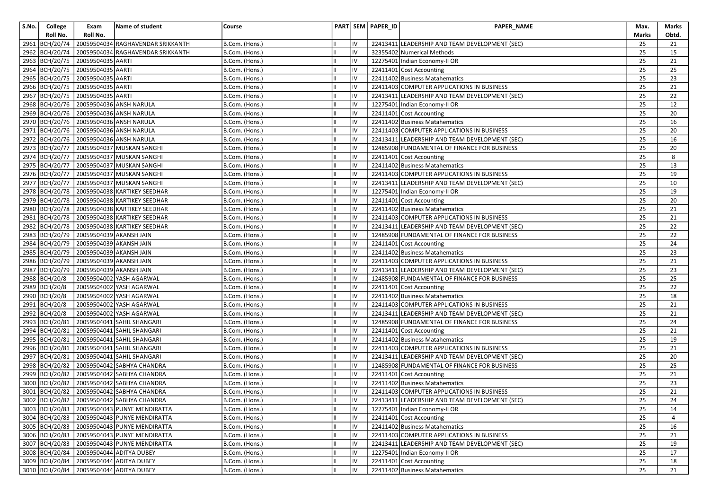| S.No. | College        | Exam                                   | Name of student                                   | Course         |    | PART SEM PAPER_ID | PAPER_NAME                                     | Max.         | Marks |
|-------|----------------|----------------------------------------|---------------------------------------------------|----------------|----|-------------------|------------------------------------------------|--------------|-------|
|       | Roll No.       | Roll No.                               |                                                   |                |    |                   |                                                | <b>Marks</b> | Obtd. |
| 2961  | BCH/20/74      |                                        | 20059504034 RAGHAVENDAR SRIKKANTH                 | B.Com. (Hons.) | IV |                   | 22413411 LEADERSHIP AND TEAM DEVELOPMENT (SEC) | 25           | 21    |
|       | 2962 BCH/20/74 |                                        | 20059504034 RAGHAVENDAR SRIKKANTH                 | B.Com. (Hons.) | IV |                   | 32355402 Numerical Methods                     | 25           | 15    |
|       |                | 2963 BCH/20/75 20059504035 AARTI       |                                                   | B.Com. (Hons.) | IV |                   | 12275401 Indian Economy-II OR                  | 25           | 21    |
|       |                | 2964 BCH/20/75 20059504035 AARTI       |                                                   | B.Com. (Hons.) | IV |                   | 22411401 Cost Accounting                       | 25           | 25    |
|       |                | 2965 BCH/20/75 20059504035 AARTI       |                                                   | B.Com. (Hons.) | IV |                   | 22411402 Business Matahematics                 | 25           | 23    |
|       |                | 2966   BCH/20/75   20059504035 AARTI   |                                                   | B.Com. (Hons.) | IV |                   | 22411403 COMPUTER APPLICATIONS IN BUSINESS     | 25           | 21    |
|       |                | 2967 BCH/20/75 20059504035 AARTI       |                                                   | B.Com. (Hons.) | IV |                   | 22413411 LEADERSHIP AND TEAM DEVELOPMENT (SEC) | 25           | 22    |
|       |                |                                        | 2968 BCH/20/76 20059504036 ANSH NARULA            | B.Com. (Hons.) | IV |                   | 12275401 Indian Economy-II OR                  | 25           | 12    |
|       |                |                                        | 2969 BCH/20/76 20059504036 ANSH NARULA            | B.Com. (Hons.) | IV |                   | 22411401 Cost Accounting                       | 25           | 20    |
|       |                |                                        | 2970   BCH/20/76   20059504036 ANSH NARULA        | B.Com. (Hons.) | IV |                   | 22411402 Business Matahematics                 | 25           | 16    |
|       |                |                                        | 2971   BCH/20/76   20059504036   ANSH NARULA      | B.Com. (Hons.) | IV |                   | 22411403 COMPUTER APPLICATIONS IN BUSINESS     | 25           | 20    |
|       |                |                                        | 2972 BCH/20/76 20059504036 ANSH NARULA            | B.Com. (Hons.) | IV |                   | 22413411 LEADERSHIP AND TEAM DEVELOPMENT (SEC) | 25           | 16    |
|       |                |                                        | 2973 BCH/20/77 20059504037 MUSKAN SANGHI          | B.Com. (Hons.) | IV |                   | 12485908 FUNDAMENTAL OF FINANCE FOR BUSINESS   | 25           | 20    |
|       |                |                                        | 2974 BCH/20/77 20059504037 MUSKAN SANGHI          | B.Com. (Hons.) | IV |                   | 22411401 Cost Accounting                       | 25           | 8     |
|       | 2975 BCH/20/77 |                                        | 20059504037 MUSKAN SANGHI                         | B.Com. (Hons.) | IV |                   | 22411402 Business Matahematics                 | 25           | 13    |
|       |                |                                        | 2976 BCH/20/77 20059504037 MUSKAN SANGHI          | B.Com. (Hons.) | IV |                   | 22411403 COMPUTER APPLICATIONS IN BUSINESS     | 25           | 19    |
|       |                |                                        | 2977 BCH/20/77 20059504037 MUSKAN SANGHI          | B.Com. (Hons.) | IV |                   | 22413411 LEADERSHIP AND TEAM DEVELOPMENT (SEC) | 25           | 10    |
|       |                |                                        | 2978 BCH/20/78 20059504038 KARTIKEY SEEDHAR       | B.Com. (Hons.) | IV |                   | 12275401 Indian Economy-II OR                  | 25           | 19    |
|       |                |                                        | 2979 BCH/20/78 20059504038 KARTIKEY SEEDHAR       | B.Com. (Hons.) | IV |                   | 22411401 Cost Accounting                       | 25           | 20    |
|       |                |                                        | 2980 BCH/20/78 20059504038 KARTIKEY SEEDHAR       | B.Com. (Hons.) | IV |                   | 22411402 Business Matahematics                 | 25           | 21    |
|       |                |                                        | 2981 BCH/20/78 20059504038 KARTIKEY SEEDHAR       | B.Com. (Hons.) | IV |                   | 22411403 COMPUTER APPLICATIONS IN BUSINESS     | 25           | 21    |
|       |                |                                        | 2982 BCH/20/78 20059504038 KARTIKEY SEEDHAR       | B.Com. (Hons.) | IV |                   | 22413411 LEADERSHIP AND TEAM DEVELOPMENT (SEC) | 25           | 22    |
|       |                | 2983 BCH/20/79 20059504039 AKANSH JAIN |                                                   | B.Com. (Hons.) | IV |                   | 12485908 FUNDAMENTAL OF FINANCE FOR BUSINESS   | 25           | 22    |
|       |                | 2984 BCH/20/79 20059504039 AKANSH JAIN |                                                   | B.Com. (Hons.) | IV |                   | 22411401 Cost Accounting                       | 25           | 24    |
|       |                | 2985 BCH/20/79 20059504039 AKANSH JAIN |                                                   | B.Com. (Hons.) | IV |                   | 22411402 Business Matahematics                 | 25           | 23    |
|       |                | 2986 BCH/20/79 20059504039 AKANSH JAIN |                                                   | B.Com. (Hons.) | IV |                   | 22411403 COMPUTER APPLICATIONS IN BUSINESS     | 25           | 21    |
|       |                | 2987 BCH/20/79 20059504039 AKANSH JAIN |                                                   | B.Com. (Hons.) | IV |                   | 22413411 LEADERSHIP AND TEAM DEVELOPMENT (SEC) | 25           | 23    |
|       | 2988 BCH/20/8  |                                        | 20059504002 YASH AGARWAL                          | B.Com. (Hons.) | IV |                   | 12485908 FUNDAMENTAL OF FINANCE FOR BUSINESS   | 25           | 25    |
|       | 2989 BCH/20/8  |                                        | 20059504002 YASH AGARWAL                          | B.Com. (Hons.) | IV |                   | 22411401 Cost Accounting                       | 25           | 22    |
|       | 2990 BCH/20/8  |                                        | 20059504002 YASH AGARWAL                          | B.Com. (Hons.) | IV |                   | 22411402 Business Matahematics                 | 25           | 18    |
|       | 2991 BCH/20/8  |                                        | 20059504002 YASH AGARWAL                          | B.Com. (Hons.) | IV |                   | 22411403 COMPUTER APPLICATIONS IN BUSINESS     | 25           | 21    |
|       | 2992 BCH/20/8  |                                        | 20059504002 YASH AGARWAL                          | B.Com. (Hons.) | IV |                   | 22413411 LEADERSHIP AND TEAM DEVELOPMENT (SEC) | 25           | 21    |
|       | 2993 BCH/20/81 |                                        | 20059504041 SAHIL SHANGARI                        | B.Com. (Hons.) | IV |                   | 12485908 FUNDAMENTAL OF FINANCE FOR BUSINESS   | 25           | 24    |
|       |                |                                        | 2994   BCH/20/81   20059504041   SAHIL SHANGARI   | B.Com. (Hons.) | IV |                   | 22411401 Cost Accounting                       | 25           | 21    |
|       |                |                                        | 2995   BCH/20/81   20059504041   SAHIL SHANGARI   | B.Com. (Hons.) | IV |                   | 22411402 Business Matahematics                 | 25           | 19    |
|       | 2996 BCH/20/81 |                                        | 20059504041 SAHIL SHANGARI                        | B.Com. (Hons.) | IV |                   | 22411403 COMPUTER APPLICATIONS IN BUSINESS     | 25           | 21    |
|       | 2997 BCH/20/81 |                                        | 20059504041 SAHIL SHANGARI                        | B.Com. (Hons.) | IV |                   | 22413411 LEADERSHIP AND TEAM DEVELOPMENT (SEC) | 25           | 20    |
|       |                |                                        | 2998 BCH/20/82 20059504042 SABHYA CHANDRA         | B.Com. (Hons.) | IV |                   | 12485908 FUNDAMENTAL OF FINANCE FOR BUSINESS   | 25           | 25    |
|       |                |                                        | 2999 BCH/20/82 20059504042 SABHYA CHANDRA         | B.Com. (Hons.) | IV |                   | 22411401 Cost Accounting                       | 25           | 21    |
|       | 3000 BCH/20/82 |                                        | 20059504042 SABHYA CHANDRA                        | B.Com. (Hons.) | IV |                   | 22411402 Business Matahematics                 | 25           | 23    |
|       |                |                                        | 3001 BCH/20/82 20059504042 SABHYA CHANDRA         | B.Com. (Hons.) | IV |                   | 22411403 COMPUTER APPLICATIONS IN BUSINESS     | 25           | 21    |
|       |                |                                        | 3002 BCH/20/82 20059504042 SABHYA CHANDRA         | B.Com. (Hons.) | IV |                   | 22413411 LEADERSHIP AND TEAM DEVELOPMENT (SEC) | 25           | 24    |
|       |                |                                        | 3003 BCH/20/83 20059504043 PUNYE MENDIRATTA       | B.Com. (Hons.) | IV |                   | 12275401 Indian Economy-II OR                  | 25           | 14    |
|       |                |                                        | 3004   BCH/20/83   20059504043   PUNYE MENDIRATTA | B.Com. (Hons.) | IV |                   | 22411401 Cost Accounting                       | 25           | 4     |
|       |                |                                        | 3005 BCH/20/83 20059504043 PUNYE MENDIRATTA       | B.Com. (Hons.) | IV |                   | 22411402 Business Matahematics                 | 25           | 16    |
|       |                |                                        | 3006 BCH/20/83 20059504043 PUNYE MENDIRATTA       | B.Com. (Hons.) | IV |                   | 22411403 COMPUTER APPLICATIONS IN BUSINESS     | 25           | 21    |
|       |                |                                        | 3007 BCH/20/83 20059504043 PUNYE MENDIRATTA       | B.Com. (Hons.) | IV |                   | 22413411 LEADERSHIP AND TEAM DEVELOPMENT (SEC) | 25           | 19    |
|       |                |                                        | 3008 BCH/20/84 20059504044 ADITYA DUBEY           | B.Com. (Hons.) | IV |                   | 12275401 Indian Economy-II OR                  | 25           | 17    |
|       |                |                                        | 3009 BCH/20/84 20059504044 ADITYA DUBEY           | B.Com. (Hons.) | IV |                   | 22411401 Cost Accounting                       | 25           | 18    |
|       |                |                                        | 3010 BCH/20/84 20059504044 ADITYA DUBEY           | B.Com. (Hons.) | IV |                   | 22411402 Business Matahematics                 | 25           | 21    |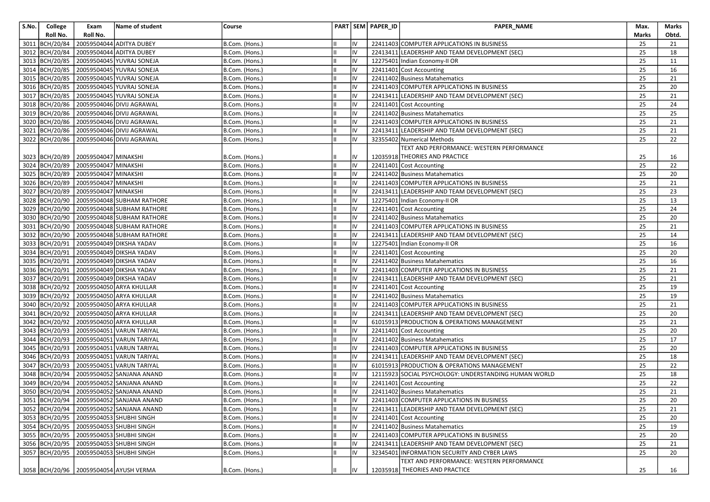| S.No. | College        | Exam                                | Name of student                                | Course         |    | PART SEM PAPER_ID | <b>PAPER NAME</b>                                     | Max.  | Marks |
|-------|----------------|-------------------------------------|------------------------------------------------|----------------|----|-------------------|-------------------------------------------------------|-------|-------|
|       | Roll No.       | Roll No.                            |                                                |                |    |                   |                                                       | Marks | Obtd. |
|       | 3011 BCH/20/84 |                                     | 20059504044 ADITYA DUBEY                       | B.Com. (Hons.) | IV |                   | 22411403 COMPUTER APPLICATIONS IN BUSINESS            | 25    | 21    |
|       |                |                                     | 3012 BCH/20/84 20059504044 ADITYA DUBEY        | B.Com. (Hons.) | IV |                   | 22413411 LEADERSHIP AND TEAM DEVELOPMENT (SEC)        | 25    | 18    |
|       |                |                                     | 3013 BCH/20/85 20059504045 YUVRAJ SONEJA       | B.Com. (Hons.) | IV |                   | 12275401 Indian Economy-II OR                         | 25    | 11    |
|       |                |                                     | 3014 BCH/20/85 20059504045 YUVRAJ SONEJA       | B.Com. (Hons.) | IV |                   | 22411401 Cost Accounting                              | 25    | 16    |
|       |                |                                     | 3015 BCH/20/85 20059504045 YUVRAJ SONEJA       | B.Com. (Hons.) | IV |                   | 22411402 Business Matahematics                        | 25    | 21    |
|       |                |                                     | 3016 BCH/20/85 20059504045 YUVRAJ SONEJA       | B.Com. (Hons.) | IV |                   | 22411403 COMPUTER APPLICATIONS IN BUSINESS            | 25    | 20    |
|       |                |                                     | 3017 BCH/20/85 20059504045 YUVRAJ SONEJA       | B.Com. (Hons.) | IV |                   | 22413411 LEADERSHIP AND TEAM DEVELOPMENT (SEC)        | 25    | 21    |
|       |                |                                     | 3018 BCH/20/86 20059504046 DIVIJ AGRAWAL       | B.Com. (Hons.) | IV |                   | 22411401 Cost Accounting                              | 25    | 24    |
|       |                |                                     | 3019 BCH/20/86 20059504046 DIVIJ AGRAWAL       | B.Com. (Hons.) | IV |                   | 22411402 Business Matahematics                        | 25    | 25    |
|       |                |                                     | 3020 BCH/20/86 20059504046 DIVIJ AGRAWAL       | B.Com. (Hons.) | IV |                   | 22411403 COMPUTER APPLICATIONS IN BUSINESS            | 25    | 21    |
|       |                |                                     | 3021 BCH/20/86 20059504046 DIVIJ AGRAWAL       | B.Com. (Hons.) | IV |                   | 22413411 LEADERSHIP AND TEAM DEVELOPMENT (SEC)        | 25    | 21    |
|       |                |                                     | 3022   BCH/20/86   20059504046   DIVIJ AGRAWAL | B.Com. (Hons.) | IV |                   | 32355402 Numerical Methods                            | 25    | 22    |
|       |                |                                     |                                                |                |    |                   | TEXT AND PERFORMANCE: WESTERN PERFORMANCE             |       |       |
|       |                | 3023 BCH/20/89 20059504047 MINAKSHI |                                                | B.Com. (Hons.) |    |                   | 12035918 THEORIES AND PRACTICE                        | 25    | 16    |
|       |                | 3024 BCH/20/89 20059504047 MINAKSHI |                                                | B.Com. (Hons.) | IV |                   | 22411401 Cost Accounting                              | 25    | 22    |
|       |                | 3025 BCH/20/89 20059504047 MINAKSHI |                                                | B.Com. (Hons.) | IV |                   | 22411402 Business Matahematics                        | 25    | 20    |
|       |                | 3026 BCH/20/89 20059504047 MINAKSHI |                                                | B.Com. (Hons.) | IV |                   | 22411403 COMPUTER APPLICATIONS IN BUSINESS            | 25    | 21    |
|       |                | 3027 BCH/20/89 20059504047 MINAKSHI |                                                | B.Com. (Hons.) | IV |                   | 22413411 LEADERSHIP AND TEAM DEVELOPMENT (SEC)        | 25    | 23    |
|       |                |                                     | 3028 BCH/20/90 20059504048 SUBHAM RATHORE      | B.Com. (Hons.) | IV |                   | 12275401 Indian Economy-II OR                         | 25    | 13    |
|       |                |                                     | 3029 BCH/20/90 20059504048 SUBHAM RATHORE      | B.Com. (Hons.) | IV |                   | 22411401 Cost Accounting                              | 25    | 24    |
|       |                |                                     | 3030 BCH/20/90 20059504048 SUBHAM RATHORE      | B.Com. (Hons.) | IV |                   | 22411402 Business Matahematics                        | 25    | 20    |
|       | 3031 BCH/20/90 |                                     | 20059504048 SUBHAM RATHORE                     | B.Com. (Hons.) | IV |                   | 22411403 COMPUTER APPLICATIONS IN BUSINESS            | 25    | 21    |
|       |                |                                     | 3032 BCH/20/90 20059504048 SUBHAM RATHORE      | B.Com. (Hons.) | IV |                   | 22413411 LEADERSHIP AND TEAM DEVELOPMENT (SEC)        | 25    | 14    |
|       |                |                                     | 3033 BCH/20/91 20059504049 DIKSHA YADAV        | B.Com. (Hons.) | IV |                   | 12275401 Indian Economy-II OR                         | 25    | 16    |
|       |                |                                     | 3034 BCH/20/91 20059504049 DIKSHA YADAV        | B.Com. (Hons.) | IV |                   | 22411401 Cost Accounting                              | 25    | 20    |
|       | 3035 BCH/20/91 |                                     | 20059504049 DIKSHA YADAV                       | B.Com. (Hons.) | IV |                   | 22411402 Business Matahematics                        | 25    | 16    |
|       |                |                                     | 3036 BCH/20/91 20059504049 DIKSHA YADAV        | B.Com. (Hons.) | IV |                   | 22411403 COMPUTER APPLICATIONS IN BUSINESS            | 25    | 21    |
|       |                |                                     | 3037 BCH/20/91 20059504049 DIKSHA YADAV        | B.Com. (Hons.) | IV |                   | 22413411 LEADERSHIP AND TEAM DEVELOPMENT (SEC)        | 25    | 21    |
|       |                |                                     | 3038 BCH/20/92 20059504050 ARYA KHULLAR        | B.Com. (Hons.) | IV |                   | 22411401 Cost Accounting                              | 25    | 19    |
|       |                |                                     | 3039 BCH/20/92 20059504050 ARYA KHULLAR        | B.Com. (Hons.) | IV |                   | 22411402 Business Matahematics                        | 25    | 19    |
|       |                |                                     | 3040 BCH/20/92 20059504050 ARYA KHULLAR        | B.Com. (Hons.) | IV |                   | 22411403 COMPUTER APPLICATIONS IN BUSINESS            | 25    | 21    |
|       |                |                                     | 3041   BCH/20/92   20059504050 ARYA KHULLAR    | B.Com. (Hons.) | IV |                   | 22413411 LEADERSHIP AND TEAM DEVELOPMENT (SEC)        | 25    | 20    |
|       |                |                                     | 3042 BCH/20/92 20059504050 ARYA KHULLAR        | B.Com. (Hons.) | IV |                   | 61015913 PRODUCTION & OPERATIONS MANAGEMENT           | 25    | 21    |
|       |                |                                     | 3043   BCH/20/93   20059504051 VARUN TARIYAL   | B.Com. (Hons.) | IV |                   | 22411401 Cost Accounting                              | 25    | 20    |
|       |                |                                     | 3044 BCH/20/93 20059504051 VARUN TARIYAL       | B.Com. (Hons.) | IV |                   | 22411402 Business Matahematics                        | 25    | 17    |
|       |                |                                     | 3045   BCH/20/93   20059504051 VARUN TARIYAL   | B.Com. (Hons.) | IV |                   | 22411403 COMPUTER APPLICATIONS IN BUSINESS            | 25    | 20    |
|       |                |                                     | 3046 BCH/20/93 20059504051 VARUN TARIYAL       | B.Com. (Hons.) | IV |                   | 22413411 LEADERSHIP AND TEAM DEVELOPMENT (SEC)        | 25    | 18    |
|       |                |                                     | 3047 BCH/20/93 20059504051 VARUN TARIYAL       | B.Com. (Hons.) | IV |                   | 61015913 PRODUCTION & OPERATIONS MANAGEMENT           | 25    | 22    |
|       |                |                                     | 3048 BCH/20/94 20059504052 SANJANA ANAND       | B.Com. (Hons.) | IV |                   | 12115923 SOCIAL PSYCHOLOGY: UNDERSTANDING HUMAN WORLD | 25    | 18    |
|       |                |                                     | 3049 BCH/20/94 20059504052 SANJANA ANAND       | B.Com. (Hons.) | IV |                   | 22411401 Cost Accounting                              | 25    | 22    |
|       |                |                                     | 3050 BCH/20/94 20059504052 SANJANA ANAND       | B.Com. (Hons.) | IV |                   | 22411402 Business Matahematics                        | 25    | 21    |
|       |                |                                     | 3051 BCH/20/94 20059504052 SANJANA ANAND       | B.Com. (Hons.) | IV |                   | 22411403 COMPUTER APPLICATIONS IN BUSINESS            | 25    | 20    |
|       |                |                                     | 3052 BCH/20/94 20059504052 SANJANA ANAND       | B.Com. (Hons.) | IV |                   | 22413411 LEADERSHIP AND TEAM DEVELOPMENT (SEC)        | 25    | 21    |
|       |                |                                     | 3053 BCH/20/95 20059504053 SHUBHI SINGH        | B.Com. (Hons.) | IV |                   | 22411401 Cost Accounting                              | 25    | 20    |
|       |                |                                     | 3054   BCH/20/95   20059504053 SHUBHI SINGH    | B.Com. (Hons.) | IV |                   | 22411402 Business Matahematics                        | 25    | 19    |
|       |                |                                     | 3055 BCH/20/95 20059504053 SHUBHI SINGH        | B.Com. (Hons.) | IV |                   | 22411403 COMPUTER APPLICATIONS IN BUSINESS            | 25    | 20    |
|       |                |                                     | 3056 BCH/20/95 20059504053 SHUBHI SINGH        | B.Com. (Hons.) | IV |                   | 22413411 LEADERSHIP AND TEAM DEVELOPMENT (SEC)        | 25    | 21    |
|       |                |                                     | 3057 BCH/20/95 20059504053 SHUBHI SINGH        | B.Com. (Hons.) | IV |                   | 32345401 INFORMATION SECURITY AND CYBER LAWS          | 25    | 20    |
|       |                |                                     |                                                |                |    |                   | TEXT AND PERFORMANCE: WESTERN PERFORMANCE             |       |       |
|       |                |                                     | 3058 BCH/20/96 20059504054 AYUSH VERMA         | B.Com. (Hons.) | IV |                   | 12035918 THEORIES AND PRACTICE                        | 25    | 16    |
|       |                |                                     |                                                |                |    |                   |                                                       |       |       |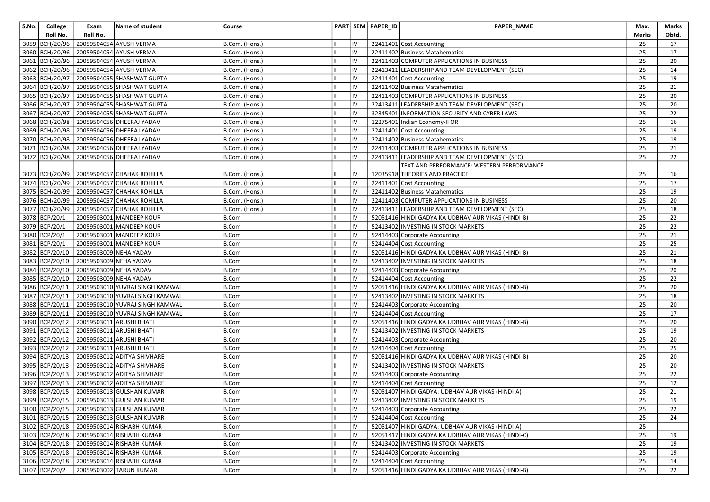| S.No. | College        | Exam                                  | Name of student                                 | Course         |     | PART SEM PAPER_ID | PAPER_NAME                                         | Max.         | Marks |
|-------|----------------|---------------------------------------|-------------------------------------------------|----------------|-----|-------------------|----------------------------------------------------|--------------|-------|
|       | Roll No.       | Roll No.                              |                                                 |                |     |                   |                                                    | <b>Marks</b> | Obtd. |
|       | 3059 BCH/20/96 |                                       | 20059504054 AYUSH VERMA                         | B.Com. (Hons.) | IV  |                   | 22411401 Cost Accounting                           | 25           | 17    |
|       |                |                                       | 3060 BCH/20/96 20059504054 AYUSH VERMA          | B.Com. (Hons.) | IV  |                   | 22411402 Business Matahematics                     | 25           | 17    |
|       |                |                                       | 3061 BCH/20/96 20059504054 AYUSH VERMA          | B.Com. (Hons.) | IV  |                   | 22411403 COMPUTER APPLICATIONS IN BUSINESS         | 25           | 20    |
|       |                |                                       | 3062 BCH/20/96 20059504054 AYUSH VERMA          | B.Com. (Hons.) | IV  |                   | 22413411 LEADERSHIP AND TEAM DEVELOPMENT (SEC)     | 25           | 14    |
|       |                |                                       | 3063 BCH/20/97 20059504055 SHASHWAT GUPTA       | B.Com. (Hons.) | IV  |                   | 22411401 Cost Accounting                           | 25           | 19    |
|       |                |                                       | 3064 BCH/20/97 20059504055 SHASHWAT GUPTA       | B.Com. (Hons.) | IV  |                   | 22411402 Business Matahematics                     | 25           | 21    |
|       |                |                                       | 3065 BCH/20/97 20059504055 SHASHWAT GUPTA       | B.Com. (Hons.) | IV  |                   | 22411403 COMPUTER APPLICATIONS IN BUSINESS         | 25           | 20    |
|       |                |                                       | 3066 BCH/20/97 20059504055 SHASHWAT GUPTA       | B.Com. (Hons.) | IV  |                   | 22413411 LEADERSHIP AND TEAM DEVELOPMENT (SEC)     | 25           | 20    |
|       |                |                                       | 3067 BCH/20/97 20059504055 SHASHWAT GUPTA       | B.Com. (Hons.) | IV  |                   | 32345401 INFORMATION SECURITY AND CYBER LAWS       | 25           | 22    |
|       |                |                                       | 3068 BCH/20/98 20059504056 DHEERAJ YADAV        | B.Com. (Hons.) | IV  |                   | 12275401 Indian Economy-II OR                      | 25           | 16    |
|       |                |                                       | 3069 BCH/20/98 20059504056 DHEERAJ YADAV        | B.Com. (Hons.) | IV  |                   | 22411401 Cost Accounting                           | 25           | 19    |
|       |                |                                       | 3070 BCH/20/98 20059504056 DHEERAJ YADAV        | B.Com. (Hons.) | IV  |                   | 22411402 Business Matahematics                     | 25           | 19    |
|       |                |                                       | 3071   BCH/20/98   20059504056   DHEERAJ YADAV  | B.Com. (Hons.) | IV  |                   | 22411403 COMPUTER APPLICATIONS IN BUSINESS         | 25           | 21    |
|       |                |                                       | 3072 BCH/20/98 20059504056 DHEERAJ YADAV        | B.Com. (Hons.) | IV  |                   | 22413411 LEADERSHIP AND TEAM DEVELOPMENT (SEC)     | 25           | 22    |
|       |                |                                       |                                                 |                |     |                   | TEXT AND PERFORMANCE: WESTERN PERFORMANCE          |              |       |
|       |                |                                       | 3073   BCH/20/99   20059504057   CHAHAK ROHILLA | B.Com. (Hons.) | IV  |                   | 12035918 THEORIES AND PRACTICE                     | 25           | 16    |
|       |                |                                       | 3074 BCH/20/99 20059504057 CHAHAK ROHILLA       | B.Com. (Hons.) | IV  |                   | 22411401 Cost Accounting                           | 25           | 17    |
|       |                |                                       | 3075 BCH/20/99 20059504057 CHAHAK ROHILLA       | B.Com. (Hons.) | IV  |                   | 22411402 Business Matahematics                     | 25           | 19    |
|       |                |                                       | 3076 BCH/20/99 20059504057 CHAHAK ROHILLA       | B.Com. (Hons.) | IV  |                   | 22411403 COMPUTER APPLICATIONS IN BUSINESS         | 25           | 20    |
|       |                |                                       | 3077 BCH/20/99 20059504057 CHAHAK ROHILLA       | B.Com. (Hons.) | IV  |                   | 22413411 LEADERSHIP AND TEAM DEVELOPMENT (SEC)     | 25           | 18    |
|       | 3078 BCP/20/1  |                                       | 20059503001 MANDEEP KOUR                        | B.Com          | IV  |                   | 52051416 HINDI GADYA KA UDBHAV AUR VIKAS (HINDI-B) | 25           | 22    |
|       | 3079 BCP/20/1  |                                       | 20059503001 MANDEEP KOUR                        | <b>B.Com</b>   | IV  |                   | 52413402 INVESTING IN STOCK MARKETS                | 25           | 22    |
|       | 3080 BCP/20/1  |                                       | 20059503001 MANDEEP KOUR                        | <b>B.Com</b>   | IV  |                   | 52414403 Corporate Accounting                      | 25           | 21    |
|       | 3081 BCP/20/1  |                                       | 20059503001 MANDEEP KOUR                        | <b>B.Com</b>   | IV  |                   | 52414404 Cost Accounting                           | 25           | 25    |
|       |                | 3082 BCP/20/10 20059503009 NEHA YADAV |                                                 | <b>B.Com</b>   | IV  |                   | 52051416 HINDI GADYA KA UDBHAV AUR VIKAS (HINDI-B) | 25           | 21    |
|       | 3083 BCP/20/10 | 20059503009 NEHA YADAV                |                                                 | B.Com          | IV  |                   | 52413402 INVESTING IN STOCK MARKETS                | 25           | 18    |
|       | 3084 BCP/20/10 | 20059503009 NEHA YADAV                |                                                 | <b>B.Com</b>   | IV  |                   | 52414403 Corporate Accounting                      | 25           | 20    |
|       |                | 3085 BCP/20/10 20059503009 NEHA YADAV |                                                 | <b>B.Com</b>   | IV  |                   | 52414404 Cost Accounting                           | 25           | 22    |
|       | 3086 BCP/20/11 |                                       | 20059503010 YUVRAJ SINGH KAMWAL                 | B.Com          | IV  |                   | 52051416 HINDI GADYA KA UDBHAV AUR VIKAS (HINDI-B) | 25           | 20    |
|       | 3087 BCP/20/11 |                                       | 20059503010 YUVRAJ SINGH KAMWAL                 | <b>B.Com</b>   | IV  |                   | 52413402 INVESTING IN STOCK MARKETS                | 25           | 18    |
|       |                |                                       | 3088 BCP/20/11 20059503010 YUVRAJ SINGH KAMWAL  | <b>B.Com</b>   | IV  |                   | 52414403 Corporate Accounting                      | 25           | 20    |
|       | 3089 BCP/20/11 |                                       | 20059503010 YUVRAJ SINGH KAMWAL                 | <b>B.Com</b>   | IV  |                   | 52414404 Cost Accounting                           | 25           | 17    |
|       | 3090 BCP/20/12 |                                       | 20059503011 ARUSHI BHATI                        | <b>B.Com</b>   | IV  |                   | 52051416 HINDI GADYA KA UDBHAV AUR VIKAS (HINDI-B) | 25           | 20    |
|       | 3091 BCP/20/12 |                                       | 20059503011 ARUSHI BHATI                        | <b>B.Com</b>   | IV  |                   | 52413402 INVESTING IN STOCK MARKETS                | 25           | 19    |
|       |                |                                       | 3092 BCP/20/12 20059503011 ARUSHI BHATI         | <b>B.Com</b>   | IV  |                   | 52414403 Corporate Accounting                      | 25           | 20    |
|       |                |                                       | 3093 BCP/20/12 20059503011 ARUSHI BHATI         | <b>B.Com</b>   | IV  |                   | 52414404 Cost Accounting                           | 25           | 25    |
|       | 3094 BCP/20/13 |                                       | 20059503012 ADITYA SHIVHARE                     | <b>B.Com</b>   | IV  |                   | 52051416 HINDI GADYA KA UDBHAV AUR VIKAS (HINDI-B) | 25           | 20    |
|       | 3095 BCP/20/13 |                                       | 20059503012 ADITYA SHIVHARE                     | B.Com          | IV  |                   | 52413402 INVESTING IN STOCK MARKETS                | 25           | 20    |
|       |                |                                       | 3096 BCP/20/13 20059503012 ADITYA SHIVHARE      | <b>B.Com</b>   | IV  |                   | 52414403 Corporate Accounting                      | 25           | 22    |
|       | 3097 BCP/20/13 |                                       | 20059503012 ADITYA SHIVHARE                     | <b>B.Com</b>   | IV  |                   | 52414404 Cost Accounting                           | 25           | 12    |
|       |                |                                       | 3098 BCP/20/15 20059503013 GULSHAN KUMAR        | <b>B.Com</b>   | IV  |                   | 52051407 HINDI GADYA: UDBHAV AUR VIKAS (HINDI-A)   | 25           | 21    |
|       |                |                                       | 3099 BCP/20/15 20059503013 GULSHAN KUMAR        | <b>B.Com</b>   | IV  |                   | 52413402 INVESTING IN STOCK MARKETS                | 25           | 19    |
|       |                |                                       | 3100 BCP/20/15 20059503013 GULSHAN KUMAR        | B.Com          | IV  |                   | 52414403 Corporate Accounting                      | 25           | 22    |
|       |                |                                       | 3101 BCP/20/15 20059503013 GULSHAN KUMAR        | <b>B.Com</b>   | IV  |                   | 52414404 Cost Accounting                           | 25           | 24    |
|       |                |                                       | 3102 BCP/20/18 20059503014 RISHABH KUMAR        | <b>B.Com</b>   | IV  |                   | 52051407 HINDI GADYA: UDBHAV AUR VIKAS (HINDI-A)   | 25           |       |
|       |                |                                       | 3103 BCP/20/18 20059503014 RISHABH KUMAR        | B.Com          | IV  |                   | 52051417 HINDI GADYA KA UDBHAV AUR VIKAS (HINDI-C) | 25           | 19    |
|       |                |                                       | 3104 BCP/20/18 20059503014 RISHABH KUMAR        | <b>B.Com</b>   | IV  |                   | 52413402 INVESTING IN STOCK MARKETS                | 25           | 19    |
|       |                |                                       | 3105 BCP/20/18 20059503014 RISHABH KUMAR        | <b>B.Com</b>   | IV  |                   | 52414403 Corporate Accounting                      | 25           | 19    |
|       |                |                                       | 3106 BCP/20/18 20059503014 RISHABH KUMAR        | <b>B.Com</b>   | IV  |                   | 52414404 Cost Accounting                           | 25           | 14    |
|       | 3107 BCP/20/2  |                                       | 20059503002 TARUN KUMAR                         | B.Com          | lıv |                   | 52051416 HINDI GADYA KA UDBHAV AUR VIKAS (HINDI-B) | 25           | 22    |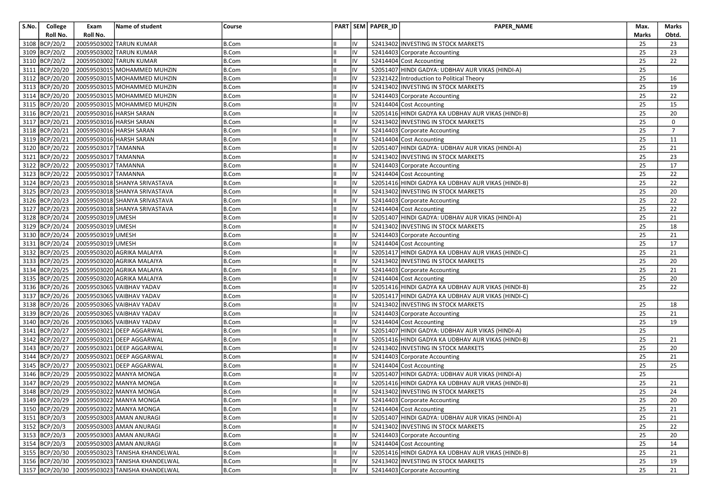| S.No. | College          | Exam                | Name of student                        | Course       |    |    | PART SEM PAPER_ID | PAPER_NAME                                         | Max.  | Marks          |
|-------|------------------|---------------------|----------------------------------------|--------------|----|----|-------------------|----------------------------------------------------|-------|----------------|
|       | Roll No.         | Roll No.            |                                        |              |    |    |                   |                                                    | Marks | Obtd.          |
|       | 3108 BCP/20/2    |                     | 20059503002 TARUN KUMAR                | <b>B.Com</b> |    | IV |                   | 52413402 INVESTING IN STOCK MARKETS                | 25    | 23             |
|       | 3109 BCP/20/2    |                     | 20059503002 TARUN KUMAR                | <b>B.Com</b> | Ш  | IV |                   | 52414403 Corporate Accounting                      | 25    | 23             |
|       | 3110 BCP/20/2    |                     | 20059503002 TARUN KUMAR                | <b>B.Com</b> |    | IV |                   | 52414404 Cost Accounting                           | 25    | 22             |
|       | 3111 BCP/20/20   |                     | 20059503015 MOHAMMED MUHZIN            | <b>B.Com</b> |    | IV |                   | 52051407 HINDI GADYA: UDBHAV AUR VIKAS (HINDI-A)   | 25    |                |
|       | 3112 BCP/20/20   |                     | 20059503015 MOHAMMED MUHZIN            | <b>B.Com</b> |    | IV |                   | 52321422 Introduction to Political Theory          | 25    | 16             |
|       | 3113 BCP/20/20   |                     | 20059503015 MOHAMMED MUHZIN            | <b>B.Com</b> |    | IV |                   | 52413402 INVESTING IN STOCK MARKETS                | 25    | 19             |
|       | 3114 BCP/20/20   |                     | 20059503015 MOHAMMED MUHZIN            | <b>B.Com</b> |    | IV |                   | 52414403 Corporate Accounting                      | 25    | 22             |
|       | 3115 BCP/20/20   |                     | 20059503015 MOHAMMED MUHZIN            | <b>B.Com</b> |    | IV |                   | 52414404 Cost Accounting                           | 25    | 15             |
|       | 3116 BCP/20/21   |                     | 20059503016 HARSH SARAN                | B.Com        |    | IV |                   | 52051416 HINDI GADYA KA UDBHAV AUR VIKAS (HINDI-B) | 25    | 20             |
|       | 3117 BCP/20/21   |                     | 20059503016 HARSH SARAN                | <b>B.Com</b> |    | IV |                   | 52413402 INVESTING IN STOCK MARKETS                | 25    | $\mathbf 0$    |
|       | 3118 BCP/20/21   |                     | 20059503016 HARSH SARAN                | <b>B.Com</b> |    | IV |                   | 52414403 Corporate Accounting                      | 25    | $\overline{7}$ |
|       | 3119 BCP/20/21   |                     | 20059503016 HARSH SARAN                | <b>B.Com</b> |    | IV |                   | 52414404 Cost Accounting                           | 25    | 11             |
|       | 3120 BCP/20/22   | 20059503017 TAMANNA |                                        | <b>B.Com</b> |    | IV |                   | 52051407 HINDI GADYA: UDBHAV AUR VIKAS (HINDI-A)   | 25    | 21             |
|       | 3121 BCP/20/22   | 20059503017 TAMANNA |                                        | <b>B.Com</b> |    | IV |                   | 52413402 INVESTING IN STOCK MARKETS                | 25    | 23             |
|       | 3122 BCP/20/22   | 20059503017 TAMANNA |                                        | B.Com        |    | IV |                   | 52414403 Corporate Accounting                      | 25    | 17             |
|       | 3123 BCP/20/22   | 20059503017 TAMANNA |                                        | B.Com        |    | IV |                   | 52414404 Cost Accounting                           | 25    | 22             |
|       | 3124 BCP/20/23   |                     | 20059503018 SHANYA SRIVASTAVA          | <b>B.Com</b> |    | IV |                   | 52051416 HINDI GADYA KA UDBHAV AUR VIKAS (HINDI-B) | 25    | 22             |
|       | 3125 BCP/20/23   |                     | 20059503018 SHANYA SRIVASTAVA          | <b>B.Com</b> |    | IV |                   | 52413402 INVESTING IN STOCK MARKETS                | 25    | 20             |
|       | 3126 BCP/20/23   |                     | 20059503018 SHANYA SRIVASTAVA          | B.Com        |    | IV |                   | 52414403 Corporate Accounting                      | 25    | 22             |
|       | 3127 BCP/20/23   |                     | 20059503018 SHANYA SRIVASTAVA          | <b>B.Com</b> |    | IV |                   | 52414404 Cost Accounting                           | 25    | 22             |
|       | 3128 BCP/20/24   | 20059503019 UMESH   |                                        | <b>B.Com</b> |    | IV |                   | 52051407 HINDI GADYA: UDBHAV AUR VIKAS (HINDI-A)   | 25    | 21             |
|       | 3129 BCP/20/24   | 20059503019 UMESH   |                                        | <b>B.Com</b> |    | IV |                   | 52413402 INVESTING IN STOCK MARKETS                | 25    | 18             |
|       | 3130 BCP/20/24   | 20059503019 UMESH   |                                        | <b>B.Com</b> |    | IV |                   | 52414403 Corporate Accounting                      | 25    | 21             |
|       | 3131 BCP/20/24   | 20059503019 UMESH   |                                        | <b>B.Com</b> |    | IV |                   | 52414404 Cost Accounting                           | 25    | 17             |
|       | 3132 BCP/20/25   |                     | 20059503020 AGRIKA MALAIYA             | <b>B.Com</b> |    | IV |                   | 52051417 HINDI GADYA KA UDBHAV AUR VIKAS (HINDI-C) | 25    | 21             |
|       | 3133 BCP/20/25   |                     | 20059503020 AGRIKA MALAIYA             | <b>B.Com</b> |    | IV |                   | 52413402 INVESTING IN STOCK MARKETS                | 25    | 20             |
|       | 3134 BCP/20/25   |                     | 20059503020 AGRIKA MALAIYA             | <b>B.Com</b> |    | IV |                   | 52414403 Corporate Accounting                      | 25    | 21             |
|       | 3135 BCP/20/25   |                     | 20059503020 AGRIKA MALAIYA             | <b>B.Com</b> |    | IV |                   | 52414404 Cost Accounting                           | 25    | 20             |
|       | 3136 BCP/20/26   |                     | 20059503065 VAIBHAV YADAV              | <b>B.Com</b> |    | IV |                   | 52051416 HINDI GADYA KA UDBHAV AUR VIKAS (HINDI-B) | 25    | 22             |
|       | 3137 BCP/20/26   |                     | 20059503065 VAIBHAV YADAV              | <b>B.Com</b> |    | IV |                   | 52051417 HINDI GADYA KA UDBHAV AUR VIKAS (HINDI-C) |       |                |
|       | 3138 BCP/20/26   |                     | 20059503065 VAIBHAV YADAV              | <b>B.Com</b> |    | IV |                   | 52413402 INVESTING IN STOCK MARKETS                | 25    | 18             |
|       | 3139 BCP/20/26   |                     | 20059503065 VAIBHAV YADAV              | <b>B.Com</b> |    | IV |                   | 52414403 Corporate Accounting                      | 25    | 21             |
|       | 3140 BCP/20/26   |                     | 20059503065 VAIBHAV YADAV              | <b>B.Com</b> |    | IV |                   | 52414404 Cost Accounting                           | 25    | 19             |
|       | 3141 BCP/20/27   |                     | 20059503021 DEEP AGGARWAL              | B.Com        |    | IV |                   | 52051407 HINDI GADYA: UDBHAV AUR VIKAS (HINDI-A)   | 25    |                |
|       | 3142 BCP/20/27   |                     | 20059503021 DEEP AGGARWAL              | <b>B.Com</b> |    | IV |                   | 52051416 HINDI GADYA KA UDBHAV AUR VIKAS (HINDI-B) | 25    | 21             |
|       | 3143 BCP/20/27   |                     | 20059503021 DEEP AGGARWAL              | <b>B.Com</b> |    | IV |                   | 52413402 INVESTING IN STOCK MARKETS                | 25    | 20             |
|       | 3144 BCP/20/27   |                     | 20059503021 DEEP AGGARWAL              | <b>B.Com</b> |    | IV |                   | 52414403 Corporate Accounting                      | 25    | 21             |
|       | 3145 BCP/20/27   |                     | 20059503021 DEEP AGGARWAL              | <b>B.Com</b> |    | IV |                   | 52414404 Cost Accounting                           | 25    | 25             |
|       | 3146 BCP/20/29   |                     | 20059503022 MANYA MONGA                | B.Com        |    | IV |                   | 52051407 HINDI GADYA: UDBHAV AUR VIKAS (HINDI-A)   | 25    |                |
|       | 3147 BCP/20/29   |                     | 20059503022 MANYA MONGA                | <b>B.Com</b> |    | IV |                   | 52051416 HINDI GADYA KA UDBHAV AUR VIKAS (HINDI-B) | 25    | 21             |
|       | 3148   BCP/20/29 |                     | 20059503022 MANYA MONGA                | <b>B.Com</b> | l॥ | IV |                   | 52413402 INVESTING IN STOCK MARKETS                | 25    | 24             |
|       |                  |                     | 3149 BCP/20/29 20059503022 MANYA MONGA | B.Com        |    |    |                   | 52414403 Corporate Accounting                      | 25    | 20             |
|       | 3150 BCP/20/29   |                     | 20059503022 MANYA MONGA                | <b>B.Com</b> |    | IV |                   | 52414404 Cost Accounting                           | 25    | 21             |
|       | 3151 BCP/20/3    |                     | 20059503003 AMAN ANURAGI               | <b>B.Com</b> |    | IV |                   | 52051407 HINDI GADYA: UDBHAV AUR VIKAS (HINDI-A)   | 25    | 21             |
|       | 3152 BCP/20/3    |                     | 20059503003 AMAN ANURAGI               | B.Com        |    | IV |                   | 52413402 INVESTING IN STOCK MARKETS                | 25    | 22             |
|       | 3153 BCP/20/3    |                     | 20059503003 AMAN ANURAGI               | <b>B.Com</b> |    | IV |                   | 52414403 Corporate Accounting                      | 25    | 20             |
|       | 3154 BCP/20/3    |                     | 20059503003 AMAN ANURAGI               | <b>B.Com</b> |    | IV |                   | 52414404 Cost Accounting                           | 25    | 14             |
|       | 3155 BCP/20/30   |                     | 20059503023 TANISHA KHANDELWAL         | B.Com        | IШ | IV |                   | 52051416 HINDI GADYA KA UDBHAV AUR VIKAS (HINDI-B) | 25    | 21             |
|       | 3156 BCP/20/30   |                     | 20059503023 TANISHA KHANDELWAL         | B.Com        |    | IV |                   | 52413402 INVESTING IN STOCK MARKETS                | 25    | 19             |
|       | 3157 BCP/20/30   |                     | 20059503023 TANISHA KHANDELWAL         | B.Com        |    | IV |                   | 52414403 Corporate Accounting                      | 25    | 21             |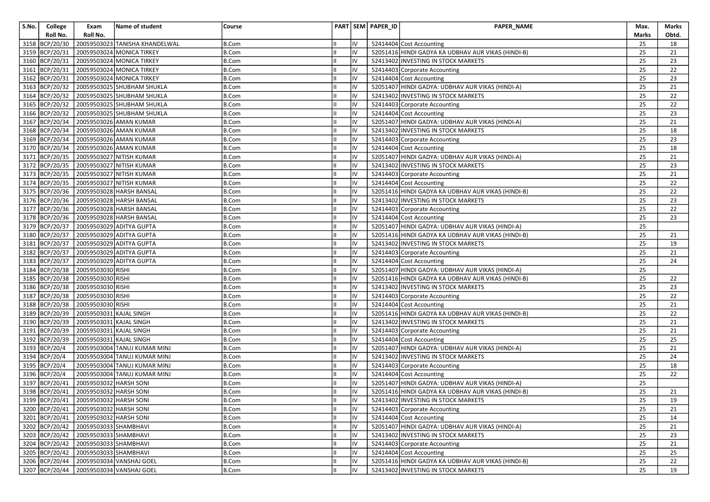| S.No. | College        | Exam                                   | Name of student                           | Course       |    | PART SEM PAPER_ID | PAPER_NAME                                         | Max.  | Marks |
|-------|----------------|----------------------------------------|-------------------------------------------|--------------|----|-------------------|----------------------------------------------------|-------|-------|
|       | Roll No.       | Roll No.                               |                                           |              |    |                   |                                                    | Marks | Obtd. |
|       | 3158 BCP/20/30 |                                        | 20059503023 TANISHA KHANDELWAL            | <b>B.Com</b> | IV |                   | 52414404 Cost Accounting                           | 25    | 18    |
|       | 3159 BCP/20/31 |                                        | 20059503024 MONICA TIRKEY                 | B.Com        | IV |                   | 52051416 HINDI GADYA KA UDBHAV AUR VIKAS (HINDI-B) | 25    | 21    |
|       | 3160 BCP/20/31 |                                        | 20059503024 MONICA TIRKEY                 | <b>B.Com</b> | IV |                   | 52413402 INVESTING IN STOCK MARKETS                | 25    | 23    |
|       | 3161 BCP/20/31 |                                        | 20059503024 MONICA TIRKEY                 | B.Com        | IV |                   | 52414403 Corporate Accounting                      | 25    | 22    |
|       | 3162 BCP/20/31 |                                        | 20059503024 MONICA TIRKEY                 | <b>B.Com</b> | IV |                   | 52414404 Cost Accounting                           | 25    | 23    |
|       | 3163 BCP/20/32 |                                        | 20059503025 SHUBHAM SHUKLA                | <b>B.Com</b> | IV |                   | 52051407 HINDI GADYA: UDBHAV AUR VIKAS (HINDI-A)   | 25    | 21    |
|       |                |                                        | 3164 BCP/20/32 20059503025 SHUBHAM SHUKLA | <b>B.Com</b> | IV |                   | 52413402 INVESTING IN STOCK MARKETS                | 25    | 22    |
|       | 3165 BCP/20/32 |                                        | 20059503025 SHUBHAM SHUKLA                | <b>B.Com</b> | IV |                   | 52414403 Corporate Accounting                      | 25    | 22    |
|       | 3166 BCP/20/32 |                                        | 20059503025 SHUBHAM SHUKLA                | B.Com        | IV |                   | 52414404 Cost Accounting                           | 25    | 23    |
|       |                |                                        | 3167 BCP/20/34 20059503026 AMAN KUMAR     | <b>B.Com</b> | IV |                   | 52051407 HINDI GADYA: UDBHAV AUR VIKAS (HINDI-A)   | 25    | 21    |
|       |                |                                        | 3168 BCP/20/34 20059503026 AMAN KUMAR     | <b>B.Com</b> | IV |                   | 52413402 INVESTING IN STOCK MARKETS                | 25    | 18    |
|       | 3169 BCP/20/34 |                                        | 20059503026 AMAN KUMAR                    | <b>B.Com</b> | IV |                   | 52414403 Corporate Accounting                      | 25    | 23    |
|       | 3170 BCP/20/34 |                                        | 20059503026 AMAN KUMAR                    | <b>B.Com</b> | IV |                   | 52414404 Cost Accounting                           | 25    | 18    |
|       |                |                                        | 3171 BCP/20/35 20059503027 NITISH KUMAR   | <b>B.Com</b> | IV |                   | 52051407 HINDI GADYA: UDBHAV AUR VIKAS (HINDI-A)   | 25    | 21    |
|       |                |                                        | 3172 BCP/20/35 20059503027 NITISH KUMAR   | <b>B.Com</b> | IV |                   | 52413402 INVESTING IN STOCK MARKETS                | 25    | 23    |
|       | 3173 BCP/20/35 |                                        | 20059503027 NITISH KUMAR                  | <b>B.Com</b> | IV |                   | 52414403 Corporate Accounting                      | 25    | 21    |
|       |                |                                        | 3174 BCP/20/35 20059503027 NITISH KUMAR   | <b>B.Com</b> | IV |                   | 52414404 Cost Accounting                           | 25    | 22    |
|       |                |                                        | 3175 BCP/20/36 20059503028 HARSH BANSAL   | B.Com        | IV |                   | 52051416 HINDI GADYA KA UDBHAV AUR VIKAS (HINDI-B) | 25    | 22    |
|       | 3176 BCP/20/36 |                                        | 20059503028 HARSH BANSAL                  | <b>B.Com</b> | IV |                   | 52413402 INVESTING IN STOCK MARKETS                | 25    | 23    |
|       |                |                                        | 3177 BCP/20/36 20059503028 HARSH BANSAL   | B.Com        | IV |                   | 52414403 Corporate Accounting                      | 25    | 22    |
|       |                |                                        | 3178 BCP/20/36 20059503028 HARSH BANSAL   | <b>B.Com</b> | IV |                   | 52414404 Cost Accounting                           | 25    | 23    |
|       |                |                                        | 3179 BCP/20/37 20059503029 ADITYA GUPTA   | B.Com        | IV |                   | 52051407 HINDI GADYA: UDBHAV AUR VIKAS (HINDI-A)   | 25    |       |
|       | 3180 BCP/20/37 |                                        | 20059503029 ADITYA GUPTA                  | <b>B.Com</b> | IV |                   | 52051416 HINDI GADYA KA UDBHAV AUR VIKAS (HINDI-B) | 25    | 21    |
|       |                |                                        | 3181 BCP/20/37 20059503029 ADITYA GUPTA   | <b>B.Com</b> | IV |                   | 52413402 INVESTING IN STOCK MARKETS                | 25    | 19    |
|       |                |                                        | 3182 BCP/20/37 20059503029 ADITYA GUPTA   | <b>B.Com</b> | IV |                   | 52414403 Corporate Accounting                      | 25    | 21    |
|       | 3183 BCP/20/37 |                                        | 20059503029 ADITYA GUPTA                  | <b>B.Com</b> | IV |                   | 52414404 Cost Accounting                           | 25    | 24    |
|       | 3184 BCP/20/38 | 20059503030 RISHI                      |                                           | <b>B.Com</b> | IV |                   | 52051407 HINDI GADYA: UDBHAV AUR VIKAS (HINDI-A)   | 25    |       |
|       |                | 3185 BCP/20/38 20059503030 RISHI       |                                           | <b>B.Com</b> | IV |                   | 52051416 HINDI GADYA KA UDBHAV AUR VIKAS (HINDI-B) | 25    | 22    |
|       |                | 3186 BCP/20/38 20059503030 RISHI       |                                           | B.Com        | IV |                   | 52413402 INVESTING IN STOCK MARKETS                | 25    | 23    |
|       | 3187 BCP/20/38 | 20059503030 RISHI                      |                                           | B.Com        | IV |                   | 52414403 Corporate Accounting                      | 25    | 22    |
|       |                | 3188 BCP/20/38 20059503030 RISHI       |                                           | <b>B.Com</b> | IV |                   | 52414404 Cost Accounting                           | 25    | 21    |
|       |                | 3189 BCP/20/39 20059503031 KAJAL SINGH |                                           | <b>B.Com</b> | IV |                   | 52051416 HINDI GADYA KA UDBHAV AUR VIKAS (HINDI-B) | 25    | 22    |
|       |                | 3190 BCP/20/39 20059503031 KAJAL SINGH |                                           | B.Com        | IV |                   | 52413402 INVESTING IN STOCK MARKETS                | 25    | 21    |
|       | 3191 BCP/20/39 | 20059503031 KAJAL SINGH                |                                           | <b>B.Com</b> | IV |                   | 52414403 Corporate Accounting                      | 25    | 21    |
|       | 3192 BCP/20/39 | 20059503031 KAJAL SINGH                |                                           | <b>B.Com</b> | IV |                   | 52414404 Cost Accounting                           | 25    | 25    |
|       | 3193 BCP/20/4  |                                        | 20059503004 TANUJ KUMAR MINJ              | B.Com        | IV |                   | 52051407 HINDI GADYA: UDBHAV AUR VIKAS (HINDI-A)   | 25    | 21    |
|       | 3194 BCP/20/4  |                                        | 20059503004 TANUJ KUMAR MINJ              | B.Com        | IV |                   | 52413402 INVESTING IN STOCK MARKETS                | 25    | 24    |
|       | 3195 BCP/20/4  |                                        | 20059503004 TANUJ KUMAR MINJ              | B.Com        | IV |                   | 52414403 Corporate Accounting                      | 25    | 18    |
|       | 3196 BCP/20/4  |                                        | 20059503004 TANUJ KUMAR MINJ              | <b>B.Com</b> | IV |                   | 52414404 Cost Accounting                           | 25    | 22    |
|       | 3197 BCP/20/41 | 20059503032 HARSH SONI                 |                                           | <b>B.Com</b> | IV |                   | 52051407 HINDI GADYA: UDBHAV AUR VIKAS (HINDI-A)   | 25    |       |
|       |                | 3198 BCP/20/41 20059503032 HARSH SONI  |                                           | <b>B.Com</b> | IV |                   | 52051416 HINDI GADYA KA UDBHAV AUR VIKAS (HINDI-B) | 25    | 21    |
|       |                | 3199 BCP/20/41 20059503032 HARSH SONI  |                                           | <b>B.Com</b> | IV |                   | 52413402 INVESTING IN STOCK MARKETS                | 25    | 19    |
|       |                | 3200 BCP/20/41 20059503032 HARSH SONI  |                                           | B.Com        | IV |                   | 52414403 Corporate Accounting                      | 25    | 21    |
|       |                | 3201 BCP/20/41 20059503032 HARSH SONI  |                                           | <b>B.Com</b> | IV |                   | 52414404 Cost Accounting                           | 25    | 14    |
|       |                | 3202 BCP/20/42 20059503033 SHAMBHAVI   |                                           | <b>B.Com</b> | IV |                   | 52051407 HINDI GADYA: UDBHAV AUR VIKAS (HINDI-A)   | 25    | 21    |
|       |                | 3203 BCP/20/42 20059503033 SHAMBHAVI   |                                           | B.Com        | IV |                   | 52413402 INVESTING IN STOCK MARKETS                | 25    | 23    |
|       |                | 3204 BCP/20/42 20059503033 SHAMBHAVI   |                                           | <b>B.Com</b> | IV |                   | 52414403 Corporate Accounting                      | 25    | 21    |
|       |                | 3205 BCP/20/42 20059503033 SHAMBHAVI   |                                           | <b>B.Com</b> | IV |                   | 52414404 Cost Accounting                           | 25    | 25    |
|       |                |                                        | 3206 BCP/20/44 20059503034 VANSHAJ GOEL   | <b>B.Com</b> | IV |                   | 52051416 HINDI GADYA KA UDBHAV AUR VIKAS (HINDI-B) | 25    | 22    |
|       |                |                                        | 3207 BCP/20/44 20059503034 VANSHAJ GOEL   | B.Com        | IV |                   | 52413402 INVESTING IN STOCK MARKETS                | 25    | 19    |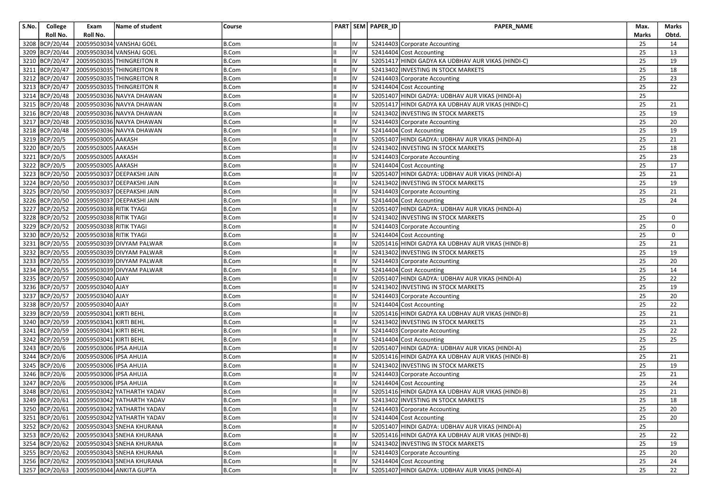| S.No. | College        | Exam                    | Name of student                           | Course       |            | PART SEM PAPER_ID | <b>PAPER NAME</b>                                  | Max.         | Marks |
|-------|----------------|-------------------------|-------------------------------------------|--------------|------------|-------------------|----------------------------------------------------|--------------|-------|
|       | Roll No.       | Roll No.                |                                           |              |            |                   |                                                    | <b>Marks</b> | Obtd. |
|       | 3208 BCP/20/44 |                         | 20059503034 VANSHAJ GOEL                  | <b>B.Com</b> | IV         |                   | 52414403 Corporate Accounting                      | 25           | 14    |
|       | 3209 BCP/20/44 |                         | 20059503034 VANSHAJ GOEL                  | B.Com        | IV         |                   | 52414404 Cost Accounting                           | 25           | 13    |
|       | 3210 BCP/20/47 |                         | 20059503035 THINGREITON R                 | <b>B.Com</b> | IV         |                   | 52051417 HINDI GADYA KA UDBHAV AUR VIKAS (HINDI-C) | 25           | 19    |
|       | 3211 BCP/20/47 |                         | 20059503035 THINGREITON R                 | B.Com        | IV         |                   | 52413402 INVESTING IN STOCK MARKETS                | 25           | 18    |
|       | 3212 BCP/20/47 |                         | 20059503035 THINGREITON R                 | <b>B.Com</b> | IV         |                   | 52414403 Corporate Accounting                      | 25           | 23    |
|       | 3213 BCP/20/47 |                         | 20059503035 THINGREITON R                 | <b>B.Com</b> | IV         |                   | 52414404 Cost Accounting                           | 25           | 22    |
|       | 3214 BCP/20/48 |                         | 20059503036 NAVYA DHAWAN                  | <b>B.Com</b> | IV         |                   | 52051407 HINDI GADYA: UDBHAV AUR VIKAS (HINDI-A)   | 25           |       |
|       | 3215 BCP/20/48 |                         | 20059503036 NAVYA DHAWAN                  | <b>B.Com</b> | IV         |                   | 52051417 HINDI GADYA KA UDBHAV AUR VIKAS (HINDI-C) | 25           | 21    |
|       | 3216 BCP/20/48 |                         | 20059503036 NAVYA DHAWAN                  | <b>B.Com</b> | IV         |                   | 52413402 INVESTING IN STOCK MARKETS                | 25           | 19    |
|       | 3217 BCP/20/48 |                         | 20059503036 NAVYA DHAWAN                  | <b>B.Com</b> | IV         |                   | 52414403 Corporate Accounting                      | 25           | 20    |
|       | 3218 BCP/20/48 |                         | 20059503036 NAVYA DHAWAN                  | B.Com        | IV         |                   | 52414404 Cost Accounting                           | 25           | 19    |
|       | 3219 BCP/20/5  | 20059503005 AAKASH      |                                           | <b>B.Com</b> | IV         |                   | 52051407 HINDI GADYA: UDBHAV AUR VIKAS (HINDI-A)   | 25           | 21    |
|       | 3220 BCP/20/5  | 20059503005 AAKASH      |                                           | B.Com        | IV         |                   | 52413402 INVESTING IN STOCK MARKETS                | 25           | 18    |
|       | 3221 BCP/20/5  | 20059503005 AAKASH      |                                           | <b>B.Com</b> | IV         |                   | 52414403 Corporate Accounting                      | 25           | 23    |
|       | 3222 BCP/20/5  | 20059503005 AAKASH      |                                           | <b>B.Com</b> | IV         |                   | 52414404 Cost Accounting                           | 25           | 17    |
|       | 3223 BCP/20/50 |                         | 20059503037 DEEPAKSHI JAIN                | <b>B.Com</b> | IV         |                   | 52051407 HINDI GADYA: UDBHAV AUR VIKAS (HINDI-A)   | 25           | 21    |
|       | 3224 BCP/20/50 |                         | 20059503037 DEEPAKSHI JAIN                | <b>B.Com</b> | IV         |                   | 52413402 INVESTING IN STOCK MARKETS                | 25           | 19    |
|       | 3225 BCP/20/50 |                         | 20059503037 DEEPAKSHI JAIN                | <b>B.Com</b> | IV         |                   | 52414403 Corporate Accounting                      | 25           | 21    |
|       | 3226 BCP/20/50 |                         | 20059503037 DEEPAKSHI JAIN                | <b>B.Com</b> | IV         |                   | 52414404 Cost Accounting                           | 25           | 24    |
|       | 3227 BCP/20/52 | 20059503038 RITIK TYAGI |                                           | <b>B.Com</b> | IV         |                   | 52051407 HINDI GADYA: UDBHAV AUR VIKAS (HINDI-A)   |              |       |
|       | 3228 BCP/20/52 | 20059503038 RITIK TYAGI |                                           | <b>B.Com</b> | IV         |                   | 52413402 INVESTING IN STOCK MARKETS                | 25           | 0     |
|       | 3229 BCP/20/52 | 20059503038 RITIK TYAGI |                                           | <b>B.Com</b> | IV         |                   | 52414403 Corporate Accounting                      | 25           | 0     |
|       | 3230 BCP/20/52 | 20059503038 RITIK TYAGI |                                           | <b>B.Com</b> | IV         |                   | 52414404 Cost Accounting                           | 25           | 0     |
|       | 3231 BCP/20/55 |                         | 20059503039 DIVYAM PALWAR                 | <b>B.Com</b> | IV         |                   | 52051416 HINDI GADYA KA UDBHAV AUR VIKAS (HINDI-B) | 25           | 21    |
|       | 3232 BCP/20/55 |                         | 20059503039 DIVYAM PALWAR                 | <b>B.Com</b> | IV         |                   | 52413402 INVESTING IN STOCK MARKETS                | 25           | 19    |
|       | 3233 BCP/20/55 |                         | 20059503039 DIVYAM PALWAR                 | <b>B.Com</b> | IV         |                   | 52414403 Corporate Accounting                      | 25           | 20    |
|       | 3234 BCP/20/55 |                         | 20059503039 DIVYAM PALWAR                 | <b>B.Com</b> | IV         |                   | 52414404 Cost Accounting                           | 25           | 14    |
|       | 3235 BCP/20/57 | 20059503040 AJAY        |                                           | <b>B.Com</b> | IV         |                   | 52051407 HINDI GADYA: UDBHAV AUR VIKAS (HINDI-A)   | 25           | 22    |
|       | 3236 BCP/20/57 | 20059503040 AJAY        |                                           | <b>B.Com</b> | IV         |                   | 52413402 INVESTING IN STOCK MARKETS                | 25           | 19    |
|       | 3237 BCP/20/57 | 20059503040 AJAY        |                                           | B.Com        | IV         |                   | 52414403 Corporate Accounting                      | 25           | 20    |
|       | 3238 BCP/20/57 | 20059503040 AJAY        |                                           | <b>B.Com</b> | IV         |                   | 52414404 Cost Accounting                           | 25           | 22    |
|       | 3239 BCP/20/59 | 20059503041 KIRTI BEHL  |                                           | <b>B.Com</b> | IV         |                   | 52051416 HINDI GADYA KA UDBHAV AUR VIKAS (HINDI-B) | 25           | 21    |
|       | 3240 BCP/20/59 | 20059503041 KIRTI BEHL  |                                           | <b>B.Com</b> | IV         |                   | 52413402 INVESTING IN STOCK MARKETS                | 25           | 21    |
|       | 3241 BCP/20/59 | 20059503041 KIRTI BEHL  |                                           | <b>B.Com</b> | IV         |                   | 52414403 Corporate Accounting                      | 25           | 22    |
|       | 3242 BCP/20/59 | 20059503041 KIRTI BEHL  |                                           | <b>B.Com</b> | IV         |                   | 52414404 Cost Accounting                           | 25           | 25    |
|       | 3243 BCP/20/6  | 20059503006 IPSA AHUJA  |                                           | B.Com        | IV         |                   | 52051407 HINDI GADYA: UDBHAV AUR VIKAS (HINDI-A)   | 25           |       |
|       | 3244 BCP/20/6  | 20059503006 IPSA AHUJA  |                                           | <b>B.Com</b> | IV         |                   | 52051416 HINDI GADYA KA UDBHAV AUR VIKAS (HINDI-B) | 25           | 21    |
|       | 3245 BCP/20/6  | 20059503006 IPSA AHUJA  |                                           | B.Com        | IV         |                   | 52413402 INVESTING IN STOCK MARKETS                | 25           | 19    |
|       | 3246 BCP/20/6  | 20059503006 IPSA AHUJA  |                                           | <b>B.Com</b> | IV         |                   | 52414403 Corporate Accounting                      | 25           | 21    |
|       | 3247 BCP/20/6  | 20059503006 IPSA AHUJA  |                                           | <b>B.Com</b> | IV         |                   | 52414404 Cost Accounting                           | 25           | 24    |
|       | 3248 BCP/20/61 |                         | 20059503042 YATHARTH YADAV                | <b>B.Com</b> | IV         |                   | 52051416 HINDI GADYA KA UDBHAV AUR VIKAS (HINDI-B) | 25           | 21    |
|       |                |                         | 3249 BCP/20/61 20059503042 YATHARTH YADAV | <b>B.Com</b> | ${\sf IV}$ |                   | 52413402 INVESTING IN STOCK MARKETS                | 25           | 18    |
|       | 3250 BCP/20/61 |                         | 20059503042 YATHARTH YADAV                | B.Com        | IV         |                   | 52414403 Corporate Accounting                      | 25           | 20    |
|       | 3251 BCP/20/61 |                         | 20059503042 YATHARTH YADAV                | <b>B.Com</b> | IV         |                   | 52414404 Cost Accounting                           | 25           | 20    |
|       | 3252 BCP/20/62 |                         | 20059503043 SNEHA KHURANA                 | <b>B.Com</b> | IV         |                   | 52051407 HINDI GADYA: UDBHAV AUR VIKAS (HINDI-A)   | 25           |       |
|       | 3253 BCP/20/62 |                         | 20059503043 SNEHA KHURANA                 | <b>B.Com</b> | IV         |                   | 52051416 HINDI GADYA KA UDBHAV AUR VIKAS (HINDI-B) | 25           | 22    |
|       | 3254 BCP/20/62 |                         | 20059503043 SNEHA KHURANA                 | <b>B.Com</b> | IV         |                   | 52413402 INVESTING IN STOCK MARKETS                | 25           | 19    |
|       | 3255 BCP/20/62 |                         | 20059503043 SNEHA KHURANA                 | <b>B.Com</b> | IV         |                   | 52414403 Corporate Accounting                      | 25           | 20    |
|       | 3256 BCP/20/62 |                         | 20059503043 SNEHA KHURANA                 | B.Com        | IV         |                   | 52414404 Cost Accounting                           | 25           | 24    |
|       | 3257 BCP/20/63 |                         | 20059503044 ANKITA GUPTA                  | B.Com        | liv        |                   | 52051407 HINDI GADYA: UDBHAV AUR VIKAS (HINDI-A)   | 25           | 22    |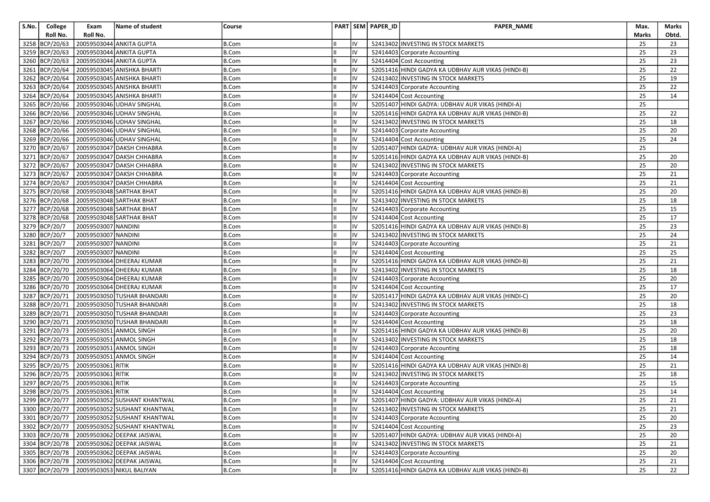| S.No. | College        | Exam                             | Name of student                             | Course       |    | PART SEM PAPER_ID | PAPER_NAME                                         | Max.         | Marks           |
|-------|----------------|----------------------------------|---------------------------------------------|--------------|----|-------------------|----------------------------------------------------|--------------|-----------------|
|       | Roll No.       | Roll No.                         |                                             |              |    |                   |                                                    | <b>Marks</b> | Obtd.           |
|       | 3258 BCP/20/63 |                                  | 20059503044 ANKITA GUPTA                    | <b>B.Com</b> | IV |                   | 52413402 INVESTING IN STOCK MARKETS                | 25           | 23              |
|       | 3259 BCP/20/63 |                                  | 20059503044 ANKITA GUPTA                    | <b>B.Com</b> | IV |                   | 52414403 Corporate Accounting                      | 25           | 23              |
|       | 3260 BCP/20/63 |                                  | 20059503044 ANKITA GUPTA                    | <b>B.Com</b> | IV |                   | 52414404 Cost Accounting                           | 25           | 23              |
|       | 3261 BCP/20/64 |                                  | 20059503045 ANISHKA BHARTI                  | <b>B.Com</b> | IV |                   | 52051416 HINDI GADYA KA UDBHAV AUR VIKAS (HINDI-B) | 25           | 22              |
|       | 3262 BCP/20/64 |                                  | 20059503045 ANISHKA BHARTI                  | <b>B.Com</b> | IV |                   | 52413402 INVESTING IN STOCK MARKETS                | 25           | 19              |
|       | 3263 BCP/20/64 |                                  | 20059503045 ANISHKA BHARTI                  | <b>B.Com</b> | IV |                   | 52414403 Corporate Accounting                      | 25           | 22              |
|       | 3264 BCP/20/64 |                                  | 20059503045 ANISHKA BHARTI                  | <b>B.Com</b> | IV |                   | 52414404 Cost Accounting                           | 25           | 14              |
|       | 3265 BCP/20/66 |                                  | 20059503046 UDHAV SINGHAL                   | <b>B.Com</b> | IV |                   | 52051407 HINDI GADYA: UDBHAV AUR VIKAS (HINDI-A)   | 25           |                 |
|       | 3266 BCP/20/66 |                                  | 20059503046 UDHAV SINGHAL                   | <b>B.Com</b> | IV |                   | 52051416 HINDI GADYA KA UDBHAV AUR VIKAS (HINDI-B) | 25           | 22              |
|       | 3267 BCP/20/66 |                                  | 20059503046 UDHAV SINGHAL                   | <b>B.Com</b> | IV |                   | 52413402 INVESTING IN STOCK MARKETS                | 25           | 18              |
|       | 3268 BCP/20/66 |                                  | 20059503046 UDHAV SINGHAL                   | <b>B.Com</b> | IV |                   | 52414403 Corporate Accounting                      | 25           | 20              |
|       | 3269 BCP/20/66 |                                  | 20059503046 UDHAV SINGHAL                   | <b>B.Com</b> | IV |                   | 52414404 Cost Accounting                           | 25           | 24              |
|       | 3270 BCP/20/67 |                                  | 20059503047 DAKSH CHHABRA                   | <b>B.Com</b> | IV |                   | 52051407 HINDI GADYA: UDBHAV AUR VIKAS (HINDI-A)   | 25           |                 |
|       | 3271 BCP/20/67 |                                  | 20059503047 DAKSH CHHABRA                   | <b>B.Com</b> | IV |                   | 52051416 HINDI GADYA KA UDBHAV AUR VIKAS (HINDI-B) | 25           | 20              |
|       | 3272 BCP/20/67 |                                  | 20059503047 DAKSH CHHABRA                   | <b>B.Com</b> | IV |                   | 52413402 INVESTING IN STOCK MARKETS                | 25           | 20              |
|       | 3273 BCP/20/67 |                                  | 20059503047 DAKSH CHHABRA                   | <b>B.Com</b> | IV |                   | 52414403 Corporate Accounting                      | 25           | 21              |
|       | 3274 BCP/20/67 |                                  | 20059503047 DAKSH CHHABRA                   | <b>B.Com</b> | IV |                   | 52414404 Cost Accounting                           | 25           | 21              |
|       | 3275 BCP/20/68 |                                  | 20059503048 SARTHAK BHAT                    | <b>B.Com</b> | IV |                   | 52051416 HINDI GADYA KA UDBHAV AUR VIKAS (HINDI-B) | 25           | 20              |
|       | 3276 BCP/20/68 |                                  | 20059503048 SARTHAK BHAT                    | <b>B.Com</b> | IV |                   | 52413402 INVESTING IN STOCK MARKETS                | 25           | 18              |
|       | 3277 BCP/20/68 |                                  | 20059503048 SARTHAK BHAT                    | <b>B.Com</b> | IV |                   | 52414403 Corporate Accounting                      | 25           | 15              |
|       | 3278 BCP/20/68 |                                  | 20059503048 SARTHAK BHAT                    | <b>B.Com</b> | IV |                   | 52414404 Cost Accounting                           | 25           | 17              |
|       | 3279 BCP/20/7  | 20059503007 NANDINI              |                                             | <b>B.Com</b> | IV |                   | 52051416 HINDI GADYA KA UDBHAV AUR VIKAS (HINDI-B) | 25           | 23              |
|       | 3280 BCP/20/7  | 20059503007 NANDINI              |                                             | <b>B.Com</b> | IV |                   | 52413402 INVESTING IN STOCK MARKETS                | 25           | 24              |
|       | 3281 BCP/20/7  | 20059503007 NANDINI              |                                             | <b>B.Com</b> | IV |                   | 52414403 Corporate Accounting                      | 25           | 21              |
|       | 3282 BCP/20/7  | 20059503007 NANDINI              |                                             | <b>B.Com</b> | IV |                   | 52414404 Cost Accounting                           | 25           | 25              |
|       | 3283 BCP/20/70 |                                  | 20059503064 DHEERAJ KUMAR                   | <b>B.Com</b> | IV |                   | 52051416 HINDI GADYA KA UDBHAV AUR VIKAS (HINDI-B) | 25           | 21              |
|       | 3284 BCP/20/70 |                                  | 20059503064 DHEERAJ KUMAR                   | <b>B.Com</b> | IV |                   | 52413402 INVESTING IN STOCK MARKETS                | 25           | 18              |
|       | 3285 BCP/20/70 |                                  | 20059503064 DHEERAJ KUMAR                   | <b>B.Com</b> | IV |                   | 52414403 Corporate Accounting                      | 25           | 20              |
|       | 3286 BCP/20/70 |                                  | 20059503064 DHEERAJ KUMAR                   | <b>B.Com</b> | IV |                   | 52414404 Cost Accounting                           | 25           | 17              |
|       | 3287 BCP/20/71 |                                  | 20059503050 TUSHAR BHANDARI                 | <b>B.Com</b> | IV |                   | 52051417 HINDI GADYA KA UDBHAV AUR VIKAS (HINDI-C) | 25           | 20              |
|       | 3288 BCP/20/71 |                                  | 20059503050 TUSHAR BHANDARI                 | <b>B.Com</b> | IV |                   | 52413402 INVESTING IN STOCK MARKETS                | 25           | 18              |
|       | 3289 BCP/20/71 |                                  | 20059503050 TUSHAR BHANDARI                 | <b>B.Com</b> | IV |                   | 52414403 Corporate Accounting                      | 25           | 23              |
|       | 3290 BCP/20/71 |                                  | 20059503050 TUSHAR BHANDARI                 | <b>B.Com</b> | IV |                   | 52414404 Cost Accounting                           | 25           | 18              |
|       | 3291 BCP/20/73 |                                  | 20059503051 ANMOL SINGH                     | B.Com        | IV |                   | 52051416 HINDI GADYA KA UDBHAV AUR VIKAS (HINDI-B) | 25           | 20              |
|       | 3292 BCP/20/73 |                                  | 20059503051 ANMOL SINGH                     | <b>B.Com</b> | IV |                   | 52413402 INVESTING IN STOCK MARKETS                | 25           | 18              |
|       | 3293 BCP/20/73 |                                  | 20059503051 ANMOL SINGH                     | <b>B.Com</b> | IV |                   | 52414403 Corporate Accounting                      | 25           | 18              |
|       | 3294 BCP/20/73 |                                  | 20059503051 ANMOL SINGH                     | <b>B.Com</b> | IV |                   | 52414404 Cost Accounting                           | 25           | 14              |
|       | 3295 BCP/20/75 | 20059503061 RITIK                |                                             | <b>B.Com</b> | IV |                   | 52051416 HINDI GADYA KA UDBHAV AUR VIKAS (HINDI-B) | 25           | 21              |
|       | 3296 BCP/20/75 | 20059503061 RITIK                |                                             | <b>B.Com</b> | IV |                   | 52413402 INVESTING IN STOCK MARKETS                | 25           | 18              |
|       | 3297 BCP/20/75 | 20059503061 RITIK                |                                             | <b>B.Com</b> | IV |                   | 52414403 Corporate Accounting                      | 25           | 15              |
|       |                | 3298 BCP/20/75 20059503061 RITIK |                                             | <b>B.Com</b> | IV |                   | 52414404 Cost Accounting                           | 25           | 14              |
|       |                |                                  | 3299 BCP/20/77 20059503052 SUSHANT KHANTWAL | B.Com        | IV |                   | 52051407 HINDI GADYA: UDBHAV AUR VIKAS (HINDI-A)   | 25           | $\overline{21}$ |
|       | 3300 BCP/20/77 |                                  | 20059503052 SUSHANT KHANTWAL                | B.Com        | IV |                   | 52413402 INVESTING IN STOCK MARKETS                | 25           | 21              |
|       | 3301 BCP/20/77 |                                  | 20059503052 SUSHANT KHANTWAL                | <b>B.Com</b> | IV |                   | 52414403 Corporate Accounting                      | 25           | 20              |
|       | 3302 BCP/20/77 |                                  | 20059503052 SUSHANT KHANTWAL                | <b>B.Com</b> | IV |                   | 52414404 Cost Accounting                           | 25           | 23              |
|       | 3303 BCP/20/78 |                                  | 20059503062 DEEPAK JAISWAL                  | <b>B.Com</b> | IV |                   | 52051407 HINDI GADYA: UDBHAV AUR VIKAS (HINDI-A)   | 25           | 20              |
|       | 3304 BCP/20/78 |                                  | 20059503062 DEEPAK JAISWAL                  | <b>B.Com</b> | IV |                   | 52413402 INVESTING IN STOCK MARKETS                | 25           | 21              |
|       |                |                                  | 3305 BCP/20/78 20059503062 DEEPAK JAISWAL   | B.Com        | IV |                   | 52414403 Corporate Accounting                      | 25           | 20              |
|       |                |                                  | 3306 BCP/20/78 20059503062 DEEPAK JAISWAL   | B.Com        | IV |                   | 52414404 Cost Accounting                           | 25           | 21              |
|       |                |                                  | 3307 BCP/20/79 20059503053 NIKUL BALIYAN    | B.Com        | IV |                   | 52051416 HINDI GADYA KA UDBHAV AUR VIKAS (HINDI-B) | 25           | 22              |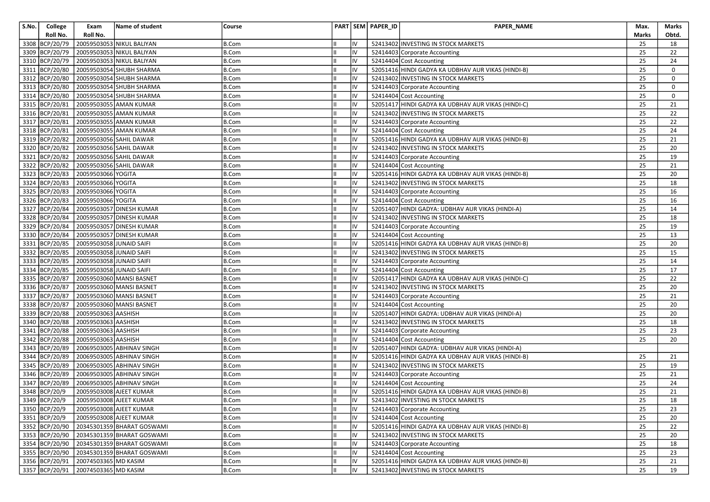| S.No. | College        | Exam                                | Name of student                           | Course       |     | PART SEM PAPER_ID | PAPER_NAME                                         | Max.         | Marks       |
|-------|----------------|-------------------------------------|-------------------------------------------|--------------|-----|-------------------|----------------------------------------------------|--------------|-------------|
|       | Roll No.       | Roll No.                            |                                           |              |     |                   |                                                    | <b>Marks</b> | Obtd.       |
|       | 3308 BCP/20/79 |                                     | 20059503053 NIKUL BALIYAN                 | <b>B.Com</b> | IV  |                   | 52413402 INVESTING IN STOCK MARKETS                | 25           | 18          |
|       | 3309 BCP/20/79 |                                     | 20059503053 NIKUL BALIYAN                 | <b>B.Com</b> | IV  |                   | 52414403 Corporate Accounting                      | 25           | 22          |
|       | 3310 BCP/20/79 |                                     | 20059503053 NIKUL BALIYAN                 | <b>B.Com</b> | IV  |                   | 52414404 Cost Accounting                           | 25           | 24          |
|       | 3311 BCP/20/80 |                                     | 20059503054 SHUBH SHARMA                  | <b>B.Com</b> | IV  |                   | 52051416 HINDI GADYA KA UDBHAV AUR VIKAS (HINDI-B) | 25           | $\mathbf 0$ |
|       | 3312 BCP/20/80 |                                     | 20059503054 SHUBH SHARMA                  | <b>B.Com</b> | IV  |                   | 52413402 INVESTING IN STOCK MARKETS                | 25           | $\Omega$    |
|       | 3313 BCP/20/80 |                                     | 20059503054 SHUBH SHARMA                  | <b>B.Com</b> | IV  |                   | 52414403 Corporate Accounting                      | 25           | $\Omega$    |
|       | 3314 BCP/20/80 |                                     | 20059503054 SHUBH SHARMA                  | <b>B.Com</b> | IV  |                   | 52414404 Cost Accounting                           | 25           | $\mathbf 0$ |
|       | 3315 BCP/20/81 |                                     | 20059503055 AMAN KUMAR                    | B.Com        | IV  |                   | 52051417 HINDI GADYA KA UDBHAV AUR VIKAS (HINDI-C) | 25           | 21          |
|       | 3316 BCP/20/81 |                                     | 20059503055 AMAN KUMAR                    | <b>B.Com</b> | IV  |                   | 52413402 INVESTING IN STOCK MARKETS                | 25           | 22          |
|       | 3317 BCP/20/81 |                                     | 20059503055 AMAN KUMAR                    | <b>B.Com</b> | IV  |                   | 52414403 Corporate Accounting                      | 25           | 22          |
|       | 3318 BCP/20/81 |                                     | 20059503055 AMAN KUMAR                    | B.Com        | IV  |                   | 52414404 Cost Accounting                           | 25           | 24          |
|       | 3319 BCP/20/82 |                                     | 20059503056 SAHIL DAWAR                   | <b>B.Com</b> | IV  |                   | 52051416 HINDI GADYA KA UDBHAV AUR VIKAS (HINDI-B) | 25           | 21          |
|       | 3320 BCP/20/82 |                                     | 20059503056 SAHIL DAWAR                   | <b>B.Com</b> | IV  |                   | 52413402 INVESTING IN STOCK MARKETS                | 25           | 20          |
|       | 3321 BCP/20/82 | 20059503056 SAHIL DAWAR             |                                           | <b>B.Com</b> | IV  |                   | 52414403 Corporate Accounting                      | 25           | 19          |
|       | 3322 BCP/20/82 |                                     | 20059503056 SAHIL DAWAR                   | <b>B.Com</b> | IV  |                   | 52414404 Cost Accounting                           | 25           | 21          |
|       | 3323 BCP/20/83 | 20059503066 YOGITA                  |                                           | <b>B.Com</b> | IV  |                   | 52051416 HINDI GADYA KA UDBHAV AUR VIKAS (HINDI-B) | 25           | 20          |
|       | 3324 BCP/20/83 | 20059503066 YOGITA                  |                                           | <b>B.Com</b> | IV  |                   | 52413402 INVESTING IN STOCK MARKETS                | 25           | 18          |
|       | 3325 BCP/20/83 | 20059503066 YOGITA                  |                                           | <b>B.Com</b> | IV  |                   | 52414403 Corporate Accounting                      | 25           | 16          |
|       | 3326 BCP/20/83 | 20059503066 YOGITA                  |                                           | <b>B.Com</b> | IV  |                   | 52414404 Cost Accounting                           | 25           | 16          |
|       | 3327 BCP/20/84 |                                     | 20059503057 DINESH KUMAR                  | <b>B.Com</b> | IV  |                   | 52051407 HINDI GADYA: UDBHAV AUR VIKAS (HINDI-A)   | 25           | 14          |
|       | 3328 BCP/20/84 |                                     | 20059503057 DINESH KUMAR                  | <b>B.Com</b> | IV  |                   | 52413402 INVESTING IN STOCK MARKETS                | 25           | 18          |
|       | 3329 BCP/20/84 |                                     | 20059503057 DINESH KUMAR                  | B.Com        | IV  |                   | 52414403 Corporate Accounting                      | 25           | 19          |
|       | 3330 BCP/20/84 |                                     | 20059503057 DINESH KUMAR                  | <b>B.Com</b> | IV  |                   | 52414404 Cost Accounting                           | 25           | 13          |
|       | 3331 BCP/20/85 | 20059503058 JUNAID SAIFI            |                                           | <b>B.Com</b> | IV  |                   | 52051416 HINDI GADYA KA UDBHAV AUR VIKAS (HINDI-B) | 25           | 20          |
|       | 3332 BCP/20/85 | 20059503058 JUNAID SAIFI            |                                           | <b>B.Com</b> | IV  |                   | 52413402 INVESTING IN STOCK MARKETS                | 25           | 15          |
|       | 3333 BCP/20/85 | 20059503058 JUNAID SAIFI            |                                           | <b>B.Com</b> | IV  |                   | 52414403 Corporate Accounting                      | 25           | 14          |
|       | 3334 BCP/20/85 | 20059503058 JUNAID SAIFI            |                                           | <b>B.Com</b> | IV  |                   | 52414404 Cost Accounting                           | 25           | 17          |
|       | 3335 BCP/20/87 |                                     | 20059503060 MANSI BASNET                  | <b>B.Com</b> | IV  |                   | 52051417 HINDI GADYA KA UDBHAV AUR VIKAS (HINDI-C) | 25           | 22          |
|       | 3336 BCP/20/87 |                                     | 20059503060 MANSI BASNET                  | B.Com        | IV  |                   | 52413402 INVESTING IN STOCK MARKETS                | 25           | 20          |
|       | 3337 BCP/20/87 |                                     | 20059503060 MANSI BASNET                  | <b>B.Com</b> | IV  |                   | 52414403 Corporate Accounting                      | 25           | 21          |
|       | 3338 BCP/20/87 |                                     | 20059503060 MANSI BASNET                  | <b>B.Com</b> | IV  |                   | 52414404 Cost Accounting                           | 25           | 20          |
|       |                | 3339 BCP/20/88 20059503063 AASHISH  |                                           | <b>B.Com</b> | IV  |                   | 52051407 HINDI GADYA: UDBHAV AUR VIKAS (HINDI-A)   | 25           | 20          |
|       | 3340 BCP/20/88 | 20059503063 AASHISH                 |                                           | <b>B.Com</b> | IV  |                   | 52413402 INVESTING IN STOCK MARKETS                | 25           | 18          |
|       | 3341 BCP/20/88 | 20059503063 AASHISH                 |                                           | <b>B.Com</b> | IV  |                   | 52414403 Corporate Accounting                      | 25           | 23          |
|       | 3342 BCP/20/88 | 20059503063 AASHISH                 |                                           | <b>B.Com</b> | IV  |                   | 52414404 Cost Accounting                           | 25           | 20          |
|       | 3343 BCP/20/89 |                                     | 20069503005 ABHINAV SINGH                 | <b>B.Com</b> | IV  |                   | 52051407 HINDI GADYA: UDBHAV AUR VIKAS (HINDI-A)   |              |             |
|       | 3344 BCP/20/89 |                                     | 20069503005 ABHINAV SINGH                 | <b>B.Com</b> | IV  |                   | 52051416 HINDI GADYA KA UDBHAV AUR VIKAS (HINDI-B) | 25           | 21          |
|       | 3345 BCP/20/89 |                                     | 20069503005 ABHINAV SINGH                 | B.Com        | IV  |                   | 52413402 INVESTING IN STOCK MARKETS                | 25           | 19          |
|       | 3346 BCP/20/89 |                                     | 20069503005 ABHINAV SINGH                 | <b>B.Com</b> | IV  |                   | 52414403 Corporate Accounting                      | 25           | 21          |
|       | 3347 BCP/20/89 |                                     | 20069503005 ABHINAV SINGH                 | <b>B.Com</b> | IV  |                   | 52414404 Cost Accounting                           | 25           | 24          |
|       | 3348 BCP/20/9  | 20059503008 AJEET KUMAR             |                                           | <b>B.Com</b> | IV  |                   | 52051416 HINDI GADYA KA UDBHAV AUR VIKAS (HINDI-B) | 25           | 21          |
|       |                |                                     | 3349 BCP/20/9 20059503008 AJEET KUMAR     | <b>B.Com</b> | IV  |                   | 52413402 INVESTING IN STOCK MARKETS                | 25           | 18          |
|       | 3350 BCP/20/9  |                                     | 20059503008 AJEET KUMAR                   | B.Com        | IV  |                   | 52414403 Corporate Accounting                      | 25           | 23          |
|       | 3351 BCP/20/9  |                                     | 20059503008 AJEET KUMAR                   | <b>B.Com</b> | IV  |                   | 52414404 Cost Accounting                           | 25           | 20          |
|       |                |                                     | 3352 BCP/20/90 20345301359 BHARAT GOSWAMI | <b>B.Com</b> | IV  |                   | 52051416 HINDI GADYA KA UDBHAV AUR VIKAS (HINDI-B) | 25           | 22          |
|       |                |                                     | 3353 BCP/20/90 20345301359 BHARAT GOSWAMI | B.Com        | IV  |                   | 52413402 INVESTING IN STOCK MARKETS                | 25           | 20          |
|       |                |                                     | 3354 BCP/20/90 20345301359 BHARAT GOSWAMI | <b>B.Com</b> | IV  |                   | 52414403 Corporate Accounting                      | 25           | 18          |
|       |                |                                     | 3355 BCP/20/90 20345301359 BHARAT GOSWAMI | <b>B.Com</b> | IV  |                   | 52414404 Cost Accounting                           | 25           | 23          |
|       |                | 3356 BCP/20/91 20074503365 MD KASIM |                                           | <b>B.Com</b> | IV  |                   | 52051416 HINDI GADYA KA UDBHAV AUR VIKAS (HINDI-B) | 25           | 21          |
|       |                | 3357 BCP/20/91 20074503365 MD KASIM |                                           | B.Com        | lıv |                   | 52413402 INVESTING IN STOCK MARKETS                | 25           | 19          |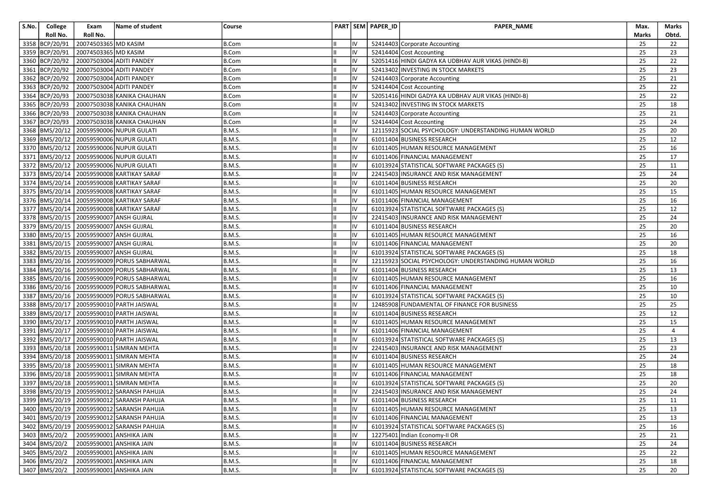| S.No. | College        | Exam                                   | Name of student                                | Course        |           | PART SEM PAPER_ID | PAPER_NAME                                            | Max.  | Marks |
|-------|----------------|----------------------------------------|------------------------------------------------|---------------|-----------|-------------------|-------------------------------------------------------|-------|-------|
|       | Roll No.       | Roll No.                               |                                                |               |           |                   |                                                       | Marks | Obtd. |
|       | 3358 BCP/20/91 | 20074503365 MD KASIM                   |                                                | <b>B.Com</b>  | IV        |                   | 52414403 Corporate Accounting                         | 25    | 22    |
|       | 3359 BCP/20/91 | 20074503365 MD KASIM                   |                                                | B.Com         | IV        |                   | 52414404 Cost Accounting                              | 25    | 23    |
|       | 3360 BCP/20/92 |                                        | 20007503004 ADITI PANDEY                       | <b>B.Com</b>  | IV        |                   | 52051416 HINDI GADYA KA UDBHAV AUR VIKAS (HINDI-B)    | 25    | 22    |
|       | 3361 BCP/20/92 |                                        | 20007503004 ADITI PANDEY                       | B.Com         | IV        |                   | 52413402 INVESTING IN STOCK MARKETS                   | 25    | 23    |
|       | 3362 BCP/20/92 |                                        | 20007503004 ADITI PANDEY                       | <b>B.Com</b>  | IV        |                   | 52414403 Corporate Accounting                         | 25    | 21    |
|       | 3363 BCP/20/92 |                                        | 20007503004 ADITI PANDEY                       | <b>B.Com</b>  | IV        |                   | 52414404 Cost Accounting                              | 25    | 22    |
|       | 3364 BCP/20/93 |                                        | 20007503038 KANIKA CHAUHAN                     | <b>B.Com</b>  | IV        |                   | 52051416 HINDI GADYA KA UDBHAV AUR VIKAS (HINDI-B)    | 25    | 22    |
|       | 3365 BCP/20/93 |                                        | 20007503038 KANIKA CHAUHAN                     | <b>B.Com</b>  | IV        |                   | 52413402 INVESTING IN STOCK MARKETS                   | 25    | 18    |
|       | 3366 BCP/20/93 |                                        | 20007503038 KANIKA CHAUHAN                     | B.Com         | IV        |                   | 52414403 Corporate Accounting                         | 25    | 21    |
|       |                |                                        | 3367 BCP/20/93 20007503038 KANIKA CHAUHAN      | <b>B.Com</b>  | IV        |                   | 52414404 Cost Accounting                              | 25    | 24    |
|       |                |                                        | 3368 BMS/20/12 20059590006 NUPUR GULATI        | <b>B.M.S.</b> | IV        |                   | 12115923 SOCIAL PSYCHOLOGY: UNDERSTANDING HUMAN WORLD | 25    | 20    |
|       |                |                                        | 3369 BMS/20/12 20059590006 NUPUR GULATI        | <b>B.M.S.</b> | IV        |                   | 61011404 BUSINESS RESEARCH                            | 25    | 12    |
|       |                |                                        | 3370 BMS/20/12 20059590006 NUPUR GULATI        | <b>B.M.S.</b> | IV        |                   | 61011405 HUMAN RESOURCE MANAGEMENT                    | 25    | 16    |
|       |                |                                        | 3371  BMS/20/12   20059590006 NUPUR GULATI     | <b>B.M.S.</b> | IV        |                   | 61011406 FINANCIAL MANAGEMENT                         | 25    | 17    |
|       |                |                                        | 3372 BMS/20/12 20059590006 NUPUR GULATI        | <b>B.M.S.</b> | IV        |                   | 61013924 STATISTICAL SOFTWARE PACKAGES (S)            | 25    | 11    |
|       |                |                                        | 3373 BMS/20/14 20059590008 KARTIKAY SARAF      | <b>B.M.S.</b> | IV        |                   | 22415403 INSURANCE AND RISK MANAGEMENT                | 25    | 24    |
|       |                |                                        | 3374 BMS/20/14 20059590008 KARTIKAY SARAF      | <b>B.M.S.</b> | I۷        |                   | 61011404 BUSINESS RESEARCH                            | 25    | 20    |
|       |                |                                        | 3375 BMS/20/14 20059590008 KARTIKAY SARAF      | <b>B.M.S.</b> | IV        |                   | 61011405 HUMAN RESOURCE MANAGEMENT                    | 25    | 15    |
|       |                |                                        | 3376 BMS/20/14 20059590008 KARTIKAY SARAF      | <b>B.M.S.</b> | I۷        |                   | 61011406 FINANCIAL MANAGEMENT                         | 25    | 16    |
|       |                |                                        | 3377  BMS/20/14   20059590008   KARTIKAY SARAF | <b>B.M.S.</b> | IV        |                   | 61013924 STATISTICAL SOFTWARE PACKAGES (S)            | 25    | 12    |
|       |                | 3378 BMS/20/15 20059590007 ANSH GUJRAL |                                                | <b>B.M.S.</b> | IV        |                   | 22415403 INSURANCE AND RISK MANAGEMENT                | 25    | 24    |
|       |                |                                        | 3379 BMS/20/15 20059590007 ANSH GUJRAL         | <b>B.M.S.</b> | I۷        |                   | 61011404 BUSINESS RESEARCH                            | 25    | 20    |
|       |                | 3380 BMS/20/15 20059590007 ANSH GUJRAL |                                                | <b>B.M.S.</b> | IV        |                   | 61011405 HUMAN RESOURCE MANAGEMENT                    | 25    | 16    |
|       |                |                                        | 3381  BMS/20/15   20059590007 ANSH GUJRAL      | <b>B.M.S.</b> | IV        |                   | 61011406 FINANCIAL MANAGEMENT                         | 25    | 20    |
|       |                |                                        | 3382 BMS/20/15 20059590007 ANSH GUJRAL         | <b>B.M.S.</b> | IV        |                   | 61013924 STATISTICAL SOFTWARE PACKAGES (S)            | 25    | 18    |
|       |                |                                        | 3383 BMS/20/16 20059590009 PORUS SABHARWAL     | <b>B.M.S.</b> | IV        |                   | 12115923 SOCIAL PSYCHOLOGY: UNDERSTANDING HUMAN WORLD | 25    | 16    |
|       |                |                                        | 3384 BMS/20/16 20059590009 PORUS SABHARWAL     | <b>B.M.S.</b> | IV        |                   | 61011404 BUSINESS RESEARCH                            | 25    | 13    |
|       |                |                                        | 3385 BMS/20/16 20059590009 PORUS SABHARWAL     | <b>B.M.S.</b> | <b>IV</b> |                   | 61011405 HUMAN RESOURCE MANAGEMENT                    | 25    | 16    |
|       |                |                                        | 3386 BMS/20/16 20059590009 PORUS SABHARWAL     | <b>B.M.S.</b> | IV        |                   | 61011406 FINANCIAL MANAGEMENT                         | 25    | 10    |
|       |                |                                        | 3387 BMS/20/16 20059590009 PORUS SABHARWAL     | <b>B.M.S.</b> | IV        |                   | 61013924 STATISTICAL SOFTWARE PACKAGES (S)            | 25    | 10    |
|       |                |                                        | 3388 BMS/20/17 20059590010 PARTH JAISWAL       | <b>B.M.S.</b> | IV        |                   | 12485908 FUNDAMENTAL OF FINANCE FOR BUSINESS          | 25    | 25    |
|       |                |                                        | 3389 BMS/20/17 20059590010 PARTH JAISWAL       | <b>B.M.S.</b> | IV        |                   | 61011404 BUSINESS RESEARCH                            | 25    | 12    |
|       |                |                                        | 3390 BMS/20/17 20059590010 PARTH JAISWAL       | <b>B.M.S.</b> | IV        |                   | 61011405 HUMAN RESOURCE MANAGEMENT                    | 25    | 15    |
|       |                |                                        | 3391 BMS/20/17 20059590010 PARTH JAISWAL       | <b>B.M.S.</b> | IV        |                   | 61011406 FINANCIAL MANAGEMENT                         | 25    | 4     |
|       |                |                                        | 3392 BMS/20/17 20059590010 PARTH JAISWAL       | <b>B.M.S.</b> | IV        |                   | 61013924 STATISTICAL SOFTWARE PACKAGES (S)            | 25    | 13    |
|       |                |                                        | 3393 BMS/20/18 20059590011 SIMRAN MEHTA        | <b>B.M.S.</b> | IV        |                   | 22415403 INSURANCE AND RISK MANAGEMENT                | 25    | 23    |
|       |                |                                        | 3394 BMS/20/18 20059590011 SIMRAN MEHTA        | <b>B.M.S.</b> | IV        |                   | 61011404 BUSINESS RESEARCH                            | 25    | 24    |
|       |                |                                        | 3395 BMS/20/18 20059590011 SIMRAN MEHTA        | <b>B.M.S.</b> | IV        |                   | 61011405 HUMAN RESOURCE MANAGEMENT                    | 25    | 18    |
|       |                |                                        | 3396 BMS/20/18 20059590011 SIMRAN MEHTA        | <b>B.M.S.</b> | IV        |                   | 61011406 FINANCIAL MANAGEMENT                         | 25    | 18    |
|       |                |                                        | 3397 BMS/20/18 20059590011 SIMRAN MEHTA        | <b>B.M.S.</b> | IV        |                   | 61013924 STATISTICAL SOFTWARE PACKAGES (S)            | 25    | 20    |
|       |                |                                        | 3398 BMS/20/19 20059590012 SARANSH PAHUJA      | <b>B.M.S.</b> | IV        |                   | 22415403 INSURANCE AND RISK MANAGEMENT                | 25    | 24    |
|       |                |                                        | 3399 BMS/20/19 20059590012 SARANSH PAHUJA      | B.M.S.        | IV        |                   | 61011404 BUSINESS RESEARCH                            | 25    | 11    |
|       |                |                                        | 3400   BMS/20/19   20059590012 SARANSH PAHUJA  | <b>B.M.S.</b> | IV        |                   | 61011405 HUMAN RESOURCE MANAGEMENT                    | 25    | 13    |
|       |                |                                        | 3401  BMS/20/19   20059590012   SARANSH PAHUJA | <b>B.M.S.</b> | IV        |                   | 61011406 FINANCIAL MANAGEMENT                         | 25    | 13    |
|       |                |                                        | 3402 BMS/20/19 20059590012 SARANSH PAHUJA      | <b>B.M.S.</b> | IV        |                   | 61013924 STATISTICAL SOFTWARE PACKAGES (S)            | 25    | 16    |
|       |                |                                        | 3403 BMS/20/2 20059590001 ANSHIKA JAIN         | <b>B.M.S.</b> | IV        |                   | 12275401 Indian Economy-II OR                         | 25    | 21    |
|       |                |                                        | 3404 BMS/20/2 20059590001 ANSHIKA JAIN         | <b>B.M.S.</b> | IV        |                   | 61011404 BUSINESS RESEARCH                            | 25    | 24    |
|       | 3405 BMS/20/2  |                                        | 20059590001 ANSHIKA JAIN                       | <b>B.M.S.</b> | IV        |                   | 61011405 HUMAN RESOURCE MANAGEMENT                    | 25    | 22    |
|       |                |                                        | 3406 BMS/20/2 20059590001 ANSHIKA JAIN         | <b>B.M.S.</b> | IV        |                   | 61011406 FINANCIAL MANAGEMENT                         | 25    | 18    |
|       | 3407 BMS/20/2  |                                        | 20059590001 ANSHIKA JAIN                       | B.M.S.        | Iv        |                   | 61013924 STATISTICAL SOFTWARE PACKAGES (S)            | 25    | 20    |
|       |                |                                        |                                                |               |           |                   |                                                       |       |       |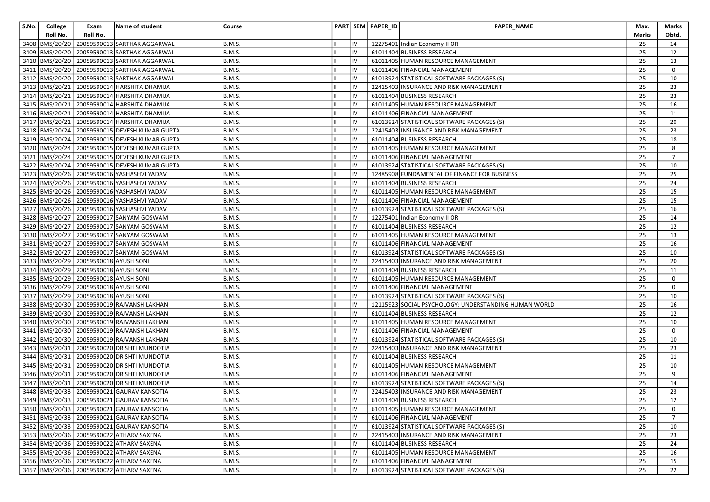| S.No. | College          | Exam                                       | Name of student                                     | Course        |    |    | PART SEM PAPER_ID | PAPER_NAME                                            | Max.  | Marks          |
|-------|------------------|--------------------------------------------|-----------------------------------------------------|---------------|----|----|-------------------|-------------------------------------------------------|-------|----------------|
|       | Roll No.         | Roll No.                                   |                                                     |               |    |    |                   |                                                       | Marks | Obtd.          |
|       | 3408   BMS/20/20 |                                            | 20059590013 SARTHAK AGGARWAL                        | <b>B.M.S.</b> |    |    |                   | 12275401 Indian Economy-II OR                         | 25    | 14             |
|       |                  |                                            | 3409 BMS/20/20 20059590013 SARTHAK AGGARWAL         | <b>B.M.S.</b> | Ш  | IV |                   | 61011404 BUSINESS RESEARCH                            | 25    | 12             |
|       |                  |                                            | 3410   BMS/20/20   20059590013   SARTHAK AGGARWAL   | <b>B.M.S.</b> |    | IV |                   | 61011405 HUMAN RESOURCE MANAGEMENT                    | 25    | 13             |
|       |                  |                                            | 3411 BMS/20/20 20059590013 SARTHAK AGGARWAL         | <b>B.M.S.</b> |    | IV |                   | 61011406 FINANCIAL MANAGEMENT                         | 25    | $\mathbf{0}$   |
|       |                  |                                            | 3412  BMS/20/20   20059590013   SARTHAK AGGARWAL    | <b>B.M.S.</b> |    | IV |                   | 61013924 STATISTICAL SOFTWARE PACKAGES (S)            | 25    | 10             |
|       |                  |                                            | 3413   BMS/20/21   20059590014   HARSHITA DHAMIJA   | <b>B.M.S.</b> |    | IV |                   | 22415403 INSURANCE AND RISK MANAGEMENT                | 25    | 23             |
|       |                  |                                            | 3414   BMS/20/21   20059590014   HARSHITA DHAMIJA   | <b>B.M.S.</b> |    | IV |                   | 61011404 BUSINESS RESEARCH                            | 25    | 23             |
|       |                  |                                            | 3415 BMS/20/21 20059590014 HARSHITA DHAMIJA         | <b>B.M.S.</b> |    | IV |                   | 61011405 HUMAN RESOURCE MANAGEMENT                    | 25    | 16             |
|       |                  |                                            | 3416   BMS/20/21   20059590014   HARSHITA DHAMIJA   | <b>B.M.S.</b> |    | IV |                   | 61011406 FINANCIAL MANAGEMENT                         | 25    | 11             |
|       |                  |                                            | 3417 BMS/20/21 20059590014 HARSHITA DHAMIJA         | <b>B.M.S.</b> |    |    |                   | 61013924 STATISTICAL SOFTWARE PACKAGES (S)            | 25    | 20             |
|       |                  |                                            | 3418 BMS/20/24 20059590015 DEVESH KUMAR GUPTA       | <b>B.M.S.</b> |    | IV |                   | 22415403 INSURANCE AND RISK MANAGEMENT                | 25    | 23             |
|       |                  |                                            | 3419   BMS/20/24   20059590015   DEVESH KUMAR GUPTA | <b>B.M.S.</b> |    | IV |                   | 61011404 BUSINESS RESEARCH                            | 25    | 18             |
|       |                  |                                            | 3420 BMS/20/24 20059590015 DEVESH KUMAR GUPTA       | <b>B.M.S.</b> |    | IV |                   | 61011405 HUMAN RESOURCE MANAGEMENT                    | 25    | 8              |
|       |                  |                                            | 3421 BMS/20/24 20059590015 DEVESH KUMAR GUPTA       | <b>B.M.S.</b> |    | IV |                   | 61011406 FINANCIAL MANAGEMENT                         | 25    | $\overline{7}$ |
|       |                  |                                            | 3422 BMS/20/24 20059590015 DEVESH KUMAR GUPTA       | <b>B.M.S.</b> |    | IV |                   | 61013924 STATISTICAL SOFTWARE PACKAGES (S)            | 25    | 10             |
|       |                  |                                            | 3423 BMS/20/26 20059590016 YASHASHVI YADAV          | <b>B.M.S.</b> |    | IV |                   | 12485908 FUNDAMENTAL OF FINANCE FOR BUSINESS          | 25    | 25             |
|       |                  |                                            | 3424 BMS/20/26 20059590016 YASHASHVI YADAV          | <b>B.M.S.</b> |    | IV |                   | 61011404 BUSINESS RESEARCH                            | 25    | 24             |
|       |                  |                                            | 3425  BMS/20/26   20059590016   YASHASHVI YADAV     | <b>B.M.S.</b> |    | IV |                   | 61011405 HUMAN RESOURCE MANAGEMENT                    | 25    | 15             |
|       |                  |                                            | 3426   BMS/20/26   20059590016   YASHASHVI YADAV    | <b>B.M.S.</b> |    | IV |                   | 61011406 FINANCIAL MANAGEMENT                         | 25    | 15             |
|       |                  |                                            | 3427  BMS/20/26   20059590016   YASHASHVI YADAV     | <b>B.M.S.</b> |    | IV |                   | 61013924 STATISTICAL SOFTWARE PACKAGES (S)            | 25    | 16             |
|       |                  |                                            | 3428   BMS/20/27   20059590017   SANYAM GOSWAMI     | <b>B.M.S.</b> |    | IV |                   | 12275401 Indian Economy-II OR                         | 25    | 14             |
|       |                  |                                            | 3429 BMS/20/27 20059590017 SANYAM GOSWAMI           | <b>B.M.S.</b> |    | IV |                   | 61011404 BUSINESS RESEARCH                            | 25    | 12             |
|       |                  |                                            | 3430 BMS/20/27 20059590017 SANYAM GOSWAMI           | <b>B.M.S.</b> |    | IV |                   | 61011405 HUMAN RESOURCE MANAGEMENT                    | 25    | 13             |
|       |                  |                                            | 3431  BMS/20/27   20059590017   SANYAM GOSWAMI      | <b>B.M.S.</b> |    | IV |                   | 61011406 FINANCIAL MANAGEMENT                         | 25    | 16             |
|       |                  |                                            | 3432 BMS/20/27 20059590017 SANYAM GOSWAMI           | <b>B.M.S.</b> |    | IV |                   | 61013924 STATISTICAL SOFTWARE PACKAGES (S)            | 25    | 10             |
|       |                  | 3433 BMS/20/29 20059590018 AYUSH SONI      |                                                     | <b>B.M.S.</b> |    | I۷ |                   | 22415403 INSURANCE AND RISK MANAGEMENT                | 25    | 20             |
|       |                  | 3434  BMS/20/29   20059590018   AYUSH SONI |                                                     | <b>B.M.S.</b> |    | IV |                   | 61011404 BUSINESS RESEARCH                            | 25    | 11             |
|       |                  | 3435  BMS/20/29   20059590018 AYUSH SONI   |                                                     | <b>B.M.S.</b> |    |    |                   | 61011405 HUMAN RESOURCE MANAGEMENT                    | 25    | 0              |
|       |                  | 3436 BMS/20/29 20059590018 AYUSH SONI      |                                                     | <b>B.M.S.</b> |    | IV |                   | 61011406 FINANCIAL MANAGEMENT                         | 25    | $\mathbf{0}$   |
|       |                  | 3437 BMS/20/29 20059590018 AYUSH SONI      |                                                     | <b>B.M.S.</b> |    | IV |                   | 61013924 STATISTICAL SOFTWARE PACKAGES (S)            | 25    | 10             |
|       |                  |                                            | 3438  BMS/20/30   20059590019   RAJVANSH LAKHAN     | <b>B.M.S.</b> |    | IV |                   | 12115923 SOCIAL PSYCHOLOGY: UNDERSTANDING HUMAN WORLD | 25    | 16             |
|       |                  |                                            | 3439 BMS/20/30 20059590019 RAJVANSH LAKHAN          | <b>B.M.S.</b> |    | IV |                   | 61011404 BUSINESS RESEARCH                            | 25    | 12             |
|       |                  |                                            | 3440 BMS/20/30 20059590019 RAJVANSH LAKHAN          | <b>B.M.S.</b> |    | IV |                   | 61011405 HUMAN RESOURCE MANAGEMENT                    | 25    | 10             |
|       |                  |                                            | 3441  BMS/20/30   20059590019   RAJVANSH LAKHAN     | <b>B.M.S.</b> |    | IV |                   | 61011406 FINANCIAL MANAGEMENT                         | 25    | $\mathbf{0}$   |
|       |                  |                                            | 3442 BMS/20/30 20059590019 RAJVANSH LAKHAN          | <b>B.M.S.</b> |    |    |                   | 61013924 STATISTICAL SOFTWARE PACKAGES (S)            | 25    | 10             |
|       |                  |                                            | 3443 BMS/20/31 20059590020 DRISHTI MUNDOTIA         | <b>B.M.S.</b> |    | IV |                   | 22415403 INSURANCE AND RISK MANAGEMENT                | 25    | 23             |
|       |                  |                                            | 3444 BMS/20/31 20059590020 DRISHTI MUNDOTIA         | <b>B.M.S.</b> |    | IV |                   | 61011404 BUSINESS RESEARCH                            | 25    | 11             |
|       |                  |                                            | 3445  BMS/20/31   20059590020   DRISHTI MUNDOTIA    | <b>B.M.S.</b> |    | IV |                   | 61011405 HUMAN RESOURCE MANAGEMENT                    | 25    | 10             |
|       |                  |                                            | 3446 BMS/20/31 20059590020 DRISHTI MUNDOTIA         | <b>B.M.S.</b> |    | IV |                   | 61011406 FINANCIAL MANAGEMENT                         | 25    | 9              |
|       |                  |                                            | 3447 BMS/20/31 20059590020 DRISHTI MUNDOTIA         | <b>B.M.S.</b> |    | IV |                   | 61013924 STATISTICAL SOFTWARE PACKAGES (S)            | 25    | 14             |
|       |                  |                                            | 3448 BMS/20/33 20059590021 GAURAV KANSOTIA          | <b>B.M.S.</b> |    | IV |                   | 22415403 INSURANCE AND RISK MANAGEMENT                | 25    | 23             |
|       |                  |                                            | 3449 BMS/20/33 20059590021 GAURAV KANSOTIA          | B.M.S.        |    |    |                   | 61011404 BUSINESS RESEARCH                            | 25    | 12             |
|       |                  |                                            | 3450 BMS/20/33 20059590021 GAURAV KANSOTIA          | <b>B.M.S.</b> |    | IV |                   | 61011405 HUMAN RESOURCE MANAGEMENT                    | 25    | 0              |
|       |                  |                                            | 3451 BMS/20/33 20059590021 GAURAV KANSOTIA          | <b>B.M.S.</b> |    | IV |                   | 61011406 FINANCIAL MANAGEMENT                         | 25    | $\overline{7}$ |
|       |                  |                                            | 3452 BMS/20/33 20059590021 GAURAV KANSOTIA          | <b>B.M.S.</b> |    | IV |                   | 61013924 STATISTICAL SOFTWARE PACKAGES (S)            | 25    | 10             |
|       |                  |                                            | 3453 BMS/20/36 20059590022 ATHARV SAXENA            | <b>B.M.S.</b> |    | IV |                   | 22415403 INSURANCE AND RISK MANAGEMENT                | 25    | 23             |
|       |                  |                                            | 3454 BMS/20/36 20059590022 ATHARV SAXENA            | <b>B.M.S.</b> |    | IV |                   | 61011404 BUSINESS RESEARCH                            | 25    | 24             |
|       |                  |                                            | 3455 BMS/20/36 20059590022 ATHARV SAXENA            | <b>B.M.S.</b> | IШ | IV |                   | 61011405 HUMAN RESOURCE MANAGEMENT                    | 25    | 16             |
|       |                  |                                            | 3456  BMS/20/36   20059590022   ATHARV SAXENA       | <b>B.M.S.</b> |    | IV |                   | 61011406 FINANCIAL MANAGEMENT                         | 25    | 15             |
|       |                  |                                            | 3457 BMS/20/36 20059590022 ATHARV SAXENA            | B.M.S.        |    | IV |                   | 61013924 STATISTICAL SOFTWARE PACKAGES (S)            | 25    | 22             |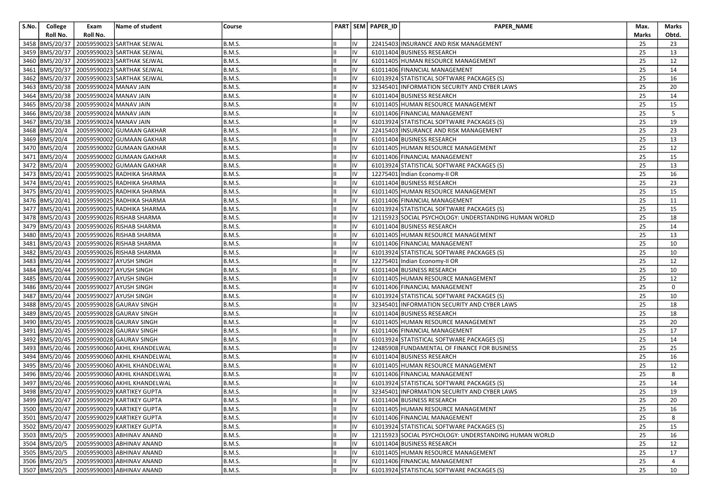| S.No. | College          | Exam                                        | Name of student                                | Course        |    |    | PART SEM PAPER_ID | <b>PAPER NAME</b>                                     | Max.  | Marks |
|-------|------------------|---------------------------------------------|------------------------------------------------|---------------|----|----|-------------------|-------------------------------------------------------|-------|-------|
|       | Roll No.         | Roll No.                                    |                                                |               |    |    |                   |                                                       | Marks | Obtd. |
|       | 3458 BMS/20/37   |                                             | 20059590023 SARTHAK SEJWAL                     | <b>B.M.S.</b> |    |    |                   | 22415403 INSURANCE AND RISK MANAGEMENT                | 25    | 23    |
|       |                  |                                             | 3459 BMS/20/37 20059590023 SARTHAK SEJWAL      | <b>B.M.S.</b> | Ш  | IV |                   | 61011404 BUSINESS RESEARCH                            | 25    | 13    |
|       |                  |                                             | 3460   BMS/20/37   20059590023 SARTHAK SEJWAL  | <b>B.M.S.</b> |    | IV |                   | 61011405 HUMAN RESOURCE MANAGEMENT                    | 25    | 12    |
|       |                  |                                             | 3461  BMS/20/37   20059590023 SARTHAK SEJWAL   | <b>B.M.S.</b> |    | IV |                   | 61011406 FINANCIAL MANAGEMENT                         | 25    | 14    |
|       |                  |                                             | 3462 BMS/20/37 20059590023 SARTHAK SEJWAL      | <b>B.M.S.</b> |    | IV |                   | 61013924 STATISTICAL SOFTWARE PACKAGES (S)            | 25    | 16    |
|       |                  | 3463 BMS/20/38 20059590024 MANAV JAIN       |                                                | <b>B.M.S.</b> |    | IV |                   | 32345401 INFORMATION SECURITY AND CYBER LAWS          | 25    | 20    |
|       |                  | 3464 BMS/20/38 20059590024 MANAV JAIN       |                                                | <b>B.M.S.</b> |    | IV |                   | 61011404 BUSINESS RESEARCH                            | 25    | 14    |
|       |                  | 3465  BMS/20/38   20059590024   MANAV JAIN  |                                                | <b>B.M.S.</b> |    | IV |                   | 61011405 HUMAN RESOURCE MANAGEMENT                    | 25    | 15    |
|       |                  | 3466   BMS/20/38   20059590024   MANAV JAIN |                                                | <b>B.M.S.</b> |    | IV |                   | 61011406 FINANCIAL MANAGEMENT                         | 25    | 5     |
|       |                  | 3467 BMS/20/38 20059590024 MANAV JAIN       |                                                | <b>B.M.S.</b> |    | IV |                   | 61013924 STATISTICAL SOFTWARE PACKAGES (S)            | 25    | 19    |
|       | 3468 BMS/20/4    |                                             | 20059590002 GUMAAN GAKHAR                      | <b>B.M.S.</b> |    | IV |                   | 22415403 INSURANCE AND RISK MANAGEMENT                | 25    | 23    |
|       | 3469 BMS/20/4    |                                             | 20059590002 GUMAAN GAKHAR                      | <b>B.M.S.</b> |    | IV |                   | 61011404 BUSINESS RESEARCH                            | 25    | 13    |
|       | 3470 BMS/20/4    |                                             | 20059590002 GUMAAN GAKHAR                      | <b>B.M.S.</b> |    | IV |                   | 61011405 HUMAN RESOURCE MANAGEMENT                    | 25    | 12    |
|       | 3471 BMS/20/4    |                                             | 20059590002 GUMAAN GAKHAR                      | <b>B.M.S.</b> |    | IV |                   | 61011406 FINANCIAL MANAGEMENT                         | 25    | 15    |
|       | 3472 BMS/20/4    |                                             | 20059590002 GUMAAN GAKHAR                      | <b>B.M.S.</b> |    | IV |                   | 61013924 STATISTICAL SOFTWARE PACKAGES (S)            | 25    | 13    |
|       | 3473  BMS/20/41  |                                             | 20059590025 RADHIKA SHARMA                     | <b>B.M.S.</b> |    | IV |                   | 12275401 Indian Economy-II OR                         | 25    | 16    |
|       | 3474 BMS/20/41   |                                             | 20059590025 RADHIKA SHARMA                     | <b>B.M.S.</b> |    | IV |                   | 61011404 BUSINESS RESEARCH                            | 25    | 23    |
|       |                  |                                             | 3475 BMS/20/41 20059590025 RADHIKA SHARMA      | <b>B.M.S.</b> |    | IV |                   | 61011405 HUMAN RESOURCE MANAGEMENT                    | 25    | 15    |
|       | 3476   BMS/20/41 |                                             | 20059590025 RADHIKA SHARMA                     | <b>B.M.S.</b> |    | IV |                   | 61011406 FINANCIAL MANAGEMENT                         | 25    | 11    |
|       |                  |                                             | 3477  BMS/20/41   20059590025   RADHIKA SHARMA | <b>B.M.S.</b> |    | IV |                   | 61013924 STATISTICAL SOFTWARE PACKAGES (S)            | 25    | 15    |
|       |                  |                                             | 3478 BMS/20/43 20059590026 RISHAB SHARMA       | <b>B.M.S.</b> |    | IV |                   | 12115923 SOCIAL PSYCHOLOGY: UNDERSTANDING HUMAN WORLD | 25    | 18    |
|       |                  |                                             | 3479  BMS/20/43   20059590026 RISHAB SHARMA    | <b>B.M.S.</b> |    | IV |                   | 61011404 BUSINESS RESEARCH                            | 25    | 14    |
|       |                  |                                             | 3480 BMS/20/43 20059590026 RISHAB SHARMA       | <b>B.M.S.</b> |    | IV |                   | 61011405 HUMAN RESOURCE MANAGEMENT                    | 25    | 13    |
|       |                  |                                             | 3481   BMS/20/43   20059590026   RISHAB SHARMA | <b>B.M.S.</b> |    | IV |                   | 61011406 FINANCIAL MANAGEMENT                         | 25    | 10    |
|       |                  |                                             | 3482 BMS/20/43 20059590026 RISHAB SHARMA       | <b>B.M.S.</b> |    | IV |                   | 61013924 STATISTICAL SOFTWARE PACKAGES (S)            | 25    | 10    |
|       |                  |                                             | 3483 BMS/20/44 20059590027 AYUSH SINGH         | <b>B.M.S.</b> |    | IV |                   | 12275401 Indian Economy-II OR                         | 25    | 12    |
|       |                  |                                             | 3484 BMS/20/44 20059590027 AYUSH SINGH         | <b>B.M.S.</b> |    | IV |                   | 61011404 BUSINESS RESEARCH                            | 25    | 10    |
|       |                  |                                             | 3485 BMS/20/44 20059590027 AYUSH SINGH         | <b>B.M.S.</b> |    |    |                   | 61011405 HUMAN RESOURCE MANAGEMENT                    | 25    | 12    |
|       |                  |                                             | 3486   BMS/20/44   20059590027 AYUSH SINGH     | <b>B.M.S.</b> |    | IV |                   | 61011406 FINANCIAL MANAGEMENT                         | 25    | 0     |
|       |                  |                                             | 3487 BMS/20/44 20059590027 AYUSH SINGH         | <b>B.M.S.</b> |    | IV |                   | 61013924 STATISTICAL SOFTWARE PACKAGES (S)            | 25    | 10    |
|       |                  |                                             | 3488  BMS/20/45   20059590028 GAURAV SINGH     | <b>B.M.S.</b> |    | IV |                   | 32345401 INFORMATION SECURITY AND CYBER LAWS          | 25    | 18    |
|       |                  |                                             | 3489 BMS/20/45 20059590028 GAURAV SINGH        | <b>B.M.S.</b> |    | IV |                   | 61011404 BUSINESS RESEARCH                            | 25    | 18    |
|       |                  |                                             | 3490 BMS/20/45 20059590028 GAURAV SINGH        | <b>B.M.S.</b> |    | IV |                   | 61011405 HUMAN RESOURCE MANAGEMENT                    | 25    | 20    |
|       |                  |                                             | 3491  BMS/20/45   20059590028 GAURAV SINGH     | <b>B.M.S.</b> |    | IV |                   | 61011406 FINANCIAL MANAGEMENT                         | 25    | 17    |
|       |                  |                                             | 3492 BMS/20/45 20059590028 GAURAV SINGH        | <b>B.M.S.</b> |    |    |                   | 61013924 STATISTICAL SOFTWARE PACKAGES (S)            | 25    | 14    |
|       |                  |                                             | 3493 BMS/20/46 20059590060 AKHIL KHANDELWAL    | <b>B.M.S.</b> |    | IV |                   | 12485908 FUNDAMENTAL OF FINANCE FOR BUSINESS          | 25    | 25    |
|       |                  |                                             | 3494  BMS/20/46   20059590060 AKHIL KHANDELWAL | <b>B.M.S.</b> |    | IV |                   | 61011404 BUSINESS RESEARCH                            | 25    | 16    |
|       |                  |                                             | 3495  BMS/20/46   20059590060 AKHIL KHANDELWAL | <b>B.M.S.</b> |    | IV |                   | 61011405 HUMAN RESOURCE MANAGEMENT                    | 25    | 12    |
|       |                  |                                             | 3496 BMS/20/46 20059590060 AKHIL KHANDELWAL    | <b>B.M.S.</b> |    | IV |                   | 61011406 FINANCIAL MANAGEMENT                         | 25    | 8     |
|       |                  |                                             | 3497 BMS/20/46 20059590060 AKHIL KHANDELWAL    | <b>B.M.S.</b> |    | IV |                   | 61013924 STATISTICAL SOFTWARE PACKAGES (S)            | 25    | 14    |
|       |                  |                                             | 3498 BMS/20/47 20059590029 KARTIKEY GUPTA      | <b>B.M.S.</b> |    | IV |                   | 32345401 INFORMATION SECURITY AND CYBER LAWS          | 25    | 19    |
|       |                  |                                             | 3499 BMS/20/47 20059590029 KARTIKEY GUPTA      | B.M.S.        |    |    |                   | 61011404 BUSINESS RESEARCH                            | 25    | 20    |
|       |                  |                                             | 3500 BMS/20/47 20059590029 KARTIKEY GUPTA      | <b>B.M.S.</b> |    | IV |                   | 61011405 HUMAN RESOURCE MANAGEMENT                    | 25    | 16    |
|       |                  |                                             | 3501 BMS/20/47 20059590029 KARTIKEY GUPTA      | <b>B.M.S.</b> |    | IV |                   | 61011406 FINANCIAL MANAGEMENT                         | 25    | 8     |
|       |                  |                                             | 3502 BMS/20/47 20059590029 KARTIKEY GUPTA      | <b>B.M.S.</b> |    | IV |                   | 61013924 STATISTICAL SOFTWARE PACKAGES (S)            | 25    | 15    |
|       | 3503 BMS/20/5    |                                             | 20059590003 ABHINAV ANAND                      | <b>B.M.S.</b> |    | IV |                   | 12115923 SOCIAL PSYCHOLOGY: UNDERSTANDING HUMAN WORLD | 25    | 16    |
|       | 3504 BMS/20/5    |                                             | 20059590003 ABHINAV ANAND                      | <b>B.M.S.</b> |    | IV |                   | 61011404 BUSINESS RESEARCH                            | 25    | 12    |
|       | 3505 BMS/20/5    |                                             | 20059590003 ABHINAV ANAND                      | <b>B.M.S.</b> | IШ | IV |                   | 61011405 HUMAN RESOURCE MANAGEMENT                    | 25    | 17    |
|       | 3506 BMS/20/5    |                                             | 20059590003 ABHINAV ANAND                      | <b>B.M.S.</b> |    | IV |                   | 61011406 FINANCIAL MANAGEMENT                         | 25    | 4     |
|       | 3507 BMS/20/5    |                                             | 20059590003 ABHINAV ANAND                      | B.M.S.        |    | IV |                   | 61013924 STATISTICAL SOFTWARE PACKAGES (S)            | 25    | 10    |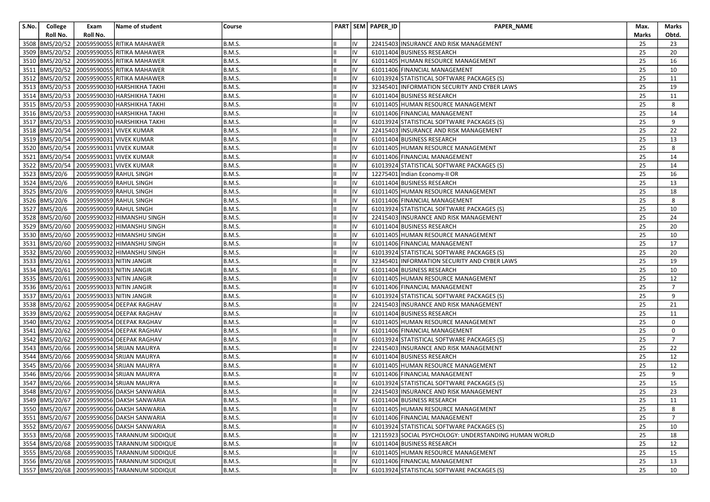| S.No. | College        | Exam                                    | Name of student                                  | Course        |    |    | PART SEM PAPER_ID | <b>PAPER NAME</b>                                     | Max.  | Marks          |
|-------|----------------|-----------------------------------------|--------------------------------------------------|---------------|----|----|-------------------|-------------------------------------------------------|-------|----------------|
|       | Roll No.       | Roll No.                                |                                                  |               |    |    |                   |                                                       | Marks | Obtd.          |
|       |                |                                         | 3508 BMS/20/52 20059590055 RITIKA MAHAWER        | <b>B.M.S.</b> |    |    |                   | 22415403 INSURANCE AND RISK MANAGEMENT                | 25    | 23             |
|       |                |                                         | 3509 BMS/20/52 20059590055 RITIKA MAHAWER        | <b>B.M.S.</b> | Ш  | IV |                   | 61011404 BUSINESS RESEARCH                            | 25    | 20             |
|       |                |                                         | 3510   BMS/20/52   20059590055   RITIKA MAHAWER  | <b>B.M.S.</b> |    | IV |                   | 61011405 HUMAN RESOURCE MANAGEMENT                    | 25    | 16             |
|       |                |                                         | 3511 BMS/20/52 20059590055 RITIKA MAHAWER        | <b>B.M.S.</b> |    | IV |                   | 61011406 FINANCIAL MANAGEMENT                         | 25    | 10             |
|       |                |                                         | 3512 BMS/20/52 20059590055 RITIKA MAHAWER        | <b>B.M.S.</b> |    | IV |                   | 61013924 STATISTICAL SOFTWARE PACKAGES (S)            | 25    | 11             |
|       |                |                                         | 3513 BMS/20/53 20059590030 HARSHIKHA TAKHI       | <b>B.M.S.</b> |    | IV |                   | 32345401 INFORMATION SECURITY AND CYBER LAWS          | 25    | 19             |
|       |                |                                         | 3514   BMS/20/53   20059590030   HARSHIKHA TAKHI | <b>B.M.S.</b> |    | IV |                   | 61011404 BUSINESS RESEARCH                            | 25    | 11             |
|       |                |                                         | 3515  BMS/20/53   20059590030   HARSHIKHA TAKHI  | <b>B.M.S.</b> |    | IV |                   | 61011405 HUMAN RESOURCE MANAGEMENT                    | 25    | 8              |
|       |                |                                         | 3516  BMS/20/53   20059590030  HARSHIKHA TAKHI   | <b>B.M.S.</b> |    | IV |                   | 61011406 FINANCIAL MANAGEMENT                         | 25    | 14             |
|       |                |                                         | 3517  BMS/20/53   20059590030   HARSHIKHA TAKHI  | <b>B.M.S.</b> |    |    |                   | 61013924 STATISTICAL SOFTWARE PACKAGES (S)            | 25    | 9              |
|       |                |                                         | 3518 BMS/20/54 20059590031 VIVEK KUMAR           | <b>B.M.S.</b> |    | IV |                   | 22415403 INSURANCE AND RISK MANAGEMENT                | 25    | 22             |
|       |                |                                         | 3519 BMS/20/54 20059590031 VIVEK KUMAR           | <b>B.M.S.</b> |    | IV |                   | 61011404 BUSINESS RESEARCH                            | 25    | 13             |
|       |                |                                         | 3520 BMS/20/54 20059590031 VIVEK KUMAR           | <b>B.M.S.</b> |    | IV |                   | 61011405 HUMAN RESOURCE MANAGEMENT                    | 25    | 8              |
|       |                |                                         | 3521 BMS/20/54 20059590031 VIVEK KUMAR           | <b>B.M.S.</b> |    | IV |                   | 61011406 FINANCIAL MANAGEMENT                         | 25    | 14             |
|       |                |                                         | 3522 BMS/20/54 20059590031 VIVEK KUMAR           | <b>B.M.S.</b> |    | IV |                   | 61013924 STATISTICAL SOFTWARE PACKAGES (S)            | 25    | 14             |
|       | 3523 BMS/20/6  |                                         | 20059590059 RAHUL SINGH                          | <b>B.M.S.</b> |    | IV |                   | 12275401 Indian Economy-II OR                         | 25    | 16             |
|       | 3524 BMS/20/6  |                                         | 20059590059 RAHUL SINGH                          | <b>B.M.S.</b> |    | IV |                   | 61011404 BUSINESS RESEARCH                            | 25    | 13             |
|       | 3525 BMS/20/6  |                                         | 20059590059 RAHUL SINGH                          | <b>B.M.S.</b> |    | IV |                   | 61011405 HUMAN RESOURCE MANAGEMENT                    | 25    | 18             |
|       | 3526 BMS/20/6  |                                         | 20059590059 RAHUL SINGH                          | <b>B.M.S.</b> |    | IV |                   | 61011406 FINANCIAL MANAGEMENT                         | 25    | 8              |
|       | 3527 BMS/20/6  |                                         | 20059590059 RAHUL SINGH                          | <b>B.M.S.</b> |    | IV |                   | 61013924 STATISTICAL SOFTWARE PACKAGES (S)            | 25    | 10             |
|       |                |                                         | 3528 BMS/20/60 20059590032 HIMANSHU SINGH        | <b>B.M.S.</b> |    | IV |                   | 22415403 INSURANCE AND RISK MANAGEMENT                | 25    | 24             |
|       |                |                                         | 3529 BMS/20/60 20059590032 HIMANSHU SINGH        | <b>B.M.S.</b> |    | IV |                   | 61011404 BUSINESS RESEARCH                            | 25    | 20             |
|       |                |                                         | 3530 BMS/20/60 20059590032 HIMANSHU SINGH        | <b>B.M.S.</b> |    | IV |                   | 61011405 HUMAN RESOURCE MANAGEMENT                    | 25    | 10             |
|       |                |                                         | 3531  BMS/20/60   20059590032  HIMANSHU SINGH    | <b>B.M.S.</b> |    | IV |                   | 61011406 FINANCIAL MANAGEMENT                         | 25    | 17             |
|       |                |                                         | 3532 BMS/20/60 20059590032 HIMANSHU SINGH        | <b>B.M.S.</b> |    | IV |                   | 61013924 STATISTICAL SOFTWARE PACKAGES (S)            | 25    | 20             |
|       |                | 3533 BMS/20/61 20059590033 NITIN JANGIR |                                                  | <b>B.M.S.</b> |    | IV |                   | 32345401 INFORMATION SECURITY AND CYBER LAWS          | 25    | 19             |
|       |                | 3534 BMS/20/61 20059590033 NITIN JANGIR |                                                  | <b>B.M.S.</b> |    | IV |                   | 61011404 BUSINESS RESEARCH                            | 25    | 10             |
|       |                | 3535 BMS/20/61 20059590033 NITIN JANGIR |                                                  | <b>B.M.S.</b> |    |    |                   | 61011405 HUMAN RESOURCE MANAGEMENT                    | 25    | 12             |
|       |                | 3536 BMS/20/61 20059590033 NITIN JANGIR |                                                  | <b>B.M.S.</b> |    | IV |                   | 61011406 FINANCIAL MANAGEMENT                         | 25    | $\overline{7}$ |
|       | 3537 BMS/20/61 | 20059590033 NITIN JANGIR                |                                                  | <b>B.M.S.</b> |    | IV |                   | 61013924 STATISTICAL SOFTWARE PACKAGES (S)            | 25    | 9              |
|       |                |                                         | 3538 BMS/20/62 20059590054 DEEPAK RAGHAV         | <b>B.M.S.</b> |    | IV |                   | 22415403 INSURANCE AND RISK MANAGEMENT                | 25    | 21             |
|       |                |                                         | 3539 BMS/20/62 20059590054 DEEPAK RAGHAV         | <b>B.M.S.</b> |    | IV |                   | 61011404 BUSINESS RESEARCH                            | 25    | 11             |
|       |                |                                         | 3540 BMS/20/62 20059590054 DEEPAK RAGHAV         | <b>B.M.S.</b> |    | IV |                   | 61011405 HUMAN RESOURCE MANAGEMENT                    | 25    | 0              |
|       |                |                                         | 3541  BMS/20/62   20059590054   DEEPAK RAGHAV    | <b>B.M.S.</b> |    | IV |                   | 61011406 FINANCIAL MANAGEMENT                         | 25    | 0              |
|       |                |                                         | 3542 BMS/20/62 20059590054 DEEPAK RAGHAV         | <b>B.M.S.</b> |    |    |                   | 61013924 STATISTICAL SOFTWARE PACKAGES (S)            | 25    | $\overline{7}$ |
|       |                |                                         | 3543 BMS/20/66 20059590034 SRIJAN MAURYA         | <b>B.M.S.</b> |    | IV |                   | 22415403 INSURANCE AND RISK MANAGEMENT                | 25    | 22             |
|       |                |                                         | 3544 BMS/20/66 20059590034 SRIJAN MAURYA         | <b>B.M.S.</b> |    | IV |                   | 61011404 BUSINESS RESEARCH                            | 25    | 12             |
|       |                |                                         | 3545 BMS/20/66 20059590034 SRIJAN MAURYA         | <b>B.M.S.</b> |    | IV |                   | 61011405 HUMAN RESOURCE MANAGEMENT                    | 25    | 12             |
|       |                |                                         | 3546 BMS/20/66 20059590034 SRIJAN MAURYA         | <b>B.M.S.</b> |    | IV |                   | 61011406 FINANCIAL MANAGEMENT                         | 25    | 9              |
|       |                |                                         | 3547 BMS/20/66 20059590034 SRIJAN MAURYA         | <b>B.M.S.</b> |    | IV |                   | 61013924 STATISTICAL SOFTWARE PACKAGES (S)            | 25    | 15             |
|       |                |                                         | 3548 BMS/20/67 20059590056 DAKSH SANWARIA        | <b>B.M.S.</b> |    | IV |                   | 22415403 INSURANCE AND RISK MANAGEMENT                | 25    | 23             |
|       |                |                                         | 3549 BMS/20/67 20059590056 DAKSH SANWARIA        | B.M.S.        |    |    |                   | 61011404 BUSINESS RESEARCH                            | 25    | $11\,$         |
|       |                |                                         | 3550 BMS/20/67 20059590056 DAKSH SANWARIA        | <b>B.M.S.</b> |    | IV |                   | 61011405 HUMAN RESOURCE MANAGEMENT                    | 25    | 8              |
|       |                |                                         | 3551 BMS/20/67 20059590056 DAKSH SANWARIA        | B.M.S.        |    | IV |                   | 61011406 FINANCIAL MANAGEMENT                         | 25    | $\overline{7}$ |
|       |                |                                         | 3552 BMS/20/67 20059590056 DAKSH SANWARIA        | B.M.S.        |    | IV |                   | 61013924 STATISTICAL SOFTWARE PACKAGES (S)            | 25    | 10             |
|       |                |                                         | 3553 BMS/20/68 20059590035 TARANNUM SIDDIQUE     | <b>B.M.S.</b> |    | IV |                   | 12115923 SOCIAL PSYCHOLOGY: UNDERSTANDING HUMAN WORLD | 25    | 18             |
|       |                |                                         | 3554 BMS/20/68 20059590035 TARANNUM SIDDIQUE     | B.M.S.        |    | IV |                   | 61011404 BUSINESS RESEARCH                            | 25    | 12             |
|       |                |                                         | 3555 BMS/20/68 20059590035 TARANNUM SIDDIQUE     | <b>B.M.S.</b> | IШ | IV |                   | 61011405 HUMAN RESOURCE MANAGEMENT                    | 25    | 15             |
|       |                |                                         | 3556 BMS/20/68 20059590035 TARANNUM SIDDIQUE     | <b>B.M.S.</b> |    | IV |                   | 61011406 FINANCIAL MANAGEMENT                         | 25    | 13             |
|       |                |                                         | 3557 BMS/20/68 20059590035 TARANNUM SIDDIQUE     | <b>B.M.S.</b> |    | IV |                   | 61013924 STATISTICAL SOFTWARE PACKAGES (S)            | 25    | 10             |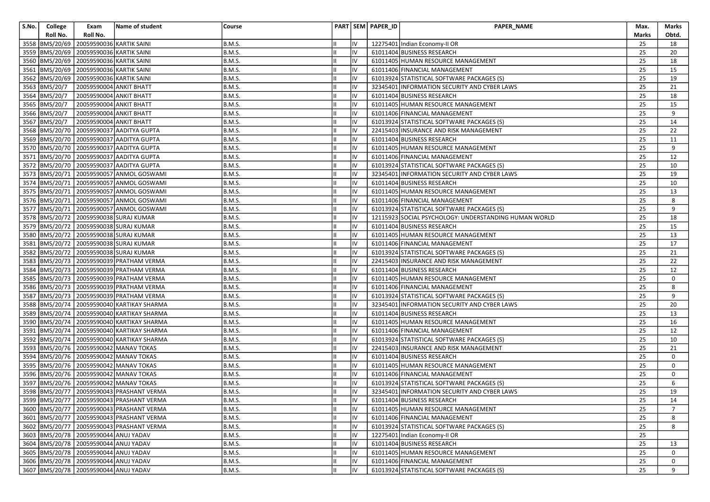| S.No. | College        | Exam                                    | Name of student                               | Course        |   |    | PART SEM PAPER_ID | PAPER_NAME                                            | Max.  | Marks          |
|-------|----------------|-----------------------------------------|-----------------------------------------------|---------------|---|----|-------------------|-------------------------------------------------------|-------|----------------|
|       | Roll No.       | Roll No.                                |                                               |               |   |    |                   |                                                       | Marks | Obtd.          |
|       | 3558 BMS/20/69 | 20059590036 KARTIK SAINI                |                                               | <b>B.M.S.</b> |   |    |                   | 12275401 Indian Economy-II OR                         | 25    | 18             |
|       |                | 3559 BMS/20/69 20059590036 KARTIK SAINI |                                               | <b>B.M.S.</b> | Ш | IV |                   | 61011404 BUSINESS RESEARCH                            | 25    | 20             |
|       |                | 3560 BMS/20/69 20059590036 KARTIK SAINI |                                               | <b>B.M.S.</b> |   | IV |                   | 61011405 HUMAN RESOURCE MANAGEMENT                    | 25    | 18             |
|       |                | 3561 BMS/20/69 20059590036 KARTIK SAINI |                                               | <b>B.M.S.</b> |   | IV |                   | 61011406 FINANCIAL MANAGEMENT                         | 25    | 15             |
|       |                | 3562 BMS/20/69 20059590036 KARTIK SAINI |                                               | <b>B.M.S.</b> |   | IV |                   | 61013924 STATISTICAL SOFTWARE PACKAGES (S)            | 25    | 19             |
|       | 3563 BMS/20/7  | 20059590004 ANKIT BHATT                 |                                               | <b>B.M.S.</b> |   | IV |                   | 32345401 INFORMATION SECURITY AND CYBER LAWS          | 25    | 21             |
|       | 3564 BMS/20/7  | 20059590004 ANKIT BHATT                 |                                               | <b>B.M.S.</b> |   | IV |                   | 61011404 BUSINESS RESEARCH                            | 25    | 18             |
|       | 3565 BMS/20/7  | 20059590004 ANKIT BHATT                 |                                               | <b>B.M.S.</b> |   | IV |                   | 61011405 HUMAN RESOURCE MANAGEMENT                    | 25    | 15             |
|       | 3566 BMS/20/7  | 20059590004 ANKIT BHATT                 |                                               | <b>B.M.S.</b> |   | IV |                   | 61011406 FINANCIAL MANAGEMENT                         | 25    | 9              |
|       | 3567 BMS/20/7  |                                         | 20059590004 ANKIT BHATT                       | <b>B.M.S.</b> |   | IV |                   | 61013924 STATISTICAL SOFTWARE PACKAGES (S)            | 25    | 14             |
|       |                |                                         | 3568 BMS/20/70 20059590037 AADITYA GUPTA      | <b>B.M.S.</b> |   | IV |                   | 22415403 INSURANCE AND RISK MANAGEMENT                | 25    | 22             |
|       |                |                                         | 3569 BMS/20/70 20059590037 AADITYA GUPTA      | <b>B.M.S.</b> |   | IV |                   | 61011404 BUSINESS RESEARCH                            | 25    | 11             |
|       |                |                                         | 3570 BMS/20/70 20059590037 AADITYA GUPTA      | <b>B.M.S.</b> |   | IV |                   | 61011405 HUMAN RESOURCE MANAGEMENT                    | 25    | 9              |
|       |                |                                         | 3571 BMS/20/70 20059590037 AADITYA GUPTA      | <b>B.M.S.</b> |   | IV |                   | 61011406 FINANCIAL MANAGEMENT                         | 25    | 12             |
|       |                |                                         | 3572 BMS/20/70 20059590037 AADITYA GUPTA      | <b>B.M.S.</b> |   | IV |                   | 61013924 STATISTICAL SOFTWARE PACKAGES (S)            | 25    | 10             |
|       |                |                                         | 3573  BMS/20/71   20059590057 ANMOL GOSWAMI   | <b>B.M.S.</b> |   | IV |                   | 32345401 INFORMATION SECURITY AND CYBER LAWS          | 25    | 19             |
|       |                |                                         | 3574 BMS/20/71 20059590057 ANMOL GOSWAMI      | <b>B.M.S.</b> |   | IV |                   | 61011404 BUSINESS RESEARCH                            | 25    | 10             |
|       |                |                                         | 3575 BMS/20/71 20059590057 ANMOL GOSWAMI      | <b>B.M.S.</b> |   | IV |                   | 61011405 HUMAN RESOURCE MANAGEMENT                    | 25    | 13             |
|       |                |                                         | 3576 BMS/20/71 20059590057 ANMOL GOSWAMI      | <b>B.M.S.</b> |   | IV |                   | 61011406 FINANCIAL MANAGEMENT                         | 25    | 8              |
|       |                |                                         | 3577  BMS/20/71   20059590057 ANMOL GOSWAMI   | <b>B.M.S.</b> |   | IV |                   | 61013924 STATISTICAL SOFTWARE PACKAGES (S)            | 25    | 9              |
|       |                |                                         | 3578 BMS/20/72 20059590038 SURAJ KUMAR        | <b>B.M.S.</b> |   | IV |                   | 12115923 SOCIAL PSYCHOLOGY: UNDERSTANDING HUMAN WORLD | 25    | 18             |
|       |                |                                         | 3579 BMS/20/72 20059590038 SURAJ KUMAR        | <b>B.M.S.</b> |   | IV |                   | 61011404 BUSINESS RESEARCH                            | 25    | 15             |
|       |                |                                         | 3580 BMS/20/72 20059590038 SURAJ KUMAR        | <b>B.M.S.</b> |   | IV |                   | 61011405 HUMAN RESOURCE MANAGEMENT                    | 25    | 13             |
|       |                |                                         | 3581  BMS/20/72   20059590038 SURAJ KUMAR     | <b>B.M.S.</b> |   | IV |                   | 61011406 FINANCIAL MANAGEMENT                         | 25    | 17             |
|       |                |                                         | 3582 BMS/20/72 20059590038 SURAJ KUMAR        | <b>B.M.S.</b> |   | IV |                   | 61013924 STATISTICAL SOFTWARE PACKAGES (S)            | 25    | 21             |
|       |                |                                         | 3583 BMS/20/73 20059590039 PRATHAM VERMA      | <b>B.M.S.</b> |   | IV |                   | 22415403 INSURANCE AND RISK MANAGEMENT                | 25    | 22             |
|       |                |                                         | 3584 BMS/20/73 20059590039 PRATHAM VERMA      | <b>B.M.S.</b> |   | IV |                   | 61011404 BUSINESS RESEARCH                            | 25    | 12             |
|       |                |                                         | 3585 BMS/20/73 20059590039 PRATHAM VERMA      | <b>B.M.S.</b> |   |    |                   | 61011405 HUMAN RESOURCE MANAGEMENT                    | 25    | 0              |
|       |                |                                         | 3586  BMS/20/73   20059590039   PRATHAM VERMA | <b>B.M.S.</b> |   | IV |                   | 61011406 FINANCIAL MANAGEMENT                         | 25    | 8              |
|       |                |                                         | 3587 BMS/20/73 20059590039 PRATHAM VERMA      | <b>B.M.S.</b> |   | IV |                   | 61013924 STATISTICAL SOFTWARE PACKAGES (S)            | 25    | 9              |
|       |                |                                         | 3588 BMS/20/74 20059590040 KARTIKAY SHARMA    | <b>B.M.S.</b> |   | IV |                   | 32345401 INFORMATION SECURITY AND CYBER LAWS          | 25    | 20             |
|       |                |                                         | 3589 BMS/20/74 20059590040 KARTIKAY SHARMA    | <b>B.M.S.</b> |   | IV |                   | 61011404 BUSINESS RESEARCH                            | 25    | 13             |
|       |                |                                         | 3590 BMS/20/74 20059590040 KARTIKAY SHARMA    | <b>B.M.S.</b> |   | IV |                   | 61011405 HUMAN RESOURCE MANAGEMENT                    | 25    | 16             |
|       |                |                                         | 3591  BMS/20/74   20059590040 KARTIKAY SHARMA | <b>B.M.S.</b> |   | IV |                   | 61011406 FINANCIAL MANAGEMENT                         | 25    | 12             |
|       |                |                                         | 3592 BMS/20/74 20059590040 KARTIKAY SHARMA    | <b>B.M.S.</b> |   | IV |                   | 61013924 STATISTICAL SOFTWARE PACKAGES (S)            | 25    | 10             |
|       |                |                                         | 3593 BMS/20/76 20059590042 MANAV TOKAS        | <b>B.M.S.</b> |   | IV |                   | 22415403 INSURANCE AND RISK MANAGEMENT                | 25    | 21             |
|       |                |                                         | 3594 BMS/20/76 20059590042 MANAV TOKAS        | <b>B.M.S.</b> |   | IV |                   | 61011404 BUSINESS RESEARCH                            | 25    | 0              |
|       |                |                                         | 3595  BMS/20/76   20059590042   MANAV TOKAS   | <b>B.M.S.</b> |   | IV |                   | 61011405 HUMAN RESOURCE MANAGEMENT                    | 25    | 0              |
|       |                |                                         | 3596 BMS/20/76 20059590042 MANAV TOKAS        | <b>B.M.S.</b> |   | IV |                   | 61011406 FINANCIAL MANAGEMENT                         | 25    | 0              |
|       |                |                                         | 3597 BMS/20/76 20059590042 MANAV TOKAS        | <b>B.M.S.</b> |   | IV |                   | 61013924 STATISTICAL SOFTWARE PACKAGES (S)            | 25    | 6              |
|       |                |                                         | 3598 BMS/20/77 20059590043 PRASHANT VERMA     | <b>B.M.S.</b> | Ш | IV |                   | 32345401 INFORMATION SECURITY AND CYBER LAWS          | 25    | 19             |
|       |                |                                         | 3599 BMS/20/77 20059590043 PRASHANT VERMA     | B.M.S.        |   |    |                   | 61011404 BUSINESS RESEARCH                            | 25    | 14             |
|       |                |                                         | 3600 BMS/20/77 20059590043 PRASHANT VERMA     | <b>B.M.S.</b> |   | IV |                   | 61011405 HUMAN RESOURCE MANAGEMENT                    | 25    | $\overline{7}$ |
|       |                |                                         | 3601 BMS/20/77 20059590043 PRASHANT VERMA     | <b>B.M.S.</b> |   | IV |                   | 61011406 FINANCIAL MANAGEMENT                         | 25    | 8              |
|       |                |                                         | 3602 BMS/20/77 20059590043 PRASHANT VERMA     | <b>B.M.S.</b> | Ш | IV |                   | 61013924 STATISTICAL SOFTWARE PACKAGES (S)            | 25    | 8              |
|       |                | 3603 BMS/20/78 20059590044 ANUJ YADAV   |                                               | <b>B.M.S.</b> |   | IV |                   | 12275401 Indian Economy-II OR                         | 25    |                |
|       |                |                                         | 3604 BMS/20/78 20059590044 ANUJ YADAV         | <b>B.M.S.</b> |   | IV |                   | 61011404 BUSINESS RESEARCH                            | 25    | 13             |
|       |                | 3605 BMS/20/78 20059590044 ANUJ YADAV   |                                               | <b>B.M.S.</b> | Ш | IV |                   | 61011405 HUMAN RESOURCE MANAGEMENT                    | 25    | 0              |
|       |                |                                         | 3606 BMS/20/78 20059590044 ANUJ YADAV         | <b>B.M.S.</b> |   | IV |                   | 61011406 FINANCIAL MANAGEMENT                         | 25    | 0              |
|       |                | 3607 BMS/20/78 20059590044 ANUJ YADAV   |                                               | B.M.S.        |   | IV |                   | 61013924 STATISTICAL SOFTWARE PACKAGES (S)            | 25    | 9              |
|       |                |                                         |                                               |               |   |    |                   |                                                       |       |                |